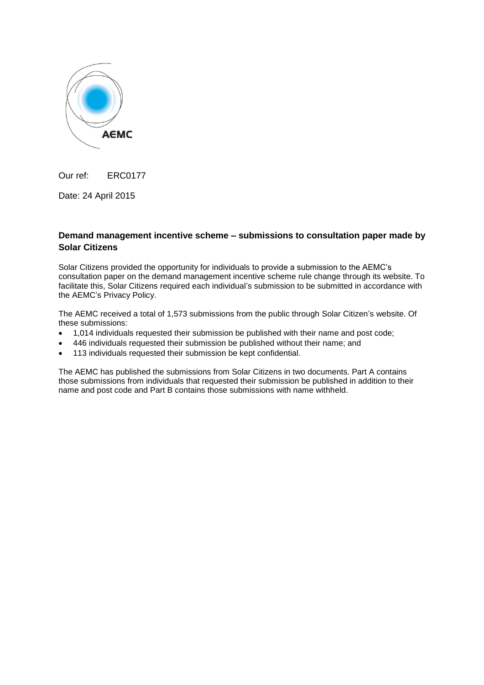

Our ref: ERC0177

Date: 24 April 2015

## **Demand management incentive scheme – submissions to consultation paper made by Solar Citizens**

Solar Citizens provided the opportunity for individuals to provide a submission to the AEMC's consultation paper on the demand management incentive scheme rule change through its website. To facilitate this, Solar Citizens required each individual's submission to be submitted in accordance with the AEMC's Privacy Policy.

The AEMC received a total of 1,573 submissions from the public through Solar Citizen's website. Of these submissions:

- 1,014 individuals requested their submission be published with their name and post code;
- 446 individuals requested their submission be published without their name; and
- 113 individuals requested their submission be kept confidential.

The AEMC has published the submissions from Solar Citizens in two documents. Part A contains those submissions from individuals that requested their submission be published in addition to their name and post code and Part B contains those submissions with name withheld.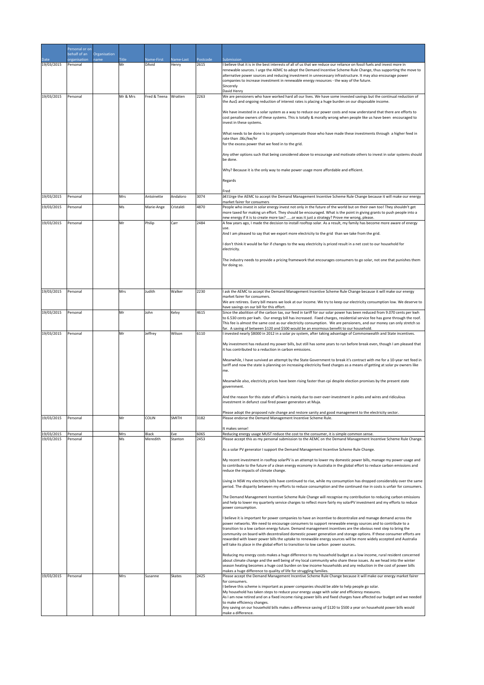|                          | Personal or on               |                      |           |                   |                |              |                                                                                                                                                                                                                                                                                                                                                                                                                                                                                                                                                                                                                                                                                 |
|--------------------------|------------------------------|----------------------|-----------|-------------------|----------------|--------------|---------------------------------------------------------------------------------------------------------------------------------------------------------------------------------------------------------------------------------------------------------------------------------------------------------------------------------------------------------------------------------------------------------------------------------------------------------------------------------------------------------------------------------------------------------------------------------------------------------------------------------------------------------------------------------|
| Date                     | behalf of an<br>nrganisation | Organisation<br>name | Title     | Name-First        | Name-Last      | Postcode     | Submission                                                                                                                                                                                                                                                                                                                                                                                                                                                                                                                                                                                                                                                                      |
| 19/03/2015               | Personal                     |                      | Mr        | DAvid             | Henry          | 2615         | I believe that it is in the best interests of all of us that we reduce our reliance on fossil fuels and invest more in<br>renewable sources. I urge the AEMC to adopt the Demand Incentive Scheme Rule Change, thus supporting the move to<br>alternative power sources and reducing investment in unnecessary infrastructure. It may also encourage power<br>companies to increase investment in renewable energy resources - the way of the future.<br>Sincerely<br>David Henry                                                                                                                                                                                               |
| 19/03/2015               | Personal                     |                      | Mr & Mrs  | Fred & Teena      | Wratten        | 2263         | We are pensioners who have worked hard all our lives. We have some invested savings but the continual reduction of                                                                                                                                                                                                                                                                                                                                                                                                                                                                                                                                                              |
|                          |                              |                      |           |                   |                |              | the Aus\$ and ongoing reduction of interest rates is placing a huge burden on our disposable income.<br>We have invested in a solar system as a way to reduce our power costs and now understand that there are efforts to<br>cost penalise owners of these systems. This is totally & morally wrong when people like us have been encouraged to<br>invest in these systems.                                                                                                                                                                                                                                                                                                    |
|                          |                              |                      |           |                   |                |              | What needs to be done is to properly compensate those who have made these investments through a higher feed in<br>rate than .06c/kw/hr<br>for the excess power that we feed in to the grid.                                                                                                                                                                                                                                                                                                                                                                                                                                                                                     |
|                          |                              |                      |           |                   |                |              | Any other options such that being considered above to encourage and motivate others to invest in solar systems should<br>be done.                                                                                                                                                                                                                                                                                                                                                                                                                                                                                                                                               |
|                          |                              |                      |           |                   |                |              | Why? Because it is the only way to make power usage more affordable and efficient.                                                                                                                                                                                                                                                                                                                                                                                                                                                                                                                                                                                              |
|                          |                              |                      |           |                   |                |              | Regards                                                                                                                                                                                                                                                                                                                                                                                                                                                                                                                                                                                                                                                                         |
|                          |                              |                      |           |                   |                |              | Fred                                                                                                                                                                                                                                                                                                                                                                                                                                                                                                                                                                                                                                                                            |
| 19/03/2015               | Personal                     |                      | Mrs       | Antoinette        | Andaloro       | 3074         | •Urge the AEMC to accept the Demand Management Incentive Scheme Rule Change because it will make our energy<br>market fairer for consumers                                                                                                                                                                                                                                                                                                                                                                                                                                                                                                                                      |
| 19/03/2015               | Personal                     |                      | Ms        | Marie-Ange        | Cristaldi      | 4870         | People who invest in solar energy invest not only in the future of the world but on their own too! They shouldn't get<br>more taxed for making un effort. They should be encouraged. What is the point in giving grants to push people into a<br>new energy if it is to create more tax? or was it just a strategy? Prove me wrong, please.                                                                                                                                                                                                                                                                                                                                     |
| 19/03/2015               | Personal                     |                      | Mr        | Philip            | Carr           | 2484         | A few years ago, I made the decision to install rooftop solar. As a result, my family has become more aware of energy<br>use.                                                                                                                                                                                                                                                                                                                                                                                                                                                                                                                                                   |
|                          |                              |                      |           |                   |                |              | And I am pleased to say that we export more electricity to the grid than we take from the grid.                                                                                                                                                                                                                                                                                                                                                                                                                                                                                                                                                                                 |
|                          |                              |                      |           |                   |                |              | I don't think it would be fair if changes to the way electricity is priced result in a net cost to our household for<br>electricity.                                                                                                                                                                                                                                                                                                                                                                                                                                                                                                                                            |
|                          |                              |                      |           |                   |                |              | The industry needs to provide a pricing framework that encourages consumers to go solar, not one that punishes them<br>for doing so.                                                                                                                                                                                                                                                                                                                                                                                                                                                                                                                                            |
|                          |                              |                      |           |                   |                |              |                                                                                                                                                                                                                                                                                                                                                                                                                                                                                                                                                                                                                                                                                 |
| 19/03/2015               | Personal                     |                      | Mrs       | Judith            | Walker         | 2230         | I ask the AEMC to accept the Demand Management Incentive Scheme Rule Change because it will make our energy                                                                                                                                                                                                                                                                                                                                                                                                                                                                                                                                                                     |
|                          |                              |                      |           |                   |                |              | market fairer for consumers.<br>We are retirees. Every bill means we look at our income. We try to keep our electricity consumption low. We deserve to                                                                                                                                                                                                                                                                                                                                                                                                                                                                                                                          |
| 19/03/2015               | Personal                     |                      | Mr        | John              | Kelvy          | 4615         | have savings on our bill for this effort.<br>Since the abolition of the carbon tax, our feed in tariff for our solar power has been reduced from 9.070 cents per kwh                                                                                                                                                                                                                                                                                                                                                                                                                                                                                                            |
|                          |                              |                      |           |                   |                |              | to 6.530 cents per kwh. Our energy bill has increased. Fixed charges, residential service fee has gone through the roof.<br>This fee is almost the same cost as our electricity consumption. We are pensioners, and our money can only stretch so<br>far. A saving of between \$120 and \$500 would be an enormous benefit to our household.                                                                                                                                                                                                                                                                                                                                    |
| 19/03/2015               | Personal                     |                      | Mr        | Jeffrey           | Wilson         | 6110         | I invested nearly \$8000 in 2012 in a solar pv system, after taking advantage of Commonwealth and State incentives.                                                                                                                                                                                                                                                                                                                                                                                                                                                                                                                                                             |
|                          |                              |                      |           |                   |                |              | My investment has reduced my power bills, but still has some years to run before break even, though I am pleased that<br>it has contributed to a reduction in carbon emissions.                                                                                                                                                                                                                                                                                                                                                                                                                                                                                                 |
|                          |                              |                      |           |                   |                |              | Meanwhile, I have survived an attempt by the State Government to break it's contract with me for a 10-year net feed in<br>tariff and now the state is planning on increasing electricity fixed charges as a means of getting at solar pv owners like<br>me.                                                                                                                                                                                                                                                                                                                                                                                                                     |
|                          |                              |                      |           |                   |                |              | Meanwhile also, electricity prices have been rising faster than cpi despite election promises by the present state<br>government.                                                                                                                                                                                                                                                                                                                                                                                                                                                                                                                                               |
|                          |                              |                      |           |                   |                |              | And the reason for this state of affairs is mainly due to over-over-investment in poles and wires and ridiculous<br>investment in defunct coal fired power generators at Muja.                                                                                                                                                                                                                                                                                                                                                                                                                                                                                                  |
| 19/03/2015               | Personal                     |                      | Mr        | COLIN             | SMITH          | 3182         | Please adopt the proposed rule change and restore sanity and good management to the electricity sector.<br>Please endorse the Demand Management Incentive Scheme Rule.                                                                                                                                                                                                                                                                                                                                                                                                                                                                                                          |
|                          |                              |                      |           |                   |                |              |                                                                                                                                                                                                                                                                                                                                                                                                                                                                                                                                                                                                                                                                                 |
| 19/03/2015<br>19/03/2015 | Personal<br>Personal         |                      | Mrs<br>Ms | Black<br>Meredith | Eve<br>Stanton | 6065<br>2453 | It makes sense!<br>Reducing energy usage MUST reduce the cost to the consumer, it is simple common sense.<br>Please accept this as my personal submission to the AEMC on the Demand Management Incentive Scheme Rule Change.                                                                                                                                                                                                                                                                                                                                                                                                                                                    |
|                          |                              |                      |           |                   |                |              | As a solar PV generator I support the Demand Management Incentive Scheme Rule Change.                                                                                                                                                                                                                                                                                                                                                                                                                                                                                                                                                                                           |
|                          |                              |                      |           |                   |                |              | My recent investment in rooftop solarPV is an attempt to lower my domestic power bills, manage my power usage and<br>to contribute to the future of a clean energy economy in Australia in the global effort to reduce carbon emissions and<br>reduce the impacts of climate change.                                                                                                                                                                                                                                                                                                                                                                                            |
|                          |                              |                      |           |                   |                |              | Living in NSW my electricity bills have continued to rise, while my consumption has dropped considerably over the same<br>period. The disparity between my efforts to reduce consumption and the continued rise in costs is unfair for consumers.                                                                                                                                                                                                                                                                                                                                                                                                                               |
|                          |                              |                      |           |                   |                |              | The Demand Management Incentive Scheme Rule Change will recognise my contribution to reducing carbon emissions<br>and help to lower my quarterly service charges to reflect more fairly my solarPV investment and my efforts to reduce<br>power consumption.                                                                                                                                                                                                                                                                                                                                                                                                                    |
|                          |                              |                      |           |                   |                |              | I believe it is important for power companies to have an incentive to decentralize and manage demand across the<br>power networks. We need to encourage consumers to support renewable energy sources and to contribute to a<br>transition to a low carbon energy future. Demand management incentives are the obvious next step to bring the<br>community on board with decentralized domestic power generation and storage options. If these consumer efforts are<br>rewarded with lower power bills the uptake to renewable energy sources will be more widely accepted and Australia<br>will take its place in the global effort to transition to low carbon power sources. |
|                          |                              |                      |           |                   |                |              | Reducing my energy costs makes a huge difference to my household budget as a low income, rural resident concerned<br>about climate change and the well being of my local community who share these issues. As we head into the winter<br>season heating becomes a huge cost burden on low income households and any reduction in the cost of power bills<br>makes a huge difference to quality of life for struggling families.                                                                                                                                                                                                                                                 |
| 19/03/2015               | Personal                     |                      | Mrs       | Susanne           | Skates         | 2425         | Please accept the Demand Management Incentive Scheme Rule Change because it will make our energy market fairer<br>for consumers.                                                                                                                                                                                                                                                                                                                                                                                                                                                                                                                                                |
|                          |                              |                      |           |                   |                |              | I believe this scheme is important as power companies should be able to help people go solar.<br>My household has taken steps to reduce your energy usage with solar and efficiency measures.<br>As I am now retired and on a fixed income rising power bills and fixed charges have affected our budget and we needed<br>to make efficiency changes.<br>Any saving on our household bills makes a difference saving of \$120 to \$500 a year on household power bills would<br>make a difference.                                                                                                                                                                              |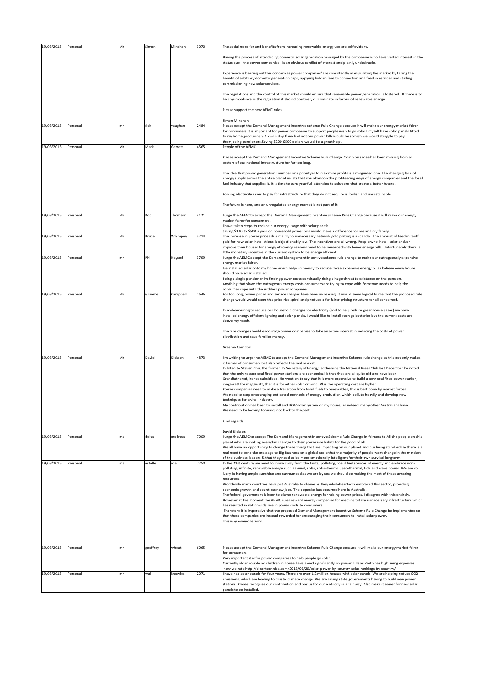| 19/03/2015 | Personal | Mr  | Simon    | Minahan  | 3070 | The social need for and benefits from increasing renewable energy use are self evident.                                                                                                                                                                                                                                                                                                                                                                                                                                                                                           |
|------------|----------|-----|----------|----------|------|-----------------------------------------------------------------------------------------------------------------------------------------------------------------------------------------------------------------------------------------------------------------------------------------------------------------------------------------------------------------------------------------------------------------------------------------------------------------------------------------------------------------------------------------------------------------------------------|
|            |          |     |          |          |      | Having the process of introducing domestic solar generation managed by the companies who have vested interest in the<br>status quo - the power companies - is an obvious conflict of interest and plainly undesirable.                                                                                                                                                                                                                                                                                                                                                            |
|            |          |     |          |          |      | Experience is bearing out this concern as power companies' are consistently manipulating the market by taking the<br>benefit of arbitrary domestic generation caps, applying hidden fees to connection and feed in services and stalling<br>commissioning new solar services.                                                                                                                                                                                                                                                                                                     |
|            |          |     |          |          |      | The regulations and the control of this market should ensure that renewable power generation is fostered. If there is to<br>be any imbalance in the regulation it should positively discriminate in favour of renewable energy.                                                                                                                                                                                                                                                                                                                                                   |
|            |          |     |          |          |      | Please support the new AEMC rules.                                                                                                                                                                                                                                                                                                                                                                                                                                                                                                                                                |
| 19/03/2015 | Personal | mr  | rick     | vaughan  | 2484 | Simon Minahan<br>Please except the Demand Management incentive scheme Rule Change because it will make our energy market fairer<br>for consumers. It is important for power companies to support people wish to go solar. I myself have solar panels fitted<br>to my home, producing 3.4 kws a day. If we had not our power bills would be so high we would struggle to pay<br>them, being pensioners. Saving \$200-\$500 dollars would be a great help.                                                                                                                          |
| 19/03/2015 | Personal | Mr  | Mark     | Gerrett  | 4565 | People of the AEMC                                                                                                                                                                                                                                                                                                                                                                                                                                                                                                                                                                |
|            |          |     |          |          |      | Please accept the Demand Management Incentive Scheme Rule Change. Common sense has been missing from all<br>sectors of our national infrastructure for far too long.                                                                                                                                                                                                                                                                                                                                                                                                              |
|            |          |     |          |          |      | The idea that power generations number one priority is to maximise profits is a misguided one. The changing face of<br>energy supply across the entire planet insists that you abandon the profiteering ways of energy companies and the fossil<br>fuel industry that supplies it. It is time to turn your full attention to solutions that create a better future.                                                                                                                                                                                                               |
|            |          |     |          |          |      | Forcing electricity users to pay for infrastructure that they do not require is foolish and unsustainable.                                                                                                                                                                                                                                                                                                                                                                                                                                                                        |
|            |          |     |          |          |      | The future is here, and an unregulated energy market is not part of it.                                                                                                                                                                                                                                                                                                                                                                                                                                                                                                           |
| 19/03/2015 | Personal | Mr  | Rod      | Thomson  | 4121 | I urge the AEMC to accept the Demand Management Incentive Scheme Rule Change because it will make our energy<br>market fairer for consumers.<br>have taken steps to reduce our energy usage with solar panels.                                                                                                                                                                                                                                                                                                                                                                    |
| 19/03/2015 | Personal | Mr  | Bruce    | Whimpey  | 3214 | Saving \$120 to \$500 a year on household power bills would make a difference for me and my family.<br>The increase in power prices due mainly to unnecessary network gold plating is a scandal. The amount of feed in tariff                                                                                                                                                                                                                                                                                                                                                     |
| 19/03/2015 | Personal | mr  | Phil     | Heysed   | 3799 | paid for new solar installations is objectionably low. The incentives are all wrong. People who install solar and/or<br>improve their houses for energy efficiency reasons need to be rewarded with lower energy bills. Unfortunately there is<br>ittle monetary incentive in the current system to be energy efficient.<br>urge the AEMC accept the Demand Management Incentive scheme rule change to make our outrageously expensive                                                                                                                                            |
|            |          |     |          |          |      | energy market fairer.<br>Ive installed solar onto my home which helps immensly to reduce those expensive energy bills.i believe every house                                                                                                                                                                                                                                                                                                                                                                                                                                       |
|            |          |     |          |          |      | should have solar installed<br>being a single pensioner Im finding power costs continually rising a huge threat to existance on the pension.<br>Anything that slows the outrageous energy costs consumers are trying to cope with.Someone needs to help the                                                                                                                                                                                                                                                                                                                       |
| 19/03/2015 | Personal | Mr  | Graeme   | Campbell | 2646 | consumer cope with the ruthless power companies.<br>For too long, power prices and service charges have been increasing. It would seem logical to me that the proposed rule<br>change would would stem this price rise spiral and produce a far fairer pricing structure for all concerned.                                                                                                                                                                                                                                                                                       |
|            |          |     |          |          |      | In endeavouring to reduce our household charges for electricity (and to help reduce greenhouse gases) we have<br>installed energy efficient lighting and solar panels. I would like to install storage batteries but the current costs are<br>above my reach.                                                                                                                                                                                                                                                                                                                     |
|            |          |     |          |          |      | The rule change should encourage power companies to take an active interest in reducing the costs of power<br>distribution and save families money.                                                                                                                                                                                                                                                                                                                                                                                                                               |
|            |          |     |          |          |      | Graeme Campbell                                                                                                                                                                                                                                                                                                                                                                                                                                                                                                                                                                   |
| 19/03/2015 | Personal | Mr  | David    | Dickson  | 4873 | I'm writing to urge the AEMC to accept the Demand Management Incentive Scheme rule change as this not only makes<br>it farmer of consumers but also reflects the real market.                                                                                                                                                                                                                                                                                                                                                                                                     |
|            |          |     |          |          |      | In listen to Steven Chu, the former US Secretary of Energy, addressing the National Press Club last December he noted<br>that the only reason coal fired power stations are economical is that they are all quite old and have been<br>Grandfathered, hence subsidised. He went on to say that it is more expensive to build a new coal fired power station,<br>megawatt for megawatt, that it is for either solar or wind. Plus the operating cost are higher.<br>Power companies need to make a transition from fossil fuels to renewables, this is best done by market forces. |
|            |          |     |          |          |      | We need to stop encouraging out dated methods of energy production which pollute heavily and develop new<br>techniques for a vital industry.<br>My contribution has been to install and 3kW solar system on my house, as indeed, many other Australians have.<br>We need to be looking forward, not back to the past.                                                                                                                                                                                                                                                             |
|            |          |     |          |          |      | Kind regards                                                                                                                                                                                                                                                                                                                                                                                                                                                                                                                                                                      |
|            |          |     |          |          |      | David Dickson                                                                                                                                                                                                                                                                                                                                                                                                                                                                                                                                                                     |
| 19/03/2015 | Personal | ms  | delus    | mollross | 7009 | I urge the AEMC to accept The Demand Management Incentive Scheme Rule Change in fairness to All the people on this<br>planet who are making everyday changes to their power use habits for the good of all.<br>We all have an opportunity to change these things that are impacting on our planet and our living standards & there is a<br>real need to send the message to Big Business on a global scale that the majority of people want change in the mindset                                                                                                                 |
| 19/03/2015 | Personal | ms. | estelle  | ross     | 7250 | of the business leaders & that they need to be more emotionally intelligent for their own survival longterm<br>In the 21st century we need to move away from the finite, polluting, fossil fuel sources of energy and embrace non-                                                                                                                                                                                                                                                                                                                                                |
|            |          |     |          |          |      | polluting, infinite, renewable energy such as wind, solar, solar-thermal, geo-thermal, tide and wave power. We are so<br>lucky in having ample sunshine and surrounded as we are by sea we should be making the most of these amazing<br>resources.                                                                                                                                                                                                                                                                                                                               |
|            |          |     |          |          |      | Worldwide many countries have put Australia to shame as they wholeheartedly embraced this sector, providing<br>economic growth and countless new jobs. The opposite has occurred here in Australia.                                                                                                                                                                                                                                                                                                                                                                               |
|            |          |     |          |          |      | The federal government is keen to blame renewable energy for raising power prices. I disagree with this entirely.<br>However at the moment the AEMC rules reward energy companies for erecting totally unnecessary infrastructure which                                                                                                                                                                                                                                                                                                                                           |
|            |          |     |          |          |      | has resulted in nationwide rise in power costs to consumers.<br>Therefore it is imperative that the proposed Demand Management Incentive Scheme Rule Change be implemented so                                                                                                                                                                                                                                                                                                                                                                                                     |
|            |          |     |          |          |      | that these companies are instead rewarded for encouraging their consumers to install solar power.<br>This way everyone wins.                                                                                                                                                                                                                                                                                                                                                                                                                                                      |
|            |          |     |          |          |      |                                                                                                                                                                                                                                                                                                                                                                                                                                                                                                                                                                                   |
| 19/03/2015 | Personal | mr  | geoffrey | wheat    | 6065 | Please accept the Demand Management Incentive Scheme Rule Change because it will make our energy market fairer<br>for consumers.                                                                                                                                                                                                                                                                                                                                                                                                                                                  |
|            |          |     |          |          |      | Very important it is for power companies to help people go solar.<br>Currently older couple no children in house have saved significantly on power bills as Perth has high living expenses.<br>how we rate http://cleantechnica.com/2013/06/26/solar-power-by-country-solar-rankings-by-country/                                                                                                                                                                                                                                                                                  |
| 19/03/2015 | Personal | mr  | wal      | knowles  | 2071 | I have had solar panels for four years. There are over 1.2 million houses with solar panels. We are helping reduce CO2<br>emissions, which are leading to drastic climate change. We are saving state governments having to build new power<br>stations. Please recognise our contribution and pay us for our eletricity in a fair way. Also make it easier for new solar<br>panels to be installed.                                                                                                                                                                              |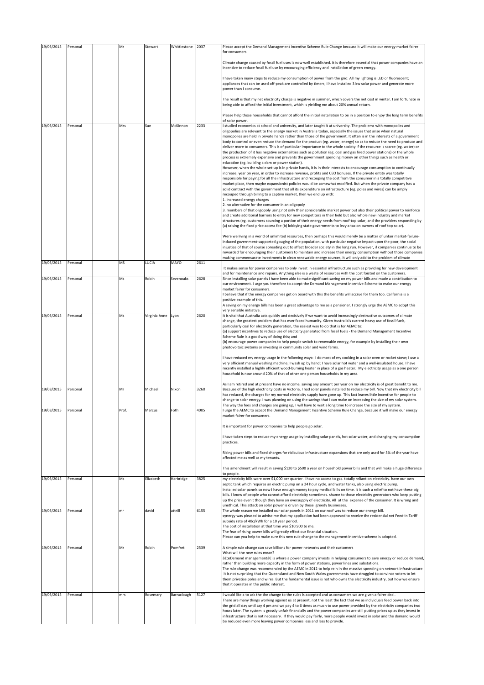| 19/03/2015 | Personal | Mr    | Stewart            | Whittlestone | 2037 | Please accept the Demand Management Incentive Scheme Rule Change because it will make our energy market fairer<br>for consumers.                                                                                                                                                                                                                                                                                                                                                                                                                                                                                                                                                                                                                                                                                                                                                                                                                                                                                                       |
|------------|----------|-------|--------------------|--------------|------|----------------------------------------------------------------------------------------------------------------------------------------------------------------------------------------------------------------------------------------------------------------------------------------------------------------------------------------------------------------------------------------------------------------------------------------------------------------------------------------------------------------------------------------------------------------------------------------------------------------------------------------------------------------------------------------------------------------------------------------------------------------------------------------------------------------------------------------------------------------------------------------------------------------------------------------------------------------------------------------------------------------------------------------|
|            |          |       |                    |              |      | Climate change caused by fossil fuel uses is now well established. It is therefore essential that power companies have an<br>incentive to reduce fossil fuel use by encouraging efficiency and installation of green energy.                                                                                                                                                                                                                                                                                                                                                                                                                                                                                                                                                                                                                                                                                                                                                                                                           |
|            |          |       |                    |              |      | I have taken many steps to reduce my consumption of power from the grid: All my lighting is LED or fluorescent;<br>appliances that can be used off-peak are controlled by timers; I have installed 3 kw solar power and generate more<br>power than I consume.                                                                                                                                                                                                                                                                                                                                                                                                                                                                                                                                                                                                                                                                                                                                                                         |
|            |          |       |                    |              |      | The result is that my net electricity charge is negative in summer, which covers the net cost in winter. I am fortunate in<br>being able to afford the initial investment, which is yielding me about 20% annual return.                                                                                                                                                                                                                                                                                                                                                                                                                                                                                                                                                                                                                                                                                                                                                                                                               |
|            |          |       |                    |              |      | Please help those households that cannot afford the initial installation to be in a position to enjoy the long term benefits<br>of solar power.                                                                                                                                                                                                                                                                                                                                                                                                                                                                                                                                                                                                                                                                                                                                                                                                                                                                                        |
| 19/03/2015 | Personal | Mrs   | Sue                | McKinnon     | 2233 | studied economics at school and university, and later taught it at university. The problems with monopolies and<br>oligopolies are relevant to the energy market in Australia today, especially the issues that arise when natural<br>monopolies are held in private hands rather than those of the government. It often is in the interests of a government<br>body to control or even reduce the demand for the product (eg. water, energy) so as to reduce the need to produce and<br>deliver more to consumers. This is of particular importance to the whole society if the resource is scarce (eg. water) or<br>the production of it has negative externalities such as pollution (eg. coal and gas fired power stations) or the whole<br>process is extremely expensive and prevents the government spending money on other things such as health or<br>education (eg. building a dam or power station).                                                                                                                        |
|            |          |       |                    |              |      | However, when the whole set-up is in private hands, it is in their interests to encourage consumption to continually<br>increase, year on year, in order to increase revenue, profits and CEO bonuses. If the private entity was totally<br>responsible for paying for all the infrastructure and recouping the cost from the consumer in a totally competitive<br>market place, then maybe expansionist policies would be somewhat modified. But when the private company has a<br>solid contract with the government that all its expenditure on infrastructure (eg. poles and wires) can be amply<br>recouped through billing to a captive market, then we end up with:<br>1. increased energy charges<br>2. no alternative for the consumer in an oligopoly                                                                                                                                                                                                                                                                        |
|            |          |       |                    |              |      | 3. members of that oligopoly using not only their considerable market power but also their political power to reinforce<br>and create additional barriers to entry for new competitors in their field but also whole new industry and market<br>structures (eg. customers sourcing a portion of their energy needs from roof-top solar, and the providers responding by<br>(a) raising the fixed price access fee (b) lobbying state governments to levy a tax on owners of roof top solar).                                                                                                                                                                                                                                                                                                                                                                                                                                                                                                                                           |
|            |          |       |                    |              |      | Were we living in a world of unlimited resources, then perhaps this would merely be a matter of unfair market-failure-<br>induced government-supported gouging of the population, with particular negative impact upon the poor, the social<br>injustice of that of course spreading out to affect broader society in the long run. However, if companies continue to be<br>rewarded for encouraging their customers to maintain and increase their energy consumption without those companies<br>making commensurate investments in clean renewable energy sources, it will only add to the problem of climate                                                                                                                                                                                                                                                                                                                                                                                                                        |
| 19/03/2015 | Personal | MS    | LUCIA              | MAYO         | 2611 | It makes sense for power companies to only invest in essential infrastructure such as providing for new development<br>and for maintenance and repairs. Anything else is a waste of resources with the cost foisted on the customers.                                                                                                                                                                                                                                                                                                                                                                                                                                                                                                                                                                                                                                                                                                                                                                                                  |
| 19/03/2015 | Personal | Ms    | Robin              | Sevenoaks    | 2628 | Since installing solar panels I have been able to make significant saving on my power bills and made a contribution to<br>our environment. I urge you therefore to accept the Demand Management Incentive Scheme to make our energy<br>market fairer for consumers.<br>believe that if the energy companies get on board with this the benefits will accrue for them too. California is a<br>positive example of this.<br>A saving on my energy bills has been a great advantage to me as a pensioner. I strongly urge the AEMC to adopt this                                                                                                                                                                                                                                                                                                                                                                                                                                                                                          |
| 19/03/2015 | Personal | Ms    | Virginia Anne Lyon |              | 2620 | very sensible initiative.<br>It is vital that Australia acts quickly and decisively if we want to avoid increasingly destructive outcomes of climate                                                                                                                                                                                                                                                                                                                                                                                                                                                                                                                                                                                                                                                                                                                                                                                                                                                                                   |
|            |          |       |                    |              |      | change, the greatest problem that has ever faced humanity. Given Australia's current heavy use of fossil fuels,<br>particularly coal for electricity generation, the easiest way to do that is for AEMC to:<br>(a) support incentives to reduce use of electicity generated from fossil fuels - the Demand Management Incentive<br>Scheme Rule is a good way of doing this; and<br>(b) encourage power companies to help people switch to renewable energy, for example by installing their own<br>photovoltaic systems or investing in community solar and wind farms.<br>I have reduced my energy usage in the following ways: I do most of my cooking in a solar oven or rocket stove; I use a<br>very efficient manual washing machine; I wash up by hand; I have solar hot water and a well-insulated house; I have<br>recently installed a highly efficient wood-burning heater in place of a gas heater. My electricity usage as a one person<br>household is now around 20% of that of other one person households in my area. |
| 19/03/2015 | Personal | Mr    | Michael            | Nixon        | 3260 | As I am retired and at present have no income, saving any amount per year on my electricity is of great benefit to me.<br>Because of the high electricity costs in Victoria, I had solar panels installed to reduce my bill. Now that my electricity bill<br>has reduced, the charges for my normal electricity supply have gone up. This fact leaves little incentive for people to<br>change to solar energy. I was planning on using the savings that I can make on increasing the size of my solar system.<br>The way the fees and charges are going up, I will have to wait a long time to increase the size of my system.                                                                                                                                                                                                                                                                                                                                                                                                        |
| 19/03/2015 | Personal | Prof. | Marcus             | Foth         | 4005 | urge the AEMC to accept the Demand Management Incentive Scheme Rule Change, because it will make our energy<br>market fairer for consumers.                                                                                                                                                                                                                                                                                                                                                                                                                                                                                                                                                                                                                                                                                                                                                                                                                                                                                            |
|            |          |       |                    |              |      | It is important for power companies to help people go solar.                                                                                                                                                                                                                                                                                                                                                                                                                                                                                                                                                                                                                                                                                                                                                                                                                                                                                                                                                                           |
|            |          |       |                    |              |      | have taken steps to reduce my energy usage by installing solar panels, hot solar water, and changing my consumption<br>practices.                                                                                                                                                                                                                                                                                                                                                                                                                                                                                                                                                                                                                                                                                                                                                                                                                                                                                                      |
|            |          |       |                    |              |      | Rising power bills and fixed charges for ridiculous infrastructure expansions that are only used for 5% of the year have<br>affected me as well as my tenants.                                                                                                                                                                                                                                                                                                                                                                                                                                                                                                                                                                                                                                                                                                                                                                                                                                                                         |
|            |          | Ms    | Elizabeth          | Harbridge    | 3825 | This amendment will result in saving \$120 to \$500 a year on household power bills and that will make a huge difference<br>to people                                                                                                                                                                                                                                                                                                                                                                                                                                                                                                                                                                                                                                                                                                                                                                                                                                                                                                  |
| 19/03/2015 | Personal |       |                    |              |      | my electricity bills were over \$1,000 per quarter. I have no access to gas. totally reliant on electricity. have our own<br>septic tank which requires an electric pump on a 24 hour cycle, and water tanks, also using electric pump.<br>installed solar panels so now I have enough money to pay medical bills on time. it is such a relief to not have these big<br>bills. I know of people who cannot afford electricity sometimes. shame to those electricity generators who keep putting<br>up the price even t though they have an oversupply of electricity. All at the expense of the consumer. It is wrong and<br>unethical. This attack on solar power is driven by these greedy businesses.                                                                                                                                                                                                                                                                                                                               |
| 19/03/2015 | Personal | mr    | david              | attrill      | 6155 | The whole reason we installed our solar panels in 2011 on our roof was to reduce our energy bill.<br>synergy was pleased to advise me that my application had been approved to receive the residential net Feed-in Tariff<br>subsidy rate of 40c/kWh for a 10 year period.<br>The cost of installation at that time was \$10.900 to me.<br>The fear of rising power bills will greatly effect our financial situation.<br>Please can you help to make sure this new rule change to the management incentive scheme is adopted.                                                                                                                                                                                                                                                                                                                                                                                                                                                                                                         |
| 19/03/2015 | Personal | Mr    | Robin              | Pomfret      | 2539 | A simple rule change can save billions for power networks and their customers<br>What will the new rules mean?                                                                                                                                                                                                                                                                                                                                                                                                                                                                                                                                                                                                                                                                                                                                                                                                                                                                                                                         |
|            |          |       |                    |              |      | "Demand management†is where a power company invests in helping consumers to save energy or reduce demand,<br>rather than building more capacity in the form of power stations, power lines and substations.<br>The rule change was recommended by the AEMC in 2012 to help rein in the massive spending on network infrastructure<br>It is not surprising that the Queensland and New South Wales governments have struggled to convince voters to let<br>them privatise poles and wires. But the fundamental issue is not who owns the electricity industry, but how we ensure<br>that it operates in the public interest.                                                                                                                                                                                                                                                                                                                                                                                                            |
| 19/03/2015 | Personal | mrs   | Rosemary           | Barraclough  | 5127 | I would like a to ask the the change to the rules is accepted and as consumers we are given a fairer deal.<br>There are many things working against us at present, not the least the fact that we as individuals feed power back into<br>the grid all day until say 4 pm and we pay 4 to 6 times as much to use power provided by the electricity companies two<br>hours later. The system is grossly unfair financially and the power companies are still putting prices up as they invest in<br>infrastructure that is not necessary. If they would pay fairly, more people would invest in solar and the demand would<br>be reduced even more leaving power companies less and less to provide.                                                                                                                                                                                                                                                                                                                                     |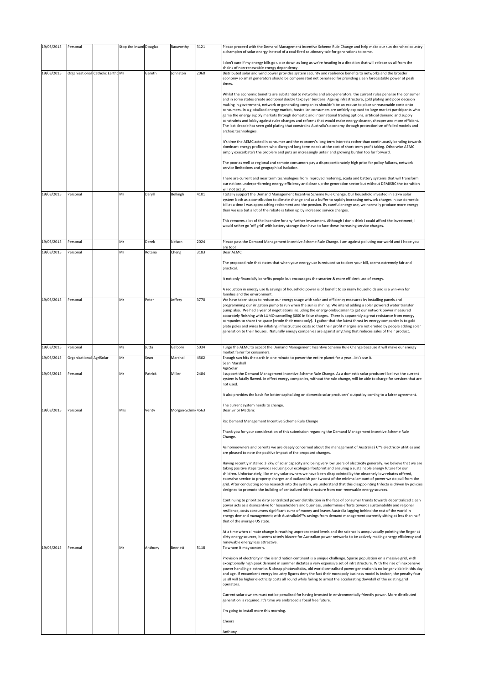| 19/03/2015 | Personal                 |                                   | Stop the Insani Douglas |         | Raxworthy          | 3121 | Please proceed with the Demand Management Incentive Scheme Rule Change and help make our sun drenched country<br>a champion of solar energy instead of a coal-fired cautionary tale for generations to come.                                                                                                                                                                                                                                                                                                                                                                                                                                                                                                                                                                                                                                                                                                                                                                                                                                                                                                                        |
|------------|--------------------------|-----------------------------------|-------------------------|---------|--------------------|------|-------------------------------------------------------------------------------------------------------------------------------------------------------------------------------------------------------------------------------------------------------------------------------------------------------------------------------------------------------------------------------------------------------------------------------------------------------------------------------------------------------------------------------------------------------------------------------------------------------------------------------------------------------------------------------------------------------------------------------------------------------------------------------------------------------------------------------------------------------------------------------------------------------------------------------------------------------------------------------------------------------------------------------------------------------------------------------------------------------------------------------------|
|            |                          |                                   |                         |         |                    |      | I don't care if my energy bills go up or down as long as we're heading in a direction that will release us all from the                                                                                                                                                                                                                                                                                                                                                                                                                                                                                                                                                                                                                                                                                                                                                                                                                                                                                                                                                                                                             |
| 19/03/2015 |                          | Organisational Catholic Earthc Mr |                         | Gareth  | Johnston           | 2060 | chains of non-renewable energy dependency.<br>Distributed solar and wind power provides system security and resilience benefits to networks and the broader                                                                                                                                                                                                                                                                                                                                                                                                                                                                                                                                                                                                                                                                                                                                                                                                                                                                                                                                                                         |
|            |                          |                                   |                         |         |                    |      | economy so small generators should be compensated not penalised for providing clean forecastable power at peak<br>times.<br>Whilst the economic benefits are substantial to networks and also generators, the current rules penalise the consumer<br>and in some states create additional double taxpayer burdens. Ageing infrastructure, gold plating and poor decision<br>making in government, network or generating companies shouldn't be an excuse to place unreasonable costs onto<br>consumers. In a globalised energy market, Australian consumers are unfairly exposed to large market participants who<br>game the energy supply markets through domestic and international trading options, artificial demand and supply<br>constraints and lobby against rules changes and reforms that would make energy cleaner, cheaper and more efficient.<br>The last decade has seen gold plating that constrains Australia's economy through protectionism of failed models and<br>archaic technologies.<br>It's time the AEMC acted in consumer and the economy's long term interests rather than continuously bending towards |
|            |                          |                                   |                         |         |                    |      | dominant energy profiteers who disregard long term needs at the cost of short term profit taking. Otherwise AEMC<br>simply exacerbate's the problem and puts an increasingly unfair and growing burden too far forward.<br>The poor as well as regional and remote consumers pay a disproportionately high price for policy failures, network<br>service limitations and geographical isolation.<br>There are current and near term technologies from improved metering, scada and battery systems that will transform                                                                                                                                                                                                                                                                                                                                                                                                                                                                                                                                                                                                              |
| 19/03/2015 | Personal                 |                                   | Mr                      | Daryll  | Bellingh           | 4101 | our nations underperforming energy efficiency and clean up the generation sector but without DEMISRC the transition<br>will not occur.<br>I totally support the Demand Management Incentive Scheme Rule Change. Our household invested in a 2kw solar<br>system both as a contribution to climate change and as a buffer to rapidly increasing network charges in our domestic<br>bill at a time I was approaching retirement and the pension. By careful energy use, we normally produce more energy<br>than we use but a lot of the rebate is taken up by increased service charges.<br>This removes a lot of the incentive for any further investment. Although I don't think I could afford the investment, I<br>would rather go 'off grid' with battery storage than have to face these increasing service charges.                                                                                                                                                                                                                                                                                                            |
| 19/03/2015 | Personal                 |                                   | Mr                      | Derek   | Nelson             | 2024 | Please pass the Demand Management Incentive Scheme Rule Change. I am against polluting our world and I hope you                                                                                                                                                                                                                                                                                                                                                                                                                                                                                                                                                                                                                                                                                                                                                                                                                                                                                                                                                                                                                     |
| 19/03/2015 | Personal                 |                                   | Mr                      | Rotana  | Cheng              | 3183 | are too!<br>Dear AEMC,                                                                                                                                                                                                                                                                                                                                                                                                                                                                                                                                                                                                                                                                                                                                                                                                                                                                                                                                                                                                                                                                                                              |
|            |                          |                                   |                         |         |                    |      | The proposed rule that states that when your energy use is reduced so to does your bill, seems extremely fair and<br>practical.<br>It not only financially benefits people but encourages the smarter & more efficient use of energy.<br>A reduction in energy use & savings of household power is of benefit to so many households and is a win-win for                                                                                                                                                                                                                                                                                                                                                                                                                                                                                                                                                                                                                                                                                                                                                                            |
| 19/03/2015 | Personal                 |                                   | Mr                      | Peter   | Jeffery            | 3770 | families and the environment.<br>We have taken steps to reduce our energy usage with solar and efficiency measures by installing panels and                                                                                                                                                                                                                                                                                                                                                                                                                                                                                                                                                                                                                                                                                                                                                                                                                                                                                                                                                                                         |
|            |                          |                                   |                         |         |                    |      | programming our irrigation pump to run when the sun is shining. We intend adding a solar powered water transfer<br>pump also. We had a year of negotiations including the energy ombudsman to get our network power measured<br>accurately finishing with LUMO cancelling \$800 in false charges. There is apparently a great resistance from energy<br>companies to share the space [erode their monopoly]. I gather that the latest thrust by energy companies is to gold<br>plate poles and wires by inflating infrastructure costs so that their profit margins are not eroded by people adding solar<br>generation to their houses. Naturally energy companies are against anything that reduces sales of their product.                                                                                                                                                                                                                                                                                                                                                                                                       |
|            |                          |                                   |                         |         |                    |      |                                                                                                                                                                                                                                                                                                                                                                                                                                                                                                                                                                                                                                                                                                                                                                                                                                                                                                                                                                                                                                                                                                                                     |
| 19/03/2015 | Personal                 |                                   | Ms                      | Jutta   | Galbory            | 5034 | I urge the AEMC to accept the Demand Management Incentive Scheme Rule Change because it will make our energy                                                                                                                                                                                                                                                                                                                                                                                                                                                                                                                                                                                                                                                                                                                                                                                                                                                                                                                                                                                                                        |
| 19/03/2015 | Organisational AgriSolar |                                   | Mr                      | Sean    | Marshall           | 4562 | market fairer for consumers.<br>Enough sun hits the earth in one minute to power the entire planet for a year let's use it.                                                                                                                                                                                                                                                                                                                                                                                                                                                                                                                                                                                                                                                                                                                                                                                                                                                                                                                                                                                                         |
|            |                          |                                   |                         |         |                    |      | Sean Marshall<br>AgriSolar                                                                                                                                                                                                                                                                                                                                                                                                                                                                                                                                                                                                                                                                                                                                                                                                                                                                                                                                                                                                                                                                                                          |
| 19/03/2015 | Personal                 |                                   | Mr                      | Patrick | Miller             | 2484 | I support the Demand Management Incentive Scheme Rule Change. As a domestic solar producer I believe the current<br>system is fatally flawed. In effect energy companies, without the rule change, will be able to charge for services that are<br>not used.                                                                                                                                                                                                                                                                                                                                                                                                                                                                                                                                                                                                                                                                                                                                                                                                                                                                        |
| 19/03/2015 | Personal                 |                                   | Mrs                     | Verity  | Morgan-Schmii 4563 |      | It also provides the basis for better capitalising on domestic solar producers' output by coming to a fairer agreement.<br>The current system needs to change.<br>Dear Sir or Madam:                                                                                                                                                                                                                                                                                                                                                                                                                                                                                                                                                                                                                                                                                                                                                                                                                                                                                                                                                |
|            |                          |                                   |                         |         |                    |      | Re: Demand Management Incentive Scheme Rule Change                                                                                                                                                                                                                                                                                                                                                                                                                                                                                                                                                                                                                                                                                                                                                                                                                                                                                                                                                                                                                                                                                  |
|            |                          |                                   |                         |         |                    |      | Thank you for your consideration of this submission regarding the Demand Management Incentive Scheme Rule                                                                                                                                                                                                                                                                                                                                                                                                                                                                                                                                                                                                                                                                                                                                                                                                                                                                                                                                                                                                                           |
|            |                          |                                   |                         |         |                    |      | Change.<br>As homeowners and parents we are deeply concerned about the management of Australiaâ € <sup>™</sup> s electricity utilities and<br>are pleased to note the positive impact of the proposed changes.                                                                                                                                                                                                                                                                                                                                                                                                                                                                                                                                                                                                                                                                                                                                                                                                                                                                                                                      |
|            |                          |                                   |                         |         |                    |      | Having recently installed 3.2kw of solar capacity and being very low users of electricity generally, we believe that we are<br>taking positive steps towards reducing our ecological footprint and ensuring a sustainable energy future for our<br>children. Unfortunately, like many solar owners we have been disappointed by the obscenely low rebates offered,<br>excessive service to property charges and outlandish per kw cost of the minimal amount of power we do pull from the<br>grid. After conducting some research into the system, we understand that this disappointing trifecta is driven by policies<br>designed to promote the building of centralized infrastructure from non-renewable energy sources.                                                                                                                                                                                                                                                                                                                                                                                                        |
|            |                          |                                   |                         |         |                    |      | Continuing to prioritize dirty centralized power distribution in the face of consumer trends towards decentralized clean<br>power acts as a disincentive for householders and business, undermines efforts towards sustainability and regional<br>resilience, costs consumers significant sums of money and leaves Australia lagging behind the rest of the world in<br>energy demand management; with Australia's savings from demand management currently sitting at less than half<br>that of the average US state.                                                                                                                                                                                                                                                                                                                                                                                                                                                                                                                                                                                                              |
|            |                          |                                   |                         |         |                    |      | At a time when climate change is reaching unprecedented levels and the science is unequivocally pointing the finger at<br>dirty energy sources, it seems utterly bizarre for Australian power networks to be actively making energy efficiency and<br>renewable energy less attractive.                                                                                                                                                                                                                                                                                                                                                                                                                                                                                                                                                                                                                                                                                                                                                                                                                                             |
| 19/03/2015 | Personal                 |                                   | Mr                      | Anthony | Bennett            | 5118 | To whom it may concern.<br>Provision of electricity in the island nation continent is a unique challenge. Sparse population on a massive grid, with<br>exceptionally high peak demand in summer dictates a very expensive set of infrastructure. With the rise of inexpensive<br>power handling electronics & cheap photovoltaics, old world centralised power generation is no longer viable in this day<br>and age. If encumbent energy industry figures deny the fact their monopoly business model is broken, the penalty four<br>us all will be higher electricity costs all round while failing to arrest the accelerating downfall of the existing grid<br>operators.<br>Current solar owners must not be penalised for having invested in environmentally friendly power. More distributed                                                                                                                                                                                                                                                                                                                                  |
|            |                          |                                   |                         |         |                    |      | generation is required. It's time we embraced a fossil free future.<br>I'm going to install more this morning.                                                                                                                                                                                                                                                                                                                                                                                                                                                                                                                                                                                                                                                                                                                                                                                                                                                                                                                                                                                                                      |
|            |                          |                                   |                         |         |                    |      | Cheers                                                                                                                                                                                                                                                                                                                                                                                                                                                                                                                                                                                                                                                                                                                                                                                                                                                                                                                                                                                                                                                                                                                              |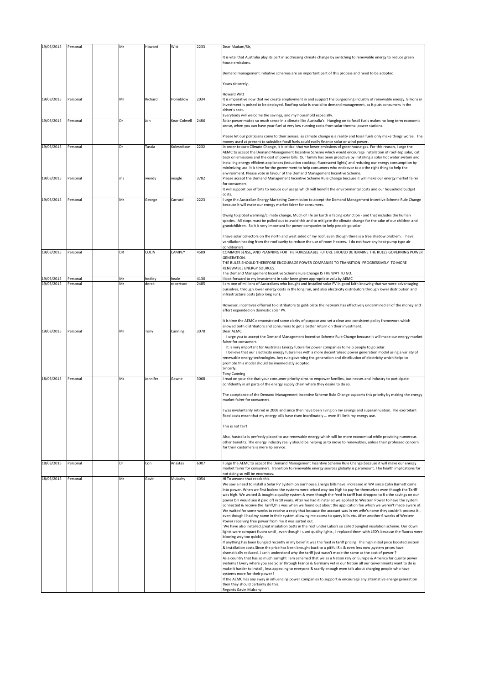| 19/03/2015               | Personal             | Mr        | Howard          | Witt               | 2233         | Dear Madam/Sir,                                                                                                                                                                                                                                                                                                                                                     |
|--------------------------|----------------------|-----------|-----------------|--------------------|--------------|---------------------------------------------------------------------------------------------------------------------------------------------------------------------------------------------------------------------------------------------------------------------------------------------------------------------------------------------------------------------|
|                          |                      |           |                 |                    |              | It is vital that Australia play its part in addressing climate change by switching to renewable energy to reduce green<br>house emissions.                                                                                                                                                                                                                          |
|                          |                      |           |                 |                    |              | Demand management initiative schemes are an important part of this process and need to be adopted.                                                                                                                                                                                                                                                                  |
|                          |                      |           |                 |                    |              | Yours sincerely,                                                                                                                                                                                                                                                                                                                                                    |
|                          |                      |           |                 |                    |              | <b>Howard Witt</b>                                                                                                                                                                                                                                                                                                                                                  |
| 19/03/2015               | Personal             | Mr        | Richard         | Horniblow          | 2034         | It is imperative now that we create employment in and support the burgeoning industry of renewable energy. Billions in<br>investment is poised to be deployed. Rooftop solar is crucial to demand management, as it puts consumers in the<br>driver's seat.                                                                                                         |
| 19/03/2015               | Personal             | Dr        | Jon             | Kear-Colwell       | 2486         | Everybody will welcome the savings, and my household especially.<br>Solar power makes so much sense in a climate like Australia's. Hanging on to fossil fuels makes no long term economic                                                                                                                                                                           |
|                          |                      |           |                 |                    |              | sense, when you can have your fuel at very low running costs from solar thermal power stations.<br>Please let our politicians come to their senses, as climate change is a reality and fossil fuels only make things worse. The                                                                                                                                     |
| 19/03/2015               | Personal             | Dr        | Tassia          | Kolesnikow         | 2232         | money used at present to subsidise fossil fuels could easily finance solar or wind power.<br>In order to curb Climate Change, it is critical that we lower emissions of greenhouse gas. For this reason, I urge the                                                                                                                                                 |
|                          |                      |           |                 |                    |              | AEMC to accept the Demand Management Incentive Scheme which would encourage installation of roof-top solar, cut<br>back on emissions and the cost of power bills. Our family has been proactive by installing a solar hot water system and<br>installing energy efficient appliances (induction cooktop, fluorescent lights) and reducing our energy consumption by |
|                          |                      |           |                 |                    |              | minimizing use. It is time for the government to help consumers who endeavor to do the right thing to help the<br>environment. Please vote in favour of the Demand Management Incentive Scheme.                                                                                                                                                                     |
| 19/03/2015               | Personal             | ms        | wendy           | neagle             | 3782         | Please accept the Demand Management Incentive Scheme Rule Change because it will make our energy market fairer<br>for consumers.                                                                                                                                                                                                                                    |
|                          |                      |           |                 |                    |              | It will support our efforts to reduce our usage which will benefit the environmental costs and our household budget<br>costs.                                                                                                                                                                                                                                       |
| 19/03/2015               | Personal             | Mr        | George          | Carrard            | 2223         | I urge the Australian Energy Marketing Commission to accept the Demand Management Incentive Scheme Rule Change<br>because it will make our energy market fairer for consumers.                                                                                                                                                                                      |
|                          |                      |           |                 |                    |              | Owing to global warming/climate change, Much of life on Earth is facing extinction - and that includes the human                                                                                                                                                                                                                                                    |
|                          |                      |           |                 |                    |              | species. All stops must be pulled out to avoid this and to mitigate the climate change for the sake of our children and<br>grandchildren. So it is very important for power companies to help people go solar.                                                                                                                                                      |
|                          |                      |           |                 |                    |              | have solar collectors on the north and west sided of my roof, even though there is a tree shadow problem. I have<br>ventilation heating from the roof cavity to reduce the use of room heaters. I do not have any heat-pump type air                                                                                                                                |
| 19/03/2015               | Personal             | <b>DR</b> | COLIN           | CAMPEY             | 4509         | conditioners.<br>COMMON SENSE, AND PLANNING FOR THE FORESEEABLE FUTURE SHOULD DETERMINE THE RULES GOVERNING POWER                                                                                                                                                                                                                                                   |
|                          |                      |           |                 |                    |              | GENERATION.<br>THE RULES SHOULD THEREFORE ENCOURAGE POWER COMPANIES TO TRANSITION PROGRESSIVELY TO MORE                                                                                                                                                                                                                                                             |
|                          |                      |           |                 |                    |              | RENEWABLE ENERGY SOURCES.<br>The Demand Management Incentive Scheme Rule Change IS THE WAY TO GO.                                                                                                                                                                                                                                                                   |
| 19/03/2015<br>19/03/2015 | Personal<br>Personal | Mr<br>Mr  | hedley<br>derek | heale<br>robertson | 4130<br>2485 | i look forward to my investment in solar been given appropriate valu by AEMC<br>am one of millions of Australians who bought and installed solar PV in good faith knowing that we were advantaging                                                                                                                                                                  |
|                          |                      |           |                 |                    |              | ourselves, through lower energy costs in the long run, and also electricity distributors through lower distribution and<br>infrastructure costs (also long run).                                                                                                                                                                                                    |
|                          |                      |           |                 |                    |              | However, incentives offerred to distributors to gold-plate the network has effectively undermined all of the money and<br>effort expended on domestic solar PV.                                                                                                                                                                                                     |
|                          |                      |           |                 |                    |              | It is time the AEMC demonstrated some clarity of purpose and set a clear and consistent policy framework which<br>allowed both distributors and consumers to get a better return on their investment.                                                                                                                                                               |
| 19/03/2015               | Personal             | Mr        | Tony            | Canning            | 3078         | Dear AEMC,<br>I urge you to accept the Demand Management Incentive Scheme Rule Change because it will make our energy market                                                                                                                                                                                                                                        |
|                          |                      |           |                 |                    |              | fairer for consumers.<br>It is very important for Australias Energy future for power companies to help people to go solar.                                                                                                                                                                                                                                          |
|                          |                      |           |                 |                    |              | I believe that our Electricity energy future lies with a more decentralized power generation model using a variety of<br>renewable energy technologies. Any rule governing the generation and distribution of electricity which helps to                                                                                                                            |
|                          |                      |           |                 |                    |              | promote this model should be imemediatly adopted.<br>Sincerly,                                                                                                                                                                                                                                                                                                      |
| 18/03/2015               | Personal             | Ms        | Jennifer        | Gawne              | 3068         | <b>Tony Canning</b><br>I read on your site that your consumer priority aims to empower families, businesses and industry to participate                                                                                                                                                                                                                             |
|                          |                      |           |                 |                    |              | confidently in all parts of the energy supply chain where they desire to do so.                                                                                                                                                                                                                                                                                     |
|                          |                      |           |                 |                    |              | The acceptance of the Demand Management Incentive Scheme Rule Change supports this priority by making the energy<br>market fairer for consumers.                                                                                                                                                                                                                    |
|                          |                      |           |                 |                    |              | was involuntarily retired in 2008 and since then have been living on my savings and superannuation. The exorbitant<br>fixed costs mean that my energy bills have risen inordinately  even if I limit my energy use.                                                                                                                                                 |
|                          |                      |           |                 |                    |              | This is not fair!                                                                                                                                                                                                                                                                                                                                                   |
|                          |                      |           |                 |                    |              | Also, Australia is perfectly placed to use renewable energy which will be more economical while providing numerous<br>other benefits. The energy industry really should be helping us to move to renewables, unless their professed concern                                                                                                                         |
|                          |                      |           |                 |                    |              | for their customers is mere lip service.                                                                                                                                                                                                                                                                                                                            |
| 18/03/2015               | Personal             | Dr        | Con             | Anastas            | 6007         | I urge the AEMC to accept the Demand Management Incentive Scheme Rule Change because it will make our energy                                                                                                                                                                                                                                                        |
|                          |                      |           |                 |                    |              | market fairer for consumers. Transition to renewable energy sources globally is paramount. The health implications for<br>not doing so will be enormous.                                                                                                                                                                                                            |
| 18/03/2015               | Personal             | Mr        | Gavin           | Mulcahy            | 6054         | Hi To anyone that reads this.<br>We saw a need to install a Solar PV System on our house. Energy bills have increased in WA since Colin Barnett came                                                                                                                                                                                                                |
|                          |                      |           |                 |                    |              | into power. When we first looked the systems were priced way too high to pay for themselves even though the Tariff<br>was high. We waited & bought a quality system & even though the feed in tariff had dropped to 8 c the savings on our                                                                                                                          |
|                          |                      |           |                 |                    |              | power bill would see it paid off in 10 years. After we had it installed we applied to Western Power to have the system<br>connected & receive the Tariff, this was when we found out about the application fee which we weren't made aware of.                                                                                                                      |
|                          |                      |           |                 |                    |              | We waited for some weeks to receive a reply that because the account was in my wife's name they couldn't process it,<br>even though I had my name in their system allowing me access to query bills etc. After another 6 weeks of Western                                                                                                                           |
|                          |                      |           |                 |                    |              | Power receiving free power from me it was sorted out.<br>We have also installed great insulation batts in the roof under Labors so called bungled insulation scheme. Our down                                                                                                                                                                                       |
|                          |                      |           |                 |                    |              | lights were compact fluoro until, even though I used quality lights, I replaced them with LED's because the fluoros were<br>blowing way too quickly.                                                                                                                                                                                                                |
|                          |                      |           |                 |                    |              | If anything has been bungled recently in my belief it was the feed in tariff pricing. The high initial price boosted system                                                                                                                                                                                                                                         |
|                          |                      |           |                 |                    |              | & installation costs. Since the price has been brought back to a pitiful 8 c & even less now, system prices have<br>dramatically reduced. I can't understand why the tariff just wasn't made the same as the cost of power?                                                                                                                                         |
|                          |                      |           |                 |                    |              | As a country that has so much sunlight I am ashamed that we as a Nation rely on Europe & America for quality power<br>systems ! Every where you see Solar through France & Germany yet in our Nation all our Governments want to do is                                                                                                                              |
|                          |                      |           |                 |                    |              | make it harder to install, less appealing to everyone & scarily enough even talk about charging people who have<br>systems more for their power !                                                                                                                                                                                                                   |
|                          |                      |           |                 |                    |              | If the AEMC has any sway in influencing power companies to support & encourage any alternative energy generation<br>then they should certainly do this.                                                                                                                                                                                                             |
|                          |                      |           |                 |                    |              | Regards Gavin Mulcahy.                                                                                                                                                                                                                                                                                                                                              |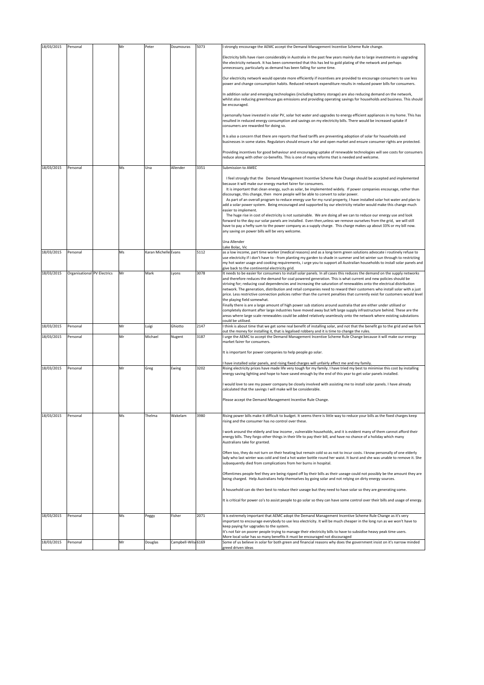| 18/03/2015 | Personal                    | Mr | Peter                | Doumouras           | 5073 | I strongly encourage the AEMC accept the Demand Management Incentive Scheme Rule change.                                                                                                                                                                                                                                |
|------------|-----------------------------|----|----------------------|---------------------|------|-------------------------------------------------------------------------------------------------------------------------------------------------------------------------------------------------------------------------------------------------------------------------------------------------------------------------|
|            |                             |    |                      |                     |      | Electricity bills have risen considerably in Australia in the past few years mainly due to large investments in upgrading<br>the electricity network. It has been commented that this has led to gold plating of the network and perhaps<br>unnecessary, particularly as demand has been falling for some time.         |
|            |                             |    |                      |                     |      | Our electricity network would operate more efficiently if incentives are provided to encourage consumers to use less<br>power and change consumption habits. Reduced network expenditure results in reduced power bills for consumers.                                                                                  |
|            |                             |    |                      |                     |      | In addition solar and emerging technologies (including battery storage) are also reducing demand on the network,<br>whilst also reducing greenhouse gas emissions and providing operating savings for households and business. This should<br>be encouraged.                                                            |
|            |                             |    |                      |                     |      | personally have invested in solar PV, solar hot water and upgrades to energy efficient appliances in my home. This has<br>resulted in reduced energy consumption and savings on my electricity bills. There would be increased uptake if<br>consumers are rewarded for doing so.                                        |
|            |                             |    |                      |                     |      | It is also a concern that there are reports that fixed tariffs are preventing adoption of solar for households and<br>businesses in some states. Regulators should ensure a fair and open market and ensure consumer rights are protected.                                                                              |
|            |                             |    |                      |                     |      | Providing incentives for good behaviour and encouraging uptake of renewable technologies will see costs for consumers<br>reduce along with other co-benefits. This is one of many reforms that is needed and welcome.                                                                                                   |
| 18/03/2015 | Personal                    | Ms | Una                  | Allender            | 3351 | Submission to AMEC                                                                                                                                                                                                                                                                                                      |
|            |                             |    |                      |                     |      | I feel strongly that the Demand Management Incentive Scheme Rule Change should be accepted and implemented                                                                                                                                                                                                              |
|            |                             |    |                      |                     |      | because it will make our energy market fairer for consumers.                                                                                                                                                                                                                                                            |
|            |                             |    |                      |                     |      | It is important that clean energy, such as solar, be implemented widely. If power companies encourage, rather than<br>discourage, this change, then more people will be able to convert to solar power.                                                                                                                 |
|            |                             |    |                      |                     |      | As part of an overall program to reduce energy use for my rural property, I have installed solar hot water and plan to                                                                                                                                                                                                  |
|            |                             |    |                      |                     |      | add a solar power system. Being encouraged and supported by our electricity retailer would make this change much                                                                                                                                                                                                        |
|            |                             |    |                      |                     |      | easier to implement.<br>The huge rise in cost of electricity is not sustainable. We are doing all we can to reduce our energy use and look                                                                                                                                                                              |
|            |                             |    |                      |                     |      | forward to the day our solar panels are installed. Even then,unless we remove ourselves from the grid, we will still                                                                                                                                                                                                    |
|            |                             |    |                      |                     |      | have to pay a hefty sum to the power company as a supply charge. This charge makes up about 33% or my bill now.<br>any saving on power bills will be very welcome.                                                                                                                                                      |
|            |                             |    |                      |                     |      |                                                                                                                                                                                                                                                                                                                         |
|            |                             |    |                      |                     |      | Una Allender                                                                                                                                                                                                                                                                                                            |
| 18/03/2015 | Personal                    | Ms | Karan Michelle Evans |                     | 5112 | Lake Bolac, Vic<br>as a low income, part time worker (medical reasons) and as a long-term green solutions advocate i routinely refuse to                                                                                                                                                                                |
|            |                             |    |                      |                     |      | use electricity if i don't have to - from planting my garden to shade in summer and let winter sun through to restricting                                                                                                                                                                                               |
|            |                             |    |                      |                     |      | my hot water usage and cooking requirements, i urge you to support all Australian households to install solar panels and<br>give back to the continental electricity grid.                                                                                                                                              |
| 18/03/2015 | Organisational PV Electrics | Mr | Mark                 | Lyons               | 3078 | It needs to be easier for consumers to install solar panels. In all cases this reduces the demand on the supply networks                                                                                                                                                                                                |
|            |                             |    |                      |                     |      | and therefore reduces the demand for coal powered generation. This is what current and new policies should be                                                                                                                                                                                                           |
|            |                             |    |                      |                     |      | striving for; reducing coal dependencies and increasing the saturation of renewables onto the electrical distribution<br>network. The generation, distribution and retail companies need to reward their customers who install solar with a just                                                                        |
|            |                             |    |                      |                     |      | price. Less restrictive connection policies rather than the current penalties that currently exist for customers would level                                                                                                                                                                                            |
|            |                             |    |                      |                     |      | the playing field somewhat.                                                                                                                                                                                                                                                                                             |
|            |                             |    |                      |                     |      | Finally there is are a large amount of high power sub stations around australia that are either under utilised or<br>completely dormant after large industries have moved away but left large supply infrastructure behind. These are the                                                                               |
|            |                             |    |                      |                     |      | areas where large scale renewables could be added relatively seamlessly onto the network where existing substations                                                                                                                                                                                                     |
| 18/03/2015 | Personal                    | Mr | Luigi                | Ghiotto             | 2147 | ould be utilised.<br>think is about time that we get some real benefit of installing solar, and not that the benefit go to the grid and we fork                                                                                                                                                                         |
|            |                             |    |                      |                     |      | but the money for installing it, that is legalised robbery and it is time to change the rules.                                                                                                                                                                                                                          |
| 18/03/2015 | Personal                    | Mr | Michael              | Nugent              | 3187 | urge the AEMC to accept the Demand Management Incentive Scheme Rule Change because it will make our energy<br>market fairer for consumers.                                                                                                                                                                              |
|            |                             |    |                      |                     |      |                                                                                                                                                                                                                                                                                                                         |
|            |                             |    |                      |                     |      | It is important for power companies to help people go solar.                                                                                                                                                                                                                                                            |
|            |                             |    |                      |                     |      | have installed solar panels, and rising fixed charges will unfairly affect me and my family.                                                                                                                                                                                                                            |
| 18/03/2015 | Personal                    | Mr | Greg                 | Ewing               | 3202 | Rising electricity prices have made life very tough for my family. I have tried my best to minimise this cost by installing<br>energy saving lighting and hope to have saved enough by the end of this year to get solar panels installed.                                                                              |
|            |                             |    |                      |                     |      | would love to see my power company be closely involved with assisting me to install solar panels. I have already                                                                                                                                                                                                        |
|            |                             |    |                      |                     |      | calculated that the savings I will make will be considerable.                                                                                                                                                                                                                                                           |
|            |                             |    |                      |                     |      | Please accept the Demand Management Incentive Rule Change.                                                                                                                                                                                                                                                              |
| 18/03/2015 | Personal                    | Ms | Thelma               | Wakelam             | 3980 | Rising power bills make it difficult to budget. It seems there is little way to reduce your bills as the fixed charges keep<br>rising and the consumer has no control over these.                                                                                                                                       |
|            |                             |    |                      |                     |      | work around the elderly and low income, vulnerable households, and it is evident many of them cannot afford their<br>energy bills. They forgo other things in their life to pay their bill, and have no chance of a holiday which many<br>Australians take for granted.                                                 |
|            |                             |    |                      |                     |      |                                                                                                                                                                                                                                                                                                                         |
|            |                             |    |                      |                     |      | Often too, they do not turn on their heating but remain cold so as not to incur costs. I know personally of one elderly<br>lady who last winter was cold and tied a hot water bottle round her waist. It burst and she was unable to remove it. She<br>subsequently died from complications from her burns in hospital. |
|            |                             |    |                      |                     |      | Oftentimes people feel they are being ripped off by their bills as their useage could not possibly be the amount they are<br>being charged. Help Australians help themselves by going solar and not relying on dirty energy sources.                                                                                    |
|            |                             |    |                      |                     |      | A household can do their best to reduce their useage but they need to have solar so they are generating some.                                                                                                                                                                                                           |
|            |                             |    |                      |                     |      | It is critical for power co's to assist people to go solar so they can have some control over their bills and usage of energy.                                                                                                                                                                                          |
| 18/03/2015 | Personal                    | Ms | Peggy                | Fisher              | 2071 | It is extremely important that AEMC adopt the Demand Management Incentive Scheme Rule Change as it's very                                                                                                                                                                                                               |
|            |                             |    |                      |                     |      | important to encourage everybody to use less electricity. It will be much cheaper in the long run as we won't have to                                                                                                                                                                                                   |
|            |                             |    |                      |                     |      | keep paying for upgrades to the system.<br>It's not fair on poorer people trying to manage their electricity bills to have to subsidise heavy peak time users.                                                                                                                                                          |
|            |                             |    |                      |                     |      | More local solar has so many benefits it must be encouraged not discouraged                                                                                                                                                                                                                                             |
| 18/03/2015 | Personal                    | Mr | Douglas              | Campbell-Wilso 6169 |      | Some of us believe in solar for both green and financial reasons why does the government insist on it's narrow minded<br>greed driven ideas                                                                                                                                                                             |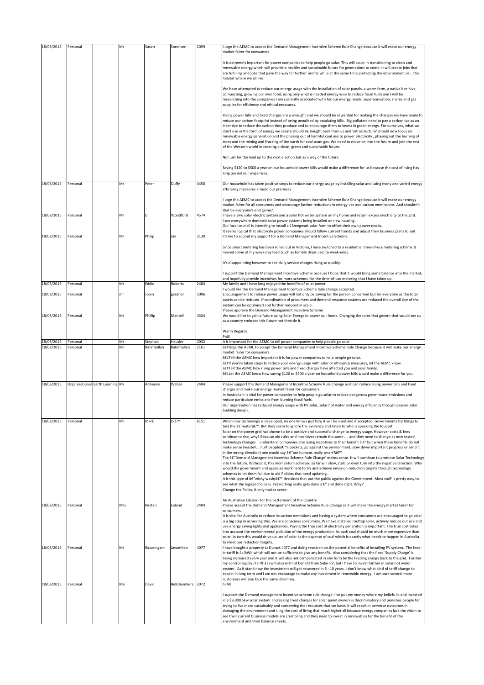| 18/03/2015 | Personal |                                  | Ms  | Susan      | Sorensen     | 2099 | I urge the AEMC to accept the Demand Management Incentive Scheme Rule Change because it will make our energy<br>market fairer for consumers.                                                                                                                                                                                                                                                                                                                                                                                                                                                                                                                                                                                                                                                                                                                                                                                                                                                                                                                                                                                                                                                                                                                                                                                                                                                                                                                                    |
|------------|----------|----------------------------------|-----|------------|--------------|------|---------------------------------------------------------------------------------------------------------------------------------------------------------------------------------------------------------------------------------------------------------------------------------------------------------------------------------------------------------------------------------------------------------------------------------------------------------------------------------------------------------------------------------------------------------------------------------------------------------------------------------------------------------------------------------------------------------------------------------------------------------------------------------------------------------------------------------------------------------------------------------------------------------------------------------------------------------------------------------------------------------------------------------------------------------------------------------------------------------------------------------------------------------------------------------------------------------------------------------------------------------------------------------------------------------------------------------------------------------------------------------------------------------------------------------------------------------------------------------|
|            |          |                                  |     |            |              |      | It is extremely important for power companies to help people go solar. This will assist in transitioning to clean and<br>renewable energy which will provide a healthy and sustainable future for generations to come. It will create jobs that<br>are fulfilling and jobs that pave the way for further profits while at the same time protecting the environment or the<br>habitat where we all live.<br>We have attempted to reduce our energy usage with the installation of solar panels, a worm farm, a native bee hive,<br>composting, growing our own food, using only what is needed energy wise to reduce fossil fuels and I will be<br>researching into the companies I am currently associated with for our energy needs, superannuation, shares and gas                                                                                                                                                                                                                                                                                                                                                                                                                                                                                                                                                                                                                                                                                                            |
|            |          |                                  |     |            |              |      | supplies for efficiency and ethical measures.<br>Rising power bills and fixed charges are a wrought and we should be rewarded for making the changes we have made to<br>reduce our carbon footprint instead of being penalised by escalating bills. Big polluters need to pay a carbon tax as an<br>incentive to reduce the carbon they produce and to encourage them to invest in green energy. For ourselves, what we<br>don't use in the form of energy we create should be bought back from us and 'infrastructure' should now focus on<br>renewable energy generation and the phasing out of harmful coal use to power electricity, phasing out the burning of<br>trees and the mining and fracking of the earth for coal seam gas. We need to move on into the future and join the rest<br>of the Western world in creating a clean, green and sustainable future.                                                                                                                                                                                                                                                                                                                                                                                                                                                                                                                                                                                                        |
|            |          |                                  |     |            |              |      | Not just for the lead up to the next election but as a way of the future.                                                                                                                                                                                                                                                                                                                                                                                                                                                                                                                                                                                                                                                                                                                                                                                                                                                                                                                                                                                                                                                                                                                                                                                                                                                                                                                                                                                                       |
|            |          |                                  |     |            |              |      | Saving \$120 to \$500 a year on our household power bills would make a difference for us because the cost of living has<br>long passed our wage rises.                                                                                                                                                                                                                                                                                                                                                                                                                                                                                                                                                                                                                                                                                                                                                                                                                                                                                                                                                                                                                                                                                                                                                                                                                                                                                                                          |
| 18/03/2015 | Personal |                                  | Mr  | Peter      | Duffy        | 4456 | Our household has taken positive steps to reduce our energy usage by installing solar and using many and varied energy<br>efficiency measures around our premises.                                                                                                                                                                                                                                                                                                                                                                                                                                                                                                                                                                                                                                                                                                                                                                                                                                                                                                                                                                                                                                                                                                                                                                                                                                                                                                              |
|            |          |                                  |     |            |              |      | I urge the AEMC to accept the Demand Management Incentive Scheme Rule Change because it will make our energy<br>market fairer for all consumers and encourage further reductions in energy use and carbon emmissions. And shouldn't<br>that be everyone's end game?.                                                                                                                                                                                                                                                                                                                                                                                                                                                                                                                                                                                                                                                                                                                                                                                                                                                                                                                                                                                                                                                                                                                                                                                                            |
| 18/03/2015 | Personal |                                  | Mr  | D          | Woodford     | 4574 | I have a 3kw solar electric system and a solar hot water system on my home and return excess electricity to the grid.<br>see everywhere domestic solar power systems being installed on new housing.<br>Our local council is intending to install a 15megwatt solar farm to offset their own power needs.                                                                                                                                                                                                                                                                                                                                                                                                                                                                                                                                                                                                                                                                                                                                                                                                                                                                                                                                                                                                                                                                                                                                                                       |
| 18/03/2015 | Personal |                                  | Mr  | Philip     | Jay          | 3130 | It seems logical that electricity power companies should follow current trends and adjust their business plans to suit<br>I'd like to submit my support for a Demand Management Incentive Scheme.                                                                                                                                                                                                                                                                                                                                                                                                                                                                                                                                                                                                                                                                                                                                                                                                                                                                                                                                                                                                                                                                                                                                                                                                                                                                               |
|            |          |                                  |     |            |              |      | Since smart metering has been rolled out in Victoria, I have switched to a residential time-of-use metering scheme &<br>moved some of my week-day load (such as tumble dryer use) to week-ends.                                                                                                                                                                                                                                                                                                                                                                                                                                                                                                                                                                                                                                                                                                                                                                                                                                                                                                                                                                                                                                                                                                                                                                                                                                                                                 |
|            |          |                                  |     |            |              |      | It's disappointing however to see daily service charges rising so quickly.                                                                                                                                                                                                                                                                                                                                                                                                                                                                                                                                                                                                                                                                                                                                                                                                                                                                                                                                                                                                                                                                                                                                                                                                                                                                                                                                                                                                      |
|            |          |                                  |     |            |              |      | support the Demand Management Incentive Scheme because I hope that it would bring some balance into the market,<br>and hopefully provide incentives for more schemes like the time-of-use metering that I have taken up.                                                                                                                                                                                                                                                                                                                                                                                                                                                                                                                                                                                                                                                                                                                                                                                                                                                                                                                                                                                                                                                                                                                                                                                                                                                        |
| 18/03/2015 | Personal |                                  | Mr  | Eddie      | Roberts      | 2484 | My family and I have long enjoyed the benefits of solar power.                                                                                                                                                                                                                                                                                                                                                                                                                                                                                                                                                                                                                                                                                                                                                                                                                                                                                                                                                                                                                                                                                                                                                                                                                                                                                                                                                                                                                  |
| 18/03/2015 | Personal |                                  | mr  | robin      | gardner      | 3096 | would like the Demand Management Incentive Scheme Rule change accepted.<br>Encouragement to reduce power usage will not only be saving for the person concerned but for everyone as the total<br>assets can be reduced. If coordination of prosumers and demand response systems are reduced the overall size of the                                                                                                                                                                                                                                                                                                                                                                                                                                                                                                                                                                                                                                                                                                                                                                                                                                                                                                                                                                                                                                                                                                                                                            |
| 18/03/2015 | Personal |                                  | Mr  | Phillip    | Mantell      | 4304 | system can be optimised and further reduced in scale.<br>Please approve the Demand Management Incentive Scheme<br>We would like to gain a future using Solar Energy to power our home. Changing the rules that govern that would see us                                                                                                                                                                                                                                                                                                                                                                                                                                                                                                                                                                                                                                                                                                                                                                                                                                                                                                                                                                                                                                                                                                                                                                                                                                         |
|            |          |                                  |     |            |              |      | as a country embrace this future not throttle it.<br>Warm Regards                                                                                                                                                                                                                                                                                                                                                                                                                                                                                                                                                                                                                                                                                                                                                                                                                                                                                                                                                                                                                                                                                                                                                                                                                                                                                                                                                                                                               |
|            |          |                                  |     |            |              |      | Phill                                                                                                                                                                                                                                                                                                                                                                                                                                                                                                                                                                                                                                                                                                                                                                                                                                                                                                                                                                                                                                                                                                                                                                                                                                                                                                                                                                                                                                                                           |
| 18/03/2015 | Personal |                                  | Mr  | Stephan    | Hausler      | 4032 | It is important for the AEMC to tell power companies to help people go solar                                                                                                                                                                                                                                                                                                                                                                                                                                                                                                                                                                                                                                                                                                                                                                                                                                                                                                                                                                                                                                                                                                                                                                                                                                                                                                                                                                                                    |
| 18/03/2015 | Personal |                                  | Mr  | Rahmtallah | Rahmtallah   | 2161 | •Urge the AEMC to accept the Demand Management Incentive Scheme Rule Change because it will make our energy<br>market fairer for consumers.<br>â€CTell the AEMC how important it is for power companies to help people go solar.<br>•If you've taken steps to reduce your energy usage with solar or efficiency measures, let the AEMC know.<br>•Tell the AEMC how rising power bills and fixed charges have affected you and your family.<br>•Let the AEMC know how saving \$120 to \$500 a year on household power bills would make a difference for you.                                                                                                                                                                                                                                                                                                                                                                                                                                                                                                                                                                                                                                                                                                                                                                                                                                                                                                                     |
| 18/03/2015 |          | Organisational Earth Learning Ms |     | Adrienne   | Weber        | 2484 | Please support the Demand Management Incentive Scheme Rule Change as it can reduce rising power bills and fixed<br>charges and make our energy market fairer for consumers.<br>In Australia it is vital for power companies to help people go solar to reduce dangerous greenhouse emissions and<br>reduce particulate emissions from burning fossil fuels.<br>Our organisation has reduced energy usage with PV solar, solar hot water and energy efficiency through passive solar<br>building design.                                                                                                                                                                                                                                                                                                                                                                                                                                                                                                                                                                                                                                                                                                                                                                                                                                                                                                                                                                         |
| 18/03/2015 | Personal |                                  | Mr  | Mark       | DOTY         | 6151 | When new technology is developed, no one knows just how it will be used and if accepted. Governments try things to<br>test the â€~water'. But they seem to ignore the evidence and listen to who is speaking the loudest.<br>Solar on the power grid has shown to be a positive and successful change to energy usage. However costs & fees<br>continue to rise, why? Because old rules and incentives remain the same  and they need to change as new tested<br>technology changes. I understand companies also using incentives to their benefit â €" but when these benefits do not<br>make sense (wasteful, hurt people's pockets, go against the environment, slow down important progress or send it<br>in the wrong direction) one would say †are humans really smart?'<br>The †Demand Management Incentive Scheme Rule Change' makes sense. It will continue to promote Solar Technology<br>into the future. Without it, this momentum achieved so far will slow, stall, or even turn into the negative direction. Why<br>would the government and agencies work hard to try and achieve emission reduction targets through technology<br>schemes to let them fail due to old Policies that need updating.<br>It is this type of †"wishy washy' decisions that put the public against the Government. Most stuff is pretty easy to<br>see what the logical choice is. Yet nothing really gets done â €" and done right. Why?<br>Change the Policy. It only makes sense. |
| 18/03/2015 | Personal |                                  | Mrs | Kirsten    | Ealand       | 2484 | An Australian Citizen - for the betterment of the Country<br>Please accept the Demand Management Incentive Scheme Rule Change as it will make the energy market fairer for<br>consumers.<br>It is vital for Australia to reduce its carbon emmisions and having a system where consumers are encouraged to go solar<br>is a big step in achieving this. We are conscious consumers. We have installed rooftop solar, actively reduce our use and<br>use energy saving lights and appliances. Paying the true cost of electricity generation is important. The true cost takes<br>into account the environmental pollution of the energy production. As such coal should be much more expensive than<br>solar. In turn this would drive up use of solar at the expense of coal which is exactly what needs to happen in Australia                                                                                                                                                                                                                                                                                                                                                                                                                                                                                                                                                                                                                                                |
| 18/03/2015 | Personal |                                  | Mr  | Rasasingam | Jayanthan    | 4077 | to meet our reduction targets.<br>I have bought a property at Durack 4077 and doing research on the potential benefits of installing PV system. The feed-                                                                                                                                                                                                                                                                                                                                                                                                                                                                                                                                                                                                                                                                                                                                                                                                                                                                                                                                                                                                                                                                                                                                                                                                                                                                                                                       |
| 18/03/2015 | Personal |                                  | Me  | David      | Bellchambers | 3072 | in-tariff is 4c/kWh which will not be sufficient to give any benefit. Also considering that the fixed 'Supply Charge' is<br>being increased every year and it will also not compensated in any form by the feeding energy back to the grid. Further<br>my control supply (Tariff 33) will also will not benefit from Solar PV, but I have to invest further in solar hot water<br>system. As it stand now the investment will get recovered in 8 - 10 years. I don't know what kind of tariff change to<br>expect in long term and I am not encourage to make any investment in renewable energy. I am sure several more<br>customers will also face the same dilemma.<br>hi All                                                                                                                                                                                                                                                                                                                                                                                                                                                                                                                                                                                                                                                                                                                                                                                                |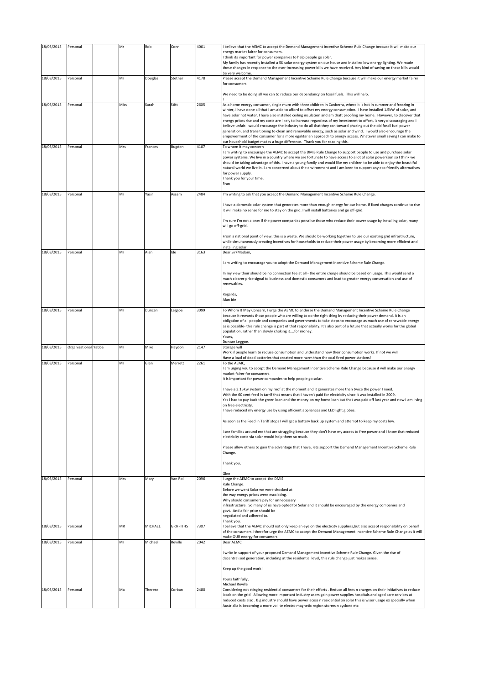| 18/03/2015 | Personal             | Mr   | Rob     | Conn             | 4061 | believe that the AEMC to accept the Demand Management Incentive Scheme Rule Change because it will make our                                                                                                                                   |
|------------|----------------------|------|---------|------------------|------|-----------------------------------------------------------------------------------------------------------------------------------------------------------------------------------------------------------------------------------------------|
|            |                      |      |         |                  |      | energy market fairer for consumers.                                                                                                                                                                                                           |
|            |                      |      |         |                  |      | think its important for power companies to help people go solar.<br>My family has recently installed a 5K solar energy system on our house and installed low energy lighting. We made                                                         |
|            |                      |      |         |                  |      | these changes in response to the ever-increasing power bills we have received. Any kind of saving on these bills would                                                                                                                        |
|            |                      |      |         |                  |      | be very welcome.                                                                                                                                                                                                                              |
| 18/03/2015 | Personal             | Mr   | Douglas | Stetner          | 4178 | Please accept the Demand Management Incentive Scheme Rule Change because it will make our energy market fairer                                                                                                                                |
|            |                      |      |         |                  |      | for consumers.                                                                                                                                                                                                                                |
|            |                      |      |         |                  |      | We need to be doing all we can to reduce our dependancy on fossil fuels. This will help.                                                                                                                                                      |
|            |                      |      |         |                  |      |                                                                                                                                                                                                                                               |
| 18/03/2015 | Personal             | Miss | Sarah   | Stitt            | 2605 | As a home energy consumer, single mum with three children in Canberra, where it is hot in summer and freezing in<br>winter, I have done all that I am able to afford to offset my energy consumption. I have installed 1.5kW of solar, and    |
|            |                      |      |         |                  |      | have solar hot water. I have also installed ceiling insulation and am draft proofing my home. However, to discover that                                                                                                                       |
|            |                      |      |         |                  |      | energy prices rise and my costs are likely to increase regardless of my investment to offset, is very discouraging and I                                                                                                                      |
|            |                      |      |         |                  |      | believe unfair.I would encourage the industry to do all that they can toward phasing out the old fossil fuel power                                                                                                                            |
|            |                      |      |         |                  |      | generation, and transitioning to clean and renewable energy, such as solar and wind. I would also encourage the<br>empowerment of the consumer for a more egalitarian approach to energy access. Whatever small saving I can make to          |
|            |                      |      |         |                  |      | our household budget makes a huge difference. Thank you for reading this.                                                                                                                                                                     |
| 18/03/2015 | Personal             | Mrs  | Frances | Bugden           | 4107 | To whom it may concern                                                                                                                                                                                                                        |
|            |                      |      |         |                  |      | am writing to encourage the AEMC to accept the DMIS Rule Change to support people to use and purchase solar                                                                                                                                   |
|            |                      |      |         |                  |      | power systems. We live in a country where we are fortunate to have access to a lot of solar power/sun so I think we<br>should be taking advantage of this. I have a young family and would like my children to be able to enjoy the beautiful |
|            |                      |      |         |                  |      | natural world we live in. I am concerned about the environment and I am keen to support any eco friendly alternatives                                                                                                                         |
|            |                      |      |         |                  |      | for power supply.                                                                                                                                                                                                                             |
|            |                      |      |         |                  |      | Thank you for your time,                                                                                                                                                                                                                      |
|            |                      |      |         |                  |      | Fran                                                                                                                                                                                                                                          |
| 18/03/2015 | Personal             | Mr   | Yasir   | Assam            | 2484 | 'm writing to ask that you accept the Demand Management Incentive Scheme Rule Change.                                                                                                                                                         |
|            |                      |      |         |                  |      |                                                                                                                                                                                                                                               |
|            |                      |      |         |                  |      | have a domestic solar system that generates more than enough energy for our home. If fixed charges continue to rise<br>it will make no sense for me to stay on the grid. I will install batteries and go off-grid.                            |
|            |                      |      |         |                  |      |                                                                                                                                                                                                                                               |
|            |                      |      |         |                  |      | I'm sure I'm not alone: if the power companies penalise those who reduce their power usage by installing solar, many                                                                                                                          |
|            |                      |      |         |                  |      | will go off-grid.                                                                                                                                                                                                                             |
|            |                      |      |         |                  |      |                                                                                                                                                                                                                                               |
|            |                      |      |         |                  |      | From a national point of view, this is a waste. We should be working together to use our existing grid infrastructure,<br>while simultaneously creating incentives for households to reduce their power usage by becoming more efficient and  |
|            |                      |      |         |                  |      | installing solar.                                                                                                                                                                                                                             |
| 18/03/2015 | Personal             | Mr   | Alan    | Ide              | 3163 | Dear Sir/Madam,                                                                                                                                                                                                                               |
|            |                      |      |         |                  |      | am writing to encourage you to adopt the Demand Management Incentive Scheme Rule Change.                                                                                                                                                      |
|            |                      |      |         |                  |      |                                                                                                                                                                                                                                               |
|            |                      |      |         |                  |      | In my view their should be no connection fee at all - the entire charge should be based on usage. This would send a                                                                                                                           |
|            |                      |      |         |                  |      | much clearer price signal to business and domestic consumers and lead to greater energy conservation and use of                                                                                                                               |
|            |                      |      |         |                  |      | renewables.                                                                                                                                                                                                                                   |
|            |                      |      |         |                  |      | Regards,                                                                                                                                                                                                                                      |
|            |                      |      |         |                  |      | Alan Ide                                                                                                                                                                                                                                      |
| 18/03/2015 | Personal             | Mr   | Duncan  | Leggoe           | 3099 | To Whom It May Concern, I urge the AEMC to endorse the Demand Management Incentive Scheme Rule Change                                                                                                                                         |
|            |                      |      |         |                  |      | because it rewards those people who are willing to do the right thing by reducing their power demand. It is an                                                                                                                                |
|            |                      |      |         |                  |      | obligation of all people and companies and governments to take steps to encourage as much use of renewable energy                                                                                                                             |
|            |                      |      |         |                  |      |                                                                                                                                                                                                                                               |
|            |                      |      |         |                  |      | as is possible-this rule change is part of that responsibility. It's also part of a future that actually works for the global                                                                                                                 |
|            |                      |      |         |                  |      | population, rather than slowly choking itfor money.                                                                                                                                                                                           |
|            |                      |      |         |                  |      | Yours,<br>Duncan Leggoe.                                                                                                                                                                                                                      |
| 18/03/2015 | Organisational Yabba | Mr   | Mike    | Haydon           | 2147 | Storage will                                                                                                                                                                                                                                  |
|            |                      |      |         |                  |      | Work if people learn to reduce consumption and understand how their consumption works. If not we will                                                                                                                                         |
| 18/03/2015 | Personal             | Mr   | Glen    | Merrett          | 2261 | Have a load of dead batteries that created more harm than the coal fired power stations!<br>To the AEMC,                                                                                                                                      |
|            |                      |      |         |                  |      | am urging you to accept the Demand Management Incentive Scheme Rule Change because it will make our energy                                                                                                                                    |
|            |                      |      |         |                  |      | market fairer for consumers.                                                                                                                                                                                                                  |
|            |                      |      |         |                  |      | It is important for power companies to help people go solar.                                                                                                                                                                                  |
|            |                      |      |         |                  |      | have a 3.15Kw system on my roof at the moment and it generates more than twice the power I need.                                                                                                                                              |
|            |                      |      |         |                  |      | With the 60 cent feed in tarrif that means that I haven't paid for electricity since it was installed in 2009.                                                                                                                                |
|            |                      |      |         |                  |      | Yes I had to pay back the green loan and the money on my home loan but that was paid off last year and now I am living                                                                                                                        |
|            |                      |      |         |                  |      | on free electricity.                                                                                                                                                                                                                          |
|            |                      |      |         |                  |      | have reduced my energy use by using efficient appliances and LED light globes.                                                                                                                                                                |
|            |                      |      |         |                  |      | As soon as the Feed in Tariff stops I will get a battery back up system and attempt to keep my costs low.                                                                                                                                     |
|            |                      |      |         |                  |      |                                                                                                                                                                                                                                               |
|            |                      |      |         |                  |      | see families around me that are struggling because they don't have my access to free power and I know that reduced<br>electricity costs via solar would help them so much.                                                                    |
|            |                      |      |         |                  |      |                                                                                                                                                                                                                                               |
|            |                      |      |         |                  |      | Please allow others to gain the advantage that I have, lets support the Demand Management Incentive Scheme Rule                                                                                                                               |
|            |                      |      |         |                  |      | Change.                                                                                                                                                                                                                                       |
|            |                      |      |         |                  |      | Thank you,                                                                                                                                                                                                                                    |
|            |                      |      |         |                  |      |                                                                                                                                                                                                                                               |
|            | Personal             | Mrs  |         | Van Rol          | 2096 | Glen                                                                                                                                                                                                                                          |
| 18/03/2015 |                      |      | Mary    |                  |      | urge the AEMC to accept the DMIS<br>Rule Change.                                                                                                                                                                                              |
|            |                      |      |         |                  |      | Before we went Solar we were shocked at                                                                                                                                                                                                       |
|            |                      |      |         |                  |      | the way energy prices were escalating.                                                                                                                                                                                                        |
|            |                      |      |         |                  |      | Why should consumers pay for unnecessary<br>infrastructure. So many of us have opted for Solar and it should be encouraged by the energy companies and                                                                                        |
|            |                      |      |         |                  |      | govt. And a fair price should be                                                                                                                                                                                                              |
|            |                      |      |         |                  |      | negotiated and adhered to.                                                                                                                                                                                                                    |
|            |                      |      |         |                  |      | Thank you.                                                                                                                                                                                                                                    |
| 18/03/2015 | Personal             | MR   | MICHAEL | <b>GRIFFITHS</b> | 7307 | believe that the AEMC should not only keep an eye on the electicity suppliers, but also accept responsibility on behalf<br>of the consumers.I therefor urge the AEMC to accept the Demand Management Incentive Scheme Rule Change as it will  |
|            |                      |      |         |                  |      | make OUR energy for consumers                                                                                                                                                                                                                 |
| 18/03/2015 | Personal             | Mr   | Michael | Reville          | 2042 | Dear AEMC,                                                                                                                                                                                                                                    |
|            |                      |      |         |                  |      | write in support of your proposed Demand Management Incentive Scheme Rule Change. Given the rise of                                                                                                                                           |
|            |                      |      |         |                  |      | decentralised generation, including at the residential level, this rule change just makes sense.                                                                                                                                              |
|            |                      |      |         |                  |      |                                                                                                                                                                                                                                               |
|            |                      |      |         |                  |      | Keep up the good work!                                                                                                                                                                                                                        |
|            |                      |      |         |                  |      | Yours faithfully,                                                                                                                                                                                                                             |
|            |                      |      |         |                  |      | Michael Reville                                                                                                                                                                                                                               |
| 18/03/2015 | Personal             | Ma   | Therese | Corban           | 2480 | Considering not stinging residential consumers for their efforts . Reduce all fees n charges on their initiatives to reduce                                                                                                                   |
|            |                      |      |         |                  |      | loads on the grid. Allowing more important industry users gain power supplies hospitals and aged care services at<br>reduced costs also. Big industry should have power acess n residential on solar this is wiser usage ex specially when    |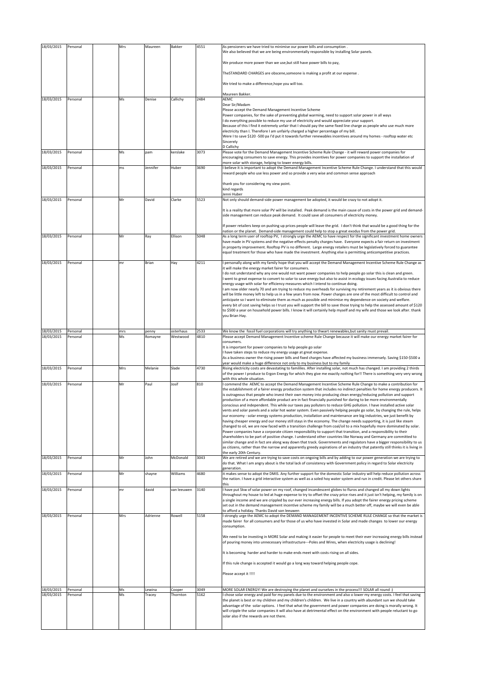| 18/03/2015 | Personal | Mrs | Maureen  | Bakker      | 4551 | As pensioners we have tried to minimise our power bills and consumption .<br>We also believed that we are being environmentally responsible by installing Solar panels.                                                                                |
|------------|----------|-----|----------|-------------|------|--------------------------------------------------------------------------------------------------------------------------------------------------------------------------------------------------------------------------------------------------------|
|            |          |     |          |             |      | We produce more power than we use, but still have power bills to pay,                                                                                                                                                                                  |
|            |          |     |          |             |      | TheSTANDARD CHARGES are obscene, someone is making a profit at our expense.                                                                                                                                                                            |
|            |          |     |          |             |      |                                                                                                                                                                                                                                                        |
|            |          |     |          |             |      | We tried to make a difference, hope you will too.                                                                                                                                                                                                      |
| 18/03/2015 | Personal | Ms  | Denise   | Callichy    | 2484 | Maureen Bakker.<br>AEMC                                                                                                                                                                                                                                |
|            |          |     |          |             |      | Dear Sir/Madam                                                                                                                                                                                                                                         |
|            |          |     |          |             |      | Please accept the Demand Management Incentive Scheme<br>Power companies, for the sake of preventing global warming, need to support solar power in all ways                                                                                            |
|            |          |     |          |             |      | I do everything possible to reduce my use of electricity and would appreciate your support.<br>Because of this I find it extremely unfair that I should pay the same fixed line charge as people who use much more                                     |
|            |          |     |          |             |      | electricity than I. Therefore I am unfairly charged a higher percentage of my bill.<br>Were I to save \$120-500 pa I'd put it towards further renewables incentives around my homes - rooftop water etc                                                |
|            |          |     |          |             |      | Sincerely                                                                                                                                                                                                                                              |
| 18/03/2015 | Personal | Ms  | pam      | kerslake    | 3073 | D Callichy<br>Please vote for the Demand Management Incentive Scheme Rule Change - it will reward power companies for                                                                                                                                  |
|            |          |     |          |             |      | encouraging consumers to save energy. This provides incentives for power companies to support the installation of<br>more solar with storage, helping to lower energy bills.                                                                           |
| 18/03/2015 | Personal | ms  | Jennifer | Huber       | 3690 | believe it is important to adopt the Demand Management Incentive Scheme Rule Change. I understand that this would<br>reward people who use less power and so provide a very wise and common sense approach                                             |
|            |          |     |          |             |      |                                                                                                                                                                                                                                                        |
|            |          |     |          |             |      | thank you for considering my view point.<br>kind regards                                                                                                                                                                                               |
| 18/03/2015 | Personal | Mr  | David    | Clarke      | 5523 | Jenni Huber<br>Not only should demand-side power management be adopted, it would be crazy to not adopt it.                                                                                                                                             |
|            |          |     |          |             |      |                                                                                                                                                                                                                                                        |
|            |          |     |          |             |      | It is a reality that more solar PV will be installed. Peak demand is the main cause of costs in the power grid and demand-<br>side management can reduce peak demand. It could save all consumers of electricity money.                                |
|            |          |     |          |             |      | If power retailers keep on pushing up prices people will leave the grid. I don't think that would be a good thing for the                                                                                                                              |
|            |          |     |          |             | 5048 | nation or the planet. Demand-side management could help to stop a great exodus from the power grid.                                                                                                                                                    |
| 18/03/2015 | Personal | Mr  | Ray      | Ellison     |      | As a long term user of rooftop PV, I strongly urge the AEMC to have respect for the significant investment home owners<br>have made in PV systems and the negative effects penalty charges have. Everyone expects a fair return on investment          |
|            |          |     |          |             |      | in property improvement. Rooftop PV is no different. Large energy retailers must be legislatively forced to guarantee<br>equal treatment for those who have made the investment. Anything else is permitting anticompetitive practices.                |
| 18/03/2015 | Personal | mr  | Brian    | Hay         | 4211 | personally along with my family hope that you will accept the Demand Management Incentive Scheme Rule Change as                                                                                                                                        |
|            |          |     |          |             |      | it will make the energy market fairer for consumers.                                                                                                                                                                                                   |
|            |          |     |          |             |      | I do not understand why any one would not want power companies to help people go solar this is clean and green.<br>went to great expense to convert to solar to save energy but also to assist in ecology issues facing Australia to reduce            |
|            |          |     |          |             |      | energy usage with solar for efficiency measures which I intend to continue doing.<br>am now older nearly 70 and am trying to reduce my overheads for surviving my retirement years as it is obvious there                                              |
|            |          |     |          |             |      | will be little money left to help us in a few years from now. Power charges are one of the most difficult to control and<br>anticipate so I want to eliminate them as much as possible and minimise my dependence on society and welfare.              |
|            |          |     |          |             |      | every bit of cost saving helps so I trust you will support the bill to save those trying to help the assessed amount of \$120                                                                                                                          |
|            |          |     |          |             |      | to \$500 a year on household power bills. I know it will certainly help myself and my wife and those we look after. thank<br>you Brian Hay.                                                                                                            |
|            |          |     |          |             |      |                                                                                                                                                                                                                                                        |
| 18/03/2015 | Personal | mrs | penny    | osterhaus   | 2533 |                                                                                                                                                                                                                                                        |
|            |          |     |          |             |      | We know the fossil fuel corporations will try anything to thwart renewables, but sanity must prevail.                                                                                                                                                  |
| 18/03/2015 | Personal | Ms  | Romayne  | Westwood    | 4810 | Please accept Demand Management Incentive scheme Rule Change because it will make our energy market fairer for<br>consumers.                                                                                                                           |
|            |          |     |          |             |      | It is important for power companies to help people go solar<br>have taken steps to reduce my energy usage at great expense.                                                                                                                            |
|            |          |     |          |             |      | As a business owner the rising power bills and fixed charges have affected my business immensely. Saving \$150-\$500 a                                                                                                                                 |
| 18/03/2015 | Personal | Mrs | Melanie  | Slade       | 4730 | year would make a huge difference not only to my business but to my family<br>Rising electricity costs are devastating to famililes. After installing solar, not much has changed. I am providing 2 thirds                                             |
|            |          |     |          |             |      | of the power I produce to Ergon Energy for which they give me exactly nothing for!! There is something very very wrong<br>with this whole situation.                                                                                                   |
| 18/03/2015 | Personal | Mr  | Paul     | Josif       | 810  | I commend the AEMC to accept the Demand Management Incentive Scheme Rule Change to make a contribution for<br>the establishment of a fairer energy production system that includes no indirect penalties for home energy producers. It                 |
|            |          |     |          |             |      | is outrageous that people who invest their own money into producing clean energy/reducing pollution and support                                                                                                                                        |
|            |          |     |          |             |      | production of a more affordable product are in fact financially punished for daring to be more environmentally<br>conscious and independent. This while our taxes pay polluters to reduce GHG pollution. I have installed active solar                 |
|            |          |     |          |             |      | ents and solar panels and a solar hot water system. Even passively helping people go solar, by changing the rule, helps<br>our economy - solar energy systems production, installation and maintenance are big industries, we just benefit by          |
|            |          |     |          |             |      | having cheaper energy and our money still stays in the economy. The change needs supporting, it is just like steam<br>changed to oil, we are now faced with a transition challenge from coal/oil to a mix hopefully more dominated by solar.           |
|            |          |     |          |             |      | Power companies have a corporate citizen responsibility to support that transition, and a responsibility to their                                                                                                                                      |
|            |          |     |          |             |      | shareholders to be part of positive change. I understand other countries like Norway and Germany are committed to<br>similar change and in fact are along way down that track. Governments and regulators have a bigger responsibility to us           |
|            |          |     |          |             |      | as citizens, rather than the narrow and apparently greedy aspirations of an industry that patently still thinks it is living in<br>the early 20th Century.                                                                                             |
| 18/03/2015 | Personal | Mr  | John     | McDonald    | 3043 | We are retired and we are trying to save costs on ongoing bills and by adding to our power generation we are trying to<br>do that. What I am angry about is the total lack of consistency with Government policy in regard to Solar electricity        |
|            |          |     |          |             |      | generation.                                                                                                                                                                                                                                            |
| 18/03/2015 | Personal | Mr  | shayne   | Williams    | 4680 | it makes sense to adopt the DMIS. Any further support for the domestic Solar industry will help reduce pollution across<br>the nation. I have a grid interactive system as well as a soled hoy water system and run in credit. Please let others share |
| 18/03/2015 | Personal | mr  | david    | van leeuwen | 3140 | this<br>have put 5kw of solar power on my roof, changed incandescent globes to fluros and changed all my down lights                                                                                                                                   |
|            |          |     |          |             |      | throughout my house to led at huge expense to try to offset the crazy price rises and it just isn't helping, my family is on<br>a single income and we are crippled by our ever increasing energy bills. If you adopt the fairer energy pricing scheme |
|            |          |     |          |             |      | set out in the demand management incentive scheme my family will be a much better off, maybe we will even be able                                                                                                                                      |
| 18/03/2015 | Personal | Mrs | Adrienne | Rowell      | 5158 | to afford a holiday. Thanks David van leeuwen<br>I strongly urge the AEMC to adopt the DEMAND MANAGEMENT INCENTIVE SCHEME RULE CHANGE so that the market is                                                                                            |
|            |          |     |          |             |      | made fairer for all consumers and for those of us who have invested in Solar and made changes to lower our energy<br>consumption.                                                                                                                      |
|            |          |     |          |             |      |                                                                                                                                                                                                                                                        |
|            |          |     |          |             |      | We need to be investing in MORE Solar and making it easier for people to meet their ever increasing energy bills instead<br>of pouring money into unnecessary infrastructure---Poles and Wires, when electricity usage is declining!                   |
|            |          |     |          |             |      | It is becoming harder and harder to make ends meet with costs rising on all sides.                                                                                                                                                                     |
|            |          |     |          |             |      | If this rule change is accepted it would go a long way toward helping people cope.                                                                                                                                                                     |
|            |          |     |          |             |      |                                                                                                                                                                                                                                                        |
|            |          |     |          |             |      | Please accept it !!!!                                                                                                                                                                                                                                  |
| 18/03/2015 | Personal | Ms  | Lewina   | Cooper      | 3049 | (: MORE SOLAR ENERGY! We are destroying the planet and ourselves in the process!!! SOLAR all round                                                                                                                                                     |
| 18/03/2015 | Personal | Ms  | Tracey   | Thornton    | 5162 | I chose solar energy and paid for my panels due to the environment and also o lower my energy costs. I feel that saving<br>the planet is best or my children and my children's children. We live in a country with abundant sun we should take         |
|            |          |     |          |             |      | advantage of the solar options. I feel that what the government and power companies are doing is morally wrong. It                                                                                                                                     |
|            |          |     |          |             |      | will cripple the solar companies it will also have at detrimental effect on the environment with people reluctant to go<br>solar also if the rewards are not there.                                                                                    |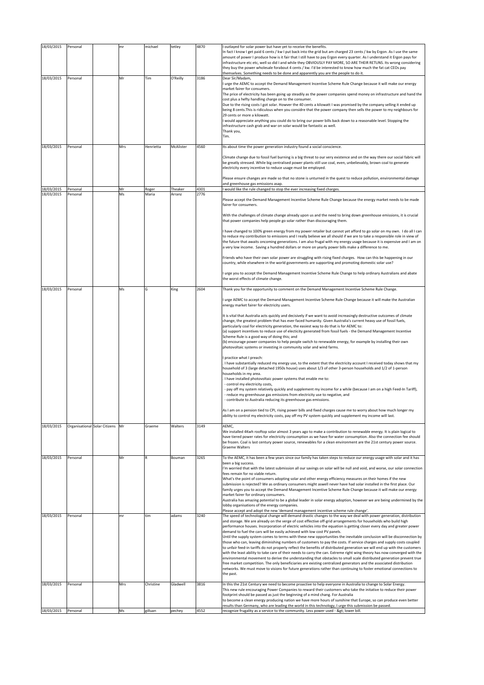| 18/03/2015               | Personal                      | mr        | michael          | tetley                | 4870         | outlayed for solar power but have yet to receive the benefits.                                                                                                                                                                                                                                                                                                                                                                                                                                                                                                                                                                                                                                                                                                                                                                                                                                                                                                                                                                                                                                                                                                                                                       |
|--------------------------|-------------------------------|-----------|------------------|-----------------------|--------------|----------------------------------------------------------------------------------------------------------------------------------------------------------------------------------------------------------------------------------------------------------------------------------------------------------------------------------------------------------------------------------------------------------------------------------------------------------------------------------------------------------------------------------------------------------------------------------------------------------------------------------------------------------------------------------------------------------------------------------------------------------------------------------------------------------------------------------------------------------------------------------------------------------------------------------------------------------------------------------------------------------------------------------------------------------------------------------------------------------------------------------------------------------------------------------------------------------------------|
|                          |                               |           |                  |                       |              | In fact I know I get paid 6 cents / kw I put back into the grid but am charged 23 cents / kw by Ergon. As I use the same<br>amount of power I produce how is it fair that I still have to pay Ergon every quarter. As I understand it Ergon pays for<br>infrastructure etc etc, well so did I and while they OBVIOUSLY PAY MORE, SO ARE THEIR RETUNS. Its wrong considering<br>they buy the power wholesale forabout 4 cents / kw. I'd be interested to know how much the fat cat CEOs pay<br>themselves. Something needs to be done and apparently you are the people to do it.                                                                                                                                                                                                                                                                                                                                                                                                                                                                                                                                                                                                                                     |
| 18/03/2015<br>18/03/2015 | Personal<br>Personal          | Mr<br>Mrs | Tim<br>Henrietta | O'Reilly<br>McAlister | 3186<br>4560 | Dear Sir/Madam,<br>urge the AEMC to accept the Demand Management Incentive Scheme Rule Change because it will make our energy<br>market fairer for consumers.<br>The price of electricity has been going up steadily as the power companies spend money on infrastructure and hand the<br>cost plus a hefty handling charge on to the consumer.<br>Due to the rising costs I got solar. Howver the 40 cents a kilowatt I was promised by the company selling it ended up<br>being 8 cents. This is ridiculous when you considre that the power company then sells the power to my neighbours for<br>29 cents or more a kilowatt.<br>would appreciate anything you could do to bring our power bills back down to a reasonable level. Stopping the<br>infrastructure cash grab and war on solar would be fantastic as well.<br>Thank you,<br>Tim.<br>Its about time the power generation industry found a social conscience.                                                                                                                                                                                                                                                                                          |
|                          |                               |           |                  |                       |              | Climate change due to fossil fuel burning is a big threat to our very existence and on the way there our social fabric will<br>be greatly stressed. While big centralised power plants still use coal, even, unbelievably, brown coal to generate<br>electricity every incentive to reduce usage must be employed.<br>Please ensure changes are made so that no stone is unturned in the quest to reduce pollution, environmental damage                                                                                                                                                                                                                                                                                                                                                                                                                                                                                                                                                                                                                                                                                                                                                                             |
|                          |                               |           |                  |                       |              | and greenhouse gas emissions asap.                                                                                                                                                                                                                                                                                                                                                                                                                                                                                                                                                                                                                                                                                                                                                                                                                                                                                                                                                                                                                                                                                                                                                                                   |
| 18/03/2015<br>18/03/2015 | Personal<br>Personal          | Mr<br>Ms  | Roger<br>Maria   | Theaker<br>Arranz     | 4301<br>2776 | would like the rule changed to stop the ever increasing fixed charges.                                                                                                                                                                                                                                                                                                                                                                                                                                                                                                                                                                                                                                                                                                                                                                                                                                                                                                                                                                                                                                                                                                                                               |
|                          |                               |           |                  |                       |              | Please accept the Demand Management Incentive Scheme Rule Change because the energy market needs to be made<br>fairer for consumers.<br>With the challenges of climate change already upon us and the need to bring down greenhouse emissions, it is crucial                                                                                                                                                                                                                                                                                                                                                                                                                                                                                                                                                                                                                                                                                                                                                                                                                                                                                                                                                         |
|                          |                               |           |                  |                       |              | that power companies help people go solar rather than discouraging them.<br>I have changed to 100% green energy from my power retailer but cannot yet afford to go solar on my own. I do all I can<br>to reduce my contribution to emissions and I really believe we all should if we are to take a responsible role in view of<br>the future that awaits oncoming generations. I am also frugal with my energy usage because it is expensive and I am on<br>a very low income. Saving a hundred dollars or more on yearly power bills make a difference to me.                                                                                                                                                                                                                                                                                                                                                                                                                                                                                                                                                                                                                                                      |
|                          |                               |           |                  |                       |              | Friends who have their own solar power are struggling with rising fixed charges. How can this be happening in our<br>country, while elsewhere in the world governments are supporting and promoting domestic solar use?                                                                                                                                                                                                                                                                                                                                                                                                                                                                                                                                                                                                                                                                                                                                                                                                                                                                                                                                                                                              |
|                          |                               |           |                  |                       |              | I urge you to accept the Demand Management Incentive Scheme Rule Change to help ordinary Australians and abate<br>the worst effects of climate change.                                                                                                                                                                                                                                                                                                                                                                                                                                                                                                                                                                                                                                                                                                                                                                                                                                                                                                                                                                                                                                                               |
| 18/03/2015               | Personal                      | Ms        | Ġ                | King                  | 2604         | Thank you for the opportunity to comment on the Demand Management Incentive Scheme Rule Change.                                                                                                                                                                                                                                                                                                                                                                                                                                                                                                                                                                                                                                                                                                                                                                                                                                                                                                                                                                                                                                                                                                                      |
|                          |                               |           |                  |                       |              | urge AEMC to accept the Demand Management Incentive Scheme Rule Change because it will make the Australian<br>energy market fairer for electricity users.                                                                                                                                                                                                                                                                                                                                                                                                                                                                                                                                                                                                                                                                                                                                                                                                                                                                                                                                                                                                                                                            |
|                          |                               |           |                  |                       |              | It is vital that Australia acts quickly and decisively if we want to avoid increasingly destructive outcomes of climate<br>change, the greatest problem that has ever faced humanity. Given Australia's current heavy use of fossil fuels,<br>particularly coal for electricity generation, the easiest way to do that is for AEMC to:<br>(a) support incentives to reduce use of electicity generated from fossil fuels - the Demand Management Incentive<br>Scheme Rule is a good way of doing this; and<br>(b) encourage power companies to help people switch to renewable energy, for example by installing their own<br>photovoltaic systems or investing in community solar and wind farms.                                                                                                                                                                                                                                                                                                                                                                                                                                                                                                                   |
|                          |                               |           |                  |                       |              | practice what I preach:<br>I have substantially reduced my energy use, to the extent that the electricity account I received today shows that my<br>household of 3 (large detached 1950s house) uses about 1/3 of other 3-person households and 1/2 of 1-person<br>households in my area.<br>I have installed photovoltaic power systems that enable me to:<br>- control my electricity costs,<br>- pay off my system relatively quickly and supplement my income for a while (because I am on a high Feed-In Tariff),<br>- reduce my greenhouse gas emissions from electricity use to negative, and<br>- contribute to Australia reducing its greenhouse gas emissions.                                                                                                                                                                                                                                                                                                                                                                                                                                                                                                                                             |
|                          |                               |           |                  |                       |              | As I am on a pension tied to CPI, rising power bills and fixed charges cause me to worry about how much longer my<br>ability to control my electricity costs, pay off my PV system quickly and supplement my income will last.                                                                                                                                                                                                                                                                                                                                                                                                                                                                                                                                                                                                                                                                                                                                                                                                                                                                                                                                                                                       |
| 18/03/2015               | Organisational Solar Citizens | Mr        | Graeme           | Walters               | 3149         | AEMC,<br>We installed 4Kwh rooftop solar almost 3 years ago to make a contribution to renewable energy. It is plain logical to<br>have tiered power rates for electricity consumption as we have for water consumption. Also the connection fee should<br>be frozen. Coal is last century power source, renewables for a clean environment are the 21st century power source.<br><b>Graeme Walters</b>                                                                                                                                                                                                                                                                                                                                                                                                                                                                                                                                                                                                                                                                                                                                                                                                               |
| 18/03/2015               | Personal                      | Mr        | R                | Bouman                | 3265         | To the AEMC, it has been a few years since our family has taken steps to reduce our energy usage with solar and it has<br>been a big success.<br>I'm worried that with the latest submission all our savings on solar will be null and void, and worse, our solar connection<br>fees remain for no viable return.<br>What's the point of consumers adopting solar and other energy efficiency measures on their homes if the new<br>submission is rejected? We as ordinary consumers might aswell never have had solar installed in the first place. Our<br>family urges you to accept the Demand Management Incentive Scheme Rule Change because it will make our energy<br>market fairer for ordinary consumers.<br>Australia has amazing potential to be a global leader in solar energy adoption, however we are being undermined by the<br>lobby organisations of the energy companies.                                                                                                                                                                                                                                                                                                                         |
| 18/03/2015               | Personal                      | mr        | tim              | adams                 | 3240         | Please accept and adopt the new 'demand management incentive scheme rule change'.<br>The speed of technological change will demand drastic changes to the way we deal with power generation, distribution                                                                                                                                                                                                                                                                                                                                                                                                                                                                                                                                                                                                                                                                                                                                                                                                                                                                                                                                                                                                            |
|                          |                               |           |                  |                       |              | and storage. We are already on the verge of cost effective off-grid arrangements for households who build high<br>performance houses. Incorporation of electric vehicles into the equation is getting closer every day and greater power<br>demand to fuel the cars will be easily achieved with low cost PV panels.<br>Until the supply system comes to terms with these new opportunities the inevitable conclusion will be disconnection by<br>those who can, leaving diminishing numbers of customers to pay the costs. If service charges and supply costs coupled<br>to unfair feed-in tariffs do not properly reflect the benefits of distributed generation we will end up with the customers<br>with the least ability to take care of their needs to carry the can. Extreme right wing theory has now converged with the<br>environmental movement to derive the understanding that obstacles to small scale distributed generation prevent true<br>free market competition. The only beneficiaries are existing centralized generators and the associated distribution<br>networks. We must move to visions for future generations rather than continuing to foster emotional connections to<br>the past. |
| 18/03/2015               | Personal                      | Mrs       | Christine        | Gladwell              | 3816         | In this the 21st Century we need to become proactive to help everyone in Australia to change to Solar Energy.<br>This new rule encouraging Power Companies to reward their customers who take the initative to reduce their power<br>footprint should be passed as just the beginning of a mind chang. For Australia<br>to become a clean energy producing nation we have more hours of sunshine that Europe, so can produce even better<br>results than Germany, who are leading the world in this technology, I urge this submission be passed.                                                                                                                                                                                                                                                                                                                                                                                                                                                                                                                                                                                                                                                                    |
| 18/03/2015               | Personal                      | Ms        | gilluan          | pechey                | 4552         | recognize frugality as a service to the community. Less power used - > lower bill.                                                                                                                                                                                                                                                                                                                                                                                                                                                                                                                                                                                                                                                                                                                                                                                                                                                                                                                                                                                                                                                                                                                                   |
|                          |                               |           |                  |                       |              |                                                                                                                                                                                                                                                                                                                                                                                                                                                                                                                                                                                                                                                                                                                                                                                                                                                                                                                                                                                                                                                                                                                                                                                                                      |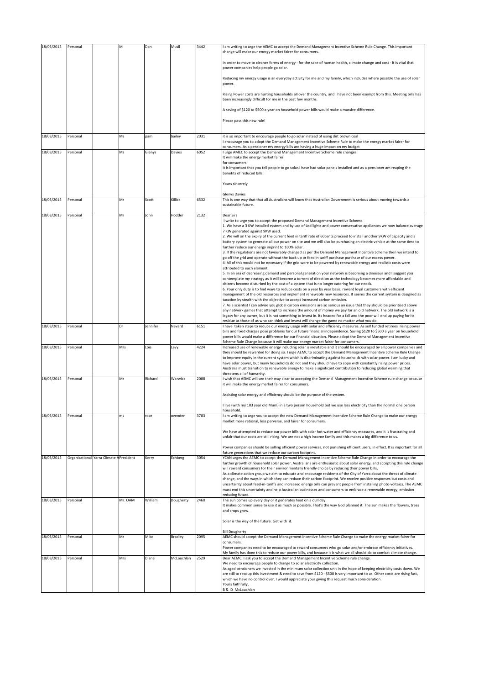| 18/03/2015 | Personal |                                          | м       | Dan      | Musil      | 3442 | I am writing to urge the AEMC to accept the Demand Management Incentive Scheme Rule Change. This important<br>change will make our energy market fairer for consumers.                                                                                                                            |
|------------|----------|------------------------------------------|---------|----------|------------|------|---------------------------------------------------------------------------------------------------------------------------------------------------------------------------------------------------------------------------------------------------------------------------------------------------|
|            |          |                                          |         |          |            |      | In order to move to cleaner forms of energy - for the sake of human health, climate change and cost - it is vital that<br>power companies help people go solar.                                                                                                                                   |
|            |          |                                          |         |          |            |      | Reducing my energy usage is an everyday activity for me and my family, which includes where possible the use of solar<br>power.                                                                                                                                                                   |
|            |          |                                          |         |          |            |      | Rising Power costs are hurting households all over the country, and I have not been exempt from this. Meeting bills has<br>been increasingly difficult for me in the past few months.                                                                                                             |
|            |          |                                          |         |          |            |      | A saving of \$120 to \$500 a year on household power bills would make a massive difference.                                                                                                                                                                                                       |
|            |          |                                          |         |          |            |      | Please pass this new rule!                                                                                                                                                                                                                                                                        |
| 18/03/2015 | Personal |                                          | Ms      | pam      | bailey     | 2031 | it is so important to encourage people to go solar instead of using dirt brown coal                                                                                                                                                                                                               |
|            |          |                                          |         |          |            |      | encourage you to adopt the Demand Management Incentive Scheme Rule to make the energy market fairer for<br>consumers. As a pensioner my energy bills are having a huge impact on my budget                                                                                                        |
| 18/03/2015 | Personal |                                          | Ms      | Glenys   | Davies     | 6052 | I urge AMEC to accept the Demand Management Incentive Scheme rule changes.<br>It will make the energy market fairer<br>for consumers.                                                                                                                                                             |
|            |          |                                          |         |          |            |      | It is important that you tell people to go solar. I have had solar panels installed and as a pensioner am reaping the<br>benefits of reduced bills.                                                                                                                                               |
|            |          |                                          |         |          |            |      | Yours sincerely                                                                                                                                                                                                                                                                                   |
| 18/03/2015 | Personal |                                          | Mr      | Scott    | Killick    | 6532 | <b>Glenys Davies</b><br>This is one way that that all Australians will know that Australian Government is serious about moving towards a                                                                                                                                                          |
|            |          |                                          |         |          |            |      | sustainable future.                                                                                                                                                                                                                                                                               |
| 18/03/2015 | Personal |                                          | Mr      | John     | Hodder     | 2132 | Dear Sirs<br>I write to urge you to accept the proposed Demand Management Incentive Scheme.                                                                                                                                                                                                       |
|            |          |                                          |         |          |            |      | 1. We have a 3 KW installed system and by use of Led lights and power conservative appliances we now balance average<br>7 KW generated against 9KW used.                                                                                                                                          |
|            |          |                                          |         |          |            |      | 2. We will on the expiry of the current feed in tariff rate of 60cents proceed to install another 9KW of capacity and a<br>battery system to generate all our power on site and we will also be purchasing an electric vehicle at the same time to                                                |
|            |          |                                          |         |          |            |      | further reduce our energy imprint to 100% solar.<br>3. If the regulations are not favourably changed as per the Demand Management Incentive Scheme then we intend to                                                                                                                              |
|            |          |                                          |         |          |            |      | go off the grid and operate without the back up or feed in tariff purchase purchase of our excess power.<br>4. All of this would not be necessary if the grid were to be powered by renewable energy and realistic costs were                                                                     |
|            |          |                                          |         |          |            |      | attributed to each element<br>5. In an era of decreasing demand and personal generation your network is becoming a dinosaur and I suggest you                                                                                                                                                     |
|            |          |                                          |         |          |            |      | contemplate my strategy as it will become a torrent of direction as the technology becomes more affordable and<br>citizens become disturbed by the cost of a system that is no longer catering for our needs.                                                                                     |
|            |          |                                          |         |          |            |      | 6. Your only duty is to find ways to reduce costs on a year by year basis, reward loyal customers with efficient<br>management of the old resources and implement renewable new resources. It seems the current system is designed as                                                             |
|            |          |                                          |         |          |            |      | taxation by stealth with the objective to accept increased carbon emission.<br>7. As a scientist I can advise you global carbon emissions are so serious an issue that they should be prioritised above                                                                                           |
|            |          |                                          |         |          |            |      | any network games that attempt to increase the amount of money we pay for an old network. The old network is a<br>legacy for any owner, but it is not something to invest in. Its headed for a fall and the poor will end up paying for its                                                       |
| 18/03/2015 | Personal |                                          | Dr      | Jennifer | Nevard     | 6151 | residue as those of us who can think and invest will change the game no matter what you do.<br>I have taken steps to reduce our energy usage with solar and efficiency measures. As self funded retirees rising power                                                                             |
|            |          |                                          |         |          |            |      | bills and fixed charges pose problems for our future financial independence. Saving \$120 to \$500 a year on household<br>power bills would make a difference for our financial situation. Please adopt the Demand Management Incentive                                                           |
| 18/03/2015 | Personal |                                          | Mrs     | Lois     | Levy       | 4224 | Scheme Rule Change because it will make our energy market fairer for consumers.<br>Increased use of renewable energy including solar is inevitable and it should be encouraged by all power companies and                                                                                         |
|            |          |                                          |         |          |            |      | they should be rewarded for doing so. I urge AEMC to accept the Demand Management Incentive Scheme Rule Change<br>to improve equity in the current system which is discriminating against households with solar power. I am lucky and                                                             |
|            |          |                                          |         |          |            |      | have solar power, but many households do not and they should have to cope with constantly rising power prices.<br>Australia must transition to renewable energy to make a significant contribution to reducing global warming that                                                                |
| 18/03/2015 |          |                                          |         | Richard  | Warwick    | 2088 | threatens all of humanity.<br>I wish that AEMC will see their way clear to accepting the Demand Management Incentive Scheme rule change because                                                                                                                                                   |
|            | Personal |                                          | Mr      |          |            |      | it will make the energy market fairer for consumers.                                                                                                                                                                                                                                              |
|            |          |                                          |         |          |            |      | Assisting solar energy and efficiency should be the purpose of the system.                                                                                                                                                                                                                        |
|            |          |                                          |         |          |            |      | I live (with my 103 year old Mum) in a two person household but we use less electricity than the normal one person<br>household                                                                                                                                                                   |
| 18/03/2015 | Personal |                                          | ms      | rose     | ovenden    | 3783 | am writing to urge you to accept the new Demand Management Incentive Scheme Rule Change to make our energy<br>market more rational, less perverse, and fairer for consumers.                                                                                                                      |
|            |          |                                          |         |          |            |      | We have attempted to reduce our power bills with solar hot water and efficiency measures, and it is frustrating and<br>unfair that our costs are still rising. We are not a high income family and this makes a big difference to us.                                                             |
|            |          |                                          |         |          |            |      | Power companies should be selling efficient power services, not punishing efficient users, in effect. It is important for all                                                                                                                                                                     |
| 18/03/2015 |          | Organisational Yarra Climate A President |         | Kerry    | Echberg    | 3054 | future generations that we reduce our carbon footprint.<br>YCAN urges the AEMC to accept the Demand Management Incentive Scheme Rule Change in order to encourage the<br>further growth of household solar power. Australians are enthusiastic about solar energy, and accepting this rule change |
|            |          |                                          |         |          |            |      | will reward consumers for their environmentally friendly choice by reducing their power bills,                                                                                                                                                                                                    |
|            |          |                                          |         |          |            |      | As a climate action group we aim to educate and encourage residents of the City of Yarra about the threat of climate<br>change, and the ways in which they can reduce their carbon footprint. We receive positive responses but costs and                                                         |
|            |          |                                          |         |          |            |      | uncertainty about feed-in-tariffs and increased energy bills can prevent people from installing photo-voltaics. The AEMC<br>must end this uncertainty and help Australian businesses and consumers to embrace a renewable energy, emission                                                        |
| 18/03/2015 | Personal |                                          | Mr. OAM | William  | Dougherty  | 2460 | reducing future.<br>The sun comes up every day or it generates heat on a dull day.                                                                                                                                                                                                                |
|            |          |                                          |         |          |            |      | It makes common sense to use it as much as possible. That's the way God planned it. The sun makes the flowers, trees<br>and crops grow.                                                                                                                                                           |
|            |          |                                          |         |          |            |      | Solar is the way of the future. Get with it.                                                                                                                                                                                                                                                      |
| 18/03/2015 | Personal |                                          | Mr      | Mike     | Bradley    | 2095 | <b>Bill Dougherty</b><br>AEMC should accept the Demand Management Incentive Scheme Rule Change to make the energy market fairer for                                                                                                                                                               |
|            |          |                                          |         |          |            |      | consumers.<br>Power companies need to be encouraged to reward consumers who go solar and/or embrace efficiency initiatives.                                                                                                                                                                       |
| 18/03/2015 | Personal |                                          | Mrs     | Diane    | McLauchlan | 2529 | My family has done this to reduce our power bills, and because it is what we all should do to combat climate change.<br>Dear AEMC, I ask you to accept the Demand Management Incentive Scheme rule change.                                                                                        |
|            |          |                                          |         |          |            |      | We need to encourage people to change to solar electricity collection.<br>As aged pensioners we invested in the minimum solar collection unit in the hope of keeping electricity costs down. We                                                                                                   |
|            |          |                                          |         |          |            |      | are still to recoup this investment & need to save from \$120 - \$500 is very important to us. Other costs are rising fast,<br>which we have no control over. I would appreciate your giving this request much consideration.                                                                     |
|            |          |                                          |         |          |            |      | Yours faithfully,<br><b>B &amp; D McLauchlan</b>                                                                                                                                                                                                                                                  |
|            |          |                                          |         |          |            |      |                                                                                                                                                                                                                                                                                                   |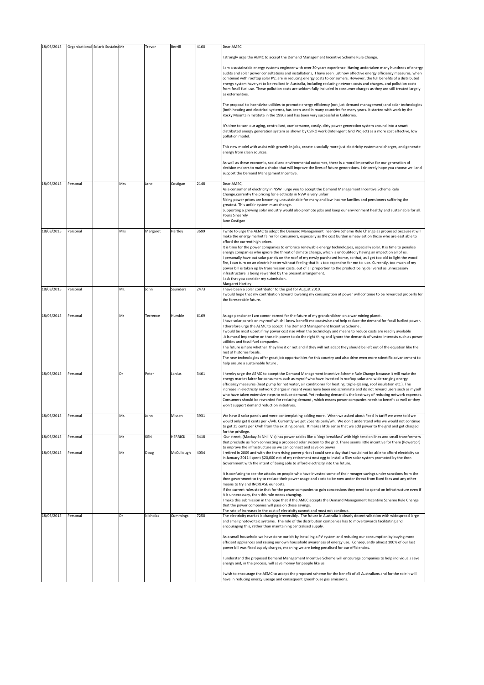| 18/03/2015 |          | Organisational Solaris Sustaina Mr |     | Trevor   | Berrill        | 4160 | Dear AMEC                                                                                                                                                                                                                                                                                                                                                                                                                                                                                                                                                                                                                                                                                                                                                                                                                                                                                                                                                                                                                                    |
|------------|----------|------------------------------------|-----|----------|----------------|------|----------------------------------------------------------------------------------------------------------------------------------------------------------------------------------------------------------------------------------------------------------------------------------------------------------------------------------------------------------------------------------------------------------------------------------------------------------------------------------------------------------------------------------------------------------------------------------------------------------------------------------------------------------------------------------------------------------------------------------------------------------------------------------------------------------------------------------------------------------------------------------------------------------------------------------------------------------------------------------------------------------------------------------------------|
|            |          |                                    |     |          |                |      | I strongly urge the AEMC to accept the Demand Management Incentive Scheme Rule Change.                                                                                                                                                                                                                                                                                                                                                                                                                                                                                                                                                                                                                                                                                                                                                                                                                                                                                                                                                       |
|            |          |                                    |     |          |                |      | am a sustainable energy systems engineer with over 30 years experience. Having undertaken many hundreds of energy<br>audits and solar power consultations and installations, I have seen just how effective energy efficiency measures, when<br>combined with rooftop solar PV, are in reducing energy costs to consumers. However, the full benefits of a distributed<br>energy system have yet to be realised in Australia, including reducing network costs and charges, and pollution costs<br>from fossil fuel use. These pollution costs are seldom fully included in consumer charges as they are still treated largely<br>as externalities.                                                                                                                                                                                                                                                                                                                                                                                          |
|            |          |                                    |     |          |                |      | The proposal to incentivise utilities to promote energy efficiency (not just demand management) and solar technologies<br>(both heating and electrical systems), has been used in many countries for many years. It started with work by the<br>Rocky Mountain Institute in the 1980s and has been very successful in California.                                                                                                                                                                                                                                                                                                                                                                                                                                                                                                                                                                                                                                                                                                            |
|            |          |                                    |     |          |                |      | It's time to turn our aging, centralised, cumbersome, costly, dirty power generation system around into a smart<br>distributed energy generation system as shown by CSIRO work (Intellegent Grid Project) as a more cost effective, low<br>pollution model.                                                                                                                                                                                                                                                                                                                                                                                                                                                                                                                                                                                                                                                                                                                                                                                  |
|            |          |                                    |     |          |                |      | This new model with assist with growth in jobs, create a socially more just electricity system and charges, and generate<br>energy from clean sources.                                                                                                                                                                                                                                                                                                                                                                                                                                                                                                                                                                                                                                                                                                                                                                                                                                                                                       |
|            |          |                                    |     |          |                |      | As well as these economic, social and environmental outcomes, there is a moral imperative for our generation of<br>decision makers to make a choice that will improve the lives of future generations. I sincerely hope you choose well and<br>support the Demand Management Incentive.                                                                                                                                                                                                                                                                                                                                                                                                                                                                                                                                                                                                                                                                                                                                                      |
| 18/03/2015 | Personal |                                    | Mrs | Jane     | Costigan       | 2148 | Dear AMEC,<br>As a consumer of electricity in NSW I urge you to accept the Demand Management Incentive Scheme Rule<br>Change.currently the pricing for electricity in NSW is very unfair<br>Rising power prices are becoming unsustainable for many and low income families and pensioners suffering the<br>greatest. This unfair system must change.<br>Supporting a growing solar industry would also promote jobs and keep our environment healthy and sustainable for all.<br><b>Yours Sincerely</b><br>Jane Costigan                                                                                                                                                                                                                                                                                                                                                                                                                                                                                                                    |
| 18/03/2015 | Personal |                                    | Mrs | Margaret | Hartley        | 3699 | I write to urge the AEMC to adopt the Demand Management Incentive Scheme Rule Change as proposed because it will<br>make the energy market fairer for consumers, especially as the cost burden is heaviest on those who are east able to<br>afford the current high prices.<br>It is time for the power companies to embrace renewable energy technologies, especially solar. It is time to penalise<br>energy companies who ignore the threat of climate change, which is undoubtedly having an impact on all of us.<br>I personally have put solar panels on the roof of my newly purchased home, so that, as I get too old to light the wood<br>fire, I can turn on an electric heater without feeling that it is too expensive for me to use. Currently, too much of my<br>power bill is taken up by transmission costs, out of all proportion to the product being delivered as unnecessary<br>infrastructure is being rewarded by the present arrangement.<br>I ask that you consider my submission.<br>Margaret Hartley               |
| 18/03/2015 | Personal |                                    | Mr. | John     | Saunders       | 2473 | I have been a Solar contributor to the grid for August 2010.<br>would hope that my contribution toward lowering my consumption of power will continue to be rewarded properly for<br>the foreseeable future.                                                                                                                                                                                                                                                                                                                                                                                                                                                                                                                                                                                                                                                                                                                                                                                                                                 |
|            |          |                                    |     |          |                |      |                                                                                                                                                                                                                                                                                                                                                                                                                                                                                                                                                                                                                                                                                                                                                                                                                                                                                                                                                                                                                                              |
|            |          |                                    |     |          |                |      |                                                                                                                                                                                                                                                                                                                                                                                                                                                                                                                                                                                                                                                                                                                                                                                                                                                                                                                                                                                                                                              |
| 18/03/2015 | Personal |                                    | Mr  | Terrence | Humble         | 6169 | As age pensioner I am comer earned for the future of my grandchildren on a war mining planet.<br>I have solar panels on my roof which I know benefit me coastwise and help reduce the demand for fossil fuelled power.<br>I therefore urge the AEMC to accept The Demand Management Incentive Scheme.<br>would be most upset if my power cost rise when the technology and means to reduce costs are readily available<br>It is moral imperative on those in power to do the right thing and ignore the demands of vested interests such as power.<br>utilities and fossil fuel companies.<br>The future is here whether they like it or not and if they will not adapt they should be left out of the equation like the<br>rest of histories fossils.<br>The new technologies offer great job opportunities for this country and also drive even more scientific advancement to<br>help ensure a sustainable future.                                                                                                                        |
| 18/03/2015 | Personal |                                    | Dr  | Peter    | Lanius         | 3461 | I hereby urge the AEMC to accept the Demand Management Incentive Scheme Rule Change because it will make the                                                                                                                                                                                                                                                                                                                                                                                                                                                                                                                                                                                                                                                                                                                                                                                                                                                                                                                                 |
|            |          |                                    |     |          |                |      | energy market fairer for consumers such as myself who have invested in rooftop solar and wide-ranging energy<br>efficiency measures (heat pump for hot water, air conditioner for heating, triple-glazing, roof insulation etc.). The<br>increase in electricity network charges in recent years have been indiscriminate and do not reward users such as myself<br>who have taken extensive steps to reduce demand. Yet reducing demand is the best way of reducing network expenses.<br>Consumers should be rewarded for reducing demand, which means power companies needs to benefit as well or they<br>won't support demand reduction initiatives.                                                                                                                                                                                                                                                                                                                                                                                      |
| 18/03/2015 | Personal |                                    | Mr. | John     | Missen         | 3931 | We have 8 solar panels and were contemplating adding more. When we asked about Feed In tariff we were told we<br>would only get 8 cents per k/wh. Currently we get 25cents perk/wh. We don't understand why we would not continue<br>to get 25 cents per k/wh from the existing panels. It makes little sense that we add power to the grid and get charged<br>for the privilege.                                                                                                                                                                                                                                                                                                                                                                                                                                                                                                                                                                                                                                                            |
| 18/03/2015 | Personal |                                    | Mr  | KEN      | <b>HERRICK</b> | 3418 | Our street, (Mackay St Nhill Vic) has power cables like a 'dogs breakfast' with high tension lines and small transformers<br>that preclude us from connecting a proposed solar system to the grid. There seems little incentive for them (Powercor)<br>to improve the infrastructure so we can connect and save on power.                                                                                                                                                                                                                                                                                                                                                                                                                                                                                                                                                                                                                                                                                                                    |
| 18/03/2015 | Personal |                                    | Mr  | Doug     | McCullough     | 4034 | I retired in 2009 and with the then rising power prices I could see a day that I would not be able to afford electricity so<br>in January 2011 I spent \$20,000 net of my retirement nest egg to install a 5kw solar system promoted by the then<br>Government with the intent of being able to afford electricity into the future.                                                                                                                                                                                                                                                                                                                                                                                                                                                                                                                                                                                                                                                                                                          |
| 18/03/2015 | Personal |                                    | Dr  | Nicholas | Cummings       | 7250 | It is confusing to see the attacks on people who have invested some of their meager savings under sanctions from the<br>then government to try to reduce their power usage and costs to be now under threat from fixed fees and any other<br>means to try and INCREASE our costs.<br>If the current rules state that for the power companies to gain concessions they need to spend on infrastructure even if<br>it is unnecessary, then this rule needs changing.<br>I make this submission in the hope that if the AMEC accepts the Demand Management Incentive Scheme Rule Change<br>that the power companies will pass on these savings.<br>The rate of increases in the cost of electricity cannot and must not continue.<br>The electricity market is changing irreversibly. The future in Australia is clearly decentralisation with widespread large<br>and small photovoltaic systems. The role of the distribution companies has to move towards facilitating and<br>encouraging this, rather than maintaining centralised supply. |
|            |          |                                    |     |          |                |      | As a small household we have done our bit by installing a PV system and reducing our consumption by buying more<br>efficient appliances and raising our own household awareness of energy use. Consequently almost 100% of our last<br>power bill was fixed supply charges, meaning we are being penalised for our efficiencies.                                                                                                                                                                                                                                                                                                                                                                                                                                                                                                                                                                                                                                                                                                             |
|            |          |                                    |     |          |                |      | I understand the proposed Demand Management Incentive Scheme will encourage companies to help individuals save<br>energy and, in the process, will save money for people like us.<br>I wish to encourage the AEMC to accept the proposed scheme for the benefit of all Australians and for the role it will                                                                                                                                                                                                                                                                                                                                                                                                                                                                                                                                                                                                                                                                                                                                  |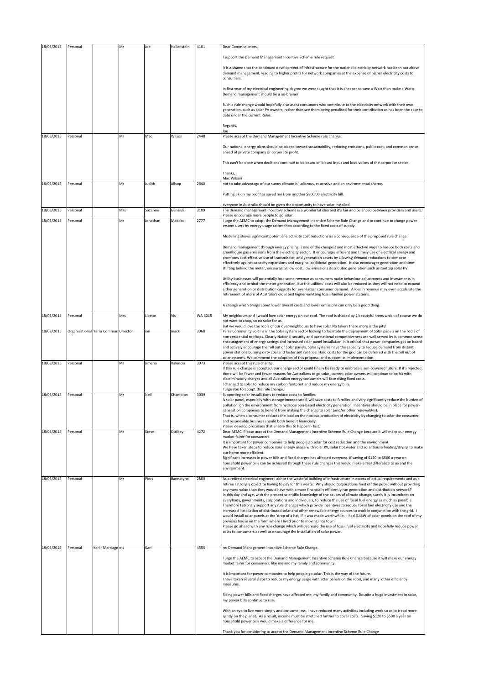| 18/03/2015 | Personal |                                      | Mr  | Joe      | Hallenstein | 4101    | Dear Commissioners,                                                                                                                                                                                                                                                                                  |
|------------|----------|--------------------------------------|-----|----------|-------------|---------|------------------------------------------------------------------------------------------------------------------------------------------------------------------------------------------------------------------------------------------------------------------------------------------------------|
|            |          |                                      |     |          |             |         | support the Demand Management Incentive Scheme rule request.                                                                                                                                                                                                                                         |
|            |          |                                      |     |          |             |         | It is a shame that the continued development of infrastructure for the national electricity network has been put above<br>demand management, leading to higher profits for network companies at the expense of higher electricity costs to<br>consumers.                                             |
|            |          |                                      |     |          |             |         | In first year of my electrical engineering degree we were taught that it is cheaper to save a Watt than make a Watt;<br>Demand management should be a no-brainer.                                                                                                                                    |
|            |          |                                      |     |          |             |         | Such a rule change would hopefully also assist consumers who contribute to the electricity network with their own<br>generation, such as solar PV owners, rather than see them being penalised for their contribution as has been the case to<br>date under the current Rules.                       |
|            |          |                                      |     |          |             |         | Regards,                                                                                                                                                                                                                                                                                             |
| 18/03/2015 | Personal |                                      | Mr  | Mac      | Wilson      | 2448    | loe<br>Please accept the Demand Management Incentive Scheme rule change.                                                                                                                                                                                                                             |
|            |          |                                      |     |          |             |         | Our national energy plans should be biased toward sustainability, reducing emissions, public cost, and common sense                                                                                                                                                                                  |
|            |          |                                      |     |          |             |         | ahead of private company or corporate profit.                                                                                                                                                                                                                                                        |
|            |          |                                      |     |          |             |         | This can't be done when decisions continue to be based on biased input and loud voices of the corporate sector.                                                                                                                                                                                      |
|            |          |                                      |     |          |             |         | Thanks,<br>Mac Wilson                                                                                                                                                                                                                                                                                |
| 18/03/2015 | Personal |                                      | M٢  | Judith   | Allsop      | 2640    | not to take advantage of our sunny climate is ludicrous, expensive and an environmental shame.                                                                                                                                                                                                       |
|            |          |                                      |     |          |             |         | Putting 5k on my roof has saved me from another \$800.00 electricity bill.                                                                                                                                                                                                                           |
|            |          |                                      |     |          |             |         | everyone in Australia should be given the opportunity to have solar installed.                                                                                                                                                                                                                       |
| 18/03/2015 | Personal |                                      | Mrs | Suzanne  | Genziuk     | 3109    | The demand management incentive scheme is a wonderful idea and it's fair and balanced between providers and users.<br>Please encourage more people to go solar.                                                                                                                                      |
| 18/03/2015 | Personal |                                      | Mr  | Jonathan | Maddox      | 2777    | urge the AEMC to adopt the Demand Management Incentive Scheme Rule Change and to continue to charge power<br>system users by energy usage rather than according to the fixed costs of supply.                                                                                                        |
|            |          |                                      |     |          |             |         | Modelling shows significant potential electricity cost reductions as a consequence of the proposed rule change.                                                                                                                                                                                      |
|            |          |                                      |     |          |             |         | Demand management through energy pricing is one of the cheapest and most effective ways to reduce both costs and                                                                                                                                                                                     |
|            |          |                                      |     |          |             |         | greenhouse gas emissions from the electricity sector. It encourages efficient and timely use of electrical energy and<br>promotes cost-effective use of transmission and generation assets by allowing demand reductions to compete                                                                  |
|            |          |                                      |     |          |             |         | effectively against capacity expansions and marginal additional generation. It also encourages generation and time-                                                                                                                                                                                  |
|            |          |                                      |     |          |             |         | shifting behind the meter, encouraging low-cost, low-emissions distributed generation such as rooftop solar PV.                                                                                                                                                                                      |
|            |          |                                      |     |          |             |         | Utility businesses will potentially lose some revenue as consumers make behaviour adjustments and investments in<br>efficiency and behind-the-meter generation, but the utilities' costs will also be reduced as they will not need to expand                                                        |
|            |          |                                      |     |          |             |         | either generation or distribution capacity for ever-larger consumer demand. A loss in revenue may even accelerate the<br>retirement of more of Australia's older and higher-emitting fossil-fuelled power stations.                                                                                  |
|            |          |                                      |     |          |             |         | A change which brings about lower overall costs and lower emissions can only be a good thing.                                                                                                                                                                                                        |
| 18/03/2015 | Personal |                                      | Mrs | Lisette  | Vis         | WA 6015 | My neighbours and I would love solar energy on our roof. The roof is shaded by 2 beautyful trees which of course we do                                                                                                                                                                               |
|            |          |                                      |     |          |             |         | not want to chop, so no solar for us.<br>But we would love the roofs of our over-neighbours to have solar. No takers there more is the pity!                                                                                                                                                         |
| 18/03/2015 |          | Organisational Yarra Commun Director |     | ian      | mack        | 3068    | Yarra Community Solar is in the Solar system sector looking to facilitate the deployment of Solar panels on the roofs of<br>non-residential rooftops. Clearly National security and our national competitiveness are well served by is common sense                                                  |
|            |          |                                      |     |          |             |         | encouragement of energy savings and increased solar panel installation. It is critical that power companies get on board                                                                                                                                                                             |
|            |          |                                      |     |          |             |         | and actively encourage the roll out of Solar panels. Solar systems have the capacity to reduce demand from distant<br>power stations burning dirty coal and foster self reliance. Hard costs for the grid can be deferred with the roll out of                                                       |
| 18/03/2015 | Personal |                                      | Ms  | Jimena   | Valencia    | 3073    | solar systems. We commend the adoption of this proposal and support its implementation.<br>Please accept this rule change.                                                                                                                                                                           |
|            |          |                                      |     |          |             |         | If this rule change is accepted, our energy sector could finally be ready to embrace a sun-powered future. If it's rejected,<br>there will be fewer and fewer reasons for Australians to go solar; current solar owners will continue to be hit with                                                 |
|            |          |                                      |     |          |             |         | discriminatory charges and all Australian energy consumers will face rising fixed costs.                                                                                                                                                                                                             |
|            |          |                                      |     |          |             |         | I changed to solar to reduce my carbon footprint and reduce my energy bills.<br>urge you to accept this rule change.                                                                                                                                                                                 |
| 18/03/2015 | Personal |                                      | Mr  | Neil     | Champion    | 3039    | Supporting solar installations to reduce costs to families<br>A solar panel, especially with storage incorporated, will save costs to families and very significantly reduce the burden of                                                                                                           |
|            |          |                                      |     |          |             |         | pollution on the environment from hydrocarbon-based electricity generation. Incentives should be in place for power-                                                                                                                                                                                 |
|            |          |                                      |     |          |             |         | generation companies to benefit from making the change to solar (and/or other renewables).<br>That is, when a consumer reduces the load on the noxious production of electricity by changing to solar the consumer                                                                                   |
|            |          |                                      |     |          |             |         | and responsible business should both benefit financially.<br>Please develop processes that enable this to happen - fast.                                                                                                                                                                             |
| 18/03/2015 | Personal |                                      | Mr  | Steve    | Quilkey     | 4272    | Dear AEMC. Please accept the Demand Management Incentive Scheme Rule Change because it will make our energy<br>market fairer for consumers.                                                                                                                                                          |
|            |          |                                      |     |          |             |         | It is important for power companies to help people go solar for cost reduction and the environment.                                                                                                                                                                                                  |
|            |          |                                      |     |          |             |         | We have taken steps to reduce your energy usage with solar PV, solar hot water and solar house heating/drying to make<br>our home more efficient.                                                                                                                                                    |
|            |          |                                      |     |          |             |         | Significant increases in power bills and fixed charges has affected everyone. If saving of \$120 to \$500 a year on<br>household power bills can be achieved through these rule changes this would make a real difference to us and the                                                              |
|            |          |                                      |     |          |             |         | environment.                                                                                                                                                                                                                                                                                         |
| 18/03/2015 | Personal |                                      | Mr  | Piers    | Bannatyne   | 2800    | As a retired electrical engineer I abhor the wasteful building of infrastructure in excess of actual requirements and as a                                                                                                                                                                           |
|            |          |                                      |     |          |             |         | retiree I strongly object to having to pay for this waste. Why should corporations feed off the public without providing<br>any more value than they would have with a more financially efficiently run generation and distribution network?                                                         |
|            |          |                                      |     |          |             |         | In this day and age, with the present scientific knowledge of the causes of climate change, surely it is incumbent on<br>everybody, governments, corporations and individuals, to reduce the use of fossil fuel energy as much as possible.                                                          |
|            |          |                                      |     |          |             |         | Therefore I strongly support any rule changes which provide incentives to reduce fossil fuel electricity use and the<br>increased installation of distributed solar and other renewable energy sources to work in conjunction with the grid. I                                                       |
|            |          |                                      |     |          |             |         | would install solar panels at the 'drop of a hat' if it was made worthwhile. I had 6.4kW of solar panels on the roof of my<br>previous house on the farm where I lived prior to moving into town.                                                                                                    |
|            |          |                                      |     |          |             |         | Please go ahead with any rule change which will decrease the use of fossil fuel electricity and hopefully reduce power                                                                                                                                                                               |
|            |          |                                      |     |          |             |         | costs to consumers as well as encourage the installation of solar power.                                                                                                                                                                                                                             |
| 18/03/2015 | Personal | Kari - Marriage ms                   |     | Kari     |             | 4555    | re: Demand Management Incentive Scheme Rule Change.                                                                                                                                                                                                                                                  |
|            |          |                                      |     |          |             |         | I urge the AEMC to accept the Demand Management Incentive Scheme Rule Change because it will make our energy<br>market fairer for consumers, like me and my family and community.                                                                                                                    |
|            |          |                                      |     |          |             |         | It is important for power companies to help people go solar. This is the way of the future.                                                                                                                                                                                                          |
|            |          |                                      |     |          |             |         | I have taken several steps to reduce my energy usage with solar panels on the rood, and many other efficiency<br>measures.                                                                                                                                                                           |
|            |          |                                      |     |          |             |         | Rising power bills and fixed charges have affected me, my family and community. Despite a huge investment in solar,<br>my power bills continue to rise.                                                                                                                                              |
|            |          |                                      |     |          |             |         | With an eye to live more simply and consume less, I have reduced many activities including work so as to tread more<br>lightly on the planet. As a result, income must be stretched further to cover costs. Saving \$120 to \$500 a year on<br>household power bills would make a difference for me. |
|            |          |                                      |     |          |             |         | Thank you for considering to accept the Demand Management Incentive Scheme Rule Change                                                                                                                                                                                                               |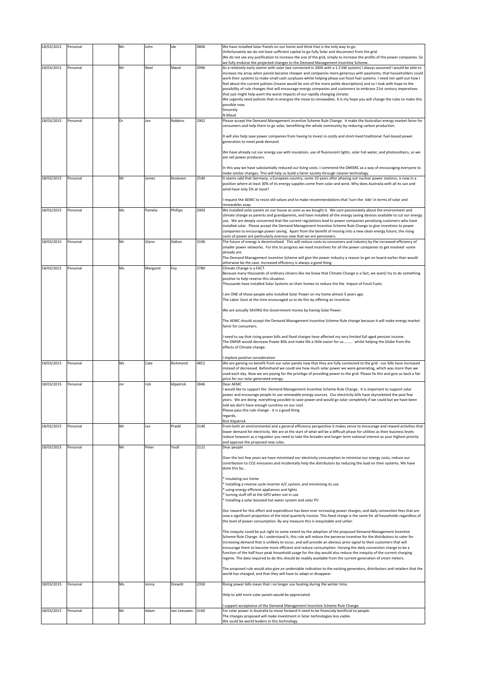| 18/03/2015 | Personal | Mr. | John     | Ide         | 3806 | We have installed Solar Panels on our home and think that is the only way to go.<br>Unfortunately we do not have sufficient capital to go fully Solar and disconnect from the grid.                                                                      |
|------------|----------|-----|----------|-------------|------|----------------------------------------------------------------------------------------------------------------------------------------------------------------------------------------------------------------------------------------------------------|
|            |          |     |          |             |      | We do not see any justification to increase the size of the grid, simply to increase the profits of the power companies. So<br>we fully endorse the projected changes to the Demand Management Incentive Scheme.                                         |
| 18/03/2015 | Personal | Mr  | Noel     | Maud        | 3996 | As a relatively early starter with solar (we connected in 2006 with a 1.3 kW system) I always assumed I would be able to                                                                                                                                 |
|            |          |     |          |             |      | increase my array when panels became cheaper and companies more generous with payments; that householders could<br>work their systems to make small cash surpluses whilst helping phase out fossil fuel systems. I need not spell out how I              |
|            |          |     |          |             |      | feel about the current policies (insane would be one of the more polite descriptions) and so I look with hope to the<br>possibility of rule changes that will encourage energy companies and customers to embrace 21st century imperatives               |
|            |          |     |          |             |      | that just might help avert the worst impacts of our rapidly changing climate.                                                                                                                                                                            |
|            |          |     |          |             |      | We urgently need policies that re-energise the move to renewables. It is my hope you will change the rules to make this<br>possible now.                                                                                                                 |
|            |          |     |          |             |      | Sincerely                                                                                                                                                                                                                                                |
| 18/03/2015 | Personal | Dr  | Jan      | Robbins     | 2902 | N Maud<br>Please accept the Demand Management Incentive Scheme Rule Change. It make the Australian energy market fairer for                                                                                                                              |
|            |          |     |          |             |      | consumers and help them to go solar, benefitting the whole community by reducing carbon production.                                                                                                                                                      |
|            |          |     |          |             |      | It will also help save power companies from having to invest in costly and short-lived traditional fuel-based power                                                                                                                                      |
|            |          |     |          |             |      | generation to meet peak demand.                                                                                                                                                                                                                          |
|            |          |     |          |             |      | We have already cut our energy use with insulation, use of fluorescent lights, solar hot water, and photovoltaics, so we                                                                                                                                 |
|            |          |     |          |             |      | are net power producers.                                                                                                                                                                                                                                 |
|            |          |     |          |             |      | In this way we have substantially reduced our living costs. I commend the DMISRC as a way of encouraging everyone to<br>make similar changes. This will help us build a fairer society through cleaner technology.                                       |
| 18/03/2015 | Personal | Mr  | James    | Kesteven    | 2540 | It seems odd that Germany, a European country, some 10 years after phasing out nuclear power stations, is now in a                                                                                                                                       |
|            |          |     |          |             |      | position where at least 30% of its energy supplies come from solar and wind. Why does Australia with all its sun and<br>wind have only 5% at most?                                                                                                       |
|            |          |     |          |             |      | request the AEMC to resist old values and to make recommendations that 'turn the tide' in terms of solar and                                                                                                                                             |
|            |          |     |          |             |      | renewables asap.                                                                                                                                                                                                                                         |
| 18/03/2015 | Personal | Ms  | Pamela   | Phillips    | 2903 | We installed solar panels on our house as soon as we bought it. We care passionately about the environment and<br>climate change as parents and grandparents, and have installed all the energy saving devices available to cut our energy               |
|            |          |     |          |             |      | use. We are deeply concerned that the current regulations lead to power companies penalising customers who have<br>installed solar. Please accept the Demand Management Incentive Scheme Rule Change to give incentives to power                         |
|            |          |     |          |             |      | companies to encourage power saving. Apart from the benefit of moving into a new clean energy future, the rising                                                                                                                                         |
| 18/03/2015 | Personal | Mr  | Glynn    | Dalton      | 3196 | costs of power are particularly onerous now that we are pensioners.<br>The future of energy is decentralised. This will reduce costs to consumers and industry by the increased efficiency of                                                            |
|            |          |     |          |             |      | smaller power networks. For this to progress we need incentives for all the power companies to get involved -some                                                                                                                                        |
|            |          |     |          |             |      | already are.<br>The Demand Management incentive Scheme will give the power industry a reason to get on board earlier than would                                                                                                                          |
| 18/03/2015 | Personal | Ms  | Margaret | Foy         | 2780 | otherwise be the case. Increased efficiency is always a good thing.<br>Climate Change is a FACT.                                                                                                                                                         |
|            |          |     |          |             |      | Because many thousands of ordinary citizens like me know that Climate Change is a fact, we want/try to do something                                                                                                                                      |
|            |          |     |          |             |      | positive to help reverse this situation.<br>Thousands have installed Solar Systems on their homes to reduce the the impact of Fossil Fuels.                                                                                                              |
|            |          |     |          |             |      | I am ONE of those people who installed Solar Power on my home almost 5 years ago.                                                                                                                                                                        |
|            |          |     |          |             |      | The Labor Govt at the time encouraged us to do this by offering an incentive.                                                                                                                                                                            |
|            |          |     |          |             |      | We are actually SAVING the Government money by having Solar Power.                                                                                                                                                                                       |
|            |          |     |          |             |      | The AEMC should accept the Demand Management Incentive Scheme Rule change because it will make energy market                                                                                                                                             |
|            |          |     |          |             |      |                                                                                                                                                                                                                                                          |
|            |          |     |          |             |      | fairer for consumers.                                                                                                                                                                                                                                    |
|            |          |     |          |             |      | I need to say that rising power bills and fixed charges have affected my very limited full aged pension income.                                                                                                                                          |
|            |          |     |          |             |      | The DMISR would decrease Power Bills and make life a little easier for us whilst helping the Globe from the<br>effects of Climate change.                                                                                                                |
|            |          |     |          |             |      | implore positive consideration                                                                                                                                                                                                                           |
| 18/03/2015 | Personal | Ms  | Cate     | Richmond    | 4852 | We are gaining no benefit from our solar panels now that they are fully connected to the grid - our bills have increased                                                                                                                                 |
|            |          |     |          |             |      | instead of decreased. Beforehand we could see how much solar power we were generating, which was more than we<br>used each day. Now we are paying for the privilege of providing power to the grid. Please fix this and give us back a fair              |
| 18/03/2015 | Personal | mr  | rick     | kilpatrick  | 2846 | price for our solar generated energy.<br>Dear AEMC                                                                                                                                                                                                       |
|            |          |     |          |             |      | I would like to support the Demand Management Incentive Scheme Rule Change. It is important to support solar                                                                                                                                             |
|            |          |     |          |             |      | power and encourage people to use renewable energy sources. Our electricity bills have skyrocketed the past few<br>years. We are doing everything possible to save power and would go solar completely if we could but we have been                      |
|            |          |     |          |             |      | told we don't have enough sunshine on our roof.<br>Please pass this rule change - it is a good thing                                                                                                                                                     |
|            |          |     |          |             |      | regards,                                                                                                                                                                                                                                                 |
| 18/03/2015 | Personal | Mr  | Les      | Pradd       | 3146 | <b>Rick Kilpatrick</b><br>From both an environmental and a general efficiency perspective it makes sense to encourage and reward activities that                                                                                                         |
|            |          |     |          |             |      | lower demand for electricity. We are at the start of what will be a difficult phase for utilities as their business levels<br>reduce however as a regulator you need to take the broader and longer term national interest as your highest priority      |
| 18/03/2015 | Personal | Mr  | Peter    | Youll       | 2121 | and approve the proposed new rules.<br>Dear people                                                                                                                                                                                                       |
|            |          |     |          |             |      |                                                                                                                                                                                                                                                          |
|            |          |     |          |             |      | Over the last few years we have minimised our electricity consumption to minimise our energy costs, reduce our<br>contribution to CO2 emissions and incidentally help the distributors by reducing the load on their systems. We have                    |
|            |          |     |          |             |      | done this by                                                                                                                                                                                                                                             |
|            |          |     |          |             |      | * insulating our home                                                                                                                                                                                                                                    |
|            |          |     |          |             |      | * installing a reverse cycle inverter A/C system, and minimising its use<br>* using energy efficient appliances and lights                                                                                                                               |
|            |          |     |          |             |      | turning stuff off at the GPO when not in use<br>* installing a solar boosted hot water system and solar PV.                                                                                                                                              |
|            |          |     |          |             |      |                                                                                                                                                                                                                                                          |
|            |          |     |          |             |      | Our reward for this effort and expenditure has been ever increasing power charges, and daily connection fees that are<br>now a significant proportion of the total quarterly invoice. This fixed charge is the same for all households regardless of     |
|            |          |     |          |             |      | the level of power consumption. By any measure this is inequitable and unfair.                                                                                                                                                                           |
|            |          |     |          |             |      | This inequity could be put right to some extent by the adoption of the proposed Demand Management Incentive<br>Scheme Rule Change. As I understand it, this rule will reduce the perverse incentive for the distributors to cater for                    |
|            |          |     |          |             |      | increasing demand that is unlikely to occur, and will provide an obvious price signal to their customers that will                                                                                                                                       |
|            |          |     |          |             |      | encourage them to become more efficient and reduce consumption. Varying the daily connection charge to be a<br>function of the half hour peak household usage for the day would also reduce the inequity of the current charging                         |
|            |          |     |          |             |      | regime. The data required to do this should be readily available from the current generation of smart meters.                                                                                                                                            |
|            |          |     |          |             |      | The proposed rule would also give an undeniable indication to the existing generators, distributors and retailers that the<br>world has changed, and that they will have to adapt or disappear.                                                          |
| 18/03/2015 | Personal | Ms  | Jenny    | Drewitt     | 2350 | Rising power bills mean that i no longer use heating during the winter time.                                                                                                                                                                             |
|            |          |     |          |             |      | Help to add more solar panels would be appreciated.                                                                                                                                                                                                      |
|            |          |     |          |             |      |                                                                                                                                                                                                                                                          |
| 18/03/2015 | Personal | Mr  | Adam     | van Leeuwen | 3160 | support acceptance of the Demand Management Incentive Scheme Rule Change.<br>For solar power in Asutralia to move forward it need to be financialy benificial to people.<br>The changes proposed will make investment in Solar technologies less viable. |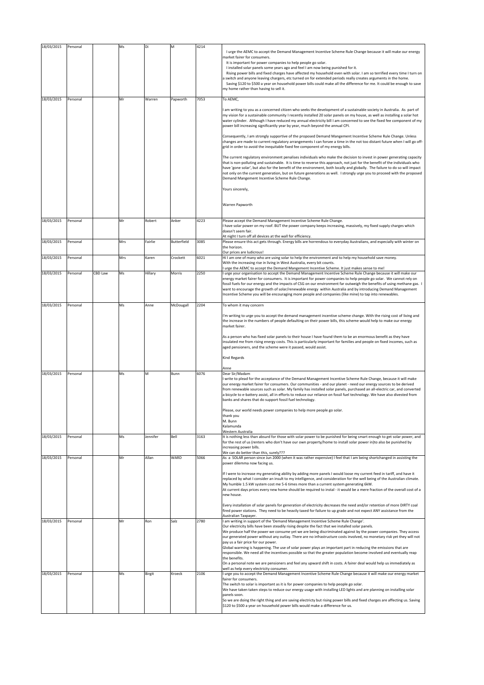| 18/03/2015 | Personal |         | Ms  | Di       | M           | 4214 | I urge the AEMC to accept the Demand Management Incentive Scheme Rule Change because it will make our energy<br>narket fairer for consumers.<br>It is important for power companies to help people go solar.<br>I installed solar panels some years ago and feel I am now being punished for it.<br>Rising power bills and fixed charges have affected my household even with solar. I am so terrified every time I turn on<br>switch and anyone leaving chargers, etc turned on for extended periods really creates arguments in the home.<br>Saving \$120 to \$500 a year on household power bills could make all the difference for me. It could be enough to save<br>my home rather than having to sell it. |
|------------|----------|---------|-----|----------|-------------|------|-----------------------------------------------------------------------------------------------------------------------------------------------------------------------------------------------------------------------------------------------------------------------------------------------------------------------------------------------------------------------------------------------------------------------------------------------------------------------------------------------------------------------------------------------------------------------------------------------------------------------------------------------------------------------------------------------------------------|
| 18/03/2015 | Personal |         | Mr  | Warren   | Papworth    | 7053 | To AEMC.                                                                                                                                                                                                                                                                                                                                                                                                                                                                                                                                                                                                                                                                                                        |
|            |          |         |     |          |             |      | I am writing to you as a concerned citizen who seeks the development of a sustainable society in Australia. As part of<br>my vision for a sustainable community I recently installed 20 solar panels on my house, as well as installing a solar hot<br>water cylinder. Although I have reduced my annual electricity bill I am concerned to see the fixed fee component of my<br>power bill increasing significantly year by year, much beyond the annual CPI.                                                                                                                                                                                                                                                  |
|            |          |         |     |          |             |      | Consequently, I am strongly supportive of the proposed Demand Mangement Incentive Scheme Rule Change. Unless<br>changes are made to current regulatory arrangements I can forsee a time in the not too distant future when I will go off-<br>grid in order to avoid the inequitable fixed fee component of my energy bills.                                                                                                                                                                                                                                                                                                                                                                                     |
|            |          |         |     |          |             |      | The current regulatory environment penalises individuals who make the decision to invest in power generating capacity<br>that is non-polluting and sustainable. It is time to reverse this approach, not just for the benefit of the individuals who<br>have 'gone solar', but also for the benefit of the environment, both locally and globally. The failure to do so will impact<br>not only on the current generation, but on future generations as well. I strongly urge you to proceed with the proposed<br>Demand Mangement Incentive Scheme Rule Change.                                                                                                                                                |
|            |          |         |     |          |             |      | Yours sincerely,                                                                                                                                                                                                                                                                                                                                                                                                                                                                                                                                                                                                                                                                                                |
|            |          |         |     |          |             |      | Warren Papworth                                                                                                                                                                                                                                                                                                                                                                                                                                                                                                                                                                                                                                                                                                 |
| 18/03/2015 | Personal |         | Mr  | Robert   | Anker       | 4223 | Please accept the Demand Management Incentive Scheme Rule Change.<br>I have solar power on my roof. BUT the power company keeps increasing, massively, my fixed supply charges which<br>doesn't seem fair.<br>At night I turn off all devices at the wall for efficiency.                                                                                                                                                                                                                                                                                                                                                                                                                                       |
| 18/03/2015 | Personal |         | Mrs | Fairlie  | Butterfield | 3085 | Please ensure this act gets through. Energy bills are horrendous to everyday Australians, and especially with winter on<br>the horizon.                                                                                                                                                                                                                                                                                                                                                                                                                                                                                                                                                                         |
| 18/03/2015 | Personal |         | Mrs | Karen    | Crockett    | 6021 | Our prices are ludicrous!<br>Hi I am one of many who are using solar to help the environment and to help my household save money.<br>With the increasing rise in living in West Australia, every bit counts.<br>I urge the AEMC to accept the Demand Mangement Incentive Scheme. It just makes sense to me!                                                                                                                                                                                                                                                                                                                                                                                                     |
| 18/03/2015 | Personal | CBD Law | Ms  | Hillary  | Morris      | 2250 | I urge your organisation to accept the Demand Management Incentive Scheme Rule Change because it will make our                                                                                                                                                                                                                                                                                                                                                                                                                                                                                                                                                                                                  |
|            |          |         |     |          |             |      | energy market fairer for consumers. It is important for power companies to help people go solar. We cannot rely on<br>fossil fuels for our energy and the impacts of CSG on our environment far outweigh the benefits of using methane gas. I<br>want to encourage the growth of solar/renewable energy within Australia and by introducing Demand Management<br>Incentive Scheme you will be encouraging more people and companies (like mine) to tap into renewables.                                                                                                                                                                                                                                         |
| 18/03/2015 | Personal |         | Ms  | Anne     | McDougall   | 2204 | To whom it may concern                                                                                                                                                                                                                                                                                                                                                                                                                                                                                                                                                                                                                                                                                          |
|            |          |         |     |          |             |      | I'm writing to urge you to accept the demand management incentive scheme change. With the rising cost of living and<br>the increase in the numbers of people defaulting on their power bills, this scheme would help to make our energy<br>market fairer.                                                                                                                                                                                                                                                                                                                                                                                                                                                       |
|            |          |         |     |          |             |      | As a person who has fixed solar panels to their house I have found them to be an enormous benefit as they have<br>insulated me from rising energy costs. This is particularly important for families and people on fixed incomes, such as<br>aged pensioners, and the scheme were it passed, would assist.                                                                                                                                                                                                                                                                                                                                                                                                      |
|            |          |         |     |          |             |      | Kind Regards<br>Anne                                                                                                                                                                                                                                                                                                                                                                                                                                                                                                                                                                                                                                                                                            |
| 18/03/2015 | Personal |         | Ms  | M        | Bunn        | 6076 | Dear Sir/Madam                                                                                                                                                                                                                                                                                                                                                                                                                                                                                                                                                                                                                                                                                                  |
|            |          |         |     |          |             |      | write to plead for the acceptance of the Demand Management Incentive Scheme Rule Change, because it will make<br>our energy market fairer for consumers. Our communities - and our planet - need our energy sources to be derived<br>from renewable sources such as solar. My family has installed solar panels, purchased an all-electric car, and converted<br>a bicycle to e-battery assist, all in efforts to reduce our reliance on fossil fuel technology. We have also divested from<br>banks and shares that do support fossil fuel technology.                                                                                                                                                         |
|            |          |         |     |          |             |      | Please, our world needs power companies to help more people go solar.<br>thank you<br>M. Bunn<br>Kalamunda                                                                                                                                                                                                                                                                                                                                                                                                                                                                                                                                                                                                      |
| 18/03/2015 | Personal |         | Ms  | Jennifer | Bell        | 3163 | Western Australia<br>It is nothing less than absurd for those with solar power to be punished for being smart enough to get solar power, and<br>for the rest of us (renters who don't have our own property/home to install solar power in)to also be punished by<br>increasing power bills.                                                                                                                                                                                                                                                                                                                                                                                                                    |
| 18/03/2015 | Personal |         | Mr  | Allan    | WARD        | 5066 | We can do better than this, surely???<br>As a SOLAR person since Jun 2000 (when it was rather expensive) I feel that I am being shortchanged in assisting the<br>power dilemma now facing us.                                                                                                                                                                                                                                                                                                                                                                                                                                                                                                                   |
|            |          |         |     |          |             |      | If I were to increase my generating ability by adding more panels I would loose my current feed in tariff, and have it<br>replaced by what I consider an insult to my intelligence, and consideration for the well being of the Australian climate.<br>My humble 1.5 kW system cost me 5-6 times more than a current system generating 6kW.<br>At current days prices every new home should be required to instal - it would be a mere fraction of the overall cost of a<br>new house.                                                                                                                                                                                                                          |
|            |          |         |     |          |             |      | Every installation of solar panels for generation of electricity decreases the need and/or retention of more DIRTY coal<br>fired power stations. They need to be heavily taxed for failure to up grade and not expect ANY assistance from the<br>Australian Taxpayer.                                                                                                                                                                                                                                                                                                                                                                                                                                           |
| 18/03/2015 | Personal |         | Mr  | Ron      | Salz        | 2780 | I am writing in support of the 'Demand Management Incentive Scheme Rule Change'.                                                                                                                                                                                                                                                                                                                                                                                                                                                                                                                                                                                                                                |
|            |          |         |     |          |             |      | Our electricity bills have been steadily rising despite the fact that we installed solar panels.<br>We produce half the power we consume yet we are being discriminated against by the power companies. They access<br>our generated power without any outlay. There are no infrastructure costs involved, no monetary risk yet they will not<br>pay us a fair price for our power.                                                                                                                                                                                                                                                                                                                             |
|            |          |         |     |          |             |      | Global warming is happening. The use of solar power plays an important part in reducing the emissions that are<br>responsible. We need all the incentives possible so that the greater population become involved and eventually reap<br>the benefits.                                                                                                                                                                                                                                                                                                                                                                                                                                                          |
|            |          |         |     |          |             |      | On a personal note we are pensioners and feel any upward shift in costs. A fairer deal would help us immediately as<br>well as help every electricity consumer.                                                                                                                                                                                                                                                                                                                                                                                                                                                                                                                                                 |
| 18/03/2015 | Personal |         | Ms  | Birgit   | Kroeck      | 2106 | I urge you to accept the Demand Management Incentive Scheme Rule Change because it will make our energy market                                                                                                                                                                                                                                                                                                                                                                                                                                                                                                                                                                                                  |
|            |          |         |     |          |             |      | fairer for consumers.                                                                                                                                                                                                                                                                                                                                                                                                                                                                                                                                                                                                                                                                                           |
|            |          |         |     |          |             |      | The switch to solar is important as it is for power companies to help people go solar.<br>We have taken taken steps to reduce our energy usage with installing LED lights and are planning on installing solar<br>panels soon.                                                                                                                                                                                                                                                                                                                                                                                                                                                                                  |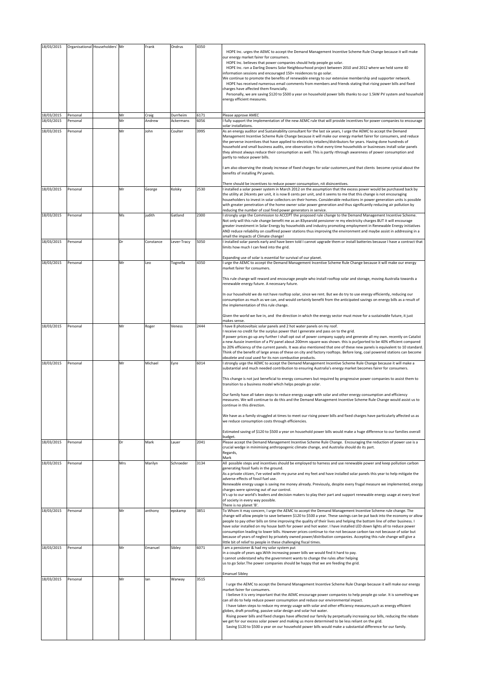| 18/03/2015<br>18/03/2015 | Organisational Householders' Mr<br>Personal | Mr  | Frank<br>Craig | Ondrus<br>Durrheim | 4350<br>6171 | HOPE Inc. urges the AEMC to accept the Demand Management Incentive Scheme Rule Change because it will make<br>our energy market fairer for consumers.<br>HOPE Inc. believes that power companies should help people go solar.<br>HOPE Inc. ran a Darling Downs Solar Neighbourhood project between 2010 and 2012 where we held some 40<br>nformation sessions and encouraged 150+ residences to go solar.<br>We continue to promote the benefits of renewable energy to our extensive membership and supporter network.<br>HOPE has received numerous email comments from members and friends stating that rising power bills and fixed<br>charges have affected them financially.<br>Personally, we are saving \$120 to \$500 a year on household power bills thanks to our 1.5kW PV system and household<br>energy efficient measures.<br>Please approve AMEC                                                       |
|--------------------------|---------------------------------------------|-----|----------------|--------------------|--------------|-----------------------------------------------------------------------------------------------------------------------------------------------------------------------------------------------------------------------------------------------------------------------------------------------------------------------------------------------------------------------------------------------------------------------------------------------------------------------------------------------------------------------------------------------------------------------------------------------------------------------------------------------------------------------------------------------------------------------------------------------------------------------------------------------------------------------------------------------------------------------------------------------------------------------|
| 18/03/2015               | Personal                                    | Mr  | Andrew         | Ackermans          | 6056         | I fully support the implementation of the new AEMC rule that will provide incentives for power companies to encourage<br>solar installations.                                                                                                                                                                                                                                                                                                                                                                                                                                                                                                                                                                                                                                                                                                                                                                         |
| 18/03/2015               | Personal                                    | Mr  | John           | Coulter            | 3995         | As an energy auditor and Sustainability consultant for the last six years, I urge the AEMC to accept the Demand<br>Management Incentive Scheme Rule Change because it will make our energy market fairer for consumers, and reduce<br>the perverse incentives that have applied to electricity retailers/distributors for years. Having done hundreds of<br>household and small business audits, one observation is that every time households or businesses install solar panels<br>they almost always reduce their consumption as well. This is partly rthrough awareness of power consumption and<br>partly to reduce power bills.<br>I am also observing the steady increase of fixed charges for solar customers, and that clients become cynical about the<br>benefits of installing PV panels.                                                                                                                 |
| 18/03/2015               | Personal                                    | Mr  | George         | Kolsky             | 2530         | There should be incentives to reduce power consumption, nit disincentives.<br>I installed a solar power system in March 2012 on the assumption that the excess power would be purchased back by<br>the utility at 24cents per unit, it is now 8 cents per unit, and it seems to me that this change is not encouraging<br>householders to invest in solar collectors on their homes. Considerable reductions in power generation units is possible<br>with greater penetration of the home owner solar power generation and thus significantly reducing air pollution by                                                                                                                                                                                                                                                                                                                                              |
| 18/03/2015               | Personal                                    | Ms  | judith         | Gatland            | 2300         | reducing the number of coal fired power generators in service.<br>I strongly urge the Commission to ACCEPT the proposed rule change to the Demand Management Incentive Scheme.<br>Not only will this rule change benefit me as an 83yearold pensioner re my electricity charges BUT it will encourage<br>greater investment in Solar Energy by households and industry promoting employment in Renewable Energy initiatives<br>AND reduce reliability on coalfired power stations thus improving the environment and maybe assist in addressing in a<br>small the impacts of Climate change!                                                                                                                                                                                                                                                                                                                          |
| 18/03/2015               | Personal                                    | Dr  | Constance      | Lever-Tracy        | 5050         | I installed solar panels early and have been told I cannot upgrade them or install batteries because I have a contract that<br>limits how much I can feed into the grid.                                                                                                                                                                                                                                                                                                                                                                                                                                                                                                                                                                                                                                                                                                                                              |
| 18/03/2015               | Personal                                    | Mr  | Leo            | Tognella           | 4350         | Expanding use of solar is essential for survival of our planet.<br>I urge the AEMC to accept the Demand Management Incentive Scheme Rule Change because it will make our energy<br>market fairer for consumers.                                                                                                                                                                                                                                                                                                                                                                                                                                                                                                                                                                                                                                                                                                       |
|                          |                                             |     |                |                    |              | This rule change will reward and encourage people who install rooftop solar and storage, moving Australia towards a<br>renewable energy future. A necessary future.                                                                                                                                                                                                                                                                                                                                                                                                                                                                                                                                                                                                                                                                                                                                                   |
|                          |                                             |     |                |                    |              | In our household we do not have rooftop solar, since we rent. But we do try to use energy efficiently, reducing our<br>consumption as much as we can, and would certainly benefit from the anticipated savings on energy bills as a result of<br>the implementation of this rule change.                                                                                                                                                                                                                                                                                                                                                                                                                                                                                                                                                                                                                              |
|                          |                                             |     |                |                    |              | Given the world we live in, and the direction in which the energy sector must move for a sustainable future, it just<br>makes sense.                                                                                                                                                                                                                                                                                                                                                                                                                                                                                                                                                                                                                                                                                                                                                                                  |
| 18/03/2015               | Personal                                    | Mr  | Roger          | Veness             | 2444         | I have 8 photovoltaic solar panels and 2 hot water panels on my roof.<br>I receive no credit for the surplus power that I generate and pass on to the grid.<br>If power prices go up any further I shall opt out of power company supply and generate all my own. recently on Catalist<br>a new Aussie invention of a PV panel about 200mm square was shown. this is pur[ported to be 40% efficient compared<br>to 20% efficiency of the current panels. It was also mentioned that one of these new panels is equivalent to 10 standard.<br>Think of the benefit of large areas of these on city and factory rooftops. Before long, coal powered stations can become<br>obsolete and coal used for its non combustive products.                                                                                                                                                                                      |
| 18/03/2015               | Personal                                    | Mr  | Michael        | Eyre               | 6014         | I strongly urge the AEMC to accept the Demand Management Incentive Scheme Rule Change because it will make a<br>substantial and much needed contribution to ensuring Australia's energy market becomes fairer for consumers.<br>This change is not just beneficial to energy consumers but required by progressive power companies to assist them to                                                                                                                                                                                                                                                                                                                                                                                                                                                                                                                                                                  |
|                          |                                             |     |                |                    |              | transition to a business model which helps people go solar.<br>Our family have all taken steps to reduce energy usage with solar and other energy consumption and efficiency<br>measures. We will continue to do this and the Demand Management Incentive Scheme Rule Change would assist us to<br>continue in this direction.                                                                                                                                                                                                                                                                                                                                                                                                                                                                                                                                                                                        |
|                          |                                             |     |                |                    |              | We have as a family struggled at times to meet our rising power bills and fixed charges have particularly affected us as<br>we reduce consumption costs through efficiencies.                                                                                                                                                                                                                                                                                                                                                                                                                                                                                                                                                                                                                                                                                                                                         |
| 18/03/2015               | Personal                                    | Dr  | Mark           | Lauer              | 2041         | Estimated saving of \$120 to \$500 a year on household power bills would make a huge difference to our families overall<br>budget.<br>Please accept the Demand Management Incentive Scheme Rule Change. Encouraging the reduction of power use is a                                                                                                                                                                                                                                                                                                                                                                                                                                                                                                                                                                                                                                                                   |
|                          |                                             |     |                |                    |              | crucial wedge in minimising anthropogenic climate change, and Australia should do its part.<br>Regards,<br>Mark                                                                                                                                                                                                                                                                                                                                                                                                                                                                                                                                                                                                                                                                                                                                                                                                       |
| 18/03/2015               | Personal                                    | Mrs | Marilyn        | Schroeder          | 3134         | All possible steps and incentives should be employed to harness and use renewable power and keep pollution carbon<br>generating fossil fuels in the ground.<br>As a private citizen, I've voted with my purse and my feet and have installed solar panels this year to help mitigate the<br>adverse effects of fossil fuel use.<br>Renewable energy usage is saving me money already. Previously, despite every frugal measure we implemented, energy<br>charges were spinning out of our control.<br>It's up to our world's leaders and decision makers to play their part and support renewable energy usage at every level<br>of society in every way possible.<br>There is no planet 'B'.                                                                                                                                                                                                                         |
| 18/03/2015               | Personal                                    | Mr  | anthony        | epskamp            | 3851         | To Whom it may concern, I urge the AEMC to accept the Demand Management Incentive Scheme rule change. The<br>change will allow people to save between \$120 to \$500 a year. These savings can be put back into the economy or allow<br>people to pay other bills on time improving the quality of their lives and helping the bottom line of other business. I<br>have solar installed on my house both for power and hot water. I have installed LED down lights all to reduce power<br>consumption leading to lower bills. However prices continue to rise not because carbon tax not because of solar but<br>because of years of neglect by privately owned power/distribution companies. Accepting this rule change will give a<br>little bit of relief to people in these challenging fiscal times.                                                                                                             |
| 18/03/2015               | Personal                                    | Mr  | Emanuel        | Sibley             | 6071         | I am a pensioner & had my solar system put<br>in a couple of years ago. With increasing power bills we would find it hard to pay.<br>I cannot understand why the government wants to change the rules after helping<br>us to go Solar. The power companies should be happy that we are feeding the grid.                                                                                                                                                                                                                                                                                                                                                                                                                                                                                                                                                                                                              |
| 18/03/2015               | Personal                                    | Mr  | lan            | Warway             | 3515         | <b>Emanuel Sibley</b><br>I urge the AEMC to accept the Demand Management Incentive Scheme Rule Change because it will make our energy<br>market fairer for consumers.<br>I believe it is very important that the AEMC encourage power companies to help people go solar. It is something we<br>can all do to help reduce power consumption and reduce our environmental impact.<br>I have taken steps to reduce my energy usage with solar and other efficiency measures, such as energy efficient<br>globes, draft proofing, passive solar design and solar hot water.<br>Rising power bills and fixed charges have affected our family by perpetually increasing our bills, reducing the rebate<br>we get for our excess solar power and making us more determined to be less reliant on the grid.<br>Saving \$120 to \$500 a year on our household power bills would make a substantial difference for our family. |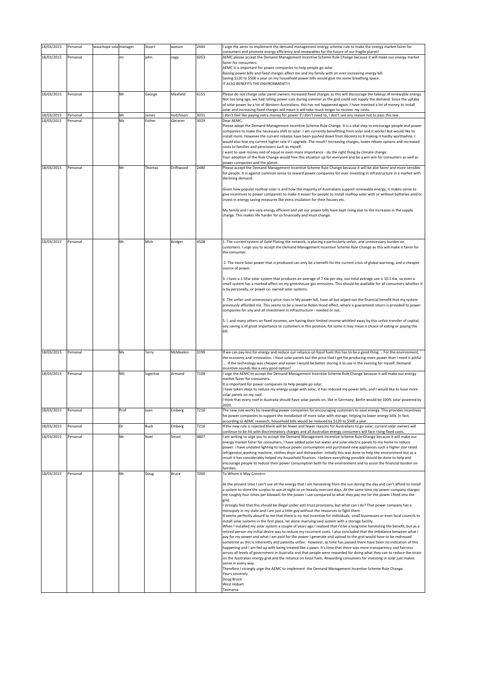| 18/03/2015               | Personal | wauchope sola manager |      | Stuart    | watson           | 2444 | I urge the aemc to implement the demand management energy scheme rule to make the energy market fairer for                                                                                                                                                                                                                                                                                                                                                                                                                                                                                                                                                                                                                                                                                                                                                                                                                                                                                                                                                                                                                                                                                                                                                                                                                        |
|--------------------------|----------|-----------------------|------|-----------|------------------|------|-----------------------------------------------------------------------------------------------------------------------------------------------------------------------------------------------------------------------------------------------------------------------------------------------------------------------------------------------------------------------------------------------------------------------------------------------------------------------------------------------------------------------------------------------------------------------------------------------------------------------------------------------------------------------------------------------------------------------------------------------------------------------------------------------------------------------------------------------------------------------------------------------------------------------------------------------------------------------------------------------------------------------------------------------------------------------------------------------------------------------------------------------------------------------------------------------------------------------------------------------------------------------------------------------------------------------------------|
|                          |          |                       |      |           |                  |      | consumers and promote energy efficiency and renewables for the future of our fragile planet!                                                                                                                                                                                                                                                                                                                                                                                                                                                                                                                                                                                                                                                                                                                                                                                                                                                                                                                                                                                                                                                                                                                                                                                                                                      |
| 18/03/2015               | Personal |                       | mr   | john      | nagy             | 6053 | AEMC please accept the Demand Management Incentive Scheme Rule Change because it will make our energy market<br>fairer for consumers.<br>AEMC it is important for power companies to help people go solar.<br>Raising power bills and fixed charges affect me and my family with an ever increasing energy bill.<br>Saving \$120 to \$500 a year on my household power bills would give me some breathing space.<br>IT ALSO BENEFITS THE ENVIRONMENT !!!                                                                                                                                                                                                                                                                                                                                                                                                                                                                                                                                                                                                                                                                                                                                                                                                                                                                          |
| 18/03/2015               | Personal |                       | Mr   | George    | Maxfield         | 6155 | Please do not charge solar panel owners increased fixed charges as this will discourage the takeup of renewable energy.<br>Not too long ago, we had rolling power cuts during summer as the grid could not supply the demand. Since the uptake<br>of solar power by a lot of Western Australians, this has not happened again. I have invested a lot of money to install<br>solar and increasing fixed charges will mean it will take much longer to recover my costs.                                                                                                                                                                                                                                                                                                                                                                                                                                                                                                                                                                                                                                                                                                                                                                                                                                                            |
| 18/03/2015               | Personal |                       | Mr   | James     | Hutchison        | 3031 | I don't feel like paying extra money for power if I don't need to, I don't see any reason not to pass this law.                                                                                                                                                                                                                                                                                                                                                                                                                                                                                                                                                                                                                                                                                                                                                                                                                                                                                                                                                                                                                                                                                                                                                                                                                   |
| 18/03/2015               | Personal |                       | Ms   | Esther    | Gleixner         | 3929 | Dear AEMC,<br>Please adopt the Demand Management Incentive Scheme Rule Change. It is a vital step to encourage people and power<br>companies to make the necessary shift to solar. I am currently benefitting from solar and it works! But would like to<br>install more. However the current rebates have been pushed down from 66cents to 8 making it hardly worthwhile. I<br>would also lose my current higher rate if I upgrade. The result? Increasing charges, lower rebate options and increased<br>costs to families and pensioners such as myself.<br>I want to save money and of equal or even more importance - do the right thing by climate change.<br>Your adoption of the Rule Change would free this situation up for everyone and be a win win for consumers as well as<br>power companies and the planet.                                                                                                                                                                                                                                                                                                                                                                                                                                                                                                       |
| 18/03/2015               | Personal |                       | Mr   | Thomas    | Driftwood        | 2480 | Please accept the Demand Management Incentive Scheme Rule Change because it will be alot fairer and more sensible<br>for people. It is against common sense to reward power companies for over-investing in infrastructure in a market with<br>declining demand.                                                                                                                                                                                                                                                                                                                                                                                                                                                                                                                                                                                                                                                                                                                                                                                                                                                                                                                                                                                                                                                                  |
|                          |          |                       |      |           |                  |      | Given how popular rooftop solar is and how the majority of Australians support renewable energy, it makes sense to<br>give incentives to power companies to make it easier for people to install rooftop solar with or without batteries and/or<br>invest in energy saving measures like extra insulation for their houses etc.                                                                                                                                                                                                                                                                                                                                                                                                                                                                                                                                                                                                                                                                                                                                                                                                                                                                                                                                                                                                   |
|                          |          |                       |      |           |                  |      | My family and I are very energy efficient and yet our power bills have kept rising due to the increases in the supply<br>charge. This makes life harder for us financially and must change.                                                                                                                                                                                                                                                                                                                                                                                                                                                                                                                                                                                                                                                                                                                                                                                                                                                                                                                                                                                                                                                                                                                                       |
| 18/03/2015               | Personal |                       | Mr   | Mick      | Bridger          | 4508 | 1. The current system of Gold Plating the network, is placing a particularly unfair, and unnecessary burden on<br>customers. I urge you to accept the Demand Management Incentive Scheme Rule Change as this will make it fairer for<br>the consumer.                                                                                                                                                                                                                                                                                                                                                                                                                                                                                                                                                                                                                                                                                                                                                                                                                                                                                                                                                                                                                                                                             |
|                          |          |                       |      |           |                  |      | 2. The more Solar power that is produced can only be a benefit for the current crisis of global warming, and a cheaper<br>source of power.                                                                                                                                                                                                                                                                                                                                                                                                                                                                                                                                                                                                                                                                                                                                                                                                                                                                                                                                                                                                                                                                                                                                                                                        |
|                          |          |                       |      |           |                  |      | 3. I have a 1.5Kw solar system that produces an average of 7 Kw per day, our total average use is 10.5 Kw, so even a<br>small system has a marked affect on my greenhouse gas emissions. This should be available for all consumers whether it<br>is by personally, or power co. owned solar systems.                                                                                                                                                                                                                                                                                                                                                                                                                                                                                                                                                                                                                                                                                                                                                                                                                                                                                                                                                                                                                             |
|                          |          |                       |      |           |                  |      | 4. The unfair and unnecessary price rises in My power bill, have all but wiped out the financial benefit that my system<br>previously afforded me. This seems to be a reverse Robin Hood effect, where a guaranteed return is provided to power<br>companies for any and all investment in infrastructure - needed or not.                                                                                                                                                                                                                                                                                                                                                                                                                                                                                                                                                                                                                                                                                                                                                                                                                                                                                                                                                                                                        |
|                          |          |                       |      |           |                  |      | 5. I, and many others on fixed incomes, are having their limited income whittled away by this unfair transfer of capital,<br>any saving is of great importance to customers in this position, for some it may mean a choice of eating or paying the<br>bill.                                                                                                                                                                                                                                                                                                                                                                                                                                                                                                                                                                                                                                                                                                                                                                                                                                                                                                                                                                                                                                                                      |
| 18/03/2015               | Personal |                       | Ms   | Terry     | McMeekin         | 3199 | If we can pay less for energy and reduce our reliance on fossil fuels this has to be a good thing  For the environment,<br>the economy and innovation. I have solar panels but the price that I get for producing more power than I need is pitiful<br>If the technology was cheaper and easier I would be better storing it to use in the evening for myself. Demand<br>incentive sounds like a very good option!                                                                                                                                                                                                                                                                                                                                                                                                                                                                                                                                                                                                                                                                                                                                                                                                                                                                                                                |
| 18/03/2015               | Personal |                       | MS   | Ingerlise | Armand           | 7109 | I urge the AEMC to accept the Demand Management Incentive Scheme Rule Change because it will make our energy<br>market fairer for consumers.<br>It is important for power companies to help people go solar.<br>I have taken steps to reduce my energy usage with solar, it has reduced my power bills, and I would like to have more<br>solar panels on my roof.<br>I think that every roof in Australia should have solar panels on, like in Germany. Berlin would be 100% solar powered by                                                                                                                                                                                                                                                                                                                                                                                                                                                                                                                                                                                                                                                                                                                                                                                                                                     |
|                          | Personal |                       | Prof | Joan      |                  | 7216 | 2020.<br>The new rule works by rewarding power companies for encouraging customers to save energy. This provides incentives                                                                                                                                                                                                                                                                                                                                                                                                                                                                                                                                                                                                                                                                                                                                                                                                                                                                                                                                                                                                                                                                                                                                                                                                       |
| 18/03/2015<br>18/03/2015 | Personal |                       | Dr   | Buck      | Emberg<br>Emberg | 7216 | for power companies to support the installation of more solar with storage, helping to lower energy bills. In fact,<br>according to AEMC research, household bills would be reduced by \$120 to \$500 a year.<br>If the new rule is rejected there will be fewer and fewer reasons for Australians to go solar; current solar owners will                                                                                                                                                                                                                                                                                                                                                                                                                                                                                                                                                                                                                                                                                                                                                                                                                                                                                                                                                                                         |
|                          |          |                       |      |           |                  |      | continue to be hit with discriminatory charges and all Australian energy consumers will face rising fixed costs.                                                                                                                                                                                                                                                                                                                                                                                                                                                                                                                                                                                                                                                                                                                                                                                                                                                                                                                                                                                                                                                                                                                                                                                                                  |
| 18/03/2015               | Personal |                       | Mr   | Noel      | Smart            | 4807 | I am writing to urge you to accept the Demand Management Incentive Scheme Rule Change because it will make our<br>energy market fairer for consumers. I have added solar hot water and solar electric panels to my home to reduce<br>power. I have undated lighting to reduce power consumption and purchased new appliances such a higher star rated<br>refrigerator, washing machine, clothes dryer and dishwasher. Initially this was done to help the environment but as a<br>result it has considerably helped my household finances. I believe everything possible should be done to help and<br>encourage people to reduce their power consumption both for the environment and to assist the financial burden on<br>families.                                                                                                                                                                                                                                                                                                                                                                                                                                                                                                                                                                                             |
| 18/03/2015               | Personal |                       | Mr   | Doug      | Bruce            | 7000 | To Whom It May Concern                                                                                                                                                                                                                                                                                                                                                                                                                                                                                                                                                                                                                                                                                                                                                                                                                                                                                                                                                                                                                                                                                                                                                                                                                                                                                                            |
|                          |          |                       |      |           |                  |      | At the present time I can't use all the energy that I am harvesting from the sun during the day and can't afford to install<br>a system to store the surplus to use at night or on heavily overcast days. At the same time my power company charges<br>me roughly four times per kilowatt for the power I use compared to what they pay me for the power I feed into the<br>grid.<br>I strongly feel that this should be illegal under anti-trust provisions, but what can I do? That power company has a                                                                                                                                                                                                                                                                                                                                                                                                                                                                                                                                                                                                                                                                                                                                                                                                                         |
|                          |          |                       |      |           |                  |      | monopoly in my state and I am just a little guy without the resources to fight them.<br>It seems perfectly absurd to me that there is no real incentive for individuals, small businesses or even local councils to<br>install solar systems in the first place, let alone marrying said system with a storage facility.<br>When I installed my solar system a couple of years ago I realised that I'd be a long time harvesting the benefit, but as a<br>retired person my initial desire was to reduce my recurrent costs. I also concluded that the imbalance between what I<br>pay for my power and what I am paid for the power I generate and upload to the grid would have to be redressed<br>sometime as this is inherently and patently unfair. However, as time has passed there have been no indication of this<br>happening and I am fed up with being treated like a pawn. It's time that there was more transparency and fairness<br>across all levels of government in Australia and that people were rewarded for doing what they can to reduce the strain<br>on the Australian energy grid and the reliance on fossil fuels. Rewarding consumers for investing in solar just makes<br>sense in every way.<br>Therefore I strongly urge the AEMC to implement the Demand Management Incentive Scheme Rule Change. |
|                          |          |                       |      |           |                  |      | Yours sincerely<br>Doug Bruce<br>West Hobart<br>Tasmania                                                                                                                                                                                                                                                                                                                                                                                                                                                                                                                                                                                                                                                                                                                                                                                                                                                                                                                                                                                                                                                                                                                                                                                                                                                                          |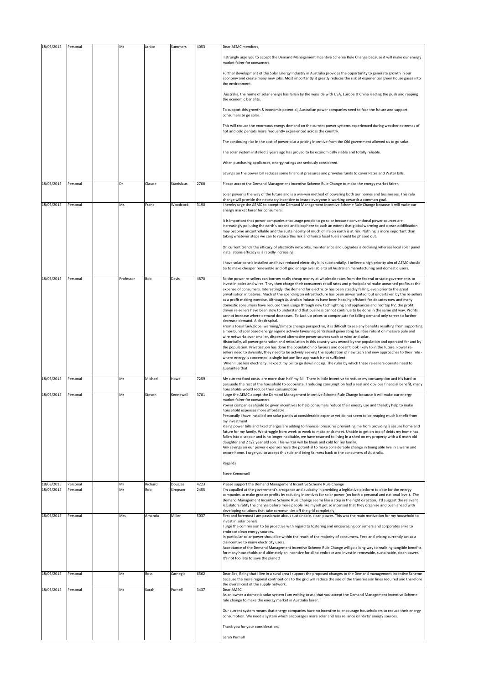| 18/03/2015               | Personal             | Ms        | Janice         | Summers            | 4053         | Dear AEMC members,                                                                                                                                                                                                                                                                                                                                                                                                                                                                                                                                                                                                                                                                                                                                                                                                                                                                                                                                                                                                                                                                                                                                                                                                                                                                                                                                                                                                                                                                                                                                                                                                                                                                                                                                                                                                                                                                                                                                                                 |
|--------------------------|----------------------|-----------|----------------|--------------------|--------------|------------------------------------------------------------------------------------------------------------------------------------------------------------------------------------------------------------------------------------------------------------------------------------------------------------------------------------------------------------------------------------------------------------------------------------------------------------------------------------------------------------------------------------------------------------------------------------------------------------------------------------------------------------------------------------------------------------------------------------------------------------------------------------------------------------------------------------------------------------------------------------------------------------------------------------------------------------------------------------------------------------------------------------------------------------------------------------------------------------------------------------------------------------------------------------------------------------------------------------------------------------------------------------------------------------------------------------------------------------------------------------------------------------------------------------------------------------------------------------------------------------------------------------------------------------------------------------------------------------------------------------------------------------------------------------------------------------------------------------------------------------------------------------------------------------------------------------------------------------------------------------------------------------------------------------------------------------------------------------|
|                          |                      |           |                |                    |              | I strongly urge you to accept the Demand Management Incentive Scheme Rule Change because it will make our energy<br>market fairer for consumers.                                                                                                                                                                                                                                                                                                                                                                                                                                                                                                                                                                                                                                                                                                                                                                                                                                                                                                                                                                                                                                                                                                                                                                                                                                                                                                                                                                                                                                                                                                                                                                                                                                                                                                                                                                                                                                   |
|                          |                      |           |                |                    |              | Further development of the Solar Energy Industry in Australia provides the opportunity to generate growth in our<br>economy and create many new jobs. Most importantly it greatly reduces the risk of exponential green house gases into<br>the environment.                                                                                                                                                                                                                                                                                                                                                                                                                                                                                                                                                                                                                                                                                                                                                                                                                                                                                                                                                                                                                                                                                                                                                                                                                                                                                                                                                                                                                                                                                                                                                                                                                                                                                                                       |
|                          |                      |           |                |                    |              | Australia, the home of solar energy has fallen by the wayside with USA, Europe & China leading the push and reaping<br>the economic benefits.                                                                                                                                                                                                                                                                                                                                                                                                                                                                                                                                                                                                                                                                                                                                                                                                                                                                                                                                                                                                                                                                                                                                                                                                                                                                                                                                                                                                                                                                                                                                                                                                                                                                                                                                                                                                                                      |
|                          |                      |           |                |                    |              | To support this growth & economic potential, Australian power companies need to face the future and support<br>consumers to go solar.                                                                                                                                                                                                                                                                                                                                                                                                                                                                                                                                                                                                                                                                                                                                                                                                                                                                                                                                                                                                                                                                                                                                                                                                                                                                                                                                                                                                                                                                                                                                                                                                                                                                                                                                                                                                                                              |
|                          |                      |           |                |                    |              | This will reduce the enormous energy demand on the current power systems experienced during weather extremes of<br>hot and cold periods more frequently experienced across the country.                                                                                                                                                                                                                                                                                                                                                                                                                                                                                                                                                                                                                                                                                                                                                                                                                                                                                                                                                                                                                                                                                                                                                                                                                                                                                                                                                                                                                                                                                                                                                                                                                                                                                                                                                                                            |
|                          |                      |           |                |                    |              | The continuing rise in the cost of power plus a pricing incentive from the Qld government allowed us to go solar.                                                                                                                                                                                                                                                                                                                                                                                                                                                                                                                                                                                                                                                                                                                                                                                                                                                                                                                                                                                                                                                                                                                                                                                                                                                                                                                                                                                                                                                                                                                                                                                                                                                                                                                                                                                                                                                                  |
|                          |                      |           |                |                    |              | The solar system installed 3 years ago has proved to be economically viable and totally reliable.                                                                                                                                                                                                                                                                                                                                                                                                                                                                                                                                                                                                                                                                                                                                                                                                                                                                                                                                                                                                                                                                                                                                                                                                                                                                                                                                                                                                                                                                                                                                                                                                                                                                                                                                                                                                                                                                                  |
|                          |                      |           |                |                    |              | When purchasing appliances, energy ratings are seriously considered.                                                                                                                                                                                                                                                                                                                                                                                                                                                                                                                                                                                                                                                                                                                                                                                                                                                                                                                                                                                                                                                                                                                                                                                                                                                                                                                                                                                                                                                                                                                                                                                                                                                                                                                                                                                                                                                                                                               |
|                          |                      |           |                |                    |              | Savings on the power bill reduces some financial pressures and provides funds to cover Rates and Water bills.                                                                                                                                                                                                                                                                                                                                                                                                                                                                                                                                                                                                                                                                                                                                                                                                                                                                                                                                                                                                                                                                                                                                                                                                                                                                                                                                                                                                                                                                                                                                                                                                                                                                                                                                                                                                                                                                      |
| 18/03/2015               | Personal             | Dr        | Claude         | Stanislaus         | 2768         | Please accept the Demand Management Incentive Scheme Rule Change to make the energy market fairer.                                                                                                                                                                                                                                                                                                                                                                                                                                                                                                                                                                                                                                                                                                                                                                                                                                                                                                                                                                                                                                                                                                                                                                                                                                                                                                                                                                                                                                                                                                                                                                                                                                                                                                                                                                                                                                                                                 |
| 18/03/2015               | Personal             | Mr.       | Frank          | Woodcock           | 3190         | Solar power is the way of the future and is a win-win method of powering both our homes and businesses. This rule<br>change will provide the necessary incentive to insure everyone is working towards a common goal.<br>I hereby urge the AEMC to accept the Demand Management Incentive Scheme Rule Change because it will make our<br>energy market fairer for consumers.                                                                                                                                                                                                                                                                                                                                                                                                                                                                                                                                                                                                                                                                                                                                                                                                                                                                                                                                                                                                                                                                                                                                                                                                                                                                                                                                                                                                                                                                                                                                                                                                       |
|                          |                      |           |                |                    |              | It is important that power companies encourage people to go solar because conventional power sources are<br>increasingly polluting the earth's oceans and biosphere to such an extent that global warming and ocean acidification<br>may become uncontrollable and the sustainability of much of life on earth is at risk. Nothing is more important than<br>taking whatever steps we can to reduce this risk and hence fossil fuels should be phased out.                                                                                                                                                                                                                                                                                                                                                                                                                                                                                                                                                                                                                                                                                                                                                                                                                                                                                                                                                                                                                                                                                                                                                                                                                                                                                                                                                                                                                                                                                                                         |
|                          |                      |           |                |                    |              | On current trends the efficacy of electricity networks, maintenance and upgrades is declining whereas local solar panel<br>installations efficacy is is rapidly increasing.                                                                                                                                                                                                                                                                                                                                                                                                                                                                                                                                                                                                                                                                                                                                                                                                                                                                                                                                                                                                                                                                                                                                                                                                                                                                                                                                                                                                                                                                                                                                                                                                                                                                                                                                                                                                        |
|                          |                      |           |                |                    |              | I have solar panels installed and have reduced electricity bills substantially. I believe a high priority aim of AEMC should<br>be to make cheaper renewable and off grid energy available to all Australian manufacturing and domestic users.                                                                                                                                                                                                                                                                                                                                                                                                                                                                                                                                                                                                                                                                                                                                                                                                                                                                                                                                                                                                                                                                                                                                                                                                                                                                                                                                                                                                                                                                                                                                                                                                                                                                                                                                     |
| 18/03/2015               | Personal             | Professor | Bob            | Davis              | 4870         | So the power re-sellers can borrow really cheap money at wholesale rates from the federal or state governments to<br>invest in poles and wires. They then charge their consumers retail rates and principal and make unearned profits at the<br>expense of consumers. Interestingly, the demand for electricity has been steadily falling, even prior to the great<br>privatisation initiatives. Much of the spending on infrastructure has been unwarranted, but undertaken by the re-sellers<br>as a profit making exercise. Although Australian industries have been heading offshore for decades now and many<br>domestic consumers have reduced their usage through new tech lighting and appliances and rooftop PV, the profit<br>driven re-sellers have been slow to understand that business cannot continue to be done in the same old way. Profits<br>cannot increase where demand decreases. To Jack up prices to compensate for falling demand only serves to further<br>decrease demand. A death spiral.<br>From a fossil fuel/global warming/climate change perspective, it is difficult to see any benefits resulting from supporting<br>a moribund coal based energy regime actively favouring centralised generating facilities reliant on massive pole and<br>wire networks over smaller, dispersed alternative power sources such as wind and solar.<br>Historically, all power generation and reticulation in this country was owned by the population and operated for and by<br>the population. Privatisation has done the population no favours and doesn't look likely to in the future. Power re-<br>sellers need to diversify, they need to be actively seeking the application of new tech and new approaches to their role -<br>where energy is concerned, a single bottom line approach is not sufficient.<br>When I use less electricity, I expect my bill to go down not up. The rules by which these re-sellers operate need to<br>guarantee that. |
| 18/03/2015               | Personal             | Mr        | Michael        | Howe               | 7259         | My current fixed costs are more than half my Bill. There is little incentive to reduce my consumption and it's hard to<br>persuade the rest of the household to cooperate. I reducing consumption had a real and obvious financial benefit, many                                                                                                                                                                                                                                                                                                                                                                                                                                                                                                                                                                                                                                                                                                                                                                                                                                                                                                                                                                                                                                                                                                                                                                                                                                                                                                                                                                                                                                                                                                                                                                                                                                                                                                                                   |
| 18/03/2015               | Personal             | Mr        | Steven         | Kennewell          | 3781         | households would reduce their consumption<br>I urge the AEMC accept the Demand Management Incentive Scheme Rule Change because it will make our energy<br>market fairer for consumers.<br>Power companies should be given incentives to help consumers reduce their energy use and thereby help to make<br>household expenses more affordable.<br>Personally I have installed ten solar panels at considerable expense yet do not seem to be reaping much benefit from<br>my investment.<br>Rising power bills and fixed charges are adding to financial pressures preventing me from providing a secure home and<br>future for my family. We struggle from week to week to make ends meet. Unable to get on top of debts my home has<br>fallen into disrepair and is no longer habitable, we have resorted to living in a shed on my property with a 6 moth old<br>daughter and 2 1/2 year old son. This winter will be bleak and cold for my family.<br>Any savings on our power expenses have the potential to make considerable change in being able live in a warm and<br>secure home. I urge you to accept this rule and bring fairness back to the consumers of Australia.<br>Regards<br>Steve Kennewell                                                                                                                                                                                                                                                                                                                                                                                                                                                                                                                                                                                                                                                                                                                                                                    |
| 18/03/2015<br>18/03/2015 | Personal<br>Personal | Mr<br>Mr  | Richard<br>Rob | Douglas<br>Simpson | 4223<br>2455 | Please support the Demand Management Incentive Scheme Rule Change<br>I'm appalled at the government's arrogance and audacity in providing a legislative platform to date for the energy                                                                                                                                                                                                                                                                                                                                                                                                                                                                                                                                                                                                                                                                                                                                                                                                                                                                                                                                                                                                                                                                                                                                                                                                                                                                                                                                                                                                                                                                                                                                                                                                                                                                                                                                                                                            |
|                          |                      |           |                |                    |              | companies to make greater profits by reducing incentives for solar power (on both a personal and national level). The<br>Demand Management Incentive Scheme Rule Change seems like a step in the right direction. I'd suggest the relevant<br>legislators ratify the change before more people like myself get so incensed that they organise and push ahead with<br>developing solutions that take communities off the grid completely!                                                                                                                                                                                                                                                                                                                                                                                                                                                                                                                                                                                                                                                                                                                                                                                                                                                                                                                                                                                                                                                                                                                                                                                                                                                                                                                                                                                                                                                                                                                                           |
| 18/03/2015               | Personal             | Mrs       | Amanda         | Miller             | 5037         | First and foremost I am passionate about sustainable, clean power. This was the main motivation for my household to<br>invest in solar panels.<br>I urge the commission to be proactive with regard to fostering and encouraging consumers and corporates alike to<br>embrace clean energy sources.<br>In particular solar power should be within the reach of the majority of consumers. Fees and pricing currently act as a<br>disincentive to many electricity users.<br>Acceptance of the Demand Management Incentive Scheme Rule Change will go a long way to realising tangible benefits<br>for many households and ultimately an incentive for all to embrace and invest in renewable, sustainable, clean power.<br>It's not too late to save the planet!                                                                                                                                                                                                                                                                                                                                                                                                                                                                                                                                                                                                                                                                                                                                                                                                                                                                                                                                                                                                                                                                                                                                                                                                                   |
| 18/03/2015               | Personal             | Mr        | Ross           | Carnegie           | 6562         | Dear Sirs, Being that I live in a rural area I support the proposed changes to the Demand management Incentive Scheme<br>because the more regional contributions to the grid will reduce the size of the transmission lines required and therefore<br>the overall cost of the supply network.                                                                                                                                                                                                                                                                                                                                                                                                                                                                                                                                                                                                                                                                                                                                                                                                                                                                                                                                                                                                                                                                                                                                                                                                                                                                                                                                                                                                                                                                                                                                                                                                                                                                                      |
| 18/03/2015               | Personal             | Ms        | Sarah          | Purnell            | 3437         | Dear AMEC<br>As an owner a domestic solar system I am writing to ask that you accept the Demand Management Incentive Scheme<br>rule change to make the energy market in Australia fairer.                                                                                                                                                                                                                                                                                                                                                                                                                                                                                                                                                                                                                                                                                                                                                                                                                                                                                                                                                                                                                                                                                                                                                                                                                                                                                                                                                                                                                                                                                                                                                                                                                                                                                                                                                                                          |
|                          |                      |           |                |                    |              | Our current system means that energy companies have no incentive to encourage householders to reduce their energy<br>consumption. We need a system which encourages more solar and less reliance on 'dirty' energy sources.                                                                                                                                                                                                                                                                                                                                                                                                                                                                                                                                                                                                                                                                                                                                                                                                                                                                                                                                                                                                                                                                                                                                                                                                                                                                                                                                                                                                                                                                                                                                                                                                                                                                                                                                                        |
|                          |                      |           |                |                    |              | Thank you for your consideration,<br>Sarah Purnell                                                                                                                                                                                                                                                                                                                                                                                                                                                                                                                                                                                                                                                                                                                                                                                                                                                                                                                                                                                                                                                                                                                                                                                                                                                                                                                                                                                                                                                                                                                                                                                                                                                                                                                                                                                                                                                                                                                                 |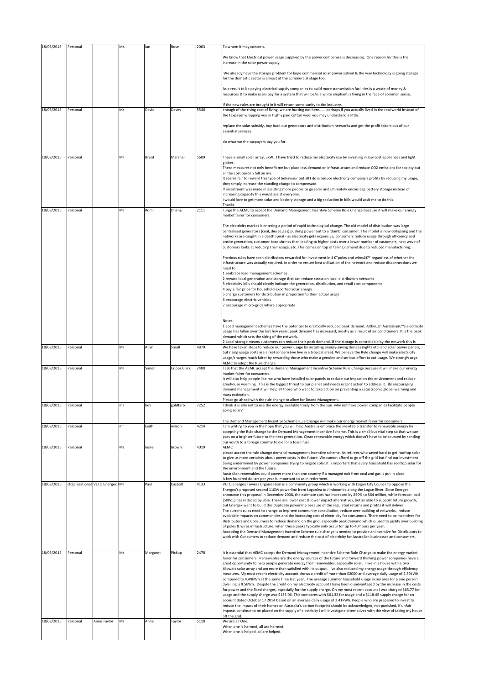| 18/03/2015 | Personal                        |             | Mr. | lan      | Rose         | 2063 | To whom it may concern,                                                                                                                                                                                                                                                                                                                                          |
|------------|---------------------------------|-------------|-----|----------|--------------|------|------------------------------------------------------------------------------------------------------------------------------------------------------------------------------------------------------------------------------------------------------------------------------------------------------------------------------------------------------------------|
|            |                                 |             |     |          |              |      | We know that Electrical power usage supplied by the power companies is decreasing. One reason for this is the<br>increase in the solar power supply.                                                                                                                                                                                                             |
|            |                                 |             |     |          |              |      | We already have the storage problem for large commercial solar power solved & the way technology is going storage<br>for the domestic sector is almost at the commercial stage too.                                                                                                                                                                              |
|            |                                 |             |     |          |              |      | As a result to be paying electrical supply companies to build more transmission facilities is a waste of money &<br>resources & to make users pay for a system that will be/is a white elephant is flying in the face of common sense.                                                                                                                           |
| 18/03/2015 | Personal                        |             | Mr  | David    | Davey        | 5540 | If the new rules are brought in it will return some sanity to the industry.<br>enough of the rising cost of living, we are hurting out hereperhaps if you actually lived in the real world instead of<br>the taxpayer wrapping you in highly paid cotton wool you may understand a little.                                                                       |
|            |                                 |             |     |          |              |      | replace the solar subsidy, buy back our generators and distribution networks and get the profit takers out of our<br>essential services.                                                                                                                                                                                                                         |
|            |                                 |             |     |          |              |      | do what we the taxpayers pay you for.                                                                                                                                                                                                                                                                                                                            |
| 18/03/2015 | Personal                        |             | Mr  | Brent    | Marshall     | 5609 | I have a small solar array, 3kW. I have tried to reduce my electricity use by investing in low cost appliances and light<br>globes.                                                                                                                                                                                                                              |
|            |                                 |             |     |          |              |      | These measures not only benefit me but place less demand on infrastructure and reduce CO2 emissions for society but<br>all the cost burden fell on me.<br>It seems fair to reward this type of behaviour but all I do is reduce electricity company's profits by reducing my usage,                                                                              |
|            |                                 |             |     |          |              |      | they simply increase the standing charge to compensate.<br>If investment was made in assisting more people to go solar and ultimately encourage battery storage instead of                                                                                                                                                                                       |
|            |                                 |             |     |          |              |      | increasing capacity this would assist everyone.<br>would love to get more solar and battery storage and a big reduction in bills would assit me to do this.                                                                                                                                                                                                      |
| 18/03/2015 | Personal                        |             | Mr  | Romi     | Dhanji       | 2111 | Thanks<br>I urge the AEMC to accept the Demand Management Incentive Scheme Rule Change because it will make our energy<br>market fairer for consumers.                                                                                                                                                                                                           |
|            |                                 |             |     |          |              |      | The electricity market is entering a period of rapid technological change. The old model of distribution was large<br>centralised generators (coal, diesel, gas) pushing power out to a 'dumb' consumer. This model is now collapsing and the                                                                                                                    |
|            |                                 |             |     |          |              |      | networks are caught in a death spiral - as electricity gets expensive, consumers reduce usage through efficiency and<br>onsite generation, customer base shrinks then leading to higher costs over a lower number of customers, next wave of<br>customers looks at reducing their usage, etc. This comes on top of falling demand due to reduced manufacturing.  |
|            |                                 |             |     |          |              |      | Previous rules have seen distributors rewarded for investment in †poles and wires' regardless of whether the<br>infrastructure was actually required. In order to ensure best utilisation of the network and reduce disconnections we                                                                                                                            |
|            |                                 |             |     |          |              |      | need to:<br>1.embrace load management schemes                                                                                                                                                                                                                                                                                                                    |
|            |                                 |             |     |          |              |      | 2.reward local generation and storage that can reduce stress on local distribution networks<br>3. electricity bills should clearly indicate the generation, distribution, and retail cost components<br>4.pay a fair price for household exported solar energy                                                                                                   |
|            |                                 |             |     |          |              |      | 5.charge customers for distribution in proportion to their actual usage<br>6.encourage electric vehicles                                                                                                                                                                                                                                                         |
|            |                                 |             |     |          |              |      | 7.encourage micro-grids where appropriate                                                                                                                                                                                                                                                                                                                        |
|            |                                 |             |     |          |              |      | Notes:<br>1. Load management schemes have the potential to drastically reduced peak demand. Although Australia's electricity                                                                                                                                                                                                                                     |
|            |                                 |             |     |          |              |      | usage has fallen over the last few years, peak demand has increased, mostly as a result of air conditioners. It is the peak<br>demand which sets the sizing of the network.                                                                                                                                                                                      |
|            |                                 |             |     |          |              |      |                                                                                                                                                                                                                                                                                                                                                                  |
| 18/03/2015 | Personal                        |             | Mr  | Allan    | Small        | 4879 | 2. Local storage means customers can reduce their peak demand. If the storage is controllable by the network this is<br>We have taken steps to reduce our power usage by installing energy-saving devices (lights etc) and solar power panels,                                                                                                                   |
|            |                                 |             |     |          |              |      | but rising usage costs are a real concern (we live in a tropical area). We believe the Rule change will make electricity<br>usage/charges much fairer by rewarding those who make a genuine and serious effort to cut usage. We strongly urge                                                                                                                    |
| 18/03/2015 | Personal                        |             | Mr  | Simon    | Cripps Clark | 2480 | AEMC to adopt the Rule change.<br>ask that the AEMC accept the Demand Management Incentive Scheme Rule Change because it will make our energy<br>market fairer for consumers.                                                                                                                                                                                    |
|            |                                 |             |     |          |              |      | It will also help people like me who have installed solar panels to reduce our impact on the environment and reduce<br>greehouse warming. This is the biggest threat to our planet and needs urgent action to address it. By encouraging                                                                                                                         |
|            |                                 |             |     |          |              |      | demand management it will help all those who want to take action on preventing a catastrophic globel warming and<br>mass extinction.                                                                                                                                                                                                                             |
| 18/03/2015 | Personal                        |             | ms  | bev      | goldfarb     | 7252 | Please go ahead with the rule change to allow for Deand Managment.<br>I think it is silly not to use the energy available freely from the sun. why not have power companies facilitate people<br>going solar?                                                                                                                                                    |
|            | Personal                        |             | mr  | keith    | wilson       | 4214 | The Demand Management Incentive Scheme Rule Change will make our energy market fairer for consumers.<br>am writing to you in the hope that you will help Australia embrace the inevitable transfer to renewable energy by                                                                                                                                        |
| 18/03/2015 |                                 |             |     |          |              |      | accepting the Rule change to the Demand Management Incentive Scheme. This is a small but vital step so that we can<br>pass on a brighter future to the next generation. Clean renewable energy which doesn't have to be sourced by sending<br>our youth to a foreign country to die for a fossil fuel.                                                           |
| 18/03/2015 | Personal                        |             | Ms  | leslie   | brown        | 4019 | AEMC<br>please accept the rule change demand management incentive scheme. As retirees who saved hard to get rooftop solar                                                                                                                                                                                                                                        |
|            |                                 |             |     |          |              |      | to give us more certainty about power costs in the future. We cannot afford to go off the grid but find our investment<br>being undermined by power companies trying to negate solar.It is important that every household has rooftop solar for<br>the environment and the future.                                                                               |
|            |                                 |             |     |          |              |      | Australian renewables could power more than one country if a managed exit from coal and gas is put in place.<br>A few hundred dollars per year is important to us in retirement.                                                                                                                                                                                 |
| 18/03/2015 | Organisational VETO Energex 1Mr |             |     | Paul     | Casbolt      | 4133 | VETO Energex Towers Organisation is a community group which is working with Logan City Council to oppose the<br>Energex's proposed second 110kV powerline from Loganlea to Jimboomba along the Logan River. Since Energex                                                                                                                                        |
|            |                                 |             |     |          |              |      | announce this proposal in December 2008, the estimate cost has increased by 250% to \$64 million, while forecast load<br>(50PoE) has reduced by 35%. There are lower cost & lower impact alternatives, better able to support future growth,<br>but Energex want to build this duplicate powerline because of the regulated returns and profits it will deliver. |
|            |                                 |             |     |          |              |      | The current rules need to change to improve community consultation, reduce over-building of networks, reduce<br>avoidable impacts on communities and the increasing cost of electricity for consumers. There need to be incentives for                                                                                                                           |
|            |                                 |             |     |          |              |      | Distributors and Consumers to reduce demand on the grid, especially peak demand which is used to justify over building<br>of poles & wires infrastructure, when these peaks typically only occur for up to 40 hours per year.                                                                                                                                    |
|            |                                 |             |     |          |              |      | Accepting the Demand Management Incentive Scheme rule change is needed to provide an incentive for Distributors to<br>work with Consumers to reduce demand and reduce the cost of electricity for Australian businesses and consumers.                                                                                                                           |
| 18/03/2015 | Personal                        |             | Ms  | Margaret | Pickup       | 2478 | It is essential that AEMC accept the Demand Management Incentive Scheme Rule Change to make the energy market                                                                                                                                                                                                                                                    |
|            |                                 |             |     |          |              |      | fairer for consumers. Renewables are the energy sources of the future and forward thinking power companies have a<br>great opportunity to help people generate energy from renewables, especially solar. I live in a house with a two<br>kilowatt solar array and am more than satisfied with its output. I've also reduced my energy usage through efficiency   |
|            |                                 |             |     |          |              |      | measures. My most recent electricity account shows a credit of more than \$2000 and average daily usage of 2.39kWh<br>compared to 4.49kWh at the same time last year. The average summer household usage in my area for a one person                                                                                                                             |
|            |                                 |             |     |          |              |      | dwelling is 9.5kWh. Despite the credit on my electricity account I have been disadvantaged by the increase in the costs<br>for power and the fixed charges, especially for the supply charge. On my most recent account I was charged \$65.77 for                                                                                                                |
|            |                                 |             |     |          |              |      | usage and the supply charge was \$135.06. This compares with \$61.32 for usage and a \$118.45 supply charge for an<br>account dated October 17 2014 based on an average daily usage of 2.41kWh. People who are prepared to invest to<br>reduce the impact of their homes on Australia's carbon footprint should be acknowledged, not punished. If unfair         |
| 18/03/2015 | Personal                        | Anne Taylor | Ms  | Anne     | Taylor       | 5118 | imposts continue to be placed on the supply of electricity I will investigate alternatives with the view of taking my house<br>off the grid.<br>We are all One.                                                                                                                                                                                                  |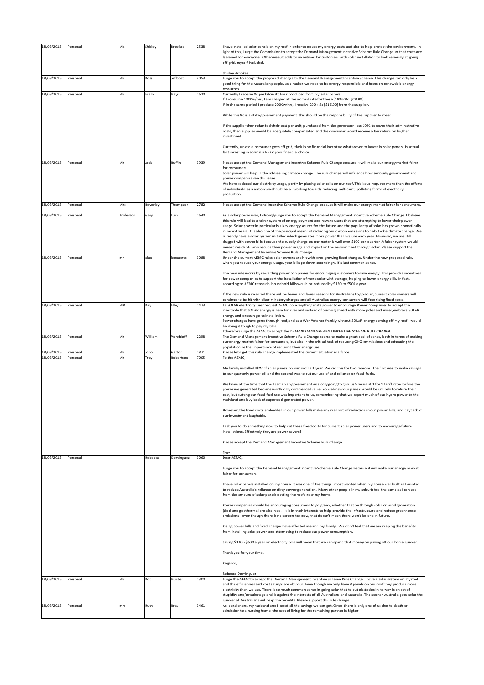| 18/03/2015               | Personal             | Ms              | Shirley         | <b>Brookes</b>         | 2538         | I have installed solar panels on my roof in order to educe my energy costs and also to help protect the environment. In<br>light of this, I urge the Commission to accept the Demand Management Incentive Scheme Rule Change so that costs are<br>lessened for everyone. Otherwise, it adds to incentives for customers with solar installation to look seriously at going<br>off-grid, myself included.<br><b>Shirley Brookes</b>                                                                                                                                                                                                                                                                                                                                                                                                                                                                                                                                                                                                                                                                                                                                                                                                                                                                                                                                                                                                                                                                                                                                                                                                                                                                                                                                                                                                                                                                                                                                                                                                                                                                                                                                                                                                                                                        |
|--------------------------|----------------------|-----------------|-----------------|------------------------|--------------|-------------------------------------------------------------------------------------------------------------------------------------------------------------------------------------------------------------------------------------------------------------------------------------------------------------------------------------------------------------------------------------------------------------------------------------------------------------------------------------------------------------------------------------------------------------------------------------------------------------------------------------------------------------------------------------------------------------------------------------------------------------------------------------------------------------------------------------------------------------------------------------------------------------------------------------------------------------------------------------------------------------------------------------------------------------------------------------------------------------------------------------------------------------------------------------------------------------------------------------------------------------------------------------------------------------------------------------------------------------------------------------------------------------------------------------------------------------------------------------------------------------------------------------------------------------------------------------------------------------------------------------------------------------------------------------------------------------------------------------------------------------------------------------------------------------------------------------------------------------------------------------------------------------------------------------------------------------------------------------------------------------------------------------------------------------------------------------------------------------------------------------------------------------------------------------------------------------------------------------------------------------------------------------------|
| 18/03/2015               | Personal             | Mr              | Ross            | Jeffcoat               | 4053         | I urge you to accept the proposed changes to the Demand Management Incentive Scheme. This change can only be a<br>good thing for the Australian people. As a nation we need to be energy responsible and focus on renewable energy<br>resources                                                                                                                                                                                                                                                                                                                                                                                                                                                                                                                                                                                                                                                                                                                                                                                                                                                                                                                                                                                                                                                                                                                                                                                                                                                                                                                                                                                                                                                                                                                                                                                                                                                                                                                                                                                                                                                                                                                                                                                                                                           |
| 18/03/2015               | Personal             | Mr              | Frank           | Hays                   | 2620         | Currently I receive 8c per kilowatt hour produced from my solar panels.<br>If I consume 100Kw/hrs, I am charged at the normal rate for those [100x28c=\$28.00].<br>If in the same period I produce 200Kw/hrs, I receive 200 x 8c [\$16.00] from the supplier.<br>While this 8c is a state government payment, this should be the responsibility of the supplier to meet.<br>If the supplier then refunded their cost per unit, purchased from the generator, less 10%, to cover their administrative<br>costs, then supplier would be adequately compensated and the consumer would receive a fair return on his/her<br>investment.<br>Currently, unless a consumer goes off grid, their is no financial incentive whatsoever to invest in solar panels. In actual<br>fact investing in solar is a VERY poor financial choice.                                                                                                                                                                                                                                                                                                                                                                                                                                                                                                                                                                                                                                                                                                                                                                                                                                                                                                                                                                                                                                                                                                                                                                                                                                                                                                                                                                                                                                                            |
| 18/03/2015               | Personal             | Mr              | Jack            | Ruffin                 | 3939         | Please accept the Demand Management Incentive Scheme Rule Change because it will make our energy market fairer                                                                                                                                                                                                                                                                                                                                                                                                                                                                                                                                                                                                                                                                                                                                                                                                                                                                                                                                                                                                                                                                                                                                                                                                                                                                                                                                                                                                                                                                                                                                                                                                                                                                                                                                                                                                                                                                                                                                                                                                                                                                                                                                                                            |
|                          |                      |                 |                 |                        |              | for consumers.<br>Solar power will help in the addressing climate change. The rule change will influence how seriously government and<br>power companies see this issue.<br>We have reduced our electricity usage, partly by placing solar cells on our roof. This issue requires more than the efforts<br>of individuals, as a nation we should be all working towards reducing inefficient, polluting forms of electricity<br>production.                                                                                                                                                                                                                                                                                                                                                                                                                                                                                                                                                                                                                                                                                                                                                                                                                                                                                                                                                                                                                                                                                                                                                                                                                                                                                                                                                                                                                                                                                                                                                                                                                                                                                                                                                                                                                                               |
| 18/03/2015               | Personal             | Mrs             | Beverley        | Thompson               | 2782         | Please accept the Demand Incentive Scheme Rule Change because it will make our energy market fairer for consumers.                                                                                                                                                                                                                                                                                                                                                                                                                                                                                                                                                                                                                                                                                                                                                                                                                                                                                                                                                                                                                                                                                                                                                                                                                                                                                                                                                                                                                                                                                                                                                                                                                                                                                                                                                                                                                                                                                                                                                                                                                                                                                                                                                                        |
| 18/03/2015<br>18/03/2015 | Personal<br>Personal | Professor<br>mr | Gary<br>alan    | Luck<br>leenaerts      | 2640<br>3088 | As a solar power user, I strongly urge you to accept the Demand Management Incentive Scheme Rule Change. I believe<br>this rule will lead to a fairer system of energy payment and reward users that are attempting to lower their power<br>usage. Solar power in particular is a key energy source for the future and the popularity of solar has grown dramatically<br>in recent years. It is also one of the principal means of reducing our carbon emissions to help tackle climate change. We<br>currently have a solar system installed which generates more power than we use each year. However, we are still<br>slugged with power bills because the supply charge on our meter is well over \$100 per quarter. A fairer system would<br>reward residents who reduce their power usage and impact on the environment through solar. Please support the<br>Demand Management Incentive Scheme Rule Change.<br>Under the current AEMC rules solar owners are hit with ever-growing fixed charges. Under the new proposed rule,<br>when you reduce your energy usage, your bills go down accordingly. It's just common sense.<br>The new rule works by rewarding power companies for encouraging customers to save energy. This provides incentives                                                                                                                                                                                                                                                                                                                                                                                                                                                                                                                                                                                                                                                                                                                                                                                                                                                                                                                                                                                                                                 |
|                          |                      |                 |                 |                        |              | for power companies to support the installation of more solar with storage, helping to lower energy bills. In fact,<br>according to AEMC research, household bills would be reduced by \$120 to \$500 a year.<br>If the new rule is rejected there will be fewer and fewer reasons for Australians to go solar; current solar owners will                                                                                                                                                                                                                                                                                                                                                                                                                                                                                                                                                                                                                                                                                                                                                                                                                                                                                                                                                                                                                                                                                                                                                                                                                                                                                                                                                                                                                                                                                                                                                                                                                                                                                                                                                                                                                                                                                                                                                 |
| 18/03/2015               | Personal             | MR              | Ray             | Elley                  | 2473         | continue to be hit with discriminatory charges and all Australian energy consumers will face rising fixed costs.<br>a SOLAR electricity user request AEMC do everything in its power to encourage Power Companies to accept the                                                                                                                                                                                                                                                                                                                                                                                                                                                                                                                                                                                                                                                                                                                                                                                                                                                                                                                                                                                                                                                                                                                                                                                                                                                                                                                                                                                                                                                                                                                                                                                                                                                                                                                                                                                                                                                                                                                                                                                                                                                           |
|                          |                      |                 |                 |                        |              | inevitable that SOLAR energy is here for ever and instead of pushing ahead with more poles and wires, embrace SOLAR<br>energy and encourage its installation.<br>Power charges have gone through roof, and as a War Veteran frankly without SOLAR energy coming off my roof I would                                                                                                                                                                                                                                                                                                                                                                                                                                                                                                                                                                                                                                                                                                                                                                                                                                                                                                                                                                                                                                                                                                                                                                                                                                                                                                                                                                                                                                                                                                                                                                                                                                                                                                                                                                                                                                                                                                                                                                                                       |
|                          |                      |                 |                 |                        |              | be doing it tough to pay my bills.                                                                                                                                                                                                                                                                                                                                                                                                                                                                                                                                                                                                                                                                                                                                                                                                                                                                                                                                                                                                                                                                                                                                                                                                                                                                                                                                                                                                                                                                                                                                                                                                                                                                                                                                                                                                                                                                                                                                                                                                                                                                                                                                                                                                                                                        |
| 18/03/2015               | Personal             | Mr              | William         | Vorobioff              | 2298         | therefore urge the AEMC to accept the DEMAND MANAGEMENT INCENTIVE SCHEME RULE CHANGE.<br>The Demand Management Incentive Scheme Rule Change seems to make a great deal of sense, both in terms of making<br>our energy market fairer for consumers, but also in the critical task of reducing GHG emmissions and educating the                                                                                                                                                                                                                                                                                                                                                                                                                                                                                                                                                                                                                                                                                                                                                                                                                                                                                                                                                                                                                                                                                                                                                                                                                                                                                                                                                                                                                                                                                                                                                                                                                                                                                                                                                                                                                                                                                                                                                            |
| 18/03/2015               | Personal             | Mr              | Jono            | Garton                 | 2871         | population re the importance of reducing their energy use.<br>Please let's get this rule change implemented the current situation is a farce.                                                                                                                                                                                                                                                                                                                                                                                                                                                                                                                                                                                                                                                                                                                                                                                                                                                                                                                                                                                                                                                                                                                                                                                                                                                                                                                                                                                                                                                                                                                                                                                                                                                                                                                                                                                                                                                                                                                                                                                                                                                                                                                                             |
| 18/03/2015<br>18/03/2015 | Personal<br>Personal | Mr              | Troy<br>Rebecca | Robertson<br>Dominguez | 7005<br>3060 | To the AEMC,<br>My family installed 4kW of solar panels on our roof last year. We did this for two reasons. The first was to make savings<br>to our quarterly power bill and the second was to cut our use of and reliance on fossil fuels.<br>We knew at the time that the Tasmanian government was only going to give us 5 years at 1 for 1 tariff rates before the<br>power we generated became worth only commercial value. So we knew our panels would be unlikely to return their<br>cost, but cutting our fossil fuel use was important to us, remembering that we export much of our hydro power to the<br>mainland and buy back cheaper coal generated power.<br>However, the fixed costs embedded in our power bills make any real sort of reduction in our power bills, and payback of<br>our investment laughable.<br>ask you to do something now to help cut these fixed costs for current solar power users and to encourage future<br>installations. Effectively they are power savers!<br>Please accept the Demand Management Incentive Scheme Rule Change.<br>Troy<br>Dear AEMC,<br>urge you to accept the Demand Management Incentive Scheme Rule Change because it will make our energy market<br>fairer for consumers.<br>I have solar panels installed on my house, it was one of the things I most wanted when my house was built as I wanted<br>to reduce Australia's reliance on dirty power generation. Many other people in my suburb feel the same as I can see<br>from the amount of solar panels dotting the roofs near my home.<br>Power companies should be encouraging consumers to go green, whether that be through solar or wind generation<br>(tidal and geothermal are also nice). It is in their interests to help provide the infrastructure and reduce greenhouse<br>emissions - even though there is no carbon tax now, that doesn't mean there won't be one in future.<br>Rising power bills and fixed charges have affected me and my family. We don't feel that we are reaping the benefits<br>from installing solar power and attempting to reduce our power consumption.<br>Saving \$120 - \$500 a year on electricity bills will mean that we can spend that money on paying off our home quicker.<br>Thank you for your time.<br>Regards, |
| 18/03/2015               | Personal             | Mr              | Rob             | Hunter                 | 2300         | Rebecca Dominguez<br>I urge the AEMC to accept the Demand Management Incentive Scheme Rule Change. I have a solar system on my roof                                                                                                                                                                                                                                                                                                                                                                                                                                                                                                                                                                                                                                                                                                                                                                                                                                                                                                                                                                                                                                                                                                                                                                                                                                                                                                                                                                                                                                                                                                                                                                                                                                                                                                                                                                                                                                                                                                                                                                                                                                                                                                                                                       |
|                          |                      |                 |                 |                        |              | and the efficiencies and cost savings are obvious. Even though we only have 8 panels on our roof they produce more<br>electricity than we use. There is so much common sense in going solar that to put obstacles in its way is an act of<br>stupidity and/or sabotage and is against the interests of all Australians and Australia. The sooner Australia goes solar the<br>quicker all Australians will reap the benefits. Please support this rule change.                                                                                                                                                                                                                                                                                                                                                                                                                                                                                                                                                                                                                                                                                                                                                                                                                                                                                                                                                                                                                                                                                                                                                                                                                                                                                                                                                                                                                                                                                                                                                                                                                                                                                                                                                                                                                             |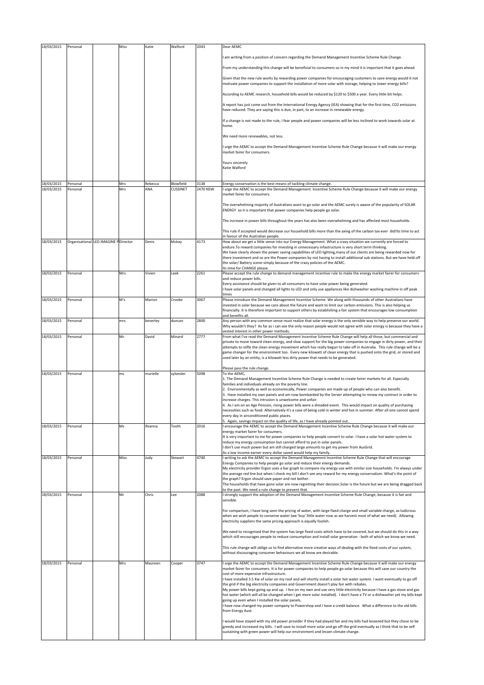| 18/03/2015               | Personal             |                                      | Miss       | Katie          | Walford                      | 2043             | Dear AEMC                                                                                                                                                                                                                                                                                                                                                                                                                                                        |
|--------------------------|----------------------|--------------------------------------|------------|----------------|------------------------------|------------------|------------------------------------------------------------------------------------------------------------------------------------------------------------------------------------------------------------------------------------------------------------------------------------------------------------------------------------------------------------------------------------------------------------------------------------------------------------------|
|                          |                      |                                      |            |                |                              |                  | I am writing from a position of concern regarding the Demand Management Incentive Scheme Rule Change.                                                                                                                                                                                                                                                                                                                                                            |
|                          |                      |                                      |            |                |                              |                  | From my understanding this change will be beneficial to consumers so in my mind it is important that it goes ahead.                                                                                                                                                                                                                                                                                                                                              |
|                          |                      |                                      |            |                |                              |                  | Given that the new rule works by rewarding power companies for encouraging customers to save energy would it not<br>motivate power companies to support the installation of more solar with storage, helping to lower energy bills?                                                                                                                                                                                                                              |
|                          |                      |                                      |            |                |                              |                  | According to AEMC research, household bills would be reduced by \$120 to \$500 a year. Every little bit helps.                                                                                                                                                                                                                                                                                                                                                   |
|                          |                      |                                      |            |                |                              |                  | A report has just come out from the International Energy Agency (IEA) showing that for the first time, CO2 emissions<br>have reduced. They are saying this is due, in part, to an increase in renewable energy.                                                                                                                                                                                                                                                  |
|                          |                      |                                      |            |                |                              |                  | If a change is not made to the rule, I fear people and power companies will be less inclined to work towards solar at<br>home.                                                                                                                                                                                                                                                                                                                                   |
|                          |                      |                                      |            |                |                              |                  | We need more renewables, not less.                                                                                                                                                                                                                                                                                                                                                                                                                               |
|                          |                      |                                      |            |                |                              |                  | I urge the AEMC to accept the Demand Management Incentive Scheme Rule Change because it will make our energy<br>market fairer for consumers.                                                                                                                                                                                                                                                                                                                     |
|                          |                      |                                      |            |                |                              |                  | Yours sincerely                                                                                                                                                                                                                                                                                                                                                                                                                                                  |
|                          |                      |                                      |            |                |                              |                  | Katie Walford                                                                                                                                                                                                                                                                                                                                                                                                                                                    |
| 18/03/2015<br>18/03/2015 | Personal<br>Personal |                                      | Mrs<br>Mrs | Rebecca<br>ANA | Blowfield<br><b>CUSSINET</b> | 3138<br>2470 NSW | Energy conservation is the best means of tackling climate change.<br>I urge the AEMC to accept the Demand Management Incentive Scheme Rule Change because it will make our energy                                                                                                                                                                                                                                                                                |
|                          |                      |                                      |            |                |                              |                  | market fairer for consumers.                                                                                                                                                                                                                                                                                                                                                                                                                                     |
|                          |                      |                                      |            |                |                              |                  | The overwhelming majority of Australians want to go solar and the AEMC surely is aware of the popularity of SOLAR<br>ENERGY so it is important that power companies help people go solar.                                                                                                                                                                                                                                                                        |
|                          |                      |                                      |            |                |                              |                  | The increase in power bills throughout the years has also been overwhelming and has affected most households.                                                                                                                                                                                                                                                                                                                                                    |
|                          |                      |                                      |            |                |                              |                  | This rule if accepted would decrease our household bills more than the axing of the carbon tax ever did!lts time to act<br>in favour of the Australian people.                                                                                                                                                                                                                                                                                                   |
| 18/03/2015               |                      | Organisational LED IMAGINE PDirector |            | Denis          | Mckay                        | 4173             | How about we get a little sense into our Energy Management. What a crazy situation we currently are forced to<br>endure. To reward companies for investing in unnecessary infastructure is very short term thinking.                                                                                                                                                                                                                                             |
|                          |                      |                                      |            |                |                              |                  | We have clearly shown the power saving capabilities of LED lighting, many of our clients are being rewarded now for<br>there investment and so are the Power companies by not having to install additional sub stations. But we have held off                                                                                                                                                                                                                    |
|                          |                      |                                      |            |                |                              |                  | the solar/Battery scene simply because of the crazy policies of the AEMC.                                                                                                                                                                                                                                                                                                                                                                                        |
| 18/03/2015               | Personal             |                                      | Mrs        | Vivien         | Leek                         | 2261             | Its time for CHANGE please.<br>Please accept the rule change to demand management incentive rule to make the energy market fairer for consumers                                                                                                                                                                                                                                                                                                                  |
|                          |                      |                                      |            |                |                              |                  | and reduce power bills.<br>Every assistance should be given to all consumers to have solar power being generated.                                                                                                                                                                                                                                                                                                                                                |
|                          |                      |                                      |            |                |                              |                  | I have solar panels and changed all lights to LED and only use appliances like dishwasher washing machine in off peak<br>times                                                                                                                                                                                                                                                                                                                                   |
| 18/03/2015               | Personal             |                                      | M's        | Marion         | Crooke                       | 3067             | Please introduce the Demand Management Incentive Scheme. We along with thousands of other Australians have<br>invested in solar because we care about the future and want to limit our carbon emissions. This is also helping us<br>financially. It is therefore important to support others by establishing a fair system that encourages low consumption                                                                                                       |
| 18/03/2015               | Personal             |                                      | mrs        | beverley       | duncan                       | 2800             | and benefits all.<br>Any person with any common sense must realize that solar energy is the only sensible way to help preserve our world.<br>Why wouldn't they? As far as i can see the only reason people would not agree with solar energy is because they have a                                                                                                                                                                                              |
| 18/03/2015               | Personal             |                                      | Mr.        | David          | Minard                       | 2777             | vested interest in other power methods.<br>From what I've read the Demand Management Incentive Scheme Rule Change will help all those, but commercial and                                                                                                                                                                                                                                                                                                        |
|                          |                      |                                      |            |                |                              |                  | private to move toward clean energy, and slow support for the big power companies to engage in dirty power, and their<br>attempts to stifle the clean energy movement which has really begun to take off in Australia. This rule change will be a<br>game changer for the environment too. Every new kilowatt of clean energy that is pushed onto the grid, or stored and<br>used later by an entity, is a kilowatt less dirty power that needs to be generated. |
|                          |                      |                                      |            |                |                              |                  | Please pass the rule change.                                                                                                                                                                                                                                                                                                                                                                                                                                     |
| 18/03/2015               | Personal             |                                      | ms         | murielle       | sylvester                    | 5098             | To the AEMC,<br>1. The Demand Management Incentive Scheme Rule Change is needed to create fairer markets for all. Especially                                                                                                                                                                                                                                                                                                                                     |
|                          |                      |                                      |            |                |                              |                  | families and individuals already on the poverty line.<br>2. Environmentally as well as economically, Power companies are made up of people who can also benefit.                                                                                                                                                                                                                                                                                                 |
|                          |                      |                                      |            |                |                              |                  | 3. Have installed my own panels and am now bombarded by the Server attempting to renew my contract in order to<br>increase charges. This intrusion is unwelcome and unfair.                                                                                                                                                                                                                                                                                      |
|                          |                      |                                      |            |                |                              |                  | 4. As I am on an Age Pension, rising power bills were a dreaded event. This would impact on quality of purchasing<br>necessities such as food. Alternatively it's a case of being cold in winter and hot in summer. After all one cannot<br>every day in airconditioned public places.                                                                                                                                                                           |
| 18/03/2015               | Personal             |                                      | Ms         | Ifeanna        | Tooth                        | 2016             | 5. Again, savings impact on the quality of life, as I have already pointed out<br>I encourage the AEMC to accept the Demand Management Incentive Scheme Rule Change because it will make our                                                                                                                                                                                                                                                                     |
|                          |                      |                                      |            |                |                              |                  | energy market fairer for consumers.<br>It is very important to me for power companies to help people convert to solar. I have a solar hot water system to                                                                                                                                                                                                                                                                                                        |
|                          |                      |                                      |            |                |                              |                  | reduce my energy consumption but cannot afford to put in solar panels.<br>I don't use much power but am still charged large amounts to get my power from AusGrid.                                                                                                                                                                                                                                                                                                |
| 18/03/2015               | Personal             |                                      | Miss       | Judy           | Stewart                      | 4740             | As a low income earner every dollar saved would help my family.<br>I writing to ask the AEMC to accept the Demand Management Incentive Scheme Rule Change that will encourage                                                                                                                                                                                                                                                                                    |
|                          |                      |                                      |            |                |                              |                  | Energy Companies to help people go solar and reduce their energy demands.<br>My electricity provider Ergon uses a bar graph to compare my energy use with similar size households. I'm always under                                                                                                                                                                                                                                                              |
|                          |                      |                                      |            |                |                              |                  | the average red line but when I check my bill I don't see any reward for my energy conservatism. What's the point of<br>the graph? Ergon should save paper and not bother.                                                                                                                                                                                                                                                                                       |
|                          |                      |                                      |            |                |                              |                  | The households that have gone solar are now regretting their decision.Solar is the future but we are being dragged back<br>to the past. We need a rule change to prevent that.                                                                                                                                                                                                                                                                                   |
| 18/03/2015               | Personal             |                                      | Mr         | Chris          | Lee                          | 2088             | I strongly support the adoption of the Demand Management Incentive Scheme Rule Change, because it is fair and<br>sensible.                                                                                                                                                                                                                                                                                                                                       |
|                          |                      |                                      |            |                |                              |                  | For comparison, I have long seen the pricing of water, with large fixed charge and small variable charge, as ludicrous<br>when we wish people to conserve water (we 'buy' little water now as we harvest most of what we need). Allowing<br>electricity suppliers the same pricing approach is equally foolish.                                                                                                                                                  |
|                          |                      |                                      |            |                |                              |                  | We need to recognised that the system has large fixed costs which have to be covered, but we should do this in a way<br>which still encourages people to reduce consumption and install solar generation - both of which we know we need.                                                                                                                                                                                                                        |
|                          |                      |                                      |            |                |                              |                  | This rule change will oblige us to find alternative more creative ways of dealing with the fixed costs of our system,                                                                                                                                                                                                                                                                                                                                            |
|                          |                      |                                      |            |                |                              |                  | without discouraging consumer behaviours we all know are desirable.                                                                                                                                                                                                                                                                                                                                                                                              |
| 18/03/2015               | Personal             |                                      | Mrs        | Maureen        | Cooper                       | 3747             | I urge the AEMC to accept the Demand Management Incentive Scheme Rule Change because it will make our energy<br>market fairer for consumers. It is for power companies to help people go solar because this will save our country the                                                                                                                                                                                                                            |
|                          |                      |                                      |            |                |                              |                  | cost of more expensive infrastructure.<br>I have installed 3.5 Kw of solar on my roof and will shortly install a solar hot water system. I want eventually to go off                                                                                                                                                                                                                                                                                             |
|                          |                      |                                      |            |                |                              |                  | the grid if the big electricity companies and Government doesn't play fair with rebates.<br>My power bills kept going up and up. I live on my own and use very little electricity because I have a gas stove and gas                                                                                                                                                                                                                                             |
|                          |                      |                                      |            |                |                              |                  | hot water (which will all be changed when I get more solar installed). I don't have a TV or a dishwasher yet my bills kept<br>going up even when I installed the solar panels.                                                                                                                                                                                                                                                                                   |
|                          |                      |                                      |            |                |                              |                  | have now changed my power company to Powershop and I have a credit balance. What a difference to the old bills<br>from Energy Aust.                                                                                                                                                                                                                                                                                                                              |
|                          |                      |                                      |            |                |                              |                  | I would have stayed with my old power provider if they had played fair and my bills had lessened but they chose to be<br>greedy and increased my bills. I will save to install more solar and go off the grid eventually as I think that to be self                                                                                                                                                                                                              |
|                          |                      |                                      |            |                |                              |                  | sustaining with green power will help our environment and lessen climate change.                                                                                                                                                                                                                                                                                                                                                                                 |
|                          |                      |                                      |            |                |                              |                  |                                                                                                                                                                                                                                                                                                                                                                                                                                                                  |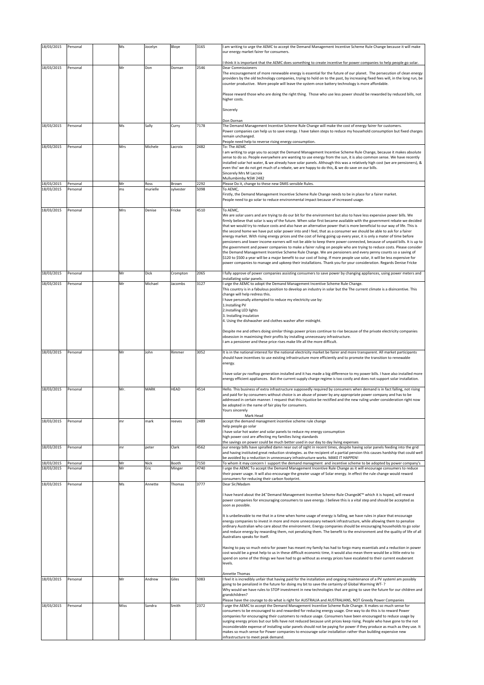| 18/03/2015               | Personal             | Ms       | Jocelyn          | Bloye              | 3165         | I am writing to urge the AEMC to accept the Demand Management Incentive Scheme Rule Change because it will make<br>our energy market fairer for consumers.                                                                                                                                                                                                                                                                                                                                                                                                                                                                                                                                                                                                                                                                                                            |
|--------------------------|----------------------|----------|------------------|--------------------|--------------|-----------------------------------------------------------------------------------------------------------------------------------------------------------------------------------------------------------------------------------------------------------------------------------------------------------------------------------------------------------------------------------------------------------------------------------------------------------------------------------------------------------------------------------------------------------------------------------------------------------------------------------------------------------------------------------------------------------------------------------------------------------------------------------------------------------------------------------------------------------------------|
|                          |                      |          |                  |                    |              | I think it is important that the AEMC does something to create incentive for power companies to help people go solar.                                                                                                                                                                                                                                                                                                                                                                                                                                                                                                                                                                                                                                                                                                                                                 |
| 18/03/2015               | Personal             | Mr       | Don              | Dornan             | 2546         | <b>Dear Commissioners</b><br>The encouragement of more renewable energy is essential for the future of our planet. The persecution of clean energy<br>providers by the old technology companies, trying to hold on to the past, by increasing fixed fees will, in the long run, be<br>counter productive. More people will leave the system once battery technology is more affordable.                                                                                                                                                                                                                                                                                                                                                                                                                                                                               |
|                          |                      |          |                  |                    |              | Please reward those who are doing the right thing. Those who use less power should be rewarded by reduced bills, not<br>higher costs.                                                                                                                                                                                                                                                                                                                                                                                                                                                                                                                                                                                                                                                                                                                                 |
|                          |                      |          |                  |                    |              | Sincerely                                                                                                                                                                                                                                                                                                                                                                                                                                                                                                                                                                                                                                                                                                                                                                                                                                                             |
|                          |                      |          |                  |                    |              | Don Dornan                                                                                                                                                                                                                                                                                                                                                                                                                                                                                                                                                                                                                                                                                                                                                                                                                                                            |
| 18/03/2015               | Personal             | Ms       | Sally            | Curry              | 7178         | The Demand Management Incentive Scheme Rule Change will make the cost of energy fairer for customers.<br>Power companies can help us to save energy. I have taken steps to reduce my household consumption but fixed charges<br>remain unchanged.                                                                                                                                                                                                                                                                                                                                                                                                                                                                                                                                                                                                                     |
|                          |                      |          |                  |                    |              | People need help to reverse rising energy consumption.                                                                                                                                                                                                                                                                                                                                                                                                                                                                                                                                                                                                                                                                                                                                                                                                                |
| 18/03/2015               | Personal             | Mrs      | Michele          | Lacroix            | 2482         | To: The AEMC<br>I am writing to urge you to accept the Demand Management Incentive Scheme Rule Change, because it makes absolute<br>sense to do so. People everywhere are wanting to use energy from the sun, it is also common sense. We have recently<br>installed solar hot water, & we already have solar panels. Although this was a relatively high cost (we are pensioners), &<br>even tho' we do not get much of a rebate, we are happy to do this, & we do save on our bills.<br>Sincerely Mrs M Lacroix<br>Mullumbimby NSW 2482                                                                                                                                                                                                                                                                                                                             |
| 18/03/2015<br>18/03/2015 | Personal<br>Personal | Mr<br>ms | Ross<br>murielle | Brown<br>sylvester | 2292<br>5098 | Please Do it, change to these new DMIS sensible Rules.<br>To AEMC,                                                                                                                                                                                                                                                                                                                                                                                                                                                                                                                                                                                                                                                                                                                                                                                                    |
|                          |                      |          |                  |                    |              | Firstly, the Demand Management Incentive Scheme Rule Change needs to be in place for a fairer market.<br>People need to go solar to reduce environmental impact because of increased usage.                                                                                                                                                                                                                                                                                                                                                                                                                                                                                                                                                                                                                                                                           |
| 18/03/2015               | Personal             | Mrs      | Denise           | Fricke             | 4510         | To AEMC,<br>We are solar users and are trying to do our bit for the environment but also to have less expensive power bills. We                                                                                                                                                                                                                                                                                                                                                                                                                                                                                                                                                                                                                                                                                                                                       |
|                          |                      |          |                  |                    |              | firmly believe that solar is way of the future. When solar first became available with the government rebate we decided<br>that we would try to reduce costs and also have an alternative power that is more beneficial to our way of life. This is<br>the second home we have put solar power into and I feel, that as a consumer we should be able to ask for a fairer<br>energy market. With rising energy prices and the cost of living going up every year, it is only a mater of time before<br>pensioners and lower income earners will not be able to keep there power connected, because of unpaid bills. It is up to<br>the government and power companies to make a fairer ruling on people who are trying to reduce costs. Please consider<br>the Demand Management Incentive Scheme Rule Change. We are pensioners and every penny counts so a saving of |
|                          |                      |          |                  |                    |              | \$120 to \$500 a year will be a major benefit to our cost of living. If more people use solar, it will be less expensive for<br>power companies to manage and upkeep their installations. Thank you for your consideration. Regards Denise Fricke                                                                                                                                                                                                                                                                                                                                                                                                                                                                                                                                                                                                                     |
| 18/03/2015               | Personal             | Mr       | Dick             | Crompton           | 2065         | I fully approve of power companies assisting consumers to save power by changing appliances, using power meters and<br>installating solar panels.                                                                                                                                                                                                                                                                                                                                                                                                                                                                                                                                                                                                                                                                                                                     |
| 18/03/2015               | Personal             | Mr       | Michael          | Jacombs            | 3127         | I urge the AEMC to adopt the Demand Management Incentive Scheme Rule Change.<br>This country is in a fabulous position to develop an industry in solar but the The current climate is a disincentive. This<br>change will help redress this.<br>I have personally attempted to reduce my electricity use by:<br>1.Installing PV<br>2.Installing LED lights                                                                                                                                                                                                                                                                                                                                                                                                                                                                                                            |
|                          |                      |          |                  |                    |              | 3. Installing insulation<br>4. Using the dishwasher and clothes washer after midnight.                                                                                                                                                                                                                                                                                                                                                                                                                                                                                                                                                                                                                                                                                                                                                                                |
|                          |                      |          |                  |                    |              | Despite me and others doing similar things power prices continue to rise because of the private electricity companies<br>obsession in maximising their profits by installing unnecessary infrastructure.<br>I am a pensioner and these price rises make life all the more difficult.                                                                                                                                                                                                                                                                                                                                                                                                                                                                                                                                                                                  |
| 18/03/2015               | Personal             | Mr       | John             | Rimmer             | 3052         | It is in the national interest for the national electricity market be fairer and more transparent. All market participants<br>should have incentives to use existing infrastructure more efficiently and to promote the transition to renewable<br>energy.                                                                                                                                                                                                                                                                                                                                                                                                                                                                                                                                                                                                            |
|                          |                      |          |                  |                    |              | I have solar pv rooftop generation installed and it has made a big difference to my power bills. I have also installed more<br>energy efficient appliances. But the current supply charge regime is too costly and does not support solar installation.                                                                                                                                                                                                                                                                                                                                                                                                                                                                                                                                                                                                               |
| 18/03/2015               | Personal             | Mr.      | <b>MARK</b>      | HEAD               | 4514         | Hello. This business of extra infrastructure supposedly required by consumers when demand is in fact falling, not rising<br>and paid for by consumers without choice is an abuse of power by any appropriate power company and has to be<br>addressed in certain manner. I request that this injustice be rectified and the new ruling under consideration right now<br>be adopted in the name of fair play for consumers.<br>Yours sincerely<br>Mark Head                                                                                                                                                                                                                                                                                                                                                                                                            |
| 18/03/2015               | Personal             | mr       | mark             | reeves             | 2489         | accept the demand managment incentive scheme rule change                                                                                                                                                                                                                                                                                                                                                                                                                                                                                                                                                                                                                                                                                                                                                                                                              |
|                          |                      |          |                  |                    |              | help people go solar<br>i have solar hot water and solar panels to reduce my energy consumption<br>high power cost are affecting my families living standards<br>the savings on power could be much better used in our day to day living expenses                                                                                                                                                                                                                                                                                                                                                                                                                                                                                                                                                                                                                     |
| 18/03/2015               | Personal             | mr       | peter            | Clark              | 4562         | our energy bills have spiralled damn near out of sight in recent times, despite having solar panels feeding into the grid<br>and having instituted great reduction strategies. as the recipient of a partial pension this causes hardship that could well<br>be avoided by a reduction in unnecessary infrastructure works. MAKE IT HAPPEN!                                                                                                                                                                                                                                                                                                                                                                                                                                                                                                                           |
| 18/03/2015<br>18/03/2015 | Personal<br>Personal | Mr<br>Mr | Nick<br>Eric     | Booth<br>Minger    | 7150<br>4740 | To whom it may concern I support the demand managment and incentive scheme to be adopted by power company's<br>I urge the AEMC To accept the Demand Management Incentive Rule Change as it will encourage consumers to reduce<br>their power usage. It will also encourage the greater usage of Solar energy. In effect the rule change would reward                                                                                                                                                                                                                                                                                                                                                                                                                                                                                                                  |
| 18/03/2015               | Personal             | Ms       | Annette          | Thomas             | 3777         | consumers for reducing their carbon footprint.<br>Dear Sir/Madam                                                                                                                                                                                                                                                                                                                                                                                                                                                                                                                                                                                                                                                                                                                                                                                                      |
|                          |                      |          |                  |                    |              | I have heard about the â€"Demand Management Incentive Scheme Rule Change' which it is hoped, will reward<br>power companies for encouraging consumers to save energy. I believe this is a vital step and should be accepted as<br>soon as possible.                                                                                                                                                                                                                                                                                                                                                                                                                                                                                                                                                                                                                   |
|                          |                      |          |                  |                    |              | It is unbelievable to me that in a time when home usage of energy is falling, we have rules in place that encourage<br>energy companies to invest in more and more unnecessary network infrastructure, while allowing them to penalize<br>ordinary Australian who care about the environment. Energy companies should be encouraging households to go solar<br>and reduce energy by rewarding them, not penalizing them. The benefit to the environment and the quality of life of all<br>Australians speaks for itself.                                                                                                                                                                                                                                                                                                                                              |
|                          |                      |          |                  |                    |              | Having to pay so much extra for power has meant my family has had to forgo many essentials and a reduction in power<br>cost would be a great help to us in these difficult economic time, it would also mean there would be a little extra to<br>spend on some of the things we have had to go without as energy prices have escalated to their current exuberant<br>levels.<br>Annette Thomas                                                                                                                                                                                                                                                                                                                                                                                                                                                                        |
| 18/03/2015               | Personal             | Mr       | Andrew           | Giles              | 5083         | I feel it is incredibly unfair that having paid for the installation and ongoing maintenance of a PV systemI am possibly<br>going to be penalized in the future for doing my bit to save the certainty of Global Warming WT-?<br>Why would we have rules to STOP investment in new technologies that are going to save the future for our children and                                                                                                                                                                                                                                                                                                                                                                                                                                                                                                                |
| 18/03/2015               | Personal             | Miss     | Sandra           | Smith              | 2372         | grandchildren?<br>Please have the courage to do what is right for AUSTRALIA and AUSTRALIANS, NOT Greedy Power Companies<br>I urge the AEMC to accept the Demand Management Incentive Scheme Rule Change. It makes so much sense for<br>consumers to be encouraged to and rewarded for reducing energy usage. One way to do this is to reward Power                                                                                                                                                                                                                                                                                                                                                                                                                                                                                                                    |
|                          |                      |          |                  |                    |              | companies for encouraging their customers to reduce usage. Consumers have been encouraged to reduce usage by<br>surging energy prices but our bills have not reduced because unit prices keep rising. People who have gone to the not<br>inconsiderable expense of installing solar panels should not be paying for power if they produce as much as they use. It<br>makes so much sense for Power companies to encourage solar installation rather than building expensive new<br>infrastructure to meet peak demand.                                                                                                                                                                                                                                                                                                                                                |
|                          |                      |          |                  |                    |              |                                                                                                                                                                                                                                                                                                                                                                                                                                                                                                                                                                                                                                                                                                                                                                                                                                                                       |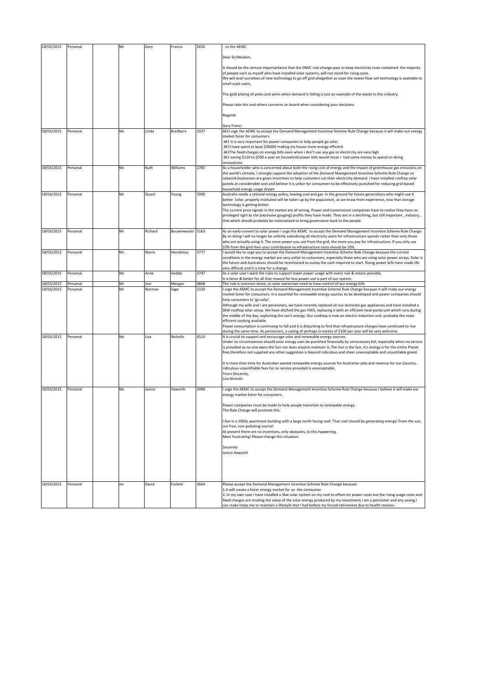| 18/03/2015 | Personal | Mr  | Gary    | Francis          | 2650 | to the AEMC                                                                                                                                                                                                                                                                                                                                                                                                                                                                                                                                                                                                                                                                                                                                                                                                                                                                                                            |
|------------|----------|-----|---------|------------------|------|------------------------------------------------------------------------------------------------------------------------------------------------------------------------------------------------------------------------------------------------------------------------------------------------------------------------------------------------------------------------------------------------------------------------------------------------------------------------------------------------------------------------------------------------------------------------------------------------------------------------------------------------------------------------------------------------------------------------------------------------------------------------------------------------------------------------------------------------------------------------------------------------------------------------|
|            |          |     |         |                  |      | Dear Sir/Madam,                                                                                                                                                                                                                                                                                                                                                                                                                                                                                                                                                                                                                                                                                                                                                                                                                                                                                                        |
|            |          |     |         |                  |      | It should be the utmost importantance that the DMIC rule change pass to keep electricity costs contained. the majority<br>of people such as myself who have installed solar systems, will not stand for rising costs.<br>We will avail ourselves of new technology to go off grid altogether as soon the newer flow cell technology is available to<br>small scale users.                                                                                                                                                                                                                                                                                                                                                                                                                                                                                                                                              |
|            |          |     |         |                  |      | The gold plating of poles and wires when demand is falling is just an example of the waste in this industry.                                                                                                                                                                                                                                                                                                                                                                                                                                                                                                                                                                                                                                                                                                                                                                                                           |
|            |          |     |         |                  |      | Please take this and others concerns on board when considering your decisions                                                                                                                                                                                                                                                                                                                                                                                                                                                                                                                                                                                                                                                                                                                                                                                                                                          |
|            |          |     |         |                  |      | Regards                                                                                                                                                                                                                                                                                                                                                                                                                                                                                                                                                                                                                                                                                                                                                                                                                                                                                                                |
| 18/03/2015 | Personal | Ms  | Linda   | Bradburn         | 3337 | Gary Franci<br>•I urge the AEMC to accept the Demand Management Incentive Scheme Rule Change because it will make our energy                                                                                                                                                                                                                                                                                                                                                                                                                                                                                                                                                                                                                                                                                                                                                                                           |
|            |          |     |         |                  |      | market fairer for consumers.<br>• It is very important for power companies to help people go solar.<br>•I have spent at least \$30000 making my house more energy efficient<br>•The fixed charges on energy bills even when i don't use any gas or electircity are very high<br>• saving \$120 to \$500 a year on household power bills would mean I had some money to spend on doing<br>renovations                                                                                                                                                                                                                                                                                                                                                                                                                                                                                                                   |
| 18/03/2015 | Personal | Ms  | Ruth    | Williams         | 2785 | As a householder who is concerned about both the rising cost of energy and the impact of greenhouse gas emissions on<br>the world's climate, I strongly support the adoption of the Demand Management Incentive Scheme Rule Change so<br>network businesses are given incentives to help customers cut their electricity demand. I have installed rooftop solar<br>panels at considerable cost and believe it is unfair for consumers to be effectively punished for reducing grid-based<br>household energy usage drawn                                                                                                                                                                                                                                                                                                                                                                                               |
| 18/03/2015 | Personal | Mr  | Stuart  | Young            | 7000 | Australia needs a rational energy policy, leaving coal and gas in the ground for future generations who might use it<br>better. Solar, properly instituted will be taken up by the population, as we know from experience, now that storage<br>technology is getting better.<br>The current price signals in the market are all wrong. Power and transmission companies have to realise they have no<br>privileged right to the (excessive gouging) profits they have made. They are in a declining, but still important, industry<br>One which should probably be nationalised to bring governance back to the people.                                                                                                                                                                                                                                                                                                |
| 18/03/2015 | Personal | Mr  | Richard | Bouwmeester 3163 |      | As an early convert to solar power I urge the AEMC to accept the Demand Management Incentive Scheme Rule Change.<br>By so doing I will no longer be unfairly subsidising all electricity users for infrastructure spends rather than only those<br>who are actually using it. The more power you use from the grid, the more you pay for infrastructure. If you only use<br>10% from the grid then your contribution to infrastructure costs should be 10%.                                                                                                                                                                                                                                                                                                                                                                                                                                                            |
| 18/03/2015 | Personal | Mr. | Mario   | Herodotus        | 3777 | would like to urge you to accept the Demand Management Incentive Scheme Rule Change because the current<br>conditions in the energy market are very unfair to consumers, especially those who are using solar power arrays. Solar is<br>the future and Australians should be incentivized to outlay the cash required to start. Rising power bills have made life<br>very difficult and it is time for a change.                                                                                                                                                                                                                                                                                                                                                                                                                                                                                                       |
| 18/03/2015 | Personal | Ms  | Anne    | Geddis           | 3747 | As a solar user I want the rules to support lower power usage with every rule & means possible.<br>It is fairer & better for all that reward for less power use is part of our system.                                                                                                                                                                                                                                                                                                                                                                                                                                                                                                                                                                                                                                                                                                                                 |
| 18/03/2015 | Personal | Mr  | Ivor    | Morgan           | 4868 | The rule is common sense, as solar ownerswe need to have control of our energy bills                                                                                                                                                                                                                                                                                                                                                                                                                                                                                                                                                                                                                                                                                                                                                                                                                                   |
| 18/03/2015 | Personal | Mr  | Norman  | Sage             | 2320 | urge the AEMC to accept the Demand Management Incentive Scheme Rule Change because it will make our energy<br>market fairer for consumers. It is essential for renewable energy sources to be developed and power companies should<br>help consumers to 'go solar'.<br>Although my wife and I are pensioners, we have recently replaced all our domestic gas appliances and have installed a<br>3kW rooftop solar setup. We have ditched the gas HWS, replacing it with an efficient heat pump unit which runs during<br>the middle of the day, exploiting the sun's energy. Our cooktop is now an electric induction unit, probably the most<br>efficient cooking available.<br>Power consumption is continuing to fall and it is disturbing to find that infrastructure charges have continued to rise<br>during the same time. As pensioners, a saving of perhaps in excess of \$100 per year will be very welcome. |
| 18/03/2015 | Personal | Ms  | Lisa    | Nicholls         | 4510 | It is crucial to support and encourage solar and renewable energy sources.<br>Under no circumstances should solar energy uses be punished financially by unnecessary bill, especially when no service<br>is provided as no one owns the Sun nor does anyone maintain it, The Sun is the Sun, it's energy is for the entire Planet<br>free, therefore not supplied any other suggestion is beyond ridiculous and sheer unexceptable and unjustifable greed.                                                                                                                                                                                                                                                                                                                                                                                                                                                             |
|            |          |     |         |                  |      | It is more than time for Australian owned renewable energy sources for Australian jobs and revenue for our Country,<br>ridiculous unjustifiable fees for no service provided is unexceptable.<br>Yours Sincerely,<br>Lisa Nicholls                                                                                                                                                                                                                                                                                                                                                                                                                                                                                                                                                                                                                                                                                     |
| 18/03/2015 | Personal | Ms  | Janice  | Haworth          | 2088 | urge the AEMC to accept the Demand Management Incentive Scheme Rule Change because I believe it will make our<br>energy market fairer for consumers.                                                                                                                                                                                                                                                                                                                                                                                                                                                                                                                                                                                                                                                                                                                                                                   |
|            |          |     |         |                  |      | Power companies must be made to help people transition to renewable energy.<br>The Rule Change will promote this.                                                                                                                                                                                                                                                                                                                                                                                                                                                                                                                                                                                                                                                                                                                                                                                                      |
|            |          |     |         |                  |      | I live in a 1960s apartment building with a large north facing roof. That roof should be generating energy! From the sun,<br>our free, non-polluting source!<br>At present there are no incentives, only obstacles, to this happening.<br>Most frustrating! Please change this situation.                                                                                                                                                                                                                                                                                                                                                                                                                                                                                                                                                                                                                              |
|            |          |     |         |                  |      | Sincerely<br>Janice Haworth                                                                                                                                                                                                                                                                                                                                                                                                                                                                                                                                                                                                                                                                                                                                                                                                                                                                                            |
| 18/03/2015 | Personal | mr  | David   | Furletti         | 3664 | Please accept the Demand Management Incentive Scheme Rule Change because:<br>1.It will create a fairer energy market for us -the comsumer.<br>2. In my own case I have installed a 5kw solar system on my roof to offset my power costs but the rising usage costs and<br>fixed charges are eroding the value of the solar energy produced by my investment.I am a pensioner and any saving I<br>can make helps me to maintain a lifestyle that I had before my forced retirement due to health reasons.                                                                                                                                                                                                                                                                                                                                                                                                               |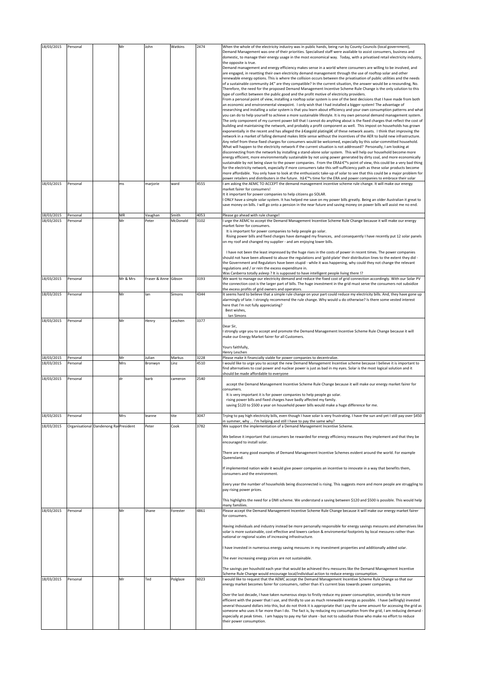| 18/03/2015<br>18/03/2015 | Personal<br>Personal                  | Mr<br>ms  | John<br>marjorie     | Watkins<br>ward   | 2474<br>4555 | When the whole of the electricity industry was in public hands, being run by County Councils (local government),<br>Demand Management was one of their priorities. Specialised staff were available to assist consumers, business and<br>domestic, to manage their energy usage in the most economical way. Today, with a privatised retail electricity industry,<br>the opposite is true.<br>Demand management and energy efficiency makes sense in a world where consumers are willing to be involved, and<br>are engaged, in resetting their own electricity demand management through the use of rooftop solar and other<br>renewable energy options. This is where the collision occurs between the privatisation of public utilities and the needs<br>of a sustainable community â€" are they compatible? In the current situation, the answer would be a resounding, No.<br>Therefore, the need for the proposed Demand Management Incentive Scheme Rule Change is the only solution to this<br>type of conflict between the public good and the profit motive of electricity providers.<br>From a personal point of view, installing a rooftop solar system is one of the best decisions that I have made from both<br>an economic and environmental viewpoint. I only wish that I had installed a bigger system! The advantage of<br>researching and installing a solar system is that you learn about efficiency and your own consumption patterns and what<br>you can do to help yourself to achieve a more sustainable lifestyle. It is my own personal demand management system.<br>The only component of my current power bill that I cannot do anything about is the fixed charges that reflect the cost of<br>building and maintaining the network, and probably a profit component as well. This impost on households has grown<br>exponentially in the recent and has alleged the "gold plating†of these network assets. I think that improving the<br>network in a market of falling demand makes little sense without the incentives of the AER to build new infrastructure.<br>Any relief from these fixed charges for consumers would be welcomed, especially by this solar-committed household.<br>What will happen to the electricity network if the current situation is not addressed? Personally, I am looking at<br>disconnecting from the network by installing a stand-alone solar system. This will help our household become more<br>energy efficient, more environmentally sustainable by not using power generated by dirty coal, and more economically<br>sustainable by not being slave to the power companies. From the ERAâ €™s point of view, this could be a very bad thing<br>for the electricity network, especially if more consumers take this self-sufficiency path as these solar products become<br>more affordable. You only have to look at the enthusiastic take-up of solar to see that this could be a major problem for<br>power retailers and distributers in the future. Itâ € <sup>™</sup> s time for the ERA and power companies to embrace their solar<br>I am asking the AEMC TO ACCEPT the demand management incentive scheme rule change. It will make our energy |
|--------------------------|---------------------------------------|-----------|----------------------|-------------------|--------------|--------------------------------------------------------------------------------------------------------------------------------------------------------------------------------------------------------------------------------------------------------------------------------------------------------------------------------------------------------------------------------------------------------------------------------------------------------------------------------------------------------------------------------------------------------------------------------------------------------------------------------------------------------------------------------------------------------------------------------------------------------------------------------------------------------------------------------------------------------------------------------------------------------------------------------------------------------------------------------------------------------------------------------------------------------------------------------------------------------------------------------------------------------------------------------------------------------------------------------------------------------------------------------------------------------------------------------------------------------------------------------------------------------------------------------------------------------------------------------------------------------------------------------------------------------------------------------------------------------------------------------------------------------------------------------------------------------------------------------------------------------------------------------------------------------------------------------------------------------------------------------------------------------------------------------------------------------------------------------------------------------------------------------------------------------------------------------------------------------------------------------------------------------------------------------------------------------------------------------------------------------------------------------------------------------------------------------------------------------------------------------------------------------------------------------------------------------------------------------------------------------------------------------------------------------------------------------------------------------------------------------------------------------------------------------------------------------------------------------------------------------------------------------------------------------------------------------------------------------------------------------------------------------------------------------------------------------------------------------------------------------------------------------------------------------------------------------------------------------------------------------------------------------------------------------------------------------------------------------|
|                          |                                       |           |                      |                   |              | market fairer for consumers!<br>It it important for power companies to help citizens go SOLAR.<br>ONLY have a simple solar system. It has helped me save on my power bills greatly. Being an older Australian it great to<br>save money on bills. I will go onto a pension in the near future and saving money on power bills will assist me no end.                                                                                                                                                                                                                                                                                                                                                                                                                                                                                                                                                                                                                                                                                                                                                                                                                                                                                                                                                                                                                                                                                                                                                                                                                                                                                                                                                                                                                                                                                                                                                                                                                                                                                                                                                                                                                                                                                                                                                                                                                                                                                                                                                                                                                                                                                                                                                                                                                                                                                                                                                                                                                                                                                                                                                                                                                                                                           |
| 18/03/2015<br>18/03/2015 | Personal<br>Personal                  | MR<br>Mr  | Vaughan<br>Peter     | Smith<br>McDonald | 4053<br>3102 | Please go ahead with rule change!<br>I urge the AEMC to accept the Demand Management Incentive Scheme Rule Change because it will make our energy<br>market fairer for consumers.<br>It is important for power companies to help people go solar.<br>Rising power bills and fixed charges have damaged my finances, and consequently I have recently put 12 solar panels<br>on my roof and changed my supplier - and am enjoying lower bills.<br>I have not been the least impressed by the huge rises in the costs of power in recent times. The power companies<br>should not have been allowed to abuse the regulations and 'gold-plate' their distribution lines to the extent they did -<br>the Government and Regulators have been stupid - while it was happening, why could they not change the relevant<br>regulations and / or rein the excess expenditure in.<br>Was Canberra totally asleep ? It is supposed to have intelligent people living there !?                                                                                                                                                                                                                                                                                                                                                                                                                                                                                                                                                                                                                                                                                                                                                                                                                                                                                                                                                                                                                                                                                                                                                                                                                                                                                                                                                                                                                                                                                                                                                                                                                                                                                                                                                                                                                                                                                                                                                                                                                                                                                                                                                                                                                                                            |
| 18/03/2015               | Personal                              | Mr & Mrs  | Fraser & Anne Gibson |                   | 3193         | We want to manage our electricity demand and reduce the fixed cost of grid connection accordingly. With our Solar PV<br>the connection cost is the larger part of bills. The huge investment in the grid must serve the consumers not subsidize<br>the excess profits of grid owners and operators.                                                                                                                                                                                                                                                                                                                                                                                                                                                                                                                                                                                                                                                                                                                                                                                                                                                                                                                                                                                                                                                                                                                                                                                                                                                                                                                                                                                                                                                                                                                                                                                                                                                                                                                                                                                                                                                                                                                                                                                                                                                                                                                                                                                                                                                                                                                                                                                                                                                                                                                                                                                                                                                                                                                                                                                                                                                                                                                            |
| 18/03/2015               | Personal                              | Mr        | lan                  | Simons            | 4344         | It seems hard to believe that a simple rule change on your part could reduce my electricity bills. And, they have gone up<br>alarmingly of late. I strongly recommend the rule change. Why would u do otherwise? Is there some vested interest<br>here that I'm not fully appreciating?<br>Best wishes,<br>Ian Simons                                                                                                                                                                                                                                                                                                                                                                                                                                                                                                                                                                                                                                                                                                                                                                                                                                                                                                                                                                                                                                                                                                                                                                                                                                                                                                                                                                                                                                                                                                                                                                                                                                                                                                                                                                                                                                                                                                                                                                                                                                                                                                                                                                                                                                                                                                                                                                                                                                                                                                                                                                                                                                                                                                                                                                                                                                                                                                          |
| 18/03/2015               | Personal                              | Mr        | Henry                | Leschen           | 3377         | Dear Sir,<br>strongly urge you to accept and promote the Demand Management Incentive Scheme Rule Change because it will<br>make our Energy Market fairer for all Customers.<br>Yours faithfully,<br>Henry Leschen                                                                                                                                                                                                                                                                                                                                                                                                                                                                                                                                                                                                                                                                                                                                                                                                                                                                                                                                                                                                                                                                                                                                                                                                                                                                                                                                                                                                                                                                                                                                                                                                                                                                                                                                                                                                                                                                                                                                                                                                                                                                                                                                                                                                                                                                                                                                                                                                                                                                                                                                                                                                                                                                                                                                                                                                                                                                                                                                                                                                              |
| 18/03/2015<br>18/03/2015 | Personal<br>Personal                  | Mr<br>Mrs | Julian<br>Bronwyn    | Markus<br>Linz    | 3228<br>4510 | Please make it financially viable for power companies to decentralize.<br>would like to urge you to accept the new Demand Management Incentive scheme because I believe it is important to<br>find alternatives to coal power and nuclear power is just as bad in my eyes. Solar is the most logical solution and it<br>should be made affordable to everyone                                                                                                                                                                                                                                                                                                                                                                                                                                                                                                                                                                                                                                                                                                                                                                                                                                                                                                                                                                                                                                                                                                                                                                                                                                                                                                                                                                                                                                                                                                                                                                                                                                                                                                                                                                                                                                                                                                                                                                                                                                                                                                                                                                                                                                                                                                                                                                                                                                                                                                                                                                                                                                                                                                                                                                                                                                                                  |
| 18/03/2015               | Personal                              | dr        | barb                 | cameron           | 2540         | accept the Demand Management Incentive Scheme Rule Change because it will make our energy market fairer for<br>consumers.<br>It is very important it is for power companies to help people go solar.<br>rising power bills and fixed charges have badly affected my family.<br>saving \$120 to \$500 a year on household power bills would make a huge difference for me.                                                                                                                                                                                                                                                                                                                                                                                                                                                                                                                                                                                                                                                                                                                                                                                                                                                                                                                                                                                                                                                                                                                                                                                                                                                                                                                                                                                                                                                                                                                                                                                                                                                                                                                                                                                                                                                                                                                                                                                                                                                                                                                                                                                                                                                                                                                                                                                                                                                                                                                                                                                                                                                                                                                                                                                                                                                      |
| 18/03/2015               | Personal                              | Mrs       | leanne               | tite              | 3047         | Trying to pay high electricity bills, even though I have solar is very frustrating. I have the sun and yet I still pay over \$450<br>in summer, why  I'm helping and still I have to pay the same why?                                                                                                                                                                                                                                                                                                                                                                                                                                                                                                                                                                                                                                                                                                                                                                                                                                                                                                                                                                                                                                                                                                                                                                                                                                                                                                                                                                                                                                                                                                                                                                                                                                                                                                                                                                                                                                                                                                                                                                                                                                                                                                                                                                                                                                                                                                                                                                                                                                                                                                                                                                                                                                                                                                                                                                                                                                                                                                                                                                                                                         |
| 18/03/2015               | Organisational Dandenong RaiPresident |           | Peter                | Cook              | 3782         | We support the implementation of a Demand Management Incentive Scheme.<br>We believe it important that consumers be rewarded for energy efficiency measures they implement and that they be<br>encouraged to install solar.<br>There are many good examples of Demand Management Incentive Schemes evident around the world. For example<br>Queensland.<br>If implemented nation wide it would give power companies an incentive to innovate in a way that benefits them,<br>consumers and the environment.<br>Every year the number of households being disconnected is rising. This suggests more and more people are struggling to<br>pay rising power prices.<br>This highlights the need for a DMI scheme. We understand a saving between \$120 and \$500 is possible. This would help<br>many familiies.                                                                                                                                                                                                                                                                                                                                                                                                                                                                                                                                                                                                                                                                                                                                                                                                                                                                                                                                                                                                                                                                                                                                                                                                                                                                                                                                                                                                                                                                                                                                                                                                                                                                                                                                                                                                                                                                                                                                                                                                                                                                                                                                                                                                                                                                                                                                                                                                                 |
| 18/03/2015               | Personal                              | Mr        | Shane                | Forester          | 4861         | Please accept the Demand Management Incentive Scheme Rule Change because it will make our energy market fairer<br>for consumers.<br>Having individuals and industry instead be more personally responsible for energy savings messures and alternatives like<br>solar is more sustainable, cost effective and lowers carbon & enviromental footprints by local messures rather than<br>national or regional scales of increasing infrastructure.<br>I have invested in numerous energy saving messures in my investment properties and additionally added solar.<br>The ever increasing energy prices are not sustainable.<br>The savings per houshold each year that would be achieved thru messures like the Demand Management Incentive<br>Scheme Rule Change would encourage local/individual action to reduce energy consumption.                                                                                                                                                                                                                                                                                                                                                                                                                                                                                                                                                                                                                                                                                                                                                                                                                                                                                                                                                                                                                                                                                                                                                                                                                                                                                                                                                                                                                                                                                                                                                                                                                                                                                                                                                                                                                                                                                                                                                                                                                                                                                                                                                                                                                                                                                                                                                                                         |
| 18/03/2015               | Personal                              | Mr        | Ted                  | Polglaze          | 6023         | would like to request that the AEMC accept the Demand Management Incentive Scheme Rule Change so that our<br>energy market becomes fairer for consumers, rather than it's current bias towards power companies.<br>Over the last decade, I have taken numerous steps to firstly reduce my power consumption, secondly to be more<br>efficient with the power that I use, and thirdly to use as much renewable energy as possible. I have (willingly) invested<br>several thousand dollars into this, but do not think it is appropriate that I pay the same amount for accessing the grid as<br>someone who uses it far more than I do. The fact is, by reducing my consumption from the grid, I am reducing demand -<br>especially at peak times. I am happy to pay my fair share - but not to subsidise those who make no effort to reduce<br>their power consumption.                                                                                                                                                                                                                                                                                                                                                                                                                                                                                                                                                                                                                                                                                                                                                                                                                                                                                                                                                                                                                                                                                                                                                                                                                                                                                                                                                                                                                                                                                                                                                                                                                                                                                                                                                                                                                                                                                                                                                                                                                                                                                                                                                                                                                                                                                                                                                       |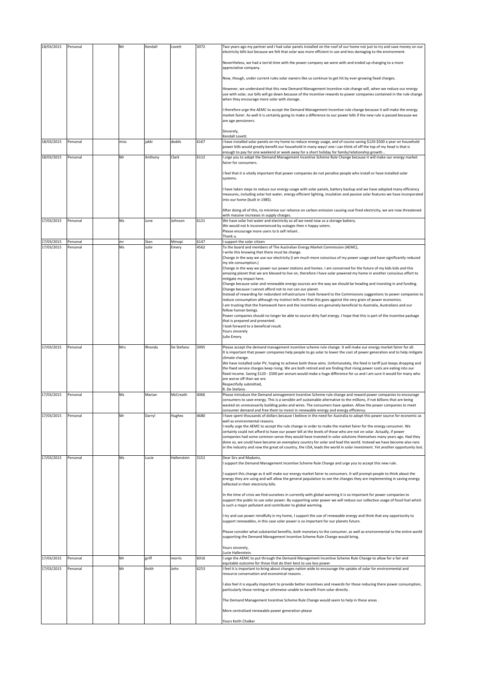| 18/03/2015               | Personal             | Mr   | Kendall | Lovett      | 3072 | Two years ago my partner and I had solar panels installed on the roof of our home not just to try and save money on our<br>electricity bills but because we felt that solar was more efficient in use and less damaging to the environment.                                                                                                                                                                                                            |
|--------------------------|----------------------|------|---------|-------------|------|--------------------------------------------------------------------------------------------------------------------------------------------------------------------------------------------------------------------------------------------------------------------------------------------------------------------------------------------------------------------------------------------------------------------------------------------------------|
|                          |                      |      |         |             |      | Nevertheless, we had a torrid time with the power company we were with and ended up changing to a more<br>appreciative company.                                                                                                                                                                                                                                                                                                                        |
|                          |                      |      |         |             |      | Now, though, under current rules solar owners like us continue to get hit by ever-growing fixed charges.                                                                                                                                                                                                                                                                                                                                               |
|                          |                      |      |         |             |      | However, we understand that this new Demand Management Incentive rule change will, when we reduce our energy<br>use with solar, our bills will go down because of the incentive rewards to power companies contained in the rule change<br>when they encourage more solar with storage.                                                                                                                                                                |
|                          |                      |      |         |             |      | therefore urge the AEMC to accept the Demand Management Incentive rule change because it will make the energy<br>market fairer. As well it is certainly going to make a difference to our power bills if the new rule is passed because we<br>are age pensioners.                                                                                                                                                                                      |
|                          |                      |      |         |             |      | Sincerely,<br>Kendall Lovett.                                                                                                                                                                                                                                                                                                                                                                                                                          |
| 18/03/2015               | Personal             | miss | jakki   | dodds       | 6167 | i have installed solar panels on my home to reduce energy usage, and of course saving \$120-\$500 a year on household<br>power bills would greatly benefit our household in many ways! one i can think of off the top of my head is that is<br>enough to pay for one weekend or week away for a short holiday for family/relationship growth                                                                                                           |
| 18/03/2015               | Personal             | Mr   | Anthony | Clark       | 6112 | urge you to adopt the Demand Management Incentive Scheme Rule Change because it will make our energy market<br>fairer for consumers.                                                                                                                                                                                                                                                                                                                   |
|                          |                      |      |         |             |      | feel that it is vitally important that power companies do not penalise people who install or have installed solar<br>systems.                                                                                                                                                                                                                                                                                                                          |
|                          |                      |      |         |             |      | have taken steps to reduce our energy usage with solar panels, battery backup and we have adopted many efficiency<br>measures, including solar hot water, energy efficient lighting, insulation and passive solar features we have incorporated<br>into our home (built in 1985).                                                                                                                                                                      |
|                          |                      |      |         |             |      | After doing all of this, to minimise our reliance on carbon emission causing coal fired electricity, we are now threatened<br>with massive increases in supply charges.                                                                                                                                                                                                                                                                                |
| 17/03/2015               | Personal             | Ms   | June    | Johnson     | 6121 | We have solar hot water and electricity so all we need now us a storage battery.<br>We would not b inconvenienced by outages then n happy voters.<br>Please encourage more users to b self reliant.<br>Thank u.                                                                                                                                                                                                                                        |
| 17/03/2015<br>17/03/2015 | Personal<br>Personal | mr   | Stan    | Mmopi       | 6147 | support the solar citizen                                                                                                                                                                                                                                                                                                                                                                                                                              |
|                          |                      | Ms   | Julie   | Emery       | 4562 | To the board and members of The Australian Energy Market Commission (AEMC),<br>I write this knowing that there must be change.<br>Change in the way we use our electricity (I am much more conscious of my power usage and have significantly reduced                                                                                                                                                                                                  |
|                          |                      |      |         |             |      | my ele consumption.)<br>Change in the way we power our power stations and homes. I am concerned for the future of my kids kids and this<br>amazing planet that we are blessed to live on, therefore I have solar powered my home in another conscious effort to                                                                                                                                                                                        |
|                          |                      |      |         |             |      | mitigate my impact here.<br>Change because solar and renewable energy sources are the way we should be heading and investing in and funding.<br>Change because I cannot afford not to nor can our planet.                                                                                                                                                                                                                                              |
|                          |                      |      |         |             |      | Instead of rewarding for redundant infrastructure I look forward to the Commissions suggestions to power companies to<br>reduce consumption although my instinct tells me that this goes against the very grain of power economics.                                                                                                                                                                                                                    |
|                          |                      |      |         |             |      | am trusting that the framework here and the incentives are genuinely beneficial to Australia, Australians and our<br>fellow human beings.                                                                                                                                                                                                                                                                                                              |
|                          |                      |      |         |             |      | Power companies should no longer be able to source dirty fuel energy. I hope that this is part of the incentive package<br>that is prepared and presented.<br>I look forward to a beneficial result.                                                                                                                                                                                                                                                   |
|                          |                      |      |         |             |      | Yours sincerely<br>Julie Emery                                                                                                                                                                                                                                                                                                                                                                                                                         |
| 17/03/2015               | Personal             | Mrs  | Rhonda  | De Stefano  | 3995 | Please accept the demand management incentive scheme rule change. It will make our energy market fairer for all.<br>It is important that power companies help people to go solar to lower the cost of power generation and to help mitigate                                                                                                                                                                                                            |
|                          |                      |      |         |             |      | climate change.<br>We have installed solar PV, hoping to achieve both these aims. Unfortunately, the feed in tariff just keeps dropping and<br>the fixed service charges keep rising. We are both retired and are finding that rising power costs are eating into our<br>fixed income. Saving \$120 - \$500 per annum would make a huge difference for us and I am sure it would for many who<br>are worse off than we are.<br>Respectfully submitted, |
| 17/03/2015               | Personal             | Ms   | Marian  | McCreath    | 4066 | R. De Stefano<br>Please introduce the Demand amnagement Incentive Scheme rule change and reward power companies to encourage<br>consumers to save energy. This is a sensible anf sustainable alternative to the millions, if not billions that are being                                                                                                                                                                                               |
|                          |                      |      |         |             | 4680 | wasted on unnecessarily building poles and wires. The consumers have spoken. Allow the power companies to meet<br>consumer demand and free them to invest in renewable energy and energy efficiency.                                                                                                                                                                                                                                                   |
| 17/03/2015               | Personal             | Mr   | Darryl  | Hughes      |      | I have spent thousands of dollars because I believe in the need for Australia to adopt this power source for economic as<br>well as environmental reasons.<br>I really urge the AEMC to accept the rule change in order to make the market fairer for the energy consumer. We                                                                                                                                                                          |
|                          |                      |      |         |             |      | certainly could not afford to have our power bill at the levels of those who are not on solar. Actually, if power<br>companies had some common sense they would have invested in solar solutions themselves many years ago. Had they                                                                                                                                                                                                                   |
|                          |                      |      |         |             |      | done so, we could have become an exemplary country for solar and lead the world. Instead we have become also-rans<br>in the industry and now the great oil country, the USA, leads the world in solar investment. Yet another opportunity lost.                                                                                                                                                                                                        |
| 17/03/2015               | Personal             | Ms   | Lucie   | Hallenstein | 3152 | Dear Sirs and Madams,<br>support the Demand Management Incentive Scheme Rule Change and urge you to accept this new rule.                                                                                                                                                                                                                                                                                                                              |
|                          |                      |      |         |             |      | support this change as it will make our energy market fairer to consumers. It will prompt people to think about the<br>energy they are using and will allow the general population to see the changes they are implementing in saving energy<br>reflected in their electricity bills.                                                                                                                                                                  |
|                          |                      |      |         |             |      | In the time of crisis we find ourselves in currently with global warming it is so important for power companies to<br>support the public to use solar power. By supporting solar power we will reduce our collective usage of fossil fuel which<br>is such a major pollutant and contributer to global warming.                                                                                                                                        |
|                          |                      |      |         |             |      | I try and use power mindfully in my home, I support the use of renewable energy and think that any opportunity to<br>support renewables, in this case solar power is so important for our planets future.                                                                                                                                                                                                                                              |
|                          |                      |      |         |             |      | Please consider what substantial benefits, both monetary to the consumer, as well as environmental to the entire world<br>supporting the Demand Management Incentive Scheme Rule Change would bring.                                                                                                                                                                                                                                                   |
|                          |                      |      |         |             |      | Yours sincerely,<br>Lucie Hallenstein.                                                                                                                                                                                                                                                                                                                                                                                                                 |
| 17/03/2015               | Personal             | Mr   | griff   | morris      | 6016 | I urge the AEMC to put through the Demand Management Incentive Scheme Rule Change to allow for a fair and<br>equitable outcome for those that do their best to use less power                                                                                                                                                                                                                                                                          |
| 17/03/2015               | Personal             | Mr   | Keith   | John        | 6253 | feel it is important to bring about changes nation wide to encourage the uptake of solar for environmental and<br>resource conservation and economical reasons.                                                                                                                                                                                                                                                                                        |
|                          |                      |      |         |             |      | also feel it is equally important to provide better incentives and rewards for those reducing there power consumption,<br>particularly those renting or otherwise unable to benefit from solar directly.                                                                                                                                                                                                                                               |
|                          |                      |      |         |             |      | The Demand Management Incentive Scheme Rule Change would seem to help in these areas.                                                                                                                                                                                                                                                                                                                                                                  |
|                          |                      |      |         |             |      | More centralised renewable power generation please                                                                                                                                                                                                                                                                                                                                                                                                     |
|                          |                      |      |         |             |      | Yours Keith Chalker                                                                                                                                                                                                                                                                                                                                                                                                                                    |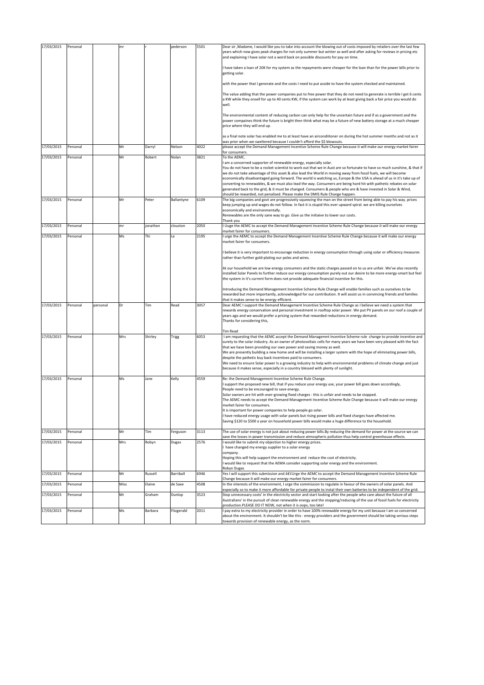| 17/03/2015 | Personal |          | mr   |          | pederson   | 5501 | Dear sir, Madame, I would like you to take into account the blowing out of costs imposed by retailers over the last few<br>years which now gives peak charges for not only summer but winter as well and after asking for reviews in pricing etc<br>and explaining I have solar not a word back on possible discounts for pay on time.                                                                                                                                                                                                                                                                                                                                                         |
|------------|----------|----------|------|----------|------------|------|------------------------------------------------------------------------------------------------------------------------------------------------------------------------------------------------------------------------------------------------------------------------------------------------------------------------------------------------------------------------------------------------------------------------------------------------------------------------------------------------------------------------------------------------------------------------------------------------------------------------------------------------------------------------------------------------|
|            |          |          |      |          |            |      | have taken a loan of 20K for my system as the repayments were cheaper for the loan than for the power bills prior to<br>getting solar.                                                                                                                                                                                                                                                                                                                                                                                                                                                                                                                                                         |
|            |          |          |      |          |            |      | with the power that I generate and the costs I need to put asside to have the system checked and maintained.                                                                                                                                                                                                                                                                                                                                                                                                                                                                                                                                                                                   |
|            |          |          |      |          |            |      | The value adding that the power companies put to free power that they do not need to generate is terrible I get 6 cents<br>a KW while they onsell for up to 40 cents KW, if the system can work by at least giving back a fair price you would do<br>well.                                                                                                                                                                                                                                                                                                                                                                                                                                     |
|            |          |          |      |          |            |      | The environmental content of reducing carbon can only help for the uncertain future and if as a government and the<br>power compaines think the future is bright then think what may be a future of new battery storage at a much cheaper<br>price where they will end up.                                                                                                                                                                                                                                                                                                                                                                                                                     |
|            |          |          |      |          |            |      | as a final note solar has enabled me to at least have an aircondiitoner on during the hot summer months and not as it<br>was prior when we sweltered because I couldn't afford the SS blowouts.                                                                                                                                                                                                                                                                                                                                                                                                                                                                                                |
| 17/03/2015 | Personal |          | Mr   | Darryl   | Nelson     | 4022 | please accept the Demand Management Incentive Scheme Rule Change because it will make our energy market fairer<br>for consumers.                                                                                                                                                                                                                                                                                                                                                                                                                                                                                                                                                               |
| 17/03/2015 | Personal |          | Mr   | Robert   | Nolan      | 3821 | To the AEMC.                                                                                                                                                                                                                                                                                                                                                                                                                                                                                                                                                                                                                                                                                   |
|            |          |          |      |          |            |      | I am a concerned supporter of renewable energy, especially solar.<br>You do not have to be a rocket scientist to work out that we in Aust are so fortunate to have so much sunshine, & that if<br>we do not take advantage of this asset & also lead the World in moving away from fossil fuels, we will become<br>economically disadvantaged going forward. The world is watching us, Europe & the USA is ahead of us in it's take up of<br>converting to renewables, & we must also lead the way. Consumers are being hard hit with pathetic rebates on solar<br>generated back to the grid, & it must be changed. Consumers & people who are & have invested in Solar & Wind,               |
| 17/03/2015 | Personal |          | Mr   | Peter    | Ballantyne | 6109 | should be rewarded, not penalised. Please make the DMIS Rule Change happen.<br>The big companies and govt are progressively squeezing the man on the street from being able to pay his way. prices                                                                                                                                                                                                                                                                                                                                                                                                                                                                                             |
|            |          |          |      |          |            |      | keep jumping up and wages do not follow. In fact it is stupid this ever upward spiral. we are killing ourselves<br>economically and environmentally.<br>Renewables are the only sane way to go. Give us the initiaive to lower our costs.                                                                                                                                                                                                                                                                                                                                                                                                                                                      |
| 17/03/2015 | Personal |          | mr   | jonathan | clouston   | 2050 | Thank vou<br>I Uuge the AEMC to accept the Demand Management Incentive Scheme Rule Change because it will make our energy                                                                                                                                                                                                                                                                                                                                                                                                                                                                                                                                                                      |
|            |          |          |      |          |            |      | market fairer for consumers.                                                                                                                                                                                                                                                                                                                                                                                                                                                                                                                                                                                                                                                                   |
| 17/03/2015 | Personal |          | Ms   | Thi      | Le         | 2195 | urge the AEMC to accept the Demand Management Incentive Scheme Rule Change because it will make our energy<br>market fairer for consumers.                                                                                                                                                                                                                                                                                                                                                                                                                                                                                                                                                     |
|            |          |          |      |          |            |      | believe it is very important to encourage reduction in energy consumption through using solar or efficiency measures<br>rather than further gold-plating our poles and wires.                                                                                                                                                                                                                                                                                                                                                                                                                                                                                                                  |
|            |          |          |      |          |            |      | At our household we are low energy consumers and the static charges passed on to us are unfair. We've also recently<br>installed Solar Panels to further reduce our energy consumption purely out our desire to be more energy-smart but feel<br>the system in it's current form does not provide adequate financial incentive for this.                                                                                                                                                                                                                                                                                                                                                       |
|            |          |          |      |          |            |      | Introducing the Demand Management Incentive Scheme Rule Change will enable families such as ourselves to be<br>rewarded but more importantly, acknowledged for our contribution. It will assist us in convincing friends and families<br>that it makes sense to be energy efficient.                                                                                                                                                                                                                                                                                                                                                                                                           |
| 17/03/2015 | Personal | personal | Dr   | Tim      | Read       | 3057 | Dear AEMC I support the Demand Management Incentive Scheme Rule Change as I believe we need a system that<br>rewards energy conservation and personal investment in rooftop solar power. We put PV panels on our roof a couple of<br>years ago and we would prefer a pricing system that rewarded reductions in energy demand.<br>Thanks for considering this,                                                                                                                                                                                                                                                                                                                                 |
| 17/03/2015 | Personal |          | Mrs  | Shirley  | Trigg      | 6053 | <b>Tim Read</b><br>I am requesting that the AEMC accept the Demand Managemnt Incentive Scheme rule change to provide incentive and                                                                                                                                                                                                                                                                                                                                                                                                                                                                                                                                                             |
|            |          |          |      |          |            |      | surety to the solar industry. As an owner of photovoltaic cells for many years we have been very pleased with the fact<br>that we have been providing our own power and saving money as well.<br>We are presently building a new home and will be installing a larger system with the hope of eliminating power bills,<br>despite the pathetic buy back incentives paid to consumers.<br>We need to ensure Solar power Is a growing industry to help with environmental problems of climate change and just<br>because it makes sense, especially in a country blessed with plenty of sunlight.                                                                                                |
| 17/03/2015 | Personal |          | Ms   | Jane     | Kelly      | 4559 | Re: the Demand Management Incentive Scheme Rule Change.                                                                                                                                                                                                                                                                                                                                                                                                                                                                                                                                                                                                                                        |
|            |          |          |      |          |            |      | support the proposed new bill, that if you reduce your energy use, your power bill goes down accordingly,<br>People need to be encouraged to save energy.<br>Solar owners are hit with ever-growing fixed charges - this is unfair and needs to be stopped.<br>The AEMC needs to accept the Demand Management Incentive Scheme Rule Change because it will make our energy<br>market fairer for consumers.<br>It is important for power companies to help people go solar.<br>I have reduced energy usage with solar panels but rising power bills and fixed charges have affected me.<br>Saving \$120 to \$500 a year on household power bills would make a huge difference to the household. |
| 17/03/2015 | Personal |          | Mr   | Tim      | Ferguson   | 3113 | The use of solar energy is not just about reducing power bills.By reducing the demand for power at the source we can                                                                                                                                                                                                                                                                                                                                                                                                                                                                                                                                                                           |
| 17/03/2015 | Personal |          | Mrs  | Robyn    | Dugas      | 2576 | save the losses in power transmission and reduce atmospheric pollution thus help control greenhouse effects.<br>I would like to submit my objection to higher energy prices.                                                                                                                                                                                                                                                                                                                                                                                                                                                                                                                   |
|            |          |          |      |          |            |      | have changed my energy supplier to a solar energy<br>company.<br>Hoping this will help support the environment and reduce the cost of electricity.<br>would like to request that the AEMA consider supporting solar energy and the environment.                                                                                                                                                                                                                                                                                                                                                                                                                                                |
| 17/03/2015 | Personal |          | Mr   | Russell  | Barriball  | 6946 | Robyn Dugas<br>Yes I will support this submission and •Urge the AEMC to accept the Demand Management Incentive Scheme Rule                                                                                                                                                                                                                                                                                                                                                                                                                                                                                                                                                                     |
| 17/03/2015 | Personal |          | Miss | Elaine   | de Saxe    | 4508 | Change because it will make our energy market fairer for consumers.<br>In the interests of the environment, I urge the commission to regulate in favour of the owners of solar panels. And                                                                                                                                                                                                                                                                                                                                                                                                                                                                                                     |
| 17/03/2015 | Personal |          | Mr   | Graham   | Dunlop     | 3523 | especially so to make it more affordable for private people to instal their own batteries to be independent of the grid.<br>Stop unnecessary costs' in the electricity sector and start looking after the people who care about the future of all                                                                                                                                                                                                                                                                                                                                                                                                                                              |
| 17/03/2015 | Personal |          | Ms   |          | Fitzgerald | 2011 | Australians' in the pursuit of clean renewable energy and the stopping/reducing of the use of fossil fuels for electricity<br>production.PLEASE DO IT NOW, not when it is oops, too late!<br>pay extra to my electricity provider in order to have 100% renewable energy for my unit because I am so concerned                                                                                                                                                                                                                                                                                                                                                                                 |
|            |          |          |      | Barbara  |            |      | about the environment. It shouldn't be like this - energy providers and the government should be taking serious steps<br>towards provision of renewable energy, as the norm.                                                                                                                                                                                                                                                                                                                                                                                                                                                                                                                   |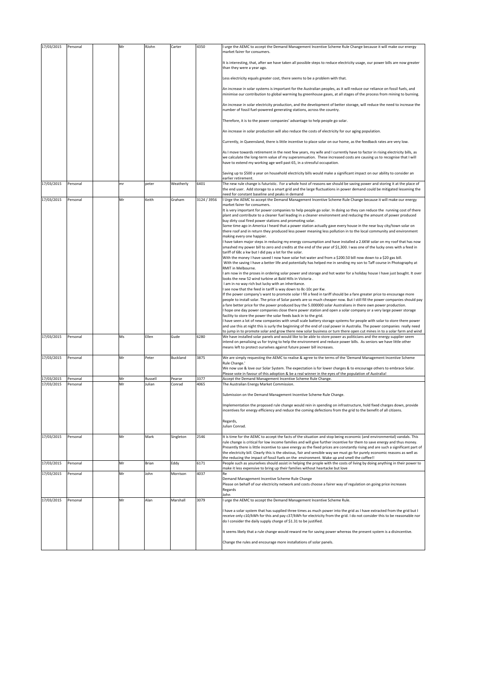| 17/03/2015               | Personal             | Mr       | RJohn             | Carter           | 4350         | I urge the AEMC to accept the Demand Management Incentive Scheme Rule Change because it will make our energy<br>market fairer for consumers.                                                                                                                                                                                 |
|--------------------------|----------------------|----------|-------------------|------------------|--------------|------------------------------------------------------------------------------------------------------------------------------------------------------------------------------------------------------------------------------------------------------------------------------------------------------------------------------|
|                          |                      |          |                   |                  |              | It is interesting, that, after we have taken all possible steps to reduce electricity usage, our power bills are now greater<br>than they were a year ago.                                                                                                                                                                   |
|                          |                      |          |                   |                  |              | Less electricity equals greater cost, there seems to be a problem with that.                                                                                                                                                                                                                                                 |
|                          |                      |          |                   |                  |              | An increase in solar systems is important for the Australian peoples, as it will reduce our reliance on fossil fuels, and<br>minimise our contribution to global warming by greenhouse gases, at all stages of the process from mining to burning.                                                                           |
|                          |                      |          |                   |                  |              | An increase in solar electricity production, and the development of better storage, will reduce the need to increase the<br>number of fossil fuel-powered generating stations, across the country.                                                                                                                           |
|                          |                      |          |                   |                  |              | Therefore, it is to the power companies' advantage to help people go solar.                                                                                                                                                                                                                                                  |
|                          |                      |          |                   |                  |              | An increase in solar production will also reduce the costs of electricity for our aging population.                                                                                                                                                                                                                          |
|                          |                      |          |                   |                  |              | Currently, in Queensland, there is little incentive to place solar on our home, as the feedback rates are very low.                                                                                                                                                                                                          |
|                          |                      |          |                   |                  |              | As I move towards retirement in the next few years, my wife and I currently have to factor in rising electricity bills, as<br>we calculate the long-term value of my superannuation. These increased costs are causing us to recognise that I will<br>have to extend my working age well past 65, in a stressful occupation. |
|                          |                      |          |                   |                  |              | Saving up to \$500 a year on household electricity bills would make a significant impact on our ability to consider an                                                                                                                                                                                                       |
| 17/03/2015               | Personal             | mr       | peter             | Weatherly        | 6401         | earlier retirement.<br>The new rule change is futuristic. For a whole host of reasons we should be saving power and storing it at the place of<br>the end user. Add storage to a smart grid and the large fluctuations in power demand could be mitigated lessening the                                                      |
| 17/03/2015               | Personal             | Mr       | Keith             | Graham           | 3124 / 3956  | need for constant baseline and peaks in demand<br>I Urge the AEMC to accept the Demand Management Incentive Scheme Rule Change because it will make our energy                                                                                                                                                               |
|                          |                      |          |                   |                  |              | market fairer for consumers.<br>It is very important for power companies to help people go solar. In doing so they can reduce the running cost of there                                                                                                                                                                      |
|                          |                      |          |                   |                  |              | plant and contribute to a cleaner fuel leading in a cleaner environment and reducing the amount of power produced<br>buy dirty coal fired power stations and promoting solar.<br>Some time ago in America I heard that a power station actually gave every house in the near buy city/town solar on                          |
|                          |                      |          |                   |                  |              | there roof and in return they produced less power meaning less pollution in to the local community and environment<br>making every one happier.                                                                                                                                                                              |
|                          |                      |          |                   |                  |              | I have taken major steps in reducing my energy consumption and have installed a 2.6KW solar on my roof that has now<br>smashed my power bill to zero and credits at the end of the year of \$1,300. I was one of the lucky ones with a feed in                                                                               |
|                          |                      |          |                   |                  |              | tariff of 68c a kw but I did pay a lot for the solar.<br>With the money I have saved I now have solar hot water and from a \$200.50 bill now down to a \$20 gas bill.                                                                                                                                                        |
|                          |                      |          |                   |                  |              | With the saving I have a better life and potentially has helped me in sending my son to Taff course in Photography at<br>RMIT in Melbourne.<br>am now in the proses in ordering solar power and storage and hot water for a holiday house I have just bought. It over                                                        |
|                          |                      |          |                   |                  |              | looks the new 52 wind turbine at Bald Hills in Victoria.<br>I am in no way rich but lucky with an inheritance.                                                                                                                                                                                                               |
|                          |                      |          |                   |                  |              | see now that the feed in tariff is way down to 8c-10c per Kw.<br>If the power company's want to promote solar I fill a feed in tariff should be a fare greater price to encourage more                                                                                                                                       |
|                          |                      |          |                   |                  |              | people to install solar. The price of Solar panels are so much cheaper now. But I still fill the power companies should pay<br>a fare better price for the power produced buy the 5.000000 solar Australians in there own power production.                                                                                  |
|                          |                      |          |                   |                  |              | I hope one day power companies close there power station and open a solar company or a very large power storage<br>facility to store the power the solar feeds back in to the grid.                                                                                                                                          |
|                          |                      |          |                   |                  |              | have seen a lot of new companies with small scale battery storage systems for people with solar to store there power<br>and use this at night this is surly the beginning of the end of coal power in Australia. The power companies really need                                                                             |
| 17/03/2015               | Personal             | Ms       | Ellen             | Gude             | 6280         | to jump in to promote solar and grow there new solar business or turn there open cut mines in to a solar farm and wind<br>We have installed solar panels and would like to be able to store power as politicians and the energy supplier seem                                                                                |
|                          |                      |          |                   |                  |              | intend on penalising us for trying to help the environment and reduce power bills. As seniors we have little other<br>means left to protect ourselves against future power bill increases.                                                                                                                                   |
| 17/03/2015               | Personal             | Mr       | Peter             | Buckland         | 3875         | We are simply requesting the AEMC to realise & agree to the terms of the 'Demand Management Incentive Scheme<br>Rule Change.'                                                                                                                                                                                                |
|                          |                      |          |                   |                  |              | We now use & love our Solar System. The expectation is for lower charges & to encourage others to embrace Solar.<br>Please vote in favour of this adoption & be a real winner in the eyes of the population of Australia!                                                                                                    |
| 17/03/2015<br>17/03/2015 | Personal<br>Personal | Mr<br>Mr | Russell<br>Julian | Pearse<br>Conrad | 3377<br>4065 | Accept the Demand Management Incentive Scheme Rule Change.<br>The Australian Energy Market Commission.                                                                                                                                                                                                                       |
|                          |                      |          |                   |                  |              | Submission on the Demand Management Incentive Scheme Rule Change.                                                                                                                                                                                                                                                            |
|                          |                      |          |                   |                  |              | Implementation the proposed rule change would rein in spending on infrastructure, hold fixed charges down, provide<br>incentives for energy efficiency and reduce the coming defections from the grid to the benefit ot all citizens.                                                                                        |
|                          |                      |          |                   |                  |              | Regards,                                                                                                                                                                                                                                                                                                                     |
|                          |                      |          |                   |                  |              | Julian Conrad.                                                                                                                                                                                                                                                                                                               |
| 17/03/2015               | Personal             | Mr       | Mark              | Singleton        | 2546         | It is time for the AEMC to accept the facts of the situation and stop being economic (and environmental) vandals. This<br>rule change is critical for low income families and will give further incentive for them to save energy and thus money.                                                                            |
|                          |                      |          |                   |                  |              | Presently there is little incentive to save energy as the fixed prices are constantly rising and are such a significant part of<br>the electricity bill. Clearly this is the obvious, fair and sensible way we must go for purely economic reasons as well as                                                                |
| 17/03/2015               | Personal             | Mr       | Brian             | Eddy             | 6171         | the reducing the impact of fossil fuels on the environment. Wake up and smell the coffee!!<br>People such as yourselves should assist in helping the prople with the costs of living by doing anything in their power to                                                                                                     |
| 17/03/2015               | Personal             | Mr       | John              | Morrison         | 4037         | make it less expensive to bring up their families without heartacke but love<br>Re                                                                                                                                                                                                                                           |
|                          |                      |          |                   |                  |              | Demand Management Incentive Scheme Rule Change<br>Please on behalf of our electricity network and costs choose a fairer way of regulation on going price increases<br>Regards<br>John                                                                                                                                        |
| 17/03/2015               | Personal             | Mr       | Alan              | Marshall         | 3079         | I urge the AEMC to accept the Demand Management Incentive Scheme Rule.                                                                                                                                                                                                                                                       |
|                          |                      |          |                   |                  |              | I have a solar system that has supplied three times as much power into the grid as I have extracted from the grid but I<br>receive only c10/kWh for this and pay c37/kWh for electricity from the grid. I do not consider this to be reasonable nor<br>do I consider the daily supply charge of \$1.31 to be justified.      |
|                          |                      |          |                   |                  |              | It seems likely that a rule change would reward me for saving power whereas the present system is a disincentive.                                                                                                                                                                                                            |
|                          |                      |          |                   |                  |              | Change the rules and encourage more installations of solar panels.                                                                                                                                                                                                                                                           |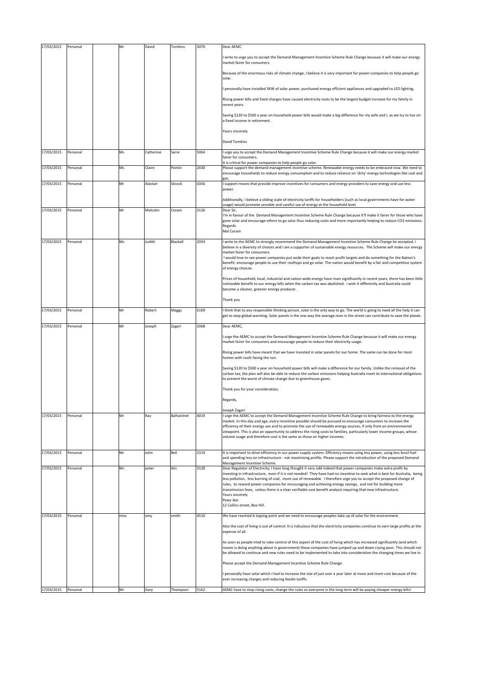| 17/03/2015 | Personal | Mr   | David     | Tomkins    | 3070 | Dear AEMC                                                                                                                                                                                                                                                                                                               |
|------------|----------|------|-----------|------------|------|-------------------------------------------------------------------------------------------------------------------------------------------------------------------------------------------------------------------------------------------------------------------------------------------------------------------------|
|            |          |      |           |            |      | write to urge you to accept the Demand Management Incentive Scheme Rule Change because it will make our energy<br>market fairer for consumers.                                                                                                                                                                          |
|            |          |      |           |            |      | Because of the enormous risks of climate change, I believe it is very important for power companies to help people go<br>solar.                                                                                                                                                                                         |
|            |          |      |           |            |      | personally have installed 3KW of solar power, purchased energy efficient appliances and upgraded to LED lighting.                                                                                                                                                                                                       |
|            |          |      |           |            |      | Rising power bills and fixed charges have caused electricity costs to be the largest budget increase for my family in<br>recent years.                                                                                                                                                                                  |
|            |          |      |           |            |      | Saving \$120 to \$500 a year on household power bills would make a big difference for my wife and I, as we try to live on<br>a fixed income in retirement.                                                                                                                                                              |
|            |          |      |           |            |      | Yours sincerely                                                                                                                                                                                                                                                                                                         |
|            |          |      |           |            |      | <b>David Tomkins</b>                                                                                                                                                                                                                                                                                                    |
| 17/03/2015 | Personal | Ms   | Catherine | Sarre      | 5064 | I urge you to accept the Demand Management Incentive Scheme Rule Change because it will make our energy market<br>fairer for consumers.<br>It is critical for power companies to help people go solar.                                                                                                                  |
| 17/03/2015 | Personal | Ms   | Claire    | Pontin     | 2430 | Please support the demand management incentive scheme. Renewable energy needs to be embraced now. We need to<br>encourage households to reduce energy consumption and to reduce reliance on 'dirty' energy technologies like coal and                                                                                   |
| 17/03/2015 | Personal | Mr   | Alastair  | Silcock    | 4356 | support moves that provide improve incentives for consumers and energy providers to save energy and use less<br>power.                                                                                                                                                                                                  |
|            |          |      |           |            |      | Additionally, I believe a sliding scale of electricity tariffs for householders (such as local governments have for water                                                                                                                                                                                               |
| 17/03/2015 | Personal | Mr   | Malcolm   | Coram      | 3126 | usage) would promote sensible and careful use of energy at the household level.<br>Dear Sir,                                                                                                                                                                                                                            |
|            |          |      |           |            |      | I'm in favour of the Demand Management Incentive Scheme Rule Change because it'll make it fairer for those who have<br>gone solar and encourage others to go solar thus reducing costs and more importantly helping to reduce CO2 emissions.<br>Regards<br>Mal Coram                                                    |
| 17/03/2015 | Personal | Ms   | Judith    | Blackall   | 2034 | I write to the AEMC to strongly recommend the Demand Management Incentive Scheme Rule Change be accepted. I                                                                                                                                                                                                             |
|            |          |      |           |            |      | believe in a diversity of choices and I am a supporter of sustainable energy resources. The Scheme will make our energy<br>market fairer for consumers.                                                                                                                                                                 |
|            |          |      |           |            |      | I would love to see power companies put aside their goals to reach profit targets and do something for the Nation's<br>benefit: encourage people to use their rooftops and go solar. The nation would benefit by a fair and competitive system<br>of energy choices.                                                    |
|            |          |      |           |            |      | Prices of household, local, industrial and nation-wide energy have risen significantly in recent years, there has been little<br>noticeable benefit to our energy bills when the carbon tax was abolished. i wish it differently and Australia could                                                                    |
|            |          |      |           |            |      | become a cleaner, greener energy producer.<br>Thank you                                                                                                                                                                                                                                                                 |
| 17/03/2015 | Personal | Mr   | Robert    | Maggs      | 6169 | I think that to any responsible thinking person, solar is the only way to go. The world is going to need all the help it can                                                                                                                                                                                            |
|            |          |      |           |            |      | get to stop global warming. Solar panels is the one way the average man in the street can contribute to save the planet.                                                                                                                                                                                                |
| 17/03/2015 | Personal | Mr   | Joseph    | Zagari     | 2068 | Dear AEMC,                                                                                                                                                                                                                                                                                                              |
|            |          |      |           |            |      | I urge the AEMC to accept the Demand Management Incentive Scheme Rule Change because it will make our energy<br>market fairer for consumers and encourage people to reduce their electricity usage.                                                                                                                     |
|            |          |      |           |            |      | Rising power bills have meant that we have invested in solar panels for our home. The same can be done for most<br>homes with roofs facing the sun.                                                                                                                                                                     |
|            |          |      |           |            |      | Saving \$120 to \$500 a year on household power bills will make a difference for our family. Unlike the removal of the<br>carbon tax, the plan will also be able to reduce the carbon emissions helping Australia meet its international obligations<br>to prevent the worst of climate change due to greenhouse gases. |
|            |          |      |           |            |      | Thank you for your consideration,                                                                                                                                                                                                                                                                                       |
|            |          |      |           |            |      | Regards,                                                                                                                                                                                                                                                                                                                |
|            |          |      |           |            |      | Joseph Zagari                                                                                                                                                                                                                                                                                                           |
| 17/03/2015 | Personal | Mr   | Ray       | Balhatchet | 4019 | I urge the AEMC to accept the Demand Management Incentive Scheme Rule Change to bring fairness to the energy<br>market. In this day and age, every incentive possible should be pursued to encourage consumers to increase the                                                                                          |
|            |          |      |           |            |      | efficiency of their energy use and to promote the use of renewable energy sources, if only from an environmental<br>viewpoint. This is also an opportunity to address the rising costs to families, particularly lower income groups, whose                                                                             |
|            |          |      |           |            |      | volume usage and therefore cost is the same as those on higher incomes.                                                                                                                                                                                                                                                 |
| 17/03/2015 | Personal | Mr   | John      | Bell       | 2319 | It is important to drive efficiency in our power supply system. Efficiency means using less power, using less fossil fuel<br>and spending less on infrastructure - not maximising profits. Please support the introduction of the proposed Demand                                                                       |
| 17/03/2015 | Personal | Mr.  | peter     | ikin       | 3128 | Management Incentive Scheme.<br>Dear Regulator of Electricity, I have long thought it very odd indeed that power companies make extra profit by                                                                                                                                                                         |
|            |          |      |           |            |      | investing in infrastructure, even if it is not needed! They have had no incentive to seek what is best for Australia, being<br>less pollution, less burning of coal, more use of renewable. I therefore urge you to accept the proposed change of                                                                       |
|            |          |      |           |            |      | rules, to reward power companies for encouraging and achieving energy savings, and not for building more<br>transmission lines, unless there is a clear verifiable cost benefit analysis requiring that new infrastructure.                                                                                             |
|            |          |      |           |            |      | Yours sincerely<br>Peter Ikin                                                                                                                                                                                                                                                                                           |
|            |          |      |           |            |      | 12 Collins street, Box Hill.                                                                                                                                                                                                                                                                                            |
| 17/03/2015 | Personal | miss | amy       | smith      | 4510 | We have reached A tipping point and we need to encourage peoples take up of solar for the environment.                                                                                                                                                                                                                  |
|            |          |      |           |            |      | Also the cost of living is out of control. It is ridiculous that the electricity companies continue to earn large profits at the<br>expense of all.                                                                                                                                                                     |
|            |          |      |           |            |      | As soon as people tried to take control of this aspect of the cost of living which has increased significantly (and which                                                                                                                                                                                               |
|            |          |      |           |            |      | noone is doing anything about in government) these companies have jumped up and down crying poor. This should not<br>be allowed to continue and new rules need to be implemented to take into consideration the changing times we live in.                                                                              |
|            |          |      |           |            |      | Please accept the Demand Management Incentive Scheme Rule Change.                                                                                                                                                                                                                                                       |
|            |          |      |           |            |      | personally have solar which I had to increase the size of just over a year later at more and more cost because of the<br>ever increasing charges and reducing feedin tariffs.                                                                                                                                           |
| 17/03/2015 | Personal | Mr   | Gary      | Thompson   | 5162 | AEMC have to stop rising costs, change the rules so everyone in the long term will be paying cheaper energy bills!                                                                                                                                                                                                      |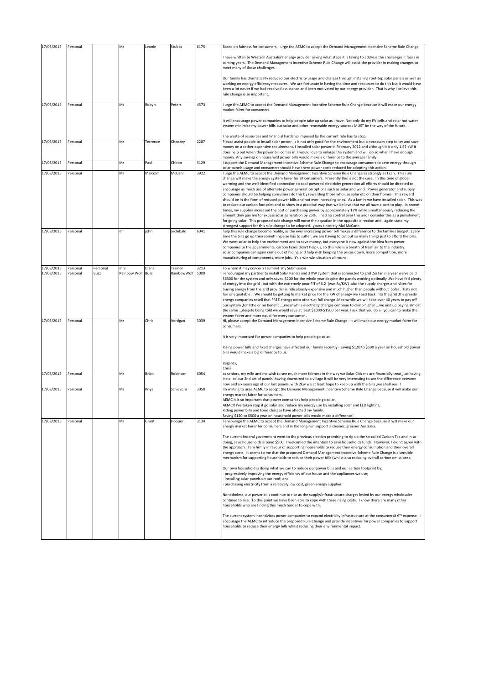| 17/03/2015               | Personal             |                  | Ms                  | Leonie        | Stubbs                 | 6175         | Based on fairness for consumers, I urge the AEMC to accept the Demand Management Incentive Scheme Rule Change.                                                                                                                                                                                                                                                                                                                                                                                                                                                                                                                                                                                                                                                                                                                                                                                                                                                                                                                                                                                                                                                                                                                                                                                              |
|--------------------------|----------------------|------------------|---------------------|---------------|------------------------|--------------|-------------------------------------------------------------------------------------------------------------------------------------------------------------------------------------------------------------------------------------------------------------------------------------------------------------------------------------------------------------------------------------------------------------------------------------------------------------------------------------------------------------------------------------------------------------------------------------------------------------------------------------------------------------------------------------------------------------------------------------------------------------------------------------------------------------------------------------------------------------------------------------------------------------------------------------------------------------------------------------------------------------------------------------------------------------------------------------------------------------------------------------------------------------------------------------------------------------------------------------------------------------------------------------------------------------|
|                          |                      |                  |                     |               |                        |              | have written to Western Australia's energy provider asking what steps it is taking to address the challenges it faces in<br>coming years. The Demand Management Incentive Scheme Rule Change will assist the provider in making changes to<br>meet many of those challenges.                                                                                                                                                                                                                                                                                                                                                                                                                                                                                                                                                                                                                                                                                                                                                                                                                                                                                                                                                                                                                                |
|                          |                      |                  |                     |               |                        |              | Our family has dramatically reduced our electricity usage and charges through installing roof-top solar panels as well as<br>working on energy efficiency measures. We are fortunate in having the time and resources to do this but it would have<br>been a lot easier if we had received assistance and been motivated by our energy provider. That is why I believe this<br>rule change is so important.                                                                                                                                                                                                                                                                                                                                                                                                                                                                                                                                                                                                                                                                                                                                                                                                                                                                                                 |
| 17/03/2015               | Personal             |                  | Ms                  | Robyn         | Peters                 | 4573         | I urge the AEMC to accept the Demand Management Incentive Scheme Rule Change because it will make our energy<br>market fairer for consumers.                                                                                                                                                                                                                                                                                                                                                                                                                                                                                                                                                                                                                                                                                                                                                                                                                                                                                                                                                                                                                                                                                                                                                                |
|                          |                      |                  |                     |               |                        |              | It will encourage power companies to help people take up solar as I have. Not only do my PV cells and solar hot water<br>system minimise my power bills but solar and other renewable energy sources MUST be the way of the future.                                                                                                                                                                                                                                                                                                                                                                                                                                                                                                                                                                                                                                                                                                                                                                                                                                                                                                                                                                                                                                                                         |
| 17/03/2015               | Personal             |                  | Mr                  | Terrence      | Chedzey                | 2287         | The waste of resources and financial hardship imposed by the current rule has to stop.<br>Please assist people to install solar power. It is not only good for the environment but a necessary step to try and save<br>money on a rather expensive requirement. I installed solar power in February 2012 and although it is only 1.52 kW it<br>does help out when the power bill comes in. I would love to enlarge the system and will do so when I have enough                                                                                                                                                                                                                                                                                                                                                                                                                                                                                                                                                                                                                                                                                                                                                                                                                                             |
| 17/03/2015               | Personal             |                  | Mr                  | Paul          | Chiron                 | 3129         | money. Any sayings on household power bills would make a difference to the average family.<br>support the Demand Management Incentive Scheme Rule Change to encourage consumers to save energy through                                                                                                                                                                                                                                                                                                                                                                                                                                                                                                                                                                                                                                                                                                                                                                                                                                                                                                                                                                                                                                                                                                      |
|                          |                      |                  |                     |               |                        |              | solar panels usage and consumers should have there power costs reduced for adopting this action.                                                                                                                                                                                                                                                                                                                                                                                                                                                                                                                                                                                                                                                                                                                                                                                                                                                                                                                                                                                                                                                                                                                                                                                                            |
| 17/03/2015               | Personal             |                  | Mr                  | Malcolm       | McCann                 | 3922         | I urge the AEMC to accept the Demand Management Incentive Scheme Rule Change as strongly as I can. This rule<br>change will make the energy system fairer for all consumers. Presently this is not the case. In this time of global<br>warming and the well-identified connection to coal-powered electricity generation all efforts should be directed to<br>encourage as much use of alternate power generation options such as solar and wind. Power generator and supply<br>companies should be helping consumers do this by rewarding those who use solar etc on their homes. This reward<br>should be in the form of reduced power bills and not ever increasing ones. As a family we have installed solar. This was<br>to reduce our carbon footprint and to show in a practical way that we believe that we all have a part to play. In recent<br>times, my supplier increased the cost of purchasing power by approximately 12% while simultaneously reducing the<br>amount they pay me for excess solar generation by 25%. I had no control over this and I consider this as a punishment<br>for going solar. This proposed rule change will move the equation in the opposite direction and I again state my<br>strongest support for this rule change to be adopted. yours sincerely Mal McCann |
| 17/03/2015               | Personal             |                  | mr                  | john          | archibald              | 6041         | help this rule change become reality, as the ever increasing power bill makes a difference to the families budget. Every<br>time the bills go up then something else has to suffer. we are having to cut out so many things just to afford the bills.<br>We went solar to help the environment and to save money, but everyone is now against the idea from power<br>companies to the governments, carbon taxes didn't help us, so this rule is a breath of fresh air to the industry.<br>solar companies can again come out of hiding and help with keeping the prices down, more competition, more<br>manufacturing of components, more jobs, it's a win win situation all round.                                                                                                                                                                                                                                                                                                                                                                                                                                                                                                                                                                                                                         |
| 17/03/2015<br>17/03/2015 | Personal<br>Personal | Personal<br>Buzz | mrs<br>Rainbow Wolf | Diana<br>Buzz | Trainor<br>RainbowWolf | 3213<br>5000 | To whom it may concern I summit my Submission<br>i encouraged my partner to install Solar Panels and 3 KW system that is connected to grid .So far in a year we've paid                                                                                                                                                                                                                                                                                                                                                                                                                                                                                                                                                                                                                                                                                                                                                                                                                                                                                                                                                                                                                                                                                                                                     |
|                          |                      |                  |                     |               |                        |              | \$6300 for the system and only saved \$200 for the whole year despite the panels working optimally .We have fed plenty<br>of energy into the grid, but with the extremely poor FIT of 6.2 (was 8c/KW) .also the supply charges and rAtes for<br>buying energy from the grid provider is ridiculously expensive and much higher than people without Solar .Thats not<br>fair or equatable  We should be getting fu market price for the KW of energy we Feed back into the grid .the greedy<br>energy companies resell that FREE energy onto others at full charge .Meanwhile we will take over 40 years to pay off<br>our system, for little or no benefit meanwhile electricity charges continue to climb higher we end up paying almost<br>the same despite being told we would save at least \$1000-\$1500 per year. I ask that you do all you can to make the<br>system fairer and more equal for every consumer.                                                                                                                                                                                                                                                                                                                                                                                       |
| 17/03/2015               | Personal             |                  | Mr                  | Chris         | Vertigan               | 3039         | Hi, please accept the Demand Management Incentive Scheme Rule Change - it will make our energy market fairer for<br>consumers.                                                                                                                                                                                                                                                                                                                                                                                                                                                                                                                                                                                                                                                                                                                                                                                                                                                                                                                                                                                                                                                                                                                                                                              |
|                          |                      |                  |                     |               |                        |              | It is very important for power companies to help people go solar.                                                                                                                                                                                                                                                                                                                                                                                                                                                                                                                                                                                                                                                                                                                                                                                                                                                                                                                                                                                                                                                                                                                                                                                                                                           |
|                          |                      |                  |                     |               |                        |              | Rising power bills and fixed charges have affected our family recently - saving \$120 to \$500 a year on household power<br>bills would make a big difference to us.                                                                                                                                                                                                                                                                                                                                                                                                                                                                                                                                                                                                                                                                                                                                                                                                                                                                                                                                                                                                                                                                                                                                        |
|                          |                      |                  |                     |               |                        |              | Regards,<br>Chris                                                                                                                                                                                                                                                                                                                                                                                                                                                                                                                                                                                                                                                                                                                                                                                                                                                                                                                                                                                                                                                                                                                                                                                                                                                                                           |
| 17/03/2015               | Personal             |                  | Mr                  | Brian         | Robinson               | 6054         | as seniors, my wife and me wish to see much more fairness in the way we Solar Citizens are financially treat, just having<br>installed our 2nd set of panels, having downsized to a village it will be very interesting to see the difference between<br>now and six years ago of our last panels, with 2kw we at least hope to keep up with the bills , we shall see !!                                                                                                                                                                                                                                                                                                                                                                                                                                                                                                                                                                                                                                                                                                                                                                                                                                                                                                                                    |
| 17/03/2015               | Personal             |                  | Ms                  | Priya         | Schiavoni              | 3058         | Im writing to urge AEMC to accept the Demand Management Incentive Scheme Rule Change because it will make our<br>energy market fairer for consumers.                                                                                                                                                                                                                                                                                                                                                                                                                                                                                                                                                                                                                                                                                                                                                                                                                                                                                                                                                                                                                                                                                                                                                        |
|                          |                      |                  |                     |               |                        |              | AEMC it is so important that power companies help people go solar.<br>AEMCIf I've taken step it go solar and reduce my energy use by installing solar and LED lighting.<br>Riding power bills and fixed charges have affected my family.                                                                                                                                                                                                                                                                                                                                                                                                                                                                                                                                                                                                                                                                                                                                                                                                                                                                                                                                                                                                                                                                    |
| 17/03/2015               | Personal             |                  | Mr                  | Grant         | Hooper                 | 3134         | Saving \$120 to \$500 a year on household power bills would make a difference!<br>encourage the AEMC to accept the Demand Management Incentive Scheme Rule Change because it will make our                                                                                                                                                                                                                                                                                                                                                                                                                                                                                                                                                                                                                                                                                                                                                                                                                                                                                                                                                                                                                                                                                                                  |
|                          |                      |                  |                     |               |                        |              | energy market fairer for consumers and in the long-run support a cleaner, greener Australia.                                                                                                                                                                                                                                                                                                                                                                                                                                                                                                                                                                                                                                                                                                                                                                                                                                                                                                                                                                                                                                                                                                                                                                                                                |
|                          |                      |                  |                     |               |                        |              | The current federal government went to the previous election promising to rip up the so-called Carbon Tax and in so-<br>doing, save households around \$500. I welcomed the intention to save households funds. However, I didn't agree with<br>the approach. I am firmly in favour of supporting households to reduce their energy consumption and their overall<br>energy costs. It seems to me that the proposed Demand Management Incentive Scheme Rule Change is a sensible<br>mechanism for supporting households to reduce their power bills (whilst also reducing overall carbon emissions).                                                                                                                                                                                                                                                                                                                                                                                                                                                                                                                                                                                                                                                                                                        |
|                          |                      |                  |                     |               |                        |              | Our own household is doing what we can to reduce our power bills and our carbon footprint by:<br>progressively improving the energy efficiency of our house and the appliances we use;<br>installing solar panels on our roof; and<br>purchasing electricity from a relatively low cost, green energy supplier.                                                                                                                                                                                                                                                                                                                                                                                                                                                                                                                                                                                                                                                                                                                                                                                                                                                                                                                                                                                             |
|                          |                      |                  |                     |               |                        |              | Nonetheless, our power bills continue to rise as the supply/infrastructure charges levied by our energy wholesaler<br>continue to rise. To this point we have been able to cope with these rising costs. I know there are many other<br>households who are finding this much harder to cope with.                                                                                                                                                                                                                                                                                                                                                                                                                                                                                                                                                                                                                                                                                                                                                                                                                                                                                                                                                                                                           |
|                          |                      |                  |                     |               |                        |              | The current system incentivises power companies to expand electricity infrastructure at the consumersâ € <sup>™</sup> expense. I<br>encourage the AEMC to introduce the proposed Rule Change and provide incentives for power companies to support<br>households to reduce their energy bills whilst reducing their environmental impact.                                                                                                                                                                                                                                                                                                                                                                                                                                                                                                                                                                                                                                                                                                                                                                                                                                                                                                                                                                   |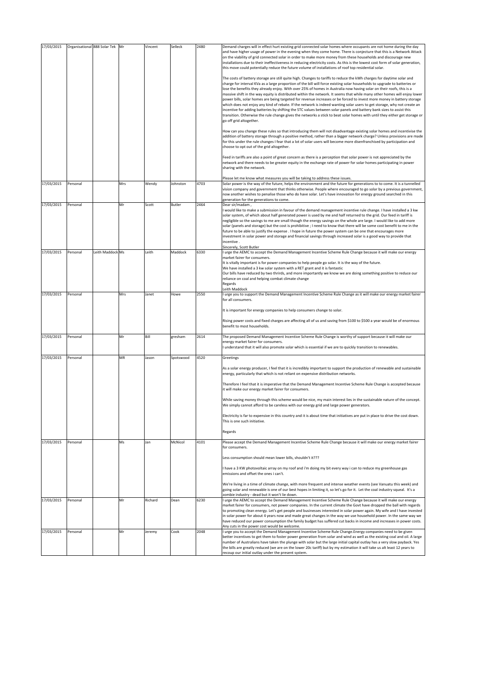| 17/03/2015 |          | Organisational 888 Solar Tek | Mr  | Vincent | Selleck   | 2480 | Demand charges will in effect hurt existing grid connected solar homes where occupants are not home during the day<br>and have higher usage of power in the evening when they come home. There is conjecture that this is a Network Attack<br>on the viability of grid connected solar in order to make more money from these households and discourage new<br>installations due to their ineffectiveness in reducing electricity costs. As this is the lowest cost form of solar generation,<br>this move could potentially reduce the future volume of installations of roof top residential solar.                                                                                                                                                                                                                                                                                                                                                                                                                                        |
|------------|----------|------------------------------|-----|---------|-----------|------|----------------------------------------------------------------------------------------------------------------------------------------------------------------------------------------------------------------------------------------------------------------------------------------------------------------------------------------------------------------------------------------------------------------------------------------------------------------------------------------------------------------------------------------------------------------------------------------------------------------------------------------------------------------------------------------------------------------------------------------------------------------------------------------------------------------------------------------------------------------------------------------------------------------------------------------------------------------------------------------------------------------------------------------------|
|            |          |                              |     |         |           |      | The costs of battery storage are still quite high. Changes to tariffs to reduce the kWh charges for daytime solar and<br>charge for interval KVa as a large proportion of the bill will force existing solar households to upgrade to batteries or<br>lose the benefits they already enjoy. With over 25% of homes in Australia now having solar on their roofs, this is a<br>massive shift in the way equity is distributed within the network. It seems that while many other homes will enjoy lower<br>power bills, solar homes are being targeted for revenue increases or be forced to invest more money in battery storage<br>which does not enjoy any kind of rebate. If the network is indeed wanting solar users to get storage, why not create an<br>incentive for adding batteries by shifting the STC values between solar panels and battery bank sizes to assist this<br>transition. Otherwise the rule change gives the networks a stick to beat solar homes with until they either get storage or<br>go off grid altogether. |
|            |          |                              |     |         |           |      | How can you change these rules so that introducing them will not disadvantage existing solar homes and incentivise the<br>addition of battery storage through a positive method, rather than a bigger network charge? Unless provisions are made<br>for this under the rule changes I fear that a lot of solar users will become more disenfranchised by participation and<br>choose to opt out of the grid altogether.                                                                                                                                                                                                                                                                                                                                                                                                                                                                                                                                                                                                                      |
|            |          |                              |     |         |           |      | Feed in tariffs are also a point of great concern as there is a perception that solar power is not appreciated by the<br>network and there needs to be greater equity in the exchange rate of power for solar homes participating in power<br>sharing with the network.                                                                                                                                                                                                                                                                                                                                                                                                                                                                                                                                                                                                                                                                                                                                                                      |
| 17/03/2015 | Personal |                              | Mrs | Wendy   | Johnston  | 4703 | Please let me know what measures you will be taking to address these issues.<br>Solar power is the way of the future, helps the environment and the future for generations to to come. It is a tunnelled<br>vision company and government that thinks otherwise. People where encouraged to go solar by a previous government,<br>now another wishes to penalise those who do have solar. Let's have innovation for energy ground searched in this<br>generation for the generations to come.                                                                                                                                                                                                                                                                                                                                                                                                                                                                                                                                                |
| 17/03/2015 | Personal |                              | Mr  | Scott   | Butler    | 2464 | Dear sir/madam,<br>would like to make a submission in favour of the demand management incentive rule change. I have installed a 3 kw<br>solar system, of which about half generated power is used by me and half returned to the grid. Our feed in tariff is<br>negligible so the savings to me are small though the energy savings on the whole are large. I would like to add more<br>solar (panels and storage) but the cost is prohibitive ; I need to know that there will be some cost benefit to me in the<br>future to be able to justify the expense . I hope in future the power system can be one that encourages more<br>investment in solar power and storage and financial savings through increased solar is a good way to provide that<br>incentive.<br>Sincerely, Scott Butler                                                                                                                                                                                                                                              |
| 17/03/2015 | Personal | Leith Maddock Ms             |     | Leith   | Maddock   | 6330 | I urge the AEMC to accept the Demand Management Incentive Scheme Rule Change because it will make our energy<br>market fairer for consumers.<br>It is vitally important is for power companies to help people go solar. It is the way of the future.<br>We have installed a 3 kw solar system with a RET grant and it is fantastic<br>Our bills have reduced by two thrirds, and more importantly we know we are doing something positive to reduce our<br>reliance on coal and helping combat climate change<br>Regards<br>Leith Maddock                                                                                                                                                                                                                                                                                                                                                                                                                                                                                                    |
| 17/03/2015 | Personal |                              | Mrs | Janet   | Howe      | 2550 | I urge you to support the Demand Management Incentive Scheme Rule Change as it will make our energy market fairer<br>for all consumers.                                                                                                                                                                                                                                                                                                                                                                                                                                                                                                                                                                                                                                                                                                                                                                                                                                                                                                      |
|            |          |                              |     |         |           |      | It is important for energy companies to help consumers change to solar.                                                                                                                                                                                                                                                                                                                                                                                                                                                                                                                                                                                                                                                                                                                                                                                                                                                                                                                                                                      |
|            |          |                              |     |         |           |      | Rising power costs and fixed charges are affecting all of us and saving from \$100 to \$500 a year would be of enormous<br>benefit to most households.                                                                                                                                                                                                                                                                                                                                                                                                                                                                                                                                                                                                                                                                                                                                                                                                                                                                                       |
| 17/03/2015 | Personal |                              | Mr  | Bill    | gresham   | 2614 | The proposed Demand Management Incentive Scheme Rule Change is worthy of support because it will make our<br>energy market fairer for consumers.<br>understand that it will also promote solar which is essential if we are to quickly transition to renewables.                                                                                                                                                                                                                                                                                                                                                                                                                                                                                                                                                                                                                                                                                                                                                                             |
| 17/03/2015 | Personal |                              | MR  | Jason   | Spotswood | 4520 | Greetings                                                                                                                                                                                                                                                                                                                                                                                                                                                                                                                                                                                                                                                                                                                                                                                                                                                                                                                                                                                                                                    |
|            |          |                              |     |         |           |      | As a solar energy producer, I feel that it is incredibly important to support the production of renewable and sustainable<br>energy, particularly that which is not reliant on expensive distribution networks.                                                                                                                                                                                                                                                                                                                                                                                                                                                                                                                                                                                                                                                                                                                                                                                                                              |
|            |          |                              |     |         |           |      | Therefore I feel that it is imperative that the Demand Management Incentive Scheme Rule Change is accepted because<br>it will make our energy market fairer for consumers.                                                                                                                                                                                                                                                                                                                                                                                                                                                                                                                                                                                                                                                                                                                                                                                                                                                                   |
|            |          |                              |     |         |           |      | While saving money through this scheme would be nice, my main interest lies in the sustainable nature of the concept.<br>We simply cannot afford to be careless with our energy grid and large power generators.                                                                                                                                                                                                                                                                                                                                                                                                                                                                                                                                                                                                                                                                                                                                                                                                                             |
|            |          |                              |     |         |           |      | Electricity is far to expensive in this country and it is about time that initiatives are put in place to drive the cost down.<br>This is one such initiative.                                                                                                                                                                                                                                                                                                                                                                                                                                                                                                                                                                                                                                                                                                                                                                                                                                                                               |
|            |          |                              |     |         |           |      | Regards                                                                                                                                                                                                                                                                                                                                                                                                                                                                                                                                                                                                                                                                                                                                                                                                                                                                                                                                                                                                                                      |
| 17/03/2015 | Personal |                              | Ms  | Jan     | McNicol   | 4101 | Please accept the Demand Management Incentive Scheme Rule Change because it will make our energy market fairer<br>for consumers.                                                                                                                                                                                                                                                                                                                                                                                                                                                                                                                                                                                                                                                                                                                                                                                                                                                                                                             |
|            |          |                              |     |         |           |      | Less consumption should mean lower bills, shouldn't it???                                                                                                                                                                                                                                                                                                                                                                                                                                                                                                                                                                                                                                                                                                                                                                                                                                                                                                                                                                                    |
|            |          |                              |     |         |           |      | have a 3 KW photovoltaic array on my roof and i'm doing my bit every way i can to reduce my greenhouse gas<br>emissions and offset the ones i can't.                                                                                                                                                                                                                                                                                                                                                                                                                                                                                                                                                                                                                                                                                                                                                                                                                                                                                         |
|            |          |                              |     |         |           |      | We're living in a time of climate change, with more frequent and intense weather events (see Vanuatu this week) and<br>going solar and renewable is one of our best hopes in limiting it, so let's go for it. Let the coal industry squeal. It's a<br>zombie industry - dead but it won't lie down.                                                                                                                                                                                                                                                                                                                                                                                                                                                                                                                                                                                                                                                                                                                                          |
| 17/03/2015 | Personal |                              | Mr  | Richard | Dean      | 6230 | I urge the AEMC to accept the Demand Management Incentive Scheme Rule Change because it will make our energy<br>market fairer for consumers, not power companies. In the current climate the Govt have dropped the ball with regards<br>to promoting clean energy. Let's get people and businesses interested in solar power again. My wife and I have invested<br>in solar power for about 4 years now and made great changes in the way we use household power. In the same way we<br>have reduced our power consumption the family budget has suffered cut backs in income and increases in power costs.<br>Any cuts in the power cost would be welcome.                                                                                                                                                                                                                                                                                                                                                                                  |
| 17/03/2015 | Personal |                              | Mr  | Jeremy  | Cook      | 2048 | I urge you to accept the Demand Management Incentive Scheme Rule Change. Energy companies need to be given<br>better incentives to get them to foster power generation from solar and wind as well as the existing coal and oil. A large<br>number of Australians have taken the plunge with solar but the large initial capital outlay has a very slow payback. Yes<br>the bills are greatly reduced (we are on the lower 20c tariff) but by my estimation it will take us alt least 12 years to<br>recoup our initial outlay under the present system.                                                                                                                                                                                                                                                                                                                                                                                                                                                                                     |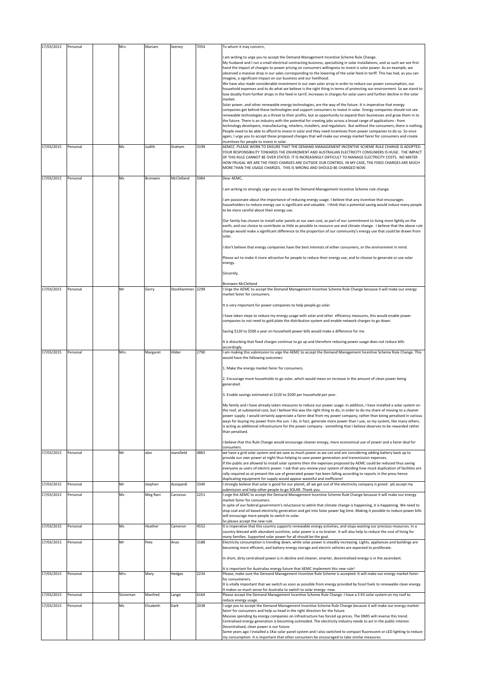| 17/03/2015 | Personal | Mrs      | Mariam    | Seeney           | 7054 | To whom it may concern,                                                                                                                                                                                                                                                                                                                                                                                                                                                                                                                                                                                                                                                                                                                                                                                                                                                                                                                                                                                                                                                                                                                                                                                                                                                                                                                                                                                                                                                                                                                                                                                                                                                                                                                                                                        |
|------------|----------|----------|-----------|------------------|------|------------------------------------------------------------------------------------------------------------------------------------------------------------------------------------------------------------------------------------------------------------------------------------------------------------------------------------------------------------------------------------------------------------------------------------------------------------------------------------------------------------------------------------------------------------------------------------------------------------------------------------------------------------------------------------------------------------------------------------------------------------------------------------------------------------------------------------------------------------------------------------------------------------------------------------------------------------------------------------------------------------------------------------------------------------------------------------------------------------------------------------------------------------------------------------------------------------------------------------------------------------------------------------------------------------------------------------------------------------------------------------------------------------------------------------------------------------------------------------------------------------------------------------------------------------------------------------------------------------------------------------------------------------------------------------------------------------------------------------------------------------------------------------------------|
|            |          |          |           |                  |      | am writing to urge you to accept the Demand Management Incentive Scheme Rule Change.<br>My husband and I run a small electrical contracting business, specialising in solar installations, and as such we see first<br>hand the impact of changes to power pricing on consumers willingness to invest is solar power. As an example, we<br>observed a massive drop in our sales corresponding to the lowering of the solar feed-in tariff. This has had, as you can<br>imagine, a significant impact on our business and our livelihood.<br>We have also made considerable investment in our own solar array in order to reduce our power consumption, our<br>household expenses and to do what we believe is the right thing in terms of protecting our environment. So we stand to<br>lose doubly from further drops in the feed-in tarrif, increases in charges for solar users and further decline in the solar<br>market.<br>Solar power, and other renewable energy technologies, are the way of the future. It is imperative that energy<br>companies get behind these technologies and support consumers to invest in solar. Energy companies should not see<br>renewable technologies as a threat to their profits, but as opportunity to expand their businesses and grow them in to<br>the future. There is an industry with the potential for creating jobs across a broad range of applications - from<br>technology developers, manufacturing, retailers, installers, and regulators. But without the consumers, there is nothing.<br>People need to be able to afford to invest in solar and they need incentives from power companies to do so. So once<br>again, I urge you to accept these proposed changes that will make our energy market fairer for consumers and create |
| 17/03/2015 | Personal | Ms       | Judith    | Graham           | 3199 | incentives for people to invest in solar.<br>AEMCC PLEASE WORK TO ENSURE THAT THE DEMAND MANAGEMENT INCENTIVE SCHEME RULE CHANGE IS ADOPTED.<br>YOUR RESPONSIBILITY TOWARDS THE ENVIROMENT AND AUSTRALIAN ELECTRICITY CONSUMERS IS HUGE. THE IMPACT<br>OF THIS RULE CANNOT BE OVER STATED. IT IS INCREASINGLY DIFFICULT TO MANAGE ELECTRICITY COSTS. NO MATER<br>HOW FRUGAL WE ARE THE FIXED CHARGES ARE OUTSIDE OUR CONTROL. IN MY CASE, THE FIXED CHARGES ARE MUCH<br>MORE THAN THE USAGE CHARGES. THIS IS WRONG AND SHOULD BE CHANGED NOW.                                                                                                                                                                                                                                                                                                                                                                                                                                                                                                                                                                                                                                                                                                                                                                                                                                                                                                                                                                                                                                                                                                                                                                                                                                                  |
| 17/03/2015 | Personal | Ms       | Bronwen   | McClelland       | 5084 | Dear AEMC,                                                                                                                                                                                                                                                                                                                                                                                                                                                                                                                                                                                                                                                                                                                                                                                                                                                                                                                                                                                                                                                                                                                                                                                                                                                                                                                                                                                                                                                                                                                                                                                                                                                                                                                                                                                     |
|            |          |          |           |                  |      | am writing to strongly urge you to accept the Demand Management Incentive Scheme rule change.<br>am passionate about the importance of reducing energy usage. I believe that any incentive that encourages<br>householders to reduce energy use is significant and valuable. I think that a potential saving would induce many people<br>to be more careful about their energy use.                                                                                                                                                                                                                                                                                                                                                                                                                                                                                                                                                                                                                                                                                                                                                                                                                                                                                                                                                                                                                                                                                                                                                                                                                                                                                                                                                                                                            |
|            |          |          |           |                  |      | Our family has chosen to install solar panels at our own cost, as part of our commitment to living more lightly on the<br>earth, and our choice to contribute as little as possible to resource use and climate change. I believe that the above rule<br>change would make a significant difference to the proportion of our community's energy use that could be drawn from<br>solar.                                                                                                                                                                                                                                                                                                                                                                                                                                                                                                                                                                                                                                                                                                                                                                                                                                                                                                                                                                                                                                                                                                                                                                                                                                                                                                                                                                                                         |
|            |          |          |           |                  |      | don't believe that energy companies have the best interests of either consumers, or the environment in mind.                                                                                                                                                                                                                                                                                                                                                                                                                                                                                                                                                                                                                                                                                                                                                                                                                                                                                                                                                                                                                                                                                                                                                                                                                                                                                                                                                                                                                                                                                                                                                                                                                                                                                   |
|            |          |          |           |                  |      | Please act to make it more attractive for people to reduce their energy use, and to choose to generate or use solar<br>energy.                                                                                                                                                                                                                                                                                                                                                                                                                                                                                                                                                                                                                                                                                                                                                                                                                                                                                                                                                                                                                                                                                                                                                                                                                                                                                                                                                                                                                                                                                                                                                                                                                                                                 |
|            |          |          |           |                  |      | Sincerely,                                                                                                                                                                                                                                                                                                                                                                                                                                                                                                                                                                                                                                                                                                                                                                                                                                                                                                                                                                                                                                                                                                                                                                                                                                                                                                                                                                                                                                                                                                                                                                                                                                                                                                                                                                                     |
| 17/03/2015 | Personal | Mr       | Gerry     | Stockhammer 2299 |      | Bronwen McClelland<br>Urge the AEMC to accept the Demand Management Incentive Scheme Rule Change because it will make our energy                                                                                                                                                                                                                                                                                                                                                                                                                                                                                                                                                                                                                                                                                                                                                                                                                                                                                                                                                                                                                                                                                                                                                                                                                                                                                                                                                                                                                                                                                                                                                                                                                                                               |
|            |          |          |           |                  |      | market fairer for consumers.                                                                                                                                                                                                                                                                                                                                                                                                                                                                                                                                                                                                                                                                                                                                                                                                                                                                                                                                                                                                                                                                                                                                                                                                                                                                                                                                                                                                                                                                                                                                                                                                                                                                                                                                                                   |
|            |          |          |           |                  |      | It is very important for power companies to help people go solar.                                                                                                                                                                                                                                                                                                                                                                                                                                                                                                                                                                                                                                                                                                                                                                                                                                                                                                                                                                                                                                                                                                                                                                                                                                                                                                                                                                                                                                                                                                                                                                                                                                                                                                                              |
|            |          |          |           |                  |      | I have taken steps to reduce my energy usage with solar and other efficiency measures, this would enable power<br>companies to not need to gold plate the distribution system and enable network charges to go down.                                                                                                                                                                                                                                                                                                                                                                                                                                                                                                                                                                                                                                                                                                                                                                                                                                                                                                                                                                                                                                                                                                                                                                                                                                                                                                                                                                                                                                                                                                                                                                           |
|            |          |          |           |                  |      | Saving \$120 to \$500 a year on household power bills would make a difference for me.                                                                                                                                                                                                                                                                                                                                                                                                                                                                                                                                                                                                                                                                                                                                                                                                                                                                                                                                                                                                                                                                                                                                                                                                                                                                                                                                                                                                                                                                                                                                                                                                                                                                                                          |
| 17/03/2015 | Personal | Mrs      | Margaret  | Hilder           | 2790 | It is disturbing that fixed charges continue to go up and therefore reducing power usage does not reduce bills<br>accordingly.<br>am making this submission to urge the AEMC to accept the Demand Management Incentive Scheme Rule Change. This                                                                                                                                                                                                                                                                                                                                                                                                                                                                                                                                                                                                                                                                                                                                                                                                                                                                                                                                                                                                                                                                                                                                                                                                                                                                                                                                                                                                                                                                                                                                                |
|            |          |          |           |                  |      | would have the following outcomes:                                                                                                                                                                                                                                                                                                                                                                                                                                                                                                                                                                                                                                                                                                                                                                                                                                                                                                                                                                                                                                                                                                                                                                                                                                                                                                                                                                                                                                                                                                                                                                                                                                                                                                                                                             |
|            |          |          |           |                  |      | 1. Make the energy market fairer for consumers.                                                                                                                                                                                                                                                                                                                                                                                                                                                                                                                                                                                                                                                                                                                                                                                                                                                                                                                                                                                                                                                                                                                                                                                                                                                                                                                                                                                                                                                                                                                                                                                                                                                                                                                                                |
|            |          |          |           |                  |      | 2. Encourage more households to go solar, which would mean an increase in the amount of clean power being<br>generated.                                                                                                                                                                                                                                                                                                                                                                                                                                                                                                                                                                                                                                                                                                                                                                                                                                                                                                                                                                                                                                                                                                                                                                                                                                                                                                                                                                                                                                                                                                                                                                                                                                                                        |
|            |          |          |           |                  |      | 3. Enable savings estimated at \$120 to \$500 per household per year.                                                                                                                                                                                                                                                                                                                                                                                                                                                                                                                                                                                                                                                                                                                                                                                                                                                                                                                                                                                                                                                                                                                                                                                                                                                                                                                                                                                                                                                                                                                                                                                                                                                                                                                          |
|            |          |          |           |                  |      | My family and I have already taken measures to reduce our power usage. In addition, I have installed a solar system on<br>the roof, at substantial cost, but I believe this was the right thing to do, in order to do my share of moving to a cleaner<br>power supply. I would certainly appreciate a fairer deal from my power company, rather than being penalised in various<br>ways for buying my power from the sun. I do, in fact, generate more power than I use, so my system, like many others,<br>is acting as additional infrastructure for the power company - something that I believe deserves to be rewarded rather<br>than penalised.                                                                                                                                                                                                                                                                                                                                                                                                                                                                                                                                                                                                                                                                                                                                                                                                                                                                                                                                                                                                                                                                                                                                          |
|            |          |          |           |                  |      | believe that this Rule Change would encourage cleaner energy, more economical use of power and a fairer deal for<br>consumers                                                                                                                                                                                                                                                                                                                                                                                                                                                                                                                                                                                                                                                                                                                                                                                                                                                                                                                                                                                                                                                                                                                                                                                                                                                                                                                                                                                                                                                                                                                                                                                                                                                                  |
| 17/03/2015 | Personal | Mr       | alan      | stansfield       | 4883 | we have a grid solar system and we save as much power as we can and are considering adding battery back up to<br>provide our own power at night thus helping to save power generation and transmission expenses.<br>If the public are allowed to install solar systems then the expenses proposed by AEMC could be reduced thus saving<br>everyone as users of electric power. I ask that you review your system of deciding how muck duplication of facilities are<br>rally required as at present the use of generated power has been falling according to reports in the press hence<br>duplicating equipment for supply would appear wasteful and inefficient!                                                                                                                                                                                                                                                                                                                                                                                                                                                                                                                                                                                                                                                                                                                                                                                                                                                                                                                                                                                                                                                                                                                             |
| 17/03/2015 | Personal | Mr       | stephen   | Azzopardi        | 3340 | strongly believe that solar is good for our planet, all we get out of the electricity company is greed. pls accept my<br>ubmission and help other people to go SOLAR. Thank you.                                                                                                                                                                                                                                                                                                                                                                                                                                                                                                                                                                                                                                                                                                                                                                                                                                                                                                                                                                                                                                                                                                                                                                                                                                                                                                                                                                                                                                                                                                                                                                                                               |
| 17/03/2015 | Personal | Ms       | Meg Rani  | Carvosso         | 2251 | urge the AEMC to accept the Demand Management Incentive Scheme Rule Change because it will make our energy<br>market fairer for consumers.<br>In spite of our federal government's reluctance to admit that climate change is happening, it is happening. We need to<br>stop coal and oil based electricity generation and get into Solar power big time. Making it possible to reduce power bills<br>will encourage more people to switch to solar.                                                                                                                                                                                                                                                                                                                                                                                                                                                                                                                                                                                                                                                                                                                                                                                                                                                                                                                                                                                                                                                                                                                                                                                                                                                                                                                                           |
| 17/03/2015 | Personal | Ms       | Heather   | Cameron          | 4552 | So please accept the new rule.<br>It is imperative that this country supports renewable energy activities, and stops wasting our precious resources. In a                                                                                                                                                                                                                                                                                                                                                                                                                                                                                                                                                                                                                                                                                                                                                                                                                                                                                                                                                                                                                                                                                                                                                                                                                                                                                                                                                                                                                                                                                                                                                                                                                                      |
|            |          |          |           |                  |      | country blessed with abundant sunshine, solar power is a no brainer. It will also help to reduce the cost of living for<br>many families. Supported solar power for all should be the goal.                                                                                                                                                                                                                                                                                                                                                                                                                                                                                                                                                                                                                                                                                                                                                                                                                                                                                                                                                                                                                                                                                                                                                                                                                                                                                                                                                                                                                                                                                                                                                                                                    |
| 17/03/2015 | Personal | Mr       | Pete      | Anzo             | 3188 | Electricity consumption is trending down, while solar power is steadily increasing. Lights, appliances and buildings are<br>becoming more efficient, and battery energy storage and electric vehicles are expected to proliferate.                                                                                                                                                                                                                                                                                                                                                                                                                                                                                                                                                                                                                                                                                                                                                                                                                                                                                                                                                                                                                                                                                                                                                                                                                                                                                                                                                                                                                                                                                                                                                             |
|            |          |          |           |                  |      | In short, dirty centralised power is in decline and cleaner, smarter, decentralised energy is in the ascendant.                                                                                                                                                                                                                                                                                                                                                                                                                                                                                                                                                                                                                                                                                                                                                                                                                                                                                                                                                                                                                                                                                                                                                                                                                                                                                                                                                                                                                                                                                                                                                                                                                                                                                |
| 17/03/2015 | Personal | Mrs      | Mary      | Hedges           | 2234 | It is important for Australias energy future that AEMC implement this new rule!<br>Please, make sure the Demand Management Incentive Rule Scheme is accepted. It will make our energy market fairer<br>for consumerers.                                                                                                                                                                                                                                                                                                                                                                                                                                                                                                                                                                                                                                                                                                                                                                                                                                                                                                                                                                                                                                                                                                                                                                                                                                                                                                                                                                                                                                                                                                                                                                        |
|            |          |          |           |                  |      | It is vitally important that we switch as soon as possible from energy provided by fossil fuels to renewable clean energy.<br>It makes so much sense for Australia to switch to solar energy-now.                                                                                                                                                                                                                                                                                                                                                                                                                                                                                                                                                                                                                                                                                                                                                                                                                                                                                                                                                                                                                                                                                                                                                                                                                                                                                                                                                                                                                                                                                                                                                                                              |
| 17/03/2015 | Personal | Storeman | Manfred   | Lange            | 6164 | Please accept the Demand Management Incentive Scheme Rule Change. I have a 5 KV solar system on my roof to<br>educe energy usage.                                                                                                                                                                                                                                                                                                                                                                                                                                                                                                                                                                                                                                                                                                                                                                                                                                                                                                                                                                                                                                                                                                                                                                                                                                                                                                                                                                                                                                                                                                                                                                                                                                                              |
| 17/03/2015 | Personal | Ms       | Elisabeth | Dark             | 2038 | urge you to accept the Demand Management Incentive Scheme Rule Change because it will make our energy market<br>fairer for consumers and help us head in the right direction for the future.                                                                                                                                                                                                                                                                                                                                                                                                                                                                                                                                                                                                                                                                                                                                                                                                                                                                                                                                                                                                                                                                                                                                                                                                                                                                                                                                                                                                                                                                                                                                                                                                   |
|            |          |          |           |                  |      | Massive spending by energy companies on infrastructure has forced up prices. The DMIS will reverse this trend.<br>Centralised energy generation is becoming outmoded. The electricity industry needs to act in the public interest.<br>Decentralised, clean power is our future.<br>Some years ago I installed a 1Kw solar panel system and I also switched to compact fluorescent or LED lighting to reduce                                                                                                                                                                                                                                                                                                                                                                                                                                                                                                                                                                                                                                                                                                                                                                                                                                                                                                                                                                                                                                                                                                                                                                                                                                                                                                                                                                                   |
|            |          |          |           |                  |      | my consumption. It is important that other consumers be encouraged to take similar measures.                                                                                                                                                                                                                                                                                                                                                                                                                                                                                                                                                                                                                                                                                                                                                                                                                                                                                                                                                                                                                                                                                                                                                                                                                                                                                                                                                                                                                                                                                                                                                                                                                                                                                                   |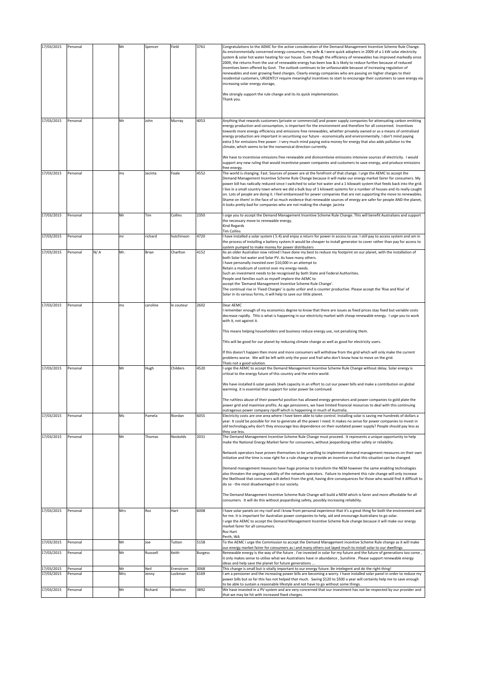| 17/03/2015               | Personal             |     | Mr        | Spencer       | Field                | 3761           | Congratulations to the AEMC for the active consideration of the Demand Management Incentive Scheme Rule Change.                                                                                                                                                                                                                                                                                                                                                                                                                                                                                                                                                                                                                                                                                                                                        |
|--------------------------|----------------------|-----|-----------|---------------|----------------------|----------------|--------------------------------------------------------------------------------------------------------------------------------------------------------------------------------------------------------------------------------------------------------------------------------------------------------------------------------------------------------------------------------------------------------------------------------------------------------------------------------------------------------------------------------------------------------------------------------------------------------------------------------------------------------------------------------------------------------------------------------------------------------------------------------------------------------------------------------------------------------|
|                          |                      |     |           |               |                      |                | As environmentally concerned energy consumers, my wife & I were quick adopters in 2009 of a 1 kW solar electricity<br>system & solar hot water heating for our house. Even though the efficiency of renewables has improved markedly since<br>2009, the returns from the use of renewable energy has been low & is likely to reduce further because of reduced<br>incentives been offered by Govt. The outlook continues to be unfavourable because of increasing regulation of<br>renewables and ever growing fixed charges. Clearly energy companies who are passing on higher charges to their<br>residential customers, URGENTLY require meaningful incentives to start to encourage their customers to save energy via<br>increasing solar energy storage,<br>We strongly support the rule change and its its quick implementation.<br>Thank you. |
| 17/03/2015               | Personal             |     | Mr        | John          | Murray               | 4053           | Anything that rewards customers (private or commercial) and power supply companies for attenuating carbon emitting<br>energy production and consumption, is important for the environment and therefore for all concerned. Incentives<br>towards more energy efficiency and emissions free renewables, whether privately owned or as a means of centralised<br>energy production are important in securitising our future - economically and environmentally. I don't mind paying<br>extra \$ for emissions free power : I very much mind paying extra money for energy that also adds pollution to the<br>climate, which seems to be the nonsensical direction currently.                                                                                                                                                                             |
| 17/03/2015               | Personal             |     | ms        | Jacinta       | Foale                | 4552           | We have to incentivise emissions free renewable and disincentivise emissions intensive sources of electricity. I would<br>support any new ruling that would incentivise power companies and customers to save energy, and produce emissions<br>free energy.<br>The world is changing. Fast. Sources of power are at the forefront of that change. I urge the AEMC to accept the                                                                                                                                                                                                                                                                                                                                                                                                                                                                        |
|                          |                      |     |           |               |                      |                | Demand Management Incentive Scheme Rule Change because it will make our energy market fairer for consumers. My<br>power bill has radically reduced since I switched to solar hot water and a 1 kilowatt system that feeds back into the grid.<br>live in a small country town where we did a bulk buy of 1 kilowatt systems for a number of houses and its really caught<br>on. Lots of people are doing it. I feel embaressed for power companies that are not supporting the move to renewables.<br>Shame on them! in the face of so much evidence that renewable sources of energy are safer for people AND the planet,<br>it looks pretty bad for companies who are not making the change. jacinta                                                                                                                                                 |
| 17/03/2015               | Personal             |     | Mr        | Tim           | Collins              | 2350           | I urge you to accept the Demand Management Incentive Scheme Rule Change. This will benefit Australians and support<br>the necessary move to renewable energy.<br>Kind Regards<br><b>Tim Collins</b>                                                                                                                                                                                                                                                                                                                                                                                                                                                                                                                                                                                                                                                    |
| 17/03/2015               | Personal             |     | mr        | richard       | hutchinson           | 4720           | I have installed a solar system (5.4) and enjoy a return for power in access to use. I still pay to access system and am in<br>the process of installing a battery system. It would be cheaper to install generator to cover rather than pay for access to<br>system pumped to make money for power distributers                                                                                                                                                                                                                                                                                                                                                                                                                                                                                                                                       |
| 17/03/2015               | Personal             | N/A | Mr.       | Brian         | Charlton             | 4152           | As an older Australian now retired I have done my best to reduce my footprint on our planet, with the installation of<br>both Solar hot water and Solar PV. As have many others.<br>I have personally invested over \$10,000 in an attempt to<br>Retain a modicum of control over my energy needs.<br>Such an investment needs to be recognised by both State and Federal Authorities.<br>People and families such as myself implore the AEMC to<br>accept the 'Demand Management Incentive Scheme Rule Change'.                                                                                                                                                                                                                                                                                                                                       |
|                          |                      |     |           |               |                      |                | The continual rise in 'Fixed Charges' is quite unfair and is counter productive. Please accept the 'Rise and Rise' of<br>Solar in its various forms, it will help to save our little planet.                                                                                                                                                                                                                                                                                                                                                                                                                                                                                                                                                                                                                                                           |
| 17/03/2015               | Personal             |     | ms.       | caroline      | le couteur           | 2602           | Dear AEMC<br>remember enough of my economics degree to know that there are issues as fixed prices stay fixed but variable costs<br>decrease rapidly. THis is what is happening in our electricity market with cheap renewable energy. I urge you to work<br>with it, not against it.                                                                                                                                                                                                                                                                                                                                                                                                                                                                                                                                                                   |
|                          |                      |     |           |               |                      |                | This means helping householders and business reduce energy use, not penalizing them.                                                                                                                                                                                                                                                                                                                                                                                                                                                                                                                                                                                                                                                                                                                                                                   |
|                          |                      |     |           |               |                      |                | THis will be good for our planet by reducing climate change as well as good for electricity users.<br>If this doesn't happen then more and more consumers will withdraw from the grid which will only make the current<br>problems worse. We will be left with only the poor and frail who don't know how to move on the grid.<br>Thats not a good solution.                                                                                                                                                                                                                                                                                                                                                                                                                                                                                           |
| 17/03/2015               | Personal             |     | Mr        | Hugh          | Childers             | 4520           | I urge the AEMC to accept the Demand Management Incentive Scheme Rule Change without delay. Solar energy is<br>critical to the energy future of this country and the entire world.                                                                                                                                                                                                                                                                                                                                                                                                                                                                                                                                                                                                                                                                     |
|                          |                      |     |           |               |                      |                | We have installed 6 solar panels 1kwh capacity in an effort to cut our power bills and make a contribution on global<br>warming. it is essential that support for solar power be continued.                                                                                                                                                                                                                                                                                                                                                                                                                                                                                                                                                                                                                                                            |
|                          |                      |     |           |               |                      |                | The ruthless abuse of their powerful position has allowed energy generators and power companies to gold plate the<br>power grid and maximise profits. As age pensioners, we have limited financial resources to deal with this continuing<br>outrageous power company ripoff which is happening in much of Australia.                                                                                                                                                                                                                                                                                                                                                                                                                                                                                                                                  |
| 17/03/2015               | Personal             |     | Ms        | Pamela        | Riordan              | 6055           | Electricity costs are one area where I have been able to take control. Installing solar is saving me hundreds of dollars a<br>year. It could be possible for me to generate all the power I need. It makes no sense for power companies to invest in<br>old technology, why don't they encourage less dependence on their outdated power supply? People should pay less as<br>they use less.                                                                                                                                                                                                                                                                                                                                                                                                                                                           |
| 17/03/2015               | Personal             |     | Mr        | Thomas        | Nockolds             | 2031           | The Demand Management Incentive Scheme Rule Change must proceed. It represents a unique opportunity to help<br>make the National Energy Market fairer for consumers, without jeopardising either safety or reliability.                                                                                                                                                                                                                                                                                                                                                                                                                                                                                                                                                                                                                                |
|                          |                      |     |           |               |                      |                | Network operators have proven themselves to be unwilling to implement demand management measures on their own<br>initiative and the time is now right for a rule change to provide an incentive so that this situation can be changed.                                                                                                                                                                                                                                                                                                                                                                                                                                                                                                                                                                                                                 |
|                          |                      |     |           |               |                      |                | Demand management measures have huge promise to transform the NEM however the same enabling technologies<br>also threaten the ongoing viability of the network operators. Failure to implement this rule change will only increase<br>the likelihood that consumers will defect from the grid, having dire consequences for those who would find it difficult to<br>do so - the most disadvantaged in our society.                                                                                                                                                                                                                                                                                                                                                                                                                                     |
|                          |                      |     |           |               |                      |                | The Demand Management Incentive Scheme Rule Change will build a NEM which is fairer and more affordable for all<br>consumers. It will do this without jeopardising safety, possibly increasing reliability.                                                                                                                                                                                                                                                                                                                                                                                                                                                                                                                                                                                                                                            |
| 17/03/2015               | Personal             |     | Mrs       | Roz           | Hart                 | 6008           | I have solar panels on my roof and i know from personal experience that it's a great thing for both the environment and<br>for me. It is important for Australian power companies to help, aid and encourage Australians to go solar.<br>I urge the AEMC to accept the Demand Management Incentive Scheme Rule change because it will make our energy<br>market fairer for all consumers.<br>Roz Hart<br>Perth, WA                                                                                                                                                                                                                                                                                                                                                                                                                                     |
| 17/03/2015               | Personal             |     | Mr        | Joe           | Tutton               | 5158           | To the AEMC i urge the Commission to accept the Demand Management incentive Scheme Rule change as it will make<br>our energy market fairer for consumers as i and many others out layed much to install solar to our dwellings                                                                                                                                                                                                                                                                                                                                                                                                                                                                                                                                                                                                                         |
| 17/03/2015               | Personal             |     | Mr        | Russsell      | Keith                | <b>Burgess</b> | Renewable energy is the way of the future . I've invested in solar for my future and the future of generations too come,<br>it only makes sense to utilise what we Australians have in abundance, Sunshine. Please support renewable energy<br>ideas and help save the planet for future generations                                                                                                                                                                                                                                                                                                                                                                                                                                                                                                                                                   |
| 17/03/2015<br>17/03/2015 | Personal<br>Personal |     | Mr<br>Mrs | Neil<br>Jenny | Erenstrom<br>Luckman | 3068<br>6169   | This change is small but is vitally important to our energy future. Be intelegent and do the right thing!<br>I am a pensioner and the increasing power bills are becoming a worry. I have installed solar panel in order to reduce my                                                                                                                                                                                                                                                                                                                                                                                                                                                                                                                                                                                                                  |
|                          |                      |     |           |               |                      |                | power bills but so far this has not helped that much. Saving \$120 to \$500 a year will certainly help me to save enough<br>to be able to sustain a reasonable lifestyle and not have to go without some things.                                                                                                                                                                                                                                                                                                                                                                                                                                                                                                                                                                                                                                       |
| 17/03/2015               | Personal             |     | Mr        | Richard       | Wootton              | 3892           | We have invested in a PV system and are very concerned that our investment has not be respected by our provider and<br>that we may be hit with increased fixed charges.                                                                                                                                                                                                                                                                                                                                                                                                                                                                                                                                                                                                                                                                                |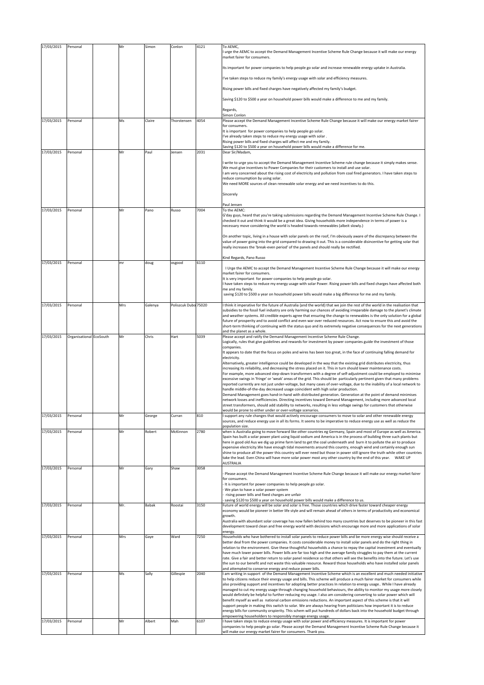| 17/03/2015 | Personal                | Mr  | Simon   | Conlon               | 4121 | To AEMC,                                                                                                                                                                                                                                              |
|------------|-------------------------|-----|---------|----------------------|------|-------------------------------------------------------------------------------------------------------------------------------------------------------------------------------------------------------------------------------------------------------|
|            |                         |     |         |                      |      | I urge the AEMC to accept the Demand Management Incentive Scheme Rule Change because it will make our energy<br>market fairer for consumers.                                                                                                          |
|            |                         |     |         |                      |      | Its important for power companies to help people go solar and increase renewable energy uptake in Australia.                                                                                                                                          |
|            |                         |     |         |                      |      | I've taken steps to reduce my family's energy usage with solar and efficiency measures.                                                                                                                                                               |
|            |                         |     |         |                      |      | Rising power bills and fixed charges have negatively affected my family's budget.                                                                                                                                                                     |
|            |                         |     |         |                      |      |                                                                                                                                                                                                                                                       |
|            |                         |     |         |                      |      | Saving \$120 to \$500 a year on household power bills would make a difference to me and my family.                                                                                                                                                    |
|            |                         |     |         |                      |      | Regards,<br>Simon Conlon                                                                                                                                                                                                                              |
| 17/03/2015 | Personal                | Ms  | Claire  | Thorstensen          | 4054 | Please accept the Demand Management Incentive Scheme Rule Change because it will make our energy market fairer<br>for consumers.                                                                                                                      |
|            |                         |     |         |                      |      | It is important for power companies to help people go solar.<br>I've already taken steps to reduce my energy usage with solar.                                                                                                                        |
|            |                         |     |         |                      |      | Rising power bills and fixed charges will affect me and my family.<br>Saving \$120 to \$500 a year on household power bills would make a difference for me.                                                                                           |
| 17/03/2015 | Personal                | Mr  | Paul    | Jensen               | 2031 | Dear Sir/Madam,                                                                                                                                                                                                                                       |
|            |                         |     |         |                      |      | I write to urge you to accept the Demand Management Incentive Scheme rule change because it simply makes sense.                                                                                                                                       |
|            |                         |     |         |                      |      | We must give incentives to Power Companies for their customers to install and use solar.<br>I am very concerned about the rising cost of electricity and pollution from coal fired generators. I have taken steps to                                  |
|            |                         |     |         |                      |      | reduce consumption by using solar.<br>We need MORE sources of clean renewable solar energy and we need incentives to do this.                                                                                                                         |
|            |                         |     |         |                      |      | Sincerely                                                                                                                                                                                                                                             |
|            |                         |     |         |                      |      |                                                                                                                                                                                                                                                       |
| 17/03/2015 | Personal                | Mr  | Pano    | Russo                | 7004 | Paul Jensen<br>To the AEMC:                                                                                                                                                                                                                           |
|            |                         |     |         |                      |      | G'day guys, heard that you're taking submissions regarding the Demand Management Incentive Scheme Rule Change. I<br>checked it out and think it would be a great idea. Giving households more independence in terms of power is a                     |
|            |                         |     |         |                      |      | necessary move considering the world is headed towards renewables (albeit slowly.)                                                                                                                                                                    |
|            |                         |     |         |                      |      | On another topic, living in a house with solar panels on the roof, I'm obviously aware of the discrepancy between the<br>value of power going into the grid compared to drawing it out. This is a considerable disincentive for getting solar that    |
|            |                         |     |         |                      |      | really increases the 'break-even period' of the panels and should really be rectified.                                                                                                                                                                |
|            |                         |     |         |                      |      | Kind Regards, Pano Russo                                                                                                                                                                                                                              |
| 17/03/2015 | Personal                | mr  | doug    | osgood               | 6110 | I Urge the AEMC to accept the Demand Management Incentive Scheme Rule Change because it will make our energy                                                                                                                                          |
|            |                         |     |         |                      |      | market fairer for consumers.<br>It is very important for power companies to help people go solar.                                                                                                                                                     |
|            |                         |     |         |                      |      | I have taken steps to reduce my energy usage with solar Power. Rising power bills and fixed charges have affected both<br>me and my family.                                                                                                           |
|            |                         |     |         |                      |      | saving \$120 to \$500 a year on household power bills would make a big difference for me and my family.                                                                                                                                               |
| 17/03/2015 | Personal                | Mrs | Galenya | Poliszcuk Dubo 75020 |      | I think it imperative for the future of Australia (and the world) that we join the rest of the world in the realisation that                                                                                                                          |
|            |                         |     |         |                      |      | subsidies to the fossil fuel industry are only harming our chances of avoiding irreparable damage to the planet's climate<br>and weather systems. All credible experts agree that ensuring the change to renewables is the only solution for a global |
|            |                         |     |         |                      |      | future of prosperity and to avoid conflict and even war over reduced resources. Act now to ensure this and avoid the<br>short-term thinking of continuing with the status quo and its extremely negative consequences for the next generations        |
| 17/03/2015 | Organisational EcoSouth | Mr  | Chris   | Hart                 | 5039 | and the planet as a whole.<br>Please accept and ratify the Demand Management Incentive Scheme Rule Change.                                                                                                                                            |
|            |                         |     |         |                      |      | Logically, rules that give guidelines and rewards for investment by power companies guide the investment of those                                                                                                                                     |
|            |                         |     |         |                      |      | companies.<br>It appears to date that the focus on poles and wires has been too great, in the face of continuing falling demand for                                                                                                                   |
|            |                         |     |         |                      |      | electricity.<br>Alternatively, greater intelligence could be developed in the way that the existing grid distributes electricity, thus                                                                                                                |
|            |                         |     |         |                      |      | increasing its reliability, and decreasing the stress placed on it. This in turn should lower maintenance costs.<br>For example, more advanced step-down transformers with a degree of self-adjustment could be employed to minimise                  |
|            |                         |     |         |                      |      | excessive swings in 'fringe' or 'weak' areas of the grid. This should be particularly pertinent given that many problems<br>reported currently are not just under-voltage, but many cases of over-voltage, due to the inability of a local network to |
|            |                         |     |         |                      |      | handle middle-of-the-day decreased usage coincident with high solar production.                                                                                                                                                                       |
|            |                         |     |         |                      |      | Demand Management goes hand-in-hand with distributed generation. Generation at the point of demand minimises<br>network losses and inefficiencies. Directing incentives toward Demand Management, including more advanced local                       |
|            |                         |     |         |                      |      | street transformers, should add stability to networks, resulting in less voltage swings for customers that otherwise<br>would be prone to either under or over-voltage scenarios.                                                                     |
| 17/03/2015 | Personal                | Mr  | George  | Curran               | 810  | support any rule changes that would actively encourage consumers to move to solar and other renewable energy<br>sources, and reduce energy use in all its forms. It seems to be imperative to reduce energy use as well as reduce the                 |
| 17/03/2015 | Personal                | Mr  | Robert  | McKinnon             | 2780 | population size.<br>when is Australia going to move forward like other countries eg Germany, Spain and most of Europe as well as America.                                                                                                             |
|            |                         |     |         |                      |      | Spain has built a solar power plant using liquid sodium and America is in the process of building three such plants but                                                                                                                               |
|            |                         |     |         |                      |      | here in good old Aus we dig up prime farm land to get the coal underneath and burn it to pollute the air to produce<br>expensive electricity. We have enough tidal movements around this country, enough wind and certainly enough sun                |
|            |                         |     |         |                      |      | shine to produce all the power this country will ever need but those in power still ignore the truth while other countries<br>take the lead. Even China will have more solar power most any other country by the end of this year.     WAKE UP        |
| 17/03/2015 | Personal                | Mr  | Gary    | Shaw                 | 3058 | AUSTRALIA                                                                                                                                                                                                                                             |
|            |                         |     |         |                      |      | Please accept the Demand Management Incentive Scheme Rule Change because it will make our energy market fairer<br>for consumers.                                                                                                                      |
|            |                         |     |         |                      |      | It is important for power companies to help people go solar.                                                                                                                                                                                          |
|            |                         |     |         |                      |      | We plan to have a solar power system<br>rising power bills and fixed charges are unfair                                                                                                                                                               |
| 17/03/2015 | Personal                | Mr. | Babak   | Roostai              | 3150 | saving \$120 to \$500 a year on household power bills would make a difference to us.<br>Future of world energy will be solar and solar is free. Those countries which drive faster toward cheaper energy                                              |
|            |                         |     |         |                      |      | economy would be pioneer in better life style and will remain ahead of others in terms of productivity and economical<br>growth.                                                                                                                      |
|            |                         |     |         |                      |      | Australia with abundant solar coverage has now fallen behind too many countries but deserves to be pioneer in this fast<br>development toward clean and free energy world with decisions which encourage more and more applications of solar          |
|            |                         |     |         |                      |      | energy.                                                                                                                                                                                                                                               |
| 17/03/2015 | Personal                | Mrs | Gaye    | Ward                 | 7250 | Households who have bothered to install solar panels to reduce power bills and be more energy wise should receive a<br>better deal from the power companies. It costs considerable money to install solar panels and do the right thing in            |
|            |                         |     |         |                      |      | relation to the environment. Give these thoughtful households a chance to repay the capital investment and eventually<br>have much lower power bills. Power bills are far too high and the average family struggles to pay them at the current        |
|            |                         |     |         |                      |      | rate. Give a fair and better return to solar panel residence so that others will see the benefits into the future. Let's use<br>the sun to our benefit and not waste this valuable resource. Reward those households who have installed solar panels  |
| 17/03/2015 | Personal                | Ms  | Sally   | Gillespie            | 2040 | and attempted to conserve energy and reduce power bills.<br>I am writing in support of the Demand Management Incentive Scheme which is an excellent and much needed initiative                                                                        |
|            |                         |     |         |                      |      | to help citizens reduce their energy usage and bills. This scheme will produce a much fairer market for consumers while                                                                                                                               |
|            |                         |     |         |                      |      | also providing support and incentives for adopting better practices In relation to energy usage While I have already<br>managed to cut my energy usage through changing household behaviours, the ability to monitor my usage more closely            |
|            |                         |     |         |                      |      | would definitely be helpful to further reducing my usage. I also am considering converting to solar power which will<br>benefit myself as well as national carbon emissions reductions. An important aspect of this scheme is that it will            |
|            |                         |     |         |                      |      | support people in making this switch to solar. We are always hearing from politicians how important it is to reduce<br>energy bills for community orspierity. This schem will put hundreds of dollars back into the household budget through          |
| 17/03/2015 | Personal                | Mr  | Albert  | Mah                  | 6107 | empowering householders to responsibly manage energy usage.<br>have taken steps to reduce energy usage with solar power and efficiency measures. It is important for power                                                                            |
|            |                         |     |         |                      |      | companies to help people go solar. Please accept the Demand Management Incentive Scheme Rule Change because it<br>will make our energy market fairer for consumers. Thank you.                                                                        |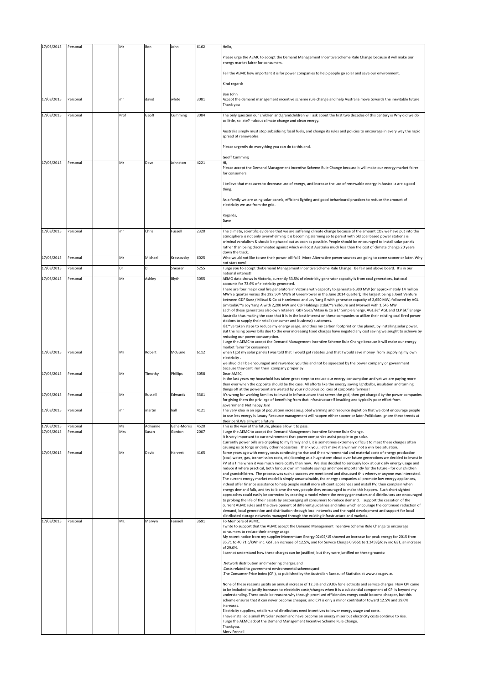| 17/03/2015 | Personal | Mr   | Ben      | John        | 6162 | Hello,                                                                                                                                                                                                                                           |
|------------|----------|------|----------|-------------|------|--------------------------------------------------------------------------------------------------------------------------------------------------------------------------------------------------------------------------------------------------|
|            |          |      |          |             |      | Please urge the AEMC to accept the Demand Management Incentive Scheme Rule Change because it will make our                                                                                                                                       |
|            |          |      |          |             |      | energy market fairer for consumers.                                                                                                                                                                                                              |
|            |          |      |          |             |      | Tell the AEMC how important it is for power companies to help people go solar and save our environment.                                                                                                                                          |
|            |          |      |          |             |      | Kind regards                                                                                                                                                                                                                                     |
|            |          |      |          |             |      | Ben John                                                                                                                                                                                                                                         |
| 17/03/2015 | Personal | mr   | david    | white       | 3081 | Accept the demand management incentive scheme rule change and help Australia move towards the inevitable future.<br>Thank you                                                                                                                    |
| 17/03/2015 | Personal | Prof | Geoff    | Cumming     | 3084 | The only question our children and grandchildren will ask about the first two decades of this century is Why did we do                                                                                                                           |
|            |          |      |          |             |      | so little, so late? -- about climate change and clean energy.                                                                                                                                                                                    |
|            |          |      |          |             |      | Australia simply must stop subsidising fossil fuels, and change its rules and policies to encourage in every way the rapid                                                                                                                       |
|            |          |      |          |             |      | spread of renewables.                                                                                                                                                                                                                            |
|            |          |      |          |             |      | Please urgently do everything you can do to this end.                                                                                                                                                                                            |
|            |          |      |          |             |      | <b>Geoff Cumming</b>                                                                                                                                                                                                                             |
| 17/03/2015 | Personal | Mr   | Dave     | Johnston    | 4221 | Hi,<br>Please accept the Demand Management Incentive Scheme Rule Change because it will make our energy market fairer                                                                                                                            |
|            |          |      |          |             |      | for consumers.                                                                                                                                                                                                                                   |
|            |          |      |          |             |      | I believe that measures to decrease use of energy, and increase the use of renewable energy in Australia are a good                                                                                                                              |
|            |          |      |          |             |      | thing.                                                                                                                                                                                                                                           |
|            |          |      |          |             |      | As a family we are using solar panels, efficient lighting and good behavioural practices to reduce the amount of<br>electricity we use from the grid.                                                                                            |
|            |          |      |          |             |      |                                                                                                                                                                                                                                                  |
|            |          |      |          |             |      | Regards,<br>Dave                                                                                                                                                                                                                                 |
| 17/03/2015 | Personal | mr   | Chris    | Fussell     | 2320 | The climate, scientific evidence that we are suffering climate change because of the amount CO2 we have put into the                                                                                                                             |
|            |          |      |          |             |      | atmosphere is not only overwhelming it is becoming alarming so to persist with old coal based power stations is                                                                                                                                  |
|            |          |      |          |             |      | criminal vandalism & should be phased out as soon as possible. People should be encouraged to install solar panels<br>rather than being discriminated against which will cost Australia much less than the cost of climate change 20 years       |
| 17/03/2015 | Personal | Mr   | Michael  | Krassovsky  | 6025 | down the track.<br>Who would not like to see their power bill fall? More Alternative power sources are going to come sooner or later. Why                                                                                                        |
|            | Personal | Dr   | Di       |             | 5255 | not start now!                                                                                                                                                                                                                                   |
| 17/03/2015 |          |      |          | Shearer     |      | I urge you to accept theDemand Management Incentive Scheme Rule Change. Be fair and above board. It's in our<br>national interest!                                                                                                               |
| 17/03/2015 | Personal | Mr   | Ashley   | Blyth       | 3055 | AEMO data shows in Victoria, currently 53.5% of electricity generator capacity is from coal generators, but coal<br>accounts for 73.6% of electricity generated.                                                                                 |
|            |          |      |          |             |      | There are four major coal fire generators in Victoria with capacity to generate 6,300 MW (or approximately 14 million<br>MWh a quarter versus the 292,504 MWh of GreenPower in the June 2014 quarter); The largest being a Joint Venture         |
|            |          |      |          |             |      | between GDF Suez / Mitsui & Co at Hazelwood and Loy Yang B with generator capacity of 2,650 MW, followed by AGL                                                                                                                                  |
|            |          |      |          |             |      | Limited's Loy Yang A with 2,200 MW and CLP Holdings Ltd's Yallourn and Morwell with 1,645 MW<br>Each of these generators also own retailers: GDF Suez/Mitsui & Co â €" Simple Energy, AGL â€" AGL and CLP â€" Energy                             |
|            |          |      |          |             |      | Australia thus making the case that it is in the best interest on these companies to utilize their existing coal fired power<br>stations to supply their retail (consumer and business) customers.                                               |
|            |          |      |          |             |      | l've taken steps to reduce my energy usage, and thus my carbon footprint on the planet, by installing solar power.                                                                                                                               |
|            |          |      |          |             |      | But the rising power bills due to the ever increasing fixed charges have negated any cost saving we sought to achieve by<br>reducing our power consumption.                                                                                      |
|            |          |      |          |             |      | I urge the AEMC to accept the Demand Management Incentive Scheme Rule Change because it will make our energy<br>market fairer for consumers.                                                                                                     |
| 17/03/2015 | Personal | Mr   | Robert   | McGuire     | 6112 | when I got my solar panels I was told that I would get rebates , and that I would save money from supplying my own                                                                                                                               |
|            |          |      |          |             |      | electricity.<br>we shuold all be encouraged and rewarded you this and not be squeezed by the power company or government                                                                                                                         |
| 17/03/2015 | Personal | Mr   | Timothy  | Phillips    | 3058 | because they cant run their company properley<br>Dear AMEC,                                                                                                                                                                                      |
|            |          |      |          |             |      | in the last years my household has taken great steps to reduce our energy consumption and yet we are paying more<br>than ever when the opposite should be the case. All efforts like the energy saving lightbulbs, insulation and turning        |
|            |          |      |          |             |      | things off at the powerpoint are wasted by your ridiculous policies of corporate fairness!                                                                                                                                                       |
| 17/03/2015 | Personal | Mr   | Russell  | Edwards     | 3301 | It's wrong for working families to invest in infrastructure that serves the grid, then get charged by the power companies<br>for giving them the privilege of benefiting from that infrastructure!! Insulting and typically poor effort from     |
| 17/03/2015 | Persona  | mı   | martin   | hall        | 4121 | government! Not happy Jan!<br>The very idea in an age of population increases,global warming and resource depletion that we dont encourage people                                                                                                |
|            |          |      |          |             |      | to use less energy is lunacy. Resource management will happen either sooner or later. Politicians ignore these trends at                                                                                                                         |
| 17/03/2015 | Personal | Ms   | Adrienne | Gaha-Morris | 4520 | their peril. We all want a future<br>This is the way of the future, please allow it to pass.                                                                                                                                                     |
| 17/03/2015 | Personal | Mrs  | Susan    | Gordon      | 2067 | I urge the AEMC to accept the Demand Management Incentive Scheme Rule Change.<br>It is very important to our environment that power companies assist people to go solar.                                                                         |
|            |          |      |          |             |      | Currently power bills are crippling to my family and I, it is sometimes extremely difficult to meet these charges often                                                                                                                          |
| 17/03/2015 | Personal | Mr   | David    | Harvest     | 4165 | causing us to forgo or delay other necessities . Thank you , let's make it a win win not a win lose situation.<br>Some years ago with energy costs continuing to rise and the environmental and material costs of energy production              |
|            |          |      |          |             |      | (coal, water, gas, transmission costs, etc) looming as a huge storm cloud over future generations we decided to invest in<br>PV at a time when it was much more costly than now. We also decided to seriously look at our daily energy usage and |
|            |          |      |          |             |      | reduce it where practical, both for our own immediate savings and more importantly for the future - for our children<br>and grandchildren. The process was such a success we mentioned and discussed this wherever anyone was interested.        |
|            |          |      |          |             |      | The current energy market model is simply unsustainable, the energy companies all promote low energy appliances,                                                                                                                                 |
|            |          |      |          |             |      | indeed offer finance assistance to help people install more efficient appliances and install PV, then complain when<br>energy demand falls, and try to blame the very people they encouraged to make this happen. Such short sighted             |
|            |          |      |          |             |      | approaches could easily be corrected by creating a model where the energy generators and distributors are encouraged<br>to prolong the life of their assets by encouraging all consumers to reduce demand. I support the cessation of the        |
|            |          |      |          |             |      | current AEMC rules and the development of different guidelines and rules which encourage the continued reduction of                                                                                                                              |
|            |          |      |          |             |      | demand, local generation and distribution through local networks and the rapid development and support for local<br>distributed storage networks managed through the existing infrastructure and markets.                                        |
| 17/03/2015 | Personal | Mr.  | Mervyn   | Fennell     | 3691 | To Members of AEMC.<br>I write to support that the AEMC accept the Demand Management Incentive Scheme Rule Change to encourage                                                                                                                   |
|            |          |      |          |             |      | consumers to reduce their energy usage.<br>My recent notice from my supplier Momemtum Energy 02/02/15 showed an increase for peak energy for 2015 from                                                                                           |
|            |          |      |          |             |      | 35.71 to 40.71 c/kWh inc. GST, an increase of 12.5%, and for Service Charge 0.9661 to 1.2459\$/day inc GST, an increase                                                                                                                          |
|            |          |      |          |             |      | of 29.0%.<br>I cannot understand how these charges can be justified, but they were justified on these grounds:                                                                                                                                   |
|            |          |      |          |             |      | Network distribution and metering charges;and                                                                                                                                                                                                    |
|            |          |      |          |             |      | Costs related to government environmental schemes;and                                                                                                                                                                                            |
|            |          |      |          |             |      | The Consumer Price Index (CPI), as published by the Australian Bureau of Statistics at www.abs.gov.au                                                                                                                                            |
|            |          |      |          |             |      | None of these reasons justify an annual increase of 12.5% and 29.0% for electricity and service charges. How CPI came<br>to be included to justify increases to electricity costs/charges when it is a substantial component of CPI is beyond my |
|            |          |      |          |             |      | understanding. There could be reasons why through promised efficiencies energy could become cheaper, but this                                                                                                                                    |
|            |          |      |          |             |      | scheme ensures that it can never become cheaper, and CPI is only a minor contributor toward 12.5% and 29.0%<br>increases.                                                                                                                        |
|            |          |      |          |             |      | Electricity suppliers, retailers and distributors need incentives to lower energy usage and costs.<br>I have installed a small PV Solar system and have become an energy miser but electricity costs continue to rise.                           |
|            |          |      |          |             |      | I urge the AEMC adopt the Demand Management Incentive Scheme Rule Change.                                                                                                                                                                        |
|            |          |      |          |             |      | Thankyou.<br>Merv Fennell                                                                                                                                                                                                                        |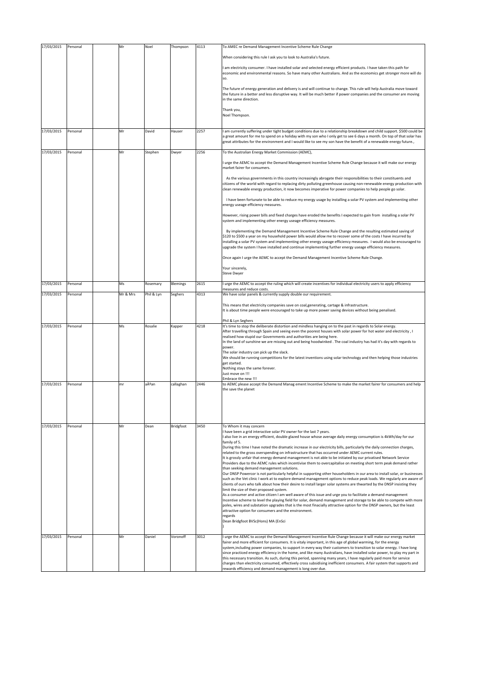| When considering this rule I ask you to look to Australia's future.<br>I am electricity consumer. I have installed solar and selected energy efficient products. I have taken this path for<br>economic and environmental reasons. So have many other Australians. And as the economics get stronger more will do<br>so.<br>The future of energy generation and delivery is and will continue to change. This rule will help Australia move toward<br>the future in a better and less disruptive way. It will be much better if power companies and the consumer are moving<br>in the same direction.<br>Thank you,<br>Noel Thompson.<br>17/03/2015<br>2257<br>Personal<br>Mr<br>David<br>Hauser<br>I am currently suffering under tight budget conditions due to a relationship breakdown and child support. \$500 could be<br>a great amount for me to spend on a holiday with my son who I only get to see 6 days a month. On top of that solar has<br>great attributes for the environment and I would like to see my son have the benefit of a renewable energy future.,<br>17/03/2015<br>2256<br>Personal<br>Mr<br>To the Australian Energy Market Commission (AEMC),<br>Stephen<br>Dwyer<br>I urge the AEMC to accept the Demand Management Incentive Scheme Rule Change because it will make our energy<br>market fairer for consumers.<br>As the various governments in this country increasingly abrogate their responsibilities to their constituents and<br>citizens of the world with regard to replacing dirty polluting greenhouse causing non-renewable energy production with<br>clean renewable energy production, it now becomes imperative for power companies to help people go solar.<br>I have been fortunate to be able to reduce my energy usage by installing a solar PV system and implementing other<br>energy useage efficiency measures.<br>However, rising power bills and fixed charges have eroded the benefits I expected to gain from installing a solar PV<br>system and implementing other energy useage efficiency measures.<br>By implementing the Demand Management Incentive Scheme Rule Change and the resulting estimated saving of<br>\$120 to \$500 a year on my household power bills would allow me to recover some of the costs I have incurred by<br>installing a solar PV system and implementing other energy useage efficiency measures. I would also be encouraged to<br>upgrade the system I have installed and continue implementing further energy useage efficiency measures.<br>Once again I urge the AEMC to accept the Demand Management Incentive Scheme Rule Change.<br>Your sincerely,<br><b>Steve Dwyer</b><br>17/03/2015<br>Ms<br>2615<br>Personal<br>Blemings<br>I urge the AEMC to accept the ruling which will create incentives for individual electricity users to apply efficiency<br>Rosemary<br>measures and reduce costs.<br>17/03/2015<br>Mr & Mrs<br>Phil & Lyn<br>4313<br>We have solar panels & currently supply double our requirement.<br>Personal<br>Seghers<br>This means that electricity companies save on coal, generating, cartage & infrastructure.<br>It is about time people were encouraged to take up more power saving devices without being penalised.<br>Phil & Lyn Seghers<br>17/03/2015<br>4218<br>Personal<br>Ms<br>Rosalie<br>Kapper<br>It's time to stop the deliberate distortion and mindless hanging on to the past in regards to Solar energy.<br>After travelling through Spain and seeing even the poorest houses with solar power for hot water and electricity, I<br>realised how stupid our Governments and authorities are being here.<br>In the land of sunshine we are missing out and being hoodwinked. The coal industry has had it's day with regards to<br>power.<br>The solar industry can pick up the slack.<br>We should be running competitions for the latest inventions using solar technology and then helping those industries<br>get started.<br>Nothing stays the same forever.<br>Just move on !!!<br>Embrace the new !!!<br>17/03/2015<br>aĺan<br>2446<br>Personal<br>callaghan<br>to AEMC please accept the Demand Manag ement Incentive Scheme to make the market fairer for consumers and help<br>mr<br>the save the planet |  |
|---------------------------------------------------------------------------------------------------------------------------------------------------------------------------------------------------------------------------------------------------------------------------------------------------------------------------------------------------------------------------------------------------------------------------------------------------------------------------------------------------------------------------------------------------------------------------------------------------------------------------------------------------------------------------------------------------------------------------------------------------------------------------------------------------------------------------------------------------------------------------------------------------------------------------------------------------------------------------------------------------------------------------------------------------------------------------------------------------------------------------------------------------------------------------------------------------------------------------------------------------------------------------------------------------------------------------------------------------------------------------------------------------------------------------------------------------------------------------------------------------------------------------------------------------------------------------------------------------------------------------------------------------------------------------------------------------------------------------------------------------------------------------------------------------------------------------------------------------------------------------------------------------------------------------------------------------------------------------------------------------------------------------------------------------------------------------------------------------------------------------------------------------------------------------------------------------------------------------------------------------------------------------------------------------------------------------------------------------------------------------------------------------------------------------------------------------------------------------------------------------------------------------------------------------------------------------------------------------------------------------------------------------------------------------------------------------------------------------------------------------------------------------------------------------------------------------------------------------------------------------------------------------------------------------------------------------------------------------------------------------------------------------------------------------------------------------------------------------------------------------------------------------------------------------------------------------------------------------------------------------------------------------------------------------------------------------------------------------------------------------------------------------------------------------------------------------------------------------------------------------------------------------------------------------------------------------------------------------------------------------------------------------------------------------------------------------------------------------------------------------------------------------------------------------------------------------------------------------------------------------------------------------------------------------------------------------------------------------------------------------------------------------------------------------------------------------------------------------------------------------------------------------------------------------------------------------------------------------------------------------------------|--|
|                                                                                                                                                                                                                                                                                                                                                                                                                                                                                                                                                                                                                                                                                                                                                                                                                                                                                                                                                                                                                                                                                                                                                                                                                                                                                                                                                                                                                                                                                                                                                                                                                                                                                                                                                                                                                                                                                                                                                                                                                                                                                                                                                                                                                                                                                                                                                                                                                                                                                                                                                                                                                                                                                                                                                                                                                                                                                                                                                                                                                                                                                                                                                                                                                                                                                                                                                                                                                                                                                                                                                                                                                                                                                                                                                                                                                                                                                                                                                                                                                                                                                                                                                                                                                                                               |  |
|                                                                                                                                                                                                                                                                                                                                                                                                                                                                                                                                                                                                                                                                                                                                                                                                                                                                                                                                                                                                                                                                                                                                                                                                                                                                                                                                                                                                                                                                                                                                                                                                                                                                                                                                                                                                                                                                                                                                                                                                                                                                                                                                                                                                                                                                                                                                                                                                                                                                                                                                                                                                                                                                                                                                                                                                                                                                                                                                                                                                                                                                                                                                                                                                                                                                                                                                                                                                                                                                                                                                                                                                                                                                                                                                                                                                                                                                                                                                                                                                                                                                                                                                                                                                                                                               |  |
|                                                                                                                                                                                                                                                                                                                                                                                                                                                                                                                                                                                                                                                                                                                                                                                                                                                                                                                                                                                                                                                                                                                                                                                                                                                                                                                                                                                                                                                                                                                                                                                                                                                                                                                                                                                                                                                                                                                                                                                                                                                                                                                                                                                                                                                                                                                                                                                                                                                                                                                                                                                                                                                                                                                                                                                                                                                                                                                                                                                                                                                                                                                                                                                                                                                                                                                                                                                                                                                                                                                                                                                                                                                                                                                                                                                                                                                                                                                                                                                                                                                                                                                                                                                                                                                               |  |
|                                                                                                                                                                                                                                                                                                                                                                                                                                                                                                                                                                                                                                                                                                                                                                                                                                                                                                                                                                                                                                                                                                                                                                                                                                                                                                                                                                                                                                                                                                                                                                                                                                                                                                                                                                                                                                                                                                                                                                                                                                                                                                                                                                                                                                                                                                                                                                                                                                                                                                                                                                                                                                                                                                                                                                                                                                                                                                                                                                                                                                                                                                                                                                                                                                                                                                                                                                                                                                                                                                                                                                                                                                                                                                                                                                                                                                                                                                                                                                                                                                                                                                                                                                                                                                                               |  |
|                                                                                                                                                                                                                                                                                                                                                                                                                                                                                                                                                                                                                                                                                                                                                                                                                                                                                                                                                                                                                                                                                                                                                                                                                                                                                                                                                                                                                                                                                                                                                                                                                                                                                                                                                                                                                                                                                                                                                                                                                                                                                                                                                                                                                                                                                                                                                                                                                                                                                                                                                                                                                                                                                                                                                                                                                                                                                                                                                                                                                                                                                                                                                                                                                                                                                                                                                                                                                                                                                                                                                                                                                                                                                                                                                                                                                                                                                                                                                                                                                                                                                                                                                                                                                                                               |  |
|                                                                                                                                                                                                                                                                                                                                                                                                                                                                                                                                                                                                                                                                                                                                                                                                                                                                                                                                                                                                                                                                                                                                                                                                                                                                                                                                                                                                                                                                                                                                                                                                                                                                                                                                                                                                                                                                                                                                                                                                                                                                                                                                                                                                                                                                                                                                                                                                                                                                                                                                                                                                                                                                                                                                                                                                                                                                                                                                                                                                                                                                                                                                                                                                                                                                                                                                                                                                                                                                                                                                                                                                                                                                                                                                                                                                                                                                                                                                                                                                                                                                                                                                                                                                                                                               |  |
|                                                                                                                                                                                                                                                                                                                                                                                                                                                                                                                                                                                                                                                                                                                                                                                                                                                                                                                                                                                                                                                                                                                                                                                                                                                                                                                                                                                                                                                                                                                                                                                                                                                                                                                                                                                                                                                                                                                                                                                                                                                                                                                                                                                                                                                                                                                                                                                                                                                                                                                                                                                                                                                                                                                                                                                                                                                                                                                                                                                                                                                                                                                                                                                                                                                                                                                                                                                                                                                                                                                                                                                                                                                                                                                                                                                                                                                                                                                                                                                                                                                                                                                                                                                                                                                               |  |
|                                                                                                                                                                                                                                                                                                                                                                                                                                                                                                                                                                                                                                                                                                                                                                                                                                                                                                                                                                                                                                                                                                                                                                                                                                                                                                                                                                                                                                                                                                                                                                                                                                                                                                                                                                                                                                                                                                                                                                                                                                                                                                                                                                                                                                                                                                                                                                                                                                                                                                                                                                                                                                                                                                                                                                                                                                                                                                                                                                                                                                                                                                                                                                                                                                                                                                                                                                                                                                                                                                                                                                                                                                                                                                                                                                                                                                                                                                                                                                                                                                                                                                                                                                                                                                                               |  |
|                                                                                                                                                                                                                                                                                                                                                                                                                                                                                                                                                                                                                                                                                                                                                                                                                                                                                                                                                                                                                                                                                                                                                                                                                                                                                                                                                                                                                                                                                                                                                                                                                                                                                                                                                                                                                                                                                                                                                                                                                                                                                                                                                                                                                                                                                                                                                                                                                                                                                                                                                                                                                                                                                                                                                                                                                                                                                                                                                                                                                                                                                                                                                                                                                                                                                                                                                                                                                                                                                                                                                                                                                                                                                                                                                                                                                                                                                                                                                                                                                                                                                                                                                                                                                                                               |  |
|                                                                                                                                                                                                                                                                                                                                                                                                                                                                                                                                                                                                                                                                                                                                                                                                                                                                                                                                                                                                                                                                                                                                                                                                                                                                                                                                                                                                                                                                                                                                                                                                                                                                                                                                                                                                                                                                                                                                                                                                                                                                                                                                                                                                                                                                                                                                                                                                                                                                                                                                                                                                                                                                                                                                                                                                                                                                                                                                                                                                                                                                                                                                                                                                                                                                                                                                                                                                                                                                                                                                                                                                                                                                                                                                                                                                                                                                                                                                                                                                                                                                                                                                                                                                                                                               |  |
|                                                                                                                                                                                                                                                                                                                                                                                                                                                                                                                                                                                                                                                                                                                                                                                                                                                                                                                                                                                                                                                                                                                                                                                                                                                                                                                                                                                                                                                                                                                                                                                                                                                                                                                                                                                                                                                                                                                                                                                                                                                                                                                                                                                                                                                                                                                                                                                                                                                                                                                                                                                                                                                                                                                                                                                                                                                                                                                                                                                                                                                                                                                                                                                                                                                                                                                                                                                                                                                                                                                                                                                                                                                                                                                                                                                                                                                                                                                                                                                                                                                                                                                                                                                                                                                               |  |
|                                                                                                                                                                                                                                                                                                                                                                                                                                                                                                                                                                                                                                                                                                                                                                                                                                                                                                                                                                                                                                                                                                                                                                                                                                                                                                                                                                                                                                                                                                                                                                                                                                                                                                                                                                                                                                                                                                                                                                                                                                                                                                                                                                                                                                                                                                                                                                                                                                                                                                                                                                                                                                                                                                                                                                                                                                                                                                                                                                                                                                                                                                                                                                                                                                                                                                                                                                                                                                                                                                                                                                                                                                                                                                                                                                                                                                                                                                                                                                                                                                                                                                                                                                                                                                                               |  |
|                                                                                                                                                                                                                                                                                                                                                                                                                                                                                                                                                                                                                                                                                                                                                                                                                                                                                                                                                                                                                                                                                                                                                                                                                                                                                                                                                                                                                                                                                                                                                                                                                                                                                                                                                                                                                                                                                                                                                                                                                                                                                                                                                                                                                                                                                                                                                                                                                                                                                                                                                                                                                                                                                                                                                                                                                                                                                                                                                                                                                                                                                                                                                                                                                                                                                                                                                                                                                                                                                                                                                                                                                                                                                                                                                                                                                                                                                                                                                                                                                                                                                                                                                                                                                                                               |  |
|                                                                                                                                                                                                                                                                                                                                                                                                                                                                                                                                                                                                                                                                                                                                                                                                                                                                                                                                                                                                                                                                                                                                                                                                                                                                                                                                                                                                                                                                                                                                                                                                                                                                                                                                                                                                                                                                                                                                                                                                                                                                                                                                                                                                                                                                                                                                                                                                                                                                                                                                                                                                                                                                                                                                                                                                                                                                                                                                                                                                                                                                                                                                                                                                                                                                                                                                                                                                                                                                                                                                                                                                                                                                                                                                                                                                                                                                                                                                                                                                                                                                                                                                                                                                                                                               |  |
|                                                                                                                                                                                                                                                                                                                                                                                                                                                                                                                                                                                                                                                                                                                                                                                                                                                                                                                                                                                                                                                                                                                                                                                                                                                                                                                                                                                                                                                                                                                                                                                                                                                                                                                                                                                                                                                                                                                                                                                                                                                                                                                                                                                                                                                                                                                                                                                                                                                                                                                                                                                                                                                                                                                                                                                                                                                                                                                                                                                                                                                                                                                                                                                                                                                                                                                                                                                                                                                                                                                                                                                                                                                                                                                                                                                                                                                                                                                                                                                                                                                                                                                                                                                                                                                               |  |
|                                                                                                                                                                                                                                                                                                                                                                                                                                                                                                                                                                                                                                                                                                                                                                                                                                                                                                                                                                                                                                                                                                                                                                                                                                                                                                                                                                                                                                                                                                                                                                                                                                                                                                                                                                                                                                                                                                                                                                                                                                                                                                                                                                                                                                                                                                                                                                                                                                                                                                                                                                                                                                                                                                                                                                                                                                                                                                                                                                                                                                                                                                                                                                                                                                                                                                                                                                                                                                                                                                                                                                                                                                                                                                                                                                                                                                                                                                                                                                                                                                                                                                                                                                                                                                                               |  |
|                                                                                                                                                                                                                                                                                                                                                                                                                                                                                                                                                                                                                                                                                                                                                                                                                                                                                                                                                                                                                                                                                                                                                                                                                                                                                                                                                                                                                                                                                                                                                                                                                                                                                                                                                                                                                                                                                                                                                                                                                                                                                                                                                                                                                                                                                                                                                                                                                                                                                                                                                                                                                                                                                                                                                                                                                                                                                                                                                                                                                                                                                                                                                                                                                                                                                                                                                                                                                                                                                                                                                                                                                                                                                                                                                                                                                                                                                                                                                                                                                                                                                                                                                                                                                                                               |  |
|                                                                                                                                                                                                                                                                                                                                                                                                                                                                                                                                                                                                                                                                                                                                                                                                                                                                                                                                                                                                                                                                                                                                                                                                                                                                                                                                                                                                                                                                                                                                                                                                                                                                                                                                                                                                                                                                                                                                                                                                                                                                                                                                                                                                                                                                                                                                                                                                                                                                                                                                                                                                                                                                                                                                                                                                                                                                                                                                                                                                                                                                                                                                                                                                                                                                                                                                                                                                                                                                                                                                                                                                                                                                                                                                                                                                                                                                                                                                                                                                                                                                                                                                                                                                                                                               |  |
|                                                                                                                                                                                                                                                                                                                                                                                                                                                                                                                                                                                                                                                                                                                                                                                                                                                                                                                                                                                                                                                                                                                                                                                                                                                                                                                                                                                                                                                                                                                                                                                                                                                                                                                                                                                                                                                                                                                                                                                                                                                                                                                                                                                                                                                                                                                                                                                                                                                                                                                                                                                                                                                                                                                                                                                                                                                                                                                                                                                                                                                                                                                                                                                                                                                                                                                                                                                                                                                                                                                                                                                                                                                                                                                                                                                                                                                                                                                                                                                                                                                                                                                                                                                                                                                               |  |
|                                                                                                                                                                                                                                                                                                                                                                                                                                                                                                                                                                                                                                                                                                                                                                                                                                                                                                                                                                                                                                                                                                                                                                                                                                                                                                                                                                                                                                                                                                                                                                                                                                                                                                                                                                                                                                                                                                                                                                                                                                                                                                                                                                                                                                                                                                                                                                                                                                                                                                                                                                                                                                                                                                                                                                                                                                                                                                                                                                                                                                                                                                                                                                                                                                                                                                                                                                                                                                                                                                                                                                                                                                                                                                                                                                                                                                                                                                                                                                                                                                                                                                                                                                                                                                                               |  |
|                                                                                                                                                                                                                                                                                                                                                                                                                                                                                                                                                                                                                                                                                                                                                                                                                                                                                                                                                                                                                                                                                                                                                                                                                                                                                                                                                                                                                                                                                                                                                                                                                                                                                                                                                                                                                                                                                                                                                                                                                                                                                                                                                                                                                                                                                                                                                                                                                                                                                                                                                                                                                                                                                                                                                                                                                                                                                                                                                                                                                                                                                                                                                                                                                                                                                                                                                                                                                                                                                                                                                                                                                                                                                                                                                                                                                                                                                                                                                                                                                                                                                                                                                                                                                                                               |  |
|                                                                                                                                                                                                                                                                                                                                                                                                                                                                                                                                                                                                                                                                                                                                                                                                                                                                                                                                                                                                                                                                                                                                                                                                                                                                                                                                                                                                                                                                                                                                                                                                                                                                                                                                                                                                                                                                                                                                                                                                                                                                                                                                                                                                                                                                                                                                                                                                                                                                                                                                                                                                                                                                                                                                                                                                                                                                                                                                                                                                                                                                                                                                                                                                                                                                                                                                                                                                                                                                                                                                                                                                                                                                                                                                                                                                                                                                                                                                                                                                                                                                                                                                                                                                                                                               |  |
| 17/03/2015<br>Bridgfoot<br>3450<br>Personal<br>Mr<br>Dean<br>To Whom it may concern<br>I have been a grid interactive solar PV owner for the last 7 years.                                                                                                                                                                                                                                                                                                                                                                                                                                                                                                                                                                                                                                                                                                                                                                                                                                                                                                                                                                                                                                                                                                                                                                                                                                                                                                                                                                                                                                                                                                                                                                                                                                                                                                                                                                                                                                                                                                                                                                                                                                                                                                                                                                                                                                                                                                                                                                                                                                                                                                                                                                                                                                                                                                                                                                                                                                                                                                                                                                                                                                                                                                                                                                                                                                                                                                                                                                                                                                                                                                                                                                                                                                                                                                                                                                                                                                                                                                                                                                                                                                                                                                    |  |
| I also live in an energy efficient, double glazed house whose average daily energy consumption is 4kWh/day for our<br>family of 5.<br>During this time I have noted the dramatic increase in our electricity bills, particularly the daily connection charges,<br>related to the gross overspending on infrastructure that has occurred under AEMC current rules.<br>It is grossly unfair that energy demand management is not able to be initiated by our privatised Network Service                                                                                                                                                                                                                                                                                                                                                                                                                                                                                                                                                                                                                                                                                                                                                                                                                                                                                                                                                                                                                                                                                                                                                                                                                                                                                                                                                                                                                                                                                                                                                                                                                                                                                                                                                                                                                                                                                                                                                                                                                                                                                                                                                                                                                                                                                                                                                                                                                                                                                                                                                                                                                                                                                                                                                                                                                                                                                                                                                                                                                                                                                                                                                                                                                                                                                                                                                                                                                                                                                                                                                                                                                                                                                                                                                                         |  |
| Providers due to the AEMC rules which incentivise them to overcapitalise on meeting short term peak demand rather<br>than seeking demand management solutions.<br>Our DNSP Powercor is not particularly helpful in supporting other householders in our area to install solar, or businesses<br>such as the Vet clinic I work at to explore demand management options to reduce peak loads. We regularly are aware of                                                                                                                                                                                                                                                                                                                                                                                                                                                                                                                                                                                                                                                                                                                                                                                                                                                                                                                                                                                                                                                                                                                                                                                                                                                                                                                                                                                                                                                                                                                                                                                                                                                                                                                                                                                                                                                                                                                                                                                                                                                                                                                                                                                                                                                                                                                                                                                                                                                                                                                                                                                                                                                                                                                                                                                                                                                                                                                                                                                                                                                                                                                                                                                                                                                                                                                                                                                                                                                                                                                                                                                                                                                                                                                                                                                                                                         |  |
| clients of ours who talk about how their desire to install larger solar systems are thwarted by the DNSP insisting they<br>limit the size of their proposed system.<br>As a consumer and active citizen I am well aware of this issue and urge you to facilitate a demand management<br>Incentive scheme to level the playing field for solar, demand management and storage to be able to compete with more                                                                                                                                                                                                                                                                                                                                                                                                                                                                                                                                                                                                                                                                                                                                                                                                                                                                                                                                                                                                                                                                                                                                                                                                                                                                                                                                                                                                                                                                                                                                                                                                                                                                                                                                                                                                                                                                                                                                                                                                                                                                                                                                                                                                                                                                                                                                                                                                                                                                                                                                                                                                                                                                                                                                                                                                                                                                                                                                                                                                                                                                                                                                                                                                                                                                                                                                                                                                                                                                                                                                                                                                                                                                                                                                                                                                                                                  |  |
| poles, wires and substation upgrades that is the most finacially attractive option for the DNSP owners, but the least<br>attractive option for consumers and the environment.<br>regards<br>Dean Bridgfoot BVSc(Hons) MA (EnSci                                                                                                                                                                                                                                                                                                                                                                                                                                                                                                                                                                                                                                                                                                                                                                                                                                                                                                                                                                                                                                                                                                                                                                                                                                                                                                                                                                                                                                                                                                                                                                                                                                                                                                                                                                                                                                                                                                                                                                                                                                                                                                                                                                                                                                                                                                                                                                                                                                                                                                                                                                                                                                                                                                                                                                                                                                                                                                                                                                                                                                                                                                                                                                                                                                                                                                                                                                                                                                                                                                                                                                                                                                                                                                                                                                                                                                                                                                                                                                                                                               |  |
|                                                                                                                                                                                                                                                                                                                                                                                                                                                                                                                                                                                                                                                                                                                                                                                                                                                                                                                                                                                                                                                                                                                                                                                                                                                                                                                                                                                                                                                                                                                                                                                                                                                                                                                                                                                                                                                                                                                                                                                                                                                                                                                                                                                                                                                                                                                                                                                                                                                                                                                                                                                                                                                                                                                                                                                                                                                                                                                                                                                                                                                                                                                                                                                                                                                                                                                                                                                                                                                                                                                                                                                                                                                                                                                                                                                                                                                                                                                                                                                                                                                                                                                                                                                                                                                               |  |
| 17/03/2015<br>3012<br>Personal<br>Mr<br>Daniel<br>Voronoff<br>I urge the AEMC to accept the Demand Management Incentive Rule Change because it will make our energy market<br>fairer and more efficient for consumers. It is vitaly important, in this age of global warming, for the energy                                                                                                                                                                                                                                                                                                                                                                                                                                                                                                                                                                                                                                                                                                                                                                                                                                                                                                                                                                                                                                                                                                                                                                                                                                                                                                                                                                                                                                                                                                                                                                                                                                                                                                                                                                                                                                                                                                                                                                                                                                                                                                                                                                                                                                                                                                                                                                                                                                                                                                                                                                                                                                                                                                                                                                                                                                                                                                                                                                                                                                                                                                                                                                                                                                                                                                                                                                                                                                                                                                                                                                                                                                                                                                                                                                                                                                                                                                                                                                  |  |
| system, including power companies, to support in every way their customers to transition to solar energy. I have long<br>since practiced energy efficiency in the home, and like many Australians, have installed solar power, to play my part in<br>this necessary transition. As such, during this period, spanning many years, I have regularly paid more for service<br>charges than electricity consumed, effectively cross subsidising inefficient consumers. A fair system that supports and<br>rewards efficiency and demand management is long over due.                                                                                                                                                                                                                                                                                                                                                                                                                                                                                                                                                                                                                                                                                                                                                                                                                                                                                                                                                                                                                                                                                                                                                                                                                                                                                                                                                                                                                                                                                                                                                                                                                                                                                                                                                                                                                                                                                                                                                                                                                                                                                                                                                                                                                                                                                                                                                                                                                                                                                                                                                                                                                                                                                                                                                                                                                                                                                                                                                                                                                                                                                                                                                                                                                                                                                                                                                                                                                                                                                                                                                                                                                                                                                             |  |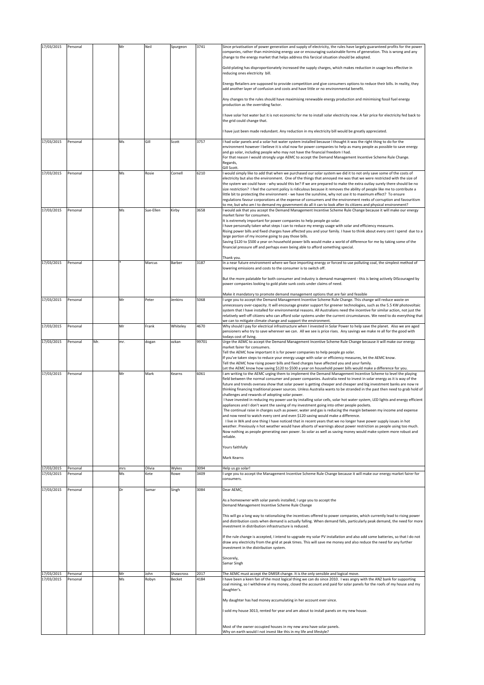| 17/03/2015               | Personal             |     | Mr        | Neil           | Spurgeon      | 3741         | Since privatisation of power generation and supply of electricity, the rules have largely guaranteed profits for the power                                                                                                                                                                                  |
|--------------------------|----------------------|-----|-----------|----------------|---------------|--------------|-------------------------------------------------------------------------------------------------------------------------------------------------------------------------------------------------------------------------------------------------------------------------------------------------------------|
|                          |                      |     |           |                |               |              | companies, rather than minimising energy use or encouraging sustainable forms of generation. This is wrong and any<br>change to the energy market that helps address this farcical situation should be adopted.                                                                                             |
|                          |                      |     |           |                |               |              | Gold-plating has disproportionately increased the supply charges, which makes reduction in usage less effective in<br>reducing ones electricity bill.                                                                                                                                                       |
|                          |                      |     |           |                |               |              | Energy Retailers are supposed to provide competition and give consumers options to reduce their bills. In reality, they<br>add another layer of confusion and costs and have little or no environmental benefit.                                                                                            |
|                          |                      |     |           |                |               |              | Any changes to the rules should have maximising renewable energy production and minimising fossil fuel energy<br>production as the overriding factor.                                                                                                                                                       |
|                          |                      |     |           |                |               |              | have solar hot water but it is not economic for me to install solar electricity now. A fair price for electricity fed back to<br>the grid could change that.                                                                                                                                                |
|                          |                      |     |           |                |               |              | have just been made redundant. Any reduction in my electricity bill would be greatly appreciated.                                                                                                                                                                                                           |
| 17/03/2015               | Personal             |     | Ms        | Gill           | Scott         | 3757         | I had solar panels and a solar hot water system installed because I thought it was the right thing to do for the<br>environment however I believe it is vital now for power companies to help as many people as possible to save energy                                                                     |
|                          |                      |     |           |                |               |              | and go solar, including people who may not have the financial freedom I had.<br>For that reason I would strongly urge AEMC to accept the Demand Management Incentive Scheme Rule Change.                                                                                                                    |
|                          |                      |     |           |                |               |              | Regards,<br>Gill Scott.                                                                                                                                                                                                                                                                                     |
| 17/03/2015               | Personal             |     | Ms        | Rosie          | Cornell       | 6210         | I would simply like to add that when we purchased our solar system we did it to not only save some of the costs of<br>electricity but also the environment. One of the things that annoyed me was that we were restricted with the size of                                                                  |
|                          |                      |     |           |                |               |              | the system we could have - why would this be? If we are prepared to make the extra outlay surely there should be no                                                                                                                                                                                         |
|                          |                      |     |           |                |               |              | size restriction? I feel the current policy is ridiculous because it removes the ability of people like me to contribute a<br>little bit to protecting the environment - we have the sunshine, why not use it to maximum effect? To ensure                                                                  |
|                          |                      |     |           |                |               |              | regulations favour corporations at the expense of consumers and the environment reeks of corruption and favouritism<br>to me, but who am I to demand my government do all it can to look after its citizens and physical environment?                                                                       |
| 17/03/2015               | Personal             |     | Ms        | Sue-Ellen      | Kirby         | 3658         | I would ask that you accept the Demand Management Incentive Scheme Rule Change because it will make our energy<br>market fairer for consumers.                                                                                                                                                              |
|                          |                      |     |           |                |               |              | It is extremely important for power companies to help people go solar.                                                                                                                                                                                                                                      |
|                          |                      |     |           |                |               |              | I have personally taken what steps I can to reduce my energy usage with solar and efficiency measures.<br>Rising power bills and fixed charges have affected you and your family. I have to think about every cent I spend due to a                                                                         |
|                          |                      |     |           |                |               |              | large portion of my income going to pay those bills.<br>Saving \$120 to \$500 a year on household power bills would make a world of difference for me by taking some of the                                                                                                                                 |
|                          |                      |     |           |                |               |              | financial pressure off and perhaps even being able to afford something special.                                                                                                                                                                                                                             |
|                          |                      |     |           |                |               |              | Thank vou.                                                                                                                                                                                                                                                                                                  |
| 17/03/2015               | Personal             |     |           | Marcus         | Barber        | 3187         | In a near future environment where we face importing energy or forced to use polluting coal, the simplest method of<br>lowering emissions and costs to the consumer is to switch off.                                                                                                                       |
|                          |                      |     |           |                |               |              | But the more palatable for both consumer and industry is demand management - this is being actively DIScouraged by<br>power companies looking to gold plate sunk costs under claims of need.                                                                                                                |
| 17/03/2015               | Personal             |     | Mr        | Peter          | Jenkins       | 5068         | Make it mandatory to promote demand management options that are fair and feasible<br>I urge you to accept the Demand Management Incentive Scheme Rule Change. This change will reduce waste on                                                                                                              |
|                          |                      |     |           |                |               |              | unnecessary over-capacity. It will encourage greater support for greener technologies, such as the 5.5 KW photovoltaic<br>system that I have installed for environmental reasons. All Australians need the incentive for similar action, not just the                                                       |
|                          |                      |     |           |                |               |              | relatively well-off citizens who can afford solar systems under the current circumstances. We need to do everything that                                                                                                                                                                                    |
| 17/03/2015               | Personal             |     | Mr        | Frank          | Whiteley      | 4670         | we can to mitigate climate change and support the environment.<br>Why should I pay for electrical infrastructure when I invested in Solar Power to help save the planet. Also we are aged                                                                                                                   |
|                          |                      |     |           |                |               |              | pensioners who try to save wherever we can. All we see is price rises. Any savings we make re all for the good with<br>todays cost of living.                                                                                                                                                               |
| 17/03/2015               | Personal             | Mr. | mr.       | dogan          | ozkan         | 99701        | Urge the AEMC to accept the Demand Management Incentive Scheme Rule Change because it will make our energy                                                                                                                                                                                                  |
|                          |                      |     |           |                |               |              |                                                                                                                                                                                                                                                                                                             |
|                          |                      |     |           |                |               |              | market fairer for consumers.<br>Tell the AEMC how important it is for power companies to help people go solar.                                                                                                                                                                                              |
|                          |                      |     |           |                |               |              | If you've taken steps to reduce your energy usage with solar or efficiency measures, let the AEMC know.<br>Tell the AEMC how rising power bills and fixed charges have affected you and your family.                                                                                                        |
| 17/03/2015               | Personal             |     | Mr        | Mark           | Kearns        | 6061         | Let the AEMC know how saving \$120 to \$500 a year on household power bills would make a difference for you.<br>I am writing to the AEMC urging them to implement the Demand Management Incentive Scheme to level the playing                                                                               |
|                          |                      |     |           |                |               |              | field between the normal consumer and power companies. Australia need to invest in solar energy as it is way of the                                                                                                                                                                                         |
|                          |                      |     |           |                |               |              | future and trends oversea show that solar power is getting cheaper and cheaper and big investment banks are now re<br>thinking financing traditional power sources. Unless Australia wants to be stranded in the past then need to grab hold of                                                             |
|                          |                      |     |           |                |               |              | challenges and rewards of adopting solar power.<br>I have invested in reducing my power use by installing solar cells, solar hot water system, LED lights and energy efficient                                                                                                                              |
|                          |                      |     |           |                |               |              | appliances and I don't want the saving of my investment going into other people pockets.<br>The continual raise in charges such as power, water and gas is reducing the margin between my income and expense                                                                                                |
|                          |                      |     |           |                |               |              | and now need to watch every cent and even \$120 saving would make a difference.                                                                                                                                                                                                                             |
|                          |                      |     |           |                |               |              | I live in WA and one thing I have noticed that in recent years that we no longer have power supply issues in hot<br>weather. Previously n hot weather would have allsorts of warnings about power restriction as people using too much.                                                                     |
|                          |                      |     |           |                |               |              | Now nothing as people generating own power. So solar as well as saving money would make system more robust and<br>reliable.                                                                                                                                                                                 |
|                          |                      |     |           |                |               |              | Yours faithfully                                                                                                                                                                                                                                                                                            |
|                          |                      |     |           |                |               |              | Mark Kearns                                                                                                                                                                                                                                                                                                 |
|                          |                      |     |           |                |               |              |                                                                                                                                                                                                                                                                                                             |
| 17/03/2015<br>17/03/2015 | Personal<br>Personal |     | mrs<br>Ms | Olivia<br>Kete | Wykes<br>Rowe | 3094<br>3409 | Help us go solar!<br>I urge you to accept the Management Incentive Scheme Rule Change because it will make our energy market fairer for                                                                                                                                                                     |
|                          |                      |     |           |                |               |              | consumers.                                                                                                                                                                                                                                                                                                  |
| 17/03/2015               | Personal             |     | Dr        | Samar          | Singh         | 3084         | Dear AEMC.                                                                                                                                                                                                                                                                                                  |
|                          |                      |     |           |                |               |              | As a homeowner with solar panels installed, I urge you to accept the<br>Demand Management Incentive Scheme Rule Change                                                                                                                                                                                      |
|                          |                      |     |           |                |               |              |                                                                                                                                                                                                                                                                                                             |
|                          |                      |     |           |                |               |              | This will go a long way to rationalising the incentives offered to power companies, which currently lead to rising power<br>and distribution costs when demand is actually falling. When demand falls, particularly peak demand, the need for more<br>investment in distribution infrastructure is reduced. |
|                          |                      |     |           |                |               |              | If the rule change is accepted, I intend to upgrade my solar PV installation and also add some batteries, so that I do not                                                                                                                                                                                  |
|                          |                      |     |           |                |               |              | draw any electricity from the grid at peak times. This will save me money and also reduce the need for any further                                                                                                                                                                                          |
|                          |                      |     |           |                |               |              | investment in the distribution system.                                                                                                                                                                                                                                                                      |
|                          |                      |     |           |                |               |              | Sincerely,<br>Samar Singh                                                                                                                                                                                                                                                                                   |
| 17/03/2015               | Personal             |     | Mr        | John           | Shawcross     | 2017         | The AEMC must accept the DMISR change. It is the only sensible and logical move.                                                                                                                                                                                                                            |
| 17/03/2015               | Personal             |     | Ms        | Robyn          | Becket        | 4184         | have been a keen fan of the most logical thing we can do since 2010. I was angry with the ANZ bank for supporting<br>coal mining, so I withdrew al my money, closed the account and paid for solar panels for the roofs of my house and my                                                                  |
|                          |                      |     |           |                |               |              | daughter's.                                                                                                                                                                                                                                                                                                 |
|                          |                      |     |           |                |               |              | My daughter has had money accumulating in her account ever since.                                                                                                                                                                                                                                           |
|                          |                      |     |           |                |               |              | sold my house 3013, rented for year and am about to install panels on my new house.                                                                                                                                                                                                                         |
|                          |                      |     |           |                |               |              | Most of the owner occupied houses in my new area have solar panels.                                                                                                                                                                                                                                         |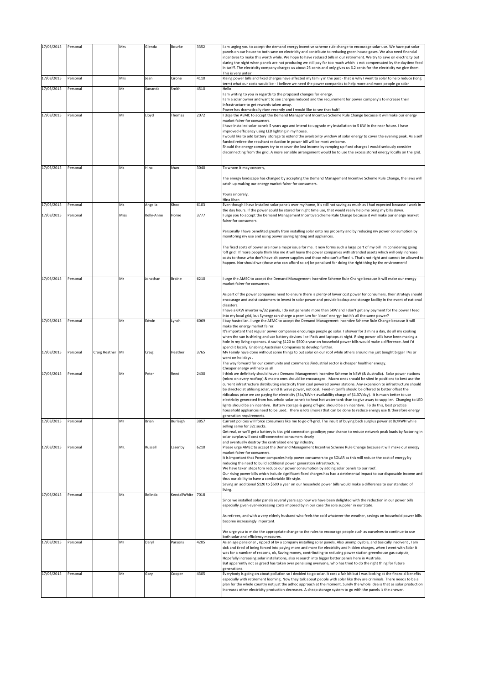| 17/03/2015 | Personal |                  | Mrs  | Glenda     | Bourke        | 3352 | I am urging you to accept the demand energy incentive scheme rule change to encourage solar use. We have put solar<br>panels on our house to both save on electricity and contribute to reducing green house gases. We also need financial<br>incentives to make this worth while. We hope to have reduced bills in our retirement. We try to save on electricity but<br>during the night when panels are not producing we still pay far too much which is not compensated by the daytime feed<br>in tariff. The electricity company charges us about 25 cents and only gives us 6.2 cents for the electricity we give them.<br>This is very unfair                                                                                                                                                                                                                                                                                                                                                                      |
|------------|----------|------------------|------|------------|---------------|------|--------------------------------------------------------------------------------------------------------------------------------------------------------------------------------------------------------------------------------------------------------------------------------------------------------------------------------------------------------------------------------------------------------------------------------------------------------------------------------------------------------------------------------------------------------------------------------------------------------------------------------------------------------------------------------------------------------------------------------------------------------------------------------------------------------------------------------------------------------------------------------------------------------------------------------------------------------------------------------------------------------------------------|
| 17/03/2015 | Personal |                  | Mrs  | Jean       | Cirone        | 4110 | Rising power bills and fixed charges have affected my family in the past - that is why I went to solar to help reduce (long<br>term) what our costs would be - I believe we need the power companies to help more and more people go solar                                                                                                                                                                                                                                                                                                                                                                                                                                                                                                                                                                                                                                                                                                                                                                               |
| 17/03/2015 | Personal |                  | Mr   | Sunanda    | Smith         | 4510 | Hello!<br>am writing to you in regards to the proposed changes for energy.<br>am a solar owner and want to see charges reduced and the requirement for power company's to increase their<br>infrastructure to get rewards taken away.                                                                                                                                                                                                                                                                                                                                                                                                                                                                                                                                                                                                                                                                                                                                                                                    |
| 17/03/2015 | Personal |                  | Mr   | Lloyd      | Thomas        | 2072 | Power has dramatically risen recently and I would like to see that halt!<br>I Urge the AEMC to accept the Demand Management Incentive Scheme Rule Change because it will make our energy<br>market fairer for consumers.<br>have installed solar panels 5 years ago and intend to upgrade my installation to 5 KW in the near future. I have<br>improved efficiency using LED lighting in my house.<br>would like to add battery storage to extend the availability window of solar energy to cover the evening peak. As a self<br>funded retiree the resultant reduction in power bill will be most welcome.<br>Should the energy company try to recover the lost income by ramping up fixed charges I would seriously consider<br>disconnecting from the grid. A more sensible arrangement would be to use the excess stored energy locally on the grid.                                                                                                                                                               |
| 17/03/2015 | Personal |                  | Ms   | Hina       | khan          | 3040 | To whom it may concern,<br>The energy landscape has changed by accepting the Demand Management Incentive Scheme Rule Change, the laws will<br>catch up making our energy market fairer for consumers.<br>Yours sincerely,                                                                                                                                                                                                                                                                                                                                                                                                                                                                                                                                                                                                                                                                                                                                                                                                |
| 17/03/2015 | Personal |                  | Ms   | Angelia    | Khoo          | 6103 | Hina Khan<br>Even though I have installed solar panels over my home, it's still not saving as much as I had expected because I work in<br>the day hours. If the power could be stored for night time use, that would really help me bring my bills down.                                                                                                                                                                                                                                                                                                                                                                                                                                                                                                                                                                                                                                                                                                                                                                 |
| 17/03/2015 | Personal |                  | Miss | Kelly-Anne | Horne         | 3777 | I urge you to accept the Demand Management Incentive Scheme Rule Change because it will make our energy market<br>fairer for consumers.                                                                                                                                                                                                                                                                                                                                                                                                                                                                                                                                                                                                                                                                                                                                                                                                                                                                                  |
|            |          |                  |      |            |               |      | Personally I have benefited greatly from installing solar onto my property and by reducing my power consumption by<br>monitoring my use and using power saving lighting and appliances.<br>The fixed costs of power are now a major issue for me. It now forms such a large part of my bill I'm considering going                                                                                                                                                                                                                                                                                                                                                                                                                                                                                                                                                                                                                                                                                                        |
|            |          |                  |      |            |               |      | 'off grid'. If more people think like me it will leave the power companies with stranded assets which will only increase<br>costs to those who don't have alt power supplies and those who can't afford it. That's not right and cannot be allowed to<br>happen. Nor should we (those who can afford solar) be penalised for doing the right thing by the environment!                                                                                                                                                                                                                                                                                                                                                                                                                                                                                                                                                                                                                                                   |
| 17/03/2015 | Personal |                  | Mr   | Jonathan   | <b>Braine</b> | 6210 | I urge the AMEC to accept the Demand Management Incentive Scheme Rule Change because it will make our energy                                                                                                                                                                                                                                                                                                                                                                                                                                                                                                                                                                                                                                                                                                                                                                                                                                                                                                             |
|            |          |                  |      |            |               |      | market fairer for consumers.<br>As part of the power companies need to ensure there is plenty of lower cost power for consumers, their strategy should<br>encourage and assist customers to invest in solar power and provide backup and storage facility in the event of national<br>disasters.<br>I have a 6KW inverter w/32 panels, I do not generate more than 5KW and I don't get any payment for the power I feed<br>?into my local grid, but Synergy can charge a premium for 'clean' energy- but it's all the same power                                                                                                                                                                                                                                                                                                                                                                                                                                                                                         |
| 17/03/2015 | Personal |                  | Mr   | Edwin      | Lynch         | 6069 | I buy Australian. I urge the AEMC to accept the Demand Management Incentive Scheme Rule Change because it will<br>make the energy market fairer.<br>It's important that regular power companies encourage people go solar. I shower for 3 mins a day, do all my cooking<br>when the sun is shining and use battery devices like iPads and laptops at night. Rising power bills have been making a<br>hole in my living expenses. A saving \$120 to \$500 a year on household power bills would make a difference. And I'd<br>spend it locally. Enabling Australian Companies to develop further.                                                                                                                                                                                                                                                                                                                                                                                                                         |
| 17/03/2015 | Personal | Craig Heather Mr |      | Craig      | Heather       | 3765 | My Family have done without some things to put solar on our roof while others around me just bought bigger TVs or<br>went on holidays.<br>The way forward for our community and commercial/industrial sector is cheaper healthier energy.<br>Cheaper energy will help us all                                                                                                                                                                                                                                                                                                                                                                                                                                                                                                                                                                                                                                                                                                                                             |
| 17/03/2015 | Personal |                  | Mr   | Peter      | Reed          | 2430 | I think we definitely should have a Demand Management Incentive Scheme in NSW (& Australia). Solar power stations<br>(micro on every rooftop) & macro ones should be encouraged. Macro ones should be sited in positions to best use the<br>current infrastructure distributing electricity from coal powered power stations. Any expansion to infrastructure should<br>be directed at utilising solar, wind & wave power, not coal. Feed-in tariffs should be offered to better offset the<br>ridiculous price we are paying for electricity (34c/kWh + availability charge of \$1.37/day). It is much better to use<br>electricity generated from household solar panels to heat hot water tank than to give away to supplier. Changing to LED<br>lights should be an incentive. Battery storage & going off-grid should be an incentive. To do this, best practice<br>household appliances need to be used. There is lots (more) that can be done to reduce energy use & therefore energy<br>generation requirements. |
| 17/03/2015 | Personal |                  | Mr   | Brian      | Burleigh      | 3857 | Current policies will force consumers like me to go off-grid. The insult of buying back surplus power at 8c/KWH while<br>selling same for 32c sucks.<br>Get real, or we'll get a battery is kiss grid connection goodbye; your chance to reduce network peak loads by factoring in<br>solar surplus will cost still-connected consumers dearly<br>and eventually destroy the centralized energy industry.                                                                                                                                                                                                                                                                                                                                                                                                                                                                                                                                                                                                                |
| 17/03/2015 | Personal |                  | Mr.  | Russell    | Lazenby       | 6210 | Please urge AMEC to accept the Demand Management Incentive Scheme Rule Change because it will make our energy<br>market fairer for consumers.<br>It is important that Power companies help power consumers to go SOLAR as this will reduce the cost of energy by<br>reducing the need to build additional power generation infrastructure.<br>We have taken steps tom reduce our power consumption by adding solar panels to our roof.<br>Our rising power bills which include significant fixed charges has had a detrimental impact to our disposable income and<br>thus our ability to have a comfortable life style.<br>Saving an additional \$120 to \$500 a year on our household power bills would make a difference to our standard of                                                                                                                                                                                                                                                                           |
| 17/03/2015 | Personal |                  | Ms   | Belinda    | KendallWhite  | 7018 | living.<br>Since we installed solar panels several years ago now we have been delighted with the reduction in our power bills<br>especially given ever-increasing costs imposed by in our case the sole supplier in our State.<br>As retirees, and with a very elderly husband who feels the cold whatever the weather, savings on household power bills<br>become increasingly important.                                                                                                                                                                                                                                                                                                                                                                                                                                                                                                                                                                                                                               |
|            |          |                  |      |            |               |      | We urge you to make the appropriate change to the rules to encourage people such as ourselves to continue to use<br>both solar and efficiency measures.                                                                                                                                                                                                                                                                                                                                                                                                                                                                                                                                                                                                                                                                                                                                                                                                                                                                  |
| 17/03/2015 | Personal |                  | Mr   | Daryl      | Parsons       | 4205 | As an age pensioner, ripped of by a company installing solar panels, Also unemployable, and basically insolvent, I am<br>sick and tired of being forced into paying more and more for electricity and hidden charges, when I went with Solar it<br>was for a number of reasons, ok, Saving money, contributing to reducing power station greenhouse gas outputs,<br>Hopefully increasing solar installations, also research into bigger better panels here in Australia.<br>But apparently not as greed has taken over penalising everyone, who has tried to do the right thing for future<br>generations.                                                                                                                                                                                                                                                                                                                                                                                                               |
| 17/03/2015 | Personal |                  | Mr   | Gary       | Cooper        | 4305 | Everybody is going on about pollution so I decided to go solar. It cost a fair bit but I was looking at the financial benefits<br>especially with retirement looming. Now they talk about people with solar like they are criminals. There needs to be a<br>plan for the whole country not just the adhoc approach at the moment. Surely the whole idea is that as solar production<br>increases other electricity production decreases. A cheap storage system to go with the panels is the answer.                                                                                                                                                                                                                                                                                                                                                                                                                                                                                                                     |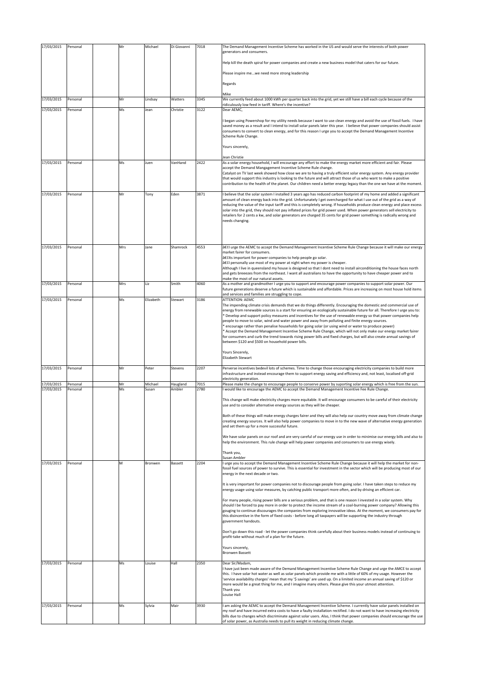| 17/03/2015 | Personal | Mr  | Michael   | Di Giovanni | 7018 | The Demand Management Incentive Scheme has worked in the US and would serve the interests of both power<br>generators and consumers.                                                                                                                                                                                                                                                                                                                                                                                                                                                                                                                                                                                                                                                                                                                                                                                  |
|------------|----------|-----|-----------|-------------|------|-----------------------------------------------------------------------------------------------------------------------------------------------------------------------------------------------------------------------------------------------------------------------------------------------------------------------------------------------------------------------------------------------------------------------------------------------------------------------------------------------------------------------------------------------------------------------------------------------------------------------------------------------------------------------------------------------------------------------------------------------------------------------------------------------------------------------------------------------------------------------------------------------------------------------|
|            |          |     |           |             |      | Help kill the death spiral for power companies and create a new business model that caters for our future.                                                                                                                                                                                                                                                                                                                                                                                                                                                                                                                                                                                                                                                                                                                                                                                                            |
|            |          |     |           |             |      | Please inspire mewe need more strong leadership                                                                                                                                                                                                                                                                                                                                                                                                                                                                                                                                                                                                                                                                                                                                                                                                                                                                       |
|            |          |     |           |             |      |                                                                                                                                                                                                                                                                                                                                                                                                                                                                                                                                                                                                                                                                                                                                                                                                                                                                                                                       |
|            |          |     |           |             |      | Regards                                                                                                                                                                                                                                                                                                                                                                                                                                                                                                                                                                                                                                                                                                                                                                                                                                                                                                               |
| 17/03/2015 | Personal | Mr  | Lindsay   | Watters     | 3345 | Mike<br>We currently feed about 1000 kWh per quarter back into the grid, yet we still have a bill each cycle because of the                                                                                                                                                                                                                                                                                                                                                                                                                                                                                                                                                                                                                                                                                                                                                                                           |
| 17/03/2015 |          | Ms  |           | Christie    | 3122 | ridiculously low feed in tariff. Where's the incentive?<br>Dear AEMC,                                                                                                                                                                                                                                                                                                                                                                                                                                                                                                                                                                                                                                                                                                                                                                                                                                                 |
|            | Personal |     | Jean      |             |      |                                                                                                                                                                                                                                                                                                                                                                                                                                                                                                                                                                                                                                                                                                                                                                                                                                                                                                                       |
|            |          |     |           |             |      | began using Powershop for my utility needs because I want to use clean energy and avoid the use of fossil fuels. I have<br>saved money as a result and I intend to install solar panels later this year. I believe that power companies should assist<br>consumers to convert to clean energy, and for this reason I urge you to accept the Demand Management Incentive<br>Scheme Rule Change.                                                                                                                                                                                                                                                                                                                                                                                                                                                                                                                        |
|            |          |     |           |             |      | Yours sincerely,                                                                                                                                                                                                                                                                                                                                                                                                                                                                                                                                                                                                                                                                                                                                                                                                                                                                                                      |
| 17/03/2015 | Personal | Ms  | Juen      | VanHand     | 2422 | Jean Christie<br>As a solar energy household, I will encourage any effort to make the energy market more efficient and fair. Please                                                                                                                                                                                                                                                                                                                                                                                                                                                                                                                                                                                                                                                                                                                                                                                   |
|            |          |     |           |             |      | accept the Demand Mangagement Incentive Scheme Rule change.<br>Catalyst on TV last week showed how close we are to having a truly efficient solar energy system. Any energy provider<br>that would support this industry is looking to the future and will attract those of us who want to make a positive<br>contribution to the health of the planet. Our children need a better energy legacy than the one we have at the moment.                                                                                                                                                                                                                                                                                                                                                                                                                                                                                  |
| 17/03/2015 | Personal | Mr  | Tony      | Eden        | 3871 | believe that the solar system I installed 3 years ago has reduced carbon footprint of my home and added a significant<br>amount of clean energy back into the grid. Unfortunately I get overcharged for what I use out of the grid as a way of<br>reducing the value of the input tariff and this is completely wrong. If households produce clean energy and place excess<br>solar into the grid, they should not pay inflated prices for grid power used. When power generators sell electricity to<br>retailers for 2 cents a kw, and solar generators are charged 35 cents for grid power something is radically wrong and<br>needs changing.                                                                                                                                                                                                                                                                     |
|            |          |     |           |             |      |                                                                                                                                                                                                                                                                                                                                                                                                                                                                                                                                                                                                                                                                                                                                                                                                                                                                                                                       |
| 17/03/2015 | Personal | Mrs | Jane      | Shamrock    | 4553 | •I urge the AEMC to accept the Demand Management Incentive Scheme Rule Change because it will make our energy<br>market fairer for consumers.<br>•Its important for power companies to help people go solar.<br>•I personally use most of my power at night when my power is cheaper.<br>Although I live in queensland my house is designed so that I dont need to install airconditioning the house faces north<br>and gets breeezes from the northeast. I want all australians to have the opportunity to have cheaper power and to<br>make the most of our natural assets.                                                                                                                                                                                                                                                                                                                                         |
| 17/03/2015 | Personal | Mrs | Liz       | Smith       | 4060 | As a mother and grandmother I urge you to support and encourage power companies to support solar power. Our<br>future generations deserve a future which is sustainable and affordable. Prices are increasing on most house hold items                                                                                                                                                                                                                                                                                                                                                                                                                                                                                                                                                                                                                                                                                |
| 17/03/2015 | Personal | Ms  | Elizabeth | Stewart     | 3186 | and services and families are struggling to cope.<br><b>ATTENTION: AEMC</b>                                                                                                                                                                                                                                                                                                                                                                                                                                                                                                                                                                                                                                                                                                                                                                                                                                           |
|            |          |     |           |             |      | The impending climate crisis demands that we do things differently. Encouraging the domestic and commercial use of<br>energy from renewable sources is a start for ensuring an ecologically sustainable future for all. Therefore I urge you to:<br>bevelop and support policy measures and incentives for the use of renewable energy so that power companies help<br>people to move to solar, wind and water power and away from polluting and finite energy sources.<br>encourage rather than penalise households for going solar (or using wind or water to produce power)<br>Accept the Demand Management Incentive Scheme Rule Change, which will not only make our energy market fairer<br>for consumers and curb the trend towards rising power bills and fixed charges, but will also create annual savings of<br>between \$120 and \$500 on household power bills.<br>Yours Sincerely,<br>Elizabeth Stewart |
| 17/03/2015 | Personal | Mr  | Peter     | Stevens     | 2207 | Perverse incentives bedevil lots of schemes. Time to change those encouraging electricity companies to build more<br>infrastructure and instead encourage them to support energy saving and efficiency and, not least, localised off-grid<br>electricity generation.                                                                                                                                                                                                                                                                                                                                                                                                                                                                                                                                                                                                                                                  |
| 17/03/2015 | Personal | Mr  | Michael   | Haugland    | 7015 | Please make the change to encourage people to conserve power by suporting solar energy which is free from the sun.                                                                                                                                                                                                                                                                                                                                                                                                                                                                                                                                                                                                                                                                                                                                                                                                    |
| 17/03/2015 | Personal | Ms  | Susan     | Ambler      | 2780 | would like to encourage the AEMC to accept the Demand Management Incentive Fee Rule Change.<br>This change will make electricity charges more equitable. It will encourage consumers to be careful of their electricity<br>use and to consider alternative energy sources as they will be cheaper.<br>Both of these things will make energy charges fairer and they will also help our country move away from climate change<br>creating energy sources. It will also help power companies to move in to the new wave of alternative energy generation<br>and set them up for a more successful future.                                                                                                                                                                                                                                                                                                               |
|            |          |     |           |             |      | We have solar panels on our roof and are very careful of our energy use in order to minimise our energy bills and also to<br>help the environment. This rule change will help power companies and consumers to use energy wisely.                                                                                                                                                                                                                                                                                                                                                                                                                                                                                                                                                                                                                                                                                     |
|            |          |     |           |             |      | Thank you,<br>Susan Ambler                                                                                                                                                                                                                                                                                                                                                                                                                                                                                                                                                                                                                                                                                                                                                                                                                                                                                            |
| 17/03/2015 | Personal | M   | Bronwen   | Bassett     | 2204 | urge you to accept the Demand Management Incentive Scheme Rule Change because it will help the market for non-<br>fossil fuel sources of power to survive. This is essential for investment in the sector which will be producing most of our<br>energy in the next decade or two.                                                                                                                                                                                                                                                                                                                                                                                                                                                                                                                                                                                                                                    |
|            |          |     |           |             |      | It is very important for power companies not to discourage people from going solar. I have taken steps to reduce my<br>energy usage using solar measures, by catching public transport more often, and by driving an efficient car.                                                                                                                                                                                                                                                                                                                                                                                                                                                                                                                                                                                                                                                                                   |
|            |          |     |           |             |      | For many people, rising power bills are a serious problem, and that is one reason I invested in a solar system. Why<br>should I be forced to pay more in order to protect the income stream of a coal-burning power company? Allowing this<br>gouging to continue discourages the companies from exploring innovative ideas. At the moment, we consumers pay for<br>this disincentive in the form of fixed costs - before long all taxpayers will be supporting the industry through<br>government handouts.                                                                                                                                                                                                                                                                                                                                                                                                          |
|            |          |     |           |             |      | Don't go down this road - let the power companies think carefully about their business models instead of continuing to<br>profit-take without much of a plan for the future.                                                                                                                                                                                                                                                                                                                                                                                                                                                                                                                                                                                                                                                                                                                                          |
|            |          |     |           |             |      | Yours sincerely,<br><b>Bronwen Bassett</b>                                                                                                                                                                                                                                                                                                                                                                                                                                                                                                                                                                                                                                                                                                                                                                                                                                                                            |
| 17/03/2015 | Personal | Ms  | Louise    | Hall        | 2350 | Dear Sir/Madam,<br>I have just been made aware of the Demand Management Incentive Scheme Rule Change and urge the AMCE to accept<br>this. I have solar hot water as well as solar panels which provide me with a little of 60% of my usage. However the<br>'service availability charges' mean that my '\$ savings' are used up. On a limited income an annual saving of \$120 or<br>more would be a great thing for me, and I imagine many others. Please give this your utmost attention.<br>Thank you<br>Louise Hall                                                                                                                                                                                                                                                                                                                                                                                               |
| 17/03/2015 | Personal | Ms  | Sylvia    | Mair        | 3930 | am asking the AEMC to accept the Demand Management Incentive Scheme. I currently have solar panels installed on<br>my roof and have incurred extra costs to have a faulty installation rectified. I do not want to have increasing electricity<br>bills due to changes which discriminate against solar users. Also, I think that power companies should encourage the use<br>of solar power, as Australia needs to pull its weight in reducing climate change.                                                                                                                                                                                                                                                                                                                                                                                                                                                       |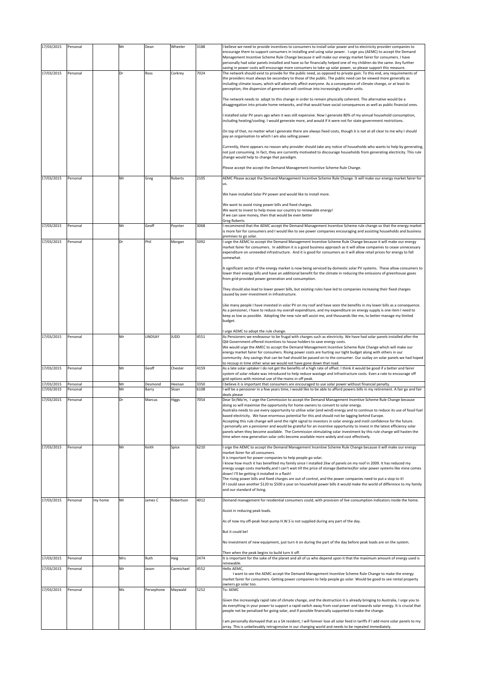| 17/03/2015               | Personal             |         | Mr       | Dean             | Wheeler         | 3188         | I believe we need to provide incentives to consumers to install solar power and to electricity provider companies to                                                                                                                                                                                                                                                                                                                                                                                                                                                                                                                                                                                                                                                                        |
|--------------------------|----------------------|---------|----------|------------------|-----------------|--------------|---------------------------------------------------------------------------------------------------------------------------------------------------------------------------------------------------------------------------------------------------------------------------------------------------------------------------------------------------------------------------------------------------------------------------------------------------------------------------------------------------------------------------------------------------------------------------------------------------------------------------------------------------------------------------------------------------------------------------------------------------------------------------------------------|
|                          |                      |         |          |                  |                 |              | encourage them to support consumers in installing and using solar power. I urge you (AEMC) to accept the Demand<br>Management Incentive Scheme Rule Change because it will make our energy market fairer for consumers. I have<br>personally had solar panels installed and have so far financially helped one of my children do the same. Any further                                                                                                                                                                                                                                                                                                                                                                                                                                      |
| 17/03/2015               | Personal             |         | Dr       | Ross             | Corkrey         | 7024         | saving in power costs will encourage more consumers to take up solar power, so please support this measure.<br>The network should exist to provide for the public need, as opposed to private gain. To this end, any requirements of                                                                                                                                                                                                                                                                                                                                                                                                                                                                                                                                                        |
|                          |                      |         |          |                  |                 |              | the providers must always be secondary to those of the public. The public need can be viewed more generally as<br>including climate issues, which will adversely affect everyone. As a consequence of climate change, or at least its<br>perception, the dispersion of generation will continue into increasingly smaller units.                                                                                                                                                                                                                                                                                                                                                                                                                                                            |
|                          |                      |         |          |                  |                 |              | The network needs to adapt to this change in order to remain physically coherent. The alternative would be a<br>disaggregation into private home networks, and that would have social consequences as well as public financial ones.                                                                                                                                                                                                                                                                                                                                                                                                                                                                                                                                                        |
|                          |                      |         |          |                  |                 |              | installed solar PV years ago when it was still expensive. Now I generate 80% of my annual household consumption,<br>including heating/cooling. I would generate more, and would if it were not for state government restrictions.                                                                                                                                                                                                                                                                                                                                                                                                                                                                                                                                                           |
|                          |                      |         |          |                  |                 |              | On top of that, no matter what I generate there are always fixed costs, though it is not at all clear to me why I should<br>pay an organisation to which I am also selling power.                                                                                                                                                                                                                                                                                                                                                                                                                                                                                                                                                                                                           |
|                          |                      |         |          |                  |                 |              | Currently, there appears no reason why provider should take any notice of households who wants to help by generating,<br>not just consuming. In fact, they are currently motivated to discourage households from generating electricity. This rule<br>change would help to change that paradigm.                                                                                                                                                                                                                                                                                                                                                                                                                                                                                            |
|                          |                      |         |          |                  |                 |              | Please accept the accept the Demand Management Incentive Scheme Rule Change.                                                                                                                                                                                                                                                                                                                                                                                                                                                                                                                                                                                                                                                                                                                |
| 17/03/2015               | Personal             |         | Mr       | Greg             | Roberts         | 2105         | AEMC Please accept the Demand Management Incentive Scheme Rule Change. It will make our energy market fairer for<br>us.                                                                                                                                                                                                                                                                                                                                                                                                                                                                                                                                                                                                                                                                     |
|                          |                      |         |          |                  |                 |              | We have installed Solar PV power and would like to install more.                                                                                                                                                                                                                                                                                                                                                                                                                                                                                                                                                                                                                                                                                                                            |
|                          |                      |         |          |                  |                 |              | We want to avoid rising power bills and fixed charges.<br>We want to invest to help move our country to renewable energy!                                                                                                                                                                                                                                                                                                                                                                                                                                                                                                                                                                                                                                                                   |
|                          |                      |         |          |                  |                 |              | If we can save money, then that would be even better<br><b>Greg Roberts</b>                                                                                                                                                                                                                                                                                                                                                                                                                                                                                                                                                                                                                                                                                                                 |
| 17/03/2015               | Personal             |         | Mr       | Geoff            | Poynter         | 3068         | recommend that the AEMC accept the Demand Management Incentive Scheme rule change so that the energy market<br>is more fair for consumers and I would like to see power companies encouraging and assisting households and business<br>premises to go solar.                                                                                                                                                                                                                                                                                                                                                                                                                                                                                                                                |
| 17/03/2015               | Personal             |         | Dr       | Phil             | Morgan          | 5092         | I urge the AEMC to accept the Demand Management Incentive Scheme Rule Change because it will make our energy<br>market fairer for consumers. In addition it is a good business approach as it will allow companies to cease unnecessary                                                                                                                                                                                                                                                                                                                                                                                                                                                                                                                                                     |
|                          |                      |         |          |                  |                 |              | expenditure on unneeded infrastructure. And it is good for consumers as it will allow retail prices for energy to fall<br>somewhat.                                                                                                                                                                                                                                                                                                                                                                                                                                                                                                                                                                                                                                                         |
|                          |                      |         |          |                  |                 |              | A significant sector of the energy market is now being serviced by domestic solar PV systems. These allow consumers to<br>lower their energy bills and have an additional benefit for the climate in reducing the emissions of greenhouse gases<br>from grid-provided power generation and consumption.                                                                                                                                                                                                                                                                                                                                                                                                                                                                                     |
|                          |                      |         |          |                  |                 |              | They should also lead to lower power bills, but existing rules have led to companies increasing their fixed charges<br>caused by over-investment in infrastructure.                                                                                                                                                                                                                                                                                                                                                                                                                                                                                                                                                                                                                         |
|                          |                      |         |          |                  |                 |              | Like many people I have invested in solar PV on my roof and have seen the benefits in my lower bills as a consequence.<br>As a pensioner, I have to reduce my overall expenditure, and my expenditure on energy supply is one item I need to<br>keep as low as possible. Adopting the new rule will assist me, and thousands like me, to better manage my limited<br>budget.                                                                                                                                                                                                                                                                                                                                                                                                                |
| 17/03/2015               | Personal             |         | Mr       | LINDSAY          | JUDD            | 4551         | urge AEMC to adopt the rule change.<br>As Pensioners we endeavour to be frugal with charges such as electricity. We have had solar panels installed after the                                                                                                                                                                                                                                                                                                                                                                                                                                                                                                                                                                                                                               |
|                          |                      |         |          |                  |                 |              | Old Government offered incentives to house holders to save energy costs.<br>We would urge the AMEC to accept the Demand Management Incentive Scheme Rule Change which will make our<br>energy market fairer for consumers. Rising power costs are hurting our tight budget along with others in our<br>community. Any savings that can be had should be passed on to the consumer. Our outlay on solar panels we had hoped                                                                                                                                                                                                                                                                                                                                                                  |
| 17/03/2015               | Personal             |         | Mr       | Geoff            | Chester         | 4159         | to recoup in time other wise we would not have gone down that road.<br>As a late solar uptaker I do not get the benefits of a high rate of offset. I think it would be good if a better and fairer<br>system of solar rebate was introduced to help reduce wastage and infrastructure costs. Even a rate to encourage off<br>grid options with minimal use of the mains in off peak.                                                                                                                                                                                                                                                                                                                                                                                                        |
| 17/03/2015<br>17/03/2015 | Personal<br>Personal |         | Mr<br>Mr | Desmond<br>Barry | Heenan<br>Sloan | 3350<br>6108 | believe it is important that consumers are encouraged to use solar power without financial penalty.<br>will be a pensioner in a few years time, I would like to be able to afford powers bills in my retirement. A fair go and fair                                                                                                                                                                                                                                                                                                                                                                                                                                                                                                                                                         |
| 17/03/2015               | Personal             |         | Dr       | Marcus           | Higgs           | 7054         | deals please<br>Dear Sir/Ma'm, I urge the Commission to accept the Demand Management Incentive Scheme Rule Change because                                                                                                                                                                                                                                                                                                                                                                                                                                                                                                                                                                                                                                                                   |
|                          |                      |         |          |                  |                 |              | doing so will maximise the opportunity for home owners to convert to solar energy.<br>Australia needs to use every opportunity to utilise solar (and wind) energy and to continue to reduce its use of fossil fuel<br>based electricity. We have enormous potential for this and should not be lagging behind Europe.<br>Accepting this rule change will send the right signal to investors in solar energy and instil confidence for the future.<br>personally am a pensioner and would be grateful for an incentive opportunity to invest in the latest efficiency solar<br>panels when they become available. The Commission stimulating solar investment by this rule change will hasten the<br>time when new generation solar cells become available more widely and cost effectively. |
| 17/03/2015               | Personal             |         | Mr       | Keith            | Spice           | 6210         | I urge the AEMC to accept the Demand Management Incentive Scheme Rule Change because it will make our energy<br>market fairer for all consumers.                                                                                                                                                                                                                                                                                                                                                                                                                                                                                                                                                                                                                                            |
|                          |                      |         |          |                  |                 |              | It is important for power companies to help people go solar.<br>I know how much it has benefited my family since I installed 2kw of panels on my roof in 2009. It has reduced my                                                                                                                                                                                                                                                                                                                                                                                                                                                                                                                                                                                                            |
|                          |                      |         |          |                  |                 |              | energy usage costs markedly, and I can't wait till the price of storage (batteries) for solar power systems like mine comes<br>down! I'll be getting it installed in a flash!                                                                                                                                                                                                                                                                                                                                                                                                                                                                                                                                                                                                               |
|                          |                      |         |          |                  |                 |              | The rising power bills and fixed charges are out of control, and the power companies need to put a stop to it!<br>If I could save another \$120 to \$500 a year on household power bills it would make the world of difference to my family                                                                                                                                                                                                                                                                                                                                                                                                                                                                                                                                                 |
|                          |                      |         |          |                  |                 |              | and our standard of living.                                                                                                                                                                                                                                                                                                                                                                                                                                                                                                                                                                                                                                                                                                                                                                 |
| 17/03/2015               | Personal             | my home | Mr       | James C          | Robertson       | 4012         | Demand management for residential consumers could, with provision of live consumption indicators inside the home.                                                                                                                                                                                                                                                                                                                                                                                                                                                                                                                                                                                                                                                                           |
|                          |                      |         |          |                  |                 |              | Assist in reducing peak loads.                                                                                                                                                                                                                                                                                                                                                                                                                                                                                                                                                                                                                                                                                                                                                              |
|                          |                      |         |          |                  |                 |              | As of now my off-peak heat-pump H.W.S is not supplied during any part of the day.                                                                                                                                                                                                                                                                                                                                                                                                                                                                                                                                                                                                                                                                                                           |
|                          |                      |         |          |                  |                 |              | But it could be!                                                                                                                                                                                                                                                                                                                                                                                                                                                                                                                                                                                                                                                                                                                                                                            |
|                          |                      |         |          |                  |                 |              | No investment of new equipment, just turn it on during the part of the day before peak loads are on the system.                                                                                                                                                                                                                                                                                                                                                                                                                                                                                                                                                                                                                                                                             |
| 17/03/2015               | Personal             |         | Mrs      | Ruth             | Haig            | 2474         | Then when the peak begins to build turn it off.<br>It is important for the sake of the planet and all of us who depend upon it that the maximum amount of energy used is<br>renewable.                                                                                                                                                                                                                                                                                                                                                                                                                                                                                                                                                                                                      |
| 17/03/2015               | Personal             |         | Mr       | Jason            | Carmichael      | 4552         | Hello AEMC,<br>I want to see the AEMC accept the Demand Management Incentive Scheme Rule Change to make the energy                                                                                                                                                                                                                                                                                                                                                                                                                                                                                                                                                                                                                                                                          |
| 17/03/2015               | Personal             |         | Ms       | Persephone       | Maywald         | 5252         | market fairer for consumers. Getting power companies to help people go solar. Would be good to see rental property<br>owners go solar too.<br>To: AEMC                                                                                                                                                                                                                                                                                                                                                                                                                                                                                                                                                                                                                                      |
|                          |                      |         |          |                  |                 |              | Given the increasingly rapid rate of climate change, and the destruction it is already bringing to Australia, I urge you to<br>do everything in your power to support a rapid switch away from coal power and towards solar energy. It is crucial that<br>people not be penalised for going solar, and if possible financially supported to make the change.                                                                                                                                                                                                                                                                                                                                                                                                                                |
|                          |                      |         |          |                  |                 |              | am personally dismayed that as a SA resident, I will forever lose all solar feed in tariffs if I add more solar panels to my<br>array. This is unbelievably retrogressive in our changing world and needs to be repealed immediately.                                                                                                                                                                                                                                                                                                                                                                                                                                                                                                                                                       |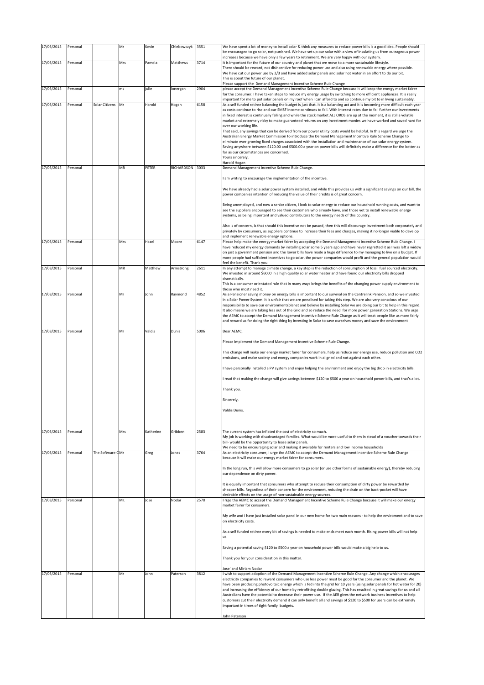| 17/03/2015 | Personal |                  | Mr  | Kevin     | Chlebowczyk | 3551 | We have spent a lot of money to install solar & think any measures to reduce power bills is a good idea. People should                                                                                                                                                                                                                                                                                                                                                                                                                                                                                                                                                      |
|------------|----------|------------------|-----|-----------|-------------|------|-----------------------------------------------------------------------------------------------------------------------------------------------------------------------------------------------------------------------------------------------------------------------------------------------------------------------------------------------------------------------------------------------------------------------------------------------------------------------------------------------------------------------------------------------------------------------------------------------------------------------------------------------------------------------------|
| 17/03/2015 | Personal |                  | Mrs | Pamela    | Matthews    | 3714 | be encouraged to go solar, not punished. We have set up our solar with a view of insulating us from outrageous power<br>increases because we have only a few years to retirement. We are very happy with our system.<br>It is important for the future of our country and planet that we move to a more sustainable lifestyle.                                                                                                                                                                                                                                                                                                                                              |
|            |          |                  |     |           |             |      | There should be reward, not disincentive for reducing power use and also using renewable energy where possible.<br>We have cut our power use by 2/3 and have added solar panels and solar hot water in an effort to do our bit.<br>This is about the future of our planet.                                                                                                                                                                                                                                                                                                                                                                                                  |
|            |          |                  |     |           |             |      | Please support the Demand Management Incentive Scheme Rule Change                                                                                                                                                                                                                                                                                                                                                                                                                                                                                                                                                                                                           |
| 17/03/2015 | Personal |                  | ms  | julie     | lonergan    | 2904 | please accept the Demand Management Incentive Scheme Rule Change because it will keep the energy market fairer<br>for the consumer. I have taken steps to reduce my energy usage by switching to more efficient appliances. It is really                                                                                                                                                                                                                                                                                                                                                                                                                                    |
| 17/03/2015 | Personal | Solar Citizens   | Mr  | Harold    | Hogan       | 6158 | important for me to put solar panels on my roof when I can afford to and so continue my bit to in living sustainably.<br>As a self funded retiree balancing the budget is just that. It is a balancing act and it is becoming more difficult each year<br>as costs continue to rise and our SMSF income continues to fall. With interest rates due to fall further our investments                                                                                                                                                                                                                                                                                          |
|            |          |                  |     |           |             |      | in fixed interest is continually falling and while the stock market ALL ORDS are up at the moment, it is still a volatile<br>market and extremely risky to make guaranteed returns on any investment monies we have worked and saved hard for<br>over our working life.                                                                                                                                                                                                                                                                                                                                                                                                     |
|            |          |                  |     |           |             |      | That said, any savings that can be derived from our power utility costs would be helpful. In this regard we urge the<br>Australian Energy Market Commission to introduce the Demand Management Incentive Rule Scheme Change to                                                                                                                                                                                                                                                                                                                                                                                                                                              |
|            |          |                  |     |           |             |      | eliminate ever growing fixed charges associated with the installation and maintenance of our solar energy system.<br>Saving anywhere between \$120.00 and \$500.00 a year on power bills will definitely make a difference for the better as                                                                                                                                                                                                                                                                                                                                                                                                                                |
|            |          |                  |     |           |             |      | far as our circumstances are concerned.<br>Yours sincerely,                                                                                                                                                                                                                                                                                                                                                                                                                                                                                                                                                                                                                 |
| 17/03/2015 | Personal |                  | MR  | PETER     | RICHARDSON  | 3033 | Harold Hogan<br>Demand Management Incentive Scheme Rule Change.                                                                                                                                                                                                                                                                                                                                                                                                                                                                                                                                                                                                             |
|            |          |                  |     |           |             |      | I am writing to encourage the implementation of the incentive.                                                                                                                                                                                                                                                                                                                                                                                                                                                                                                                                                                                                              |
|            |          |                  |     |           |             |      | We have already had a solar power system installed, and while this provides us with a significant savings on our bill, the<br>power companies intention of reducing the value of their credits is of great concern.                                                                                                                                                                                                                                                                                                                                                                                                                                                         |
|            |          |                  |     |           |             |      | Being unemployed, and now a senior citizen, I look to solar energy to reduce our household running costs, and want to<br>see the suppliers encouraged to see their customers who already have, and those yet to install renewable energy<br>systems, as being important and valued contributors to the energy needs of this country.                                                                                                                                                                                                                                                                                                                                        |
|            |          |                  |     |           |             |      | Also is of concern, is that should this incentive not be passed, then this will discourage investment both corporately and<br>privately by consumers, as suppliers continue to increase their fees and charges, making it no longer viable to develop                                                                                                                                                                                                                                                                                                                                                                                                                       |
| 17/03/2015 | Personal |                  | Mrs | Hazel     | Moore       | 6147 | and implement renewable energy options.<br>Please help make the energy market fairer by accepting the Demand Management Incentive Scheme Rule Change. I                                                                                                                                                                                                                                                                                                                                                                                                                                                                                                                     |
|            |          |                  |     |           |             |      | have reduced my energy demands by installing solar some 5 years ago and have never regretted it as I was left a widow<br>on just a government pension and the lower bills have made a huge difference to my managing to live on a budget. If<br>more people had sufficient incentives to go solar, the power companies would profit and the general population would<br>feel the benefit. Thank you.                                                                                                                                                                                                                                                                        |
| 17/03/2015 | Personal |                  | ΜR  | Matthew   | Armstrong   | 2611 | In any attempt to manage climate change, a key step is the reduction of consumption of fossil fuel sourced electricity.<br>We invested in around \$6000 in a high quality solar water heater and have found our electricity bills dropped                                                                                                                                                                                                                                                                                                                                                                                                                                   |
|            |          |                  |     |           |             |      | dramatically.<br>This is a consumer orientated rule that in many ways brings the benefits of the changing power supply environment to<br>those who most need it.                                                                                                                                                                                                                                                                                                                                                                                                                                                                                                            |
| 17/03/2015 | Personal |                  | Mr  | John      | Raymond     | 4852 | As a Pensioner saving money on energy bills is important to our survival on the Centrelink Pension, and so we invested<br>in a Solar Power System. It is unfair that we are penalised for taking this step. We are also very conscious of our                                                                                                                                                                                                                                                                                                                                                                                                                               |
|            |          |                  |     |           |             |      | responsibility to save our environment/planet and believe by installing Solar we are doing our bit to help in this regard.<br>It also means we are taking less out of the Grid and so reduce the need for more power generation Stations. We urge<br>the AEMC to accept the Demand Management Incentive Scheme Rule Change as it will treat people like us more fairly<br>and reward us for doing the right thing by investing in Solar to save ourselves money and save the environment                                                                                                                                                                                    |
| 17/03/2015 | Personal |                  | Mr  | Valdis    | Dunis       | 5006 | Dear AEMC,                                                                                                                                                                                                                                                                                                                                                                                                                                                                                                                                                                                                                                                                  |
|            |          |                  |     |           |             |      | Please implement the Demand Management Incentive Scheme Rule Change.                                                                                                                                                                                                                                                                                                                                                                                                                                                                                                                                                                                                        |
|            |          |                  |     |           |             |      | This change will make our energy market fairer for consumers, help us reduce our energy use, reduce pollution and CO2<br>emissions, and make society and energy companies work in aligned and not against each other.                                                                                                                                                                                                                                                                                                                                                                                                                                                       |
|            |          |                  |     |           |             |      | I have personally installed a PV system and enjoy helping the environment and enjoy the big drop in electricity bills.                                                                                                                                                                                                                                                                                                                                                                                                                                                                                                                                                      |
|            |          |                  |     |           |             |      | read that making the change will give savings between \$120 to \$500 a year on household power bills, and that's a lot.                                                                                                                                                                                                                                                                                                                                                                                                                                                                                                                                                     |
|            |          |                  |     |           |             |      | Thank you.                                                                                                                                                                                                                                                                                                                                                                                                                                                                                                                                                                                                                                                                  |
|            |          |                  |     |           |             |      | Sincerely,                                                                                                                                                                                                                                                                                                                                                                                                                                                                                                                                                                                                                                                                  |
|            |          |                  |     |           |             |      | Valdis Dunis.                                                                                                                                                                                                                                                                                                                                                                                                                                                                                                                                                                                                                                                               |
| 17/03/2015 | Personal |                  | Mrs | Katherine | Gribben     | 2583 | The current system has inflated the cost of electricity so much.<br>My job is working with disadvantaged families. What would be more useful to them in stead of a voucher towards their                                                                                                                                                                                                                                                                                                                                                                                                                                                                                    |
|            |          |                  |     |           |             |      | bill- would be the opportunity to lease solar panels.<br>We need to be encouraging solar and making it available for renters and low income households                                                                                                                                                                                                                                                                                                                                                                                                                                                                                                                      |
| 17/03/2015 | Personal | The Software CMr |     | Greg      | Jones       | 3764 | As an electricity consumer, I urge the AEMC to accept the Demand Management Incentive Scheme Rule Change<br>because it will make our energy market fairer for consumers.                                                                                                                                                                                                                                                                                                                                                                                                                                                                                                    |
|            |          |                  |     |           |             |      | In the long run, this will allow more consumers to go solar (or use other forms of sustainable energy), thereby reducing<br>our dependence on dirty power.                                                                                                                                                                                                                                                                                                                                                                                                                                                                                                                  |
|            |          |                  |     |           |             |      | It is equally important that consumers who attempt to reduce their consumption of dirty power be rewarded by<br>cheaper bills. Regardless of their concern for the environment, reducing the drain on the back-pocket will have<br>desirable effects on the usage of non-sustainable energy sources.                                                                                                                                                                                                                                                                                                                                                                        |
| 17/03/2015 | Personal |                  | Mr. | Jose      | Nodar       | 2570 | I rrge the AEMC to accept the Demand Management Incentive Scheme Rule Change because it will make our energy<br>market fairer for consumers.                                                                                                                                                                                                                                                                                                                                                                                                                                                                                                                                |
|            |          |                  |     |           |             |      | My wife and I have just installed solar panel in our new home for two main reasons - to help the enviroment and to save<br>on electricity costs.                                                                                                                                                                                                                                                                                                                                                                                                                                                                                                                            |
|            |          |                  |     |           |             |      | As a self funded retiree every bit of savings is needed to make ends meet each month. Rising power bills will not help<br>us.                                                                                                                                                                                                                                                                                                                                                                                                                                                                                                                                               |
|            |          |                  |     |           |             |      | Saving a potential saving \$120 to \$500 a year on household power bills would make a big help to us.                                                                                                                                                                                                                                                                                                                                                                                                                                                                                                                                                                       |
|            |          |                  |     |           |             |      | Thank you for your consideration in this matter.                                                                                                                                                                                                                                                                                                                                                                                                                                                                                                                                                                                                                            |
| 17/03/2015 | Personal |                  | Mr  | lohn      | Paterson    | 3812 | Jose' and Miriam Nodar<br>I wish to support adoption of the Demand Management Incentive Scheme Rule Change. Any change which encourages                                                                                                                                                                                                                                                                                                                                                                                                                                                                                                                                     |
|            |          |                  |     |           |             |      | electricity companies to reward consumers who use less power must be good for the consumer and the planet. We<br>have been producing photovoltaic energy which is fed into the grid for 10 years (using solar panels for hot water for 20)<br>and increasing the efficiency of our home by retrofitting double glazing. This has resulted in great savings for us and all<br>Australians have the potential to decrease their power use. If the AER gives the network business incentives to help<br>customers cut their electricity demand it can only benefit all and savings of \$120 to \$500 for users can be extremely<br>important in times of tight family budgets. |
|            |          |                  |     |           |             |      | John Paterson                                                                                                                                                                                                                                                                                                                                                                                                                                                                                                                                                                                                                                                               |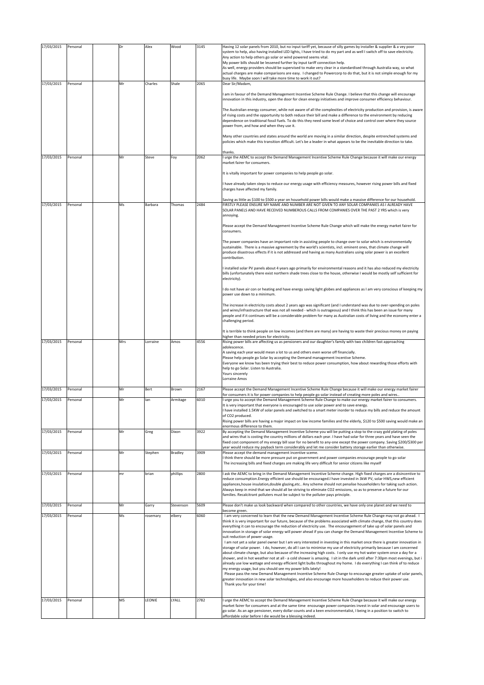| 17/03/2015 | Personal | Dr  | Alex     | Wood      | 3145 | Having 12 solar panels from 2010, but no input tariff yet, because of silly games by installer & supplier & a vey poor                                                                                                                                                                                                                                                                                               |
|------------|----------|-----|----------|-----------|------|----------------------------------------------------------------------------------------------------------------------------------------------------------------------------------------------------------------------------------------------------------------------------------------------------------------------------------------------------------------------------------------------------------------------|
|            |          |     |          |           |      | system to help, also having installed LED lights, I have tried to do my part and as well I switch off to save electricity.<br>Any action to help others go solar or wind powered seems vital.                                                                                                                                                                                                                        |
|            |          |     |          |           |      | My power bills should be lessened further by input tariff connection help.<br>As well, energy providers should be supervised to make very clear in a standardised through Australia way, so what                                                                                                                                                                                                                     |
|            |          |     |          |           |      | actual charges are make comparisons are easy. I changed to Powercorp to do that, but it is not simple enough for my                                                                                                                                                                                                                                                                                                  |
| 17/03/2015 | Personal | Mr  | Charles  | Shale     | 2065 | busy life. Maybe soon I will take more time to work it out?<br>Dear Sir/Madam,                                                                                                                                                                                                                                                                                                                                       |
|            |          |     |          |           |      | I am in favour of the Demand Management Incentive Scheme Rule Change. I believe that this change will encourage<br>innovation in this industry, open the door for clean energy initiatives and improve consumer efficiency behaviour.                                                                                                                                                                                |
|            |          |     |          |           |      |                                                                                                                                                                                                                                                                                                                                                                                                                      |
|            |          |     |          |           |      | The Australian energy consumer, while not aware of all the complexities of electricity production and provision, is aware<br>of rising costs and the opportunity to both reduce their bill and make a difference to the environment by reducing<br>dependence on traditional fossil fuels. To do this they need some level of choice and control over where they source<br>power from, and how and when they use it. |
|            |          |     |          |           |      | Many other countries and states around the world are moving in a similar direction, despite entrenched systems and                                                                                                                                                                                                                                                                                                   |
|            |          |     |          |           |      | policies which make this transition difficult. Let's be a leader in what appears to be the inevitable direction to take.                                                                                                                                                                                                                                                                                             |
|            |          |     |          |           |      | thanks                                                                                                                                                                                                                                                                                                                                                                                                               |
| 17/03/2015 | Personal | Mr  | Steve    | Foy       | 2062 | I urge the AEMC to accept the Demand Management Incentive Scheme Rule Change because it will make our energy<br>market fairer for consumers.                                                                                                                                                                                                                                                                         |
|            |          |     |          |           |      | It is vitally important for power companies to help people go solar.                                                                                                                                                                                                                                                                                                                                                 |
|            |          |     |          |           |      | have already taken steps to reduce our energy usage with efficiency measures, however rising power bills and fixed<br>charges have affected my family.                                                                                                                                                                                                                                                               |
|            |          |     |          |           |      | Saving as little as \$100 to \$500 a year on household power bills would make a massive difference for our household.                                                                                                                                                                                                                                                                                                |
| 17/03/2015 | Personal | Ms  | Barbara  | Thomas    | 2484 | FIRSTLY PLEASE ENSURE MY NAME AND NUMBER ARE NOT GIVEN TO ANY SOLAR COMPANIES AS I ALREADY HAVE<br>SOLAR PANELS AND HAVE RECEIVED NUMBEROUS CALLS FROM COMPANIES OVER THE PAST 2 YRS which is very<br>annoying.                                                                                                                                                                                                      |
|            |          |     |          |           |      | Please accept the Demand Management Incentive Scheme Rule Change which will make the energy market fairer for<br>consumers.                                                                                                                                                                                                                                                                                          |
|            |          |     |          |           |      | The power companies have an important role in assisting people to change over to solar which is environmentally<br>sustainable. There is a massive agreement by the world's scientists, incl. eminent ones, that climate change will<br>produce disastrous effects if it is not addressed and having as many Australians using solar power is an excellent<br>contribution.                                          |
|            |          |     |          |           |      | I installed solar PV panels about 4 years ago primarily for environmental reasons and it has also reduced my electricity<br>bills (unfortunately there exist northern shade trees close to the house, otherwise I would be mostly self sufficient for<br>electricity).                                                                                                                                               |
|            |          |     |          |           |      | I do not have air con or heating and have energy saving light globes and appliances as I am very conscious of keeping my<br>power use down to a minimum.                                                                                                                                                                                                                                                             |
|            |          |     |          |           |      | The increase in electricity costs about 2 years ago was significant (and I understand was due to over-spending on poles                                                                                                                                                                                                                                                                                              |
|            |          |     |          |           |      | and wires/infrastructure that was not all needed - which is outrageous) and I think this has been an issue for many<br>people and if it continues will be a considerable problem for many as Australian costs of living and the economy enter a<br>challenging period.                                                                                                                                               |
|            |          |     |          |           |      | It is terrible to think people on low incomes (and there are many) are having to waste their precious money on paying                                                                                                                                                                                                                                                                                                |
| 17/03/2015 | Personal | Mrs | Lorraine | Amos      | 4556 | higher than needed prices for electricity.<br>Rising power bills are affecting us as pensioners and our daughter's family with two children fast approaching                                                                                                                                                                                                                                                         |
|            |          |     |          |           |      | adolescence.<br>A saving each year would mean a lot to us and others even worse off financially.<br>Please help people go Solar by accepting the Demand management Incentive Scheme.<br>Everyone we know has been trying their best to reduce power consumption, how about rewarding those efforts with                                                                                                              |
|            |          |     |          |           |      | help to go Solar. Listen to Australia.<br>Yours sincerely<br>Lorraine Amos                                                                                                                                                                                                                                                                                                                                           |
| 17/03/2015 | Personal | Mr  | Bert     | Brown     | 2167 | Please accept the Demand Management Incentive Scheme Rule Change because it will make our energy market fairer                                                                                                                                                                                                                                                                                                       |
| 17/03/2015 | Personal | Mr  | lan      | Armitage  | 6010 | for consumers it is for power companies to help people go solar instead of creating more poles and wires<br>I urge you to accept the Demand Management Scheme Rule Change to make our energy market fairer to consumers.                                                                                                                                                                                             |
|            |          |     |          |           |      | It is very important that everyone is encouraged to use solar power and to save energy.<br>I have installed 1.5KW of solar panels and switched to a smart meter inorder to reduce my bills and reduce the amount                                                                                                                                                                                                     |
|            |          |     |          |           |      | of CO2 produced.                                                                                                                                                                                                                                                                                                                                                                                                     |
|            |          |     |          |           |      | Rising power bills are having a major impact on low income families and the elderly, \$120 to \$500 saving would make an<br>enormous difference to them.                                                                                                                                                                                                                                                             |
| 17/03/2015 | Personal | Mr  | Greg     | Dixon     | 3922 | By accepting the Demand Management Incentive Scheme you will be putting a stop to the crazy gold plating of poles<br>and wires that is costing the country millions of dollars each year. I have had solar for three years and have seen the<br>fixed cost component of my energy bill soar for no benefit to any-one except the power company. Saving \$200/\$300 per                                               |
| 17/03/2015 |          |     |          |           | 3909 | year would reduce my payback term considerably and let me consider battery storage earlier than otherwise.<br>Please accept the demand management incentive sceme.                                                                                                                                                                                                                                                   |
|            | Personal | Mr  | Stephen  | Bradley   |      | think there should be more pressure put on government and power companies encourage people to go solar<br>The increasing bills and fixed charges are making life very difficult for senior citizens like myself                                                                                                                                                                                                      |
| 17/03/2015 | Personal | mr  | brian    | phillips  | 2800 | I ask the AEMC to bring in the Demand Management Incentive Scheme change. High fixed charges are a disincentive to                                                                                                                                                                                                                                                                                                   |
|            |          |     |          |           |      | reduce consumption.Energy efficient use should be encouraged.I have invested in 3kW PV, solar HWS,new efficient<br>appliances, house insulation, double glazing, etc Any scheme should not penalise householders for taking such action.                                                                                                                                                                             |
|            |          |     |          |           |      | Always keep in mind that we should all be striving to eliminate CO2 emissions, so as to preserve a future for our<br>families. Recalcitrant polluters must be subject to the polluter pays principle.                                                                                                                                                                                                                |
| 17/03/2015 | Personal | Mr  | Garry    | Stevenson | 5609 | Please don't make us look backward when compared to other countries, we have only one planet and we need to                                                                                                                                                                                                                                                                                                          |
| 17/03/2015 | Personal | Ms  | rosemary | elbery    | 6060 | become green.<br>I am very concerned to learn that the new Demand Management Incentive Scheme Rule Change may not go ahead. I                                                                                                                                                                                                                                                                                        |
|            |          |     |          |           |      | think it is very important for our future, because of the problems associated with climate change, that this country does<br>everything it can to encourage the reduction of electricity use. The encouragement of take up of solar panels and                                                                                                                                                                       |
|            |          |     |          |           |      | innovation in storage of solar energy will power ahead if you can change the Demand Management Incentive Scheme to<br>suit reduction of power usage.<br>I am not yet a solar panel owner but I am very interested in investing in this market once there is greater innovation in                                                                                                                                    |
|            |          |     |          |           |      | storage of solar power. I do, however, do all I can to minimise my use of electricity primarily because I am concerned<br>about climate change, but also because of the increasing high costs. I only use my hot water system once a day for a                                                                                                                                                                       |
|            |          |     |          |           |      | shower, and in hot weather not at all - a cold shower is amazing. I sit in the dark until after 7:30pm most evenings, but i<br>already use low wattage and energy efficient light bulbs throughout my home. I do everything I can think of to reduce                                                                                                                                                                 |
|            |          |     |          |           |      | my energy usage, but you should see my power bills lately!<br>Please pass the new Demand Management Incentive Scheme Rule Change to encourage greater uptake of solar panels,                                                                                                                                                                                                                                        |
|            |          |     |          |           |      | greater innovation in new solar technologies, and also encourage more householders to reduce their power use.                                                                                                                                                                                                                                                                                                        |
|            |          |     |          |           |      | Thank you for your time!                                                                                                                                                                                                                                                                                                                                                                                             |
| 17/03/2015 | Personal | MS  | LEONIE   | LYALL     | 2782 | urge the AEMC to accept the Demand Management Incentive Scheme Rule Change because it will make our energy                                                                                                                                                                                                                                                                                                           |
|            |          |     |          |           |      | market fairer for consumers and at the same time encourage power companies invest in solar and encourage users to<br>go solar. As an age pensioner, every dollar counts and a keen environmentalist, I being in a position to switch to                                                                                                                                                                              |
|            |          |     |          |           |      | affordable solar before I die would be a blessing indeed.                                                                                                                                                                                                                                                                                                                                                            |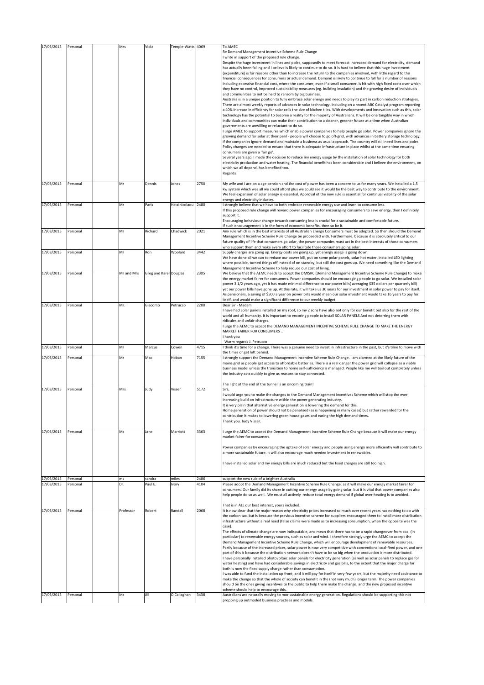| 17/03/2015               | Personal             | Mrs             | Viola                  | Temple-Watts 4069      |              | To AMEC<br>Re Demand Management Incentive Scheme Rule Change<br>I write in support of the proposed rule change.<br>Despite the huge investment in lines and poles, supposedly to meet forecast increased demand for electricity, demand<br>has actually been falling and I believe is likely to continue to do so. It is hard to believe that this huge investment<br>(expenditure) is for reasons other than to increase the return to the companies involved, with little regard to the<br>financial consequences for consumers or actual demand. Demand is likely to continue to fall for a number of reasons<br>including excessive financial cost, where the consumer, even if a small consumer, is hit with high fixed costs over which<br>they have no control, improved sustainability measures (eg. building insulation) and the growing desire of individuals<br>and communities to not be held to ransom by big business.<br>Australia is in a unique position to fully embrace solar energy and needs to play its part in carbon reduction strategies.<br>There are almost weekly reports of advances in solar technology, including on a recent ABC Catalyst program reporting<br>a 40% increase in efficiency for solar cells the size of kitchen tiles. With developments and innovation such as this, solar<br>technology has the potential to become a reality for the majority of Australians. It will be one tangible way in which<br>individuals and communities can make their contribution to a cleaner, greener future at a time when Australian<br>governments are unwilling or reluctant to do so.<br>I urge AMEC to support measures which enable power companies to help people go solar. Power companies ignore the<br>growing demand for solar at their peril - people will choose to go off-grid, with advances in battery storage technology,<br>if the companies ignore demand and maintain a business as usual approach. The country will still need lines and poles.<br>Policy changes are needed to ensure that there is adequate infrastructure in place whilst at the same time ensuring<br>consumers are given a 'fair go'.<br>Several years ago, I made the decision to reduce my energy usage by the installation of solar technology for both<br>electricity production and water heating. The financial benefit has been considerable and I believe the environment, on<br>which we all depend, has benefited too.<br>Regards |
|--------------------------|----------------------|-----------------|------------------------|------------------------|--------------|-------------------------------------------------------------------------------------------------------------------------------------------------------------------------------------------------------------------------------------------------------------------------------------------------------------------------------------------------------------------------------------------------------------------------------------------------------------------------------------------------------------------------------------------------------------------------------------------------------------------------------------------------------------------------------------------------------------------------------------------------------------------------------------------------------------------------------------------------------------------------------------------------------------------------------------------------------------------------------------------------------------------------------------------------------------------------------------------------------------------------------------------------------------------------------------------------------------------------------------------------------------------------------------------------------------------------------------------------------------------------------------------------------------------------------------------------------------------------------------------------------------------------------------------------------------------------------------------------------------------------------------------------------------------------------------------------------------------------------------------------------------------------------------------------------------------------------------------------------------------------------------------------------------------------------------------------------------------------------------------------------------------------------------------------------------------------------------------------------------------------------------------------------------------------------------------------------------------------------------------------------------------------------------------------------------------------------------------------------------------------------------------------------------------------------------------------------------------------|
| 17/03/2015               | Personal             | Mr              | Dennis                 | Jones                  | 2750         | My wife and I are on a age pension and the cost of power has been a concern to us for many years. We installed a 1.5<br>kw system which was all we could afford plus we could see it would be the best way to contribute to the environment.<br>We feel expansion of solar energy is essential. Approval of the new rule is essential for continual viability of the solar<br>energy and electricity industry.                                                                                                                                                                                                                                                                                                                                                                                                                                                                                                                                                                                                                                                                                                                                                                                                                                                                                                                                                                                                                                                                                                                                                                                                                                                                                                                                                                                                                                                                                                                                                                                                                                                                                                                                                                                                                                                                                                                                                                                                                                                          |
| 17/03/2015               | Personal             | Mr              | Paris                  | Hatzinicolaou          | 2480         | I strongly believe that we have to both embrace renewable energy use and learn to consume less.<br>If this proposed rule change will reward power companies for encouraging consumers to save energy, then I definitely<br>support it.<br>Encouraging behaviour change towards consuming less is crucial for a sustainable and comfortable future.<br>If such encouragement is in the form of economic benefits, then so be it.                                                                                                                                                                                                                                                                                                                                                                                                                                                                                                                                                                                                                                                                                                                                                                                                                                                                                                                                                                                                                                                                                                                                                                                                                                                                                                                                                                                                                                                                                                                                                                                                                                                                                                                                                                                                                                                                                                                                                                                                                                         |
| 17/03/2015               | Personal             | Mr              | Richard                | Chadwick               | 2021         | Any rule which is in the best interests of all Australian Energy Consumers must be adopted. So then should the Demand<br>Management Incentive Scheme Rule Change be proceeded with. Furthermore, because it is absolutely critical to our<br>future quality of life that consumers go solar, the power companies must act in the best interests of those consumers<br>who support them and make every effort to facilitate those consumers going solar.                                                                                                                                                                                                                                                                                                                                                                                                                                                                                                                                                                                                                                                                                                                                                                                                                                                                                                                                                                                                                                                                                                                                                                                                                                                                                                                                                                                                                                                                                                                                                                                                                                                                                                                                                                                                                                                                                                                                                                                                                 |
| 17/03/2015               | Personal             | Mr              | Ron                    | Woolard                | 3442         | Supply charges are going up. Energy costs are going up, yet energy usage is going down.<br>We have done all we can to reduce our power bill, put on some polar panels, solar hot water, installed LED lighting<br>where possible, turned things off instead of on standby, but still the cost goes up. We need something like the Demand<br>Management Incentive Scheme to help reduce our cost of living.                                                                                                                                                                                                                                                                                                                                                                                                                                                                                                                                                                                                                                                                                                                                                                                                                                                                                                                                                                                                                                                                                                                                                                                                                                                                                                                                                                                                                                                                                                                                                                                                                                                                                                                                                                                                                                                                                                                                                                                                                                                              |
| 17/03/2015               | Personal             | Mr and Mrs      | Greg and Karer Douglas |                        | 2305         | We believe that the AEMC needs to accept the DMISRC (Demand Management Incentive Scheme Rule Change) to make<br>the energy market fairer for consumers. Power companies should be encouraging people to go solar. We installed solar<br>power 3 1/2 years ago, yet it has made minimal difference to our power bills(averaging \$35 dollars per quarterly bill)<br>yet our power bills have gone up. At this rate, it will take us 30 years for our investment in solar power to pay for itself.<br>As pensioners, a saving of \$500 a year on power bills would mean our solar investment would take 16 years to pay for<br>itself, and would make a significant difference to our weekly budget.                                                                                                                                                                                                                                                                                                                                                                                                                                                                                                                                                                                                                                                                                                                                                                                                                                                                                                                                                                                                                                                                                                                                                                                                                                                                                                                                                                                                                                                                                                                                                                                                                                                                                                                                                                      |
| 17/03/2015               | Personal             | Mr.             | Giacomo                | Petrucco               | 2200         | Dear Sir - Madam<br>I have had Solar panels installed on my roof, so my 2 sons have also not only for our benefit but also for the rest of the<br>world and all humanity. It is important to encoring people to install SOLAR PANELS And not deterring them with<br>ridicules and unfair charges.<br>I urge the AEMC to accept the DEMAND MANAGEMENT INCENTIVE SCHEME RULE CHANGE TO MAKE THE ENERGY<br>MARKET FAIRER FOR CONSUMERS<br>hank you<br>Warm regards J. Petrucco                                                                                                                                                                                                                                                                                                                                                                                                                                                                                                                                                                                                                                                                                                                                                                                                                                                                                                                                                                                                                                                                                                                                                                                                                                                                                                                                                                                                                                                                                                                                                                                                                                                                                                                                                                                                                                                                                                                                                                                             |
| 17/03/2015               | Personal             | Mr              | Marcus                 | Cowen                  | 4715         | I think it's time for a change. There was a genuine need to invest in infrastructure in the past, but it's time to move with                                                                                                                                                                                                                                                                                                                                                                                                                                                                                                                                                                                                                                                                                                                                                                                                                                                                                                                                                                                                                                                                                                                                                                                                                                                                                                                                                                                                                                                                                                                                                                                                                                                                                                                                                                                                                                                                                                                                                                                                                                                                                                                                                                                                                                                                                                                                            |
| 17/03/2015               | Personal             | Mr              | Mac                    | Hoban                  | 7155         | the times or get left behind.<br>strongly support the Demand Management Incentive Scheme Rule Change. I am alarmed at the likely future of the<br>mains grid as people get access to affordable batteries. There is a real danger the power grid will collapse as a viable<br>business model unless the transition to home self-sufficiency is managed. People like me will bail out completely unless<br>the industry acts quickly to give us reasons to stay connected.<br>The light at the end of the tunnel is an oncoming train!                                                                                                                                                                                                                                                                                                                                                                                                                                                                                                                                                                                                                                                                                                                                                                                                                                                                                                                                                                                                                                                                                                                                                                                                                                                                                                                                                                                                                                                                                                                                                                                                                                                                                                                                                                                                                                                                                                                                   |
| 17/03/2015               | Personal             | Mrs             | Judy                   | Visser                 | 5172         | Sirs,<br>would urge you to make the changes to the Demand Management Incentives Scheme which will stop the ever<br>increasing build on infrastructure within the power generating industry.<br>It is very plain that alternative energy generation is lowering the demand for this.<br>Home generation of power should not be penalised (as is happening in many cases) but rather rewarded for the<br>contribution it makes to lowering green house gases and easing the high demand times.<br>Thank you. Judy Visser.                                                                                                                                                                                                                                                                                                                                                                                                                                                                                                                                                                                                                                                                                                                                                                                                                                                                                                                                                                                                                                                                                                                                                                                                                                                                                                                                                                                                                                                                                                                                                                                                                                                                                                                                                                                                                                                                                                                                                 |
| 17/03/2015               | Personal             | Ms              | Jane                   | Marriott               | 3363         | I urge the AEMC to accept the Demand Management Incentive Scheme Rule Change because it will make our energy<br>market fairer for consumers.<br>Power companies by encouraging the uptake of solar energy and people using energy more efficiently will contribute to<br>a more sustainable future. It will also encourage much needed investment in renewables.<br>have installed solar and my energy bills are much reduced but the fixed charges are still too high.                                                                                                                                                                                                                                                                                                                                                                                                                                                                                                                                                                                                                                                                                                                                                                                                                                                                                                                                                                                                                                                                                                                                                                                                                                                                                                                                                                                                                                                                                                                                                                                                                                                                                                                                                                                                                                                                                                                                                                                                 |
| 17/03/2015<br>17/03/2015 | Personal<br>Personal | ms<br>Dr.       | sandra<br>Paul E.      | miles<br>Ivory         | 2486<br>4104 | support the new rule of a brighter Australia<br>Please adopt the Demand Management Incentive Scheme Rule Change, as it will make our energy market fairer for                                                                                                                                                                                                                                                                                                                                                                                                                                                                                                                                                                                                                                                                                                                                                                                                                                                                                                                                                                                                                                                                                                                                                                                                                                                                                                                                                                                                                                                                                                                                                                                                                                                                                                                                                                                                                                                                                                                                                                                                                                                                                                                                                                                                                                                                                                           |
|                          |                      |                 |                        |                        |              | consumers. Our family did its share in cutting our energy usage by going solar, but it is vital that power companies also<br>help people do so as well. We must all actively reduce total energy demand if global over-heating is to avoided.<br>That is in ALL our best interest, yours included.                                                                                                                                                                                                                                                                                                                                                                                                                                                                                                                                                                                                                                                                                                                                                                                                                                                                                                                                                                                                                                                                                                                                                                                                                                                                                                                                                                                                                                                                                                                                                                                                                                                                                                                                                                                                                                                                                                                                                                                                                                                                                                                                                                      |
| 17/03/2015<br>17/03/2015 | Personal<br>Personal | Professor<br>Ms | Robert<br>Jill         | Randall<br>O'Callaghan | 2068<br>3438 | It is now clear that the major reason why electricity prices increased so much over recent years has nothing to do with<br>the carbon tax, but is because the previous incentive scheme for suppliers encouraged them to install more distribution<br>infrastructure without a real need (false claims were made as to increasing consumption, when the opposite was the<br>case).<br>The effects of climate change are now indisputable, and mean that there has to be a rapid changeover from coal (in<br>particular) to renewable energy sources, such as solar and wind. I therefore strongly urge the AEMC to accept the<br>Demand Management Incentive Scheme Rule Change, which will encourage development of renewable resources.<br>Partly because of the increased prices, solar power is now very competitive with conventional coal-fired power, and one<br>part of this is because the distribution network doesn't have to be so big when the production is more distributed.<br>I have personally installed photovoltaic solar panels for electricity generation (as well as solar panels to replace gas for<br>water heating) and have had considerable savings in electricity and gas bills, to the extent that the major charge for<br>both is now the fixed supply charge rather than consumption.<br>I was able to fund the installation up front, and it will pay for itself in very few years, but the majority need assistance to<br>make the change so that the whole of society can benefit in the (not very much) longer term. The power companies<br>should be the ones giving incentives to the public to help them make the change, and the new proposed incentive<br>scheme should help to encourage this.<br>Australians are naturally moving to mor sustainable energy generation. Regulations should be supporting this not                                                                                                                                                                                                                                                                                                                                                                                                                                                                                                                                                                                                            |
|                          |                      |                 |                        |                        |              | propping up outmoded business practises and models.                                                                                                                                                                                                                                                                                                                                                                                                                                                                                                                                                                                                                                                                                                                                                                                                                                                                                                                                                                                                                                                                                                                                                                                                                                                                                                                                                                                                                                                                                                                                                                                                                                                                                                                                                                                                                                                                                                                                                                                                                                                                                                                                                                                                                                                                                                                                                                                                                     |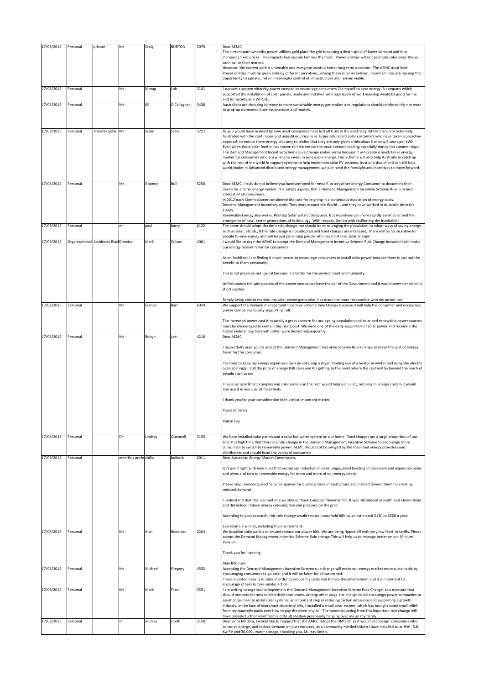| 17/03/2015 | Personal                                | private        | Mr                    | Craig   | <b>BURTON</b> | 3070 | Dear AEMC,<br>The current path whereby power utilities gold plate the grid is causing a death spiral of lower demand and thus<br>increasing fixed prices. This impacts low income families the most. Power utilities will not promote solar since this will                                                                                                                                                                                                                                                                                                                                                                                                                                                                                                                                                                                                                                                                                                                         |
|------------|-----------------------------------------|----------------|-----------------------|---------|---------------|------|-------------------------------------------------------------------------------------------------------------------------------------------------------------------------------------------------------------------------------------------------------------------------------------------------------------------------------------------------------------------------------------------------------------------------------------------------------------------------------------------------------------------------------------------------------------------------------------------------------------------------------------------------------------------------------------------------------------------------------------------------------------------------------------------------------------------------------------------------------------------------------------------------------------------------------------------------------------------------------------|
|            |                                         |                |                       |         |               |      | cannibalise their market.<br>However, the current path is untenable and everyone wants a better long term outcome. The AEMC must lead.<br>Power utilities must be given entirely different incentives, among them solar incentives. Power utilities are missing the<br>opportunity to update, retain meaningful control of infrastructure and remain viable.                                                                                                                                                                                                                                                                                                                                                                                                                                                                                                                                                                                                                        |
| 17/03/2015 | Personal                                |                | Ms                    | Morag   | Loh           | 3141 | support a system whereby power companies encourage consumers like myself to save energy. A company which<br>supported the installation of solar panels, made and installed with high levels of workmanship would be good for me<br>and for society as a WHOLE.                                                                                                                                                                                                                                                                                                                                                                                                                                                                                                                                                                                                                                                                                                                      |
| 17/03/2015 | Personal                                |                | Ms                    | Jill    | O'Callaghan   | 3438 | Australians are choosing to move to more sustainable energy generation and regulations should reinforce this not work<br>to prop up outmoded business practices and models.                                                                                                                                                                                                                                                                                                                                                                                                                                                                                                                                                                                                                                                                                                                                                                                                         |
| 17/03/2015 | Personal                                | Transfer Solar | Mr                    | Jason   | Svarc         | 3757 | As you would have realised by now most consumers have lost all trust in the electricity retailers and are extremely<br>frustrated with the continuous and unjustified price rises. Especially recent solar customers who have taken a proactive<br>approach to reduce there energy bills only to realise that they are only given a ridiculous 8 or now 6 cents per kWh.<br>Even when there solar feed-in has shown to help reduce the peak network loading especially during hot summer days.<br>The Demand Management Incentive Scheme Rule Change makes sense because it will create a much fairer energy<br>market for consumers who are willing to invest in renewable energy. This Scheme will also help Australia to catch up<br>with the rest of the world in support systems to help implement solar PV systems. Australia should and can still be a<br>world leader in Advanced distributed energy management, we just need the foresight and incentives to move forward! |
| 17/03/2015 | Personal                                |                | Mr                    | Graeme  | Bull          | 5256 | Dear AEMC, I truly do not believe you have any need for myself, or any other energy Consumer to document their<br>desire for a fairer energy market. It is simply a given, that a Demand Management Incentive Scheme Rule is in best<br>interest of all Consumers.<br>In 2012 each Commissioner considered the case for reigning in a continuous escalation of energy costs.<br>Demand Management Incentives work. They work around the World and they have worked in Australia since the<br>1930's.<br>Renewable Energy also works. Rooftop Solar will not disappear. But incentives can more rapidly assist Solar and the                                                                                                                                                                                                                                                                                                                                                         |
| 17/03/2015 | Personal                                |                | mr                    | paul    | barry         | 6122 | emergence of new, better generations of technology. With respect, Get on with facilitating the inevitable!<br>The aemc should adopt the dmis rule change, we should be encouraging the population to adopt ways of saving energy<br>such as solar, etc etc, If the rule change is not adopted and fixed charges are increased, There will be no incentive for<br>people to save energy and will be just penalising people who have installed solar energy!                                                                                                                                                                                                                                                                                                                                                                                                                                                                                                                          |
| 17/03/2015 | Organisational Architects Blac Director |                |                       | Mark    | Wilson        | 4061 | I would like to urge the AEMC to accept the Demand Management Incentive Scheme Rule Change because it will make<br>our energy market fairer for consumers.                                                                                                                                                                                                                                                                                                                                                                                                                                                                                                                                                                                                                                                                                                                                                                                                                          |
|            |                                         |                |                       |         |               |      | As an Architect I am finding it much harder to encourage consumers to install solar power because there is just not the<br>benefit to them personally.                                                                                                                                                                                                                                                                                                                                                                                                                                                                                                                                                                                                                                                                                                                                                                                                                              |
|            |                                         |                |                       |         |               |      | This is not green an not logical because it is better for the environment and humanity.<br>Unfortunately the spin doctors of the power companies have the ear of the Government and it would seem tier vision is<br>short sighted.                                                                                                                                                                                                                                                                                                                                                                                                                                                                                                                                                                                                                                                                                                                                                  |
| 17/03/2015 | Personal                                |                | Mr                    | Francis | Barr          | 6024 | Simply being able to monitor my solar power generation has made me more responsible with my power use.<br>We support the demand management Incentive Scheme Rule Change because it will help the consumer and encourage                                                                                                                                                                                                                                                                                                                                                                                                                                                                                                                                                                                                                                                                                                                                                             |
|            |                                         |                |                       |         |               |      | power companies to play supporting roll.<br>The increased power cost is naturally a great concern for our ageing population and solar and renewable power sources<br>must be encouraged to contain this rising cost. We were one of the early supporters of solar power and receive a the                                                                                                                                                                                                                                                                                                                                                                                                                                                                                                                                                                                                                                                                                           |
| 17/03/2015 | Personal                                |                | Ms                    | Robyn   | Lee           | 4216 | higher Federal buy back with other were denied subsequently.<br>Dear AEMC                                                                                                                                                                                                                                                                                                                                                                                                                                                                                                                                                                                                                                                                                                                                                                                                                                                                                                           |
|            |                                         |                |                       |         |               |      | respectfully urge you to accept the Demand Management Incentive Scheme Rule Change to make the cost of energy<br>fairer for the consumer.<br>I've tried to keep my energy expenses down by not using a dryer, limiting use of a heater in winter and using the electric<br>oven sparingly. Still the price of energy bills rises and it's getting to the point where the cost will be beyond the reach of                                                                                                                                                                                                                                                                                                                                                                                                                                                                                                                                                                           |
|            |                                         |                |                       |         |               |      | people such as me.<br>live in an apartment complex and solar panels on the roof would help such a lot, not only in energy costs but would<br>also assist in less use of fossil fuels.                                                                                                                                                                                                                                                                                                                                                                                                                                                                                                                                                                                                                                                                                                                                                                                               |
|            |                                         |                |                       |         |               |      | thank you for your consideration in this most important matter.                                                                                                                                                                                                                                                                                                                                                                                                                                                                                                                                                                                                                                                                                                                                                                                                                                                                                                                     |
|            |                                         |                |                       |         |               |      | Yours sincerely                                                                                                                                                                                                                                                                                                                                                                                                                                                                                                                                                                                                                                                                                                                                                                                                                                                                                                                                                                     |
|            |                                         |                |                       |         |               |      | Robyn Lee                                                                                                                                                                                                                                                                                                                                                                                                                                                                                                                                                                                                                                                                                                                                                                                                                                                                                                                                                                           |
| 17/03/2015 | Personal                                |                | Dr                    | Lindsay | Quennell      | 3193 | We have installed solar panels and a solar hot water system on our home. Fixed charges are a large proportion of our<br>bills. It is high time that there is a rule change in the Demand Management Incentive Scheme to encourage more<br>consumers to switch to renewable power. AEMC should not be swayed by the fossil fuel energy providers and<br>distributers and should head the voices of consumers.                                                                                                                                                                                                                                                                                                                                                                                                                                                                                                                                                                        |
| 17/03/2015 | Personal                                |                | emeritus profe chilla |         | bulbeck       | 6011 | Dear Australian Energy Market Commission,<br>let's get it right with new rules that encourage reduction in peak usage, avoid building unnecessary and expensive poles                                                                                                                                                                                                                                                                                                                                                                                                                                                                                                                                                                                                                                                                                                                                                                                                               |
|            |                                         |                |                       |         |               |      | and wires and turn to renewable energy for more and more of our energy needs.<br>Please stop rewarding electricity companies for building more infrastructure and instead reward them for creating<br>reduced demand.                                                                                                                                                                                                                                                                                                                                                                                                                                                                                                                                                                                                                                                                                                                                                               |
|            |                                         |                |                       |         |               |      | understand that this is something we should thank Campbell Newman for. It was introduced in south east Queensland<br>and did indeed reduce energy consumption and pressure on the grid.                                                                                                                                                                                                                                                                                                                                                                                                                                                                                                                                                                                                                                                                                                                                                                                             |
|            |                                         |                |                       |         |               |      | According to your research, this rule change would reduce household bills by an estimated \$120 to \$500 a year.                                                                                                                                                                                                                                                                                                                                                                                                                                                                                                                                                                                                                                                                                                                                                                                                                                                                    |
|            |                                         |                |                       |         |               | 2264 | Everyone's a winner, including the environment.                                                                                                                                                                                                                                                                                                                                                                                                                                                                                                                                                                                                                                                                                                                                                                                                                                                                                                                                     |
| 17/03/2015 | Personal                                |                | Mr                    | Alan    | Robinson      |      | We installed solar panels to try and reduce our power bills. We are being ripped off with very low feed -in tariffs. Please<br>accept the Demand Management Incentive Scheme Rule change. This will help us to manage better on our Minium<br>Pension.                                                                                                                                                                                                                                                                                                                                                                                                                                                                                                                                                                                                                                                                                                                              |
|            |                                         |                |                       |         |               |      | Thank you for listening.                                                                                                                                                                                                                                                                                                                                                                                                                                                                                                                                                                                                                                                                                                                                                                                                                                                                                                                                                            |
| 17/03/2015 | Personal                                |                | Mr                    | Michael | Gregory       | 4552 | Alan Robinson<br>Accepting the Demand Management Incentive Scheme rule change will make our energy market more sustainable by<br>encouraging consumers to go solar and it will be fairer for all concerned.                                                                                                                                                                                                                                                                                                                                                                                                                                                                                                                                                                                                                                                                                                                                                                         |
|            |                                         |                |                       |         |               |      | have invested heavily in solar in order to reduce my costs and to help the environment and it is important to<br>encourage others to take similar action.                                                                                                                                                                                                                                                                                                                                                                                                                                                                                                                                                                                                                                                                                                                                                                                                                           |
| 17/03/2015 | Personal                                |                | Mr                    | Mark    | Filan         | 3551 | am writing to urge you to implement the Demand Management Incentive Scheme Rule Change, as a measure that<br>should promote fairness to electricity consumers. Among other ways, the change could encourage power companies to<br>assist consumers to instal solar systems, an important step in reducing carbon emissions and supporting a growth<br>industry. In the face of exorbitant electricity bills, i installed a small solar system, which has brought some small relief<br>from my quarterly panic over how to pay the electricity bill. The potential saving from this important rule change will                                                                                                                                                                                                                                                                                                                                                                       |
| 17/03/2015 | Personal                                |                | mr                    | murray  | smith         | 3150 | have provide further relief from a difficult shadow perennially hanging over me an my family.<br>Dear Sir or Madam, I would like to request that the AMEC adopt the DMISRC as it would encourage consumers who<br>conserve energy, and reduce demand on our resources, as a community minded citizen I have installed solar HW, 3.8                                                                                                                                                                                                                                                                                                                                                                                                                                                                                                                                                                                                                                                 |
|            |                                         |                |                       |         |               |      | Kw PV and 36,000L water storage, thanking you, Murray Smith.                                                                                                                                                                                                                                                                                                                                                                                                                                                                                                                                                                                                                                                                                                                                                                                                                                                                                                                        |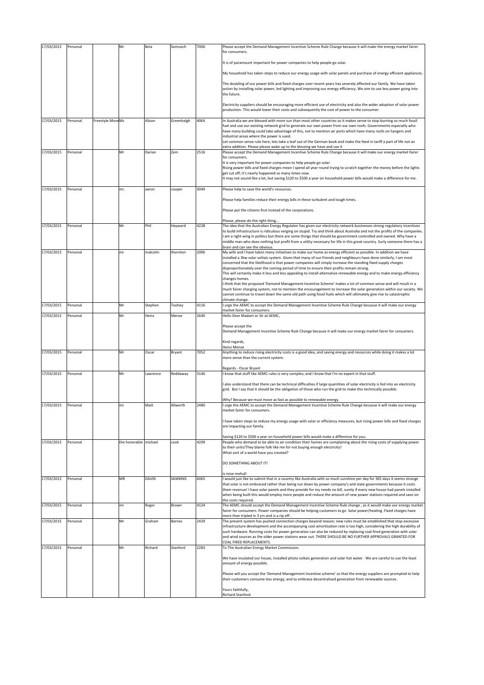| 17/03/2015 | Personal |                  | Mr                    | Bela     | Somssich   | 7000 | Please accept the Demand Management Incentive Scheme Rule Change because it will make the energy market fairer<br>for consumers.                                                                                                                                                                                                                                               |
|------------|----------|------------------|-----------------------|----------|------------|------|--------------------------------------------------------------------------------------------------------------------------------------------------------------------------------------------------------------------------------------------------------------------------------------------------------------------------------------------------------------------------------|
|            |          |                  |                       |          |            |      |                                                                                                                                                                                                                                                                                                                                                                                |
|            |          |                  |                       |          |            |      | It is of paramount important for power companies to help people go solar.                                                                                                                                                                                                                                                                                                      |
|            |          |                  |                       |          |            |      | My household has taken steps to reduce our energy usage with solar panels and purchase of energy efficient appliances.                                                                                                                                                                                                                                                         |
|            |          |                  |                       |          |            |      | The doubling of our power bills and fixed charges over recent years has severely affected our family. We have taken<br>action by installing solar power, led lighting and improving our energy efficiency. We aim to use less power going into<br>the future.                                                                                                                  |
|            |          |                  |                       |          |            |      | Electricity suppliers should be encouraging more efficient use of electricity and also the wider adoption of solar power<br>production. This would lower their costs and subsequently the cost of power to the consumer.                                                                                                                                                       |
| 17/03/2015 | Personal | Freestyle MoveMs |                       | Alison   | Greenhalgh | 4064 | In Australia we are blessed with more sun than most other countries so it makes sense to stop burning so much fossil                                                                                                                                                                                                                                                           |
|            |          |                  |                       |          |            |      | fuel and use our existing network gird to generate our own power from our own roofs. Governments especially who<br>have many building could take advantage of this, not to mention air ports which have many roofs on hangers and                                                                                                                                              |
|            |          |                  |                       |          |            |      | industrial areas where the power is used.<br>Let common sense rule here, lets take a leaf out of the German book and make the feed in tariff a part of life not an                                                                                                                                                                                                             |
|            |          |                  |                       |          |            |      | extra addition. Please please wake up to the blessing we have and use it                                                                                                                                                                                                                                                                                                       |
| 17/03/2015 | Personal |                  | Mr                    | Darian   | Zam        | 2516 | Please accept the Demand Management Incentive Scheme Rule Change because it will make our energy market fairer<br>for consumers.                                                                                                                                                                                                                                               |
|            |          |                  |                       |          |            |      | It is very important for power companies to help people go solar.<br>Rising power bills and fixed charges mean I spend all year round trying to scratch together the money before the lights<br>get cut off; it's nearly happened so many times now.<br>It may not sound like a lot, but saving \$120 to \$500 a year on household power bills would make a difference for me. |
| 17/03/2015 | Personal |                  | mr.                   | aaron    | cooper     | 3049 | Please help to save the world's resources.                                                                                                                                                                                                                                                                                                                                     |
|            |          |                  |                       |          |            |      | Please help families reduce their energy bills in these turbulent and tough times.                                                                                                                                                                                                                                                                                             |
|            |          |                  |                       |          |            |      | Please put the citizens first instead of the corporations.                                                                                                                                                                                                                                                                                                                     |
|            |          |                  |                       |          |            |      |                                                                                                                                                                                                                                                                                                                                                                                |
| 17/03/2015 | Personal |                  | Mr                    | Phil     | Hayward    | 4228 | Please, please do the right thing<br>The idea that the Australian Energy Regulator has given our electricity network businesses strong regulatory incentives                                                                                                                                                                                                                   |
|            |          |                  |                       |          |            |      | to build infrastructure is ridiculous verging on stupid. Try and think about Australia and not the profits of the companies.<br>I am a right wing in politics but there are some things that should be government controlled and owned. Why have a                                                                                                                             |
|            |          |                  |                       |          |            |      | middle man who does nothing but profit from a utility necessary for life in this great country. Surly someone there has a                                                                                                                                                                                                                                                      |
| 17/03/2015 | Personal |                  | mr                    | malcolm  | thornton   | 2096 | brain and can see the obvious.<br>My wife and I have taken many initiatives to make our home as energy efficient as possible. In addition we have                                                                                                                                                                                                                              |
|            |          |                  |                       |          |            |      | installed a 3kw solar voltaic system. Given that many of our friends and neighbours have done similarly, I am most<br>concerned that the likelihood is that power companies will simply increase the standing fixed supply charges                                                                                                                                             |
|            |          |                  |                       |          |            |      | disproportionately over the coming period of time to ensure their profits remain strong.                                                                                                                                                                                                                                                                                       |
|            |          |                  |                       |          |            |      | This will certainly make it less and less appealing to install alternative renewable energy and to make energy efficiency<br>changes homes.                                                                                                                                                                                                                                    |
|            |          |                  |                       |          |            |      | I think that the proposed 'Demand Management Incentive Scheme' makes a lot of common sense and will result in a<br>much fairer charging system, not to mention the encouragement to increase the solar generation within our society. We                                                                                                                                       |
|            |          |                  |                       |          |            |      | cannot continue to travel down the same old path using fossil fuels which will ultimately give rise to catastrophic                                                                                                                                                                                                                                                            |
| 17/03/2015 | Personal |                  | Mr                    | Stephen  | Toohey     | 4116 | climate change.<br>I urge the AEMC to accept the Demand Management Incentive Scheme Rule Change because it will make our energy                                                                                                                                                                                                                                                |
| 17/03/2015 | Personal |                  | Mr                    | Heinz    | Mense      | 2640 | market fairer for consumers.<br>Hello Dear Madam or Sir at AEMC,                                                                                                                                                                                                                                                                                                               |
|            |          |                  |                       |          |            |      |                                                                                                                                                                                                                                                                                                                                                                                |
|            |          |                  |                       |          |            |      |                                                                                                                                                                                                                                                                                                                                                                                |
|            |          |                  |                       |          |            |      | Please accept the                                                                                                                                                                                                                                                                                                                                                              |
|            |          |                  |                       |          |            |      | Demand Management Incentive Scheme Rule Change because it will make our energy market fairer for consumers.                                                                                                                                                                                                                                                                    |
|            |          |                  |                       |          |            |      | Kind regards,<br><b>Heinz Mense</b>                                                                                                                                                                                                                                                                                                                                            |
| 17/03/2015 | Personal |                  | Mr                    | Oscar    | Bryant     | 7052 | Anything to reduce rising electricity costs is a good idea, and saving energy and resources while doing it makes a lot                                                                                                                                                                                                                                                         |
|            |          |                  |                       |          |            |      | more sense than the current system.                                                                                                                                                                                                                                                                                                                                            |
| 17/03/2015 | Personal |                  | Mr                    | Lawrence | Reddaway   | 3146 | Regards - Oscar Bryant<br>I know that stuff like AEMC rules is very complex; and I know that I'm no expert in that stuff.                                                                                                                                                                                                                                                      |
|            |          |                  |                       |          |            |      | I also understand that there can be technical difficulties if large quantities of solar electricity is fed into an electricity                                                                                                                                                                                                                                                 |
|            |          |                  |                       |          |            |      | grid. But I say that it should be the obligation of those who run the grid to make this technically possible.                                                                                                                                                                                                                                                                  |
|            |          |                  |                       |          |            |      | Why? Because we must move as fast as possible to renewable energy.                                                                                                                                                                                                                                                                                                             |
| 17/03/2015 | Personal |                  | mr                    | Matt     | Allworth   | 2480 | I urge the AEMC to accept the Demand Management Incentive Scheme Rule Change because it will make our energy<br>market fairer for consumers                                                                                                                                                                                                                                    |
|            |          |                  |                       |          |            |      |                                                                                                                                                                                                                                                                                                                                                                                |
|            |          |                  |                       |          |            |      | I have taken steps to reduce my energy usage with solar or efficiency measures, but rising power bills and fixed charges<br>are impacting our family.                                                                                                                                                                                                                          |
|            |          |                  |                       |          |            |      | Saving \$120 to \$500 a year on household power bills would make a difference for you.                                                                                                                                                                                                                                                                                         |
| 17/03/2015 | Personal |                  | the honerable michael |          | cook       | 4209 | People who demand to be able to air-condition their homes are complaining about the rising costs of supplying power                                                                                                                                                                                                                                                            |
|            |          |                  |                       |          |            |      | to their units!They blame folk like me for not buying enough electricity!<br>What sort of a world have you created?                                                                                                                                                                                                                                                            |
|            |          |                  |                       |          |            |      | DO SOMETHING ABOUT IT!                                                                                                                                                                                                                                                                                                                                                         |
|            |          |                  |                       |          |            |      |                                                                                                                                                                                                                                                                                                                                                                                |
| 17/03/2015 | Personal |                  | ΜR                    | DAVID    | SAWKINS    | 6065 | is mise mehull<br>I would just like to submit that in a country like Australia with so much sunshine per day for 365 days it seems strange                                                                                                                                                                                                                                     |
|            |          |                  |                       |          |            |      | that solar is not embraced rather than being run down by power company's and state governments because it costs<br>them revenue! I have solar panels and they provide for my needs no bill, surely if every new house had panels installed                                                                                                                                     |
|            |          |                  |                       |          |            |      | when being built this would employ more people and reduce the amount of new power stations required and save on                                                                                                                                                                                                                                                                |
| 17/03/2015 | Personal |                  | mr                    | Roger    | Brown      | 4124 | the costs required.<br>The AEMC should accept the Demand Management Incentive Scheme Rule change, as it would make our energy market                                                                                                                                                                                                                                           |
|            |          |                  |                       |          |            |      | fairer for consumers .Power companies should be helping customers to go Solar power/heating .Fixed charges have<br>more than tripled in 3 yrs and is a rip off.                                                                                                                                                                                                                |
| 17/03/2015 | Personal |                  | Mr                    | Graham   | Barnes     | 2429 | The present system has pushed connection charges beyond reason; new rules must be established that stop excessive                                                                                                                                                                                                                                                              |
|            |          |                  |                       |          |            |      | infrastructure development and the accompanying cost amortisation rate is too high, considering the high durability of<br>such hardware. Running costs for power generation can also be reduced by replacing coal fired generation with solar                                                                                                                                  |
|            |          |                  |                       |          |            |      | and wind sources as the older power stations wear out. THERE SHOULD BE NO FURTHER APPROVALS GRANTED FOR<br>COAL FIRED REPLACEMENTS.                                                                                                                                                                                                                                            |
| 17/03/2015 | Personal |                  | Mr                    | Richard  | Stanford   | 2283 | To The Australian Energy Market Commission.                                                                                                                                                                                                                                                                                                                                    |
|            |          |                  |                       |          |            |      | We have insulated our house, installed photo voltaic generation and solar hot water. We are careful to use the least                                                                                                                                                                                                                                                           |
|            |          |                  |                       |          |            |      | amount of energy possible.                                                                                                                                                                                                                                                                                                                                                     |
|            |          |                  |                       |          |            |      | Please will you accept the 'Demand Management Incentive scheme' so that the energy suppliers are prompted to help                                                                                                                                                                                                                                                              |
|            |          |                  |                       |          |            |      | their customers consume less energy, and to embrace decentralised generation from renewable sources.<br>Yours faithfully,                                                                                                                                                                                                                                                      |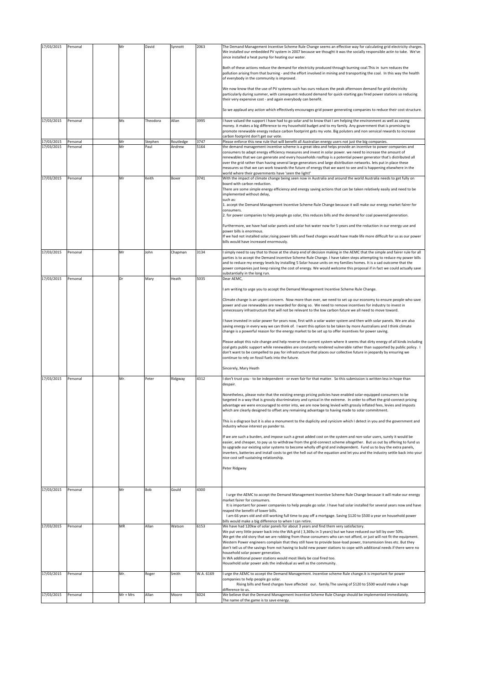| 17/03/2015 | Personal | Mr       | David    | Synnott   | 2063      | The Demand Management Incentive Scheme Rule Change seems an effective way for calculating grid electricity charges.                                                                                                                                                                                                                                                                                                                                                                                                                                                                                 |
|------------|----------|----------|----------|-----------|-----------|-----------------------------------------------------------------------------------------------------------------------------------------------------------------------------------------------------------------------------------------------------------------------------------------------------------------------------------------------------------------------------------------------------------------------------------------------------------------------------------------------------------------------------------------------------------------------------------------------------|
|            |          |          |          |           |           | We installed our embedded PV system in 2007 because we thought it was the socially responsible actin to take. We've<br>since installed a heat pump for heating our water.                                                                                                                                                                                                                                                                                                                                                                                                                           |
|            |          |          |          |           |           | Both of these actions reduce the demand for electricity produced through burning coal. This in turn reduces the<br>pollution arising from that burning - and the effort involved in mining and transporting the coal. In this way the health<br>of everybody in the community is improved.                                                                                                                                                                                                                                                                                                          |
|            |          |          |          |           |           | We now know that the use of PV systems such has ours reduces the peak afternoon demand for grid electricity<br>particularly during summer, with consequent reduced demand for quick-starting gas fired power stations so reducing<br>their very expensive cost - and again everybody can benefit.                                                                                                                                                                                                                                                                                                   |
|            |          |          |          |           |           | So we applaud any action which effectively encourages grid power generating companies to reduce their cost structure.                                                                                                                                                                                                                                                                                                                                                                                                                                                                               |
| 17/03/2015 | Personal | Ms       | Theodora | Allan     | 3995      | have valued the support I have had to go solar and to know that I am helping the environment as well as saving                                                                                                                                                                                                                                                                                                                                                                                                                                                                                      |
|            |          |          |          |           |           | money. it makes a big difference to my household budget and to my family. Any government that is promising to<br>promote renewable energy reduce carbon footprint gets my vote. Big poluters and non sensical rewards to increase<br>carbon footprint don't get our vote.                                                                                                                                                                                                                                                                                                                           |
| 17/03/2015 | Personal | Mr       | Stephen  | Routledge | 3747      | Please enforce this new rule that will benefit all Australian energy users not just the big companies.                                                                                                                                                                                                                                                                                                                                                                                                                                                                                              |
| 17/03/2015 | Personal | Mr       | Paul     | Andrew    | 5164      | the demand management incentive scheme is a great idea and helps provide an incentive to power companies and                                                                                                                                                                                                                                                                                                                                                                                                                                                                                        |
|            |          |          |          |           |           | consumers to adapt energy efficiency measures and invest in solar power. we need to increase the amount of<br>renewables that we can generate and every households rooftop is a potential power generator that's distributed all<br>over the grid rather than having several large generators and large distribution networks. lets put in place these<br>measures so that we can work towards the future of energy that we want to see and is happening elsewhere in the<br>world where their governments have 'seen the light!'                                                                   |
| 17/03/2015 | Personal | Mr       | Keith    | Boxer     | 3741      | With the impact of climate change being seen now in Australia and around the world Australia needs to get fully on<br>board with carbon reduction.                                                                                                                                                                                                                                                                                                                                                                                                                                                  |
|            |          |          |          |           |           | There are some simple energy efficiency and energy saving actions that can be taken relatively easily and need to be<br>implemented without delay,                                                                                                                                                                                                                                                                                                                                                                                                                                                  |
|            |          |          |          |           |           | such as:<br>1. accept the Demand Management Incentive Scheme Rule Change because it will make our energy market fairer for                                                                                                                                                                                                                                                                                                                                                                                                                                                                          |
|            |          |          |          |           |           | consumers.<br>2. for power companies to help people go solar, this reduces bills and the demand for coal powered generation.                                                                                                                                                                                                                                                                                                                                                                                                                                                                        |
|            |          |          |          |           |           | Furthermore, we have had solar panels and solar hot water now for 5 years and the reduction in our energy use and                                                                                                                                                                                                                                                                                                                                                                                                                                                                                   |
|            |          |          |          |           |           | power bills is enormous.<br>If we had not installed solar, rising power bills and fixed charges would have made life more difficult for us as our power<br>bills would have increased enormously.                                                                                                                                                                                                                                                                                                                                                                                                   |
| 17/03/2015 | Personal | Mr       | John     | Chapman   | 3134      | I simply need to say that to those at the sharp end of decision making in the AEMC that the simple and fairer rule for all<br>parties is to accept the Demand incentive Scheme Rule Change. I have taken steps attempting to reduce my power bills<br>and to reduce my energy levels by installing 5 Solar house units on my families homes. It is a sad outcome that the<br>power companies just keep raising the cost of energy. We would welcome this proposal if in fact we could actually save                                                                                                 |
| 17/03/2015 | Personal | Dr       | Mary     | Heath     | 5035      | substantially in the long run.<br>Dear AEMC,                                                                                                                                                                                                                                                                                                                                                                                                                                                                                                                                                        |
|            |          |          |          |           |           | am writing to urge you to accept the Demand Management Incentive Scheme Rule Change.                                                                                                                                                                                                                                                                                                                                                                                                                                                                                                                |
|            |          |          |          |           |           | Climate change is an urgent concern. Now more than ever, we need to set up our economy to ensure people who save<br>power and use renewables are rewarded for doing so. We need to remove incentives for industry to invest in                                                                                                                                                                                                                                                                                                                                                                      |
|            |          |          |          |           |           | unnecessary infrastructure that will not be relevant to the low carbon future we all need to move toward.<br>have invested in solar power for years now, first with a solar water system and then with solar panels. We are also                                                                                                                                                                                                                                                                                                                                                                    |
|            |          |          |          |           |           | saving energy in every way we can think of. I want this option to be taken by more Australians and I think climate<br>change is a powerful reason for the energy market to be set up to offer incentives for power saving.                                                                                                                                                                                                                                                                                                                                                                          |
|            |          |          |          |           |           | Please adopt this rule change and help reverse the current system where it seems that dirty energy of all kinds including<br>coal gets public support while renewables are constantly rendered vulnerable rather than supported by public policy. I<br>don't want to be compelled to pay for infrastructure that places our collective future in jeopardy by ensuring we<br>continue to rely on fossil fuels into the future.                                                                                                                                                                       |
|            |          |          |          |           |           | Sincerely, Mary Heath                                                                                                                                                                                                                                                                                                                                                                                                                                                                                                                                                                               |
| 17/03/2015 | Personal | Mr.      | Peter    | Ridgway   | 4312      | don't trust you - to be independent - or even fair for that matter. So this submission is written less in hope than<br>despair.                                                                                                                                                                                                                                                                                                                                                                                                                                                                     |
|            |          |          |          |           |           | Nonetheless, please note that the existing energy pricing policies have enabled solar-equipped consumers to be<br>targeted in a way that is grossly discriminatory and cynical in the extreme. In order to offset the grid-connect pricing<br>advantage we were encouraged to enter into, we are now being levied with grossly inflated fees, levies and imposts<br>which are clearly designed to offset any remaining advantage to having made to solar commitment.                                                                                                                                |
|            |          |          |          |           |           | This is a disgrace but it is also a monument to the duplicity and cynicism which I detect in you and the government and<br>industry whose interest yo pander to.                                                                                                                                                                                                                                                                                                                                                                                                                                    |
|            |          |          |          |           |           | If we are such a burden, and impose such a great added cost on the system and non-solar users, surely it would be<br>easier, and cheaper, to pay us to withdraw from the grid-connect scheme altogether. But us out by offering to fund us<br>to upgrade our existing solar systems to become wholly off-grid and independent. Fund us to buy the extra panels,<br>inverters, batteries and install costs to get the hell out of the equation and let you and the industry settle back into your                                                                                                    |
|            |          |          |          |           |           | nice cost self-sustaining relationship.<br>Peter Ridgway                                                                                                                                                                                                                                                                                                                                                                                                                                                                                                                                            |
|            |          |          |          |           |           |                                                                                                                                                                                                                                                                                                                                                                                                                                                                                                                                                                                                     |
| 17/03/2015 | Personal | Mr       | Bob      | Gould     | 4300      | I urge the AEMC to accept the Demand Management Incentive Scheme Rule Change because it will make our energy                                                                                                                                                                                                                                                                                                                                                                                                                                                                                        |
|            |          |          |          |           |           | market fairer for consumers.<br>It is important for power companies to help people go solar. I have had solar installed for several years now and have                                                                                                                                                                                                                                                                                                                                                                                                                                              |
|            |          |          |          |           |           | reaped the benefit of lower bills.<br>I am 66 years old and still working full time to pay off a mortgage. Saving \$120 to \$500 a year on household power                                                                                                                                                                                                                                                                                                                                                                                                                                          |
| 17/03/2015 | Personal | MR       | Allan    | Watson    | 6153      | bills would make a big difference to when I can retire.<br>We have had 120kw of solar panels for about 3 years and find them very satisfactory.                                                                                                                                                                                                                                                                                                                                                                                                                                                     |
|            |          |          |          |           |           | We put very little power back into the WA grid (3,369u in 3 years) but we have reduced our bill by over 50%.<br>We get the old story that we are robbing from those consumers who can not afford, or just will not fit the equipment.<br>Western Power engineers complain that they still have to provide base-load power, transmission lines etc. But they<br>don't tell us of the savings from not having to build new power stations to cope with additional needs if there were no<br>household solar power generation.<br>In WA additional power stations would most likely be coal fired too. |
|            |          |          |          |           |           | Household solar power aids the individual as well as the community.                                                                                                                                                                                                                                                                                                                                                                                                                                                                                                                                 |
| 17/03/2015 | Personal | Mr.      | Roger    | Smith     | W.A. 6169 | urge the AEMC to accept the Demand Management. Incentive scheme Rule change. It is important for power<br>companies to help people go solar.                                                                                                                                                                                                                                                                                                                                                                                                                                                        |
|            |          |          |          |           |           | Rising bills and fixed charges have affected our. family. The saving of \$120 to \$500 would make a huge<br>difference to us.                                                                                                                                                                                                                                                                                                                                                                                                                                                                       |
| 17/03/2015 | Personal | Mr + Mrs | Allan    | Moore     | 6024      | We believe that the Demand Management Incentive Scheme Rule Change should be implemented immediately.<br>The name of the game is to save energy.                                                                                                                                                                                                                                                                                                                                                                                                                                                    |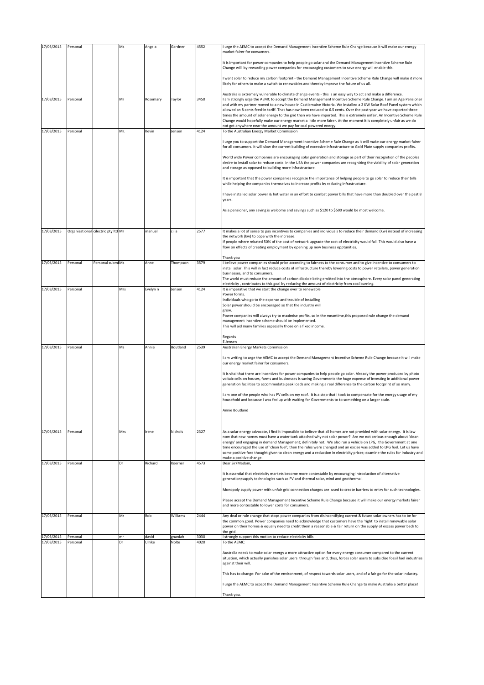| 17/03/2015 | Personal                            |                  | Ms  | Angela   | Gardner  | 4552 | I urge the AEMC to accept the Demand Management Incentive Scheme Rule Change because it will make our energy                                                                                                                                                                                                                                                   |
|------------|-------------------------------------|------------------|-----|----------|----------|------|----------------------------------------------------------------------------------------------------------------------------------------------------------------------------------------------------------------------------------------------------------------------------------------------------------------------------------------------------------------|
|            |                                     |                  |     |          |          |      | market fairer for consumers.                                                                                                                                                                                                                                                                                                                                   |
|            |                                     |                  |     |          |          |      | It is important for power companies to help people go solar and the Demand Management Incentive Scheme Rule<br>Change will by rewarding power companies for encouraging customers to save energy will enable this.                                                                                                                                             |
|            |                                     |                  |     |          |          |      | I went solar to reduce my carbon footprint - the Demand Management Incentive Scheme Rule Change will make it more<br>likely for others to make a switch to renewables and thereby improve the future of us all.                                                                                                                                                |
|            |                                     |                  |     |          |          |      | Australia is extremely vulnerable to climate change events - this is an easy way to act and make a difference.                                                                                                                                                                                                                                                 |
| 17/03/2015 | Personal                            |                  | Mr  | Rosemary | Taylor   | 3450 | I am strongly urge the AEMC to accept the Demand Management Incentive Scheme Rule Change. I am an Age Pensioner<br>and with my partner moved to a new house in Castlemaine Victoria. We installed a 2 KW Solar Roof Panel system which<br>allowed an 8 cents feed-in tariff. That has now been reduced to 6.5 cents. Over the past year we have exported three |
|            |                                     |                  |     |          |          |      | times the amount of solar energy to the grid than we have imported. This is extremely unfair. An Incentive Scheme Rule<br>Change would hopefully make our energy market a little more fairer. At the moment it is completely unfair as we do<br>not get anywhere near the amount we pay for coal powered energy.                                               |
| 17/03/2015 | Personal                            |                  | Mr. | Kevin    | Jensen   | 4124 | To the Australian Energy Market Commission                                                                                                                                                                                                                                                                                                                     |
|            |                                     |                  |     |          |          |      | I urge you to support the Demand Management Incentive Scheme Rule Change as it will make our energy market fairer<br>for all consumers. It will slow the current building of excessive infrastructure to Gold Plate supply companies profits.                                                                                                                  |
|            |                                     |                  |     |          |          |      | World wide Power companies are encouraging solar generation and storage as part of their recognition of the peoples<br>desire to install solar to reduce costs. In the USA the power companies are recognizing the viability of solar generation<br>and storage as opposed to building more infrastructure.                                                    |
|            |                                     |                  |     |          |          |      | It is important that the power companies recognize the importance of helping people to go solar to reduce their bills<br>while helping the companies themselves to increase profits by reducing infrastructure.                                                                                                                                                |
|            |                                     |                  |     |          |          |      | I have installed solar power & hot water in an effort to combat power bills that have more than doubled over the past 8<br>vears.                                                                                                                                                                                                                              |
|            |                                     |                  |     |          |          |      | As a pensioner, any saving is welcome and savings such as \$120 to \$500 would be most welcome.                                                                                                                                                                                                                                                                |
| 17/03/2015 | Organisational cilectric pty ltd Mr |                  |     | manuel   | cilia    | 2577 | It makes a lot of sense to pay incentives to companies and individuals to reduce their demand (Kw) instead of increasing                                                                                                                                                                                                                                       |
|            |                                     |                  |     |          |          |      | the network (kw) to cope with the increase.                                                                                                                                                                                                                                                                                                                    |
|            |                                     |                  |     |          |          |      | If people where rebated 50% of the cost of network upgrade the cost of electricity would fall. This would also have a<br>flow on effects of creating employment by opening up new business opptunities.                                                                                                                                                        |
| 17/03/2015 | Personal                            | Personal submiMs |     | Anne     |          | 3579 | Thank vou                                                                                                                                                                                                                                                                                                                                                      |
|            |                                     |                  |     |          | Thompson |      | I believe power companies should price according to fairness to the consumer and to give incentive to consumers to<br>install solar. This will in fact reduce costs of infrastructure thereby lowering costs to power retailers, power generation                                                                                                              |
|            |                                     |                  |     |          |          |      | businesses, and to consumers.<br>The world must reduce the amount of carbon dioxide being emitted into the atmosphere. Every solar panel generating                                                                                                                                                                                                            |
|            |                                     |                  |     |          |          |      | electricity, contributes to this goal by reducing the amount of electricity from coal burning.                                                                                                                                                                                                                                                                 |
| 17/03/2015 | Personal                            |                  | Mrs | Evelyn n | Jensen   | 4124 | It is imperative that we start the change over to renewable<br>Power forms.                                                                                                                                                                                                                                                                                    |
|            |                                     |                  |     |          |          |      | Individuals who go to the expense and trouble of installing                                                                                                                                                                                                                                                                                                    |
|            |                                     |                  |     |          |          |      | Solar power should be encouraged so that the industry will<br>grow.                                                                                                                                                                                                                                                                                            |
|            |                                     |                  |     |          |          |      | Power companies will always try to maximise profits, so in the meantime, this proposed rule change the demand                                                                                                                                                                                                                                                  |
|            |                                     |                  |     |          |          |      | management incentive scheme should be implemented.<br>This will aid many families especially those on a fixed income.                                                                                                                                                                                                                                          |
|            |                                     |                  |     |          |          |      |                                                                                                                                                                                                                                                                                                                                                                |
|            |                                     |                  |     |          |          |      | Regards<br>E Jensen                                                                                                                                                                                                                                                                                                                                            |
| 17/03/2015 | Personal                            |                  | Ms  | Annie    | Boutland | 2539 | Australian Energy Markets Commission                                                                                                                                                                                                                                                                                                                           |
|            |                                     |                  |     |          |          |      | I am writing to urge the AEMC to accept the Demand Management Incentive Scheme Rule Change because it will make<br>our energy market fairer for consumers.                                                                                                                                                                                                     |
|            |                                     |                  |     |          |          |      | It is vital that there are incentives for power companies to help people go solar. Already the power produced by photo                                                                                                                                                                                                                                         |
|            |                                     |                  |     |          |          |      | voltaic cells on houses, farms and businesses is saving Governments the huge expense of investing in additional power<br>generation facilities to accommodate peak loads and making a real difference to the carbon footprint of so many.                                                                                                                      |
|            |                                     |                  |     |          |          |      | I am one of the people who has PV cells on my roof. It is a step that I took to compensate for the energy usage of my<br>household and because I was fed up with waiting for Governments to to something on a larger scale.                                                                                                                                    |
|            |                                     |                  |     |          |          |      | Annie Boutland                                                                                                                                                                                                                                                                                                                                                 |
|            |                                     |                  |     |          |          |      |                                                                                                                                                                                                                                                                                                                                                                |
| 17/03/2015 | Personal                            |                  | Mrs | Irene    | Nichols  | 2327 | As a solar energy advocate, I find it impossible to believe that all homes are not provided with solar energy. It is law                                                                                                                                                                                                                                       |
|            |                                     |                  |     |          |          |      | now that new homes must have a water tank attached why not solar power? Are we not serious enough about 'clean                                                                                                                                                                                                                                                 |
|            |                                     |                  |     |          |          |      | energy' and engaging in demand Management; definitely not. We also run a vehicle on LPG, the Government at one<br>time encouraged the use of 'clean fuel'; then the rules were changed and an excise was added to LPG fuel. Let us have                                                                                                                        |
|            |                                     |                  |     |          |          |      | some positive fore thought given to clean energy and a reduction in electricity prices; examine the rules for industry and                                                                                                                                                                                                                                     |
| 17/03/2015 | Personal                            |                  | Dr  | Richard  | Koerner  | 4573 | make a positive change.<br>Dear Sir/Madam,                                                                                                                                                                                                                                                                                                                     |
|            |                                     |                  |     |          |          |      |                                                                                                                                                                                                                                                                                                                                                                |
|            |                                     |                  |     |          |          |      | It is essential that electricity markets become more contestable by encouraging introduction of alternative<br>generation/supply technologies such as PV and thermal solar, wind and geothermal.                                                                                                                                                               |
|            |                                     |                  |     |          |          |      | Monopoly supply power with unfair grid connection charges are used to create barriers to entry for such technologies.                                                                                                                                                                                                                                          |
|            |                                     |                  |     |          |          |      | Please accept the Demand Management Incentive Scheme Rule Change because it will make our energy markets fairer<br>and more contestable to lower costs for consumers.                                                                                                                                                                                          |
| 17/03/2015 | Personal                            |                  | Mr  | Rob      | Williams | 2444 | Any deal or rule change that stops power companies from disincentifying current & future solar owners has to be for                                                                                                                                                                                                                                            |
|            |                                     |                  |     |          |          |      | the common good. Power companies need to acknowledge that customers have the 'right' to install renewable solar<br>power on their homes & equally need to credit them a reasonable & fair return on the supply of excess power back to<br>the grid.                                                                                                            |
| 17/03/2015 | Personal                            |                  | mr  | david    | gnaniah  | 3030 | i strongly support this motion to reduce electricity bills                                                                                                                                                                                                                                                                                                     |
| 17/03/2015 | Personal                            |                  | Dr  | Ulrike   | Nolte    | 4020 | To the AEMC:                                                                                                                                                                                                                                                                                                                                                   |
|            |                                     |                  |     |          |          |      | Australia needs to make solar energy a more attractive option for every energy consumer compared to the current<br>situation, which actually punishes solar users through fees and, thus, forces solar users to subsidise fossil fuel industries<br>against their will.                                                                                        |
|            |                                     |                  |     |          |          |      | This has to change: For sake of the environment, of respect towards solar users, and of a fair go for the solar industry.                                                                                                                                                                                                                                      |
|            |                                     |                  |     |          |          |      | I urge the AEMC to accept the Demand Management Incentive Scheme Rule Change to make Australia a better place!                                                                                                                                                                                                                                                 |
|            |                                     |                  |     |          |          |      | Thank you.                                                                                                                                                                                                                                                                                                                                                     |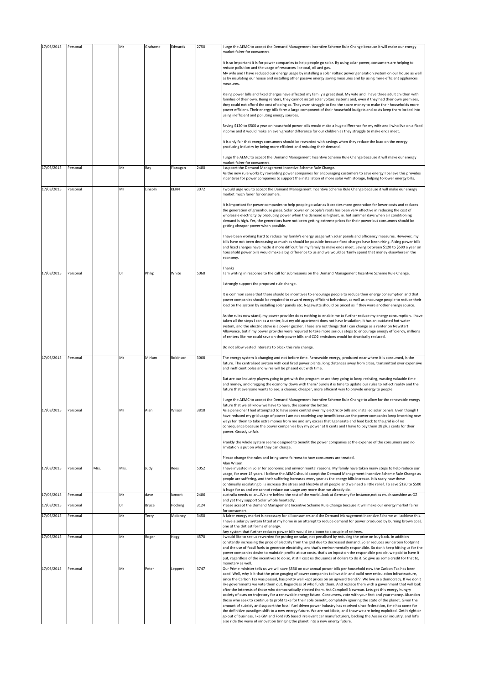| 17/03/2015 | Personal |      | Mr   | Grahame      | Edwards  | 2750 | I urge the AEMC to accept the Demand Management Incentive Scheme Rule Change because it will make our energy                                                                                                                                                                                                                                                                                                                                                           |
|------------|----------|------|------|--------------|----------|------|------------------------------------------------------------------------------------------------------------------------------------------------------------------------------------------------------------------------------------------------------------------------------------------------------------------------------------------------------------------------------------------------------------------------------------------------------------------------|
|            |          |      |      |              |          |      | market fairer for consumers.                                                                                                                                                                                                                                                                                                                                                                                                                                           |
|            |          |      |      |              |          |      | It is so important it is for power companies to help people go solar. By using solar power, consumers are helping to                                                                                                                                                                                                                                                                                                                                                   |
|            |          |      |      |              |          |      | reduce pollution and the usage of resources like coal, oil and gas.<br>My wife and I have reduced our energy usage by installing a solar voltaic power generation system on our house as well                                                                                                                                                                                                                                                                          |
|            |          |      |      |              |          |      | as by insulating our house and installing other passive energy saving measures and by using more efficient appliances<br>measures.                                                                                                                                                                                                                                                                                                                                     |
|            |          |      |      |              |          |      | Rising power bills and fixed charges have affected my family a great deal. My wife and I have three adult children with                                                                                                                                                                                                                                                                                                                                                |
|            |          |      |      |              |          |      | families of their own. Being renters, they cannot install solar voltaic systems and, even if they had their own premises,                                                                                                                                                                                                                                                                                                                                              |
|            |          |      |      |              |          |      | they could not afford the cost of doing so. They even struggle to find the spare money to make their households more<br>power efficient. Their energy bills form a large component of their household budgets and costs keep them locked into<br>using inefficient and polluting energy sources.                                                                                                                                                                       |
|            |          |      |      |              |          |      | Saving \$120 to \$500 a year on household power bills would make a huge difference for my wife and I who live on a fixed<br>income and it would make an even greater difference for our children as they struggle to make ends meet.                                                                                                                                                                                                                                   |
|            |          |      |      |              |          |      | It is only fair that energy consumers should be rewarded with savings when they reduce the load on the energy<br>producing industry by being more efficient and reducing their demand.                                                                                                                                                                                                                                                                                 |
|            |          |      |      |              |          |      | I urge the AEMC to accept the Demand Management Incentive Scheme Rule Change because it will make our energy                                                                                                                                                                                                                                                                                                                                                           |
| 17/03/2015 | Personal |      | Mr   | Ray          | Flanagan | 2480 | market fairer for consumers<br>I support the Demand Management Incentive Scheme Rule Change.                                                                                                                                                                                                                                                                                                                                                                           |
|            |          |      |      |              |          |      | As the new rule works by rewarding power companies for encouraging customers to save energy I believe this provides<br>incentives for power companies to support the installation of more solar with storage, helping to lower energy bills.                                                                                                                                                                                                                           |
| 17/03/2015 | Personal |      | Mr   | Lincoln      | KERN     | 3072 | I would urge you to accept the Demand Management Incentive Scheme Rule Change because it will make our energy<br>market much fairer for consumers.                                                                                                                                                                                                                                                                                                                     |
|            |          |      |      |              |          |      | It is important for power companies to help people go solar as it creates more generation for lower costs and reduces                                                                                                                                                                                                                                                                                                                                                  |
|            |          |      |      |              |          |      | the generation of greenhouse gases. Solar power on people's roofs has been very effective in reducing the cost of<br>wholesale electricity by producing power when the demand is highest, ie. hot summer days when air conditioning<br>demand is high. Yes, the generators have not been getting extreme prices for their power but consumers should be<br>getting cheaper power when possible.                                                                        |
|            |          |      |      |              |          |      | I have been working hard to reduce my family's energy usage with solar panels and efficiency measures. However, my                                                                                                                                                                                                                                                                                                                                                     |
|            |          |      |      |              |          |      | bills have not been decreasing as much as should be possible because fixed charges have been rising. Rising power bills<br>and fixed charges have made it more difficult for my family to make ends meet. Saving between \$120 to \$500 a year on                                                                                                                                                                                                                      |
|            |          |      |      |              |          |      | household power bills would make a big difference to us and we would certainly spend that money elsewhere in the<br>economy.                                                                                                                                                                                                                                                                                                                                           |
| 17/03/2015 | Personal |      | Dr   | Philip       | White    | 5068 | Thanks<br>I am writing in response to the call for submissions on the Demand Management Incentive Scheme Rule Change.                                                                                                                                                                                                                                                                                                                                                  |
|            |          |      |      |              |          |      |                                                                                                                                                                                                                                                                                                                                                                                                                                                                        |
|            |          |      |      |              |          |      | I strongly support the proposed rule change.                                                                                                                                                                                                                                                                                                                                                                                                                           |
|            |          |      |      |              |          |      | It is common sense that there should be incentives to encourage people to reduce their energy consumption and that<br>power companies should be required to reward energy efficient behaviour, as well as encourage people to reduce their<br>load on the system by installing solar panels etc. Negawatts should be priced as if they were another energy source.                                                                                                     |
|            |          |      |      |              |          |      | As the rules now stand, my power provider does nothing to enable me to further reduce my energy consumption. I have                                                                                                                                                                                                                                                                                                                                                    |
|            |          |      |      |              |          |      | taken all the steps I can as a renter, but my old apartment does not have insulation, it has an outdated hot water<br>system, and the electric stove is a power guzzler. These are not things that I can change as a renter on Newstart<br>Allowance, but if my power provider were required to take more serious steps to encourage energy efficiency, millions<br>of renters like me could save on their power bills and CO2 emissions would be drastically reduced. |
|            |          |      |      |              |          |      | Do not allow vested interests to block this rule change.                                                                                                                                                                                                                                                                                                                                                                                                               |
| 17/03/2015 | Personal |      | Ms   | Miriam       | Robinson | 3068 | The energy system is changing and not before time. Renewable energy, produced near where it is consumed, is the                                                                                                                                                                                                                                                                                                                                                        |
|            |          |      |      |              |          |      | future. The centralised system with coal fired power plants, long distances away from cities, transmitted over expensive<br>and inefficient poles and wires will be phased out with time.                                                                                                                                                                                                                                                                              |
|            |          |      |      |              |          |      | But are our industry players going to get with the program or are they going to keep resisting, wasting valuable time                                                                                                                                                                                                                                                                                                                                                  |
|            |          |      |      |              |          |      | and money, and dragging the economy down with them? Surely it is time to update our rules to reflect reality and the<br>future that everyone wants to see; a cleaner, cheaper, more efficient way to provide energy to people.                                                                                                                                                                                                                                         |
|            |          |      |      |              |          |      | I urge the AEMC to accept the Demand Management Incentive Scheme Rule Change to allow for the renewable energy<br>future that we all know we have to have, the sooner the better.                                                                                                                                                                                                                                                                                      |
| 17/03/2015 | Personal |      | Mr   | Alan         | Wilson   | 3818 | As a pensioner I had attempted to have some control over my electricity bills and installed solar panels. Even though I<br>have reduced my grid usage of power I am not receiving any benefit because the power companies keep inventing new                                                                                                                                                                                                                           |
|            |          |      |      |              |          |      | ways for them to take extra money from me and any excess that I generate and feed back to the grid is of no<br>consequence because the power companies buy my power at 8 cents and I have to pay them 28 plus cents for their                                                                                                                                                                                                                                          |
|            |          |      |      |              |          |      | power. Grossly unfair.<br>Frankly the whole system seems designed to benefit the power companies at the expense of the consumers and no                                                                                                                                                                                                                                                                                                                                |
|            |          |      |      |              |          |      | limitation is put on what they can charge.                                                                                                                                                                                                                                                                                                                                                                                                                             |
|            |          |      |      |              |          |      | Please change the rules and bring some fairness to how consumers are treated.<br>Alan Wilson.                                                                                                                                                                                                                                                                                                                                                                          |
| 17/03/2015 | Personal | Mrs. | Mrs. | Judy         | Rees     | 5052 | I have invested in Solar for economic and environmental reasons. My family have taken many steps to help reduce our<br>usage, for over 15 years, i believe the AEMC should accept the Demand Management Incentive Scheme Rule Change as                                                                                                                                                                                                                                |
|            |          |      |      |              |          |      | people are suffering, and their suffering increases every year as the energy bills increase. It is scary how these<br>continually escalating bills increase the stress and lifestyle of all people and we need a little relief. To save \$120 to \$500                                                                                                                                                                                                                 |
| 17/03/2015 |          |      | Mr   |              | lamont   | 2486 | is huge for us and we cannot reduce our usage any more than we already do.<br>australia needs solarWe are behind the rest of the worldlook at Germany for instance,not as much sunshine as OZ                                                                                                                                                                                                                                                                          |
|            | Personal |      |      | dave         |          |      | and yet they support Solar whole heartedly.                                                                                                                                                                                                                                                                                                                                                                                                                            |
| 17/03/2015 | Personal |      | Dr   | <b>Bruce</b> | Hocking  | 3124 | Please accept the Demand Management Incentive Scheme Rule Change because it will make our energy market fairer<br>for consumers.                                                                                                                                                                                                                                                                                                                                       |
| 17/03/2015 | Personal |      | Mr   | Terry        | Moloney  | 3450 | A fairer energy market is necessary for all consumers and the Demand Management Incentive Scheme will achieve this.<br>I have a solar pv system fitted at my home in an attempt to reduce demand for power produced by burning brown coal,<br>one of the dirtiest forms of energy.                                                                                                                                                                                     |
| 17/03/2015 | Personal |      | Mr   |              |          | 4570 | Any system that further reduces power bills would be a boon to a couple of retirees.                                                                                                                                                                                                                                                                                                                                                                                   |
|            |          |      |      | Roger        | Hogg     |      | I would like to see us rewarded for putting on solar, not penalised by reducing the price on buy back. In addition<br>constantly increasing the price of electrify from the grid due to decreased demand. Solar reduces our carbon footprint                                                                                                                                                                                                                           |
|            |          |      |      |              |          |      | and the use of fossil fuels to generate electricity, and that's environmentally responsible. So don't keep hitting us for the<br>power companies desire to maintain profits at our costs, that's an Inpost on the responsible people, we paid to have it                                                                                                                                                                                                               |
|            |          |      |      |              |          |      | put, regardless of the incentives to do so, it still cost us thousands of dollars to do it. So give us some credit for that to,                                                                                                                                                                                                                                                                                                                                        |
| 17/03/2015 | Personal |      | Mr   | Peter        | Leppert  | 3747 | monetary as well.<br>Our Prime minister tells us we will save \$550 on our annual power bills per household now the Carbon Tax has been                                                                                                                                                                                                                                                                                                                                |
|            |          |      |      |              |          |      | axed. Well, why is it that the price gouging of power companies to invest in and build new reticulation infrastructure,<br>since the Carbon Tax was passed, has pretty well kept prices on an upward trend??. We live in a democracy. If we don't                                                                                                                                                                                                                      |
|            |          |      |      |              |          |      | like governments we vote them out. Regardless of who funds them. And replace them with a government that will look                                                                                                                                                                                                                                                                                                                                                     |
|            |          |      |      |              |          |      | after the interests of those who democratically elected them. Ask Campbell Newman. Lets get this energy hungry<br>society of ours on trajectory for a renewable energy future. Consumers, vote with your feet and your money. Abandon                                                                                                                                                                                                                                  |
|            |          |      |      |              |          |      | those who seek to continue to profit take for their sole benefit, completely ignoring the state of the planet. Given the<br>amount of subsidy and support the fossil fuel driven power industry has received since federation, time has come for                                                                                                                                                                                                                       |
|            |          |      |      |              |          |      | the definitive paradigm shift to a new energy future. We are not idiots, and know we are being exploited. Get it right or                                                                                                                                                                                                                                                                                                                                              |
|            |          |      |      |              |          |      | go out of business, like GM and Ford (US based irrelevant car manufacturers, backing the Aussie car industry. and let's<br>also ride the wave of innovation bringing the planet into a new energy future.                                                                                                                                                                                                                                                              |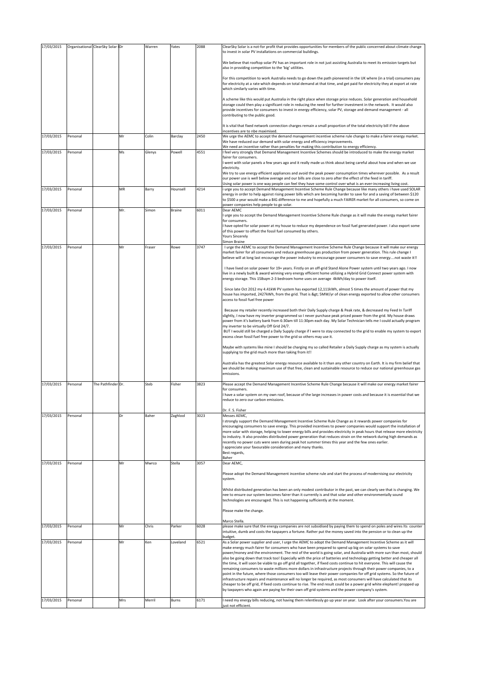| 17/03/2015 |          | Organisational ClearSky Solar   Dr |     | Warren | Yates         | 2088 | ClearSky Solar is a not-for profit that provides opportunities for members of the public concerned about climate change                                                                                                                                                                                                                                                                            |
|------------|----------|------------------------------------|-----|--------|---------------|------|----------------------------------------------------------------------------------------------------------------------------------------------------------------------------------------------------------------------------------------------------------------------------------------------------------------------------------------------------------------------------------------------------|
|            |          |                                    |     |        |               |      | to invest in solar PV installations on commercial buildings.                                                                                                                                                                                                                                                                                                                                       |
|            |          |                                    |     |        |               |      | We believe that rooftop solar PV has an important role in not just assisting Australia to meet its emission targets but<br>also in providing competition to the 'big' utilities.                                                                                                                                                                                                                   |
|            |          |                                    |     |        |               |      | For this competition to work Australia needs to go down the path pioneered in the UK where (in a trial) consumers pay                                                                                                                                                                                                                                                                              |
|            |          |                                    |     |        |               |      | for electricity at a rate which depends on total demand at that time, and get paid for electricity they at export at rate<br>which similarly varies with time.                                                                                                                                                                                                                                     |
|            |          |                                    |     |        |               |      | A scheme like this would put Australia in the right place when storage price reduces. Solar generation and household<br>storage could then play a significant role in reducing the need for further investment in the network. It would also<br>provide incentives for consumers to invest in energy efficiency, solar PV, storage and demand management - all<br>contributing to the public good. |
|            |          |                                    |     |        |               |      | It is vital that fixed network connection charges remain a small proportion of the total electricity bill if the above<br>incentives are to nbe maximised.                                                                                                                                                                                                                                         |
| 17/03/2015 | Personal |                                    | Mr  | Colin  | Barclay       | 2450 | We urge the AEMC to accept the demand management incentive scheme rule change to make a fairer energy market.<br>We have reduced our demand with solar energy and efficiency improvements.<br>We need an incentive rather than penalties for making this contribution to energy efficiency.                                                                                                        |
| 17/03/2015 | Personal |                                    | Ms  | Glenys | Powell        | 4551 | feel very strongly that Demand Management Incentive Schemes should be introduced to make the energy market                                                                                                                                                                                                                                                                                         |
|            |          |                                    |     |        |               |      | fairer for consumers.<br>went with solar panels a few years ago and it really made us think about being careful about how and when we use                                                                                                                                                                                                                                                          |
|            |          |                                    |     |        |               |      | electricity.                                                                                                                                                                                                                                                                                                                                                                                       |
|            |          |                                    |     |        |               |      | We try to use energy efficient appliances and avoid the peak power consumption times wherever possible. As a result<br>our power use is well below average and our bills are close to zero after the effect of the feed in tariff.                                                                                                                                                                 |
|            |          |                                    |     |        |               |      | Using solar power is one way people can feel they have some control over what is an ever-increasing living cost.                                                                                                                                                                                                                                                                                   |
| 17/03/2015 | Personal |                                    | MR  | Barry  | Hounsell      | 4214 | i urge you to accept Demand Management Incentive Scheme Rule Change because like many others i have used SOLAR<br>energy in order to help against rising power bills which are becoming harder to save for and a saving of between \$120                                                                                                                                                           |
|            |          |                                    |     |        |               |      | to \$500 a year would make a BIG difference to me and hopefully a much FAIRER market for all consumers, so come on<br>power companies help people to go solar.                                                                                                                                                                                                                                     |
| 17/03/2015 | Personal |                                    | Mr. | Simon  | <b>Braine</b> | 6011 | Dear AEMC<br>urge you to accept the Demand Management Incentive Scheme Rule change as it will make the energy market fairer                                                                                                                                                                                                                                                                        |
|            |          |                                    |     |        |               |      | for consumers.<br>I have opted for solar power at my house to reduce my dependence on fossil fuel generated power. I also export some                                                                                                                                                                                                                                                              |
|            |          |                                    |     |        |               |      | of this power to offset the fossil fuel consumed by others.<br><b>Yours Sincerely</b>                                                                                                                                                                                                                                                                                                              |
| 17/03/2015 | Personal |                                    | Mr  | Fraser | Rowe          | 3747 | Simon Braine                                                                                                                                                                                                                                                                                                                                                                                       |
|            |          |                                    |     |        |               |      | I urge the AEMC to accept the Demand Management Incentive Scheme Rule Change because it will make our energy<br>market fairer for all consumers and reduce greenhouse gas production from power generation. This rule change I<br>believe will at long last encourage the power industry to encourage power consumers to save energynot waste it!!                                                 |
|            |          |                                    |     |        |               |      | I have lived on solar power for 19+ years. Firstly on an off-grid Stand Alone Power system until two years ago. I now<br>live in a newly built & award winning very energy efficient home utilizing a Hybrid Grid Connect power system with<br>energy storage. This 158sqm 2-3 bedroom home uses on average 4kWh/day to power itself.                                                              |
|            |          |                                    |     |        |               |      | Since late Oct 2012 my 4.41kW PV system has exported 12,111kWh, almost 5 times the amount of power that my<br>house has imported, 2427kWh, from the grid. That is > 5MW/yr of clean energy exported to allow other consumers                                                                                                                                                                       |
|            |          |                                    |     |        |               |      | access to fossil fuel free power<br>Because my retailer recently increased both their Daily Supply charge & Peak rate, & decreased my Feed In Tariff                                                                                                                                                                                                                                               |
|            |          |                                    |     |        |               |      | slightly, I now have my inverter programmed so I never purchase peak priced power from the grid. My house draws<br>power from it's battery bank from 6:30am till 11:30pm each day. My Solar Technician tells me I could actually program                                                                                                                                                           |
|            |          |                                    |     |        |               |      | my inverter to be virtually Off Grid 24/7.<br>BUT I would still be charged a Daily Supply charge if I were to stay connected to the grid to enable my system to export<br>excess clean fossil fuel free power to the grid so others may use it.                                                                                                                                                    |
|            |          |                                    |     |        |               |      | Maybe with systems like mine I should be charging my so called Retailer a Daily Supply charge as my system is actually<br>supplying to the grid much more than taking from it!!                                                                                                                                                                                                                    |
|            |          |                                    |     |        |               |      | Australia has the greatest Solar energy resource available to it than any other country on Earth. It is my firm belief that<br>we should be making maximum use of that free, clean and sustainable resource to reduce our national greenhouse gas<br>emissions.                                                                                                                                    |
| 17/03/2015 | Personal | The Pathfinder Dr.                 |     | Steb   | Fisher        | 3823 | Please accept the Demand Management Incentive Scheme Rule Change because it will make our energy market fairer                                                                                                                                                                                                                                                                                     |
|            |          |                                    |     |        |               |      | for consumers.                                                                                                                                                                                                                                                                                                                                                                                     |
|            |          |                                    |     |        |               |      | I have a solar system on my own roof, because of the large increases in power costs and because it is essential that we<br>reduce to zero our carbon emissions.                                                                                                                                                                                                                                    |
|            |          |                                    |     |        |               |      |                                                                                                                                                                                                                                                                                                                                                                                                    |
| 17/03/2015 | Personal |                                    | Dr  | Baher  | Zaghlool      | 3023 | Dr. F. S. Fisher<br>Messes AEMC,                                                                                                                                                                                                                                                                                                                                                                   |
|            |          |                                    |     |        |               |      | I strongly support the Demand Management Incentive Scheme Rule Change as it rewards power companies for<br>encouraging consumers to save energy. This provided incentives to power companies would support the installation of                                                                                                                                                                     |
|            |          |                                    |     |        |               |      | more solar with storage, helping to lower energy bills and provides electricity in peak hours that release more electricity                                                                                                                                                                                                                                                                        |
|            |          |                                    |     |        |               |      | to industry. It also provides distributed power generation that reduces strain on the network during high demands as<br>recently no power cuts were seen during peak hot summer times this year and the few ones earlier.                                                                                                                                                                          |
|            |          |                                    |     |        |               |      | appreciate your favourable consideration and many thanks.                                                                                                                                                                                                                                                                                                                                          |
|            |          |                                    |     |        |               |      | Best regards,<br>Baher                                                                                                                                                                                                                                                                                                                                                                             |
| 17/03/2015 | Personal |                                    | Mr  | Mwrco  | Stella        | 3057 | Dear AEMC,                                                                                                                                                                                                                                                                                                                                                                                         |
|            |          |                                    |     |        |               |      | Please adopt the Demand Management incentive scheme rule and start the process of modernising our electricity<br>system.                                                                                                                                                                                                                                                                           |
|            |          |                                    |     |        |               |      | Whilst distributed generation has been an only modest contributor in the past, we can clearly see that is changing. We<br>nee to ensure our system becomes fairer than it currently is and that solar and other environmentally sound<br>technologies are encouraged. This is not happening sufficiently at the moment.                                                                            |
|            |          |                                    |     |        |               |      | Please make the change.                                                                                                                                                                                                                                                                                                                                                                            |
|            |          |                                    |     |        |               |      | Marco Stella.                                                                                                                                                                                                                                                                                                                                                                                      |
| 17/03/2015 | Personal |                                    | Mr  | Chris  | Parker        | 6028 | please make sure that the energy companies are not subsidised by paying them to spend on poles and wires Its counter<br>intuitive, dumb and costs the taxpayers a fortune. Rather put the money saved into the pension or to clean up the                                                                                                                                                          |
| 17/03/2015 | Personal |                                    | Mr  | Ken    | Loveland      | 6521 | budget.<br>As a Solar power supplier and user, I urge the AEMC to adopt the Demand Management Incentive Scheme as it will                                                                                                                                                                                                                                                                          |
|            |          |                                    |     |        |               |      | make energy much fairer for consumers who have been prepared to spend up big on solar systems to save                                                                                                                                                                                                                                                                                              |
|            |          |                                    |     |        |               |      | power/money and the environment. The rest of the world is going solar, and Australia with more sun than most, should<br>also be going down that track too! Especially with the price of batteries and technology getting better and cheaper all                                                                                                                                                    |
|            |          |                                    |     |        |               |      | the time, it will soon be viable to go off grid all together, if fixed costs continue to hit everyone. This will cause the<br>remaining consumers to waste millions more dollars in infrastructure projects through their power companies, to a                                                                                                                                                    |
|            |          |                                    |     |        |               |      | point in the future, where those consumers too will leave their power companies for off grid systems. So the future of                                                                                                                                                                                                                                                                             |
|            |          |                                    |     |        |               |      | infrastructure repairs and maintenance will no longer be required, as most consumers will have calculated that its<br>cheaper to be off grid, if fixed costs continue to rise. The end result could be a power grid white elephant! propped up                                                                                                                                                     |
|            |          |                                    |     |        |               |      | by taxpayers who again are paying for their own off grid systems and the power company's system.                                                                                                                                                                                                                                                                                                   |
| 17/03/2015 | Personal |                                    | Mrs | Merril | Burns         | 6171 | need my energy bills reducing, not having them relentlessly go up year on year. Look after your consumers. You are                                                                                                                                                                                                                                                                                 |
|            |          |                                    |     |        |               |      | just not efficient.                                                                                                                                                                                                                                                                                                                                                                                |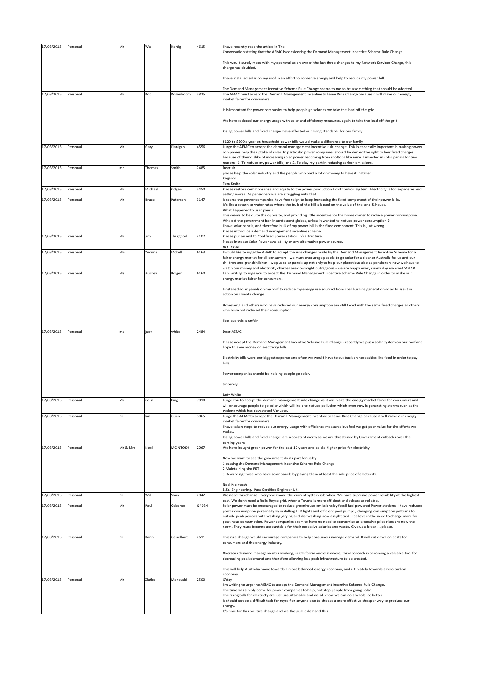| 17/03/2015 | Personal | Mr       | Wal          | Hartig          | 4615         | I have recently read the article in The<br>Conversation stating that the AEMC is considering the Demand Management Incentive Scheme Rule Change.                                                                                                                                                                                            |
|------------|----------|----------|--------------|-----------------|--------------|---------------------------------------------------------------------------------------------------------------------------------------------------------------------------------------------------------------------------------------------------------------------------------------------------------------------------------------------|
|            |          |          |              |                 |              | This would surely meet with my approval as on two of the last three changes to my Network Services Charge, this<br>charge has doubled.                                                                                                                                                                                                      |
|            |          |          |              |                 |              | have installed solar on my roof in an effort to conserve energy and help to reduce my power bill.                                                                                                                                                                                                                                           |
|            |          |          |              |                 |              | The Demand Management Incentive Scheme Rule Change seems to me to be a something that should be adopted.                                                                                                                                                                                                                                    |
| 17/03/2015 | Personal | Mr       | Rod          | Rosenboom       | 3825         | The AEMC must accept the Demand Management Incentive Scheme Rule Change because it will make our energy<br>market fairer for consumers.                                                                                                                                                                                                     |
|            |          |          |              |                 |              | It is important for power companies to help people go solar as we take the load off the grid                                                                                                                                                                                                                                                |
|            |          |          |              |                 |              | We have reduced our energy usage with solar and efficiency measures, again to take the load off the grid                                                                                                                                                                                                                                    |
|            |          |          |              |                 |              | Rising power bills and fixed charges have affected our living standards for our family.                                                                                                                                                                                                                                                     |
| 17/03/2015 | Personal | Mr       | Gary         | Flanigan        | 4556         | \$120 to \$500 a year on household power bills would make a difference to our family<br>I urge the AEMC to accept the demand management incentive rule change. This is especially important in making power                                                                                                                                 |
|            |          |          |              |                 |              | companies help the uptake of solar. In particular power companies should be denied the right to levy fixed charges<br>because of their dislike of increasing solar power becoming from rooftops like mine. I invested in solar panels for two<br>reasons: 1. To reduce my power bills, and 2. To play my part in reducing carbon emissions. |
| 17/03/2015 | Personal | mr       | Thomas       | Smith           | 2485         | Dear sir<br>please help the solar industry and the people who paid a lot on money to have it installed.                                                                                                                                                                                                                                     |
|            |          |          |              |                 |              | Regards<br>Tom Smith                                                                                                                                                                                                                                                                                                                        |
| 17/03/2015 | Personal | Mr       | Michael      | Odgers          | 3450<br>3147 | Please restore commonsense and equity to the power production / distribution system. Electricity is too expensive and<br>getting worse. As pensioners we are struggling with that.                                                                                                                                                          |
| 17/03/2015 | Personal | Mr       | <b>Bruce</b> | Paterson        |              | It seems the power companies have free reign to keep increasing the fixed component of their power bills.<br>It's like a return to water rates where the bulk of the bill is based on the value of the land & house.                                                                                                                        |
|            |          |          |              |                 |              | What happened to user pays ?<br>This seems to be quite the opposite, and providing little incentive for the home owner to reduce power consumption.                                                                                                                                                                                         |
|            |          |          |              |                 |              | Why did the government ban incandescent globes, unless it wanted to reduce power consumption ?<br>I have solar panels, and therefore bulk of my power bill is the fixed component. This is just wrong.                                                                                                                                      |
| 17/03/2015 | Personal | Mr       | Jim          | Thurgood        | 4102         | Please introduce a demand management incentive scheme.<br>Please put an end to Coal fired power station infrastructure.                                                                                                                                                                                                                     |
|            |          |          |              |                 |              | Please increase Solar Power availability or any alternative power source.<br>NOT COAL                                                                                                                                                                                                                                                       |
| 17/03/2015 | Personal | Mrs      | Yvonne       | Mckell          | 6163         | I would like to urge the AEMC to accept the rule changes made by the Demand Management Incentive Scheme for a<br>fairer energy market for all consumers - we must encourage people to go solar for a cleaner Australia for us and our                                                                                                       |
|            |          |          |              |                 |              | children and grandchildren - we put solar panels up not only to help our planet but also as pensioners now we have to<br>watch our money and electricity charges are downright outrageous - we are happy every sunny day we went SOLAR.                                                                                                     |
| 17/03/2015 | Personal | Ms       | Audrey       | Bolger          | 6160         | am writing to urge you to accept the Demand Management Incentive Scheme Rule Change in order to make our<br>energy market fairer for consumers.                                                                                                                                                                                             |
|            |          |          |              |                 |              | I installed solar panels on my roof to reduce my energy use sourced from coal burning generation so as to assist in<br>action on climate change.                                                                                                                                                                                            |
|            |          |          |              |                 |              | However, I and others who have reduced our energy consumption are still faced with the same fixed charges as others<br>who have not reduced their consumption.                                                                                                                                                                              |
|            |          |          |              |                 |              | believe this is unfair                                                                                                                                                                                                                                                                                                                      |
| 17/03/2015 | Personal | ms       | judy         | white           | 2484         | Dear AEMC                                                                                                                                                                                                                                                                                                                                   |
|            |          |          |              |                 |              | Please accept the Demand Management Incentive Scheme Rule Change - recently we put a solar system on our roof and<br>hope to save money on electricity bills.                                                                                                                                                                               |
|            |          |          |              |                 |              | Electricity bills were our biggest expense and often we would have to cut back on necessities like food in order to pay<br>bills.                                                                                                                                                                                                           |
|            |          |          |              |                 |              | Power companies should be helping people go solar.                                                                                                                                                                                                                                                                                          |
|            |          |          |              |                 |              | Sincerely                                                                                                                                                                                                                                                                                                                                   |
|            |          |          |              |                 |              | ludy White                                                                                                                                                                                                                                                                                                                                  |
| 17/03/2015 | Personal | Mr       | Colin        | King            | 7010         | urge you to accept the demand management rule change as it will make the energy market fairer for consumers and<br>will encourage people to go solar which will help to reduce pollution which even now is generating storms such as the<br>cyclone which has devastated Vanuato.                                                           |
| 17/03/2015 | Personal | Dr       | lan          | Gunn            | 3065         | I urge the AEMC to accept the Demand Management Incentive Scheme Rule Change because it will make our energy<br>market fairer for consumers.                                                                                                                                                                                                |
|            |          |          |              |                 |              | have taken steps to reduce our energy usage with efficiency measures but feel we get poor value for the efforts we<br>make                                                                                                                                                                                                                  |
|            |          |          |              |                 |              | Rising power bills and fixed charges are a constant worry as we are threatened by Government cutbacks over the<br>coming years.                                                                                                                                                                                                             |
| 17/03/2015 | Personal | Mr & Mrs | Noel         | <b>MCINTOSH</b> | 2067         | We have bought green power for the past 10 years and paid a higher price for electricity.                                                                                                                                                                                                                                                   |
|            |          |          |              |                 |              | Now we want to see the govenment do its part for us by:<br>1 passing the Demand Management Incentive Scheme Rule Change                                                                                                                                                                                                                     |
|            |          |          |              |                 |              | 2 Maintaining the RET                                                                                                                                                                                                                                                                                                                       |
|            |          |          |              |                 |              | 3 Rewarding those who have solar panels by paying them at least the sale price of electricity.                                                                                                                                                                                                                                              |
|            |          |          |              |                 |              | Noel McIntosh<br>B.Sc. Engineering. Past Certified Engineer UK.                                                                                                                                                                                                                                                                             |
| 17/03/2015 | Personal | Dr       | Wil          | Shan            | 2042         | We need this change. Everyone knows the current system is broken. We have supreme power reliability at the highest<br>cost. We don't need a Rolls Royce grid, when a Toyota is more efficient and atleast as reliable.                                                                                                                      |
| 17/03/2015 | Personal | Mr       | Paul         | Osborne         | Q4034        | Solar power must be encouraged to reduce greenhouse emissions by fossil fuel powered Power stations. I have reduced<br>power consumption personally by installing LED lights and efficient pool pumps, changing consumption patterns to                                                                                                     |
|            |          |          |              |                 |              | outside peak periods with washing , drying and dishwashing now a night task. I believe in the need to charge more for<br>peak hour consumption. Power companies seem to have no need to economise as excessive price rises are now the                                                                                                      |
|            |          |          |              |                 |              | norm. They must become accountable for their excessive salaries and waste. Give us a break please.                                                                                                                                                                                                                                          |
| 17/03/2015 | Personal | Dr       | Karin        | Geiselhart      | 2611         | This rule change would encourage companies to help consumers manage demand. It will cut down on costs for<br>consumers and the energy industry.                                                                                                                                                                                             |
|            |          |          |              |                 |              | Overseas demand management is working, in California and elsewhere, this approach is becoming a valuable tool for<br>decreasing peak demand and therefore allowing less peak infrastructure to be created.                                                                                                                                  |
|            |          |          |              |                 |              | This will help Australia move towards a more balanced energy economy, and ultimately towards a zero carbon<br>economy.                                                                                                                                                                                                                      |
| 17/03/2015 | Personal | Mr       | Zlatko       | Manovski        | 2500         | G'day<br>I'm writing to urge the AEMC to accept the Demand Management Incentive Scheme Rule Change.                                                                                                                                                                                                                                         |
|            |          |          |              |                 |              | The time has simply come for power companies to help, not stop people from going solar.<br>The rising bills for electricty are just unsustainable and we all know we can do a whole lot better.<br>It should not be a difficult task for myself or anyone else to choose a more effective cheaper way to produce our                        |
|            |          |          |              |                 |              | energy.<br>It's time for this positive change and we the public demand this.                                                                                                                                                                                                                                                                |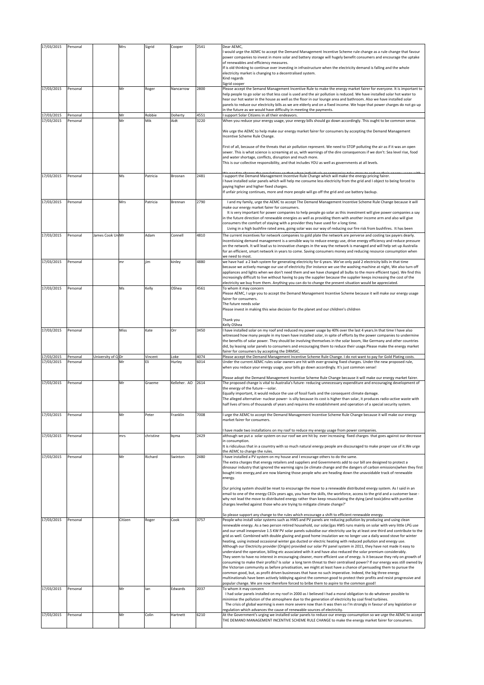| 17/03/2015               | Personal             |                   | Mrs      | Sigrid         | Cooper          | 2541         | Dear AEMC,<br>I would urge the AEMC to accept the Demand Management Incentive Scheme rule change as a rule change that favour<br>power companies to invest in more solar and battery storage will hugely benefit consumers and encourage the uptake<br>of renewables and efficiency measures.<br>If is old thinking to continue over investing in infrastructure when the electricity demand is falling and the whole<br>electricity market is changing to a decentralised system.                                                                                                                                                                                                                                                                                                                                                                                                                                                                                                                                                                                                                                                                                                                                                                                                                                                                                                                                                                                                                                                                                             |
|--------------------------|----------------------|-------------------|----------|----------------|-----------------|--------------|--------------------------------------------------------------------------------------------------------------------------------------------------------------------------------------------------------------------------------------------------------------------------------------------------------------------------------------------------------------------------------------------------------------------------------------------------------------------------------------------------------------------------------------------------------------------------------------------------------------------------------------------------------------------------------------------------------------------------------------------------------------------------------------------------------------------------------------------------------------------------------------------------------------------------------------------------------------------------------------------------------------------------------------------------------------------------------------------------------------------------------------------------------------------------------------------------------------------------------------------------------------------------------------------------------------------------------------------------------------------------------------------------------------------------------------------------------------------------------------------------------------------------------------------------------------------------------|
| 17/03/2015               | Personal             |                   | Mr       | Roger          | Nancarrow       | 2800         | Kind regards<br>Sigrid cooper<br>Please accept the Semand Management Incentive Rule to make the energy market fairer for everyone. It is important to<br>help people to go solar so that less coal is used and the air pollution is reduced. We have installed solar hot water to<br>hear our hot water in the house as well as the floor in our lounge area and bathroom. Also we have installed solar<br>panels to reduce our electricity bills as we are elderly and on a fixed income. We hope that power charges do not go up<br>in the future as we would have difficulty in meeting the payments.                                                                                                                                                                                                                                                                                                                                                                                                                                                                                                                                                                                                                                                                                                                                                                                                                                                                                                                                                                       |
| 17/03/2015<br>17/03/2015 | Personal<br>Personal |                   | Mr<br>Mr | Robbie<br>Mik  | Doherty<br>Aidt | 4551<br>3220 | support Solar Citizens in all their endeavors.<br>When you reduce your energy usage, your energy bills should go down accordingly. This ought to be common sense.<br>We urge the AEMC to help make our energy market fairer for consumers by accepting the Demand Management<br>Incentive Scheme Rule Change.                                                                                                                                                                                                                                                                                                                                                                                                                                                                                                                                                                                                                                                                                                                                                                                                                                                                                                                                                                                                                                                                                                                                                                                                                                                                  |
|                          |                      |                   |          |                |                 |              | First of all, because of the threats that air pollution represent. We need to STOP polluting the air as if it was an open<br>sewer. This is what science is screaming at us, with warnings of the dire consequences if we don't: Sea level rise, food<br>and water shortage, conflicts, disruption and much more.<br>This is our collective responsibility, and that includes YOU as well as governments at all levels.                                                                                                                                                                                                                                                                                                                                                                                                                                                                                                                                                                                                                                                                                                                                                                                                                                                                                                                                                                                                                                                                                                                                                        |
| 17/03/2015               | Personal             |                   | Ms       | Patricia       | Brosnan         | 2481         | I support the Demand Management Incentive Rule Change which will make the energy pricing fairer.<br>I have installed solar panels which will help me consume less electricity from the grid and I object to being forced to<br>paying higher and higher fixed charges.<br>If unfair pricing continues, more and more people will go off the grid and use battery backup.                                                                                                                                                                                                                                                                                                                                                                                                                                                                                                                                                                                                                                                                                                                                                                                                                                                                                                                                                                                                                                                                                                                                                                                                       |
| 17/03/2015               | Personal             |                   | Mrs      | Patricia       | Brennan         | 2790         | I and my family, urge the AEMC to accept The Demand Management Incentive Scheme Rule Change because it will<br>make our energy market fairer for consumers.<br>It is very important for power companies to help people go solar as this investment will give power companies a say<br>in the future direction of renewable energies as well as providing them with another income arm and also will give<br>consumers the comfort of staying with a provider they have used for a long time.<br>Living in a high bushfire rated area, going solar was our way of reducing our fire risk from bushfires. It has been                                                                                                                                                                                                                                                                                                                                                                                                                                                                                                                                                                                                                                                                                                                                                                                                                                                                                                                                                            |
| 17/03/2015               | Personal             | James Cook Un Mr  |          | Adam           | Connell         | 4810         | The current incentives for network companies to gold plate the network are perverse and costing tax payers dearly.<br>Incentivising demand management is a sensible way to reduce energy use, drive energy efficiency and reduce pressure<br>on the network. It will lead us to innovative changes in the way the network is managed and will help set up Australia<br>for an efficient, smart network in years to come. Saving consumers money and reducing resource consumption when<br>we need to most.                                                                                                                                                                                                                                                                                                                                                                                                                                                                                                                                                                                                                                                                                                                                                                                                                                                                                                                                                                                                                                                                     |
| 17/03/2015               | Personal             |                   | mr       | jim            | kinley          | 4880         | we have had a 2 kwh system for generating electricity for 6 years. We've only paid 2 electricity bills in that time<br>because we actively manage our use of electricity (for instance we use the washing machine at night, We also turn off<br>appliances and lights when we don't need them and we have changed all bulbs to the more efficient type). We find this<br>increasingly difficult to live without having to pay the supplier because the supplier keeps increasing the cost of the<br>electricity we buy from them. Anything you can do to change the present situation would be appreciated.                                                                                                                                                                                                                                                                                                                                                                                                                                                                                                                                                                                                                                                                                                                                                                                                                                                                                                                                                                    |
| 17/03/2015               | Personal             |                   | Ms       | Kelly          | OShea           | 4561         | To whom it may concern<br>Please AEMC, I urge you to accept the Demand Management Incentive Scheme because it will make our energy usage<br>fairer for consumers.<br>The future needs solar<br>Please invest in making this wise decision for the planet and our children's children                                                                                                                                                                                                                                                                                                                                                                                                                                                                                                                                                                                                                                                                                                                                                                                                                                                                                                                                                                                                                                                                                                                                                                                                                                                                                           |
|                          |                      |                   |          |                |                 |              | Thank you<br>Kelly OShea                                                                                                                                                                                                                                                                                                                                                                                                                                                                                                                                                                                                                                                                                                                                                                                                                                                                                                                                                                                                                                                                                                                                                                                                                                                                                                                                                                                                                                                                                                                                                       |
| 17/03/2015               | Personal             |                   | Miss     | Kate           | Orr             | 3450         | I have installed solar on my roof and reduced my power usage by 40% over the last 4 years. In that time I have also<br>witnessed how many people in my town have installed solar, in spite of efforts by the power companies to undermine<br>the benefits of solar power. They should be involving themselves in the solar boom, like Germany and other countries<br>did, by leasing solar panels to consumers and encouraging them to reduce their usage.Please make the energy market<br>fairer for consumers by accepting the DRMSIC.                                                                                                                                                                                                                                                                                                                                                                                                                                                                                                                                                                                                                                                                                                                                                                                                                                                                                                                                                                                                                                       |
| 17/03/2015<br>17/03/2015 | Personal<br>Personal | University of QDr | Mr       | Vincent<br>Eli | Loke<br>Hurley  | 4074<br>6014 | Please accept the Demand Management Incentive Scheme Rule Change. I do not want to pay for Gold Plating costs.<br>Under the current AEMC rules solar owners are hit with ever-growing fixed charges. Under the new proposed rule,<br>when you reduce your energy usage, your bills go down accordingly. It's just common sense!                                                                                                                                                                                                                                                                                                                                                                                                                                                                                                                                                                                                                                                                                                                                                                                                                                                                                                                                                                                                                                                                                                                                                                                                                                                |
| 17/03/2015               | Personal             |                   | Mr       | Graeme         | Kelleher, AO    | 2614         | Please adopt the Demand Management Incentive Scheme Rule Change because it will make our energy market fairer.<br>The proposed change is vital to Australia's future-reducing unnecessary expenditure and encouraging development of<br>the energy of the future----solar.<br>Equally important, it would reduce the use of fossil fuels and the consequent climate damage.<br>The alleged alternative- nuclear power- is silly because its cost is higher than solar, it produces radio-active waste with<br>half lives of tens of thousands of years and requires the establishment and operation of a special security system.                                                                                                                                                                                                                                                                                                                                                                                                                                                                                                                                                                                                                                                                                                                                                                                                                                                                                                                                              |
| 17/03/2015               | Personal             |                   | Mr       | Peter          | Franklin        | 7008         | I urge the AEMC to accept the Demand Management Incentive Scheme Rule Change because it will make our energy<br>market fairer for consumers.                                                                                                                                                                                                                                                                                                                                                                                                                                                                                                                                                                                                                                                                                                                                                                                                                                                                                                                                                                                                                                                                                                                                                                                                                                                                                                                                                                                                                                   |
| 17/03/2015               | Personal             |                   | mrs      | christine      | byma            | 2429         | I have made two installations on my roof to reduce my energy usage from power companies.<br>although we put a solar system on our roof we are hit by ever increasing fixed charges that goes against our decrease<br>in consumption.<br>It is ridiculous that in a coumtry with so much natural energy people are discouraged to make proper use of it. We urge                                                                                                                                                                                                                                                                                                                                                                                                                                                                                                                                                                                                                                                                                                                                                                                                                                                                                                                                                                                                                                                                                                                                                                                                                |
| 17/03/2015               | Personal             |                   | Mr       | Richard        | Swinton         | 2480         | the AEMC to change the rules.<br>I have installed a PV system on my house and I encourage others to do the same.<br>The extra charges that energy retailers and suppliers and Governments add to our bill are designed to protect a<br>dinosaur industry that ignored the warning signs (ie climate change and the dangers of carbon emissions) when they first<br>bought into energy, and are now blaming those people who are heading down the unavoidable track of renewable<br>energy.                                                                                                                                                                                                                                                                                                                                                                                                                                                                                                                                                                                                                                                                                                                                                                                                                                                                                                                                                                                                                                                                                     |
|                          |                      |                   |          |                |                 |              | Our pricing system should be reset to encourage the move to a renewable distributed energy system. As I said in an<br>email to one of the energy CEOs years ago, you have the skills, the workforce, access to the grid and a customer base -<br>why not lead the move to distributed energy rather than keep resuscitating the dying (and toxic)dino with punitive<br>charges levelled against those who are trying to mitigate climate change?'                                                                                                                                                                                                                                                                                                                                                                                                                                                                                                                                                                                                                                                                                                                                                                                                                                                                                                                                                                                                                                                                                                                              |
| 17/03/2015               | Personal             |                   | Citizen  | Roger          | Cook            | 3757         | So please support any change to the rules which encourage a shift to efficient renewable energy.<br>People who install solar systems such as HWS and PV panels are reducing pollution by producing and using clean<br>renewable energy. As a two person retired household, our solar/gas HWS runs mainly on solar with very little LPG use<br>and our small inexpensive 1.5 KW PV solar panels subsidise our electricity use by at least one third and contribute to the<br>grid as well. Combined with double glazing and good home insulation we no longer use a daily wood stove for winter<br>heating, using instead occasional winter gas ducted or electric heating with reduced pollution and energy use.<br>Although our Electricity provider (Origin) provided our solar PV panel system in 2011, they have not made it easy to<br>understand the operation, billing etc associated with it and have also reduced the solar premium considerably.<br>They seem to have no interest in encouraging cleaner, more efficient use of energy. Is it because they rely on growth of<br>consuming to make their profits? Is solar a long term threat to their centralised power? If our energy was still owned by<br>the Victorian community as before privatisation, we might at least have a chance of persuading them to pursue the<br>common good, but, as profit driven businesses that have no such imperative. Indeed, the big three energy<br>multinationals have been actively lobbying against the common good to protect their profits and resist progressive and |
| 17/03/2015               | Personal             |                   | Mr       | lan            | Edwards         | 2037         | popular change. We are now therefore forced to bribe them to aspire to the common good!<br>To whom it may concern<br>I had solar panels installed on my roof in 2000 as I believed I had a moral obligation to do whatever possible to<br>minimise the pollution of the atmosphere due to the generation of electricity by coal fired turbines.<br>The crisis of global warming is even more severe now than it was then so I'm strongly in favour of any legislation or<br>regulation which advances the cause of renewable sources of electricity.                                                                                                                                                                                                                                                                                                                                                                                                                                                                                                                                                                                                                                                                                                                                                                                                                                                                                                                                                                                                                           |
| 17/03/2015               | Personal             |                   | Mr       | Colin          | Hartnett        | 6210         | At the Government's urging we installed solar panels to reduce our energy consumption so we urge the AEMC to accept<br>THE DEMAND MANAGEMENT INCENTIVE SCHEME RULE CHANGE to make the energy market fairer for consumers.                                                                                                                                                                                                                                                                                                                                                                                                                                                                                                                                                                                                                                                                                                                                                                                                                                                                                                                                                                                                                                                                                                                                                                                                                                                                                                                                                      |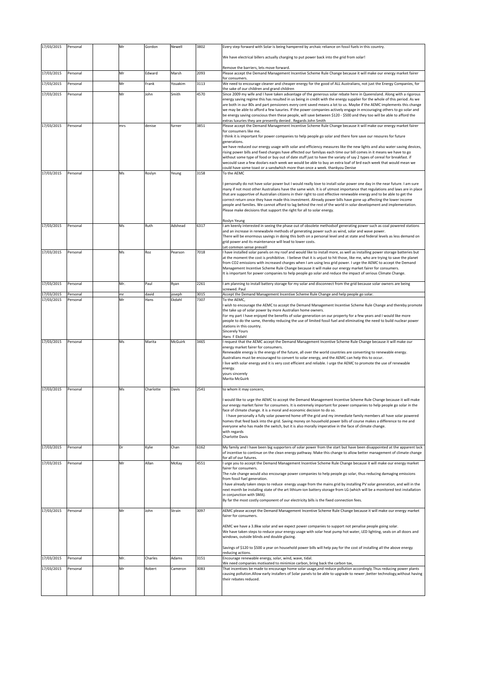| 17/03/2015 | Personal | Mr  | Gordon    | Newell  | 3802 | Every step forward with Solar is being hampered by archaic reliance on fossil fuels in this country.                                                                                                                                                                                                                                                                                                                                                                                                                                                                                                                                                                                                   |
|------------|----------|-----|-----------|---------|------|--------------------------------------------------------------------------------------------------------------------------------------------------------------------------------------------------------------------------------------------------------------------------------------------------------------------------------------------------------------------------------------------------------------------------------------------------------------------------------------------------------------------------------------------------------------------------------------------------------------------------------------------------------------------------------------------------------|
|            |          |     |           |         |      | We have electrical billers actually charging to put power back into the grid from solar!                                                                                                                                                                                                                                                                                                                                                                                                                                                                                                                                                                                                               |
|            |          |     |           |         |      | Remove the barriers, lets move forward.                                                                                                                                                                                                                                                                                                                                                                                                                                                                                                                                                                                                                                                                |
| 17/03/2015 | Personal | Mr  | Edward    | Marsh   | 2093 | Please accept the Demand Management Incentive Scheme Rule Change because it will make our energy market fairer<br>for consumers.                                                                                                                                                                                                                                                                                                                                                                                                                                                                                                                                                                       |
| 17/03/2015 | Personal | Mr  | Frank     | Youakim | 3113 | We need to encourage cleaner and cheaper energy for the good of ALL Australians, not just the Energy Companies, for<br>the sake of our children and grand children                                                                                                                                                                                                                                                                                                                                                                                                                                                                                                                                     |
| 17/03/2015 | Personal | Mr  | John      | Smith   | 4570 | Since 2009 my wife and I have taken advantage of the generous solar rebate here in Queensland. Along with a rigorous<br>energy saving regime this has resulted in us being in credit with the energy supplier for the whole of this period. As we<br>are both in our 80s and part pensioners every cent saved means a lot to us. Maybe if the AEMC implements this change                                                                                                                                                                                                                                                                                                                              |
|            |          |     |           |         |      | we may be able to afford a few luxuries. If the power companies actively engage in encouraging others to go solar and<br>be energy saving conscious then these people, will save between \$120 - \$500 and they too will be able to afford the                                                                                                                                                                                                                                                                                                                                                                                                                                                         |
| 17/03/2015 | Personal | mrs | denise    | furner  | 3851 | extras luxuries they are presently denied. Regards John Smith<br>Please accept the Demand Management Incentive Scheme Rule Change because it will make our energy market fairer                                                                                                                                                                                                                                                                                                                                                                                                                                                                                                                        |
|            |          |     |           |         |      | for consumers like me.<br>think it is important for power companies to help people go solar and there fore save our resoures for future<br>generations.                                                                                                                                                                                                                                                                                                                                                                                                                                                                                                                                                |
|            |          |     |           |         |      | we have reduced our energy usage with solar and efficiency measures like the new lights and also water saving devices,<br>rising power bills and fixed charges have affected our familyas each time our bill comes in it means we have to go<br>without some type of food or buy out of date stuff just to have the variaty of say 2 types of cereal for breakfast. if<br>wecould save a few doolars each week we would be able to buy an extra loaf of brd each week that would mean we                                                                                                                                                                                                               |
| 17/03/2015 | Personal | Ms  | Roslyn    | Yeung   | 3158 | could have some toast or a sandwhich more than once a week. thankyou Denise<br>To the AEMC                                                                                                                                                                                                                                                                                                                                                                                                                                                                                                                                                                                                             |
|            |          |     |           |         |      | personally do not have solar power but I would really love to install solar power one day in the near future. I am sure<br>many if not most other Australians have the same wish. It is of utmost importance that regulations and laws are in place<br>that are supportive of Australian citizens in their right to cost effective renewable energy and to be able to get the<br>correct return once they have made this investment. Already power bills have gone up affecting the lower income<br>people and families. We cannot afford to lag behind the rest of the world in solar development and implementation.<br>Please make decisions that support the right for all to solar energy.        |
|            |          |     |           |         |      | Roslyn Yeung                                                                                                                                                                                                                                                                                                                                                                                                                                                                                                                                                                                                                                                                                           |
| 17/03/2015 | Personal | Ms  | Ruth      | Adshead | 6317 | I am keenly interested in seeing the phase out of obsolete methodsof generating power such as coal powered stations<br>and an increase in renewabvle methods of generating power such as wind, solar and wave power.<br>There will be enormous savings in doing this both on a personal level and at state and federal levels as less demand on<br>grid power and its maintenance will lead to lower costs.                                                                                                                                                                                                                                                                                            |
| 17/03/2015 | Personal | Ms  | Roz       | Pearson | 7018 | Let common sense prevail!<br>I have installed solar panels on my roof and would like to install more, as well as installing power storage batteries but<br>at the moment the cost is prohibitive. I believe that it is unjust to hit those, like me, who are trying to save the planet                                                                                                                                                                                                                                                                                                                                                                                                                 |
|            |          |     |           |         |      | from CO2 emissions with increased charges when I am using less grid power. I urge the AEMC to accept the Demand<br>Management Incentive Scheme Rule Change because it will make our energy market fairer for consumers.<br>It is important for power companies to help people go solar and reduce the impact of serious Climate Change.                                                                                                                                                                                                                                                                                                                                                                |
| 17/03/2015 | Personal | Mr. | Paul      | Ryan    | 2261 | I am planning to install battery storage for my solar and disconnect from the grid because solar owners are being<br>screwed. Paul                                                                                                                                                                                                                                                                                                                                                                                                                                                                                                                                                                     |
| 17/03/2015 | Personal | mr  | david     | oseph   | 3015 | Accept the Demand Management Incentive Scheme Rule Change and help people go solar.                                                                                                                                                                                                                                                                                                                                                                                                                                                                                                                                                                                                                    |
| 17/03/2015 | Personal | Mr  | Hans      | Ekdahl  | 7307 | To the AEMC.<br>wish to encourage the AEMC to accept the Demand Management Incentive Scheme Rule Change and thereby promote                                                                                                                                                                                                                                                                                                                                                                                                                                                                                                                                                                            |
| 17/03/2015 | Personal | Ms  | Marita    | McGuirk | 3465 | the take up of solar power by more Australian home owners.<br>For my part I have enjoyed the benefits of solar generation on our property for a few years and I would like more<br>people to do the same, thereby reducing the use of limited fossil fuel and eliminating the need to build nuclear power<br>stations in this country.<br><b>Sincerely Yours</b><br>Hans F Ekdahl<br>request that the AEMC accept the Demand Management Incentive Scheme Rule Change because it will make our                                                                                                                                                                                                          |
|            |          |     |           |         |      | energy market fairer for consumers.<br>Renewable energy is the energy of the future, all over the world countries are converting to renewable energy.<br>Australians must be encouraged to convert to solar energy, and the AEMC can help this to occur.<br>I live with solar energy and it is very cost efficient and reliable. I urge the AEMC to promote the use of renewable<br>energy.<br>yours sincerely<br>Marita McGuirk                                                                                                                                                                                                                                                                       |
| 17/03/2015 | Personal | Ms  | Charlotte | Davis   | 2541 | to whom it may concern,                                                                                                                                                                                                                                                                                                                                                                                                                                                                                                                                                                                                                                                                                |
|            |          |     |           |         |      | would like to urge the AEMC to accept the Demand Management Incentive Scheme Rule Change because it will make<br>our energy market fairer for consumers. It is extremely important for power companies to help people go solar in the<br>face of climate change. it is a moral and economic decision to do so.<br>I have personally a fully solar powered home off the grid and my immediate family members all have solar powered<br>homes that feed back into the grid. Saving money on household power bills of course makes a difference to me and<br>everyone who has made the switch, but it is also morally imperative in the face of climate change.<br>with regards<br><b>Charlotte Davis</b> |
| 17/03/2015 | Personal | Dr  | Kylie     | Chan    | 6162 | My family and I have been big supporters of solar power from the start but have been disappointed at the apparent lack<br>of incentive to continue on the clean energy pathway. Make this change to allow better management of climate change<br>for all of our futures.                                                                                                                                                                                                                                                                                                                                                                                                                               |
| 17/03/2015 | Personal | Mr  | Allan     | McKay   | 4551 | I urge you to accept the Demand Management Incentive Scheme Rule Change because it will make our energy market<br>fairer for consumers.                                                                                                                                                                                                                                                                                                                                                                                                                                                                                                                                                                |
|            |          |     |           |         |      | The rule change would also encourage power companies to help people go solar, thus reducing damaging emissions<br>from fossil fuel generation.<br>I have already taken steps to reduce energy usage from the mains grid by installing PV solar generation, and will in the<br>next month be installing state of the art lithium-ion battery storage from LG (which will be a monitored test installation<br>in conjunction with SMA).<br>By far the most costly component of our electricity bills is the fixed connection fees.                                                                                                                                                                       |
| 17/03/2015 | Personal | Mr  | John      | Strain  | 3097 | AEMC please accept the Demand Management Incentive Scheme Rule Change because it will make our energy market<br>fairer for consumers.                                                                                                                                                                                                                                                                                                                                                                                                                                                                                                                                                                  |
|            |          |     |           |         |      | AEMC we have a 3.8kw solar and we expect power companies to support not penalise people going solar.<br>We have taken steps to reduce your energy usage with solar heat pump hot water, LED lighting, seals on all doors and<br>windows, outside blinds and double glazing.                                                                                                                                                                                                                                                                                                                                                                                                                            |
|            |          |     |           |         |      | Savings of \$120 to \$500 a year on household power bills will help pay for the cost of installing all the above energy<br>reducing actions.                                                                                                                                                                                                                                                                                                                                                                                                                                                                                                                                                           |
| 17/03/2015 | Personal | Mr. | Charles   | Adams   | 3151 | Encourage renewable energy, solar, wind, wave, tidal.<br>We need companies motivated to minimize carbon, bring back the carbon tax,                                                                                                                                                                                                                                                                                                                                                                                                                                                                                                                                                                    |
| 17/03/2015 | Personal | Mr  | Robert    | Cameron | 3083 | That incentives be made to encourage home solar usage, and reduce pollution accordingly. Thus reducing power plants<br>causing pollution. Allow early installers of Solar panels to be able to upgrade to newer, better technology, without having<br>their rebates reduced.                                                                                                                                                                                                                                                                                                                                                                                                                           |
|            |          |     |           |         |      |                                                                                                                                                                                                                                                                                                                                                                                                                                                                                                                                                                                                                                                                                                        |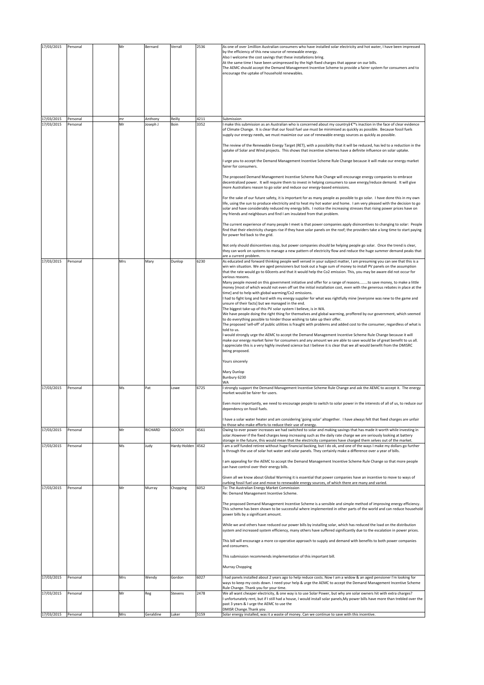| 17/03/2015 | Personal | Mr  | Bernard   | Verrall           | 2536 | As one of over 1million Australian consumers who have installed solar electricity and hot water, I have been impressed                                                                                                                                                                                                                                                                                                                                                                                                                                                                                                                                                                                                                                                                                                                                                                                                                                                                                                                                                                                                                                                                                                                                                                                                                                                                                                                                                                                                                                                                                                                                                                                                                                                               |
|------------|----------|-----|-----------|-------------------|------|--------------------------------------------------------------------------------------------------------------------------------------------------------------------------------------------------------------------------------------------------------------------------------------------------------------------------------------------------------------------------------------------------------------------------------------------------------------------------------------------------------------------------------------------------------------------------------------------------------------------------------------------------------------------------------------------------------------------------------------------------------------------------------------------------------------------------------------------------------------------------------------------------------------------------------------------------------------------------------------------------------------------------------------------------------------------------------------------------------------------------------------------------------------------------------------------------------------------------------------------------------------------------------------------------------------------------------------------------------------------------------------------------------------------------------------------------------------------------------------------------------------------------------------------------------------------------------------------------------------------------------------------------------------------------------------------------------------------------------------------------------------------------------------|
|            |          |     |           |                   |      | by the efficiency of this new source of renewable energy.<br>Also I welcome the cost savings that these installations bring.<br>At the same time I have been unimpressed by the high fixed charges that appear on our bills.<br>The AEMC should accept the Demand Management Incentive Scheme to provide a fairer system for consumers and to<br>encourage the uptake of household renewables.                                                                                                                                                                                                                                                                                                                                                                                                                                                                                                                                                                                                                                                                                                                                                                                                                                                                                                                                                                                                                                                                                                                                                                                                                                                                                                                                                                                       |
|            |          |     |           |                   |      |                                                                                                                                                                                                                                                                                                                                                                                                                                                                                                                                                                                                                                                                                                                                                                                                                                                                                                                                                                                                                                                                                                                                                                                                                                                                                                                                                                                                                                                                                                                                                                                                                                                                                                                                                                                      |
| 17/03/2015 | Personal | 'nr | Anthony   | Reilly            | 4211 | Submission                                                                                                                                                                                                                                                                                                                                                                                                                                                                                                                                                                                                                                                                                                                                                                                                                                                                                                                                                                                                                                                                                                                                                                                                                                                                                                                                                                                                                                                                                                                                                                                                                                                                                                                                                                           |
| 17/03/2015 | Personal | Mr  | Joseph J  | Boin              | 3352 | make this submission as an Australian who is concerned about my countryâ €™s inaction in the face of clear evidence<br>of Climate Change. It is clear that our fossil fuel use must be minimised as quickly as possible. Because fossil fuels<br>supply our energy needs, we must maximize our use of renewable energy sources as quickly as possible.<br>The review of the Renewable Energy Target (RET), with a possibility that it will be reduced, has led to a reduction in the<br>uptake of Solar and Wind projects. This shows that incentive schemes have a definite influence on solar uptake.<br>urge you to accept the Demand Management Incentive Scheme Rule Change because it will make our energy market<br>fairer for consumers.<br>The proposed Demand Management Incentive Scheme Rule Change will encourage energy companies to embrace<br>decentralized power. It will require them to invest in helping consumers to save energy/reduce demand. It will give<br>more Australians reason to go solar and reduce our energy-based emissions.<br>For the sake of our future safety, it is important for as many people as possible to go solar. I have done this in my own<br>life, using the sun to produce electricity and to heat my hot water and home. I am very pleased with the decision to go<br>solar and have considerably reduced my energy bills. I notice the increasing stresses that rising power prices have on<br>my friends and neighbours and find I am insulated from that problem.<br>The current experience of many people I meet is that power companies apply disincentives to changing to solar: People<br>find that their electricity charges rise if they have solar panels on the roof; the providers take a long time to start paying |
|            |          |     |           |                   |      | for power fed back to the grid.<br>Not only should disincentives stop, but power companies should be helping people go solar. Once the trend is clear,<br>they can work on systems to manage a new pattern of electricity flow and reduce the huge summer demand peaks that<br>are a current problem.                                                                                                                                                                                                                                                                                                                                                                                                                                                                                                                                                                                                                                                                                                                                                                                                                                                                                                                                                                                                                                                                                                                                                                                                                                                                                                                                                                                                                                                                                |
| 17/03/2015 | Personal | Mrs | Mary      | Dunlop            | 6230 | As educated and forward thinking people well versed in your subject matter, I am presuming you can see that this is a<br>win win situation. We are aged pensioners but took out a huge sum of money to install PV panels on the assumption<br>that the rate would go to 60cents and that it would help the Co2 emission. This, you may be aware did not occur for<br>various reasons.<br>Many people moved on this government initiative and offer for a range of reasonsto save money, to make a little<br>money [most of which would not even off set the initial installation cost, even with the generous rebates in place at the<br>time] and to help with global warming/Co2 emissions.<br>I had to fight long and hard with my energy supplier for what was rightfully mine [everyone was new to the game and<br>unsure of their facts] but we managed in the end.<br>The biggest take-up of this PV solar system I believe, is in WA.<br>We have people doing the right thing for themselves and global warming, proffered by our government, which seemed<br>to do everything possible to hinder those wishing to take up their offer.<br>The proposed 'sell-off' of public utilities is fraught with problems and added cost to the consumer, regardless of what is<br>told to us.<br>would strongly urge the AEMC to accept the Demand Management Incentive Scheme Rule Change because it will<br>make our energy market fairer for consumers and any amount we are able to save would be of great benefit to us all.<br>appreciate this is a very highly involved science but I believe it is clear that we all would benefit from the DMISRC<br>being proposed.<br>Yours sincerely<br>Mary Dunlop<br>Bunbury 6230<br>WA                                                 |
| 17/03/2015 | Personal | Ms  | Pat       | Lowe              | 6725 | I strongly support the Demand Management Incentive Scheme Rule Change and ask the AEMC to accept it. The energy<br>market would be fairer for users.<br>Even more importantly, we need to encourage people to switch to solar power in the interests of all of us, to reduce our<br>dependency on fossil fuels.<br>I have a solar water heater and am considering 'going solar' altogether. I have always felt that fixed charges are unfair                                                                                                                                                                                                                                                                                                                                                                                                                                                                                                                                                                                                                                                                                                                                                                                                                                                                                                                                                                                                                                                                                                                                                                                                                                                                                                                                         |
| 17/03/2015 | Personal | Mr  | RICHARD   | GOOCH             | 4561 | to those who make efforts to reduce their use of energy.<br>Owing to ever power increases we had switched to solar and making savings that has made it worth while investing in                                                                                                                                                                                                                                                                                                                                                                                                                                                                                                                                                                                                                                                                                                                                                                                                                                                                                                                                                                                                                                                                                                                                                                                                                                                                                                                                                                                                                                                                                                                                                                                                      |
|            |          |     |           |                   |      | solar. However if the fixed charges keep increasing such as the daily rate charge we are seriously looking at battery                                                                                                                                                                                                                                                                                                                                                                                                                                                                                                                                                                                                                                                                                                                                                                                                                                                                                                                                                                                                                                                                                                                                                                                                                                                                                                                                                                                                                                                                                                                                                                                                                                                                |
| 17/03/2015 | Personal | Ms  | Judy      | Hardy-Holden 4562 |      | storage in the future, this would mean that the electricity companies have charged them selves out of the market.<br>am a self funded retiree without huge financial backing, but I do ok, and one of the ways I make my dollars go further<br>is through the use of solar hot water and solar panels. They certainly make a difference over a year of bills.<br>am appealing for the AEMC to accept the Demand Management Incentive Scheme Rule Change so that more people<br>can have control over their energy bills.<br>Given all we know about Global Warming it is essential that power companies have an incentive to move to ways of<br>curbing fossil fuel use and move to renewable energy sources, of which there are many and varied.                                                                                                                                                                                                                                                                                                                                                                                                                                                                                                                                                                                                                                                                                                                                                                                                                                                                                                                                                                                                                                    |
| 17/03/2015 | Personal | Mr  | Murray    | Chopping          | 6052 | To: The Australian Energy Market Commission<br>Re: Demand Management Incentive Scheme.<br>The proposed Demand Management Incentive Scheme is a sensible and simple method of improving energy efficiency.<br>This scheme has been shown to be successful where implemented in other parts of the world and can reduce household<br>power bills by a significant amount.<br>While we and others have reduced our power bills by installing solar, which has reduced the load on the distribution<br>system and increased system efficiency, many others have suffered significantly due to the escalation in power prices.<br>This bill will encourage a more co-operative approach to supply and demand with benefits to both power companies<br>and consumers.<br>This submission recommends implementation of this important bill.<br>Murray Chopping                                                                                                                                                                                                                                                                                                                                                                                                                                                                                                                                                                                                                                                                                                                                                                                                                                                                                                                              |
| 17/03/2015 | Personal | Mrs | Wendy     | Gordon            | 6027 | I had panels installed about 2 years ago to help reduce costs. Now I am a widow & an aged pensioner I'm looking for                                                                                                                                                                                                                                                                                                                                                                                                                                                                                                                                                                                                                                                                                                                                                                                                                                                                                                                                                                                                                                                                                                                                                                                                                                                                                                                                                                                                                                                                                                                                                                                                                                                                  |
| 17/03/2015 | Personal | Mr  | Reg       | Stevens           | 2478 | ways to keep my costs down. I need your help & urge the AEMC to accept the Demand Management Incentive Scheme<br>Rule Change. Thank you for your time.<br>We all want cheaper electricity, & one way is to use Solar Power, but why are solar owners hit with extra charges?<br>unfortunately rent, but if I still had a house, I would install solar panels, My power bills have more than trebled over the<br>past 3 years & I urge the AEMC to use the                                                                                                                                                                                                                                                                                                                                                                                                                                                                                                                                                                                                                                                                                                                                                                                                                                                                                                                                                                                                                                                                                                                                                                                                                                                                                                                            |
|            |          |     |           |                   |      | DMISR Change. Thank you                                                                                                                                                                                                                                                                                                                                                                                                                                                                                                                                                                                                                                                                                                                                                                                                                                                                                                                                                                                                                                                                                                                                                                                                                                                                                                                                                                                                                                                                                                                                                                                                                                                                                                                                                              |
| 17/03/2015 | Personal | Mrs | Geraldine | Luker             | 5159 | Solar energy installed, was it a waste of money. Can we continue to save with this incentive.                                                                                                                                                                                                                                                                                                                                                                                                                                                                                                                                                                                                                                                                                                                                                                                                                                                                                                                                                                                                                                                                                                                                                                                                                                                                                                                                                                                                                                                                                                                                                                                                                                                                                        |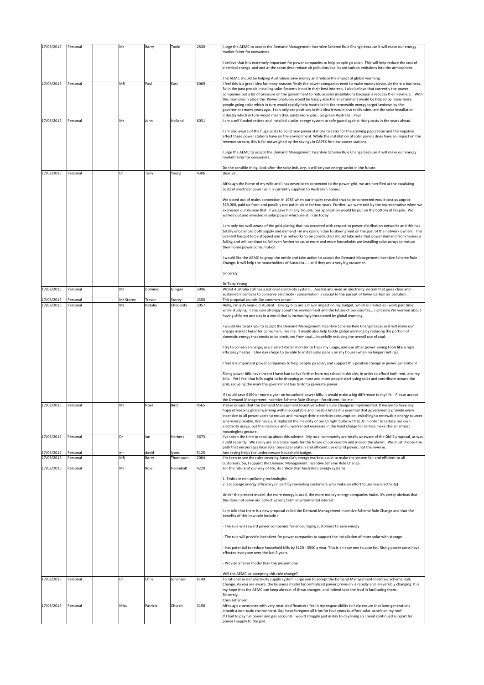| 17/03/2015               | Personal             | Mr        | Barry          | Toole             | 2830         | urge the AEMC to accept the Demand Management Incentive Scheme Rule Change because it will make our energy<br>market fairer for consumers.                                                                                                                                                                                                                                                                                                                                                                                                                                                                                                                                                                                                                                                                     |
|--------------------------|----------------------|-----------|----------------|-------------------|--------------|----------------------------------------------------------------------------------------------------------------------------------------------------------------------------------------------------------------------------------------------------------------------------------------------------------------------------------------------------------------------------------------------------------------------------------------------------------------------------------------------------------------------------------------------------------------------------------------------------------------------------------------------------------------------------------------------------------------------------------------------------------------------------------------------------------------|
|                          |                      |           |                |                   |              | believe that it is extremely important for power companies to help people go solar. This will help reduce the cost of<br>electrical energy and and at the same time reduce air pollution/coal based carbon emissions into the atmosphere.                                                                                                                                                                                                                                                                                                                                                                                                                                                                                                                                                                      |
|                          |                      |           |                |                   |              | The AEMC should be helping Australians save money and reduce the impact of global warming.                                                                                                                                                                                                                                                                                                                                                                                                                                                                                                                                                                                                                                                                                                                     |
| 17/03/2015               | Personal             | MR        | Paul           | East              | 6069         | I feel this is a great idea for many reasons firstly the power companies need to make money obviously there a business.<br>So in the past people installing solar Systems is not in their best interest I also believe that currently the power<br>companies put a lot of pressure on the government to reduce solar installations because it reduces their revenue With<br>this new idea in place the Power produces would be happy also the environment would be helped by many more<br>people going solar which in turn would rapidly help Australia hit the renewable energy target laydown by the<br>government many years ago I can only see positives in this idea it would also really stimulate the solar installation<br>ndustry which in turn would mean thousands more jobs Go green AustraliaPaul |
| 17/03/2015               | Personal             | Mr        | John           | Holland           | 6031         | am a self funded retiree and installed a solar energy system to safe-guard against rising costs in the years ahead.                                                                                                                                                                                                                                                                                                                                                                                                                                                                                                                                                                                                                                                                                            |
|                          |                      |           |                |                   |              | am also aware of the huge costs to build new power stations to cater for the growing population and the negative<br>effect these power stations have on the environment. While the installation of solar panels does have an impact on the<br>revenue stream, this is far outweighed by the savings in CAPEX for new power stations.<br>urge the AEMC to accept the Demand Management Incentive Scheme Rule Change because it will make our energy                                                                                                                                                                                                                                                                                                                                                             |
|                          |                      |           |                |                   |              | market fairer for consumers.<br>Do the sensible thing, look after the solar industry, it will be your energy savior in the future.                                                                                                                                                                                                                                                                                                                                                                                                                                                                                                                                                                                                                                                                             |
| 17/03/2015               | Personal             | Dr        | Tony           | Young             | 4306         | Dear Sir,                                                                                                                                                                                                                                                                                                                                                                                                                                                                                                                                                                                                                                                                                                                                                                                                      |
|                          |                      |           |                |                   |              | Although the home of my wife and I has never been connected to the power grid, we are horrified at the escalating<br>costs of electrical power as it is currently supplied to Australian homes.                                                                                                                                                                                                                                                                                                                                                                                                                                                                                                                                                                                                                |
|                          |                      |           |                |                   |              | We opted out of mains connection in 1985 when our inquiry revealed that to be connected would cost us approx<br>\$19,000, paid up front and possibly not put in place for two years. Further, we were told by the representative when we<br>expressed our dismay that: if we gave him any trouble, our application would be put on the bottom of his pile. We<br>walked out and invested in solar power which we still run today.                                                                                                                                                                                                                                                                                                                                                                              |
|                          |                      |           |                |                   |              | am only too well aware of the gold plating that has occurred with respect to power distribution networks and this has<br>totally unbalanced both supply and demand - in my opinion due to sheer greed on the part of the network owners. This<br>over-kill has got to be stopped and the networks to be constructed should take note that power demand from homes is<br>falling and will continue to fall even further because more and more households are installing solar arrays to reduce<br>their home power consumption.                                                                                                                                                                                                                                                                                 |
|                          |                      |           |                |                   |              | would like the AEMC to grasp the nettle and take action to accept the Demand Management Incentive Scheme Rule<br>Change. It will help the householders of Australiaand they are a very big customer.                                                                                                                                                                                                                                                                                                                                                                                                                                                                                                                                                                                                           |
|                          |                      |           |                |                   |              | Sincerely                                                                                                                                                                                                                                                                                                                                                                                                                                                                                                                                                                                                                                                                                                                                                                                                      |
| 17/03/2015               | Personal             | Mr        | Dominic        | Gilligan          | 3996         | Dr Tony Young<br>Whilst Australia still has a national electricity system, Australians need an electricity system that gives clear and                                                                                                                                                                                                                                                                                                                                                                                                                                                                                                                                                                                                                                                                         |
| 17/03/2015               | Personal             | Mr Storey | Trevor         | Storey            | 4350         | ustained incentives to conserve electricity - conservation is crucial to the pursuit of lower Carbon air pollution.<br>This proposal sounds like common sense!                                                                                                                                                                                                                                                                                                                                                                                                                                                                                                                                                                                                                                                 |
| 17/03/2015               | Personal             | Ms        | Natalia        | Chodelski         | 3057         | Hello, i'm a 25 year old student. Energy bills are a major impact on my budget, which is limited as i work part time<br>while studying. I also care strongly about the environment and the future of our countryright now i'm worried about<br>having children one day in a world that is increasingly threatened by global warming.                                                                                                                                                                                                                                                                                                                                                                                                                                                                           |
|                          |                      |           |                |                   |              | would like to ask you to accept the Demand Management Incentive Scheme Rule Change because it will make our<br>energy market fairer for consumers, like me. It would also help tackle global warming by reducing the portion of<br>domestic energy that needs to be produced from coalhopefully reducing the overall use of coal.                                                                                                                                                                                                                                                                                                                                                                                                                                                                              |
|                          |                      |           |                |                   |              | try to conserve energy, use a smart meter monitor to track my usage, and use other power saving tools like a high<br>efficiency heater. One day i hope to be able to install solar panels on my house (when no longer renting).                                                                                                                                                                                                                                                                                                                                                                                                                                                                                                                                                                                |
|                          |                      |           |                |                   |              | feel it is important power companies to help people go solar, and support this positive change in power generation!                                                                                                                                                                                                                                                                                                                                                                                                                                                                                                                                                                                                                                                                                            |
|                          |                      |           |                |                   |              | Rising power bills have meant I have had to live farther from my school in the city, in order to afford both rent, and my<br>bills. Yet i feel that bills ought to be dropping as more and more people start using solar and contribute toward the<br>grid, reducing the work the government has to do to generate power.                                                                                                                                                                                                                                                                                                                                                                                                                                                                                      |
|                          |                      |           |                |                   |              | If i could save \$150 or more a year on household power bills, it would make a big difference to my life. Please accept<br>the Demand Management Incentive Scheme Rule Change - for citizens like me.                                                                                                                                                                                                                                                                                                                                                                                                                                                                                                                                                                                                          |
| 17/03/2015               | Personal             | Mr        | Noel           | Bird              | 4565         | Please ensure that the Demand Management Incentive Scheme Rule Change is implemented. If we are to have any<br>hope of keeping global warming within acceptable and liveable limits it is essential that governments provide every<br>incentive to all power users to reduce and manage their electricity consumption, switching to renewable energy sources<br>wherever possible. We have just replaced the majority of our CF light bulbs with LEDs in order to reduce our own<br>electricity usage, but the insidious and unwarranted increases in the fixed charge for service make this an almost                                                                                                                                                                                                         |
| 17/03/2015               | Personal             | Dr        | lan            | Herbert           | 3673         | meaningless gesture.<br>'ve taken the time to read up about this scheme. My rural community are totally unaware of the DMIS proposal, as was<br>until recently. We really are at a cross-roads for the future of our country and indeed the planet. We must choose the<br>path that encourages local solar based generation and efficient use of grid power, not the reverse.                                                                                                                                                                                                                                                                                                                                                                                                                                  |
| 17/03/2015<br>17/03/2015 | Personal<br>Personal | mr<br>ΜR  | david<br>Barry | lyons<br>Thompson | 5125<br>2064 | Any saving helps the underpresure household budget.<br>'m keen to see the rules covering Australia's energy markets assist to make the system fair and efficient to all                                                                                                                                                                                                                                                                                                                                                                                                                                                                                                                                                                                                                                        |
| 17/03/2015               | Personal             | Mr        | Ross           | Honniball         | 4220         | customers. So, I support the Demand Management Incentive Scheme Rule Change.<br>For the future of our way of life, its critical that Australia's energy systems :                                                                                                                                                                                                                                                                                                                                                                                                                                                                                                                                                                                                                                              |
|                          |                      |           |                |                   |              | 1. Embrace non-polluting technologies<br>2. Encourage energy efficiency (in part by rewarding customers who make an effort to use less electricity)                                                                                                                                                                                                                                                                                                                                                                                                                                                                                                                                                                                                                                                            |
|                          |                      |           |                |                   |              | Under the present model, the more energy is used, the more money energy companies make. It's pretty obvious that<br>this does not serve our collective long term environmental interest.                                                                                                                                                                                                                                                                                                                                                                                                                                                                                                                                                                                                                       |
|                          |                      |           |                |                   |              | am told that there is a new proposal called the Demand Management Incentive Scheme Rule Change and that the<br>benefits of this new rule include :                                                                                                                                                                                                                                                                                                                                                                                                                                                                                                                                                                                                                                                             |
|                          |                      |           |                |                   |              | The rule will reward power companies for encouraging customers to save energy                                                                                                                                                                                                                                                                                                                                                                                                                                                                                                                                                                                                                                                                                                                                  |
|                          |                      |           |                |                   |              | The rule will provide incentives for power companies to support the installation of more solar with storage                                                                                                                                                                                                                                                                                                                                                                                                                                                                                                                                                                                                                                                                                                    |
|                          |                      |           |                |                   |              | Has potential to reduce household bills by \$120 - \$500 a year. This is an easy one to vote for. Rising power costs have<br>effected everyone over the last 5 years.                                                                                                                                                                                                                                                                                                                                                                                                                                                                                                                                                                                                                                          |
|                          |                      |           |                |                   |              | Provide a fairer model than the present one                                                                                                                                                                                                                                                                                                                                                                                                                                                                                                                                                                                                                                                                                                                                                                    |
| 17/03/2015               | Personal             | Dr        | Chris          | Johansen          | 6149         | Will the AEMC be accepting this rule change?<br>To rationalize our electricity supply system I urge you to accept the Demand Management Incentive Scheme Rule<br>Change. As you are aware, the business model for centralized power provision is rapidly and irreversibly changing. It is<br>my hope that the AEMC can keep abreast of these changes, and indeed take the lead in facilitating them.<br>Sincerely,                                                                                                                                                                                                                                                                                                                                                                                             |
| 17/03/2015               | Personal             | Miss      | Patricia       | Church            | 3196         | Chris Johansen<br>Although a pensioner with very restricted finances I feel it my responsibility to help ensure that later generations                                                                                                                                                                                                                                                                                                                                                                                                                                                                                                                                                                                                                                                                         |
|                          |                      |           |                |                   |              | inhabit a non-toxic environment. So,I have foregone all trips for four years to afford solar panels on my roof.<br>If I had to pay full power and gas accounts I would struggle just in day to day living so I need continued support for<br>power I supply to the grid.                                                                                                                                                                                                                                                                                                                                                                                                                                                                                                                                       |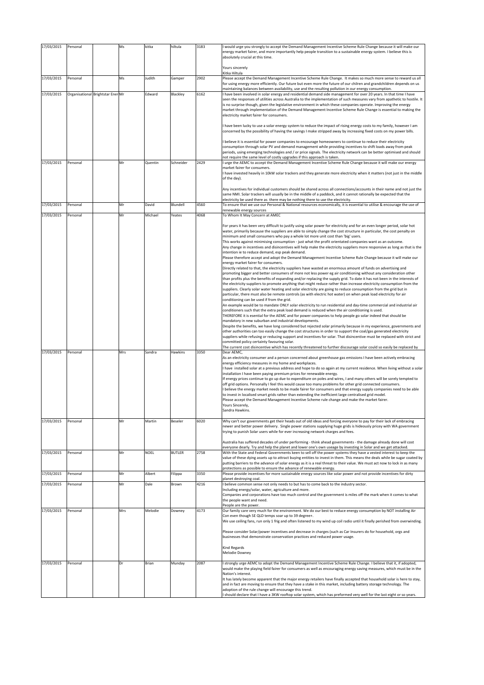| 17/03/2015 | Personal                          | Ms  | kitka       | hiltula       | 3183 | would urge you strongly to accept the Demand Management Incentive Scheme Rule Change because it will make our<br>energy market fairer, and more importantly help people transition to a sustainable energy system. I believe this is<br>absolutely crucial at this time.                                                                                  |
|------------|-----------------------------------|-----|-------------|---------------|------|-----------------------------------------------------------------------------------------------------------------------------------------------------------------------------------------------------------------------------------------------------------------------------------------------------------------------------------------------------------|
|            |                                   |     |             |               |      | Yours sincerely                                                                                                                                                                                                                                                                                                                                           |
| 17/03/2015 | Personal                          | Ms  | Judith      | Gamper        | 2902 | Kitka Hiltula<br>Please accept the Demand Management Incentive Scheme Rule Change. It makes so much more sense to reward us all<br>for using energy more efficiently. Our future but even more the future of our chilren and grandchildren depends on us                                                                                                  |
| 17/03/2015 | Organisational Brightstar Ener Mr |     | Edward      | Blackley      | 6162 | maintaining balances between availability, use and the resulting pollution in our energy consumption.<br>I have been involved in solar energy and residential demand side management for over 20 years. In that time I have<br>seen the responses of utilities across Australia to the implementation of such measures vary from apathetic to hostile. It |
|            |                                   |     |             |               |      | is no surprise though, given the legislative environment in which these companies operate. Improving the energy<br>market through implementation of the Demand Management Incentive Scheme Rule Change is essential to making the<br>electricity market fairer for consumers.                                                                             |
|            |                                   |     |             |               |      | I have been lucky to use a solar energy system to reduce the impact of rising energy costs to my family, however I am<br>concerned by the possibility of having the savings I make stripped away by increasing fixed costs on my power bills.                                                                                                             |
|            |                                   |     |             |               |      | believe it is essential for power companies to encourage homeowners to continue to reduce their electricity<br>consumption through solar PV and demand management while providing incentives to shift loads away from peak                                                                                                                                |
|            |                                   |     |             |               |      | periods, using emerging technologies and / or price signals. The electricity network can be better optimised and should<br>not require the same level of costly upgrades if this approach is taken.                                                                                                                                                       |
| 17/03/2015 | Personal                          | Mr  | Quentin     | Schneider     | 2429 | I urge the AEMC to accept the Demand Management Incentive Scheme Rule Change because it will make our energy<br>market fairer for consumers.<br>I have invested heavily in 10kW solar trackers and they generate more electricity when it matters (not just in the middle<br>of the day).                                                                 |
|            |                                   |     |             |               |      | Any incentives for individual customers should be shared across all connections/accounts in their name and not just the<br>same NMI. Solar trackers will usually be in the middle of a paddock, and it cannot rationally be expected that the                                                                                                             |
| 17/03/2015 | Personal                          | Mr  | David       | Blundell      | 4560 | electricity be used there as there may be nothing there to use the electricity.<br>To ensure that we use our Personal & National resources economically, it is essential to utilise & encourage the use of                                                                                                                                                |
| 17/03/2015 | Personal                          | Mr  | Michael     | Yeates        | 4068 | renewable energy sources<br>To Whom It May Concern at AMEC                                                                                                                                                                                                                                                                                                |
|            |                                   |     |             |               |      | For years it has been very difficult to justify using solar power for electricity and for an even longer period, solar hot                                                                                                                                                                                                                                |
|            |                                   |     |             |               |      | water, primarily because the suppliers are able to simply change the cost structure in particular, the cost penalty on                                                                                                                                                                                                                                    |
|            |                                   |     |             |               |      | minimum and small consumers who pay a whole lot more unit cost than 'big' users.<br>This works against minimising consumption - just what the profit orientated companies want as an outcome.                                                                                                                                                             |
|            |                                   |     |             |               |      | Any change in incentives and disincentives will help make the electricity suppliers more responsive as long as that is the<br>intention ie to reduce demand, esp peak demand.                                                                                                                                                                             |
|            |                                   |     |             |               |      | Please therefore accept and adopt the Demand Management Incentive Scheme Rule Change because it will make our<br>energy market fairer for consumers.                                                                                                                                                                                                      |
|            |                                   |     |             |               |      | Directly related to that, the electricity suppliers have wasted an enormous amount of funds on advertising and                                                                                                                                                                                                                                            |
|            |                                   |     |             |               |      | promoting bigger and better consumers of more not less power eg air conditioning without any consideration other<br>than profits plus the benefits of expanding and/or replacing the supply grid. To date it has not been in the interests of                                                                                                             |
|            |                                   |     |             |               |      | the electricity suppliers to promote anything that might reduce rather than increase electricity consumption from the<br>suppliers. Clearly solar water heating and solar electricity are going to reduce consumption from the grid but in                                                                                                                |
|            |                                   |     |             |               |      | particular, there must also be remote controls (as with electric hot water) on when peak load electricity for air<br>conditioning can be used if from the grid.                                                                                                                                                                                           |
|            |                                   |     |             |               |      | An example would be to mandate ONLY solar electricity to run residential and day-time commercial and industrial air<br>conditioners such that the extra peak load demand is reduced when the air conditioning is used.                                                                                                                                    |
|            |                                   |     |             |               |      | THEREFORE it is esential for the AEMC and for power companies to help people go solar indeed that should be                                                                                                                                                                                                                                               |
|            |                                   |     |             |               |      | mandatory in new suburban and industrial developments.<br>Despite the benefits, we have long considered but rejected solar primarily because in my experience, governments and                                                                                                                                                                            |
|            |                                   |     |             |               |      | other authorities can too easily change the cost structures in order to support the coal/gas generated electricity<br>suppliers while refusing or reducing support and incentives for solar. That disincentive must be replaced with strict and                                                                                                           |
|            |                                   |     |             |               |      | committed policy certainty favouring solar.<br>The current cost disincentive which has recently threatened to further discourage solar could so easily be replaced by                                                                                                                                                                                     |
| 17/03/2015 | Personal                          | Mrs | Sandra      | Hawkins       | 3350 | Dear AEMC,<br>As an electricity consumer and a person concerned about greenhouse gas emissions I have been actively embracing                                                                                                                                                                                                                             |
|            |                                   |     |             |               |      | energy efficiency measures in my home and workplaces.                                                                                                                                                                                                                                                                                                     |
|            |                                   |     |             |               |      | I have installed solar at a previous address and hope to do so again at my current residence. When living without a solar<br>installation I have been paying premium prices for renewable energy.                                                                                                                                                         |
|            |                                   |     |             |               |      | If energy prices continue to go up due to expenditure on poles and wires, I and many others will be sorely tempted to<br>off grid options. Personally I feel this would cause too many problems for other grid connected consumers.                                                                                                                       |
|            |                                   |     |             |               |      | I believe the energy market needs to be made fairer for consumers and that energy supply companies need to be able<br>to invest in localised smart grids rather than extending the inefficient large centralised grid model.                                                                                                                              |
|            |                                   |     |             |               |      | Please accept the Demand Management Incentive Scheme rule change and make the market fairer.                                                                                                                                                                                                                                                              |
|            |                                   |     |             |               |      | Yours Sincerely,<br>Sandra Hawkins.                                                                                                                                                                                                                                                                                                                       |
| 17/03/2015 | Personal                          | Mr  | Martin      | Beseler       | 6020 | Why can't our governments get their heads out of old ideas and forcing everyone to pay for their lack of embracing                                                                                                                                                                                                                                        |
|            |                                   |     |             |               |      | newer and better power delivery. Single power stations supplying huge grids is hideously pricey with WA government<br>trying to punish Solar users while for ever increasing network charges and fees.                                                                                                                                                    |
|            |                                   |     |             |               |      | Australia has suffered decades of under performing - think ahead governments - the damage already done will cost<br>everyone dearly. Try and help the planet and lower one's own useage by investing in Solar and we get attacked.                                                                                                                        |
| 17/03/2015 | Personal                          | Mr  | <b>NOEL</b> | <b>BUTLER</b> | 2758 | With the State and Federal Governments keen to sell off the power systems they have a vested interest to keep the<br>value of these dying assets up to attract buying entities to invest in them. This means the deals while be sugar coated by                                                                                                           |
|            |                                   |     |             |               |      | putting barriers to the advance of solar energy as it is a real threat to their value. We must act now to lock in as many                                                                                                                                                                                                                                 |
| 17/03/2015 | Personal                          | Mr  | Albert      | Filippa       | 3350 | protections as possible to ensure the advance of renewable energy.<br>Please provide incentives for more sustainable energy sources like solar power and not provide incentives for dirty                                                                                                                                                                 |
| 17/03/2015 | Personal                          | Mr  | Dale        | Brown         | 4216 | planet destroying coal.<br>believe common sense not only needs to but has to come back to the industry sector.                                                                                                                                                                                                                                            |
|            |                                   |     |             |               |      | Including energy/solar, water, agriculture and more.<br>Companies and corporations have too much control and the government is miles off the mark when it comes to what                                                                                                                                                                                   |
|            |                                   |     |             |               |      | the people want and need.<br>People are the power.                                                                                                                                                                                                                                                                                                        |
| 17/03/2015 | Personal                          | Mrs | Melodie     | Downey        | 4173 | Our family care very much for the environment. We do our best to reduce energy consumption by NOT installing Air                                                                                                                                                                                                                                          |
|            |                                   |     |             |               |      | Con even though SE QLD temps soar up to 39 degree+.<br>We use ceiling fans, run only 1 frig and often listened to my wind up coil radio until it finally perished from overwinding.                                                                                                                                                                       |
|            |                                   |     |             |               |      | Please consider Solar/power incentives and decrease in charges (such as Car Insurers do for household, orgs and                                                                                                                                                                                                                                           |
|            |                                   |     |             |               |      | businesses that demonstrate conservation practices and reduced power usage.                                                                                                                                                                                                                                                                               |
|            |                                   |     |             |               |      | Kind Regards<br>Melodie Downey                                                                                                                                                                                                                                                                                                                            |
| 17/03/2015 | Personal                          | Dr  | Brian       | Munday        | 2087 | strongly urge AEMC to adopt the Demand Management Incentive Scheme Rule Change. I believe that it, if adopted,<br>would make the playing field fairer for consumers as well as encouraging energy saving measures, which must be in the<br>Nation's interest.                                                                                             |
|            |                                   |     |             |               |      | It has lately become apparent that the major energy retailers have finally accepted that household solar is here to stay,<br>and in fact are moving to ensure that they have a stake in this market, including battery storage technology. The                                                                                                            |
|            |                                   |     |             |               |      | adoption of the rule change will encourage this trend.<br>should declare that I have a 3KW rooftop solar system, which has preformed very well for the last eight or so years.                                                                                                                                                                            |
|            |                                   |     |             |               |      |                                                                                                                                                                                                                                                                                                                                                           |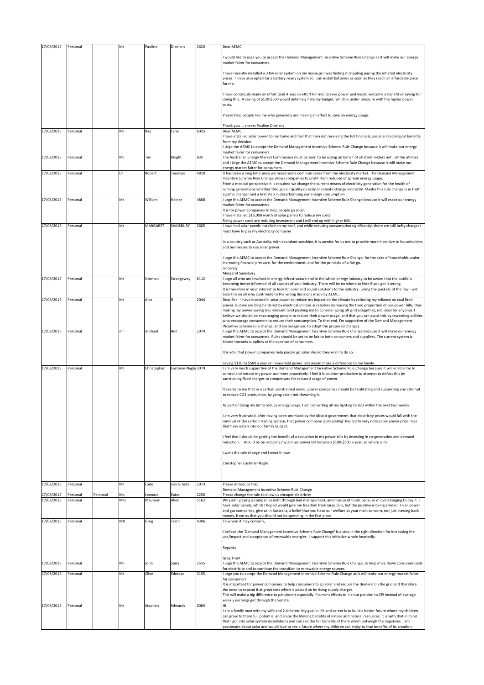| 17/03/2015 | Personal |          | Ms  | Pauline     | Dikmans            | 2620 | Dear AEMC                                                                                                                                                                                                                                                                                                                                                                                                                                                                                          |
|------------|----------|----------|-----|-------------|--------------------|------|----------------------------------------------------------------------------------------------------------------------------------------------------------------------------------------------------------------------------------------------------------------------------------------------------------------------------------------------------------------------------------------------------------------------------------------------------------------------------------------------------|
|            |          |          |     |             |                    |      | I would like to urge you to accept the Demand Management Incentive Scheme Rule Change as it will make our energy<br>market fairer for consumers.                                                                                                                                                                                                                                                                                                                                                   |
|            |          |          |     |             |                    |      |                                                                                                                                                                                                                                                                                                                                                                                                                                                                                                    |
|            |          |          |     |             |                    |      | I have recently installed a 3 Kw solar system on my house, as I was finding it crippling paying the inflated electricity<br>prices. I have also opted for a battery-ready system so I can install batteries as soon as they reach an affordable price<br>for me.                                                                                                                                                                                                                                   |
|            |          |          |     |             |                    |      | have conciously made an effort (and it was an effort for me) to save power and would welcome a benefit or saving for<br>doing this. A saving of \$120-\$500 would definitely help my budget, which is under pressure with the higher power<br>costs.                                                                                                                                                                                                                                               |
|            |          |          |     |             |                    |      | Please help people like me who genuinely are making an effort to save on energy usage.                                                                                                                                                                                                                                                                                                                                                                                                             |
| 17/03/2015 | Personal |          | Mr  | Ray         | Lane               | 6025 | Thank you  cheers Pauline Dikmans<br>Dear AEMC.                                                                                                                                                                                                                                                                                                                                                                                                                                                    |
|            |          |          |     |             |                    |      | have installed solar power to my home and fear that I am not receiving the full financial, social and ecological benefits                                                                                                                                                                                                                                                                                                                                                                          |
|            |          |          |     |             |                    |      | from my decision.<br>I Urge the AEMC to accept the Demand Management Incentive Scheme Rule Change because it will make our energy                                                                                                                                                                                                                                                                                                                                                                  |
| 17/03/2015 | Personal |          | Mr  | Tim         | Knight             | 835  | market fairer for consumers.<br>The Australian Energy Market Commission must be seen to be acting on behalf of all stakeholders not just the utilities                                                                                                                                                                                                                                                                                                                                             |
|            |          |          |     |             |                    |      | and I Urge the AEMC to accept the Demand Management Incentive Scheme Rule Change because it will make our<br>energy market fairer for consumers.                                                                                                                                                                                                                                                                                                                                                   |
| 17/03/2015 | Personal |          | Dr  | Robert      | Teunisse           | 4810 | It has been a long time since we heard some common sense from the electricity market. The Demand Management<br>Incentive Scheme Rule Change allows companies to profit from reduced or spread energy usage.                                                                                                                                                                                                                                                                                        |
|            |          |          |     |             |                    |      | From a medical perspective it is required we change the current means of electricity generation for the health of<br>coming generations whether through air quality directly or climate change indirectly. Maybe this rule change is in truth                                                                                                                                                                                                                                                      |
| 17/03/2015 | Personal |          | Mr  | William     | Heiner             | 4868 | a game changer and a first step in decarbonising our energy consumption<br>I urge the AEMC to accept the Demand Management Incentive Scheme Rule Change because it will make our energy                                                                                                                                                                                                                                                                                                            |
|            |          |          |     |             |                    |      | market fairer for consumers.<br>It is for power companies to help people go solar.                                                                                                                                                                                                                                                                                                                                                                                                                 |
|            |          |          |     |             |                    |      | I have installed \$16,000 worth of solar panels to reduce my costs.<br>Rising power costs are reducing investment and I will end up with higher bills.                                                                                                                                                                                                                                                                                                                                             |
| 17/03/2015 | Personal |          | Ms  | MARGARET    | SAINSBURY          | 2605 | I have had solar panels installed on my roof, and while reducing consumption significantly, there are still hefty charges I                                                                                                                                                                                                                                                                                                                                                                        |
|            |          |          |     |             |                    |      | must have to pay my electricity company.                                                                                                                                                                                                                                                                                                                                                                                                                                                           |
|            |          |          |     |             |                    |      | In a country such as Australia, with abundant sunshine, it is unwise for us not to provide more incentive to householders<br>and businesses to use solar power.                                                                                                                                                                                                                                                                                                                                    |
|            |          |          |     |             |                    |      | urge the AEMC to accept the Demand Management Incentive Scheme Rule Change, for the sake of households under<br>increasing financial pressure, for the environment, and for the principle of a fair go.                                                                                                                                                                                                                                                                                            |
|            |          |          |     |             |                    |      | Sincerely                                                                                                                                                                                                                                                                                                                                                                                                                                                                                          |
| 17/03/2015 | Personal |          | Mr  | Norman      | Strangeway         | 6112 | Margaret Sainsbury<br>I urge all who are involved in energy infrastructure and in the whole energy industry to be aware that the public is                                                                                                                                                                                                                                                                                                                                                         |
|            |          |          |     |             |                    |      | becoming better informed of all aspects of your industry. There will be no where to hide if you get it wrong.<br>It is therefore in your interest to look for solid and sound solutions to the industry. Lining the pockets of the few - will                                                                                                                                                                                                                                                      |
| 17/03/2015 | Personal |          | Mr  | Alex        |                    | 2044 | back fire on all who contribute to the wrong decisions made by AEMC.<br>Dear Sirs - I have invested in solar power to reduce my impact on the climate by reducing my reliance on coal fired                                                                                                                                                                                                                                                                                                        |
|            |          |          |     |             |                    |      | power. But we are bing hindered by electrical utilities & retailers increasing the fixed proportion of our power bills, thus<br>making my power saving less relevant (and pushing me to consider going off grid altogether, not ideal for anyone). I                                                                                                                                                                                                                                               |
|            |          |          |     |             |                    |      | believe we should be encouraging people to reduce their power usage, and that you can assist this by rewarding utilities                                                                                                                                                                                                                                                                                                                                                                           |
|            |          |          |     |             |                    |      | who encourage consumers to reduce their consumption. To that end, I'm supportive of the Demand Management<br>Ncentive scheme rule change, and encourage you to adopt the proposed changes.                                                                                                                                                                                                                                                                                                         |
| 17/03/2015 | Personal |          | mr  | michael     | Bull               | 2074 | I urge the AEMC to accept the Demand Management Incentive Scheme Rule Change because it will make our energy<br>market fairer for consumers. Rules should be set to be fair to both consumers and suppliers. The current system is                                                                                                                                                                                                                                                                 |
|            |          |          |     |             |                    |      | biased towards suppliers at the expense of consumers.                                                                                                                                                                                                                                                                                                                                                                                                                                              |
|            |          |          |     |             |                    |      | It is vital that power companies help people go solar should they wish to do so.                                                                                                                                                                                                                                                                                                                                                                                                                   |
| 17/03/2015 | Personal |          | Mr  | Christopher | Eastman-Nagle 3079 |      | Saving \$120 to \$500 a year on household power bills would make a difference to my family.<br>I am very much supportive of the Demand Management Incentive Scheme Rule Change because it will enable me to                                                                                                                                                                                                                                                                                        |
|            |          |          |     |             |                    |      | control and reduce my power use more proactively. I feel it is counter-productive to attempt to defeat this by<br>sanctioning fixed charges to compensate for reduced usage of power                                                                                                                                                                                                                                                                                                               |
|            |          |          |     |             |                    |      | It seems to me that in a carbon constrained world, power companies should be facilitating and supporting any attempt                                                                                                                                                                                                                                                                                                                                                                               |
|            |          |          |     |             |                    |      | to reduce CO2 production, by going solar; not thwarting it.                                                                                                                                                                                                                                                                                                                                                                                                                                        |
|            |          |          |     |             |                    |      | As part of doing my bit to reduce energy usage, I am converting all my lighting to LED within the next two weeks.                                                                                                                                                                                                                                                                                                                                                                                  |
|            |          |          |     |             |                    |      | am very frustrated, after having been promised by the Abbott government that electricity prices would fall with the                                                                                                                                                                                                                                                                                                                                                                                |
|            |          |          |     |             |                    |      | removal of the carbon trading system, that power company 'gold plating' has led to very noticeable power price rises<br>that have eaten into our family budget.                                                                                                                                                                                                                                                                                                                                    |
|            |          |          |     |             |                    |      | feel that I should be getting the benefit of a reduction in my power bills by investing in co-generation and demand<br>reduction. I should be be reducing my annual power bill between \$100-\$500 a year, so where is it?                                                                                                                                                                                                                                                                         |
|            |          |          |     |             |                    |      | want the rule change and I want it now.                                                                                                                                                                                                                                                                                                                                                                                                                                                            |
|            |          |          |     |             |                    |      | Christopher Eastman-Nagle                                                                                                                                                                                                                                                                                                                                                                                                                                                                          |
|            |          |          |     |             |                    |      |                                                                                                                                                                                                                                                                                                                                                                                                                                                                                                    |
| 17/03/2015 | Personal |          | Mr  | Lode        | van Grootel        | 2073 | Please introduce the:                                                                                                                                                                                                                                                                                                                                                                                                                                                                              |
| 17/03/2015 | Personal | Personal | Mr. | Leonard     | Eaton              | 2250 | Demand Management Incentive Scheme Rule Change<br>Please change the rule to allow us cheaper electricity                                                                                                                                                                                                                                                                                                                                                                                           |
| 17/03/2015 | Personal |          | Mrs | Maureen     | Allen              | 5162 | Why am I paying a companies debt through bad management, and misuse of funds because of overcharging to pay it. I<br>have solar panels, which I hoped would give me freedom from large bills, but the positive is being eroded. To all power                                                                                                                                                                                                                                                       |
|            |          |          |     |             |                    |      | and gas companies, give us in Australia, a belief that you have our welfare as your main concern, not just clawing back<br>money, from us that you should not be spending in the first place                                                                                                                                                                                                                                                                                                       |
| 17/03/2015 | Personal |          | ΜR  | Greg        | Trent              | 4306 | To whom it may concern,                                                                                                                                                                                                                                                                                                                                                                                                                                                                            |
|            |          |          |     |             |                    |      | believe the 'Demand Management Incentive Scheme Rule Change' is a step in the right direction for increasing the<br>use/impact and acceptance of renewable energies. I support this initiative whole heartedly.                                                                                                                                                                                                                                                                                    |
|            |          |          |     |             |                    |      | Regards                                                                                                                                                                                                                                                                                                                                                                                                                                                                                            |
|            |          |          |     |             |                    |      | <b>Greg Trent</b>                                                                                                                                                                                                                                                                                                                                                                                                                                                                                  |
| 17/03/2015 | Personal |          | Mr  | John        | Spira              | 2515 | I urge the AEMC to accept the Demand Management Incentive Scheme Rule Change, to help drive down consumer costs<br>for electricity and to continue the transition to renewable energy sources.                                                                                                                                                                                                                                                                                                     |
| 17/03/2015 | Personal |          | Mr  | Clive       | Edmead             | 3155 | I urge you to accept the Demand Management Incentive Scheme Rule Change as it will make our energy market fairer<br>for consumers.                                                                                                                                                                                                                                                                                                                                                                 |
|            |          |          |     |             |                    |      | It is important for power companies to help consumers to go solar and reduce the demand on the grid and therefore<br>the need to expand it at great cost which is passed on by rising supply charges.                                                                                                                                                                                                                                                                                              |
|            |          |          |     |             |                    |      | This will make a big difference to pensioners especially if current efforts to tie our pension to CPI instead of average<br>weekly earnings get through the Senate.                                                                                                                                                                                                                                                                                                                                |
| 17/03/2015 | Personal |          | Mr  | Stephen     | Edwards            | 6065 | Hi                                                                                                                                                                                                                                                                                                                                                                                                                                                                                                 |
|            |          |          |     |             |                    |      | I am a family man with my wife and 2 children. My goal in life and career is to build a better future where my children<br>can grow to there full potential and enjoy the lifelong benefits of nature and natural resources. It is with that in mind<br>that I got into solar system installations and can see the full benefits of them which outweigh the negatives. I am<br>passionate about solar and would love to see a future where my children can enjoy to true benefits of its creation. |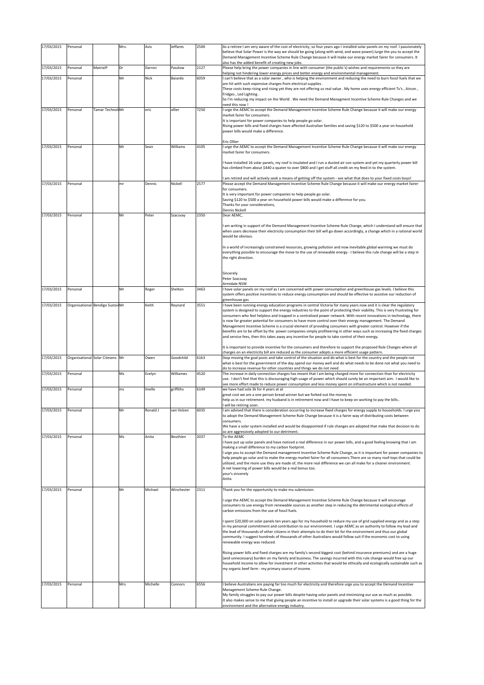| 17/03/2015 | Personal |                                  | Mrs. | Avis     | Jeffares   | 2500 | As a retiree I am very aware of the cost of electricity, so four years ago I installed solar panels on my roof. I passionately                                                                                                                                                              |
|------------|----------|----------------------------------|------|----------|------------|------|---------------------------------------------------------------------------------------------------------------------------------------------------------------------------------------------------------------------------------------------------------------------------------------------|
|            |          |                                  |      |          |            |      | believe that Solar Power is the way we should be going (along with wind, and wave power). lurge the you to accept the<br>Demand Management Incentive Scheme Rule Change because it will make our energy market fairer for consumers. It<br>also has the added benefit of creating new jobs. |
| 17/03/2015 | Personal | MatrixIP                         | Dr   | Darron   | Passlow    | 2127 | Please help bring the power companies in line with consumer (the public's) wishes and requirements so they are                                                                                                                                                                              |
| 17/03/2015 | Personal |                                  | Mr   | Nick     | Baiardo    | 6059 | helping not hindering lower energy prices and better energy and environmental management.<br>I can't believe that as a solar owner, who is helping the environment and reducing the need to burn fossil fuels that we                                                                       |
|            |          |                                  |      |          |            |      | are hit with such expensive charges from electrical supplies.<br>These costs keep rising and rising yet they are not offering us real value . My home uses energy efficient Tv's, Aircon,                                                                                                   |
|            |          |                                  |      |          |            |      | Fridges, Led Lighting.<br>So I'm reducing my impact on the World . We need the Demand Managment Incentive Scheme Rule Changes and we                                                                                                                                                        |
| 17/03/2015 | Personal | Tamar Technol Mr                 |      | eric     | ollier     | 7250 | need this now !<br>I urge the AEMC to accept the Demand Management Incentive Scheme Rule Change because it will make our energy                                                                                                                                                             |
|            |          |                                  |      |          |            |      | market fairer for consumers.<br>It is important for power companies to help people go solar.                                                                                                                                                                                                |
|            |          |                                  |      |          |            |      | Rising power bills and fixed charges have affected Australian families and saving \$120 to \$500 a year on household                                                                                                                                                                        |
|            |          |                                  |      |          |            |      | power bills would make a difference.                                                                                                                                                                                                                                                        |
| 17/03/2015 | Personal |                                  | Mr   | Sean     | Williams   | 4105 | Eric Ollier<br>I urge the AEMC to accept the Demand Management Incentive Scheme Rule Change because it will make our energy                                                                                                                                                                 |
|            |          |                                  |      |          |            |      | market fairer for consumers.                                                                                                                                                                                                                                                                |
|            |          |                                  |      |          |            |      | I have installed 16 solar panels, my roof is insulated and I run a ducted air con system and yet my quarterly power bill<br>has climbed from about \$440 a quater to over \$800 and I get stuff all credit on my feed in to the system.                                                     |
|            |          |                                  |      |          |            |      | am retired and will actively seek a means of getting off the system - see what that does to your fixed costs boyo!                                                                                                                                                                          |
| 17/03/2015 | Personal |                                  | mr   | Dennis   | Nickell    | 2577 | Please accept the Demand Management Incentive Scheme Rule Change because it will make our energy market fairer<br>for consumers.                                                                                                                                                            |
|            |          |                                  |      |          |            |      | It is very important for power companies to help people go solar.<br>Saving \$120 to \$500 a year on household power bills would make a difference for you.                                                                                                                                 |
|            |          |                                  |      |          |            |      | Thanks for your considerations,                                                                                                                                                                                                                                                             |
| 17/03/2015 | Personal |                                  | Mr   | Peter    | Szacsvay   | 2350 | <b>Dennis Nickell</b><br>Dear AEMC,                                                                                                                                                                                                                                                         |
|            |          |                                  |      |          |            |      | I am writing in support of the Demand Management Incentive Scheme Rule Change, which I understand will ensure that                                                                                                                                                                          |
|            |          |                                  |      |          |            |      | when users decrease their electricity consumption their bill will go down accordingly, a change which in a rational world<br>would be obvious.                                                                                                                                              |
|            |          |                                  |      |          |            |      | In a world of increasingly constrained resources, growing pollution and now inevitable global warming we must do                                                                                                                                                                            |
|            |          |                                  |      |          |            |      | everything possible to encourage the move to the use of renewable energy - I believe this rule change will be a step in<br>the right direction.                                                                                                                                             |
|            |          |                                  |      |          |            |      |                                                                                                                                                                                                                                                                                             |
|            |          |                                  |      |          |            |      | Sincerely<br>Peter Szacsvay                                                                                                                                                                                                                                                                 |
|            |          |                                  |      |          |            |      | Armidale NSW                                                                                                                                                                                                                                                                                |
| 17/03/2015 | Personal |                                  | Mr   | Roger    | Shelton    | 3463 | I have solar panels on my roof as I am concerned with power consumption and greenhouse gas levels. I believe this<br>system offers positive incentives to reduce energy consumption and should be effective to assistive our reduction of                                                   |
| 17/03/2015 |          | Organisational Bendigo SustainMr |      | Keith    | Reynard    | 3551 | greenhouse gas<br>I have been running energy education programs in central Victoria for many years now and it is clear the regulatory                                                                                                                                                       |
|            |          |                                  |      |          |            |      | system is designed to support the energy industries to the point of protecting their viability. This is very frustrating for<br>consumers who feel helpless and trapped in a centralised power network. With recent innovations in technology, there                                        |
|            |          |                                  |      |          |            |      | is now far greater potential for consumers to have more control over their energy management. The Demand<br>Management Incentive Scheme is a crucial element of providing consumers with greater control. However if the                                                                    |
|            |          |                                  |      |          |            |      | benefits are to be offset by the power companies simply profiteering in other ways such as increasing the fixed charges<br>and service fees, then this takes away any incentive for people to take control of their energy.                                                                 |
|            |          |                                  |      |          |            |      | It is important to provide incentive for the consumers and therefore to support the proposed Rule Changes where all                                                                                                                                                                         |
| 17/03/2015 |          | Organisational Solar Citesens    | Mr   | Owen     | Goodchild  | 6163 | charges on an electricity bill are reduced as the consumer adopts a more efficient usage pattern.<br>Stop moving the goal posts and take control of the situation and do what is best for the country and the people not                                                                    |
|            |          |                                  |      |          |            |      | what is best for the government of the day.spend our money well and do what needs to be done not what you need to<br>do to increase revenue for other countries and things we do not need                                                                                                   |
| 17/03/2015 | Personal |                                  | Ms   | Evelyn   | Williames  | 4520 | The increase in daily connection charges has meant that I am being charged more for connection than for electricity                                                                                                                                                                         |
|            |          |                                  |      |          |            |      | use. I don't feel that this is discouraging high usage of power which should surely be an important aim. I would like to<br>see more effort made to reduce power consumption and less money spent on infrastructure which is not needed.                                                    |
| 17/03/2015 | Personal |                                  | ms   | linelle  | griffiths  | 6149 | we have had sola 3k for 4 years at at<br>great cost we are a one person bread winner but we forked out the money to                                                                                                                                                                         |
|            |          |                                  |      |          |            |      | help us in our retirement. my husband is in retirement now and I have to keep on working to pay the bills<br>will be retiring soon.                                                                                                                                                         |
| 17/03/2015 | Personal |                                  | Mr   | Ronald J | van Velzen | 6035 | am advised that there is consideration occurring to increase fixed charges for energy supply to households. I urge you<br>to adopt the Demand Management Scheme Rule Change because it is a fairer way of distributing costs between                                                        |
|            |          |                                  |      |          |            |      | consumers.<br>We have a solar system installed and would be disappointed if rule changes are adopted that make that decision to do                                                                                                                                                          |
| 17/03/2015 | Personal |                                  | Ms   | Anita    | Beuthien   | 2037 | so are aggressively adopted to our detriment.<br>To the AEMC                                                                                                                                                                                                                                |
|            |          |                                  |      |          |            |      | I have put up solar panels and have noticed a real difference in our power bills, and a good feeling knowing that I am<br>making a small difference to my carbon footprint.                                                                                                                 |
|            |          |                                  |      |          |            |      | I urge you to accept the Demand management Incentive Scheme Rule Change, as it is important for power companies to<br>help people go solar and to make the energy market fairer for all consumers. There are so many roof-tops that could be                                                |
|            |          |                                  |      |          |            |      | utilized, and the more use they are made of, the more real difference we can all make for a cleaner environment.<br>A net lowering of power bills would be a real bonus too.                                                                                                                |
|            |          |                                  |      |          |            |      | your's sincerely<br>Anita                                                                                                                                                                                                                                                                   |
| 17/03/2015 |          |                                  |      | Michael  |            | 2311 | Thank you for the opportunity to make mu submission:                                                                                                                                                                                                                                        |
|            | Personal |                                  | Mr   |          | Winchester |      |                                                                                                                                                                                                                                                                                             |
|            |          |                                  |      |          |            |      | I urge the AEMC to accept the Demand Management Incentive Scheme Rule Change because it will encourage<br>consumers to use energy from renewable sources as another step in reducing the detrimental ecological effects of                                                                  |
|            |          |                                  |      |          |            |      | carbon emissions from the use of fossil fuels.                                                                                                                                                                                                                                              |
|            |          |                                  |      |          |            |      | spent \$20,000 on solar panels ten years ago for my household to reduce my use of grid supplied energy and as a step<br>in my personal commitment and contribution to our environment. I urge AEMC as an authority to follow my lead and                                                    |
|            |          |                                  |      |          |            |      | the lead of thousands of other citizens in their attempts to do their bit for the environment and thus our global<br>community. I suggest hundreds of thousands of other Australians would follow suit if the economic cost to using                                                        |
|            |          |                                  |      |          |            |      | renewable energy was reduced.                                                                                                                                                                                                                                                               |
|            |          |                                  |      |          |            |      | Rising power bills and fixed charges are my family's second biggest cost (behind insurance premiums) and are a huge<br>(and unnecessary) burden on my family and business. The savings incurred with this rule change would free up our                                                     |
|            |          |                                  |      |          |            |      | household income to allow for investment in other activities that would be ethically and ecologically sustainable such as<br>my organic beef farm - my primary source of income.                                                                                                            |
|            |          |                                  |      |          |            |      |                                                                                                                                                                                                                                                                                             |
| 17/03/2015 | Personal |                                  | Mrs  | Michelle | Connors    | 6556 | I believe Australians are paying far too much for electricity and therefore urge you to accept the Demand Incentive<br>Management Scheme Rule Change.                                                                                                                                       |
|            |          |                                  |      |          |            |      | My family struggles to pay our power bills despite having solar panels and minimizing our use as much as possible.                                                                                                                                                                          |
|            |          |                                  |      |          |            |      | It also makes sense to me that giving people an incentive to install or upgrade their solar systems is a good thing for the<br>environment and the alternative energy industry.                                                                                                             |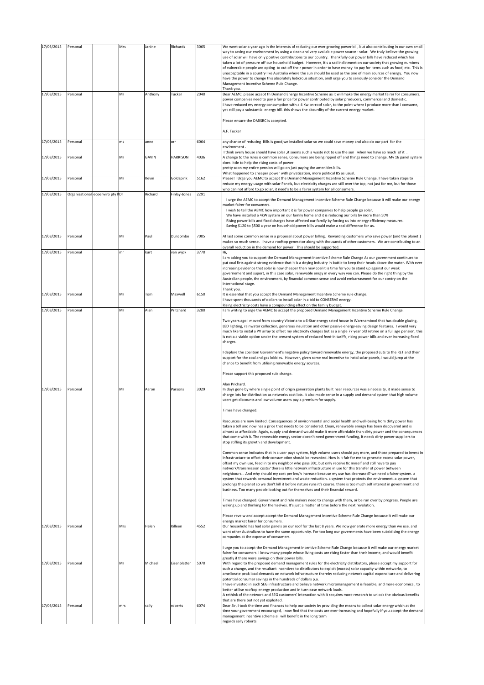| 17/03/2015               | Personal             |                                   | Mrs       | Janine           | Richards                | 3065         | We went solar a year ago in the interests of reducing our ever growing power bill, but also contributing in our own small                                                                                                                                                                                                                                                                                                                                                                                                                                                                                                                                                                                                                                                                                                                                                                                                                                                                                                                                                                                                                                                                                                                                                                                                                                                                                                                                                                                                                                                                                                                                                                                                                                                                                                                                                                                                                                                                                                                                                                                                                                                                                                                                                                                                                                                                                                                                                                                                                                                                                                                                                                                                                                                                                                                                                                                                                 |
|--------------------------|----------------------|-----------------------------------|-----------|------------------|-------------------------|--------------|-------------------------------------------------------------------------------------------------------------------------------------------------------------------------------------------------------------------------------------------------------------------------------------------------------------------------------------------------------------------------------------------------------------------------------------------------------------------------------------------------------------------------------------------------------------------------------------------------------------------------------------------------------------------------------------------------------------------------------------------------------------------------------------------------------------------------------------------------------------------------------------------------------------------------------------------------------------------------------------------------------------------------------------------------------------------------------------------------------------------------------------------------------------------------------------------------------------------------------------------------------------------------------------------------------------------------------------------------------------------------------------------------------------------------------------------------------------------------------------------------------------------------------------------------------------------------------------------------------------------------------------------------------------------------------------------------------------------------------------------------------------------------------------------------------------------------------------------------------------------------------------------------------------------------------------------------------------------------------------------------------------------------------------------------------------------------------------------------------------------------------------------------------------------------------------------------------------------------------------------------------------------------------------------------------------------------------------------------------------------------------------------------------------------------------------------------------------------------------------------------------------------------------------------------------------------------------------------------------------------------------------------------------------------------------------------------------------------------------------------------------------------------------------------------------------------------------------------------------------------------------------------------------------------------------------------|
|                          |                      |                                   |           |                  |                         |              | way to saving our environment by using a clean and very available power source - solar. We truly believe the growing<br>use of solar will have only positive contributions to our country. Thankfully our power bills have reduced which has<br>taken a lot of pressure off our household budget. However, it's a sad indictment on our society that growing numbers<br>of vulnerable people are opting to cut off their power in order to have money to pay for items such as food, etc. This is<br>unacceptable in a country like Australia where the sun should be used as the one of main sources of energy. You now<br>have the power to change this absolutely ludicrous situation, andl urge you to seriously consider the Demand<br>Management Incentive Scheme Rule Change.<br>Thank you.                                                                                                                                                                                                                                                                                                                                                                                                                                                                                                                                                                                                                                                                                                                                                                                                                                                                                                                                                                                                                                                                                                                                                                                                                                                                                                                                                                                                                                                                                                                                                                                                                                                                                                                                                                                                                                                                                                                                                                                                                                                                                                                                        |
| 17/03/2015               | Personal             |                                   | Mr        | Anthony          | Tucker                  | 2040         | Dear AEMC, please accept th Demand Energy Incentive Scheme as it will make the energy market fairer for consumers.<br>power companies need to pay a fair price for power contributed by solar producers, commercial and domestic.<br>I have reduced my energy consumption with a 4 Kw on-roof solar, to the point where I produce more than I consume,<br>yet still pay a substantial energy bill. this shows the absurdity of the current energy market.                                                                                                                                                                                                                                                                                                                                                                                                                                                                                                                                                                                                                                                                                                                                                                                                                                                                                                                                                                                                                                                                                                                                                                                                                                                                                                                                                                                                                                                                                                                                                                                                                                                                                                                                                                                                                                                                                                                                                                                                                                                                                                                                                                                                                                                                                                                                                                                                                                                                                 |
|                          |                      |                                   |           |                  |                         |              | Please ensure the DMISRC is accepted.                                                                                                                                                                                                                                                                                                                                                                                                                                                                                                                                                                                                                                                                                                                                                                                                                                                                                                                                                                                                                                                                                                                                                                                                                                                                                                                                                                                                                                                                                                                                                                                                                                                                                                                                                                                                                                                                                                                                                                                                                                                                                                                                                                                                                                                                                                                                                                                                                                                                                                                                                                                                                                                                                                                                                                                                                                                                                                     |
|                          |                      |                                   |           |                  |                         |              | A.F. Tucker                                                                                                                                                                                                                                                                                                                                                                                                                                                                                                                                                                                                                                                                                                                                                                                                                                                                                                                                                                                                                                                                                                                                                                                                                                                                                                                                                                                                                                                                                                                                                                                                                                                                                                                                                                                                                                                                                                                                                                                                                                                                                                                                                                                                                                                                                                                                                                                                                                                                                                                                                                                                                                                                                                                                                                                                                                                                                                                               |
| 17/03/2015               | Personal             |                                   | ms        | anne             | orr                     | 6064         | any chance of reducing Bills is good, we installed solar so we could save money and also do our part for the<br>environment<br>I think every house should have solar , it seems such a waste not to use the sun when we have so much of it.                                                                                                                                                                                                                                                                                                                                                                                                                                                                                                                                                                                                                                                                                                                                                                                                                                                                                                                                                                                                                                                                                                                                                                                                                                                                                                                                                                                                                                                                                                                                                                                                                                                                                                                                                                                                                                                                                                                                                                                                                                                                                                                                                                                                                                                                                                                                                                                                                                                                                                                                                                                                                                                                                               |
| 17/03/2015               | Personal             |                                   | Mr        | GAVIN            | <b>HARRISON</b>         | 4036         | A change to the rules is common sense, Consumers are being ripped off and things need to change. My 16 panel system                                                                                                                                                                                                                                                                                                                                                                                                                                                                                                                                                                                                                                                                                                                                                                                                                                                                                                                                                                                                                                                                                                                                                                                                                                                                                                                                                                                                                                                                                                                                                                                                                                                                                                                                                                                                                                                                                                                                                                                                                                                                                                                                                                                                                                                                                                                                                                                                                                                                                                                                                                                                                                                                                                                                                                                                                       |
|                          |                      |                                   |           |                  |                         |              | does little to help the rising costs of power.<br>pretty soon my entire pension will go on just paying the amenities bills.                                                                                                                                                                                                                                                                                                                                                                                                                                                                                                                                                                                                                                                                                                                                                                                                                                                                                                                                                                                                                                                                                                                                                                                                                                                                                                                                                                                                                                                                                                                                                                                                                                                                                                                                                                                                                                                                                                                                                                                                                                                                                                                                                                                                                                                                                                                                                                                                                                                                                                                                                                                                                                                                                                                                                                                                               |
| 17/03/2015               | Personal             |                                   | Mr        | Kevin            | Goldspink               | 5162         | What happened to cheaper power with privatization, more political BS as usual.<br>Please! I Urge you AEMC to accept the Demand Management Incentive Scheme Rule Change. I have taken steps to                                                                                                                                                                                                                                                                                                                                                                                                                                                                                                                                                                                                                                                                                                                                                                                                                                                                                                                                                                                                                                                                                                                                                                                                                                                                                                                                                                                                                                                                                                                                                                                                                                                                                                                                                                                                                                                                                                                                                                                                                                                                                                                                                                                                                                                                                                                                                                                                                                                                                                                                                                                                                                                                                                                                             |
|                          |                      |                                   |           |                  |                         |              | reduce my energy usage with solar Panels, but electricity charges are still over the top, not just for me, but for those<br>who can not afford to go solar, it need's to be a fairer system for all consumers.                                                                                                                                                                                                                                                                                                                                                                                                                                                                                                                                                                                                                                                                                                                                                                                                                                                                                                                                                                                                                                                                                                                                                                                                                                                                                                                                                                                                                                                                                                                                                                                                                                                                                                                                                                                                                                                                                                                                                                                                                                                                                                                                                                                                                                                                                                                                                                                                                                                                                                                                                                                                                                                                                                                            |
| 17/03/2015               |                      | Organisational ecoenviro pty I Dr |           | Richard          | Finlay-Jones            | 2291         | I urge the AEMC to accept the Demand Management Incentive Scheme Rule Change because it will make our energy                                                                                                                                                                                                                                                                                                                                                                                                                                                                                                                                                                                                                                                                                                                                                                                                                                                                                                                                                                                                                                                                                                                                                                                                                                                                                                                                                                                                                                                                                                                                                                                                                                                                                                                                                                                                                                                                                                                                                                                                                                                                                                                                                                                                                                                                                                                                                                                                                                                                                                                                                                                                                                                                                                                                                                                                                              |
|                          |                      |                                   |           |                  |                         |              | market fairer for consumers.<br>I wish to tell the AEMC how important it is for power companies to help people go solar.<br>We have installed a 4kW system on our family home and it is reducing our bills by more than 50%<br>Rising power bills and fixed charges have affected our family by forcing us into energy efficiency measures.<br>Saving \$120 to \$500 a year on household power bills would make a real difference for us.                                                                                                                                                                                                                                                                                                                                                                                                                                                                                                                                                                                                                                                                                                                                                                                                                                                                                                                                                                                                                                                                                                                                                                                                                                                                                                                                                                                                                                                                                                                                                                                                                                                                                                                                                                                                                                                                                                                                                                                                                                                                                                                                                                                                                                                                                                                                                                                                                                                                                                 |
| 17/03/2015               | Personal             |                                   | Mr        | Paul             | Duncombe                | 7005         | At last some common sense in a proposal about power billing. Rewarding customers who save power (and the planet!)<br>makes so much sense. I have a rooftop generator along with thousands of other customers. We are contributing to an                                                                                                                                                                                                                                                                                                                                                                                                                                                                                                                                                                                                                                                                                                                                                                                                                                                                                                                                                                                                                                                                                                                                                                                                                                                                                                                                                                                                                                                                                                                                                                                                                                                                                                                                                                                                                                                                                                                                                                                                                                                                                                                                                                                                                                                                                                                                                                                                                                                                                                                                                                                                                                                                                                   |
| 17/03/2015               | Personal             |                                   | mr        | kurt             | van wijck               | 3770         | overall reduction in the demand for power. This should be supported.<br>Hi.                                                                                                                                                                                                                                                                                                                                                                                                                                                                                                                                                                                                                                                                                                                                                                                                                                                                                                                                                                                                                                                                                                                                                                                                                                                                                                                                                                                                                                                                                                                                                                                                                                                                                                                                                                                                                                                                                                                                                                                                                                                                                                                                                                                                                                                                                                                                                                                                                                                                                                                                                                                                                                                                                                                                                                                                                                                               |
|                          |                      |                                   |           |                  |                         |              | I am asking you to support the Demand Management Incentive Scheme Rule Change As our government continues to<br>put coal firts against strong evidence that it is a deying industry in battle to keep their heads above the water. With ever<br>increasing evidence that solar is now cheaper than new coal it is time for you to stand up against our weak<br>governement and suport, in this case solar, renewable enrgy in every way you can. Please do the right thing by the<br>Australian people, the environment, by financial common sense and avoid embarrasment for our contry on the                                                                                                                                                                                                                                                                                                                                                                                                                                                                                                                                                                                                                                                                                                                                                                                                                                                                                                                                                                                                                                                                                                                                                                                                                                                                                                                                                                                                                                                                                                                                                                                                                                                                                                                                                                                                                                                                                                                                                                                                                                                                                                                                                                                                                                                                                                                                           |
|                          |                      |                                   |           |                  |                         |              | international stage.<br>Thank you.                                                                                                                                                                                                                                                                                                                                                                                                                                                                                                                                                                                                                                                                                                                                                                                                                                                                                                                                                                                                                                                                                                                                                                                                                                                                                                                                                                                                                                                                                                                                                                                                                                                                                                                                                                                                                                                                                                                                                                                                                                                                                                                                                                                                                                                                                                                                                                                                                                                                                                                                                                                                                                                                                                                                                                                                                                                                                                        |
| 17/03/2015               | Personal             |                                   | Mr        | Tom              | Maxwell                 | 6150         | It is essential that you accept the Demand Management Incentive Scheme rule change.<br>I have spent thousands of dollars to install solar in a bid to CONSERVE energy.                                                                                                                                                                                                                                                                                                                                                                                                                                                                                                                                                                                                                                                                                                                                                                                                                                                                                                                                                                                                                                                                                                                                                                                                                                                                                                                                                                                                                                                                                                                                                                                                                                                                                                                                                                                                                                                                                                                                                                                                                                                                                                                                                                                                                                                                                                                                                                                                                                                                                                                                                                                                                                                                                                                                                                    |
| 17/03/2015               | Personal             |                                   | Mr        | Alan             | Pritchard               | 3280         | Rising electricity costs have a compounding effect on the family budget.<br>I am writing to urge the AEMC to accept the proposed Demand Management Incentive Scheme Rule Change.                                                                                                                                                                                                                                                                                                                                                                                                                                                                                                                                                                                                                                                                                                                                                                                                                                                                                                                                                                                                                                                                                                                                                                                                                                                                                                                                                                                                                                                                                                                                                                                                                                                                                                                                                                                                                                                                                                                                                                                                                                                                                                                                                                                                                                                                                                                                                                                                                                                                                                                                                                                                                                                                                                                                                          |
| 17/03/2015               | Personal             |                                   | Mr        | Aaron            | Parsons                 | 3029         | Two years ago I moved from country Victoria to a 6-Star energy rated house in Warrnambool that has double glazing,<br>LED lighting, rainwater collection, generous insulation and other passive energy-saving design features. I would very<br>much like to instal a PV array to offset my electricity charges but as a single 77 year old retiree on a full age pension, this<br>is not a a viable option under the present system of reduced feed-in tariffs, rising power bills and ever increasing fixed<br>charges.<br>I deplore the coalition Government's negative policy toward renewable energy, the proposed cuts to the RET and their<br>support for the coal and gas lobbies. However, given some real incentive to instal solar panels, I would jump at the<br>chance to benefit from utilising renewable energy sources.<br>Please support this proposed rule change.<br>Alan Prichard.<br>In days gone by where single point of origin generation plants built near resources was a necessity, it made sense to<br>charge lots for distribution as networks cost lots. it also made sense in a supply and demand system that high volume<br>users get discounts and low volume users pay a premium for supply.<br>Times have changed.<br>Resources are now limited. Consequences of environmental and social health and well-being from dirty power has<br>taken a toll and now has a price that needs to be considered. Clean, renewable energy has been discovered and is<br>almost as affordable. Again, supply and demand would make it more affordable than dirty power and the consequences<br>that come with it. The renewable energy sector doesn't need government funding, it needs dirty power suppliers to<br>stop stifling its growth and development.<br>Common sense indicates that in a user pays system, high volume users should pay more, and those prepared to invest in<br>infrastructure to offset their consumption should be rewarded. How is it fair for me to generate excess solar power,<br>offset my own use, feed in to my neighbor who pays 30c, but only receive 8c myself and still have to pay<br>network/transmission costs? there is little network infrastructure in use for this transfer of power between<br>neighbours And why should my cost per kw/h increase because my use has decreased? we need a fairer system. a<br>system that rewards personal investment and waste reduction. a system that protects the enviroment. a system that<br>prolongs the planet so we don't kill it before nature runs it's course. there is too much self interest in government and<br>business. Too many people looking out for themselves and their financial reward.<br>Times have changed. Government and rule makers need to change with them, or be run over by progress. People are<br>waking up and thinking for themselves. It's just a matter of time before the next revolution. |
|                          |                      |                                   |           |                  |                         |              | Please reveiw and accept accept the Demand Management Incentive Scheme Rule Change because it will make our<br>energy market fairer for consumers.                                                                                                                                                                                                                                                                                                                                                                                                                                                                                                                                                                                                                                                                                                                                                                                                                                                                                                                                                                                                                                                                                                                                                                                                                                                                                                                                                                                                                                                                                                                                                                                                                                                                                                                                                                                                                                                                                                                                                                                                                                                                                                                                                                                                                                                                                                                                                                                                                                                                                                                                                                                                                                                                                                                                                                                        |
| 17/03/2015               | Personal             |                                   | Mrs       | Helen            | Killeen                 | 4552         | Our household has had solar panels on our roof for the last 8 years. We now generate more energy than we use, and<br>want other Australians to have the same opportunity. For too long our governments have been subsidising the energy<br>companies at the expense of consumers.                                                                                                                                                                                                                                                                                                                                                                                                                                                                                                                                                                                                                                                                                                                                                                                                                                                                                                                                                                                                                                                                                                                                                                                                                                                                                                                                                                                                                                                                                                                                                                                                                                                                                                                                                                                                                                                                                                                                                                                                                                                                                                                                                                                                                                                                                                                                                                                                                                                                                                                                                                                                                                                         |
|                          |                      |                                   |           |                  |                         |              | I urge you to accept the Demand Management Incentive Scheme Rule Change because it will make our energy market<br>fairer for consumers. I know many people whose living costs are rising faster than their income, and would benefit<br>greatly if there were savings on their power bills.                                                                                                                                                                                                                                                                                                                                                                                                                                                                                                                                                                                                                                                                                                                                                                                                                                                                                                                                                                                                                                                                                                                                                                                                                                                                                                                                                                                                                                                                                                                                                                                                                                                                                                                                                                                                                                                                                                                                                                                                                                                                                                                                                                                                                                                                                                                                                                                                                                                                                                                                                                                                                                               |
| 17/03/2015<br>17/03/2015 | Personal<br>Personal |                                   | Mr<br>mrs | Michael<br>sally | Eisenblatter<br>roberts | 5070<br>6074 | With regard to the proposed demand management rules for the electricity distributors, please accept my support for<br>such a change, and the resultant incentives to distributors to exploit (excess) solar capacity within networks, to<br>ameliorate peak load demands on network infrastructure thereby reducing network capital expenditure and delivering<br>potential consumer savings in the hundreds of dollars p.a.<br>I have invested in such SEG infrastructure and believe network micromanagement is feasible, and more economical, to<br>better utilise rooftop energy production and in turn ease network loads.<br>A rethink of the network and SEG customers' interaction with it requires more research to unlock the obvious benefits<br>that are there but not yet exploited.<br>Dear Sir, I took the time and finances to help our society by providing the means to collect solar energy which at the<br>time your government encouraged, I now find that the costs are ever-increasing and hopefully if you accept the demand                                                                                                                                                                                                                                                                                                                                                                                                                                                                                                                                                                                                                                                                                                                                                                                                                                                                                                                                                                                                                                                                                                                                                                                                                                                                                                                                                                                                                                                                                                                                                                                                                                                                                                                                                                                                                                                                                      |
|                          |                      |                                   |           |                  |                         |              | management incentive scheme all will benefit in the long term<br>regards sally roberts                                                                                                                                                                                                                                                                                                                                                                                                                                                                                                                                                                                                                                                                                                                                                                                                                                                                                                                                                                                                                                                                                                                                                                                                                                                                                                                                                                                                                                                                                                                                                                                                                                                                                                                                                                                                                                                                                                                                                                                                                                                                                                                                                                                                                                                                                                                                                                                                                                                                                                                                                                                                                                                                                                                                                                                                                                                    |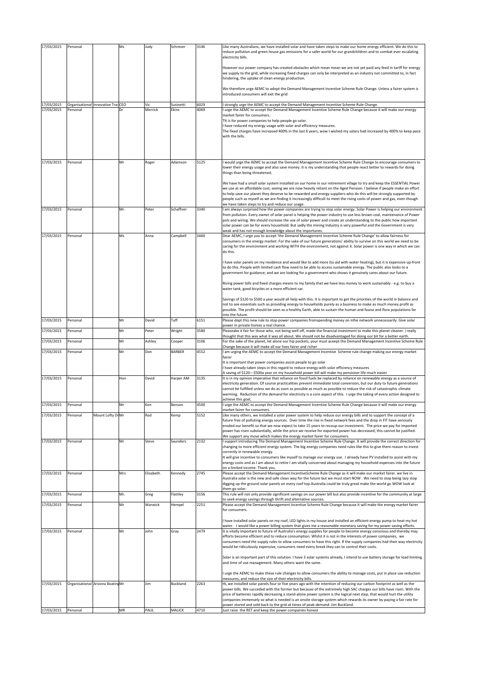| 17/03/2015 | Personal |                                    | Ms  | Judy      | Schrever  | 3146 | Like many Australians, we have installed solar and have taken steps to make our home energy efficient. We do this to<br>reduce pollution and green house gas emissions for a safer world for our grandchildren and to combat ever escalating<br>electricity bills.                                                                                                                                                                                                                                                                                    |
|------------|----------|------------------------------------|-----|-----------|-----------|------|-------------------------------------------------------------------------------------------------------------------------------------------------------------------------------------------------------------------------------------------------------------------------------------------------------------------------------------------------------------------------------------------------------------------------------------------------------------------------------------------------------------------------------------------------------|
|            |          |                                    |     |           |           |      | However our power company has created obstacles which mean mean we are not yet paid any feed in tariff for energy<br>we supply to the grid, while increasing fixed charges can only be interpreted as an industry not committed to, in fact<br>hindering, the uptake of clean energy production.                                                                                                                                                                                                                                                      |
|            |          |                                    |     |           |           |      | We therefore urge AEMC to adopt the Demand Management Incentive Scheme Rule Change. Unless a fairer system is<br>introduced consumers will exit the grid                                                                                                                                                                                                                                                                                                                                                                                              |
| 17/03/2015 |          | Organisational Innovative Trai CEO |     | Vic       | Susinetti | 6029 | I strongly urge the AEMC to accept the Demand Management Incentive Scheme Rule Change.                                                                                                                                                                                                                                                                                                                                                                                                                                                                |
| 17/03/2015 | Personal |                                    |     | Merrick   | Ekins     | 4069 | I urge the AEMC to accept the Demand Management Incentive Scheme Rule Change because it will make our energy<br>market fairer for consumers.<br>TIt is for power companies to help people go solar.<br>have reduced my energy usage with solar and efficiency measures.<br>The fixed charges have increased 400% in the last 6 years, wow I wished my salary had increased by 400% to keep pace<br>with the bills.                                                                                                                                    |
| 17/03/2015 | Personal |                                    | Mr  | Roger     | Adamson   | 5125 | would urge the AEMC to accept the Demand Management Incentive Scheme Rule Change to encourage consumers to<br>lower their energy usage and also save money. It is my understanding that people react better to rewards for doing<br>things than being threatened.                                                                                                                                                                                                                                                                                     |
|            |          |                                    |     |           |           |      | We have had a small solar system installed on our home in our retirement village to try and keep the ESSENTIAL Power<br>we use at an affordable cost, seeing we are now heavily reliant on the Aged Pension. I believe if people make an effort<br>to help save our planet they deserve to be rewarded and energy suppliers who do this will be strongly supported by<br>people such as myself as we are finding it increasingly difficult to meet the rising costs of power and gas, even though<br>we have taken steps to try and reduce our usage. |
| 17/03/2015 | Personal |                                    | Mr. | Peter     | Schaffner | 3340 | I am always surprised how the power companies are trying to stop solar energy. Solar Power is helping our environment<br>from pollution. Every owner of solar panel is helping the power industry to use less brown coal, maintenance of Power<br>pols and wiring. We should increase the use of solar power and create an understanding to the public how important                                                                                                                                                                                  |
|            |          |                                    |     |           |           |      | solar power can be for every household. But sadly the mining Industry is very powerful and the Government is very<br>weak and has not enough knowledge about the importunes.                                                                                                                                                                                                                                                                                                                                                                          |
| 17/03/2015 | Personal |                                    | Ms  | Anna      | Campbell  | 3460 | Dear AEMC, I urge you to accept 'the Demand Management Incentive Scheme Rule Change' to allow fairness for<br>consumers in the energy market. For the sake of our future generations' ability to survive on this world we need to be<br>caring for the environment and working WITH the environment, not against it. Solar power is one way in which we can<br>do this.                                                                                                                                                                               |
|            |          |                                    |     |           |           |      | have solar panels on my residence and would like to add more (to aid with water heating), but it is expensive up-front<br>to do this. People with limited cash flow need to be able to access sustainable energy. The public also looks to a<br>government for guidance; and we are looking for a government who shows it genuinely cares about our future.                                                                                                                                                                                           |
|            |          |                                    |     |           |           |      | Rising power bills and fixed charges means to my family that we have less money to work sustainably - e.g. to buy a<br>water tank, good bicycles or a more efficient car.<br>Savings of \$120 to \$500 a year would all help with this. It is important to get the priorities of the world in balance and                                                                                                                                                                                                                                             |
|            |          |                                    |     |           |           |      | not to see essentials such as providing energy to households purely as a business to make as much money profit as<br>possible. The profit should be seen as a healthy Earth, able to sustain the human and fauna and flora populations far<br>into the future.                                                                                                                                                                                                                                                                                        |
| 17/03/2015 | Personal |                                    | Mr  | David     | Tuff      | 6151 | Please dopt this new rule to stop power companies fromspending money on nthe network unnecessarily. Give solar<br>power in private homes a real chance.                                                                                                                                                                                                                                                                                                                                                                                               |
| 17/03/2015 | Personal |                                    | Mr  | Peter     | Wright    | 3580 | Pleaseake it fair for those who, not being well off, made the financial investment to make this planet cleaner. I really<br>thought that this was what it was all about. We should not be disadvantaged for doing our bit for a better earth.                                                                                                                                                                                                                                                                                                         |
| 17/03/2015 | Personal |                                    | Mr  | Ashley    | Cooper    | 3106 | For the sake of the planet, let alone our hip pockets, your must aceept the Demand Management Incentive Scheme Rule<br>Change because it will make all our lives fairer and richer                                                                                                                                                                                                                                                                                                                                                                    |
| 17/03/2015 | Personal |                                    | Mr  | Don       | BARBER    | 4552 | am urging the AEMC to accept the Demand Management Incentive Scheme rule change making our energy market<br>fairer                                                                                                                                                                                                                                                                                                                                                                                                                                    |
|            |          |                                    |     |           |           |      | It is important that power companies assist people to go solar<br>I have already taken steps in this regard to reduce energy with solar efficiency measures<br>A saving of \$120---\$500a year on my household power bill will make my pensioner life much easier                                                                                                                                                                                                                                                                                     |
| 17/03/2015 | Personal |                                    | Hon | David     | Harper AM | 3135 | It is in my opinion imperative that reliance on fossil fuels be replaced by reliance on renewable energy as a source of<br>electricity generation. Of course practicalities prevent immediate total conversion, but our duty to future generations<br>cannot be fulfilled unless we do as soon as possible as much as possible to reduce the risk of catastrophic climate<br>warming. Reduction of the demand for electricity is a core aspect of this. I urge the taking of every action designed to                                                 |
| 17/03/2015 | Personal |                                    | Mr  | Ken       | Benson    | 4500 | achieve this goal,<br>I urge the AEMC to accept the Demand Management Incentive Scheme Rule Change because it will make our energy                                                                                                                                                                                                                                                                                                                                                                                                                    |
| 17/03/2015 | Personal | Mount Lofty Di Mr                  |     | Rod       | Kemp      | 5152 | market fairer for consumers.<br>Like many others, we installed a solar power system to help reduce our energy bills and to support the concept of a                                                                                                                                                                                                                                                                                                                                                                                                   |
|            |          |                                    |     |           |           |      | future free of polluting energy sources. Over time the rise in fixed network fees and the drop in FIT have seriously<br>eroded our benefit so that we now expect to take 15 years to recoup our investment. The price we pay for imported<br>power has risen substantially, while the price we receive for exported power has decreased; this cannot be justified.<br>We support any move which makes the energy market fairer for consumers.                                                                                                         |
| 17/03/2015 | Personal |                                    | Mr  | Steve     | Saunders  | 2132 | I support introducing The Demand Management Incentive Scheme Rule Change. It will provide the correct direction for<br>changing to more efficient energy system. The big energy companies need rules like this to give them reason to invest<br>correctly in renewable energy.<br>It will give incentive to consumers like myself to manage our energy use. I already have PV installed to assist with my                                                                                                                                             |
|            |          |                                    |     |           |           |      | energy costs and as I am about to retire I am vitally concerned about managing my household expenses into the future<br>on a limited income. Thank you.                                                                                                                                                                                                                                                                                                                                                                                               |
| 17/03/2015 | Personal |                                    | Mrs | Elizabeth | Kennedy   | 2745 | Please accept the Demand Management IncentiveScheme Rule Change as it will make our market fairer. we live in<br>Australia solar is the new and safe clean way for the future but we must start NOW. We need to stop being lazy stop<br>digging up the ground solar panels on every roof top.Australia could be truly great make the world go WOW look at<br>them go solar.                                                                                                                                                                           |
| 17/03/2015 | Personal |                                    | Mr. | Greg      | Flattley  | 3156 | This rule will not only provide significant savings on our power bill but also provide incentive for the community at large<br>to seek energy savings through thrift and alternative sources.                                                                                                                                                                                                                                                                                                                                                         |
| 17/03/2015 | Personal |                                    | Mr  | Warwick   | Hempel    | 2251 | Please accept the Demand Management Incentive Scheme Rule Change because it will make the energy market fairer<br>for consumers.                                                                                                                                                                                                                                                                                                                                                                                                                      |
|            |          |                                    |     |           |           |      | have installed solar panels on my roof, LED lights in my house and installed an efficient energy pump to heat my hot<br>water. I would like a power billing system that gives me a reasonable monetary saving for my power saving efforts.                                                                                                                                                                                                                                                                                                            |
| 17/03/2015 | Personal |                                    | Mr  | John      | Gray      | 2479 | It is vitally important to future of Australia's energy supplies for people to become energy conscious and thereby may<br>efforts become efficient and to reduce consumption. Whilst it is not in the interests of power companies, we<br>consumers need the supply rules to allow consumers to have this right. If the supply companies had their way electricity<br>would be ridiculously expensive, consumers need every break they can to control their costs.                                                                                    |
|            |          |                                    |     |           |           |      | Solar is an important part of this solution. I have 3 solar systems already, I intend to use battery storage for load limiting<br>and time of use management. Many others want the same.<br>I urge the AEMC to make these rule changes to allow consumers the ability to manage costs, put in place use reduction                                                                                                                                                                                                                                     |
| 17/03/2015 |          | Organisational Arizona Boating Mr  |     | Jim       | Buckland  | 2263 | measures, and reduce the size of their electricity bills.<br>Hi, we installed solar panels four or five years ago with the intention of reducing our carbon footprint as well as the                                                                                                                                                                                                                                                                                                                                                                  |
|            |          |                                    |     |           |           |      | power bills. We succeded with the former but because of the extremely high SAC charges our bills have risen. With the<br>price of batteries rapidly decreasing a stand-alone power system is the logical next step, that would hurt the utility<br>companies immensely so what is needed is an onsite storage system which rewards its owner by paying a fair rate for                                                                                                                                                                                |
| 17/03/2015 | Personal |                                    | MR  | PAUL      | MALICK    | 4710 | power stored and sold back to the grid at times of peak demand. Jim Buckland.<br>Just raise the RET and keep the power companies honest                                                                                                                                                                                                                                                                                                                                                                                                               |
|            |          |                                    |     |           |           |      |                                                                                                                                                                                                                                                                                                                                                                                                                                                                                                                                                       |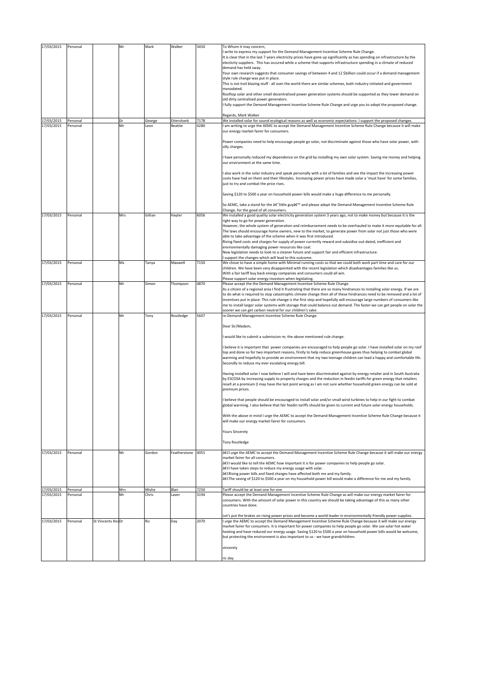| 17/03/2015 | Personal |                   | Mr  | Mark    | Walker       | 3450 | To Whom it may concern,<br>write to express my support for the Demand Management Incentive Scheme Rule Change.                                                                                                                                                                                                                                                                                                          |
|------------|----------|-------------------|-----|---------|--------------|------|-------------------------------------------------------------------------------------------------------------------------------------------------------------------------------------------------------------------------------------------------------------------------------------------------------------------------------------------------------------------------------------------------------------------------|
|            |          |                   |     |         |              |      | It is clear that in the last 7 years electricity prices have gone up significantly as has spending on infrastructure by the<br>electicity suppliers. This has occured while a scheme that supports infrastructure spending in a climate of reduced                                                                                                                                                                      |
|            |          |                   |     |         |              |      | demand has held sway.<br>Your own research suggests that consumer savings of between 4 and 12 \$billion could occur if a demand management                                                                                                                                                                                                                                                                              |
|            |          |                   |     |         |              |      | style rule change was put in place.                                                                                                                                                                                                                                                                                                                                                                                     |
|            |          |                   |     |         |              |      | This is not trail blazing stuff - all over the world there are similar schemes, both industry initiated and government<br>manadated.                                                                                                                                                                                                                                                                                    |
|            |          |                   |     |         |              |      | Rooftop solar and other small decentralised power generation systems should be supported as they lower demand on<br>old dirty centralised power generators.                                                                                                                                                                                                                                                             |
|            |          |                   |     |         |              |      | I fully support the Demand Management Incentive Scheme Rule Change and urge you to adopt the proposed change.                                                                                                                                                                                                                                                                                                           |
| 17/03/2015 | Personal |                   | Dr  | George  | Ettershank   | 7178 | Regards, Mark Walker<br>We installed solar for sound ecological reasons as well as economic expectations. I support the proposed changes.                                                                                                                                                                                                                                                                               |
| 17/03/2015 | Personal |                   | Mr  | Leon    | Beattie      | 4280 | am writing to urge the AEMC to accept the Demand Management Incentive Scheme Rule Change because it will make<br>our energy market fairer for consumers.                                                                                                                                                                                                                                                                |
|            |          |                   |     |         |              |      | Power companies need to help encourage people go solar, not discriminate against those who have solar power, with<br>silly charges.                                                                                                                                                                                                                                                                                     |
|            |          |                   |     |         |              |      | have personally reduced my dependence on the grid by installing my own solar system. Saving me money and helping<br>our environment at the same time.                                                                                                                                                                                                                                                                   |
|            |          |                   |     |         |              |      | also work in the solar industry and speak personally with a lot of families and see the impact the increasing power<br>costs have had on them and their lifestyles. Increasing power prices have made solar a 'must have' for some families,<br>ust to try and combat the price rises.                                                                                                                                  |
|            |          |                   |     |         |              |      | Saving \$120 to \$500 a year on household power bills would make a huge difference to me personally.                                                                                                                                                                                                                                                                                                                    |
|            |          |                   |     |         |              |      | So AEMC, take a stand for the â€"little guy' and please adopt the Demand Management Incentive Scheme Rule<br>Change, for the good of all consumers.                                                                                                                                                                                                                                                                     |
| 17/03/2015 | Personal |                   | Mrs | Gillian | Hayter       | 6056 | We installed a good quality solar electricity generation system 3 years ago, not to make money but because it is the<br>right way to go for power generation.                                                                                                                                                                                                                                                           |
|            |          |                   |     |         |              |      | However, the whole system of generation and reimbursement needs to be overhauled to make it more equitable for all.<br>The laws should encourage home owners, new to the market, to generate power from solar not just those who were                                                                                                                                                                                   |
|            |          |                   |     |         |              |      | able to take advantage of the scheme when it was first introduced.<br>Rising fixed costs and charges for supply of power currently reward and subsidise out-dated, inefficient and                                                                                                                                                                                                                                      |
|            |          |                   |     |         |              |      | environmentally damaging power resources like coal.                                                                                                                                                                                                                                                                                                                                                                     |
|            |          |                   |     |         |              |      | New legislation needs to look to a cleaner future and support fair and efficient infrastructure.<br>support the changes which will lead to this outcome.                                                                                                                                                                                                                                                                |
| 17/03/2015 | Personal |                   | Ms  | Tanya   | Maxwell      | 7150 | We chose to have a simple home with Minimal running costs so that we could both work part time and care for our<br>children. We have been very disappointed with the recent legislation which disadvantages families like us.                                                                                                                                                                                           |
|            |          |                   |     |         |              |      | With a fair tariff buy back energy companies and consumers could all win.<br>Please support solar energy investors when legislating.                                                                                                                                                                                                                                                                                    |
| 17/03/2015 | Personal |                   | Mr  | Simon   | Thompson     | 4870 | Please accept the the Demand Management Incentive Scheme Rule Change.<br>As a citizen of a regional area I find it frustrating that there are so many hindrances to installing solar energy. If we are                                                                                                                                                                                                                  |
|            |          |                   |     |         |              |      | to do what is required to stop catastrophic climate change then all of these hindrances need to be removed and a lot of<br>incentives put in place. This rule change is the first step and hopefully will encourage large numbers of consumers like                                                                                                                                                                     |
|            |          |                   |     |         |              |      | me to install larger solar systems with storage that could balance out demand. The faster we can get people on solar the<br>sooner we can get carbon neutral for our children's sake.                                                                                                                                                                                                                                   |
| 17/03/2015 | Personal |                   | Mr  | Tony    | Routledge    | 5607 | re:Demand Management Incentive Scheme Rule Change.                                                                                                                                                                                                                                                                                                                                                                      |
|            |          |                   |     |         |              |      | Dear Sir/Madam,                                                                                                                                                                                                                                                                                                                                                                                                         |
|            |          |                   |     |         |              |      | would like to submit a submission re; the above mentioned rule change.                                                                                                                                                                                                                                                                                                                                                  |
|            |          |                   |     |         |              |      | believe it is important that power companies are encouraged to help people go solar. I have installed solar on my roof<br>top and done so for two important reasons, firstly to help reduce greenhouse gases thus helping to combat global<br>warming and hopefully to provide an environment that my two teenage children can lead a happy and comfortable life.<br>Secondly to reduce my ever escalating energy bill. |
|            |          |                   |     |         |              |      | Having installed solar I now believe I will and have been discriminated against by energy retailer and in South Australia<br>by ESCOSA by increasing supply to property charges and the reduction in feedin tariffs for green energy that retailers<br>resell at a premium (I may have the last point wrong as I am not sure whether household green energy can be sold at<br>premium prices.                           |
|            |          |                   |     |         |              |      | believe that people should be encouraged to install solar and/or small wind turbines to help in our fight to combat<br>global warming. I also believe that fair feedin tariffs should be given to current and future solar energy households.                                                                                                                                                                           |
|            |          |                   |     |         |              |      | With the above in mind I urge the AEMC to accept the Demand Management Incentive Scheme Rule Change because it<br>will make our energy market fairer for consumers.                                                                                                                                                                                                                                                     |
|            |          |                   |     |         |              |      | <b>Yours Sincerely</b>                                                                                                                                                                                                                                                                                                                                                                                                  |
|            |          |                   |     |         |              |      | Tony Routledge                                                                                                                                                                                                                                                                                                                                                                                                          |
| 17/03/2015 | Personal |                   | Mr  | Gordon  | Featherstone | 4055 | •I urge the AEMC to accept the Demand Management Incentive Scheme Rule Change because it will make our energy<br>market fairer for all consumers.                                                                                                                                                                                                                                                                       |
|            |          |                   |     |         |              |      | •I would like to tell the AEMC how important it is for power companies to help people go solar.<br>•I have taken steps to reduce my energy usage with solar.                                                                                                                                                                                                                                                            |
|            |          |                   |     |         |              |      | â€CRising power bills and fixed charges have affected both me and my family.<br>•The saving of \$120 to \$500 a year on my household power bill would make a difference for me and my family.                                                                                                                                                                                                                           |
| 17/03/2015 | Personal |                   | Mrs | Misha   | Blair        | 7250 | Tariff should be at least one for one                                                                                                                                                                                                                                                                                                                                                                                   |
| 17/03/2015 | Personal |                   | Mr  | Chris   | Laver        | 3194 | Please accept the Demand Management Incentive Scheme Rule Change as will make our energy market fairer for<br>consumers. With the amount of solar power in this country we should be taking advantage of this as many other                                                                                                                                                                                             |
|            |          |                   |     |         |              |      | countries have done.                                                                                                                                                                                                                                                                                                                                                                                                    |
| 17/03/2015 | Personal | St Vincents HosDr |     | Ric     | Day          | 2070 | Let's put the brakes on rising power prices and become a world leader in environmentally friendly power supplies.<br>I urge the AEMC to accept the Demand Management Incentive Scheme Rule Change because it will make our energy                                                                                                                                                                                       |
|            |          |                   |     |         |              |      | market fairer for consumers. It is important for power companies to help people go solar. We use solar hot water<br>heating and have reduced our energy usage. Saving \$120 to \$500 a year on household power bills would be welcome,<br>but protecting the environment is also important to us - we have grandchildren.                                                                                               |
|            |          |                   |     |         |              |      | sincerely                                                                                                                                                                                                                                                                                                                                                                                                               |
|            |          |                   |     |         |              |      | ric day                                                                                                                                                                                                                                                                                                                                                                                                                 |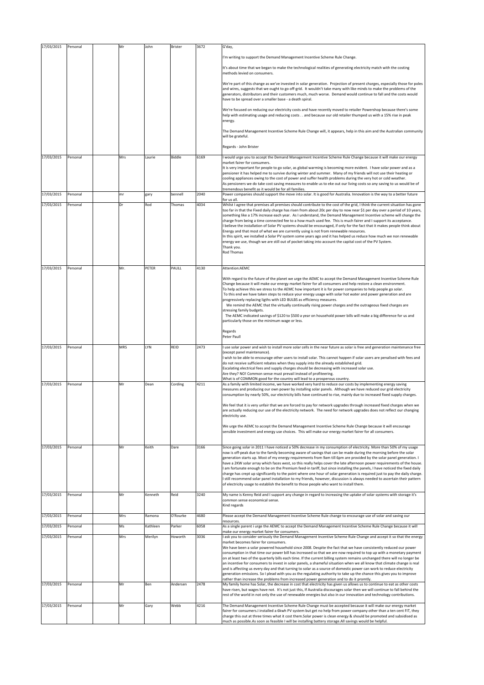| 17/03/2015 | Personal | Mr  | John     | Brister  | 3672 | G'day,                                                                                                                                                                                                                                                                                                                                                                                                                                                                                                                                                                                                                                                                                                                                                                                                                                                                                                                                                                                                                                                                                                                                        |
|------------|----------|-----|----------|----------|------|-----------------------------------------------------------------------------------------------------------------------------------------------------------------------------------------------------------------------------------------------------------------------------------------------------------------------------------------------------------------------------------------------------------------------------------------------------------------------------------------------------------------------------------------------------------------------------------------------------------------------------------------------------------------------------------------------------------------------------------------------------------------------------------------------------------------------------------------------------------------------------------------------------------------------------------------------------------------------------------------------------------------------------------------------------------------------------------------------------------------------------------------------|
|            |          |     |          |          |      | I'm writing to support the Demand Management Incentive Scheme Rule Change.                                                                                                                                                                                                                                                                                                                                                                                                                                                                                                                                                                                                                                                                                                                                                                                                                                                                                                                                                                                                                                                                    |
|            |          |     |          |          |      | It's about time that we began to make the technological realities of generating electricity match with the costing<br>methods levied on consumers.                                                                                                                                                                                                                                                                                                                                                                                                                                                                                                                                                                                                                                                                                                                                                                                                                                                                                                                                                                                            |
|            |          |     |          |          |      | We're part of this change as we've invested in solar generation. Projection of present charges, especially those for poles<br>and wires, suggests that we ought to go off-grid. It wouldn't take many with like minds to make the problems of the<br>generators, distributors and their customers much, much worse. Demand would continue to fall and the costs would<br>have to be spread over a smaller base - a death spiral.                                                                                                                                                                                                                                                                                                                                                                                                                                                                                                                                                                                                                                                                                                              |
|            |          |     |          |          |      | We're focused on reducing our electricity costs and have recently moved to retailer Powershop because there's some<br>help with estimating usage and reducing costs and because our old retailer thumped us with a 15% rise in peak<br>energy.                                                                                                                                                                                                                                                                                                                                                                                                                                                                                                                                                                                                                                                                                                                                                                                                                                                                                                |
|            |          |     |          |          |      | The Demand Management Incentive Scheme Rule Change will, it appears, help in this aim and the Australian community<br>will be grateful.                                                                                                                                                                                                                                                                                                                                                                                                                                                                                                                                                                                                                                                                                                                                                                                                                                                                                                                                                                                                       |
|            |          |     |          |          |      | Regards - John Brister                                                                                                                                                                                                                                                                                                                                                                                                                                                                                                                                                                                                                                                                                                                                                                                                                                                                                                                                                                                                                                                                                                                        |
| 17/03/2015 | Personal | Mrs | Laurie   | Biddle   | 6169 | I would urge you to accept the Demand Management Incentive Scheme Rule Change because it will make our energy                                                                                                                                                                                                                                                                                                                                                                                                                                                                                                                                                                                                                                                                                                                                                                                                                                                                                                                                                                                                                                 |
|            |          |     |          |          |      | market fairer for consumers.<br>It is very important for people to go solar, as global warming is becoming more evident. I have solar power and as a<br>pensioner it has helped me to survive during winter and summer. Many of my friends will not use their heating or<br>cooling appliances owing to the cost of power and suffer health problems during the very hot or cold weather.<br>As pensioners we do take cost saving measures to enable us to eke out our living costs so any saving to us would be of<br>tremendous benefit as it would be for all families.                                                                                                                                                                                                                                                                                                                                                                                                                                                                                                                                                                    |
| 17/03/2015 | Personal | mr  | gary     | bennell  | 2040 | Power companies should support the move into solar. It is good for Australia. Innovation is the way to a better future<br>for us all.                                                                                                                                                                                                                                                                                                                                                                                                                                                                                                                                                                                                                                                                                                                                                                                                                                                                                                                                                                                                         |
| 17/03/2015 | Personal | Dr  | Rod      | Thomas   | 4034 | Whilst I agree that premises all premises should contribute to the cost of the grid, I think the current situation has gone<br>too far in that the Fixed daily charge has risen from about 20c per day to now near \$1 per day over a period of 10 years,<br>something like a 17% increase each year. As I understand, the Demand Management Incentive scheme will change the<br>charge from being a time connected fee to a how much used fee. This is much fairer and I support its acceptance.<br>I believe the installation of Solar PV systems should be encouraged, if only for the fact that it makes people think about<br>Energy and that most of what we are currently using is not from renewable resources.<br>In this spirit, we installed a Solar PV system some years ago and it has helped us reduce how much we non renewable<br>energy we use, though we are still out of pocket taking into account the capital cost of the PV System.<br>Thank you.<br>Rod Thomas                                                                                                                                                         |
| 17/03/2015 | Personal | Mr. | PETER    | PAULL    | 4130 | Attention:AEMC                                                                                                                                                                                                                                                                                                                                                                                                                                                                                                                                                                                                                                                                                                                                                                                                                                                                                                                                                                                                                                                                                                                                |
|            |          |     |          |          |      | With regard to the future of the planet we urge the AEMC to accept the Demand Management Incentive Scheme Rule<br>Change because it will make our energy market fairer for all consumers and help restore a clean environment.<br>To help achieve this we stress to the AEMC how important it is for power companies to help people go solar.<br>To this end we have taken steps to reduce your energy usage with solar hot water and power generation and are<br>progressively replacing ligths with LED BULBS as efficiency measures.<br>We remind the AEMC that the virtually continually rising power charges and the outrageous fixed charges are<br>stressing family budgets.<br>The AEMC indicated savings of \$120 to \$500 a year on household power bills will make a big difference for us and<br>particularly those on the minimum wage or less.                                                                                                                                                                                                                                                                                  |
|            |          |     |          |          |      | Regards<br>Peter Paull                                                                                                                                                                                                                                                                                                                                                                                                                                                                                                                                                                                                                                                                                                                                                                                                                                                                                                                                                                                                                                                                                                                        |
| 17/03/2015 | Personal | MRS | LYN      | REID     | 2473 | I use solar power and wish to install more solar cells in the near future as solar is free and generation maintenance free<br>(except panel maintenance).<br>wish to be able to encourage other users to install solar. This cannot happen if solar users are penalised with fees and<br>do not receive sufficient rebates when they supply into the already established grid.<br>Escalating electrical fees and supply charges should be decreasing with increased solar use.<br>Are they? NO! Common sense must prevail instead of profiteering.<br>What is of COMMON good for the country will lead to a prosperous country.                                                                                                                                                                                                                                                                                                                                                                                                                                                                                                               |
| 17/03/2015 | Personal | Mr  | Dean     | Cording  | 4211 | As a family with limited income, we have worked very hard to reduce our costs by implementing energy saving<br>measures and producing our own power by installing solar panels. Although we have reduced our grid electricity<br>consumption by nearly 50%, our electricity bills have continued to rise, mainly due to increased fixed supply charges.                                                                                                                                                                                                                                                                                                                                                                                                                                                                                                                                                                                                                                                                                                                                                                                       |
|            |          |     |          |          |      | We feel that it is very unfair that we are forced to pay for network upgrades through increased fixed charges when we<br>are actually reducing our use of the electricity network. The need for network upgrades does not reflect our changing<br>electricity use.                                                                                                                                                                                                                                                                                                                                                                                                                                                                                                                                                                                                                                                                                                                                                                                                                                                                            |
|            |          |     |          |          |      | We urge the AEMC to accept the Demand Management Incentive Scheme Rule Change because it will encourage<br>sensible investment and energy use choices. This will make our energy market fairer for all consumers.                                                                                                                                                                                                                                                                                                                                                                                                                                                                                                                                                                                                                                                                                                                                                                                                                                                                                                                             |
| 17/03/2015 | Personal | Mr  | Keith    | Dare     | 3166 | Since going solar in 2011 I have noticed a 50% decrease in my consumption of electricity. More than 50% of my usage<br>now is off-peak due to the family becoming aware of savings that can be made during the morning before the solar<br>generation starts up. Most of my energy requirements from 9am till 6pm are provided by the solar panel generation. I<br>have a 2KW solar array which faces west, so this really helps cover the late afternoon power requirements of the house.<br>am fortunate enough to be on the Premium feed-in tariff, but since installing the panels, I have noticed the fixed daily<br>charge has crept up significantly to the point where one hour of solar generation is required just to pay the daily charge.<br>I still recommend solar panel installation to my friends, however, discussion is always needed to ascertain their pattern<br>of electricity usage to establish the benefit to those people who want to install them.                                                                                                                                                                 |
| 17/03/2015 | Personal | Mr  | Kenneth  | Reid     | 3240 | My name is Kenny Reid and I support any change in regard to increasing the uptake of solar systems with storage it's<br>common sense economical sense.<br>Kind regards                                                                                                                                                                                                                                                                                                                                                                                                                                                                                                                                                                                                                                                                                                                                                                                                                                                                                                                                                                        |
| 17/03/2015 | Personal | Mrs | Ramona   | O'Rourke | 4680 | Please accept the Demand Management Incentive Scheme Rule change to encourage use of solar and saving our                                                                                                                                                                                                                                                                                                                                                                                                                                                                                                                                                                                                                                                                                                                                                                                                                                                                                                                                                                                                                                     |
| 17/03/2015 | Personal | Ms  | Kathleen | Parker   | 6058 | resources.<br>As a single parent i urge the AEMC to accept the Demand Management Incentive Scheme Rule Change because it will                                                                                                                                                                                                                                                                                                                                                                                                                                                                                                                                                                                                                                                                                                                                                                                                                                                                                                                                                                                                                 |
| 17/03/2015 | Personal | Mrs | Merilyn  | Howorth  | 3036 | make our energy market fairer for consumers.<br>ask you to consider seriously the Demand Management Incentive Scheme Rule Change and accept it so that the energy                                                                                                                                                                                                                                                                                                                                                                                                                                                                                                                                                                                                                                                                                                                                                                                                                                                                                                                                                                             |
| 17/03/2015 | Personal | Mr  | Ben      | Andersen | 2478 | market becomes fairer for consumers.<br>We have been a solar powered household since 2008. Despite the fact that we have consistently reduced our power<br>consumption in that time our power bill has increased so that we are now required to top up with a monetary payment<br>on at least two of the quarterly bills each time. If the current billing system remains unchanged there will no longer be<br>an incentive for consumers to invest in solar panels, a shameful situation when we all know that climate change is real<br>and is affecting us every day and that turning to solar as a source of domestic power can work to reduce electricity<br>generation emissions. So I plead with you as the regulating authority to take up the chance this gives you to improve<br>rather than increase the problems from increased power generation and to do it promtly.<br>My family home has Solar, the decrease in cost that electricity has given us allows us to continue to eat as other costs<br>have risen, but wages have not. It's not just this, If Australia discourages solar then we will continue to fall behind the |
| 17/03/2015 | Personal | Mr  | Gary     | Webb     | 4216 | rest of the world in not only the use of renewable energies but also in our innovation and technology contributions.<br>The Demand Management Incentive Scheme Rule Change must be accepted because it will make our energy market                                                                                                                                                                                                                                                                                                                                                                                                                                                                                                                                                                                                                                                                                                                                                                                                                                                                                                            |
|            |          |     |          |          |      | fairer for consumers.I installed a 6kwh PV system but get no help from power company other than a ten cent FIT, they<br>charge this out at three times what it cost them.Solar power is clean energy & should be promoted and subsidised as<br>much as possible.As soon as feasible I will be installing battery storage.All savings would be helpful.                                                                                                                                                                                                                                                                                                                                                                                                                                                                                                                                                                                                                                                                                                                                                                                        |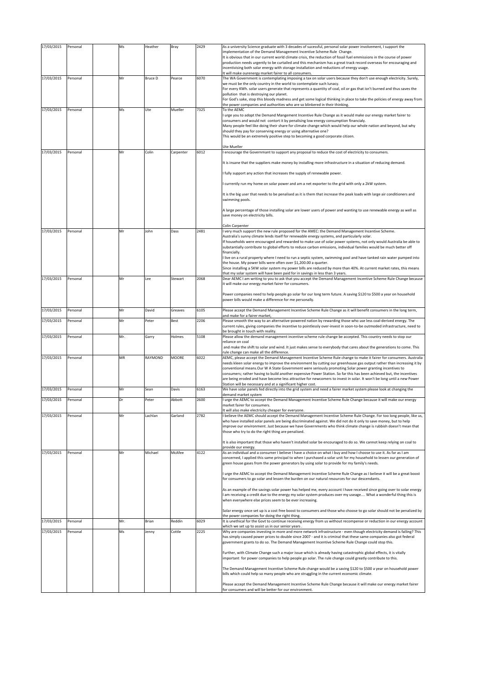| 17/03/2015 |                      | Ms  | Heather        | Bray      | 2429 | As a university Science graduate with 3 decades of sucessful, personal solar power involvement, I support the                                                                                                                                                                                                                                                                                                                                                                                                                                                                                                                                                                                                                                                 |
|------------|----------------------|-----|----------------|-----------|------|---------------------------------------------------------------------------------------------------------------------------------------------------------------------------------------------------------------------------------------------------------------------------------------------------------------------------------------------------------------------------------------------------------------------------------------------------------------------------------------------------------------------------------------------------------------------------------------------------------------------------------------------------------------------------------------------------------------------------------------------------------------|
| 17/03/2015 | Personal<br>Personal | Mr  | <b>Bruce D</b> | Pearce    | 6070 | implementation of the Demand Management Incentive Scheme Rule Change.<br>It is obvious that in our current world climate crisis, the reduction of fossil fuel emmissions in the course of power<br>production needs urgently to be curtailed and this mechanism has a great track record overseas for encouraging and<br>incentivising both solar energy with storage installation and reductions of energy usage.<br>It will make ourenergy market fairer to all consumers.<br>The WA Government is contemplating imposing a tax on solar users because they don't use enough electricity. Surely,                                                                                                                                                           |
|            |                      |     |                |           |      | we must be the only country in the world to contemplate such lunacy.<br>For every KWh. solar users generate that represents a quantity of coal, oil or gas that isn't burned and thus saves the<br>pollution that is destroying our planet.<br>For God's sake, stop this bloody madness and get some logical thinking in place to take the policies of energy away from<br>the power companies and authorities who are so blinkered in their thinking.                                                                                                                                                                                                                                                                                                        |
| 17/03/2015 | Personal             | Ms  | Ute            | Mueller   | 7325 | To the AEMC<br>urge you to adopt the Demand Mangement Incentive Rule Change as it would make our energy market fairer to<br>consumers and would not contort it by penalising low energy consumption financialy.<br>Many people feel like doing their share for climate change which would help our whole nation and beyond, but why<br>should they pay for conserving energy or using alternative one?<br>This would be an extremely positive step to becoming a good corporate citizen.<br>Ute Mueller                                                                                                                                                                                                                                                       |
| 17/03/2015 | Personal             | Mr  | Colin          | Carpenter | 6012 | encourage the Governmant to support any proposal to reduce the cost of electricity to consumers.                                                                                                                                                                                                                                                                                                                                                                                                                                                                                                                                                                                                                                                              |
|            |                      |     |                |           |      | It is insane that the suppliers make money by installing more infrastructure in a situation of reducing demand.                                                                                                                                                                                                                                                                                                                                                                                                                                                                                                                                                                                                                                               |
|            |                      |     |                |           |      | fully support any action that increases the supply of renewable power.                                                                                                                                                                                                                                                                                                                                                                                                                                                                                                                                                                                                                                                                                        |
|            |                      |     |                |           |      | currently run my home on solar power and am a net exporter to the grid with only a 2kW system.                                                                                                                                                                                                                                                                                                                                                                                                                                                                                                                                                                                                                                                                |
|            |                      |     |                |           |      | It is the big user that needs to be penalised as it is them that increase the peak loads with large air conditioners and<br>swimming pools.                                                                                                                                                                                                                                                                                                                                                                                                                                                                                                                                                                                                                   |
|            |                      |     |                |           |      | A large percentage of those installing solar are lower users of power and wanting to use renewable energy as well as<br>save money on electricity bills.                                                                                                                                                                                                                                                                                                                                                                                                                                                                                                                                                                                                      |
| 17/03/2015 | Personal             | Mr  | John           | Dass      | 2481 | Colin Carpenter<br>I very much support the new rule proposed for the AMEC: the Demand Management Incentive Scheme.                                                                                                                                                                                                                                                                                                                                                                                                                                                                                                                                                                                                                                            |
|            |                      |     |                |           |      | Australia's sunny climate lends itself for renewable energy systems, and particularly solar.<br>If households were encouraged and rewarded to make use of solar power systems, not only would Australia be able to<br>substantially contribute to global efforts to reduce carbon emissions, individual families would be much better off<br>financially.<br>I live on a rural property where I need to run a septic system, swimming pool and have tanked rain water pumped into<br>the house. My power bills were often over \$1,200.00 a quarter.<br>Since installing a 5KW solar system my power bills are reduced by more than 40%. At current market rates, this means<br>that my solar system will have been paid for in savings in less than 3 years. |
| 17/03/2015 | Personal             | Mr  | Lee            | Stewart   | 2068 | Dear AEMC I am writing to you to ask that you accept the Demand Management Incentive Scheme Rule Change because<br>it will make our energy market fairer for consumers.                                                                                                                                                                                                                                                                                                                                                                                                                                                                                                                                                                                       |
|            |                      |     |                |           |      | Power companies need to help people go solar for our long term future. A saving \$120 to \$500 a year on household<br>power bills would make a difference for me personally.                                                                                                                                                                                                                                                                                                                                                                                                                                                                                                                                                                                  |
| 17/03/2015 | Personal             | Mr  | David          | Greaves   | 6105 | Please accept the Demand Management Incentive Scheme Rule Change as it will benefit consumers in the long term,<br>and make for a fairer market,                                                                                                                                                                                                                                                                                                                                                                                                                                                                                                                                                                                                              |
| 17/03/2015 | Personal             | Mr  | Peter          | Best      | 2206 | Please smooth the way to an alternative-powered nation by rewarding those who use less coal-derived energy. The<br>current rules, giving companies the incentive to pointlessly over-invest in soon-to-be outmoded infrastructure, need to                                                                                                                                                                                                                                                                                                                                                                                                                                                                                                                    |
|            |                      |     |                |           |      |                                                                                                                                                                                                                                                                                                                                                                                                                                                                                                                                                                                                                                                                                                                                                               |
| 17/03/2015 | Personal             | Mr. | Garry          | Holmes    | 5108 | be brought in touch with reality.<br>Please allow the demand management incentive scheme rule change be accepted. This country needs to stop our                                                                                                                                                                                                                                                                                                                                                                                                                                                                                                                                                                                                              |
|            |                      |     |                |           |      | reliance on coal<br>and make the shift to solar and wind. It just makes sense to everybody that cares about the generations to come. This                                                                                                                                                                                                                                                                                                                                                                                                                                                                                                                                                                                                                     |
| 17/03/2015 | Personal             | MR  | RAYMOND        | MOORE     | 6022 | rule change can make all the difference.<br>AEMC, please accept the Demand Management Incentive Scheme Rule change to make it fairer for consumers. Australia<br>needs kleen solar energy to improve the environment by cutting our greenhouse gas output rather than increasing it by<br>conventional means. Our W A State Government were seriously promoting Solar power granting incentives to<br>consumers; rather having to build another expensive Power Station. So far this has been achieved but, the incentives<br>are being eroded and have become less attractive for newcomers to invest in solar. It won't be long until a new Power<br>Station will be necessary and at a significant higher cost.                                            |
| 17/03/2015 | Personal             | Mr  | Sean           | Davis     | 6163 | We have solar panels fed directly into the grid system and need a fairer market system please look at changing the<br>demand market system                                                                                                                                                                                                                                                                                                                                                                                                                                                                                                                                                                                                                    |
| 17/03/2015 | Personal             | Dr  | Peter          | Abbott    | 2600 | I urge the AEMC to accept the Demand Management Incentive Scheme Rule Change because it will make our energy<br>market fairer for consumers.                                                                                                                                                                                                                                                                                                                                                                                                                                                                                                                                                                                                                  |
| 17/03/2015 | Personal             | Mr  | Lachlan        | Garland   | 2782 | It will also make electricity cheaper for everyone.<br>I believe the AEMC should accept the Demand Management Incentive Scheme Rule Change. For too long people, like us,<br>who have installed solar panels are being discriminated against. We did not do it only to save money, but to help<br>improve our environment. Just because we have Governments who think climate change is rubbish doesn't mean that<br>those who try to do the right thing are penalised.<br>It is also important that those who haven't installed solar be encouraged to do so. We cannot keep relying on coal to                                                                                                                                                              |
| 17/03/2015 | Personal             | Mr  | Michael        | McAfee    | 4122 | provide our energy.<br>As an individual and a consumer I believe I have a choice on what I buy and how I choose to use it. As far as I am                                                                                                                                                                                                                                                                                                                                                                                                                                                                                                                                                                                                                     |
|            |                      |     |                |           |      | concerned, I applied this same principal to when I purchased a solar unit for my household to lessen our generation of<br>green house gases from the power generators by using solar to provide for my family's needs.                                                                                                                                                                                                                                                                                                                                                                                                                                                                                                                                        |
|            |                      |     |                |           |      | urge the AEMC to accept the Demand Management Incentive Scheme Rule Change as I believe it will be a great boost<br>for consumers to go solar and lessen the burden on our natural resources for our descendants.                                                                                                                                                                                                                                                                                                                                                                                                                                                                                                                                             |
|            |                      |     |                |           |      | As an example of the savings solar power has helped me, every account I have received since going over to solar energy<br>I am receiving a credit due to the energy my solar system produces over my useage What a wonderful thing this is<br>when everywhere else prices seem to be ever increasing.                                                                                                                                                                                                                                                                                                                                                                                                                                                         |
|            |                      |     |                |           |      | Solar energy once set up is a cost free boost to consumers and those who choose to go solar should not be penalized by                                                                                                                                                                                                                                                                                                                                                                                                                                                                                                                                                                                                                                        |
| 17/03/2015 | Personal             | Mr. | Brian          | Reddin    | 6029 | the power companies for doing the right thing.<br>It is unethical for the Govt to continue receiving energy from us without recompense or reduction in our energy account                                                                                                                                                                                                                                                                                                                                                                                                                                                                                                                                                                                     |
| 17/03/2015 | Personal             | Ms  | Jenny          | Cottle    | 2225 | which we set up to assist us in our senior years.<br>Why are companies investing in more and more network infrastructure - even though electricity demand is falling? This<br>has simply caused power prices to double since 2007 - and it is criminal that these same companies also got federal                                                                                                                                                                                                                                                                                                                                                                                                                                                             |
|            |                      |     |                |           |      | government grants to do so. The Demand Management Incentive Scheme Rule Change could stop this.<br>Further, with Climate Change such a major issue which is already having catastrophic global effects, it is vitally                                                                                                                                                                                                                                                                                                                                                                                                                                                                                                                                         |
|            |                      |     |                |           |      | important for power companies to help people go solar. The rule change could greatly contribute to this.<br>The Demand Management Incentive Scheme Rule change would be a saving \$120 to \$500 a year on household power                                                                                                                                                                                                                                                                                                                                                                                                                                                                                                                                     |
|            |                      |     |                |           |      | bills which could help so many people who are struggling in the current economic climate.<br>Please accept the Demand Management Incentive Scheme Rule Change because it will make our energy market fairer                                                                                                                                                                                                                                                                                                                                                                                                                                                                                                                                                   |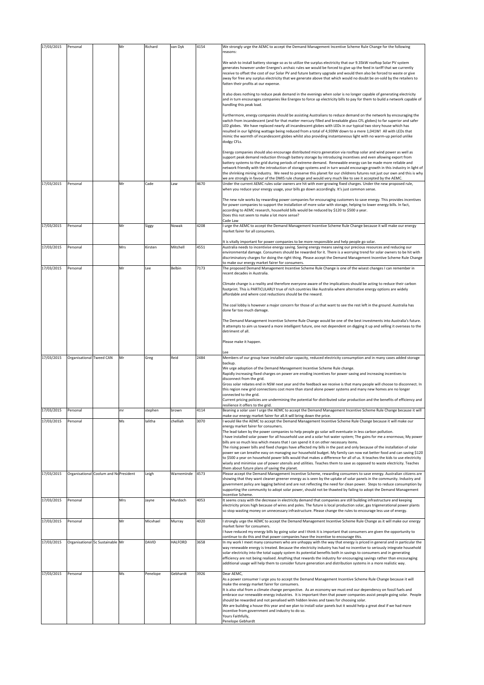| 17/03/2015 | Personal                 |                                       | Mr  | Richard  | van Dyk    | 4154 | We strongly urge the AEMC to accept the Demand Management Incentive Scheme Rule Change for the following<br>reasons:                                                                                                                                                                                                                                                                                                                                                                                                                                                                                                                                                                                                     |
|------------|--------------------------|---------------------------------------|-----|----------|------------|------|--------------------------------------------------------------------------------------------------------------------------------------------------------------------------------------------------------------------------------------------------------------------------------------------------------------------------------------------------------------------------------------------------------------------------------------------------------------------------------------------------------------------------------------------------------------------------------------------------------------------------------------------------------------------------------------------------------------------------|
|            |                          |                                       |     |          |            |      | We wish to install battery storage so as to utilize the surplus electricity that our 9.35kW rooftop Solar PV system<br>generates however under Energex's archaic rules we would be forced to give up the feed in tariff that we currently<br>receive to offset the cost of our Solar PV and future battery upgrade and would then also be forced to waste or give<br>away for free any surplus electricity that we generate above that which would no doubt be on-sold by the retailers to<br>fatten their profits at our expense.<br>It also does nothing to reduce peak demand in the evenings when solar is no longer capable of generating electricity                                                               |
|            |                          |                                       |     |          |            |      | and in turn encourages companies like Energex to force up electricity bills to pay for them to build a network capable of<br>handling this peak load.                                                                                                                                                                                                                                                                                                                                                                                                                                                                                                                                                                    |
|            |                          |                                       |     |          |            |      | Furthermore, energy companies should be assisting Australians to reduce demand on the network by encouraging the<br>switch from incandescent (and for that matter mercury filled and breakable glass CFL globes) to far superior and safer<br>LED globes. We have replaced nearly all incandescent globes with LEDs in our typical two story house which has<br>resulted in our lighting wattage being reduced from a total of 4,939W down to a mere 1,041W! All with LEDs that<br>mimic the warmth of incandescent globes whilst also providing instantaneous light with no warm-up period unlike<br>dodgy CFLs.                                                                                                        |
|            |                          |                                       |     |          |            |      | Energy companies should also encourage distributed micro generation via rooftop solar and wind power as well as<br>support peak demand reduction through battery storage by introducing incentives and even allowing export from<br>battery systems to the grid during periods of extreme demand. Renewable energy can be made more reliable and<br>network friendly with the introduction of storage systems and in turn would encourage growth in this industry in light of<br>the shrinking mining industry. We need to preserve this planet for our childrens futures not just our own and this is why<br>we are strongly in favour of the DMIS rule change and would very much like to see it accepted by the AEMC. |
| 17/03/2015 | Personal                 |                                       | Mr  | Cade     | Law        | 4670 | Under the current AEMC rules solar owners are hit with ever-growing fixed charges. Under the new proposed rule,<br>when you reduce your energy usage, your bills go down accordingly. It's just common sense.                                                                                                                                                                                                                                                                                                                                                                                                                                                                                                            |
|            |                          |                                       |     |          |            |      | The new rule works by rewarding power companies for encouraging customers to save energy. This provides incentives<br>for power companies to support the installation of more solar with storage, helping to lower energy bills. In fact,<br>according to AEMC research, household bills would be reduced by \$120 to \$500 a year.<br>Does this not seem to make a lot more sense?<br>Cade Law                                                                                                                                                                                                                                                                                                                          |
| 17/03/2015 | Personal                 |                                       | Mr  | Siggy    | Nowak      | 4208 | I urge the AEMC to accept the Demand Management Incentive Scheme Rule Change because it will make our energy<br>market fairer for all consumers.                                                                                                                                                                                                                                                                                                                                                                                                                                                                                                                                                                         |
| 17/03/2015 | Personal                 |                                       | Mrs | Kirsten  | Mitchell   | 4551 | It is vitally important for power companies to be more responsible and help people go solar.<br>Australia needs to incentivise energy saving. Saving energy means saving our precious resources and reducing our                                                                                                                                                                                                                                                                                                                                                                                                                                                                                                         |
|            |                          |                                       |     |          |            |      | environmental damage. Consumers should be rewarded for it. There is a worrying trend for solar owners to be hit with<br>discriminatory charges for doing the right thing. Please accept the Demand Management Incentive Scheme Rule Change<br>to make our energy market fairer for consumers.                                                                                                                                                                                                                                                                                                                                                                                                                            |
| 17/03/2015 | Personal                 |                                       | Mr  | Lee      | Belbin     | 7173 | The proposed Demand Management Incentive Scheme Rule Change is one of the wisest changes I can remember in<br>recent decades in Australia.                                                                                                                                                                                                                                                                                                                                                                                                                                                                                                                                                                               |
|            |                          |                                       |     |          |            |      | Climate change is a reality and therefore everyone aware of the implications should be acting to reduce their carbon<br>footprint. This is PARTICULARLY true of rich countries like Australia where alternative energy options are widely<br>affordable and where cost reductions should be the reward.                                                                                                                                                                                                                                                                                                                                                                                                                  |
|            |                          |                                       |     |          |            |      | The coal lobby is however a major concern for those of us that want to see the rest left in the ground. Australia has<br>done far too much damage.                                                                                                                                                                                                                                                                                                                                                                                                                                                                                                                                                                       |
|            |                          |                                       |     |          |            |      | The Demand Management Incentive Scheme Rule Change would be one of the best investments into Australia's future.<br>It attempts to aim us toward a more intelligent future, one not dependent on digging it up and selling it overseas to the<br>detriment of all.                                                                                                                                                                                                                                                                                                                                                                                                                                                       |
|            |                          |                                       |     |          |            |      | Please make it happen.<br>Lee                                                                                                                                                                                                                                                                                                                                                                                                                                                                                                                                                                                                                                                                                            |
| 17/03/2015 | Organisational Tweed CAN |                                       | Mr  | Greg     | Reid       | 2484 | Members of our group have installed solar capacity, reduced electricity consumption and in many cases added storage<br>backup.<br>We urge adoption of the Demand Management Incentive Scheme Rule change.                                                                                                                                                                                                                                                                                                                                                                                                                                                                                                                |
|            |                          |                                       |     |          |            |      | Rapidly increasing fixed charges on power are eroding incentives for power saving and increasing incentives to<br>disconnect from the grid.<br>Gross solar rebates end in NSW next year and the feedback we receive is that many people will choose to disconnect. In                                                                                                                                                                                                                                                                                                                                                                                                                                                    |
|            |                          |                                       |     |          |            |      | this region new grid connections cost more than stand alone power systems and many new homes are no longer<br>connected to the grid.<br>Current pricing policies are undermining the potential for distributed solar production and the benefits of efficiency and                                                                                                                                                                                                                                                                                                                                                                                                                                                       |
| 17/03/2015 | Personal                 |                                       | mr  | stephen  | brown      | 4114 | resilience it offers to the grid.<br>Beaning a solar user I urge the AEMC to accept the Demand Management Incentive Scheme Rule Change because it will                                                                                                                                                                                                                                                                                                                                                                                                                                                                                                                                                                   |
| 17/03/2015 | Personal                 |                                       | Ms  | lalitha  | chelliah   | 3070 | make our energy market fairer for all.It will bring down the price.<br>I would like the AEMC to accept the Demand Management Incentive Scheme Rule Change because it will make our                                                                                                                                                                                                                                                                                                                                                                                                                                                                                                                                       |
|            |                          |                                       |     |          |            |      | energy market fairer for consumers.<br>The lead taken by the power companies to help people go solar will eventuate in less carbon pollution.<br>I have installed solar power for all household use and a solar hot water system; The gains for me a enormous; My power                                                                                                                                                                                                                                                                                                                                                                                                                                                  |
|            |                          |                                       |     |          |            |      | bills are so much less which means that I can spend it it on other necessary items.<br>The rising power bills and fixed charges have affected my bills in the past and only because of the installation of solar<br>power we can breathe easy on managing our household budget. My family can now eat better food and can saving \$120<br>to \$500 a year on household power bills would that makes a difference for all of us. It teaches the kids to use electricity<br>wisely and minimise use of power utensils and utilities. Teaches them to save as opposed to waste electricity. Teaches                                                                                                                         |
| 17/03/2015 |                          | Organisational Coolum and NoPresident |     | Leigh    | Warneminde | 4573 | them about future plans of saving the planet.<br>Please accept the Demand Management Incentive Scheme, rewarding consumers to save energy. Australian citizens are                                                                                                                                                                                                                                                                                                                                                                                                                                                                                                                                                       |
|            |                          |                                       |     |          |            |      | showing that they want cleaner greener energy as is seen by the uptake of solar panels in the community. Industry and<br>government policy are lagging behind and are not reflecting the need for clean power. Steps to reduce consumption by<br>supporting the community to adopt solar power, should not be thawted by failing to adopt the Demand Management                                                                                                                                                                                                                                                                                                                                                          |
| 17/03/2015 | Personal                 |                                       | Mrs | Jayne    | Murdoch    | 4053 | Incentive Scheme.<br>It seems crazy with the decrease in electricity demand that companies are still building infrastructure and keeping<br>electricity prices high because of wires and poles. The future is local production solar, gas trigenerational power plants<br>so stop wasting money on unnecessary infrastructure. Please change the rules to encourage less use of energy.                                                                                                                                                                                                                                                                                                                                  |
| 17/03/2015 | Personal                 |                                       | Mr  | Micvhael | Murray     | 4020 | I strongly urge the AEMC to accept the Demand Management Incentive Scheme Rule Change as it will make our energy                                                                                                                                                                                                                                                                                                                                                                                                                                                                                                                                                                                                         |
|            |                          |                                       |     |          |            |      | market fairer for consumers.<br>I have reduced my energy bills by going solar and I think it is important that consumers are given the opportunity to                                                                                                                                                                                                                                                                                                                                                                                                                                                                                                                                                                    |
| 17/03/2015 |                          | Organisational 5c Sustainable Mr      |     | DAVID    | HALFORD    | 3658 | continue to do this and that power companies have the incentive to encourage this.<br>In my work I meet many consumers who are unhappy with the way that energy is priced in general and in particular the<br>way renewable energy is treated. Because the electricity industry has had no incentive to seriously integrate household<br>solar electricity into the total supply system its potential benefits both in savings to consumers and in generating<br>efficiency are not being realised. Anything that rewards the industry for encouraging savings rather than encouraging<br>additional usage will help them to consider future generation and distribution systems in a more realistic way.                |
| 17/03/2015 | Personal                 |                                       | Ms  | Penelope | Gebhardt   | 3926 | Dear AEMC,                                                                                                                                                                                                                                                                                                                                                                                                                                                                                                                                                                                                                                                                                                               |
|            |                          |                                       |     |          |            |      | As a power consumer I urge you to accept the Demand Management Incentive Scheme Rule Change because it will<br>make the energy market fairer for consumers.<br>It is also vital from a climate change perspective. As an economy we must end our dependency on fossil fuels and<br>embrace our renewable energy industries. It is important then that power companies assist people going solar. People<br>should be rewarded and not penalised with hidden levies and taxes for choosing solar.<br>We are building a house this year and we plan to install solar panels but it would help a great deal if we had more<br>incentive from government and industry to do so.<br>Yours Faithfully,                         |
|            |                          |                                       |     |          |            |      | Penelope Gebhardt                                                                                                                                                                                                                                                                                                                                                                                                                                                                                                                                                                                                                                                                                                        |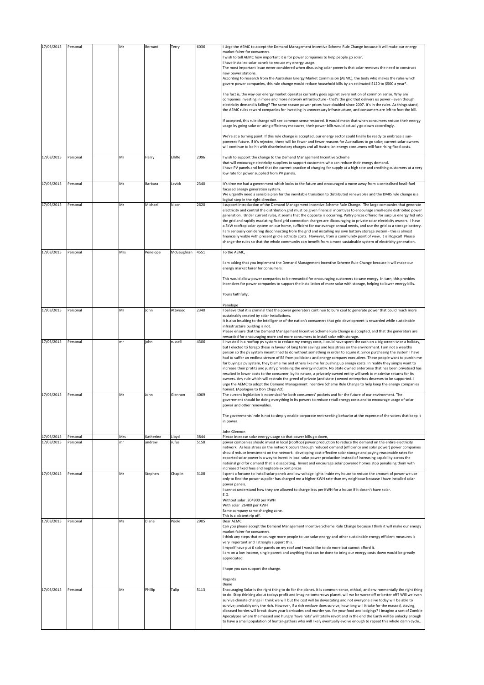| 17/03/2015 | Personal | Mr  | Bernard   | Terry      | 6036 | I Urge the AEMC to accept the Demand Management Incentive Scheme Rule Change because it will make our energy<br>market fairer for consumers.                                                                                                              |
|------------|----------|-----|-----------|------------|------|-----------------------------------------------------------------------------------------------------------------------------------------------------------------------------------------------------------------------------------------------------------|
|            |          |     |           |            |      | wish to tell AEMC how important it is for power companies to help people go solar.                                                                                                                                                                        |
|            |          |     |           |            |      | have installed solar panels to reduce my energy usage.                                                                                                                                                                                                    |
|            |          |     |           |            |      | The most important issue never considered when discussing solar power is that solar removes the need to construct<br>new power stations.                                                                                                                  |
|            |          |     |           |            |      | According to research from the Australian Energy Market Commission (AEMC), the body who makes the rules which                                                                                                                                             |
|            |          |     |           |            |      | govern power companies, this rule change would reduce household bills by an estimated \$120 to \$500 a year*.                                                                                                                                             |
|            |          |     |           |            |      | The fact is, the way our energy market operates currently goes against every notion of common sense. Why are                                                                                                                                              |
|            |          |     |           |            |      | companies investing in more and more network infrastructure - that's the grid that delivers us power - even though<br>electricity demand is falling? The same reason power prices have doubled since 2007. It's in the rules. As things stand,            |
|            |          |     |           |            |      | the AEMC rules reward companies for investing in unnecessary infrastructure, and consumers are left to foot the bill.                                                                                                                                     |
|            |          |     |           |            |      | If accepted, this rule change will see common sense restored. It would mean that when consumers reduce their energy<br>usage by going solar or using efficiency measures, their power bills would actually go down accordingly.                           |
|            |          |     |           |            |      | We're at a turning point. If this rule change is accepted, our energy sector could finally be ready to embrace a sun-                                                                                                                                     |
|            |          |     |           |            |      | powered future. If it's rejected, there will be fewer and fewer reasons for Australians to go solar; current solar owners<br>will continue to be hit with discriminatory charges and all Australian energy consumers will face rising fixed costs.        |
| 17/03/2015 | Personal | Mr  | Harry     | Elliffe    | 2096 | wish to support the change to the Demand Management Incentive Scheme                                                                                                                                                                                      |
|            |          |     |           |            |      | that will encourage electricity suppliers to support customers who can reduce their energy demand.                                                                                                                                                        |
|            |          |     |           |            |      | I have PV panels and feel that the current practice of charging for supply at a high rate and crediting customers at a very<br>low rate for power supplied from PV panels.                                                                                |
|            |          |     |           |            |      |                                                                                                                                                                                                                                                           |
| 17/03/2015 | Personal | Ms  | Barbara   | Levick     | 2340 | It's time we had a government which looks to the future and encouraged a move away from a centralised fossil-fuel<br>focused energy generation system.                                                                                                    |
|            |          |     |           |            |      | We urgently need a sensible plan for the inevitable transition to distributed renewables and the DMIS rule change is a                                                                                                                                    |
| 17/03/2015 | Personal | Mr  | Michael   | Nixon      | 2620 | logical step in the right direction.<br>support introduction of the Demand Management Incentive Scheme Rule Change. The large companies that generate                                                                                                     |
|            |          |     |           |            |      | electricity and control the distribution grid must be given financial incentives to encourage small-scale distribited power                                                                                                                               |
|            |          |     |           |            |      | generation. Under current rules, it seems that the opposite is occurring. Paltry prices offered for surplus energy fed into<br>the grid and rapidly escalating fixed grid connection charges are discouraging to private solar electricity owners. I have |
|            |          |     |           |            |      | a 3kW rooftop solar system on our home, sufficient for our average annual needs, and use the grid as a storage battery.                                                                                                                                   |
|            |          |     |           |            |      | am seriously conidering disconnecting from the grid and installing my own battery storage system - this is almost                                                                                                                                         |
|            |          |     |           |            |      | financially viable with present grid electricity costs. However, from a community point of view, it is illogical! Please<br>change the rules so that the whole community can benefit from a more sustainable system of electricity generation.            |
| 17/03/2015 | Personal | Mrs | Penelope  | McGaughran | 4551 | To the AEMC,                                                                                                                                                                                                                                              |
|            |          |     |           |            |      |                                                                                                                                                                                                                                                           |
|            |          |     |           |            |      | am asking that you implement the Demand Management Incentive Scheme Rule Change because it will make our<br>energy market fairer for consumers.                                                                                                           |
|            |          |     |           |            |      | This would allow power companies to be rewarded for encouraging customers to save energy. In turn, this provides                                                                                                                                          |
|            |          |     |           |            |      | incentives for power companies to support the installation of more solar with storage, helping to lower energy bills.                                                                                                                                     |
|            |          |     |           |            |      | Yours faithfully,                                                                                                                                                                                                                                         |
|            |          |     |           |            |      | Penelope                                                                                                                                                                                                                                                  |
| 17/03/2015 | Personal | Mr  | John      | Attwood    | 2340 | believe that it is criminal that the power generators continue to burn coal to generate power that could much more                                                                                                                                        |
|            |          |     |           |            |      | sustainably created by solar installations.<br>It is also insulting to the intelligence of the nation's consumers that grid development is rewarded while sustainable                                                                                     |
|            |          |     |           |            |      | infrastructure building is not.                                                                                                                                                                                                                           |
|            |          |     |           |            |      | Please ensure that the Demand Management Incentive Scheme Rule Change is accepted, and that the generators are<br>rewarded for encouraging more and more consumers to install solar with storage.                                                         |
| 17/03/2015 | Personal | mr  | john      | russell    | 4306 | I invested in a rooftop pv system to reduce my energy costs, I could have spent the cash on a big screen tv or a holiday,                                                                                                                                 |
|            |          |     |           |            |      | but I elected to forego these in favour of long term savings and less stress on the environment. I am not a wealthy                                                                                                                                       |
|            |          |     |           |            |      | person so the pv system meant I had to do without something in order to aquire it. Since purchasing the system I have<br>had to suffer an endless stream of BS from politicians and energy company executives. These people want to punish me             |
|            |          |     |           |            |      | for buying a pv system, they blame me and others like me for pushing up energy costs. In reality they simply want to                                                                                                                                      |
|            |          |     |           |            |      | increase their profits and justify privatising the energy industry. No State owned enterprise that has been privatised has<br>resulted in lower costs to the consumer, by its nature, a privately owned entity will seek to maximise returns for its      |
|            |          |     |           |            |      | owners. Any rule which will restrain the greed of private (and state ) owned enterprises deserves to be supported. I                                                                                                                                      |
|            |          |     |           |            |      | urge the AEMC to adopt the Demand Management Incentive Scheme Rule Change to help keep the energy companies<br>honest. (Apologies to Don Chipp AO)                                                                                                        |
| 17/03/2015 | Personal | Mr  | John      | Glennon    | 4069 | The current legislation is nosensical for both consumers' pockets and for the future of our environment. The                                                                                                                                              |
|            |          |     |           |            |      | government should be doing everything in its powers to reduce retail energy costs and to encourage usage of solar<br>power and other renewables.                                                                                                          |
|            |          |     |           |            |      |                                                                                                                                                                                                                                                           |
|            |          |     |           |            |      | The governments' role is not to simply enable corporate rent-seeking behavior at the expense of the voters that keep it<br>in power.                                                                                                                      |
|            |          |     |           |            |      | John Glennon                                                                                                                                                                                                                                              |
| 17/03/2015 | Personal | Mrs | Katherine | Lloyd      | 3844 | Please increase solar energy usage so that power bills go down,                                                                                                                                                                                           |
| 17/03/2015 | Personal | mr  | andrew    | rufus      | 5158 | power companies should invest in local (rooftop) power production to reduce the demand on the entire electricity<br>network. As less stress on the network occurs through reduced demand (efficiency and solar power) power companies                     |
|            |          |     |           |            |      | should reduce investment on the network. developing cost effective solar storage and paying reasonable rates for                                                                                                                                          |
|            |          |     |           |            |      | exported solar power is a way to invest in local solar power production instead of increasing capability across the                                                                                                                                       |
|            |          |     |           |            |      | national grid for demand that is dissapating. Invest and encourage solar powered homes stop penalising them with<br>increased fixed fees and negliable export prices                                                                                      |
| 17/03/2015 | Personal | Mr  | Stephen   | Chaplin    | 3108 | spent a fortune to install solar panels and low voltage lights inside my house to reduce the amount of power we use                                                                                                                                       |
|            |          |     |           |            |      | only to find the power supplier has charged me a higher KWH rate than my neighbour because I have installed solar<br>power panels.                                                                                                                        |
|            |          |     |           |            |      | I cannot understand how they are allowed to charge less per KWH for a house if it dosen't have solar.                                                                                                                                                     |
|            |          |     |           |            |      | E.G.<br>Without solar .204900 per KWH                                                                                                                                                                                                                     |
|            |          |     |           |            |      | With solar .26400 per KWH                                                                                                                                                                                                                                 |
|            |          |     |           |            |      | Same company same charging zone.<br>This is a blatent rip off.                                                                                                                                                                                            |
| 17/03/2015 | Personal | Ms  | Diane     | Poole      | 2905 | Dear AEMC                                                                                                                                                                                                                                                 |
|            |          |     |           |            |      | Can you please accept the Demand Management Incentive Scheme Rule Change because I think it will make our energy<br>market fairer for consumers.                                                                                                          |
|            |          |     |           |            |      | I think any steps that encourage more people to use solar energy and other sustainable energy efficient measures is                                                                                                                                       |
|            |          |     |           |            |      | very important and I strongly support this.<br>I myself have put 6 solar panels on my roof and I would like to do more but cannot afford it.                                                                                                              |
|            |          |     |           |            |      | am on a low income, single parent and anything that can be done to bring our energy costs down would be greatly                                                                                                                                           |
|            |          |     |           |            |      | appreciated.                                                                                                                                                                                                                                              |
|            |          |     |           |            |      | hope you can support the change.                                                                                                                                                                                                                          |
|            |          |     |           |            |      | Regards                                                                                                                                                                                                                                                   |
| 17/03/2015 |          | Mr  | Phillip   |            | 5113 | Diane                                                                                                                                                                                                                                                     |
|            | Personal |     |           | Tulip      |      | Encouraging Solar is the right thing to do for the planet. It is common-sense, ethical, and environmentally the right thing<br>to do. Stop thinking about todays profit and imagine tomorrows planet, will we be worse off or better off? Will we even    |
|            |          |     |           |            |      | survive climate change? I think we will but the cost will be devastating and not everyone alive today will be able to                                                                                                                                     |
|            |          |     |           |            |      | survive; probably only the rich. However, if a rich enclave does survive, how long will it take for the massed, staving,<br>diseased hordes will break down your barricades and murder you for your food and lodgings? I imagine a sort of Zombie         |
|            |          |     |           |            |      | Apocalypse where the massed and hungry 'have nots' will totally revolt and in the end the Earth will be unlucky enough                                                                                                                                    |
|            |          |     |           |            |      | to have a small population of hunter-gathers who will likely eventually evolve enough to repeat this whole damn cycle                                                                                                                                     |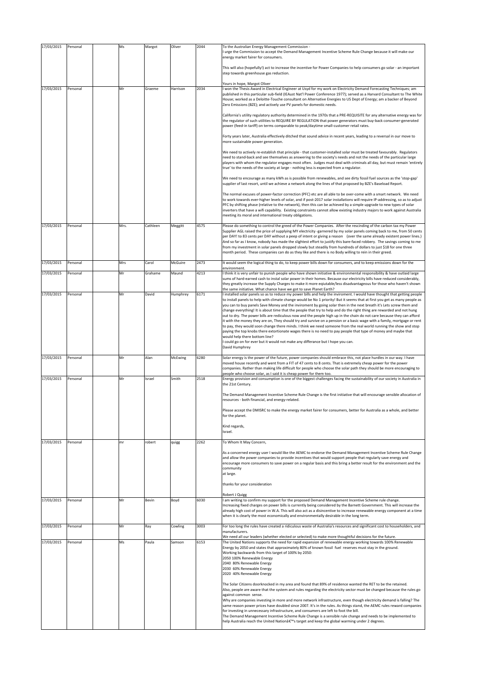| 17/03/2015 | Personal | Ms   | Margot   | Oliver   | 2044 | To the Australian Energy Management Commission -<br>I urge the Commission to accept the Demand Management Incentive Scheme Rule Change because it will make our<br>energy market fairer for consumers.                                                                                                                                                                                                                                                                                                                                                                                                                                                                                                                                                                                                                                                                         |
|------------|----------|------|----------|----------|------|--------------------------------------------------------------------------------------------------------------------------------------------------------------------------------------------------------------------------------------------------------------------------------------------------------------------------------------------------------------------------------------------------------------------------------------------------------------------------------------------------------------------------------------------------------------------------------------------------------------------------------------------------------------------------------------------------------------------------------------------------------------------------------------------------------------------------------------------------------------------------------|
|            |          |      |          |          |      | This will also (hopefully!) act to increase the incentive for Power Companies to help consumers go solar - an important<br>step towards greenhouse gas reduction.                                                                                                                                                                                                                                                                                                                                                                                                                                                                                                                                                                                                                                                                                                              |
| 17/03/2015 | Personal | Mr   | Graeme   | Harrison | 2034 | Yours in hope, Margot Oliver<br>I won the Thesis Award in Electrical Engineer at Usyd for my work on Electricity Demand Forecasting Techniques; am<br>published in this particular sub-field (IEAust Nat'l Power Conference 1977); served as a Harvard Consultant to The White<br>House; worked as a Deloitte-Touche consultant on Alternative Energies to US Dept of Energy; am a backer of Beyond<br>Zero Emissions (BZE); and actively use PV panels for domestic needs.                                                                                                                                                                                                                                                                                                                                                                                                    |
|            |          |      |          |          |      | California's utility regulatory authority determined in the 1970s that a PRE-REQUISITE for any alternative energy was for<br>the regulator of such utilities to REQUIRE BY REGULATION that power generators must buy-back consumer-generated<br>power (feed-in tariff) on terms comparable to peak/daytime small-customer retail rates.                                                                                                                                                                                                                                                                                                                                                                                                                                                                                                                                        |
|            |          |      |          |          |      | Forty years later, Australia effectively ditched that sound advice in recent years, leading to a reversal in our move to<br>more sustainable power generation.                                                                                                                                                                                                                                                                                                                                                                                                                                                                                                                                                                                                                                                                                                                 |
|            |          |      |          |          |      | We need to actively re-establish that principle - that customer-installed solar must be treated favourably. Regulators<br>need to stand-back and see themselves as answering to the society's needs and not the needs of the particular large<br>players with whom the regulator engages most often. Judges must deal with criminals all day, but must remain 'entirely<br>true' to the needs of the society at large - nothing less is expected from a regulator.                                                                                                                                                                                                                                                                                                                                                                                                             |
|            |          |      |          |          |      | We need to encourage as many kWh as is possible from renewables, and see dirty fossil fuel sources as the 'stop-gap'<br>supplier of last resort, until we achieve a network along the lines of that proposed by BZE's Baseload Report.                                                                                                                                                                                                                                                                                                                                                                                                                                                                                                                                                                                                                                         |
|            |          |      |          |          |      | The normal excuses of power-factor correction (PFC) etc are all able to be over-come with a smart network. We need<br>to work towards ever-higher levels of solar, and if post-2017 solar installations will require IP-addressing, so as to adjust<br>PFC by shifting phase (relative to the network), then this can be achieved by a simple upgrade to new types of solar<br>inverters that have a wifi capability. Existing constraints cannot allow existing industry majors to work against Australia<br>meeting its moral and international treaty obligations.                                                                                                                                                                                                                                                                                                          |
| 17/03/2015 | Personal | Mrs. | Cathleen | Meggitt  | 4575 | Please do something to control the greed of the Power Companies. After the rescinding of the carbon tax my Power<br>Supplier AGL raised the price of supplying MY electricity -garnered by my solar panels coming back to me, from 50 cents<br>per DAY! to 83 cents per DAY without a peep of intent or giving a reason (over the same already existent power lines.)<br>And so far as I know, nobody has made the slightest effort to justify this bare-faced robbery. The savings coming to me<br>from my investment in solar panels dropped slowly but steadily from hundreds of dollars to just \$18 for one three<br>month period. These companies can do as they like and there is no Body willing to rein in their greed.                                                                                                                                               |
| 17/03/2015 | Personal | Mrs  | Carol    | McGuire  | 2473 | It would seem the logical thing to do, to keep power bills down for consumers, and to keep emissions down for the<br>environment.                                                                                                                                                                                                                                                                                                                                                                                                                                                                                                                                                                                                                                                                                                                                              |
| 17/03/2015 | Personal | Mr   | Grahame  | Maund    | 4213 | I think it is very unfair to punish people who have shown initiative & environmental responsibility & have outlaid large<br>sums of hard-earned cash to instal solar power in their homes. Because our electricity bills have reduced considerably,<br>they greatly increase the Supply Charges to make it more eqiutable/less disadvantageous for those who haven't shown                                                                                                                                                                                                                                                                                                                                                                                                                                                                                                     |
| 17/03/2015 | Personal | Mr   | David    | Humphrey | 6171 | the same initiative. What chance have we got to save Planet Earth?<br>I installed solar panels so as to reduce my power bills and help the inviroment. I would have thought that getting people<br>to install panels to help with climate change would be No 1 priority! But it seems that at first you get as many people as                                                                                                                                                                                                                                                                                                                                                                                                                                                                                                                                                  |
|            |          |      |          |          |      | you can to buy panels Save Money and the inviroment by going solar then in the next breath it's Lets screw them and<br>change everything! It is about time that the people that try to help and do the right thing are rewarded and not hung<br>out to dry. The power bills are rediculous now and the people high up in the chain do not care because they can afford<br>it with the money they are on, They should try and survive on a pension or a basic wage with a family, mortgage or rent<br>to pay, they would soon change there minds. I think we need someone from the real world running the show and stop<br>paying the top knobs there extortionate wages there is no need to pay people that type of money and maybe that<br>would help there bottom line?<br>I could go on for ever but it would not make any differance but I hope you can.<br>David Humphrey |
| 17/03/2015 | Personal | Mr   | Alan     | McEwing  | 6280 | Solar energy is the power of the future, power companies should embrace this, not place hurdles in our way. I have                                                                                                                                                                                                                                                                                                                                                                                                                                                                                                                                                                                                                                                                                                                                                             |
| 17/03/2015 | Personal | Mr   | Israel   | Smith    | 2518 | moved house recently and went from a FIT of 47 cents to 8 cents. That is extremely cheap power for the power<br>companies. Rather than making life difficult for people who choose the solar path they should be more encouraging to<br>people who choose solar, as I said it is cheap power for them too.<br>Energy provision and consumption is one of the biggest challenges facing the sustainability of our society in Australia in                                                                                                                                                                                                                                                                                                                                                                                                                                       |
|            |          |      |          |          |      | the 21st Century.<br>The Demand Management Incentive Scheme Rule Change is the first initiative that will encourage sensible allocation of<br>resources - both financial, and energy-related.                                                                                                                                                                                                                                                                                                                                                                                                                                                                                                                                                                                                                                                                                  |
|            |          |      |          |          |      | Please accept the DMISRC to make the energy market fairer for consumers, better for Australia as a whole, and better<br>for the planet.                                                                                                                                                                                                                                                                                                                                                                                                                                                                                                                                                                                                                                                                                                                                        |
|            |          |      |          |          |      | Kind regards,<br>Israel.                                                                                                                                                                                                                                                                                                                                                                                                                                                                                                                                                                                                                                                                                                                                                                                                                                                       |
| 17/03/2015 | Personal | mr   | robert   | quigg    | 2262 | To Whom It May Concern,                                                                                                                                                                                                                                                                                                                                                                                                                                                                                                                                                                                                                                                                                                                                                                                                                                                        |
|            |          |      |          |          |      | As a concerned energy user I would like the AEMC to endorse the Demand Management Incentive Scheme Rule Change<br>and allow the power companies to provide incentives that would support people that regularly save energy and<br>encourage more consumers to save power on a regular basis and this bring a better result for the environment and the<br>community<br>at large.                                                                                                                                                                                                                                                                                                                                                                                                                                                                                               |
|            |          |      |          |          |      | thanks for your consideration                                                                                                                                                                                                                                                                                                                                                                                                                                                                                                                                                                                                                                                                                                                                                                                                                                                  |
| 17/03/2015 | Personal | Mr   | Bevin    | Boyd     | 6030 | Robert J Quigg<br>I am writing to confirm my support for the proposed Demand Management Incentive Scheme rule change.<br>Increasing fixed charges on power bills is currently being considered by the Barnett Government. This will increase the<br>already high cost of power in W.A. This will also act as a disincentive to increase renewable energy component at a time<br>when it is clearly the most economically and environmentally desirable in the long term.                                                                                                                                                                                                                                                                                                                                                                                                       |
| 17/03/2015 | Personal | Mr   | Ray      | Cowling  | 3003 | For too long the rules have created a ridiculous waste of Australia's resources and significant cost to householders, and<br>manufacturers.                                                                                                                                                                                                                                                                                                                                                                                                                                                                                                                                                                                                                                                                                                                                    |
| 17/03/2015 | Personal | Ms   | Paula    | Samson   | 6153 | We need all our leaders (whether elected or selected) to make more thoughtful decisions for the future.<br>The United Nations supports the need for rapid expansion of renewable energy working towards 100% Renewable<br>Energy by 2050 and states that approximately 80% of known fossil fuel reserves must stay in the ground.<br>Working backwards from this target of 100% by 2050:<br>2050 100% Renewable Energy<br>2040 80% Renewable Energy<br>2030 60% Renewable Energy<br>2020 40% Renewable Energy                                                                                                                                                                                                                                                                                                                                                                  |
|            |          |      |          |          |      | The Solar Citizens doorknocked in my area and found that 89% of residence wanted the RET to be the retained.<br>Also, people are aware that the system and rules regarding the electricity sector must be changed because the rules go<br>against common sense.<br>Why are companies investing in more and more network infrastructure, even though electricity demand is falling? The<br>same reason power prices have doubled since 2007. It's in the rules. As things stand, the AEMC rules reward companies<br>for investing in unnecessary infrastructure, and consumers are left to foot the bill.<br>The Demand Management Incentive Scheme Rule Change is a sensible rule change and needs to be implemented to<br>help Australia reach the United Nation's target and keep the global warming under 2 degrees.                                                        |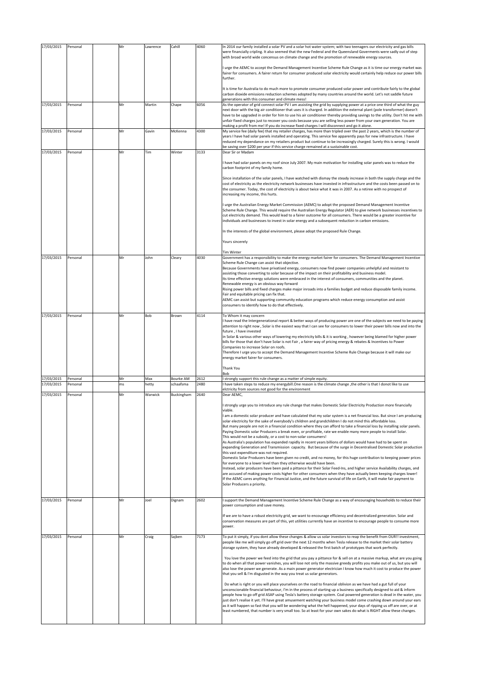|            |          | Mr |          |                  | 4060 |                                                                                                                                                                                                                                                                                                                                                                                                                                                                   |
|------------|----------|----|----------|------------------|------|-------------------------------------------------------------------------------------------------------------------------------------------------------------------------------------------------------------------------------------------------------------------------------------------------------------------------------------------------------------------------------------------------------------------------------------------------------------------|
| 17/03/2015 | Personal |    | Lawrence | Cahill           |      | In 2014 our family installed a solar PV and a solar hot water system; with two teenagers our electricity and gas bills<br>were financially cripling. It also seemed that the new Federal and the Queensland Goverments were sadly out of step<br>with broad world wide concensus on climate change and the promotion of renewable energy sources.                                                                                                                 |
|            |          |    |          |                  |      | I urge the AEMC to accept the Demand Management Incentive Scheme Rule Change as it is time our energy market was<br>fairer for consumers. A fairer return for consumer produced solar electricity would certainly help reduce our power bills<br>further.                                                                                                                                                                                                         |
|            |          |    |          |                  |      | It is time for Australia to do much more to promote consumer produced solar power and contribute fairly to the global<br>carbon dioxide emissions reduction schemes adopted by many countries around the world. Let's not saddle future                                                                                                                                                                                                                           |
| 17/03/2015 | Personal | Mr | Martin   | Chape            | 6056 | generations with this consumer and climate mess!<br>As the operator of grid connect solar PV I am assisting the grid by supplying power at a price one third of what the guy<br>next door with the big air conditioner that uses it is charged. In addition the external plant (pole transformer) doesn't                                                                                                                                                         |
|            |          |    |          |                  |      | have to be upgraded in order for him to use his air conditioner thereby providing savings to the utility. Don't hit me with<br>unfair fixed charges just to recover you costs because you are selling less power from your own generation. You are<br>making a profit from me! If you do increase fixed charges I will disconnect and go it alone.                                                                                                                |
| 17/03/2015 | Personal | Mr | Gavin    | McKenna          | 4300 | My service fee (daily fee) that my retailer charges, has more than tripled over the past 2 years, which is the number of                                                                                                                                                                                                                                                                                                                                          |
|            |          |    |          |                  |      | years I have had solar panels installed and operating. This service fee apparently pays for new infrastructure. I have<br>reduced my dependance on my retailers product but continue to be increasingly charged. Surely this is wrong. I would<br>be saving over \$200 per year if this service charge remained at a sustainable cost.                                                                                                                            |
| 17/03/2015 | Personal | Mr | Tim      | Winter           | 3133 | Dear Sir or Madam                                                                                                                                                                                                                                                                                                                                                                                                                                                 |
|            |          |    |          |                  |      | I have had solar panels on my roof since July 2007. My main motivation for installing solar panels was to reduce the<br>carbon footprint of my family home.                                                                                                                                                                                                                                                                                                       |
|            |          |    |          |                  |      | Since installation of the solar panels, I have watched with dismay the steady increase in both the supply charge and the<br>cost of electricity as the electricity network businesses have invested in infrastructure and the costs been passed on to<br>the consumer. Today, the cost of electricity is about twice what it was in 2007. As a retiree with no prospect of<br>increasing my income, this hurts.                                                   |
|            |          |    |          |                  |      | I urge the Australian Energy Market Commission (AEMC) to adopt the proposed Demand Management Incentive<br>Scheme Rule Change. This would require the Australian Energy Regulator (AER) to give network businesses incentives to<br>cut electricity demand. This would lead to a fairer outcome for all consumers. There would be a greater incentive for<br>individuals and businesses to invest in solar energy and a subsequent reduction in carbon emissions. |
|            |          |    |          |                  |      | In the interests of the global environment, please adopt the proposed Rule Change.                                                                                                                                                                                                                                                                                                                                                                                |
|            |          |    |          |                  |      | Yours sincerely                                                                                                                                                                                                                                                                                                                                                                                                                                                   |
| 17/03/2015 | Personal | Mr | John     | Cleary           | 4030 | <b>Tim Winter</b><br>Government has a responsibility to make the energy market fairer for consumers. The Demand Management Incentive                                                                                                                                                                                                                                                                                                                              |
|            |          |    |          |                  |      | Scheme Rule Change can assist that objective.<br>Because Governments have privatised energy, consumers now find power companies unhelpful and resistant to                                                                                                                                                                                                                                                                                                        |
|            |          |    |          |                  |      | assisting those converting to solar because of the impact on their profitability and business model.<br>Its time effective energy solutions were embraced in the interest of consumers, communities and the planet.<br>Renewable energy is an obvious way forward                                                                                                                                                                                                 |
|            |          |    |          |                  |      | Rising power bills and fixed charges make major inroads into a families budget and reduce disposable family income.<br>Fair and equitable pricing can fix that.                                                                                                                                                                                                                                                                                                   |
|            |          |    |          |                  |      | AEMC can assist but supporting community education programs which reduce energy consumption and assist<br>consumers to identify how to do that effectively.                                                                                                                                                                                                                                                                                                       |
| 17/03/2015 | Personal | Mr | Bob      | Brown            | 4114 | To Whom it may concern                                                                                                                                                                                                                                                                                                                                                                                                                                            |
|            |          |    |          |                  |      | I have read the Intergenerational report & better ways of producing power are one of the subjects we need to be paying<br>attention to right now, Solar is the easiest way that I can see for consumers to lower their power bills now and into the<br>future, I have invested                                                                                                                                                                                    |
|            |          |    |          |                  |      | in Solar & various other ways of lowering my electricity bills & it is working, however being blamed for higher power<br>bills for those that don't have Solar is not Fair, a fairer way of pricing energy & rebates & Incentives to Power<br>Companies to increase Solar on roofs.<br>Therefore I urge you to accept the Demand Management Incentive Scheme Rule Change because it will make our                                                                 |
|            |          |    |          |                  |      | energy market fairer for consumers.                                                                                                                                                                                                                                                                                                                                                                                                                               |
| 17/03/2015 | Personal | Mr | Max      | <b>Bourke AM</b> | 2612 | Thank You<br>Bob<br>I strongly support this rule change as a matter of simple equity.                                                                                                                                                                                                                                                                                                                                                                             |
| 17/03/2015 | Personal | ms | hetty    | schaafsma        | 2480 | I have taken steps to reduce my energybill.One reason is the climate change ,the other is that I donot like to use<br>elctricity from sources not good for the environment                                                                                                                                                                                                                                                                                        |
| 17/03/2015 | Personal | Mr | Warwick  | Buckingham       | 2640 | Dear AEMC,<br>I strongly urge you to introduce any rule change that makes Domestic Solar Electricity Production more financially                                                                                                                                                                                                                                                                                                                                  |
|            |          |    |          |                  |      | viable.<br>I am a domestic solar producer and have calculated that my solar system is a net financial loss. But since I am producing                                                                                                                                                                                                                                                                                                                              |
|            |          |    |          |                  |      | solar electricity for the sake of everybody's children and grandchildren I do not mind this affordable loss.<br>But many people are not in a financial condition where they can afford to take a financial loss by installing solar panels.<br>Paying Domestic solar Producers a break even, or profitable, rate we enable many more people to install Solar.                                                                                                     |
|            |          |    |          |                  |      | This would not be a subsidy, or a cost to non-solar consumers!<br>As Australia's population has expanded rapidly in recent years billions of dollars would have had to be spent on                                                                                                                                                                                                                                                                                |
|            |          |    |          |                  |      | expanding Generation and Transmission capacity. But because of the surge in Decentralised Domestic Solar production<br>this vast expenditure was not required.                                                                                                                                                                                                                                                                                                    |
|            |          |    |          |                  |      | Domestic Solar Producers have been given no credit, and no money, for this huge contribution to keeping power prices<br>for everyone to a lower level than they otherwise would have been.<br>Instead, solar producers have been paid a pittance for their Solar Feed-Ins, and higher service Availability charges, and                                                                                                                                           |
|            |          |    |          |                  |      | are accused of making power costs higher for other consumers when they have actually been keeping charges lower!<br>If the AEMC cares anything for Financial Justice, and the future survival of life on Earth, it will make fair payment to                                                                                                                                                                                                                      |
|            |          |    |          |                  |      | Solar Producers a priority.                                                                                                                                                                                                                                                                                                                                                                                                                                       |
| 17/03/2015 | Personal | Mr | Joel     | Dignam           | 2602 | I support the Demand Management Incentive Scheme Rule Change as a way of encouraging households to reduce their<br>power consumption and save money.                                                                                                                                                                                                                                                                                                              |
|            |          |    |          |                  |      | If we are to have a robust electricity grid, we want to encourage efficiency and decentralized generation. Solar and<br>conservation measures are part of this, yet utilities currently have an incentive to encourage people to consume more                                                                                                                                                                                                                     |
| 17/03/2015 |          |    |          |                  | 7173 | power.                                                                                                                                                                                                                                                                                                                                                                                                                                                            |
|            | Personal | Mr | Craig    | Sajben           |      | To put it simply, if you dont allow these changes & allow us solar investors to reap the benefit from OUR!! investment,<br>people like me will simply go off grid over the next 12 months when Tesla release to the market their solar battery<br>storage system, they have already developed & released the first batch of prototypes that work perfectly.                                                                                                       |
|            |          |    |          |                  |      | You love the power we feed into the grid that you pay a pittance for & sell on at a massive markup, what are you going<br>to do when all that power vanishes, you will lose not only the massive greedy profits you make out of us, but you will<br>also lose the power we generate. As a main power generator electrician I know how much it cost to produce the power<br>that you sell & I'm disgusted in the way you treat us solar generators.                |
|            |          |    |          |                  |      | Do what is right or you will place yourselves on the road to financial oblivion as we have had a gut full of your<br>unconscionable financial behaviour, I'm in the process of starting up a business specifically designed to aid & inform<br>people how to go off grid ASAP using Tesla's battery storage system. Coal powered generation is dead in the water, you                                                                                             |
|            |          |    |          |                  |      | just don't realise it yet. I'll have great amusement watching your business model come crashing down around your ears<br>as it will happen so fast that you will be wondering what the hell happened, your days of ripping us off are over, or at<br>least numbered, that number is very small too. So at least for your own sakes do what is RIGHT allow these changes.                                                                                          |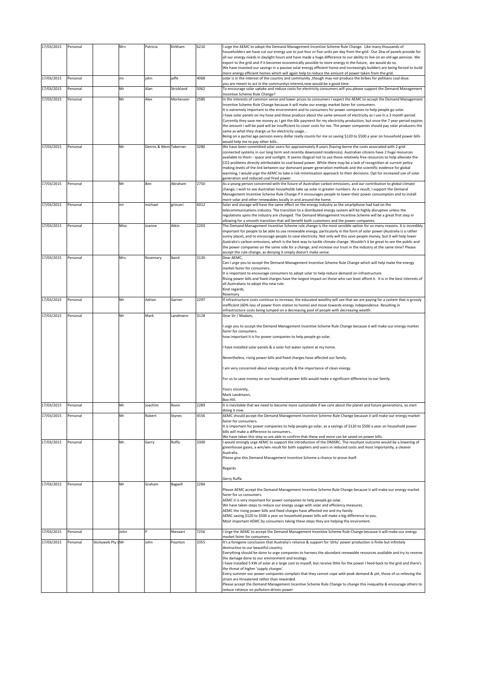| 17/03/2015 | Personal |                   | Mrs  | Patricia              | Kirkham    | 6210 | urge the AEMC to adopt the Demand Management Incentive Scheme Rule Change. Like many thousands of<br>householders we have cut our energy use to just four or five units per day from the grid. Our 2kw of panels provide for                        |
|------------|----------|-------------------|------|-----------------------|------------|------|-----------------------------------------------------------------------------------------------------------------------------------------------------------------------------------------------------------------------------------------------------|
|            |          |                   |      |                       |            |      | all our energy needs in daylight hours and have made a huge difference to our ability to live on an old age pension. We<br>export to the grid and if it becomes economically possible to store energy in the future, we would do so.                |
|            |          |                   |      |                       |            |      | We have invested our savings in a passive solar energy efficient home and increasingly builders are being forced to build                                                                                                                           |
| 17/03/2015 | Personal |                   | mr   | john                  | jaffe      | 4068 | more energy efficient homes which will again help to reduce the amount of power taken from the grid.<br>solar is in the interest of the country and community , though may not produce the bribes for politians coal dose.                          |
| 17/03/2015 | Personal |                   | Mr   | Alan                  | Strickland | 5062 | you are meant to act in the communitys interest, now would be a good time.<br>To encourage solar uptake and reduce costs for electricity consumers will you please support the Demand Management                                                    |
|            |          |                   | Mr   |                       |            | 2580 | ncentive Scheme Rule Change?                                                                                                                                                                                                                        |
| 17/03/2015 | Personal |                   |      | Alex                  | Mortensen  |      | In the interests of common sense and lower prices to consumers I expect the AEMC to accept the Demand Management<br>Incentive Scheme Rule Change because it will make our energy market fairer for consumers.                                       |
|            |          |                   |      |                       |            |      | It is extremely important to the environment and to consumers for power companies to help people go solar.<br>I have solar panels on my hose and these produce about the same amount of electricity as I use in a 3 month period.                   |
|            |          |                   |      |                       |            |      | Currently they save me money as I get the 60c payment for my electricity production, but once the 7 year period expires                                                                                                                             |
|            |          |                   |      |                       |            |      | the amount I will be paid will be insufficient to cover costs for me. The power companies should pay solar producers the<br>same as what they charge us for electricity usage                                                                       |
|            |          |                   |      |                       |            |      | Being on a partial age pension every dollar really counts for me so saving \$120 to \$500 a year on household power bills<br>would help me to pay other bills                                                                                       |
| 17/03/2015 | Personal |                   | Mr   | Dennis & Mem Taberner |            | 3280 | We have been committed solar users for approximately 8 years (having borne the costs associated with 2 grid<br>connected systems in our long term and recently downsized residences). Australian citizens have 2 huge resources                     |
|            |          |                   |      |                       |            |      | available to them - space and sunlight. It seems illogical not to use these relatively free resources to help alleviate the                                                                                                                         |
|            |          |                   |      |                       |            |      | CO2 problems directly attributable to coal based power. While there may be a lack of recognition at current policy<br>making levels of the link between our dominant power generation methods and the scientific evidence for global                |
|            |          |                   |      |                       |            |      | warming, I would urge the AEMC to take a risk minimisation approach to their decisions. Opt for increased use of solar<br>generation and reduced coal fired power.                                                                                  |
| 17/03/2015 | Personal |                   | Mr   | Ben                   | Abraham    | 2750 | As a young person concerned with the future of Australian carbon emissions, and our contribution to global climate                                                                                                                                  |
|            |          |                   |      |                       |            |      | change, I wish to see Australian households take up solar in greater numbers. As a result, I support the Demand<br>Management Incentive Scheme Rule Change if it encourages people to lower their power consumption and to install                  |
| 17/03/2015 | Personal |                   | mr   | michael               | grinceri   | 6012 | more solar and other renewables locally in and around the home.<br>Solar and storage will have the same effect on the energy industry as the smartphone had had on the                                                                              |
|            |          |                   |      |                       |            |      | telecommunications industry. The transition to a distributed energy system will be highly disruptive unless the<br>regulations spins the industry are changed. The Demand Management Incentive Scheme will be a great first step in                 |
|            |          |                   |      |                       |            |      | allowing for a smooth transition that will benefit both customers and the power companies.                                                                                                                                                          |
| 17/03/2015 | Personal |                   | Miss | Joanne                | Atkin      | 2203 | The Demand Management Incentive Scheme rule change is the most sensible option for so many reasons. It is incredibly<br>important for people to be able to use renewable energy, particularly in the form of solar power (Australia is a rather     |
|            |          |                   |      |                       |            |      | sunny place), and to encourage people to save electricity. Not only will this save people money, but it will help lower<br>Australia's carbon emissions, which is the best way to tackle climate change. Wouldn't it be great to see the public and |
|            |          |                   |      |                       |            |      | the power companies on the same side for a change, and increase our trust in the industry at the same time? Please                                                                                                                                  |
| 17/03/2015 | Personal |                   | Mrs  | Rosemary              | Baird      | 3130 | accept the rule change, as denying it simply doesn't make sense.<br>Dear AEMC.                                                                                                                                                                      |
|            |          |                   |      |                       |            |      | Can I urge you to accept the Demand Management Incentive Scheme Rule Change which will help make the energy<br>market fairer for consumers.                                                                                                         |
|            |          |                   |      |                       |            |      | It is important to encourage consumers to adopt solar to help reduce demand on infrastructure.<br>Rising power bills and fixed charges have the largest impact on those who can least afford it. It is in the best interests of                     |
|            |          |                   |      |                       |            |      | all Australians to adopt this new rule.                                                                                                                                                                                                             |
|            |          |                   |      |                       |            |      | Kind regards,<br>Rosemary                                                                                                                                                                                                                           |
| 17/03/2015 | Personal |                   | Mr   | Adrian                | Garner     | 2297 | If infrastructure costs continue to increase, the educated wealthy will see that we are paying for a system that is grossly<br>inefficient (60% loss of power from station to home) and move towards energy independence. Resulting in              |
| 17/03/2015 | Personal |                   | Mr   | Mark                  | Landmann   | 3128 | infrastructure costs being lumped on a decreasing pool of people with decreasing wealth.<br>Dear Sir / Madam,                                                                                                                                       |
|            |          |                   |      |                       |            |      | urge you to accept the Demand Management Incentive Scheme Rule Change because it will make our energy market                                                                                                                                        |
|            |          |                   |      |                       |            |      | fairer for consumers.                                                                                                                                                                                                                               |
|            |          |                   |      |                       |            |      | how important it is for power companies to help people go solar.                                                                                                                                                                                    |
|            |          |                   |      |                       |            |      | have installed solar panels & a solar hot water system at my home.                                                                                                                                                                                  |
|            |          |                   |      |                       |            |      | Nevertheless, rising power bills and fixed charges have affected our family.                                                                                                                                                                        |
|            |          |                   |      |                       |            |      | am very concerned about energy security & the importance of clean energy.                                                                                                                                                                           |
|            |          |                   |      |                       |            |      | For us to save money on our household power bills would make a significant difference to our family.                                                                                                                                                |
|            |          |                   |      |                       |            |      | Yours sincerely,                                                                                                                                                                                                                                    |
|            |          |                   |      |                       |            |      | Mark Landmann,<br>Box Hill.                                                                                                                                                                                                                         |
| 17/03/2015 | Personal |                   | Mr   | Joachim               | Roxin      | 2289 | It is inevitable that we need to become more sustainable if we care about the planet and future generations, so start<br>doing it now.                                                                                                              |
| 17/03/2015 | Personal |                   | Mr   | Robert                | Stynes     | 4556 | AEMC should accept the Demand Management Incentive Scheme Rule Change because it will make our energy market                                                                                                                                        |
|            |          |                   |      |                       |            |      | fairer for consumers.<br>It is important for power companies to help people go solar, as a savings of \$120 to \$500 a year on household power                                                                                                      |
|            |          |                   |      |                       |            |      | bills will make a difference to consumers<br>We have taken this step so are able to confirm that these and more can be saved on power bills.                                                                                                        |
| 17/03/2015 | Personal |                   | Mr.  | Gerry                 | Ruffa      | 3300 | would strongly urge AEMC to support the introduction of the DMISRC. The resultant outcome would be a lowering of<br>greenhouse gases, a win/win result for both suppliers and users in reduced costs and most importantly, a cleaner                |
|            |          |                   |      |                       |            |      | Australia.                                                                                                                                                                                                                                          |
|            |          |                   |      |                       |            |      | Please give this Demand Management Incentive Scheme a chance to prove itself.                                                                                                                                                                       |
|            |          |                   |      |                       |            |      | Regards                                                                                                                                                                                                                                             |
|            |          |                   |      |                       |            |      | Gerry Ruffa                                                                                                                                                                                                                                         |
| 17/03/2015 | Personal |                   | Mr   | Graham                | Bagwill    | 2284 | Please AEMC accept the Demand Management Incentive Scheme Rule Change because it will make our energy market                                                                                                                                        |
|            |          |                   |      |                       |            |      | fairer for us consumers.<br>AEMC it is very important for power companies to help people go solar.                                                                                                                                                  |
|            |          |                   |      |                       |            |      | We have taken steps to reduce our energy usage with solar and efficiency measures.<br>AEMC the rising power bills and fixed charges have affected me and my family.                                                                                 |
|            |          |                   |      |                       |            |      | AEMC saving \$120 to \$500 a year on household power bills will make a big difference to you.                                                                                                                                                       |
|            |          |                   |      |                       |            |      | Most important AEMC by consumers taking these steps they are helping the enviroment.                                                                                                                                                                |
| 17/03/2015 | Personal |                   | John | P                     | Nievaart   | 7256 | Urge the AEMC to accept the Demand Management Incentive Scheme Rule Change because it will make our energy<br>market fairer for consumers.                                                                                                          |
| 17/03/2015 | Personal | Stickyweb Pty IMr |      | John                  | Poynton    | 3355 | It's a foregone conclusion that Australia's reliance & support for 'dirty' power production is finite but infinitely<br>destructive to our beautiful country.                                                                                       |
|            |          |                   |      |                       |            |      | Everything should be done to urge companies to harness the abundant renewable resources available and try to reverse                                                                                                                                |
|            |          |                   |      |                       |            |      | the damage done to our environment and ecology.<br>have installed 5 KW of solar at a large cost to myself, but receive little for the power I feed-back to the grid and there's                                                                     |
|            |          |                   |      |                       |            |      | the threat of higher 'supply charges'.<br>Every summer our power companies complain that they cannot cope with peak demand & yet, those of us relieving the                                                                                         |
|            |          |                   |      |                       |            |      | strain are threatened rather than rewarded.                                                                                                                                                                                                         |
|            |          |                   |      |                       |            |      | Please accept the Demand Management Incentive Scheme Rule Change to change this inequality & encourage others to<br>reduce reliance on pollution-driven power.                                                                                      |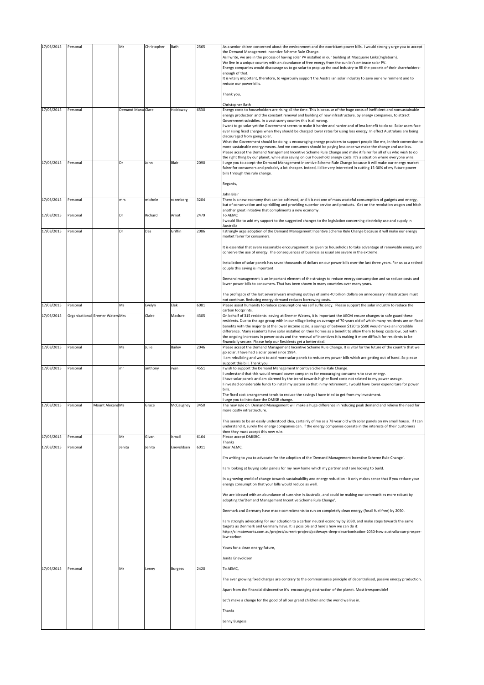| 17/03/2015               | Personal                         |                  | Mr                | Christopher     | Bath                 | 2565         | As a senior citizen concerned about the environment and the exorbitant power bills, I would strongly urge you to accept<br>the Demand Management Incentive Scheme Rule Change.<br>As I write, we are in the process of having solar PV installed in our building at Macquarie Links(Ingleburn).<br>We live in a unique country with an abundance of free energy from the sun let's embrace solar PV.<br>Energy companies would discourage us to go solar to prop up the coal industry to fill the pockets of their shareholders-<br>enough of that.<br>It is vitally important, therefore, to vigorously support the Australian solar industry to save our environment and to<br>reduce our power bills.<br>Thank you,<br>Christopher Bath                                                                                                                                                                                                                                                                                                                                                                |
|--------------------------|----------------------------------|------------------|-------------------|-----------------|----------------------|--------------|-----------------------------------------------------------------------------------------------------------------------------------------------------------------------------------------------------------------------------------------------------------------------------------------------------------------------------------------------------------------------------------------------------------------------------------------------------------------------------------------------------------------------------------------------------------------------------------------------------------------------------------------------------------------------------------------------------------------------------------------------------------------------------------------------------------------------------------------------------------------------------------------------------------------------------------------------------------------------------------------------------------------------------------------------------------------------------------------------------------|
| 17/03/2015               | Personal                         |                  | Demand Mana Clare |                 | Holdaway             | 6530         | Energy costs to householders are rising all the time. This is because of the huge costs of inefficient and nonsustainable<br>energy production and the constant renewal and building of new infrastructure, by energy companies, to attract<br>Government subsidies. In a vast sunny country this is all wrong.<br>want to go solar yet the Government seems to make it harder and harder and of less benefit to do so. Solar users face<br>ever rising fixed charges when they should be charged lower rates for using less energy. In effect Australans are being<br>discouraged from going solar.<br>What the Government should be doing is encouraging energy providers to support people like me, in their conversion to<br>more sustainable energy means. And we consumers should be paying less once we make the change and use less.<br>Please accept the Demand Nanagement Incentive Scheme Rule Change and make it fairer for all of us who wish to do                                                                                                                                          |
| 17/03/2015               | Personal                         |                  | Dr                | John            | Blair                | 2090         | the right thing by our planet, while also saving on our household energy costs. It's a situation where everyone wins.<br>I urge you to accept the Demand Management Incentive Scheme Rule Change because it will make our energy market<br>fairer for consumers and probably a lot cheaper. Indeed, I'd be very interested in cutting 15-30% of my future power<br>bills through this rule change.<br>Regards,                                                                                                                                                                                                                                                                                                                                                                                                                                                                                                                                                                                                                                                                                            |
| 17/03/2015               | Personal                         |                  | mrs               | michele         | rozenberg            | 3204         | John Blair<br>There is a new economy that can be achieved, and it is not one of mass wasteful consumption of gadgets and energy,<br>but of conservation and up-skililng and providing superior service and products. Get on the revolution wagon and hitch<br>another great initiative that compliments a new economy.                                                                                                                                                                                                                                                                                                                                                                                                                                                                                                                                                                                                                                                                                                                                                                                    |
| 17/03/2015               | Personal                         |                  | Dr                | Richard         | Arnot                | 2479         | To AEMC<br>would like to add my support to the suggested changes to the legislation concerning electricity use and supply in<br>Australia                                                                                                                                                                                                                                                                                                                                                                                                                                                                                                                                                                                                                                                                                                                                                                                                                                                                                                                                                                 |
| 17/03/2015               | Personal                         |                  | Dr                | Des             | Griffin              | 2086         | I strongly urge adoption of the Demand Management Incentive Scheme Rule Change because it will make our energy<br>market fairer for consumers.                                                                                                                                                                                                                                                                                                                                                                                                                                                                                                                                                                                                                                                                                                                                                                                                                                                                                                                                                            |
|                          |                                  |                  |                   |                 |                      |              | It is essential that every reasonable encouragement be given to households to take advantage of renewable energy and<br>conserve the use of energy. The consequences of business as usual are severe in the extreme.<br>Installation of solar panels has saved thousands of dollars on our power bills over the last three years. For us as a retired<br>couple this saving is important.<br>Demand management is an important element of the strategy to reduce energy consumption and so reduce costs and                                                                                                                                                                                                                                                                                                                                                                                                                                                                                                                                                                                               |
|                          |                                  |                  |                   |                 |                      |              | lower power bills to consumers. That has been shown in many countries over many years.<br>The profligacy of the last several years involving outlays of some 40 billion dollars on unnecessary infrastructure must                                                                                                                                                                                                                                                                                                                                                                                                                                                                                                                                                                                                                                                                                                                                                                                                                                                                                        |
| 17/03/2015               | Personal                         |                  | Ms                | Evelyn          | Elek                 | 6081         | not continue. Reducing energy demand reduces borrowing costs.<br>Please assist humanity to reduce consumptions via self sufficiency. Please support the solar industry to reduce the                                                                                                                                                                                                                                                                                                                                                                                                                                                                                                                                                                                                                                                                                                                                                                                                                                                                                                                      |
| 17/03/2015               | Organisational Bremer Waters Mrs |                  |                   | Claire          | Maclure              | 4305         | carbon footprints.<br>On behalf of 315 residents leaving at Bremer Waters, it is important the AECM ensure changes to safe guard these<br>residents. Due to the age group with in our village being an average of 70 years old of which many residents are on fixed<br>benefits with the majority at the lower income scale, a savings of between \$120 to \$500 would make an incredible<br>difference. Many residents have solar installed on their homes as a benefit to allow them to keep costs low, but with<br>the ongoing increases in power costs and the removal of incentives it is making it more difficult for residents to be<br>financially secure. Please help our Residents get a better deal.                                                                                                                                                                                                                                                                                                                                                                                           |
| 17/03/2015               | Personal                         |                  | Ms                | Julie           | Bailey               | 2046         | Please accept the Demand Management Incentive Scheme Rule Change. It is vital for the future of the country that we<br>go solar. I have had a solar panel since 1984.                                                                                                                                                                                                                                                                                                                                                                                                                                                                                                                                                                                                                                                                                                                                                                                                                                                                                                                                     |
| 17/03/2015               | Personal                         |                  | mr                | anthony         | ryan                 | 4551         | I am rebuilding and want to add more solar panels to reduce my power bills which are getting out of hand. So please<br>support this bill. Thank you<br>wish to support the Demand Management Incentive Scheme Rule Change.<br>understand that this would reward power companies for encouraging consumers to save energy.<br>I have solar panels and am alarmed by the trend towards higher fixed costs not related to my power useage.<br>invested considerable funds to install my system so that in my retirement, I would have lower expenditure for power<br>bills.<br>The fixed cost arrangement tends to reduce the savings I have tried to get from my investment.<br>urge you to introduce the DMISR change.                                                                                                                                                                                                                                                                                                                                                                                     |
| 17/03/2015               | Personal                         | Mount Alexand Ms |                   | Grace           | McCaughey            | 3450         | The new rule on Demand Management will make a huge difference in reducing peak demand and relieve the need for<br>more costly infrastructure.                                                                                                                                                                                                                                                                                                                                                                                                                                                                                                                                                                                                                                                                                                                                                                                                                                                                                                                                                             |
| 17/03/2015<br>17/03/2015 | Personal<br>Personal             |                  | Mr<br>Jenita      | Givan<br>Jenita | Ismail<br>Enevoldsen | 6164<br>6011 | This seems to be an easily understood idea, certainly of me as a 78 year old with solar panels on my small house. If I can<br>understand it, surely the energy companies can. If the energy companies operate in the interests of their customers<br>then they must accept this new rule.<br>Please accept DMISRC.<br>Thanks<br>Dear AEMC.                                                                                                                                                                                                                                                                                                                                                                                                                                                                                                                                                                                                                                                                                                                                                                |
| 17/03/2015               | Personal                         |                  | Mr                |                 |                      | 2420         | I'm writing to you to advocate for the adoption of the 'Demand Management Incentive Scheme Rule Change'.<br>am looking at buying solar panels for my new home which my partner and I are looking to build.<br>In a growing world of change towards sustainability and energy reduction - it only makes sense that if you reduce your<br>energy consumption that your bills would reduce as well.<br>We are blessed with an abundance of sunshine in Australia, and could be making our communities more robust by<br>adopting the 'Demand Management Incentive Scheme Rule Change'.<br>Denmark and Germany have made commitments to run on completely clean energy (fossil fuel free) by 2050.<br>am strongly advocating for our adaption to a carbon neutral economy by 2030, and make steps towards the same<br>targets as Denmark and Germany have. It is possible and here's how we can do it:<br>http://climateworks.com.au/project/current-project/pathways-deep-decarbonisation-2050-how-australia-can-prosper-<br>low-carbon<br>Yours for a clean energy future,<br>Jenita Enevoldsen<br>To AEMC, |
|                          |                                  |                  |                   | Lenny           | <b>Burgess</b>       |              | The ever growing fixed charges are contrary to the commonsense principle of decentralised, passive energy production.<br>Apart from the financial disincentive it's encouraging destruction of the planet. Most irresponsible!<br>Let's make a change for the good of all our grand children and the world we live in.<br>Thanks<br>Lenny Burgess                                                                                                                                                                                                                                                                                                                                                                                                                                                                                                                                                                                                                                                                                                                                                         |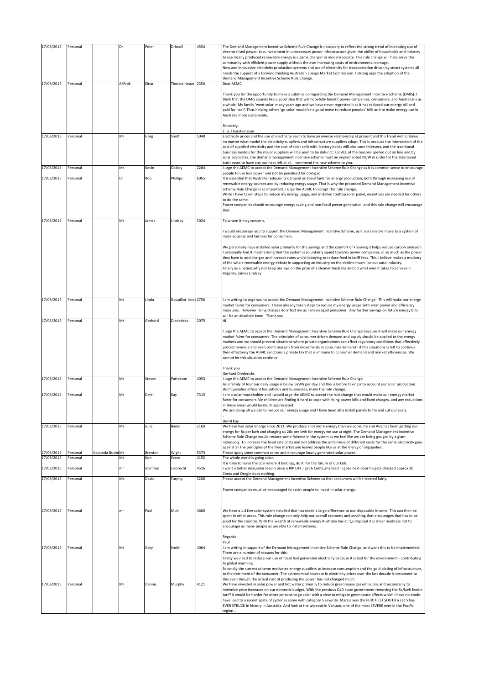| 17/03/2015               | Personal             |                  | Dr       | Peter          | Driscoll             | 4554         | The Demand Management Incentive Scheme Rule Change is necessary to reflect the strong trend of increasing use of<br>decentralised power. Less investment in unnecessary power infrastructure given the ability of households and industry<br>to use locally produced renewable energy is a game changer in modern society. This rule change will help serve the<br>community with efficient power supply without the ever increasing costs of environmental damage.<br>New and innovative electricity production systems and use of electricity for transportation driven by smart systems all<br>needs the support of a forward thinking Australian Energy Market Commission. I strong urge the adoption of the<br>Demand Management Incentive Scheme Rule Change. |
|--------------------------|----------------------|------------------|----------|----------------|----------------------|--------------|---------------------------------------------------------------------------------------------------------------------------------------------------------------------------------------------------------------------------------------------------------------------------------------------------------------------------------------------------------------------------------------------------------------------------------------------------------------------------------------------------------------------------------------------------------------------------------------------------------------------------------------------------------------------------------------------------------------------------------------------------------------------|
| 17/03/2015               | Personal             |                  | A/Prof.  | Einar          | Thorsteinsson 2350   |              | Dear AEMC,<br>Thank you for the opportunity to make a submission regarding the Demand Management Incentive Scheme (DMIS). I<br>think that the DMIS sounds like a good idea that will hopefully benefit power companies, consumers, and Australians as<br>a whole. My family 'went solar' many years ago and we have never regretted it as it has reduced our energy bill and<br>paid for itself. Thus helping others 'go solar' would be a good move to reduce peoples' bills and to make energy use in<br>Australia more sustainable.<br>Sincerely,                                                                                                                                                                                                                |
|                          |                      |                  |          |                |                      |              | E. B. Thorsteinsson                                                                                                                                                                                                                                                                                                                                                                                                                                                                                                                                                                                                                                                                                                                                                 |
| 17/03/2015               | Personal             |                  | Mr       | Greg           | Smith                | 5048         | Electricity prices and the use of electricity seem to have an inverse relationship at present and this trend will continue<br>no matter what model the electricity suppliers and infrastructure suppliers adopt. This is because the intersection of the<br>cost of supplied electricity and the cost of solar cells with battery banks will also soon intersect, and the traditional<br>business models for the major suppliers will be seen to be defunct. For ALL of the reasons spelled out on line and by<br>solar advocates, the demand management incentive scheme must be implemented NOW in order for the traditional<br>businesses to have any business left at all. I commend the new scheme to you.                                                     |
| 17/03/2015               | Personal             |                  | Mr       | Kevin          | Oakley               | 2284         | I urge the AEMC to accept the Demand Management Incentive Scheme Rule Change as it is common sense to encourage<br>people to use less power and not be penalised for doing so                                                                                                                                                                                                                                                                                                                                                                                                                                                                                                                                                                                       |
| 17/03/2015               | Personal             |                  | Dr       | Rob            | Phillips             | 6065         | It is essential that Australia reduces its demand on fossil fuels for energy production, both through increasing use of<br>renewable energy sources and by reducing energy usage. That is why the proposed Demand Management Incentive<br>Scheme Rule Change is so important. I urge the AEMC to accept this rule change.<br>While I have taken steps to reduce my energy usage, and installed rooftop solar panel, incentives are needed for others<br>to do the same.<br>Power companies should encourage energy saving and non-fossil power generation, and this rule change will encourage<br>that.                                                                                                                                                             |
| 17/03/2015               | Personal             |                  | Mr       | James          | Lindsay              | 3024         | To whom it may concern,                                                                                                                                                                                                                                                                                                                                                                                                                                                                                                                                                                                                                                                                                                                                             |
|                          |                      |                  |          |                |                      |              | I would encourage you to support the Demand Management Incentive Scheme, as it is a sensible move to a system of<br>more equality and fairness for consumers.<br>We personally have installed solar primarily for the savings and the comfort of knowing it helps reduce carbon emission.                                                                                                                                                                                                                                                                                                                                                                                                                                                                           |
|                          |                      |                  |          |                |                      |              | I personally find it mesmerising that the system is so unfairly squed towards power companies, in so much as the power<br>they have to add charges and increase rates whilst lobbying to reduce feed in tariff fees. This I believe makes a mockery<br>of the whole renewable energy debate in supporting an industry on the decline much like our auto industry.<br>Finally as a nation, why not keep our eye on the prize of a cleaner Australia and do what ever it takes to achieve it.<br>Regards. James Lindsay                                                                                                                                                                                                                                               |
|                          |                      |                  |          |                |                      |              |                                                                                                                                                                                                                                                                                                                                                                                                                                                                                                                                                                                                                                                                                                                                                                     |
| 17/03/2015               | Personal             |                  | Ms       | Linda          | Goupillot-Linds 3756 |              | am writing to urge you to accept the Demand Management Incentive Scheme Rule Change. This will make our energy<br>market fairer for consumers. I have already taken steps to reduce my energy usage with solar power and efficiency<br>measures. However rising charges do affect me as I am an aged pensioner. Any further savings on future energy bills<br>will be an absolute boon. Thank you                                                                                                                                                                                                                                                                                                                                                                   |
| 17/03/2015               | Personal             |                  | Mr       | Gerhard        | <b>Diedericks</b>    | 2075         | HI<br>I urge the AEMC to accept the Demand Management Incentive Scheme Rule Change because it will make our energy<br>market fairer for consumers. The principles of consumer driven demand and supply should be applied to the energy<br>markets and we should prevent situations where private organisations can effect regulatory conditions that effectively<br>protect revenue and even profit margins from movements in consumer demand - if this situations is left to continue<br>then effectively the AEMC sanctions a private tax that is immune to consumer demand and market efficiencies. We<br>cannot let this situation continue.                                                                                                                    |
|                          |                      |                  |          |                |                      |              | Thank you<br>Gerhard Diedericks                                                                                                                                                                                                                                                                                                                                                                                                                                                                                                                                                                                                                                                                                                                                     |
| 17/03/2015               | Personal             |                  | Mr       | Steven         | Patterson            | 4053         | I urge the AEMC to accept the Demand Management Incentive Scheme Rule Change.<br>As a family of four our daily usage is below 5kWh per day and this is before taking into account our solar production.<br>Don't penalise efficient households and businesses, make the rule change.                                                                                                                                                                                                                                                                                                                                                                                                                                                                                |
| 17/03/2015               | Personal             |                  | Mr       | Derril         | Kay                  | 7315         | I am a solar householder and I would urge the AEMC to accept the rule change that would make our energy market<br>fairer for consumers. My children are finding it hard to cope with rising power bills and fixed charges, and any reductions<br>in these areas would be much appreciated.<br>We are doing all we can to reduce our energy usage and I have been able install panels to try and cut our costs.                                                                                                                                                                                                                                                                                                                                                      |
| 17/03/2015               | Personal             |                  | Ms       | Julie          | Bains                | 2160         | Derril Kay<br>We have had solar energy since 2011. We produce a lot more energy than we consume and AGL has been getting our<br>energy for 8c per kwh and charging us 28c per kwh for energy we use at night. The Demand Management Incentive<br>Scheme Rule Change would restore some fairness in the system as we feel like we are being gouged by a giant<br>monopoly. To increase the fixed rate costs and not address the unfairness of different costs for the same electricity goes<br>against all the principles of the free market and leaves people like us at the mercy of oligopolies.                                                                                                                                                                  |
| 17/03/2015               | Personal             | Kapunda Busin Mr |          | Brenton        | Wight                | 5373         | Please apply some common sense and encourage locally generated solar power.                                                                                                                                                                                                                                                                                                                                                                                                                                                                                                                                                                                                                                                                                         |
| 17/03/2015<br>17/03/2015 | Personal<br>Personal |                  | Mr<br>mr | Kon<br>manfred | Evans<br>siebrecht   | 4152<br>4516 | The whole world is going solar.<br>It is time to leave the coal where it belongs, do it for the future of our kids.<br>want a better deal,solar feedin price a RIP OFF.I get 6 Cents, my feed in goes next door he gets charged approx 30<br>Cents and Orogin does nothing.                                                                                                                                                                                                                                                                                                                                                                                                                                                                                         |
| 17/03/2015               | Personal             |                  | Mr.      | David          | Furphy               | 3206         | Please accept the Demand Management Incentive Scheme so that consumers will be treated fairly.<br>Power companies must be encouraged to assist people to invest in solar energy.                                                                                                                                                                                                                                                                                                                                                                                                                                                                                                                                                                                    |
| 17/03/2015               | Personal             |                  | mr       | Paul           | Muir                 | 4660         | We have a 1.41kw solar system installed that has made a large difference to our disposable income. This can then be<br>spent in other areas. This rule change can only help our overall economy and anything that encourages that has to be<br>good for the country. With the wealth of renewable energy Australia has at it,s disposal it is sheer madness not to<br>encourage as many people as possible to install systems.                                                                                                                                                                                                                                                                                                                                      |
| 17/03/2015               | Personal             |                  | Mr       | Gary           | Smith                | 4064         | Regards<br>Paul<br>I am writing in support of the Demand Management Incentive Scheme Rule Change, and want this to be implemented.<br>There are a number of reasons for this:<br>Firstly we need to reduce our use of fossil fuel generated electricity because it is bad for the environment - contributing<br>to global warming.<br>Secondly the current scheme motivates energy suppliers to increase consumption and the gold plating of infrastructure,<br>to the detriment of the consumer. The astronomical increase in electricity prices over the last decade is testament to<br>this even though the actual cost of producing the power has not changed much.                                                                                             |
| 17/03/2015               | Personal             |                  | Mr       | Dennis         | Murphy               | 4121         | We have invested in solar power and hot water primarily to reduce greenhouse gas emissions and secondarily to<br>minimize price increases on our domestic budget. With the previous QLD state government removing the 8c/kwh feedin<br>tariff it would be harder for other persons to go solar with a view to mitigate greenhouse affects which I have no doubt<br>have lead to a recent spate of cyclones some with category 5 severity. Marcia was the FURTHEST SOUTH a cat 5 has<br>EVER STRUCK in history in Australia. And look at the wipeout in Vanuatu one of the most SEVERE ever in the Pacific<br>region                                                                                                                                                 |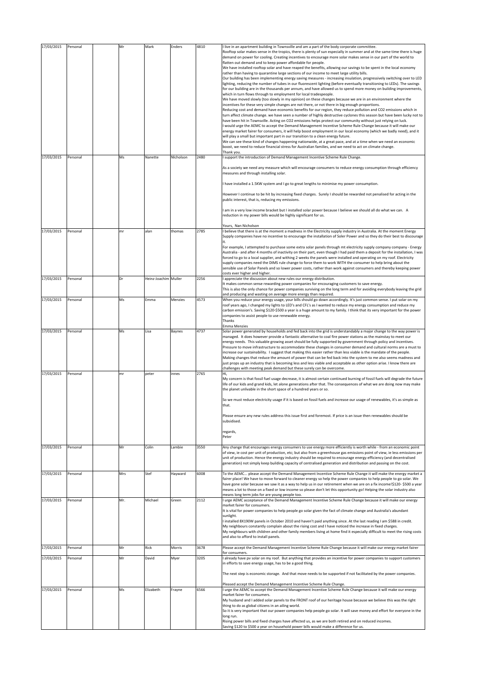| 17/03/2015<br>17/03/2015 | Personal<br>Personal | Mr<br>Ms | Mark<br>Nanette      | Enders<br>Nicholson | 4810<br>2480 | I live in an apartment building in Townsville and am a part of the body corporate committee.<br>Rooftop solar makes sense in the tropics, there is plenty of sun especially in summer and at the same time there is huge<br>demand on power for cooling. Creating incentives to encourage more solar makes sense in our part of the world to<br>flatten out demand and to keep power affordable for people.<br>We have installed rooftop solar and have reaped the benefits, allowing our savings to be spent in the local economy<br>rather than having to quarantine large sections of our income to meet large utility bills.<br>Our building has been implementing energy saving measures - increasing insulation, progressively switching over to LED<br>lighting, reducing the number of tubes in our fluorescent lighting (before eventually transitioning to LEDs). The savings<br>for our building are in the thousands per annum, and have allowed us to spend more money on building improvements,<br>which in turn flows through to employment for local tradespeople.<br>We have moved slowly (too slowly in my opinion) on these changes because we are in an environment where the<br>incentives for these very simple changes are not there, or not there in big enough proportions.<br>Reducing cost and demand have economic benefits for our region, they reduce pollution and CO2 emissions which in<br>turn affect climate change. we have seen a number of highly destructive cyclones this season but have been lucky not to<br>have been hit in Townsville. Acting on CO2 emissions helps protect our community without just relying on luck.<br>I would urge the AEMC to accept the Demand Management Incentive Scheme Rule Change because it will make our<br>energy market fairer for consumers, it will help boost employment in our local economy (which we badly need), and it<br>will play a small but important part in our transition to a clean energy future.<br>We can see these kind of changes happening nationwide, at a great pace, and at a time when we need an economic<br>boost, we need to reduce financial stress for Australian families, and we need to act on climate change.<br>Thank you.<br>I support the introduction of Demand Management Incentive Scheme Rule Change.<br>As a society we need any measure which will encourage consumers to reduce energy consumption through efficiency<br>measures and through installing solar.<br>have installed a 1.5KW system and I go to great lengths to minimise my power consumption.<br>However I continue to be hit by increasing fixed charges. Surely I should be rewarded not penalised for acting in the<br>public interest, that is, reducing my emissions.<br>I am in a very low income bracket but I installed solar power because I believe we should all do what we can. A<br>reduction in my power bills would be highly significant for us. |
|--------------------------|----------------------|----------|----------------------|---------------------|--------------|------------------------------------------------------------------------------------------------------------------------------------------------------------------------------------------------------------------------------------------------------------------------------------------------------------------------------------------------------------------------------------------------------------------------------------------------------------------------------------------------------------------------------------------------------------------------------------------------------------------------------------------------------------------------------------------------------------------------------------------------------------------------------------------------------------------------------------------------------------------------------------------------------------------------------------------------------------------------------------------------------------------------------------------------------------------------------------------------------------------------------------------------------------------------------------------------------------------------------------------------------------------------------------------------------------------------------------------------------------------------------------------------------------------------------------------------------------------------------------------------------------------------------------------------------------------------------------------------------------------------------------------------------------------------------------------------------------------------------------------------------------------------------------------------------------------------------------------------------------------------------------------------------------------------------------------------------------------------------------------------------------------------------------------------------------------------------------------------------------------------------------------------------------------------------------------------------------------------------------------------------------------------------------------------------------------------------------------------------------------------------------------------------------------------------------------------------------------------------------------------------------------------------------------------------------------------------------------------------------------------------------------------------------------------------------------------------------------------------------------------------------------------------------------------------------------------------------------------------------------------------------------------------------------------------------------------------------|
|                          |                      |          |                      |                     |              | Yours, Nan Nicholson                                                                                                                                                                                                                                                                                                                                                                                                                                                                                                                                                                                                                                                                                                                                                                                                                                                                                                                                                                                                                                                                                                                                                                                                                                                                                                                                                                                                                                                                                                                                                                                                                                                                                                                                                                                                                                                                                                                                                                                                                                                                                                                                                                                                                                                                                                                                                                                                                                                                                                                                                                                                                                                                                                                                                                                                                                                                                                                                       |
| 17/03/2015               | Personal             | mr       | alan                 | thomas              | 2785         | I believe that there is at the moment a madness in the Electricity supply industry in Australia. At the moment Energy<br>Supply companies have no incentive to encourage the installation of Soler Power and so they do their best to discourage<br>For example, I attempted to purchase some extra solar panels through mt electricity supply company company - Energy<br>Australia - and after 4 months of inactivity on their part, even though I had paid them a deposit for the installation, I was<br>forced to go to a local supplier, and withing 2 weeks the panels were installed and operating on my roof. Electricity<br>supply companies need the DIMS rule change to force them to work WITH the consumer to help bring about the<br>sensible use of Solar Panels and so lower power costs, rather than work against consumers and thereby keeping power<br>costs ever higher and higher.                                                                                                                                                                                                                                                                                                                                                                                                                                                                                                                                                                                                                                                                                                                                                                                                                                                                                                                                                                                                                                                                                                                                                                                                                                                                                                                                                                                                                                                                                                                                                                                                                                                                                                                                                                                                                                                                                                                                                                                                                                                    |
| 17/03/2015               | Personal             | Dr       | Heinz-Joachim Muller |                     | 2256         | I appreciate the discussion about new rules our energy distribution.<br>It makes common sense rewarding power companies for encouraging customers to save energy.<br>This is also the only chance for power companies surviving on the long term and for avoiding everybody leaving the grid<br>and producing and wasting on average more energy than required.                                                                                                                                                                                                                                                                                                                                                                                                                                                                                                                                                                                                                                                                                                                                                                                                                                                                                                                                                                                                                                                                                                                                                                                                                                                                                                                                                                                                                                                                                                                                                                                                                                                                                                                                                                                                                                                                                                                                                                                                                                                                                                                                                                                                                                                                                                                                                                                                                                                                                                                                                                                            |
| 17/03/2015               | Personal             | Ms       | Emma                 | Menzies             | 4573         | When you reduce your energy usage, your bills should go down accordingly. It's just common sense. I put solar on my<br>roof years ago, I changed my lights to LED's and CFL's as I wanted to reduce my energy consumption and reduce my<br>carbon emission's. Saving \$120-\$500 a year is a huge amount to my family. I think that its very important for the power<br>companies to assist people to use renewable energy.<br>Thanks<br>Emma Menzies                                                                                                                                                                                                                                                                                                                                                                                                                                                                                                                                                                                                                                                                                                                                                                                                                                                                                                                                                                                                                                                                                                                                                                                                                                                                                                                                                                                                                                                                                                                                                                                                                                                                                                                                                                                                                                                                                                                                                                                                                                                                                                                                                                                                                                                                                                                                                                                                                                                                                                      |
| 17/03/2015               | Personal             | Ms       | Lisa                 | Baynes              | 4737         | Solar power generated by households and fed back into the grid is understandably a major change to the way power is<br>managed. It does however provide a fantastic alternative to coal fire power stations as the mainstay to meet our<br>energy needs. This valuable growing asset should be fully supported by government through policy and incentives.<br>Pressure to move infrastructure to accommodate these changes in consumer demand and cultural norms are a must to<br>increase our sustainability. I suggest that making this easier rather than less viable is the mandate of the people.<br>Making changes that reduce the amount of power that can be fed back into the system to me also seems madness and<br>just props up an industry that is becoming less and less viable and acceptable as other option arise. I know there are<br>challenges with meeting peak demand but these surely can be overcome.                                                                                                                                                                                                                                                                                                                                                                                                                                                                                                                                                                                                                                                                                                                                                                                                                                                                                                                                                                                                                                                                                                                                                                                                                                                                                                                                                                                                                                                                                                                                                                                                                                                                                                                                                                                                                                                                                                                                                                                                                             |
| 17/03/2015               | Personal             | mr       | peter                | innes               | 2765         | Hi,<br>My concern is that fossil fuel usage decrease, it is almost certain continued burning of fossil fuels will degrade the future<br>life of our kids and grand kids, let alone generations after that. The consequences of what we are doing now may make<br>the planet unlivable in the short space of a hundred years or so.<br>So we must reduce electricity usage if it is based on fossil fuels and increase our usage of renewables, it's as simple as<br>that.<br>Please ensure any new rules address this issue first and foremost. If price is an issue then renewables should be<br>subsidised.<br>regards,<br>Peter                                                                                                                                                                                                                                                                                                                                                                                                                                                                                                                                                                                                                                                                                                                                                                                                                                                                                                                                                                                                                                                                                                                                                                                                                                                                                                                                                                                                                                                                                                                                                                                                                                                                                                                                                                                                                                                                                                                                                                                                                                                                                                                                                                                                                                                                                                                         |
| 17/03/2015               | Personal             | Mr       | Colin                | Lambie              | 3550         | Any change that encourages energy consumers to use energy more efficiently is worth while - from an economic point<br>of view, ie cost per unit of production, etc; but also from a greenhouse gas emissions point of view, ie less emissions per<br>unit of production. Hence the energy industry should be required to encourage energy efficiency (and decentralised<br>generation) not simply keep building capacity of centralised generation and distribution and passing on the cost.                                                                                                                                                                                                                                                                                                                                                                                                                                                                                                                                                                                                                                                                                                                                                                                                                                                                                                                                                                                                                                                                                                                                                                                                                                                                                                                                                                                                                                                                                                                                                                                                                                                                                                                                                                                                                                                                                                                                                                                                                                                                                                                                                                                                                                                                                                                                                                                                                                                               |
| 17/03/2015               | Personal             | Mrs      | Stef                 | Hayward             | 6008         | To the AEMC please accept the Demand Management Incentive Scheme Rule Change it will make the energy market a<br>fairer place! We have to move forward to cleaner energy so help the power companies to help people to go solar. We<br>have gone solar because we saw it as a way to help us in our retirement when we are on a fix income!\$120-\$500 a year<br>means a lot to those on a fixed or low income so please don't let this opportunity go! Helping the solar industry also<br>means long term jobs for are young people too.                                                                                                                                                                                                                                                                                                                                                                                                                                                                                                                                                                                                                                                                                                                                                                                                                                                                                                                                                                                                                                                                                                                                                                                                                                                                                                                                                                                                                                                                                                                                                                                                                                                                                                                                                                                                                                                                                                                                                                                                                                                                                                                                                                                                                                                                                                                                                                                                                  |
| 17/03/2015               | Personal             | Mr.      | Michael              | Green               | 2112         | I urge AEMC acceptance of the Demand Management Incentive Scheme Rule Change because it will make our energy<br>market fairer for consumers.<br>It is vital for power companies to help people go solar given the fact of climate change and Australia's abundant<br>sunlight.<br>I installed 8X190W panels in October 2010 and haven't paid anything since. At the last reading I am \$588 in credit.<br>My neighbours constantly complain about the rising cost and I have noticed the increase in fixed charges.<br>My neighbours with children and other family members living at home find it especially difficult to meet the rising costs<br>and also to afford to install panels.                                                                                                                                                                                                                                                                                                                                                                                                                                                                                                                                                                                                                                                                                                                                                                                                                                                                                                                                                                                                                                                                                                                                                                                                                                                                                                                                                                                                                                                                                                                                                                                                                                                                                                                                                                                                                                                                                                                                                                                                                                                                                                                                                                                                                                                                  |
| 17/03/2015               | Personal             | Mr       | Rick                 | Morris              | 3678         | Please accept the Demand Management Incentive Scheme Rule Change because it will make our energy market fairer                                                                                                                                                                                                                                                                                                                                                                                                                                                                                                                                                                                                                                                                                                                                                                                                                                                                                                                                                                                                                                                                                                                                                                                                                                                                                                                                                                                                                                                                                                                                                                                                                                                                                                                                                                                                                                                                                                                                                                                                                                                                                                                                                                                                                                                                                                                                                                                                                                                                                                                                                                                                                                                                                                                                                                                                                                             |
| 17/03/2015               | Personal             | Mr       | David                | Myer                | 3205         | for consumers.<br>I already have pv solar on my roof. But anything that provides an incentive for power companies to support customers<br>in efforts to save energy usage, has to be a good thing.<br>The next step is economic storage. And that move needs to be supported if not facilitated by the power companies.<br>Pleased accept the Demand Management Incentive Scheme Rule Change.                                                                                                                                                                                                                                                                                                                                                                                                                                                                                                                                                                                                                                                                                                                                                                                                                                                                                                                                                                                                                                                                                                                                                                                                                                                                                                                                                                                                                                                                                                                                                                                                                                                                                                                                                                                                                                                                                                                                                                                                                                                                                                                                                                                                                                                                                                                                                                                                                                                                                                                                                              |
| 17/03/2015               | Personal             | Ms       | Elizabeth            | Frayne              | 6566         | I urge the AEMC to accept the Demand Management Incentive Scheme Rule Change because it will make our energy<br>market fairer for consumers.<br>My husband and I added solar panels to the FRONT roof of our heritage house because we believe this was the right<br>thing to do as global citizens in an ailing world.<br>So it is very important that our power companies help people go solar. It will save money and effort for everyone in the<br>long run.<br>Rising power bills and fixed charges have affected us, as we are both retired and on reduced incomes.<br>Saving \$120 to \$500 a year on household power bills would make a difference for us.                                                                                                                                                                                                                                                                                                                                                                                                                                                                                                                                                                                                                                                                                                                                                                                                                                                                                                                                                                                                                                                                                                                                                                                                                                                                                                                                                                                                                                                                                                                                                                                                                                                                                                                                                                                                                                                                                                                                                                                                                                                                                                                                                                                                                                                                                         |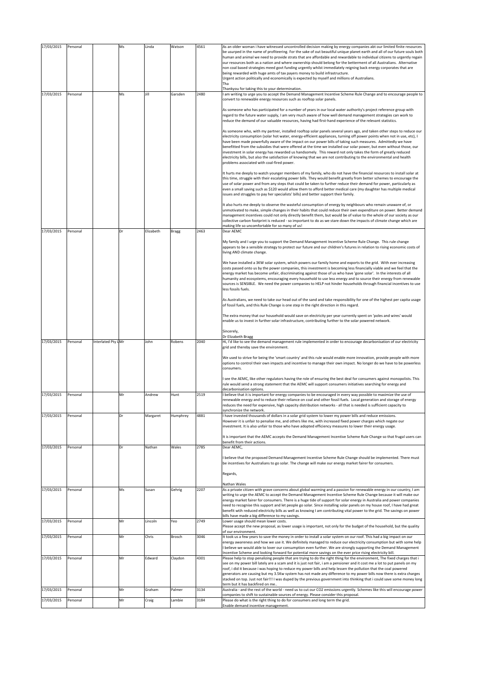| 17/03/2015 | Personal |                    | Ms | Linda     | Watson       | 4561 | As an older woman i have witnessed uncontrolled decision making by energy companies abt our limited finite resources                                                                                                                                                                                                                                                                                                                                                                                                                                                                                                                                                                                                                                                               |
|------------|----------|--------------------|----|-----------|--------------|------|------------------------------------------------------------------------------------------------------------------------------------------------------------------------------------------------------------------------------------------------------------------------------------------------------------------------------------------------------------------------------------------------------------------------------------------------------------------------------------------------------------------------------------------------------------------------------------------------------------------------------------------------------------------------------------------------------------------------------------------------------------------------------------|
|            |          |                    |    |           |              |      | be usurped in the name of profiteering. For the sake of out beautiful unique planet earth and all of our future souls both<br>human and animal we need to provide strats that are affordable and rewardable to individual citizens to urgently regain<br>our resources both as a nation and where ownership should belong for the betterment of all Australians. Alternative<br>non coal based strategies meed govt funding urgently whilst immediately reigning back energy corporates that are<br>being rewarded with huge amts of tax payers money to build infrastructure.<br>Urgent action politically and economically is expected by myself and millions of Australians.<br>Tha                                                                                             |
| 17/03/2015 | Personal |                    | Ms | Jill      | Garsden      | 2480 | Thankyou for taking this to your determination.<br>am writing to urge you to accept the Demand Management Incentive Scheme Rule Change and to encourage people to                                                                                                                                                                                                                                                                                                                                                                                                                                                                                                                                                                                                                  |
|            |          |                    |    |           |              |      | convert to renewable energy resources such as rooftop solar panels.<br>As someone who has participated for a number of years in our local water authority's project reference group with<br>regard to the future water supply, I am very much aware of how well demand management strategies can work to<br>reduce the demand of our valuable resources, having had first-hand experience of the relevant statistics.                                                                                                                                                                                                                                                                                                                                                              |
|            |          |                    |    |           |              |      | As someone who, with my partner, installed rooftop solar panels several years ago, and taken other steps to reduce our<br>electricity consumption (solar hot water, energy-efficient appliances, turning off power points when not in use, etc). I<br>have been made powerfully aware of the impact on our power bills of taking such measures. Admittedly we have<br>benefitted from the subsidies that were offered at the time we installed our solar power, but even without those, our<br>investment in solar energy has rewarded us handsomely. This reward not only takes the form of greatly reduced<br>electricity bills, but also the satisfaction of knowing that we are not contributing to the environmental and health<br>problems associated with coal-fired power. |
|            |          |                    |    |           |              |      | It hurts me deeply to watch younger members of my family, who do not have the financial resources to install solar at<br>this time, struggle with their escalating power bills. They would benefit greatly from better schemes to encourage the<br>use of solar power and from any steps that could be taken to further reduce their demand for power, particularly as<br>even a small saving such as \$120 would allow them to afford better medical care (my daughter has multiple medical<br>issues and struggles to pay her specialists' bills) and better support their family.                                                                                                                                                                                               |
| 17/03/2015 | Personal |                    | Dr | Elizabeth | <b>Bragg</b> | 2463 | It also hurts me deeply to observe the wasteful consumption of energy by neighbours who remain unaware of, or<br>unmotivated to make, simple changes in their habits that could reduce their own expenditure on power. Better demand<br>management incentives could not only directly benefit them, but would be of value to the whole of our society as our<br>collective carbon footprint is reduced - so important to do as we stare down the impacts of climate change which are<br>making life so uncomfortable for so many of us!<br>Dear AEMC                                                                                                                                                                                                                               |
|            |          |                    |    |           |              |      | My family and I urge you to support the Demand Management Incentive Scheme Rule Change. This rule change<br>appears to be a sensible strategy to protect our future and our children's futures in relation to rising economic costs of<br>living AND climate change.                                                                                                                                                                                                                                                                                                                                                                                                                                                                                                               |
|            |          |                    |    |           |              |      | We have installed a 3KW solar system, which powers our family home and exports to the grid. With ever increasing<br>costs passed onto us by the power companies, this investment is becoming less financially viable and we feel that the<br>energy market has become unfair, discriminating against those of us who have 'gone solar'. In the interests of all<br>humanity and ecosystems, encouraging every household to use less energy and to source their energy from renewable<br>sources is SENSIBLE. We need the power companies to HELP not hinder households through financial incentives to use<br>less fossils fuels.                                                                                                                                                  |
|            |          |                    |    |           |              |      | As Australians, we need to take our head out of the sand and take responsibility for one of the highest per capita usage<br>of fossil fuels, and this Rule Change is one step in the right direction in this regard.                                                                                                                                                                                                                                                                                                                                                                                                                                                                                                                                                               |
|            |          |                    |    |           |              |      | The extra money that our household would save on electricity per year currently spent on 'poles and wires' would<br>enable us to invest in further solar infrastructure, contributing further to the solar powered network.                                                                                                                                                                                                                                                                                                                                                                                                                                                                                                                                                        |
| 17/03/2015 | Personal | Interlated Pty LMr |    | John      | Robens       | 2040 | Sincerely,<br>Dr Elizabeth Bragg<br>Hi, I'd like to see the demand management rule implemented in order to encourage decarbonisation of our electricity<br>grid and thereby save the environment.                                                                                                                                                                                                                                                                                                                                                                                                                                                                                                                                                                                  |
|            |          |                    |    |           |              |      | We used to strive for being the 'smart country' and this rule would enable more innovation, provide people with more<br>options to control their own impacts and incentive to manage their own impact. No longer do we have to be powerless<br>consumers.                                                                                                                                                                                                                                                                                                                                                                                                                                                                                                                          |
|            |          |                    |    |           |              |      | see the AEMC, like other regulators having the role of ensuring the best deal for consumers against monopolists. This<br>ule would send a strong statement that the AEMC will support consumers initiatives searching for energy and<br>decarbonisation options.                                                                                                                                                                                                                                                                                                                                                                                                                                                                                                                   |
| 17/03/2015 | Personal |                    | Mr | Andrew    | Hunt         | 2519 | believe that it is important for energy companies to be encouraged in every way possible to maximize the use of<br>renewable energy and to reduce their reliance on coal and other fossil fuels. Local generation and storage of energy<br>reduces the need for expensive, high capacity distribution networks - all that is needed is sufficient capacity to<br>synchronize the network.                                                                                                                                                                                                                                                                                                                                                                                          |
| 17/03/2015 | Personal |                    | Dr | Margaret  | Humphrey     | 4881 | I have invested thousands of dollars in a solar grid system to lower my power bills and reduce emissions.<br>However it is unfair to penalise me, and others like me, with increased fixed power charges which negate our<br>investment. It is also unfair to those who have adopted efficiency measures to lower their energy usage.                                                                                                                                                                                                                                                                                                                                                                                                                                              |
| 17/03/2015 | Personal |                    | Dr | Nathan    | Wales        | 2785 | It is important that the AEMC accepts the Demand Management Incentive Scheme Rule Change so that frugal users can<br>benefit from their actions.<br>Dear AEMC,                                                                                                                                                                                                                                                                                                                                                                                                                                                                                                                                                                                                                     |
|            |          |                    |    |           |              |      | believe that the proposed Demand Management Incentive Scheme Rule Change should be implemented. There must<br>be incentives for Australians to go solar. The change will make our energy market fairer for consumers.<br>Regards,                                                                                                                                                                                                                                                                                                                                                                                                                                                                                                                                                  |
|            |          |                    |    |           |              |      | Nathan Wales                                                                                                                                                                                                                                                                                                                                                                                                                                                                                                                                                                                                                                                                                                                                                                       |
| 17/03/2015 | Personal |                    | Ms | Susan     | Gehrig       | 2207 | As a private citizen with grave concerns about global warming and a passion for renewable energy in our country, I am<br>writing to urge the AEMC to accept the Demand Management Incentive Scheme Rule Change because it will make our<br>energy market fairer for consumers. There is a huge tide of support for solar energy in Australia and power companies<br>need to recognise this support and let people go solar. Since installing solar panels on my house roof, I have had great<br>benefit wtih reduced electricity bills as well as knowing I am contributing vital power to the grid. The savings on power<br>bills have made a big difference to my savings.                                                                                                       |
| 17/03/2015 | Personal |                    | Mr | Lincoln   | Yeo          | 2749 | Lower usage should mean lower costs.<br>Please accept the new proposal, as lower usage is important, not only for the budget of the household, but the quality<br>of our environment.                                                                                                                                                                                                                                                                                                                                                                                                                                                                                                                                                                                              |
| 17/03/2015 | Personal |                    | Mr | Chris     | Brosch       | 3046 | It took us a few years to save the money in order to install a solar system on our roof. This had a big impact on our<br>energy awareness and how we use it. We definitely managed to reduce our electricity consumption but with some help<br>believe we would able to lover our consumption even further. We are strongly supporting the Demand Management<br>ncentive Scheme and looking forward for potential more savings on the ever price rising electricity bill.                                                                                                                                                                                                                                                                                                          |
| 17/03/2015 | Personal |                    | Mr | Edward    | Claydon      | 4301 | Please help to stop penalizing people that are trying to do the right thing for the environment, The fixed charges that i<br>see on my power bill lately are a scam and it is just not fair, i am a pensioner and it cost me a lot to put panels on my<br>roof, i did it because i was hoping to reduce my power bills and help lessen the pollution that the coal powered<br>generators are causing but my 3.5Kw system has not made any difference to my power bills now there is extra charges<br>stacked on top. Just not fair!!! I was duped by the previous government into thinking that i could save some money long                                                                                                                                                       |
| 17/03/2015 | Personal |                    | Mr | Graham    | Palmer       | 3134 | term but it has backfired on me<br>Australia - and the rest of the world - need us to cut our CO2 emissions urgently. Schemes like this will encourage power                                                                                                                                                                                                                                                                                                                                                                                                                                                                                                                                                                                                                       |
| 17/03/2015 | Personal |                    | Mr | Craig     | Lambie       | 3184 | companies to shift to sustainable sources of energy. Please consider this proposal.<br>Please do what is the right thing to do for consumers and long term the grid.<br>Enable demand incentive management.                                                                                                                                                                                                                                                                                                                                                                                                                                                                                                                                                                        |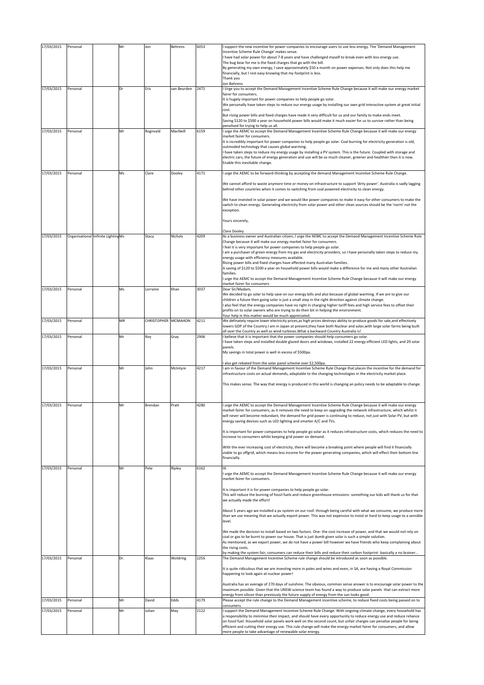| 17/03/2015               | Personal             |                                     | Mr       | Jon                 | Behrens          | 6053         | support the new incentive for power companies to encourage users to use less energy. The 'Demand Management<br>Incentive Scheme Rule Change' makes sense.<br>I have had solar power for about 7-8 years and have challenged myself to break even with less energy use.<br>The bug bear for me is the fixed charges that go with the bill.<br>By generating my own energy, I save approximately \$50 a month on power expenses. Not only does this help me<br>financially, but I rest easy knowing that my footprint is less.<br>Thank you<br>Jon Behrens                                                                                                                                                                                                                                                                                                                                                                                                                                                                                                                                                                                          |
|--------------------------|----------------------|-------------------------------------|----------|---------------------|------------------|--------------|---------------------------------------------------------------------------------------------------------------------------------------------------------------------------------------------------------------------------------------------------------------------------------------------------------------------------------------------------------------------------------------------------------------------------------------------------------------------------------------------------------------------------------------------------------------------------------------------------------------------------------------------------------------------------------------------------------------------------------------------------------------------------------------------------------------------------------------------------------------------------------------------------------------------------------------------------------------------------------------------------------------------------------------------------------------------------------------------------------------------------------------------------|
| 17/03/2015               | Personal             |                                     | Dr       | Eric                | van Beurden      | 2471         | I Urge you to accept the Demand Management Incentive Scheme Rule Change because it will make our energy market<br>fairer for consumers.<br>It is hugely important for power companies to help people go solar.<br>We personally have taken steps to reduce our energy usage by installing our own grid interactive system at great initial<br>cost.<br>But rising power bills and fixed charges have made it very difficult for us and our family to make ends meet.<br>Saving \$120 to \$500 a year on household power bills would make it much easier for us to survive rather than being<br>penalised for trying to help us all.                                                                                                                                                                                                                                                                                                                                                                                                                                                                                                               |
| 17/03/2015               | Personal             |                                     | Mr       | Rognvald            | MacNeill         | 6159         | I urge the AEMC to accept the Demand Management Incentive Scheme Rule Change because it will make our energy<br>market fairer for consumers.<br>It is incredibly important for power companies to help people go solar. Coal burning for electricity generation is old,<br>outmoded technology that causes global warming.<br>I have taken steps to reduce my energy usage by installing a PV system. This is the future. Coupled with storage and<br>electric cars, the future of energy generation and use will be so much cleaner, greener and healthier than it is now.<br>Enable this inevitable change.                                                                                                                                                                                                                                                                                                                                                                                                                                                                                                                                     |
| 17/03/2015               | Personal             |                                     | Ms       | Clare               | Dooley           | 4171         | I urge the AEMC to be forward-thinking by accepting the demand Management Incentive Scheme Rule Change.<br>We cannot afford to waste anymore time or money on infrastructure to support 'dirty power'. Australia is sadly lagging<br>behind other countries when it comes to switching from coal powered electricity to clean energy.<br>We have invested in solar power and we would like power companies to make it easy for other consumers to make the<br>switch to clean energy. Generating electricity from solar power and other clean sources should be the 'norm' not the<br>exception.<br>Yours sincerely,<br>Clare Dooley                                                                                                                                                                                                                                                                                                                                                                                                                                                                                                              |
| 17/03/2015               |                      | Organisational Infinite Lighting Ms |          | Stacy               | Nichols          | 4209         | As a business owner and Australian citizen, I urge the AEMC to accept the Demand Management Incentive Scheme Rule<br>Change because it will make our energy market fairer for consumers.<br>feel it is very important for power companies to help people go solar.<br>am a purchaser of green energy from my gas and electricity providers, so I have personally taken steps to reduce my<br>energy usage with efficiency measures available.<br>Rising power bills and fixed charges have affected many Australian families.<br>A saving of \$120 to \$500 a year on household power bills would make a difference for me and many other Australian<br>families.<br>I urge the AEMC to accept the Demand Management Incentive Scheme Rule Change because it will make our energy                                                                                                                                                                                                                                                                                                                                                                 |
| 17/03/2015               | Personal             |                                     | Ms       | Lorraine            | Khan             | 3037         | market fairer for consumers<br>Dear Sir/Madam,<br>We decided to go solar to help save on our energy bills and also because of global warming. If we are to give our<br>children a future then going solar is just a small step in the right direction against climate change.<br>also feel that the energy companies have no right in charging higher tariff fees and high service fees to offset their<br>profits on to solar owners who are trying to do their bit in helping the environment.<br>Your help in this matter would be much appreciated.                                                                                                                                                                                                                                                                                                                                                                                                                                                                                                                                                                                           |
| 17/03/2015               | Personal             |                                     | MR       | CHRISTOPHER MCMAHON |                  | 4211         | We definately require lower electricity prices, as high prices destroys ability to produce goods for sale, and effectively<br>lowers GDP of the Country. I am in Japan at present, they have both Nuclear and solar, with large solar farms being built<br>all over the Country as well as wind turbines. What a backward Country Australia is!                                                                                                                                                                                                                                                                                                                                                                                                                                                                                                                                                                                                                                                                                                                                                                                                   |
| 17/03/2015<br>17/03/2015 | Personal<br>Personal |                                     | Mr<br>Mr | Roy<br>John         | Gray<br>McIntyre | 2906<br>4217 | I believe that it is important that the power companies should help consumers go solar.<br>have taken steps and installed double glazed doors and windows, installed 22 energy efficient LED lights, and 29 solar<br>panels.<br>My savings in total power is well in excess of \$500pa.<br>also get rebated from the solar panel scheme over \$2,500pa.<br>am in favour of the Demand Management Incentive Scheme Rule Change that places the incentive for the demand for<br>infrastructure costs on actual demands, adaptable to the changing technologies in the electricity market place.<br>This makes sense. The way that energy is produced in this world is changing an policy needs to be adaptable to change.                                                                                                                                                                                                                                                                                                                                                                                                                           |
| 17/03/2015               | Personal             |                                     | Mr       | Brendan             | Pratt            | 4280         | I urge the AEMC to accept the Demand Management Incentive Scheme Rule Change because it will make our energy<br>market fairer for consumers, as it removes the need to keep on upgrading the network infrastructure, which whilst it<br>will never will become redundant, the demand for grid power is continuing to reduce, not just with Solar PV, but with<br>energy saving devices such as LED lighting and smarter A/C and TVs.<br>It is important for power companies to help people go solar as it reduces infrastructure costs, which reduces the need to<br>increase to consumers whilst keeping grid power on demand.<br>With the ever increasing cost of electricity, there will become a breaking point where people will find it financially<br>viable to go offgrid, which means less income for the power generating companies, which will effect their bottom line<br>financially.                                                                                                                                                                                                                                                |
| 17/03/2015               | Personal             |                                     | Mr       | Pete                | Ripley           | 6162         | Hi.<br>I urge the AEMC to accept the Demand Management Incentive Scheme Rule Change because it will make our energy<br>market fairer for consumers.<br>It is important it is for power companies to help people go solar.<br>This will reduce the burning of fossil fuels and reduce greenhouse emissions- something our kids will thank us for that<br>we actually made the effort!<br>About 5 years ago we installed a pv system on our roof. through being careful with what we consume, we produce more<br>than we use meaning that we actually export power. This was not expensive to instal or hard to keep usage to a sensible<br>level.<br>We made the decision to install based on two factors. One-the cost increase of power, and that we would not rely on<br>coal or gas to be burnt to power our house. That is just dumb given solar is such a simple solution.<br>As mentioned, as we export power, we do not have a power bill however we have friends who keep complaining about<br>the rising costs.<br>by making the system fair, consumers can reduce their bills and reduce their carbon footprint- basically a no brainer |
| 17/03/2015               | Personal             |                                     | Dr.      | Klaas               | Woldring         | 2256         | The Demand Management Incentive Scheme rule change should be introduced as soon as possible.<br>It is quite ridiculous that we are investing more in poles and wires and even, in SA, are having a Royal Commission<br>happening to look again at nuclear power!                                                                                                                                                                                                                                                                                                                                                                                                                                                                                                                                                                                                                                                                                                                                                                                                                                                                                  |
| 17/03/2015               | Personal             |                                     | Mr       | David               | Edds             | 4179         | Australia has an average of 270 days of sunshine. The obvious, common sense answer is to encourage solar power to the<br>maximum possible. Given that the UNSW science team has found a way to produce solar panels that can extract more<br>energy from silicon than previously the future supply of energy from the sun looks good.<br>Please accept the rule change to the Demand Management incentive scheme, to reduce fixed costs being passed on to<br>consumers.                                                                                                                                                                                                                                                                                                                                                                                                                                                                                                                                                                                                                                                                          |
| 17/03/2015               | Personal             |                                     | Mr       | Julian              | May              | 2122         | support the Demand Management Incentive Scheme Rule Change. With ongoing climate change, every household has<br>a responsibility to minimise their impact, and should have every opportunity to reduce energy use and reduce reliance<br>on fossil fuel. Household solar panels work well on the second count, but unfair charges can penalise people for being<br>efficient and cutting their energy use. This rule change will make the energy market fairer for consumers, and allow<br>more people to take advantage of renewable solar energy.                                                                                                                                                                                                                                                                                                                                                                                                                                                                                                                                                                                               |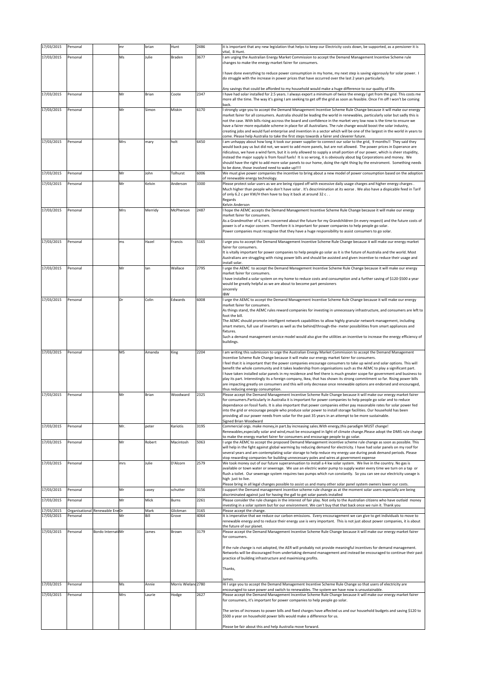| 17/03/2015               | Personal                                   |                   | mr  | brian        | Hunt                | 2486         | it is important that any new legislation that helps to keep our Electricity costs down, be supported, as a pensioner it is<br>vital, B Hunt.                                                                                                                                                                                                                                                                                                                                                                                                                                                                                                                                                                                                                                                                                                                             |
|--------------------------|--------------------------------------------|-------------------|-----|--------------|---------------------|--------------|--------------------------------------------------------------------------------------------------------------------------------------------------------------------------------------------------------------------------------------------------------------------------------------------------------------------------------------------------------------------------------------------------------------------------------------------------------------------------------------------------------------------------------------------------------------------------------------------------------------------------------------------------------------------------------------------------------------------------------------------------------------------------------------------------------------------------------------------------------------------------|
| 17/03/2015               | Personal                                   |                   | Ms  | Julie        | Braden              | 3677         | I am urging the Australian Energy Market Commission to accept the Demand Management Incentive Scheme rule<br>changes to make the energy market fairer for consumers.                                                                                                                                                                                                                                                                                                                                                                                                                                                                                                                                                                                                                                                                                                     |
|                          |                                            |                   |     |              |                     |              | have done everything to reduce power consumption in my home, my next step is saving vigorously for solar power. I<br>do struggle with the increase in power prices that have occurred over the last 2 years particularly.<br>Any savings that could be afforded to my household would make a huge difference to our quality of life.                                                                                                                                                                                                                                                                                                                                                                                                                                                                                                                                     |
| 17/03/2015               | Personal                                   |                   | Mr  | Brian        | Coote               | 2347         | I have had solar installed for 2.5 years. I always export a minimum of twice the energy I get from the grid. This costs me<br>more all the time. The way it's going I am seeking to get off the grid as soon as feasible. Once I'm off I won't be coming<br>back.                                                                                                                                                                                                                                                                                                                                                                                                                                                                                                                                                                                                        |
| 17/03/2015               | Personal                                   |                   | Mr  | Simon        | Miskin              | 6170         | I strongly urge you to accept the Demand Management Incentive Scheme Rule Change because it will make our energy<br>market fairer for all consumers. Australia should be leading the world in renewables, particularly solar but sadly this is<br>not the case. With bills rising accross the board and confidence in the market very low now is the time to ensure we<br>have a fairer more equitable scheme in place for all Australians. The rule change would boost the solar industry,<br>creating jobs and would fuel enterprise and invention in a sector which will be one of the largest in the world in years to                                                                                                                                                                                                                                               |
| 17/03/2015               | Personal                                   |                   | Mrs | mary         | holt                | 6450         | come. Please help Australia to take the first steps towards a fairer and cleverer future.<br>am unhappy about how long it took our power supplier to connect our solar to the grid, 9 months!! They said they<br>would back pay us but did not, we want to add more panels, but are not allowed. The power prices in Esperance are<br>ridiculous, we have a wind farm, but it is only allowed to supply a small portion of our power, which is sheer stupidity,<br>instead the major supply is from fossil fuels! It is so wrong, it is obviously about big Corporations and money. We<br>should have the right to add more solar panels to our home, doing the right thing by the enviroment. Something needs<br>to be done, those involved need to wake up!!!!                                                                                                         |
| 17/03/2015               | Personal                                   |                   | Mr  | John         | Tolhurst            | 6006         | We must give power companies the incentive to bring about a new model of power consumption based on the adoption<br>of renewable energy technology.                                                                                                                                                                                                                                                                                                                                                                                                                                                                                                                                                                                                                                                                                                                      |
| 17/03/2015               | Personal                                   |                   | Mr  | Kelvin       | Anderson            | 3300         | Please protect solar users as we are being ripped off with excessive daily usage charges and higher energy charges.<br>Much higher than people who don't have solar . It's descrimination at its worse . We also have a dispicable feed in Tarif<br>of only 6.2 c per KW/H then have to buy it back at around 32 c<br>Regards<br>Kelvin Anderson                                                                                                                                                                                                                                                                                                                                                                                                                                                                                                                         |
| 17/03/2015               | Personal                                   |                   | Mrs | Merridy      | McPherson           | 2487         | hope the AEMC accepts the Demand Management Incentive Scheme Rule Change because it will make our energy<br>market fairer for consumers.<br>As a Grandmother of 6, I am concerned about the future for my Grandchildren (in every respect) and the future costs of<br>power is of a major concern. Therefore it is important for power companies to help people go solar.<br>Power companies must recognise that they have a huge responsibility to assist consumers to go solar.                                                                                                                                                                                                                                                                                                                                                                                        |
| 17/03/2015               | Personal                                   |                   | ms  | Hazel        | Francis             | 5165         | I urge you to accept the Demand Management Incentive Scheme Rule Change because it will make our energy market<br>fairer for consumers.<br>It is vitally important for power companies to help people go solar as it is the future of Australia and the world. Most<br>Australians are struggling with rising power bills and should be assisted and given incentive to reduce their usage and<br>install solar.                                                                                                                                                                                                                                                                                                                                                                                                                                                         |
| 17/03/2015               | Personal                                   |                   | Mr  | lan          | Wallace             | 2795         | I urge the AEMC to accept the Demand Management Incentive Scheme Rule Change because it will make our energy<br>market fairer for consumers.<br>have installed a solar system on my home to reduce costs and consumption and a further saving of \$120-\$500 a year<br>would be greatly helpful as we are about to become part pensioners<br>sincerely<br><b>IBW</b>                                                                                                                                                                                                                                                                                                                                                                                                                                                                                                     |
| 17/03/2015               | Personal                                   |                   | Dr  | Colin        | Edwards             | 6008         | I urge the AEMC to accept the Demand Management Incentive Scheme Rule Change because it will make our energy<br>market fairer for consumers.<br>As things stand, the AEMC rules reward companies for investing in unnecessary infrastructure, and consumers are left to<br>foot the bill.<br>The AEMC should promote intelligent network capabilities to allow highly granular network management, including<br>smart meters, full use of inverters as well as the behind/through-the- meter possibilities from smart appliances and<br>fixtures.<br>Such a demand management service model would also give the utilities an incentive to increase the energy efficiency of<br>buildings.                                                                                                                                                                                |
| 17/03/2015               | Personal                                   |                   | MS  | Amanda       | King                | 2204         | I am writing this submission to urge the Australian Energy Market Commission to accept the Demand Management<br>Incentive Scheme Rule Change because it will make our energy market fairer for consumers.<br>feel that it is important that the power companies encourage consumers to take up wind and solar options. This will<br>benefit the whole community and it takes leadership from organisations such as the AEMC to play a significant part.<br>have taken installed solar panels in my residence and feel there is much greater scope for government and business to<br>play its part. Interestingly its a foreign company, Ikea, that has shown its strong commitment so far. Rising power bills<br>are impacting greatly on consumers and this will only decrease once renewable options are endorsed and encouraged,<br>thus reducing energy consumption. |
| 17/03/2015               | Personal                                   |                   | Mr  | Brian        | Woodward            | 2325         | Please accept the Demand Management Incentive Scheme Rule Change because it will make our energy market fairer<br>for consumers.Particularly in Australia it is important for power companies to help people go solar and to reduce<br>dependance on fossil fuels. It is also important that power companies either pay reasonable rates for solar power fed<br>into the grid or encourage people who produce solar power to install storage facilities. Our household has been<br>providing all our power needs from solar for the past 35 years in an attempt to be more sustainable.<br>Signed Brian Woodward                                                                                                                                                                                                                                                         |
| 17/03/2015               | Personal                                   |                   | Mr. | peter        | Kariotis            | 3195         | Commercial orgs. make money, in part.by increasing sales. With energy, this paradigm MUST change!<br>Renewables, especially solar and wind, must be encouraged in light of climate change. Please adopt the DMIS rule change                                                                                                                                                                                                                                                                                                                                                                                                                                                                                                                                                                                                                                             |
| 17/03/2015               | Personal                                   |                   | Mr  | Robert       | Macintosh           | 5063         | to make the energy market fairer for consumers and encourage people to go solar.<br>urge the AEMC to accept the proposed Demand Management incentive scheme rule change as soon as possible. This<br>will help in the fight against global warming by reducing demand for electricity. I have had solar panels on my roof for<br>several years and am contemplating solar storage to help reduce my energy use during peak demand periods. Please<br>stop rewarding companies for building unnecessary poles and wires at government expense                                                                                                                                                                                                                                                                                                                             |
| 17/03/2015               | Personal                                   |                   | mrs | Julie        | D'Alcorn            | 2579         | We took money out of our future superannuation to install a 4 kw solar system. We live in the country. No gas is<br>available or town water or sewerage. We use an electric water pump to supply water every time we turn on a tap or<br>flush a toilet. Our sewerage system requires two pumps which run constantly. So you can see our electricity useage is<br>high just to live.                                                                                                                                                                                                                                                                                                                                                                                                                                                                                     |
| 17/03/2015               | Personal                                   |                   | Mr  | casey        | schutter            | 3156         | Please bring in all legal changes possible to assist us and many other solar panel system owners lower our costs.<br>I support the Demand management incentive scheme rule change as at the moment solar users especially are being<br>discriminated against just for having the gall to get solar panels installed                                                                                                                                                                                                                                                                                                                                                                                                                                                                                                                                                      |
| 17/03/2015               | Personal                                   |                   | Mr  | Mick         | Burns               | 2261         | Please consider the rule changes in the interest of fair play. Not only to the Australian citizens who have outlaid money<br>investing in a solar system but for our environment. We can't buy that that back once we ruin it. Thank you                                                                                                                                                                                                                                                                                                                                                                                                                                                                                                                                                                                                                                 |
| 17/03/2015<br>17/03/2015 | Organisational Renewable EneDr<br>Personal |                   | Mr  | Mark<br>Bill | Glickman<br>Grove   | 3165<br>4064 | Please accept the change.<br>It is imperative that we reduce our carbon emissions. Every encouragement we can give to get individuals to move to                                                                                                                                                                                                                                                                                                                                                                                                                                                                                                                                                                                                                                                                                                                         |
| 17/03/2015               | Personal                                   | Bordo InternatiMr |     | James        | Brown               | 3179         | renewable energy and to reduce their energy use is very important. This is not just about power companies, it is about<br>the future of our planet.<br>Please accept the Demand Management Incentive Scheme Rule Change because it will make our energy market fairer<br>for consumers.                                                                                                                                                                                                                                                                                                                                                                                                                                                                                                                                                                                  |
|                          |                                            |                   |     |              |                     |              | If the rule change is not adopted, the AER will probably not provide meaningful incentives for demand management.<br>Networks will be discouraged from undertaking demand management and instead be encouraged to continue their past<br>practice of building infrastructure and maximising profits.<br>Thanks,                                                                                                                                                                                                                                                                                                                                                                                                                                                                                                                                                          |
| 17/03/2015               | Personal                                   |                   | Ms  | Annie        | Morris Wieland 2780 |              | James<br>Hi I urge you to accept the Demand Management Incentive Scheme Rule Change so that users of electricity are                                                                                                                                                                                                                                                                                                                                                                                                                                                                                                                                                                                                                                                                                                                                                     |
| 17/03/2015               | Personal                                   |                   | Mrs | Laurie       | Hodge               | 2627         | encouraged to save power and switch to renewables. The system we have now is unsustainable.<br>Please accept the Demand Management Incentive Scheme Rule Change because it will make our energy market fairer<br>for consumers, it's important for power companies to help people go solar.                                                                                                                                                                                                                                                                                                                                                                                                                                                                                                                                                                              |
|                          |                                            |                   |     |              |                     |              | The series of increases to power bills and fixed charges have affected us and our household budgets and saving \$120 to<br>\$500 a year on household power bills would make a difference for us.<br>Please be fair about this and help Australia move forward.                                                                                                                                                                                                                                                                                                                                                                                                                                                                                                                                                                                                           |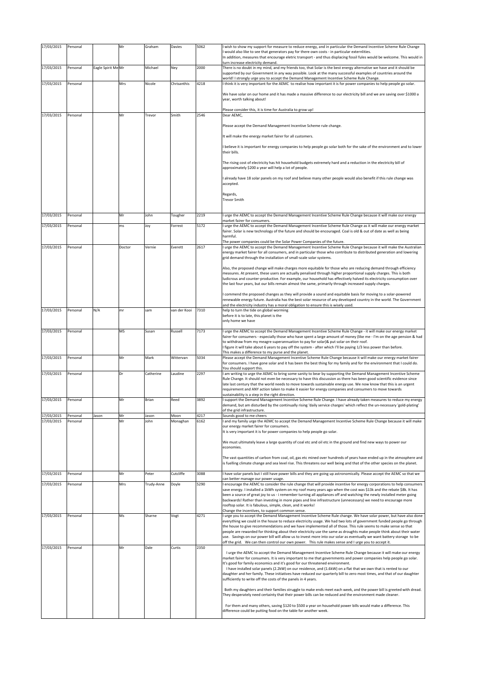| 17/03/2015               | Personal             |                    | Mr       | Graham        | Davies           | 5062         | wish to show my support for measure to reduce energy, and in particular the Demand Incentive Scheme Rule Change<br>would also like to see that generators pay for there own costs - in particular externlities.<br>In addition, measures that encourage eletric transport - and thus displacing fossil fules would be welcome. This would in                                                                                                                                                                                                                                                    |
|--------------------------|----------------------|--------------------|----------|---------------|------------------|--------------|-------------------------------------------------------------------------------------------------------------------------------------------------------------------------------------------------------------------------------------------------------------------------------------------------------------------------------------------------------------------------------------------------------------------------------------------------------------------------------------------------------------------------------------------------------------------------------------------------|
| 17/03/2015               | Personal             | Eagle Spirit Me Mr |          | Michael       | Ney              | 2000         | turn increase electricity demand.<br>There is no doubt in my mind, and my friends too, that Solar is the best energy alternative we have and it should be<br>supported by our Government in any way possible. Look at the many successful examples of countries around the<br>world! I strongly urge you to accept the Demand Management Incentive Scheme Rule Change.                                                                                                                                                                                                                          |
| 17/03/2015               | Personal             |                    | Mrs      | Nicole        | Chrisanthis      | 4218         | I think it is very important for the AEMC to realise how important it is for power companies to help people go solar.<br>We have solar on our home and it has made a massive difference to our electricity bill and we are saving over \$1000 a<br>year, worth talking about!                                                                                                                                                                                                                                                                                                                   |
|                          |                      |                    |          |               |                  |              | Please consider this, it is time for Australia to grow up!                                                                                                                                                                                                                                                                                                                                                                                                                                                                                                                                      |
| 17/03/2015               | Personal             |                    | Mr       | Trevor        | Smith            | 2546         | Dear AEMC,                                                                                                                                                                                                                                                                                                                                                                                                                                                                                                                                                                                      |
|                          |                      |                    |          |               |                  |              | Please accept the Demand Management Incentive Scheme rule change.                                                                                                                                                                                                                                                                                                                                                                                                                                                                                                                               |
|                          |                      |                    |          |               |                  |              | It will make the energy market fairer for all customers.<br>believe it is important for energy companies to help people go solar both for the sake of the environment and to lower                                                                                                                                                                                                                                                                                                                                                                                                              |
|                          |                      |                    |          |               |                  |              | their bills.                                                                                                                                                                                                                                                                                                                                                                                                                                                                                                                                                                                    |
|                          |                      |                    |          |               |                  |              | The rising cost of electricity has hit household budgets extremely hard and a reduction in the electricity bill of<br>approximately \$200 a year will help a lot of people.                                                                                                                                                                                                                                                                                                                                                                                                                     |
|                          |                      |                    |          |               |                  |              | I already have 18 solar panels on my roof and believe many other people would also benefit if this rule change was<br>accepted.                                                                                                                                                                                                                                                                                                                                                                                                                                                                 |
|                          |                      |                    |          |               |                  |              | Regards,<br><b>Trevor Smith</b>                                                                                                                                                                                                                                                                                                                                                                                                                                                                                                                                                                 |
| 17/03/2015               | Personal             |                    | Mr       | John          | Tougher          | 2219         | I urge the AEMC to accept the Demand Management Incentive Scheme Rule Change because it will make our energy                                                                                                                                                                                                                                                                                                                                                                                                                                                                                    |
| 17/03/2015               | Personal             |                    | ms       | Joy           | Forrest          | 5172         | market fairer for consumers.<br>I urge the AEMC to accept the Demand Management Incentive Scheme Rule Change as it will make our energy market                                                                                                                                                                                                                                                                                                                                                                                                                                                  |
|                          |                      |                    |          |               |                  |              | fairer. Solar is new technology of the future and should be encouraged. Coal is old & out of date as well as being<br>harmful.                                                                                                                                                                                                                                                                                                                                                                                                                                                                  |
| 17/03/2015               | Personal             |                    | Doctor   | Vernie        | Everett          | 2617         | The power companies could be the Solar Power Companies of the future.<br>I urge the AEMC to accept the Demand Management Incentive Scheme Rule Change because it will make the Australian                                                                                                                                                                                                                                                                                                                                                                                                       |
|                          |                      |                    |          |               |                  |              | energy market fairer for all consumers, and in particular those who contribute to distributed generation and lowering<br>grid demand through the installation of small-scale solar systems.                                                                                                                                                                                                                                                                                                                                                                                                     |
|                          |                      |                    |          |               |                  |              | Also, the proposed change will make charges more equitable for those who are reducing demand through efficiency<br>measures. At present, these users are actually penalised through higher proportional supply charges. This is both<br>ludicrous and counter-productive. For example, our household has effectively halved its electricity consumption over<br>the last four years, but our bills remain almost the same, primarily through increased supply charges.                                                                                                                          |
|                          |                      |                    |          |               |                  |              | commend the proposed changes as they will provide a sound and equitable basis for moving to a solar-powered<br>renewable energy future. Australia has the best solar resource of any developed country in the world. The Government<br>and the electricity industry has a moral obligation to ensure this is wisely used.                                                                                                                                                                                                                                                                       |
| 17/03/2015               | Personal             | N/A                | mr       | sam           | van der Kooi     | 7310         | help to turn the tide on global worming<br>before it is to late, this planet is the<br>only home we have                                                                                                                                                                                                                                                                                                                                                                                                                                                                                        |
| 17/03/2015               | Personal             |                    | MS       | Susan         | Russell          | 7173         | I urge the AEMC to accept the Demand Management Incentive Scheme Rule Change - it will make our energy market<br>fairer for consumers - especially those who have spent a large amount of money (like me - I'm on the age pension & had                                                                                                                                                                                                                                                                                                                                                         |
|                          |                      |                    |          |               |                  |              | to withdraw from my meagre superannuation to pay for solar)& put solar on their roof.<br>I figure it will take about 6 years to pay off the system - after which I'll be paying 1/3 less power than before.                                                                                                                                                                                                                                                                                                                                                                                     |
| 17/03/2015               | Personal             |                    | Mr       | Mark          | Wittervan        | 5034         | This makes a difference to my purse and the planet.<br>Please accept the Demand Management Incentive Scheme Rule Change because it will make our energy market fairer<br>for consumers. I have gone solar and it has been the best thing for my family and for the environment that I could do.                                                                                                                                                                                                                                                                                                 |
| 17/03/2015               | Personal             |                    | Dr       | Catherine     | Laudine          | 2297         | You should support this.<br>I am writing to urge the AEMC to bring some sanity to bear by supporting the Demand Management Incentive Scheme                                                                                                                                                                                                                                                                                                                                                                                                                                                     |
|                          |                      |                    |          |               |                  |              | Rule Change. It should not even be necessary to have this discussion as there has been good scientific evidence since<br>late last century that the world needs to move towards sustainable energy use. We now know that this is an urgent<br>requirement and ANY action taken to make it easier for energy companies and consumers to move towards                                                                                                                                                                                                                                             |
| 17/03/2015               | Personal             |                    | Mr       | Brian         | Reed             | 3892         | sustainability is a step in the right direction.<br>support the Demand Management Incentive Scheme Rule Change. I have already taken measures to reduce my energy                                                                                                                                                                                                                                                                                                                                                                                                                               |
|                          |                      |                    |          |               |                  |              | demand, but am disturbed by the continually rising 'daily service charges' which reflect the un-necessary 'gold-plating'<br>of the grid infrastructure.                                                                                                                                                                                                                                                                                                                                                                                                                                         |
| 17/03/2015<br>17/03/2015 | Personal<br>Personal | Jason              | Mr<br>Mr | Jason<br>John | Moon<br>Monaghan | 4217<br>6162 | Sounds good to me cheers<br>I and my family urge the AEMC to accept the Demand Management Incentive Scheme Rule Change because it will make                                                                                                                                                                                                                                                                                                                                                                                                                                                     |
|                          |                      |                    |          |               |                  |              | our energy market fairer for consumers.<br>It is very important it is for power companies to help people go solar.                                                                                                                                                                                                                                                                                                                                                                                                                                                                              |
|                          |                      |                    |          |               |                  |              | We must ultimately leave a large quantity of coal etc and oil etc in the ground and find new ways to power our<br>economies.                                                                                                                                                                                                                                                                                                                                                                                                                                                                    |
|                          |                      |                    |          |               |                  |              | The vast quantities of carbon from coal, oil, gas etc mined over hundreds of years have ended up in the atmosphere and<br>is fuelling climate change and sea level rise. This threatens our well being and that of the other species on the planet.                                                                                                                                                                                                                                                                                                                                             |
| 17/03/2015               | Personal             |                    | Mr       | Peter         | Cutcliffe        | 3088         | I have solar panels but I still have power bills and they are going up astronomically. Please accept the AEMC so that we<br>can better manage our power usage.                                                                                                                                                                                                                                                                                                                                                                                                                                  |
| 17/03/2015               | Personal             |                    | Mrs      | Trudy-Anne    | Doyle            | 5290         | I encourage the AEMC to consider the rule change that will provide incentive for energy corporations to help consumers<br>save energy. I installed a 1kWh system on my roof many years ago when the cost was \$13k and the rebate \$8k. It has<br>been a source of great joy to us - i remember turning all appliances off and watching the newly installed meter going<br>backwards! Rather than investing in more pipes and line infrastructure (unnecessary) we need to encourage more<br>rooftop solar. It is fabulous, simple, clean, and it works!                                        |
| 17/03/2015               | Personal             |                    | Ms       | Sharne        | Vogt             | 4271         | Change the incentives, to support common sense.<br>I urge you to accept the Demand Management Incentive Scheme Rule change. We have solar power, but have also done                                                                                                                                                                                                                                                                                                                                                                                                                             |
|                          |                      |                    |          |               |                  |              | everything we could in the house to reduce electricity usage. We had two lots of government funded people go through<br>the house to give recommendations and we have implemented all of those. This rule seems to make sense so that<br>people are rewarded for thinking about their electricity use the same as droughts make people think about their water<br>use. Savings on our power bill will allow us to invest more into our solar as eventually we want battery storage to be<br>off the grid. We can then control our own power. This rule makes sense and I urge you to accept it. |
| 17/03/2015               | Personal             |                    | Mr       | Dale          | Curtis           | 2350         | I urge the AEMC to accept the Demand Management Incentive Scheme Rule Change because it will make our energy                                                                                                                                                                                                                                                                                                                                                                                                                                                                                    |
|                          |                      |                    |          |               |                  |              | market fairer for consumers. It is very important to me that governments and power companies help people go solar.<br>It's good for family economics and it's good for our threatened environment.<br>I have installed solar panels (2.2kW) on our residence, and (1.6kW) on a flat that we own that is rented to our                                                                                                                                                                                                                                                                           |
|                          |                      |                    |          |               |                  |              | daughter and her family. These initiatives have reduced our quarterly bill to zero most times, and that of our daughter<br>sufficiently to write off the costs of the panels in 4 years.                                                                                                                                                                                                                                                                                                                                                                                                        |
|                          |                      |                    |          |               |                  |              | Both my daughters and their families struggle to make ends meet each week, and the power bill is greeted with dread.<br>They desperately need certainty that their power bills can be reduced and the environment made cleaner.                                                                                                                                                                                                                                                                                                                                                                 |